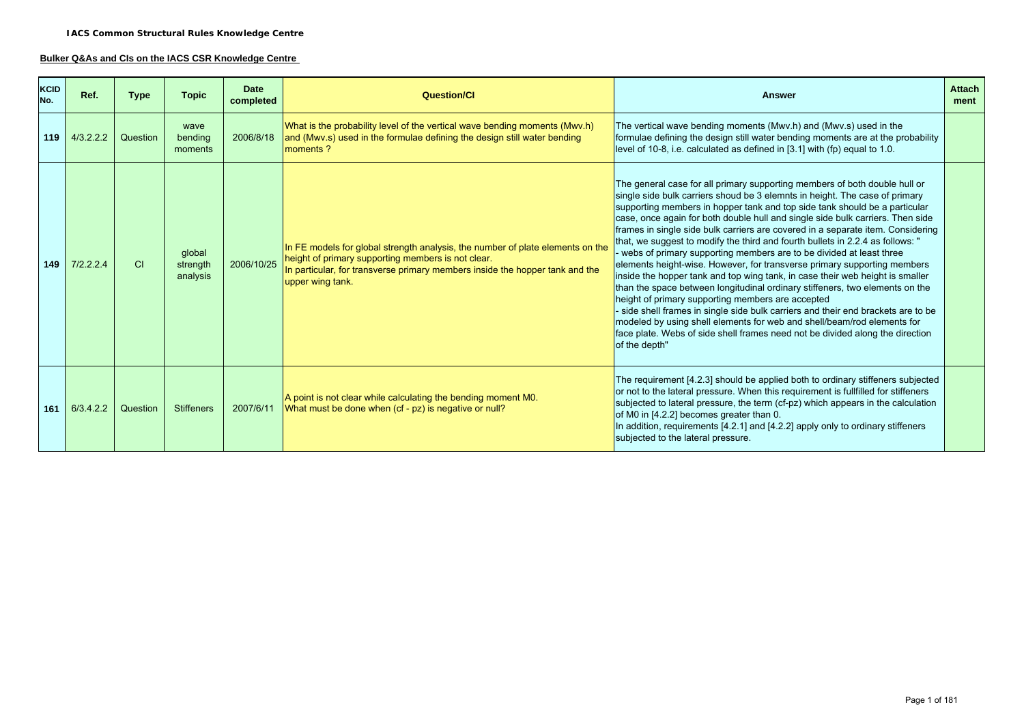## **Bulker Q&As and CIs on the IACS CSR Knowledge Centre**

| <b>KCID</b><br>No. | Ref.      | <b>Type</b> | <b>Topic</b>                   | <b>Date</b><br>completed | Question/CI                                                                                                                                                                                                                              | <b>Answer</b>                                                                                                                                                                                                                                                                                                                                                                                                                                                                                                                                                                                                                                                                                                                                                                                                                                                                                                                                                                                                                                                                                                                             | <b>Attach</b><br>ment |
|--------------------|-----------|-------------|--------------------------------|--------------------------|------------------------------------------------------------------------------------------------------------------------------------------------------------------------------------------------------------------------------------------|-------------------------------------------------------------------------------------------------------------------------------------------------------------------------------------------------------------------------------------------------------------------------------------------------------------------------------------------------------------------------------------------------------------------------------------------------------------------------------------------------------------------------------------------------------------------------------------------------------------------------------------------------------------------------------------------------------------------------------------------------------------------------------------------------------------------------------------------------------------------------------------------------------------------------------------------------------------------------------------------------------------------------------------------------------------------------------------------------------------------------------------------|-----------------------|
| 119                | 4/3.2.2.2 | Question    | wave<br>bending<br>moments     | 2006/8/18                | What is the probability level of the vertical wave bending moments (Mwv.h)<br>and (Mwv.s) used in the formulae defining the design still water bending<br>moments?                                                                       | The vertical wave bending moments (Mwv.h) and (Mwv.s) used in the<br>formulae defining the design still water bending moments are at the probability<br>level of 10-8, i.e. calculated as defined in [3.1] with (fp) equal to 1.0.                                                                                                                                                                                                                                                                                                                                                                                                                                                                                                                                                                                                                                                                                                                                                                                                                                                                                                        |                       |
| 149                | 7/2.2.2.4 | <b>CI</b>   | global<br>strength<br>analysis | 2006/10/25               | In FE models for global strength analysis, the number of plate elements on the<br>height of primary supporting members is not clear.<br>In particular, for transverse primary members inside the hopper tank and the<br>upper wing tank. | The general case for all primary supporting members of both double hull or<br>single side bulk carriers shoud be 3 elemnts in height. The case of primary<br>supporting members in hopper tank and top side tank should be a particular<br>case, once again for both double hull and single side bulk carriers. Then side<br>frames in single side bulk carriers are covered in a separate item. Considering<br>that, we suggest to modify the third and fourth bullets in 2.2.4 as follows: "<br>webs of primary supporting members are to be divided at least three<br>elements height-wise. However, for transverse primary supporting members<br>inside the hopper tank and top wing tank, in case their web height is smaller<br>than the space between longitudinal ordinary stiffeners, two elements on the<br>height of primary supporting members are accepted<br>- side shell frames in single side bulk carriers and their end brackets are to be<br>modeled by using shell elements for web and shell/beam/rod elements for<br>face plate. Webs of side shell frames need not be divided along the direction<br>of the depth" |                       |
| 161                | 6/3.4.2.2 | Question    | <b>Stiffeners</b>              | 2007/6/11                | A point is not clear while calculating the bending moment M0.<br>What must be done when (cf - pz) is negative or null?                                                                                                                   | The requirement [4.2.3] should be applied both to ordinary stiffeners subjected<br>or not to the lateral pressure. When this requirement is fullfilled for stiffeners<br>subjected to lateral pressure, the term (cf-pz) which appears in the calculation<br>of M0 in [4.2.2] becomes greater than 0.<br>In addition, requirements $[4.2.1]$ and $[4.2.2]$ apply only to ordinary stiffeners<br>subjected to the lateral pressure.                                                                                                                                                                                                                                                                                                                                                                                                                                                                                                                                                                                                                                                                                                        |                       |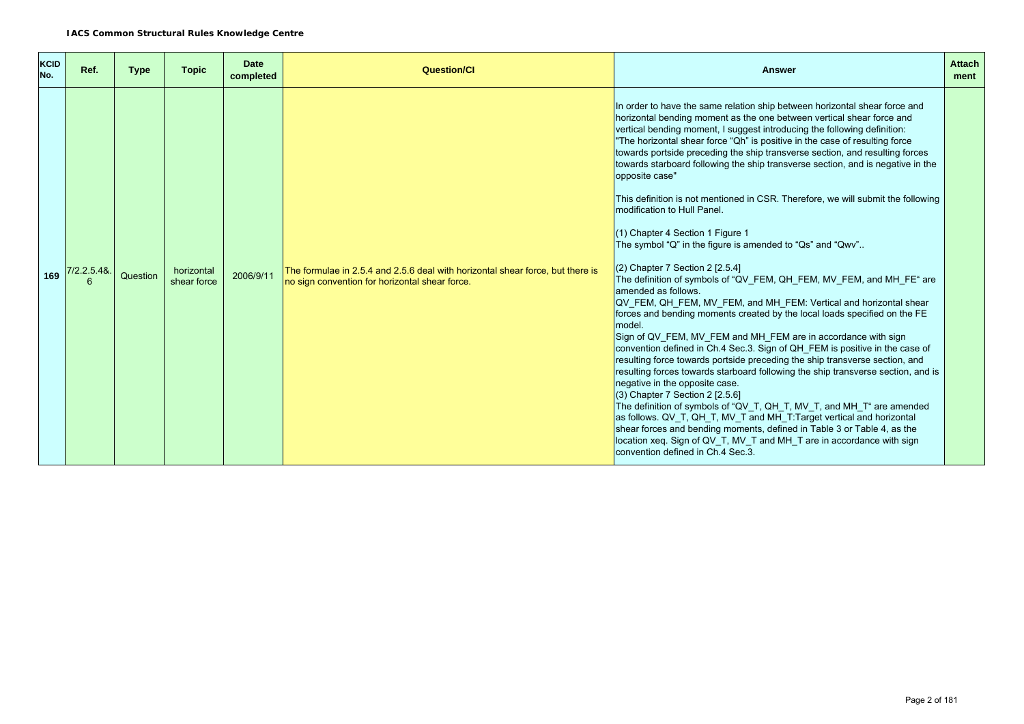| <b>KCID</b><br>No. | Ref.       | <b>Type</b> | <b>Topic</b>              | <b>Date</b><br>completed | <b>Question/Cl</b>                                                                                                               | <b>Answer</b>                                                                                                                                                                                                                                                                                                                                                                                                                                                                                                                                                                                                                                                                                                                                                                                                                                                                                                                                                                                                                                                                                                                                                                                                                                                                                                                                                                                                                                                                                                                                                                                                                                                                                                                                                 | <b>Attach</b><br>ment |
|--------------------|------------|-------------|---------------------------|--------------------------|----------------------------------------------------------------------------------------------------------------------------------|---------------------------------------------------------------------------------------------------------------------------------------------------------------------------------------------------------------------------------------------------------------------------------------------------------------------------------------------------------------------------------------------------------------------------------------------------------------------------------------------------------------------------------------------------------------------------------------------------------------------------------------------------------------------------------------------------------------------------------------------------------------------------------------------------------------------------------------------------------------------------------------------------------------------------------------------------------------------------------------------------------------------------------------------------------------------------------------------------------------------------------------------------------------------------------------------------------------------------------------------------------------------------------------------------------------------------------------------------------------------------------------------------------------------------------------------------------------------------------------------------------------------------------------------------------------------------------------------------------------------------------------------------------------------------------------------------------------------------------------------------------------|-----------------------|
|                    | /2.2.5.48. | Question    | horizontal<br>shear force | 2006/9/11                | The formulae in 2.5.4 and 2.5.6 deal with horizontal shear force, but there is<br>no sign convention for horizontal shear force. | In order to have the same relation ship between horizontal shear force and<br>horizontal bending moment as the one between vertical shear force and<br>vertical bending moment, I suggest introducing the following definition:<br>"The horizontal shear force "Qh" is positive in the case of resulting force<br>towards portside preceding the ship transverse section, and resulting forces<br>towards starboard following the ship transverse section, and is negative in the<br>opposite case"<br>This definition is not mentioned in CSR. Therefore, we will submit the following<br>modification to Hull Panel.<br>(1) Chapter 4 Section 1 Figure 1<br>The symbol "Q" in the figure is amended to "Qs" and "Qwv"<br>$(2)$ Chapter 7 Section 2 [2.5.4]<br>The definition of symbols of "QV FEM, QH FEM, MV FEM, and MH FE" are<br>amended as follows.<br>QV FEM, QH FEM, MV FEM, and MH FEM: Vertical and horizontal shear<br>forces and bending moments created by the local loads specified on the FE<br>model.<br>Sign of QV FEM, MV FEM and MH FEM are in accordance with sign<br>convention defined in Ch.4 Sec.3. Sign of QH_FEM is positive in the case of<br>resulting force towards portside preceding the ship transverse section, and<br>resulting forces towards starboard following the ship transverse section, and is<br>negative in the opposite case.<br>$(3)$ Chapter 7 Section 2 $[2.5.6]$<br>The definition of symbols of "QV_T, QH_T, MV_T, and MH_T" are amended<br>as follows. QV_T, QH_T, MV_T and MH_T:Target vertical and horizontal<br>shear forces and bending moments, defined in Table 3 or Table 4, as the<br>location xeq. Sign of QV T, MV T and MH T are in accordance with sign<br>convention defined in Ch.4 Sec.3. |                       |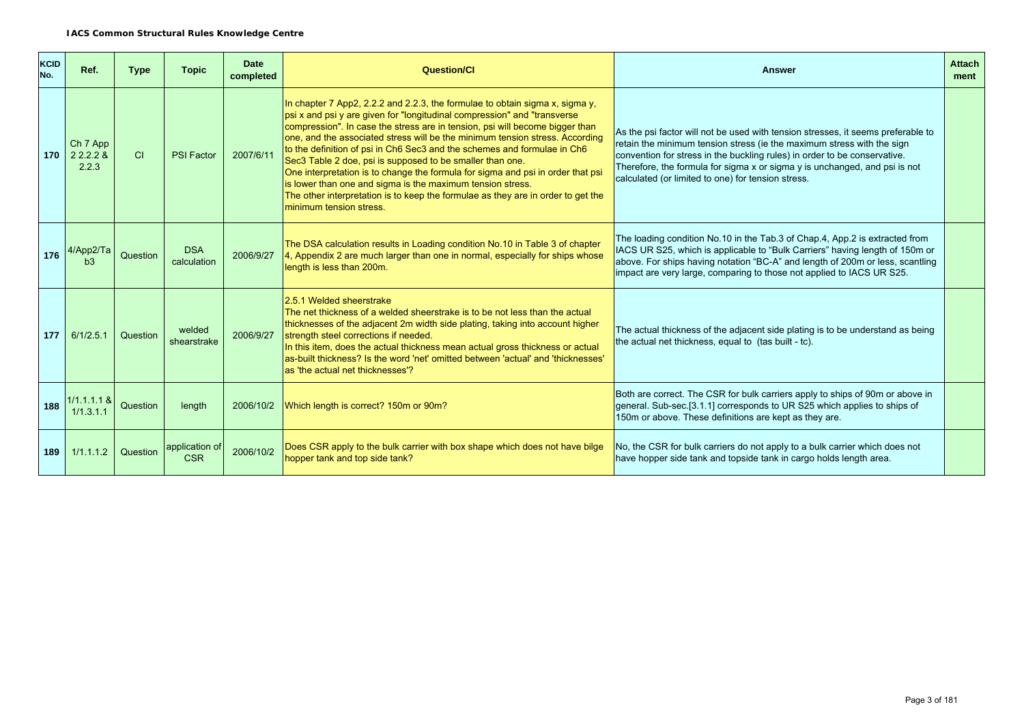| KCID<br>No. | Ref.                           | <b>Type</b> | <b>Topic</b>                 | <b>Date</b><br>completed | <b>Question/Cl</b>                                                                                                                                                                                                                                                                                                                                                                                                                                                                                                                                                                                                                                                                                                                | <b>Answer</b>                                                                                                                                                                                                                                                                                                                                                               | <b>Attach</b><br>ment |
|-------------|--------------------------------|-------------|------------------------------|--------------------------|-----------------------------------------------------------------------------------------------------------------------------------------------------------------------------------------------------------------------------------------------------------------------------------------------------------------------------------------------------------------------------------------------------------------------------------------------------------------------------------------------------------------------------------------------------------------------------------------------------------------------------------------------------------------------------------------------------------------------------------|-----------------------------------------------------------------------------------------------------------------------------------------------------------------------------------------------------------------------------------------------------------------------------------------------------------------------------------------------------------------------------|-----------------------|
| 170         | Ch 7 App<br>2 2 2 2 &<br>2.2.3 | CI          | <b>PSI Factor</b>            | 2007/6/11                | In chapter 7 App2, 2.2.2 and 2.2.3, the formulae to obtain sigma x, sigma y,<br>psi x and psi y are given for "longitudinal compression" and "transverse<br>compression". In case the stress are in tension, psi will become bigger than<br>one, and the associated stress will be the minimum tension stress. According<br>to the definition of psi in Ch6 Sec3 and the schemes and formulae in Ch6<br>Sec3 Table 2 doe, psi is supposed to be smaller than one.<br>One interpretation is to change the formula for sigma and psi in order that psi<br>is lower than one and sigma is the maximum tension stress.<br>The other interpretation is to keep the formulae as they are in order to get the<br>minimum tension stress. | As the psi factor will not be used with tension stresses, it seems preferable to<br>retain the minimum tension stress (ie the maximum stress with the sign<br>convention for stress in the buckling rules) in order to be conservative.<br>Therefore, the formula for sigma x or sigma y is unchanged, and psi is not<br>calculated (or limited to one) for tension stress. |                       |
| 176         | 4/App2/Ta<br>b3                | Question    | <b>DSA</b><br>calculation    | 2006/9/27                | The DSA calculation results in Loading condition No.10 in Table 3 of chapter<br>4, Appendix 2 are much larger than one in normal, especially for ships whose<br>length is less than 200m.                                                                                                                                                                                                                                                                                                                                                                                                                                                                                                                                         | The loading condition No.10 in the Tab.3 of Chap.4, App.2 is extracted from<br>IACS UR S25, which is applicable to "Bulk Carriers" having length of 150m or<br>above. For ships having notation "BC-A" and length of 200m or less, scantling<br>impact are very large, comparing to those not applied to IACS UR S25.                                                       |                       |
| 177         | 6/1/2.5.1                      | Question    | welded<br>shearstrake        | 2006/9/27                | 2.5.1 Welded sheerstrake<br>The net thickness of a welded sheerstrake is to be not less than the actual<br>thicknesses of the adjacent 2m width side plating, taking into account higher<br>strength steel corrections if needed.<br>In this item, does the actual thickness mean actual gross thickness or actual<br>as-built thickness? Is the word 'net' omitted between 'actual' and 'thicknesses'<br>as 'the actual net thicknesses'?                                                                                                                                                                                                                                                                                        | The actual thickness of the adjacent side plating is to be understand as being<br>the actual net thickness, equal to (tas built - tc).                                                                                                                                                                                                                                      |                       |
| 188         | $1/1.1.1.1$ &<br>1/1.3.1.1     | Question    | length                       | 2006/10/2                | Which length is correct? 150m or 90m?                                                                                                                                                                                                                                                                                                                                                                                                                                                                                                                                                                                                                                                                                             | Both are correct. The CSR for bulk carriers apply to ships of 90m or above in<br>general. Sub-sec.[3.1.1] corresponds to UR S25 which applies to ships of<br>150m or above. These definitions are kept as they are.                                                                                                                                                         |                       |
| 189         | 1/1.1.1.2                      | Question    | application of<br><b>CSR</b> | 2006/10/2                | Does CSR apply to the bulk carrier with box shape which does not have bilge<br>hopper tank and top side tank?                                                                                                                                                                                                                                                                                                                                                                                                                                                                                                                                                                                                                     | No, the CSR for bulk carriers do not apply to a bulk carrier which does not<br>have hopper side tank and topside tank in cargo holds length area.                                                                                                                                                                                                                           |                       |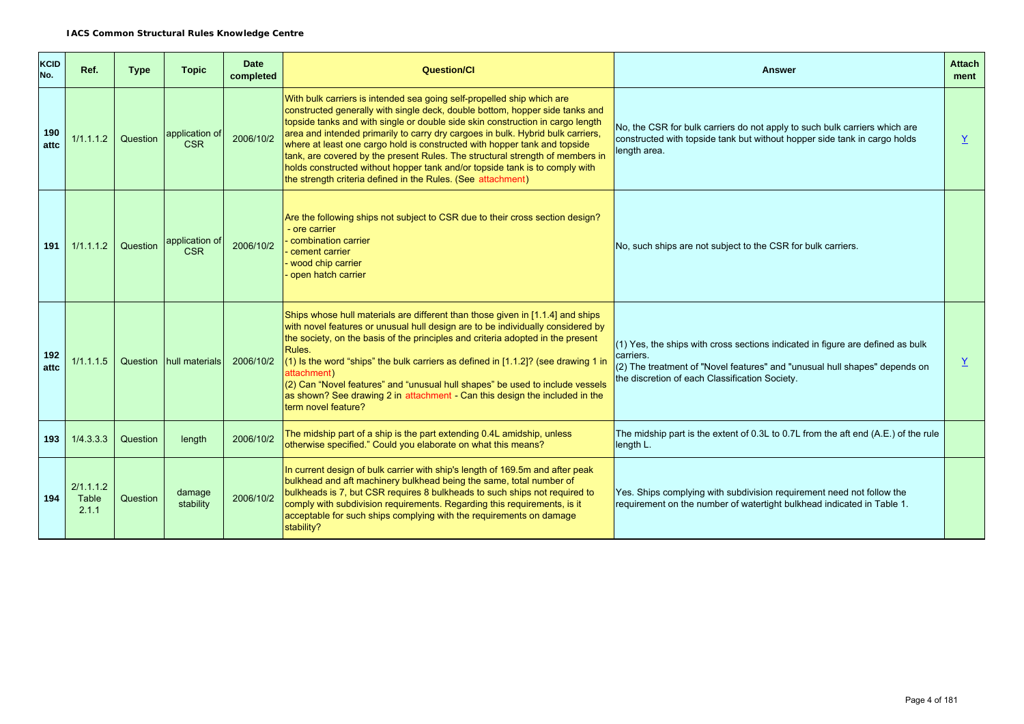| <b>KCID</b><br>No. | Ref.                        | <b>Type</b> | <b>Topic</b>                 | <b>Date</b><br>completed | <b>Question/Cl</b>                                                                                                                                                                                                                                                                                                                                                                                                                                                                                                                                                                                                                       | <b>Answer</b>                                                                                                                                                                                                                 | <b>Attach</b><br>ment |
|--------------------|-----------------------------|-------------|------------------------------|--------------------------|------------------------------------------------------------------------------------------------------------------------------------------------------------------------------------------------------------------------------------------------------------------------------------------------------------------------------------------------------------------------------------------------------------------------------------------------------------------------------------------------------------------------------------------------------------------------------------------------------------------------------------------|-------------------------------------------------------------------------------------------------------------------------------------------------------------------------------------------------------------------------------|-----------------------|
| 190<br>attc        | 1/1.1.1.2                   | Question    | application of<br><b>CSR</b> | 2006/10/2                | With bulk carriers is intended sea going self-propelled ship which are<br>constructed generally with single deck, double bottom, hopper side tanks and<br>topside tanks and with single or double side skin construction in cargo length<br>area and intended primarily to carry dry cargoes in bulk. Hybrid bulk carriers,<br>where at least one cargo hold is constructed with hopper tank and topside<br>tank, are covered by the present Rules. The structural strength of members in<br>holds constructed without hopper tank and/or topside tank is to comply with<br>the strength criteria defined in the Rules. (See attachment) | No, the CSR for bulk carriers do not apply to such bulk carriers which are<br>constructed with topside tank but without hopper side tank in cargo holds<br>length area.                                                       | Y                     |
| 191                | 1/1.1.1.2                   | Question    | application of<br><b>CSR</b> | 2006/10/2                | Are the following ships not subject to CSR due to their cross section design?<br>ore carrier<br>combination carrier<br>cement carrier<br>wood chip carrier<br>open hatch carrier                                                                                                                                                                                                                                                                                                                                                                                                                                                         | No, such ships are not subject to the CSR for bulk carriers.                                                                                                                                                                  |                       |
| 192<br>attc        | 1/1.1.1.5                   |             | Question hull materials      | 2006/10/2                | Ships whose hull materials are different than those given in [1.1.4] and ships<br>with novel features or unusual hull design are to be individually considered by<br>the society, on the basis of the principles and criteria adopted in the present<br>Rules.<br>$(1)$ Is the word "ships" the bulk carriers as defined in $[1.1.2]$ ? (see drawing 1 in<br>attachment)<br>(2) Can "Novel features" and "unusual hull shapes" be used to include vessels<br>as shown? See drawing 2 in attachment - Can this design the included in the<br>term novel feature?                                                                          | $(1)$ Yes, the ships with cross sections indicated in figure are defined as bulk<br>carriers.<br>(2) The treatment of "Novel features" and "unusual hull shapes" depends on<br>the discretion of each Classification Society. | $\underline{Y}$       |
| 193                | 1/4.3.3.3                   | Question    | length                       | 2006/10/2                | The midship part of a ship is the part extending 0.4L amidship, unless<br>otherwise specified." Could you elaborate on what this means?                                                                                                                                                                                                                                                                                                                                                                                                                                                                                                  | The midship part is the extent of 0.3L to 0.7L from the aft end (A.E.) of the rule<br>length L.                                                                                                                               |                       |
| 194                | 2/1.1.1.2<br>Table<br>2.1.1 | Question    | damage<br>stability          | 2006/10/2                | In current design of bulk carrier with ship's length of 169.5m and after peak<br>bulkhead and aft machinery bulkhead being the same, total number of<br>bulkheads is 7, but CSR requires 8 bulkheads to such ships not required to<br>comply with subdivision requirements. Regarding this requirements, is it<br>acceptable for such ships complying with the requirements on damage<br>stability?                                                                                                                                                                                                                                      | Yes. Ships complying with subdivision requirement need not follow the<br>requirement on the number of watertight bulkhead indicated in Table 1.                                                                               |                       |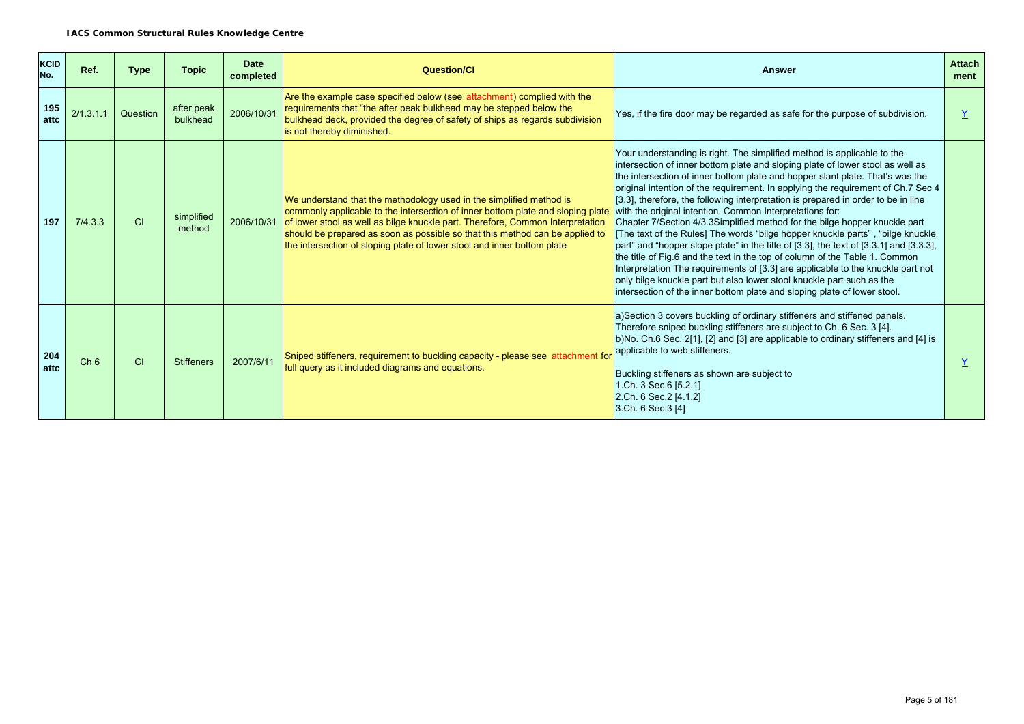| <b>KCID</b><br>No. | Ref.            | <b>Type</b> | <b>Topic</b>           | <b>Date</b><br>completed | <b>Question/Cl</b>                                                                                                                                                                                                                                                                                                                                                                                             | <b>Answer</b>                                                                                                                                                                                                                                                                                                                                                                                                                                                                                                                                                                                                                                                                                                                                                                                                                                                                                                                                                                                                                                                    | <b>Attach</b><br>ment |
|--------------------|-----------------|-------------|------------------------|--------------------------|----------------------------------------------------------------------------------------------------------------------------------------------------------------------------------------------------------------------------------------------------------------------------------------------------------------------------------------------------------------------------------------------------------------|------------------------------------------------------------------------------------------------------------------------------------------------------------------------------------------------------------------------------------------------------------------------------------------------------------------------------------------------------------------------------------------------------------------------------------------------------------------------------------------------------------------------------------------------------------------------------------------------------------------------------------------------------------------------------------------------------------------------------------------------------------------------------------------------------------------------------------------------------------------------------------------------------------------------------------------------------------------------------------------------------------------------------------------------------------------|-----------------------|
| 195<br>attc        | 2/1.3.1.1       | Question    | after peak<br>bulkhead | 2006/10/31               | Are the example case specified below (see attachment) complied with the<br>requirements that "the after peak bulkhead may be stepped below the<br>bulkhead deck, provided the degree of safety of ships as regards subdivision<br>is not thereby diminished.                                                                                                                                                   | Yes, if the fire door may be regarded as safe for the purpose of subdivision.                                                                                                                                                                                                                                                                                                                                                                                                                                                                                                                                                                                                                                                                                                                                                                                                                                                                                                                                                                                    |                       |
| 197                | 7/4.3.3         | CI          | simplified<br>method   |                          | We understand that the methodology used in the simplified method is<br>commonly applicable to the intersection of inner bottom plate and sloping plate<br>2006/10/31 of lower stool as well as bilge knuckle part. Therefore, Common Interpretation<br>should be prepared as soon as possible so that this method can be applied to<br>the intersection of sloping plate of lower stool and inner bottom plate | Your understanding is right. The simplified method is applicable to the<br>intersection of inner bottom plate and sloping plate of lower stool as well as<br>the intersection of inner bottom plate and hopper slant plate. That's was the<br>original intention of the requirement. In applying the requirement of Ch.7 Sec 4<br>[3.3], therefore, the following interpretation is prepared in order to be in line<br>with the original intention. Common Interpretations for:<br>Chapter 7/Section 4/3.3Simplified method for the bilge hopper knuckle part<br>[The text of the Rules] The words "bilge hopper knuckle parts", "bilge knuckle<br>part" and "hopper slope plate" in the title of [3.3], the text of [3.3.1] and [3.3.3],<br>the title of Fig.6 and the text in the top of column of the Table 1. Common<br>Interpretation The requirements of [3.3] are applicable to the knuckle part not<br>only bilge knuckle part but also lower stool knuckle part such as the<br>intersection of the inner bottom plate and sloping plate of lower stool. |                       |
| 204<br>attc        | Ch <sub>6</sub> | <b>CI</b>   | <b>Stiffeners</b>      | 2007/6/11                | Sniped stiffeners, requirement to buckling capacity - please see attachment for<br>full query as it included diagrams and equations.                                                                                                                                                                                                                                                                           | a)Section 3 covers buckling of ordinary stiffeners and stiffened panels.<br>Therefore sniped buckling stiffeners are subject to Ch. 6 Sec. 3 [4].<br>b)No. Ch.6 Sec. 2[1], [2] and [3] are applicable to ordinary stiffeners and [4] is<br>applicable to web stiffeners.<br>Buckling stiffeners as shown are subject to<br>1.Ch. 3 Sec. 6 [5.2.1]<br>2.Ch. 6 Sec. 2 [4.1.2]<br>3.Ch. 6 Sec. 3 [4]                                                                                                                                                                                                                                                                                                                                                                                                                                                                                                                                                                                                                                                                |                       |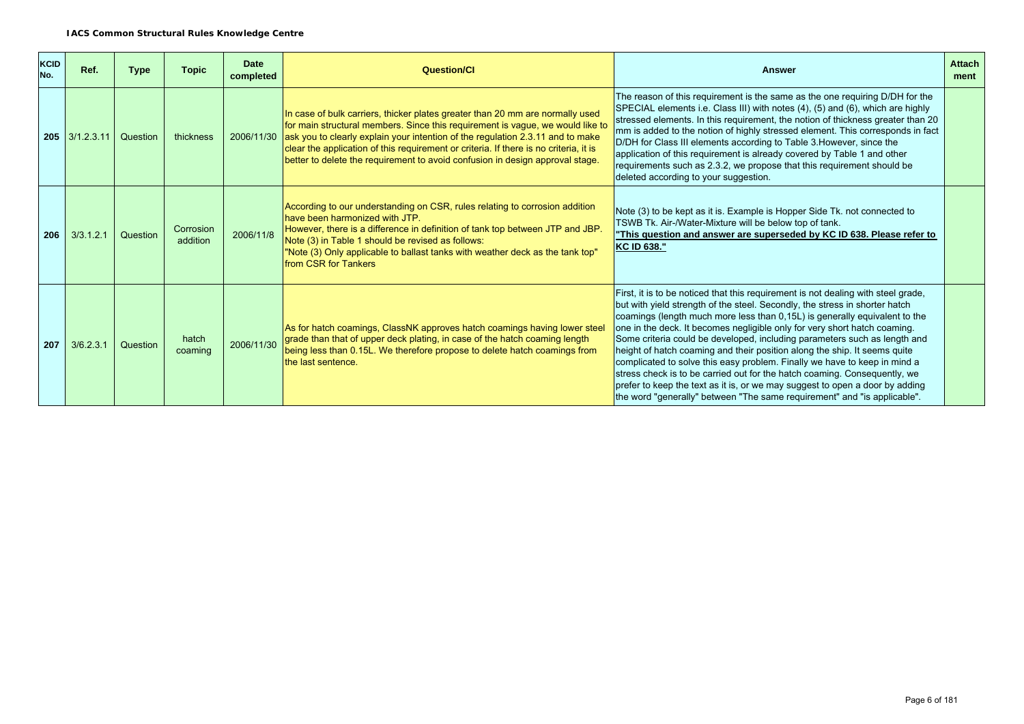| KCID<br>No. | Ref.             | <b>Type</b> | <b>Topic</b>          | <b>Date</b><br>completed | <b>Question/Cl</b>                                                                                                                                                                                                                                                                                                                                                                                                                     | <b>Answer</b>                                                                                                                                                                                                                                                                                                                                                                                                                                                                                                                                                                                                                                                                                                                                                                                               | <b>Attach</b><br>ment |
|-------------|------------------|-------------|-----------------------|--------------------------|----------------------------------------------------------------------------------------------------------------------------------------------------------------------------------------------------------------------------------------------------------------------------------------------------------------------------------------------------------------------------------------------------------------------------------------|-------------------------------------------------------------------------------------------------------------------------------------------------------------------------------------------------------------------------------------------------------------------------------------------------------------------------------------------------------------------------------------------------------------------------------------------------------------------------------------------------------------------------------------------------------------------------------------------------------------------------------------------------------------------------------------------------------------------------------------------------------------------------------------------------------------|-----------------------|
|             | $205$ 3/1.2.3.11 | Question    | thickness             |                          | In case of bulk carriers, thicker plates greater than 20 mm are normally used<br>for main structural members. Since this requirement is vague, we would like to<br>2006/11/30 ask you to clearly explain your intention of the regulation 2.3.11 and to make<br>clear the application of this requirement or criteria. If there is no criteria, it is<br>better to delete the requirement to avoid confusion in design approval stage. | The reason of this requirement is the same as the one requiring D/DH for the<br>SPECIAL elements i.e. Class III) with notes (4), (5) and (6), which are highly<br>stressed elements. In this requirement, the notion of thickness greater than 20<br>mm is added to the notion of highly stressed element. This corresponds in fact<br>D/DH for Class III elements according to Table 3. However, since the<br>application of this requirement is already covered by Table 1 and other<br>requirements such as 2.3.2, we propose that this requirement should be<br>deleted according to your suggestion.                                                                                                                                                                                                   |                       |
| 206         | 3/3.1.2.1        | Question    | Corrosion<br>addition | 2006/11/8                | According to our understanding on CSR, rules relating to corrosion addition<br>have been harmonized with JTP.<br>However, there is a difference in definition of tank top between JTP and JBP.<br>Note (3) in Table 1 should be revised as follows:<br>"Note (3) Only applicable to ballast tanks with weather deck as the tank top"<br>from CSR for Tankers                                                                           | Note (3) to be kept as it is. Example is Hopper Side Tk. not connected to<br>TSWB Tk. Air-/Water-Mixture will be below top of tank.<br>"This question and answer are superseded by KC ID 638. Please refer to<br><b>KC ID 638."</b>                                                                                                                                                                                                                                                                                                                                                                                                                                                                                                                                                                         |                       |
| 207         | 3/6.2.3.1        | Question    | hatch<br>coaming      | 2006/11/30               | As for hatch coamings, ClassNK approves hatch coamings having lower steel<br>grade than that of upper deck plating, in case of the hatch coaming length<br>being less than 0.15L. We therefore propose to delete hatch coamings from<br>the last sentence.                                                                                                                                                                             | First, it is to be noticed that this requirement is not dealing with steel grade,<br>but with yield strength of the steel. Secondly, the stress in shorter hatch<br>coamings (length much more less than 0,15L) is generally equivalent to the<br>one in the deck. It becomes negligible only for very short hatch coaming.<br>Some criteria could be developed, including parameters such as length and<br>height of hatch coaming and their position along the ship. It seems quite<br>complicated to solve this easy problem. Finally we have to keep in mind a<br>stress check is to be carried out for the hatch coaming. Consequently, we<br>prefer to keep the text as it is, or we may suggest to open a door by adding<br>the word "generally" between "The same requirement" and "is applicable". |                       |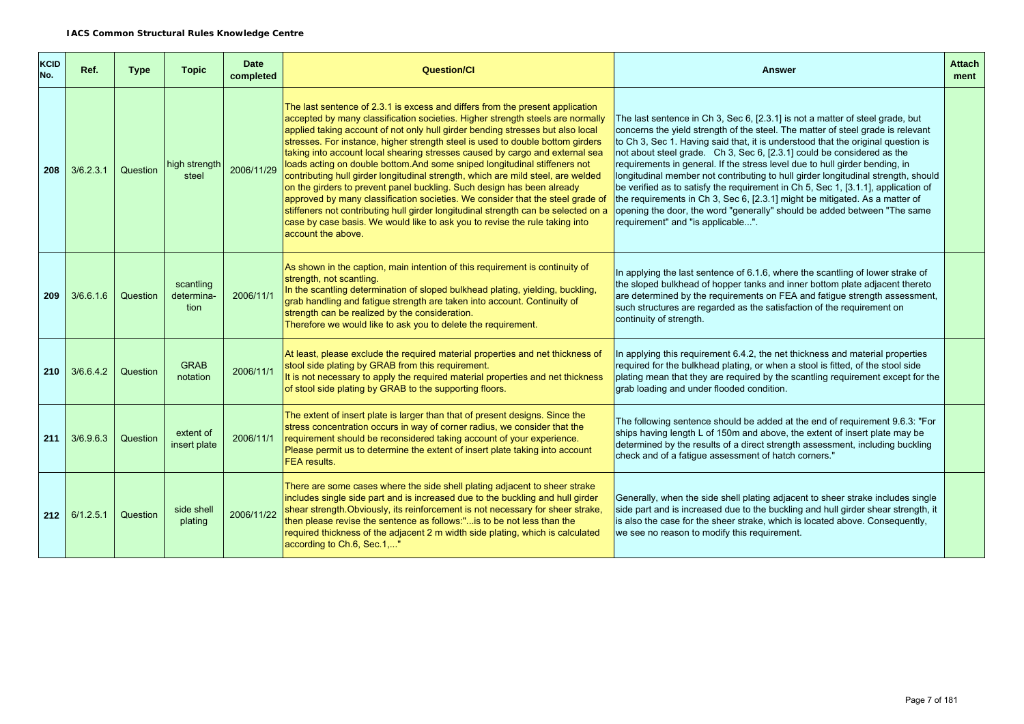| <b>KCID</b><br>No. | Ref.                 | <b>Type</b> | <b>Topic</b>                    | <b>Date</b><br>completed | <b>Question/Cl</b>                                                                                                                                                                                                                                                                                                                                                                                                                                                                                                                                                                                                                                                                                                                                                                                                                                                                                                                           | <b>Answer</b>                                                                                                                                                                                                                                                                                                                                                                                                                                                                                                                                                                                                                                                                                                                                                                           | <b>Attach</b><br>ment |
|--------------------|----------------------|-------------|---------------------------------|--------------------------|----------------------------------------------------------------------------------------------------------------------------------------------------------------------------------------------------------------------------------------------------------------------------------------------------------------------------------------------------------------------------------------------------------------------------------------------------------------------------------------------------------------------------------------------------------------------------------------------------------------------------------------------------------------------------------------------------------------------------------------------------------------------------------------------------------------------------------------------------------------------------------------------------------------------------------------------|-----------------------------------------------------------------------------------------------------------------------------------------------------------------------------------------------------------------------------------------------------------------------------------------------------------------------------------------------------------------------------------------------------------------------------------------------------------------------------------------------------------------------------------------------------------------------------------------------------------------------------------------------------------------------------------------------------------------------------------------------------------------------------------------|-----------------------|
| 208                | 3/6.2.3.1            | Question    | high strength<br>steel          | 2006/11/29               | The last sentence of 2.3.1 is excess and differs from the present application<br>accepted by many classification societies. Higher strength steels are normally<br>applied taking account of not only hull girder bending stresses but also local<br>stresses. For instance, higher strength steel is used to double bottom girders<br>taking into account local shearing stresses caused by cargo and external sea<br>loads acting on double bottom. And some sniped longitudinal stiffeners not<br>contributing hull girder longitudinal strength, which are mild steel, are welded<br>on the girders to prevent panel buckling. Such design has been already<br>approved by many classification societies. We consider that the steel grade of<br>stiffeners not contributing hull girder longitudinal strength can be selected on a<br>case by case basis. We would like to ask you to revise the rule taking into<br>account the above. | The last sentence in Ch 3, Sec 6, [2.3.1] is not a matter of steel grade, but<br>concerns the yield strength of the steel. The matter of steel grade is relevant<br>to Ch 3, Sec 1. Having said that, it is understood that the original question is<br>not about steel grade. Ch 3, Sec 6, [2.3.1] could be considered as the<br>requirements in general. If the stress level due to hull girder bending, in<br>longitudinal member not contributing to hull girder longitudinal strength, should<br>be verified as to satisfy the requirement in Ch 5, Sec 1, [3.1.1], application of<br>the requirements in Ch 3, Sec 6, [2.3.1] might be mitigated. As a matter of<br>opening the door, the word "generally" should be added between "The same<br>requirement" and "is applicable". |                       |
| 209                | 3/6.6.1.6            | Question    | scantling<br>determina-<br>tion | 2006/11/1                | As shown in the caption, main intention of this requirement is continuity of<br>strength, not scantling.<br>In the scantling determination of sloped bulkhead plating, yielding, buckling,<br>grab handling and fatigue strength are taken into account. Continuity of<br>strength can be realized by the consideration.<br>Therefore we would like to ask you to delete the requirement.                                                                                                                                                                                                                                                                                                                                                                                                                                                                                                                                                    | In applying the last sentence of 6.1.6, where the scantling of lower strake of<br>the sloped bulkhead of hopper tanks and inner bottom plate adjacent thereto<br>are determined by the requirements on FEA and fatigue strength assessment,<br>such structures are regarded as the satisfaction of the requirement on<br>continuity of strength.                                                                                                                                                                                                                                                                                                                                                                                                                                        |                       |
| 210                | 3/6.6.4.2            | Question    | <b>GRAB</b><br>notation         | 2006/11/1                | At least, please exclude the required material properties and net thickness of<br>stool side plating by GRAB from this requirement.<br>It is not necessary to apply the required material properties and net thickness<br>of stool side plating by GRAB to the supporting floors.                                                                                                                                                                                                                                                                                                                                                                                                                                                                                                                                                                                                                                                            | In applying this requirement 6.4.2, the net thickness and material properties<br>required for the bulkhead plating, or when a stool is fitted, of the stool side<br>plating mean that they are required by the scantling requirement except for the<br>grab loading and under flooded condition.                                                                                                                                                                                                                                                                                                                                                                                                                                                                                        |                       |
| 211                | 3/6.9.6.3            | Question    | extent of<br>insert plate       | 2006/11/1                | The extent of insert plate is larger than that of present designs. Since the<br>stress concentration occurs in way of corner radius, we consider that the<br>requirement should be reconsidered taking account of your experience.<br>Please permit us to determine the extent of insert plate taking into account<br>FEA results.                                                                                                                                                                                                                                                                                                                                                                                                                                                                                                                                                                                                           | The following sentence should be added at the end of requirement 9.6.3: "For<br>ships having length L of 150m and above, the extent of insert plate may be<br>determined by the results of a direct strength assessment, including buckling<br>check and of a fatique assessment of hatch corners."                                                                                                                                                                                                                                                                                                                                                                                                                                                                                     |                       |
|                    | $212 \mid 6/1.2.5.1$ | Question    | side shell<br>plating           | 2006/11/22               | There are some cases where the side shell plating adjacent to sheer strake<br>includes single side part and is increased due to the buckling and hull girder<br>shear strength.Obviously, its reinforcement is not necessary for sheer strake,<br>then please revise the sentence as follows:" is to be not less than the<br>required thickness of the adjacent 2 m width side plating, which is calculated<br>according to Ch.6, Sec.1,"                                                                                                                                                                                                                                                                                                                                                                                                                                                                                                    | Generally, when the side shell plating adjacent to sheer strake includes single<br>side part and is increased due to the buckling and hull girder shear strength, it<br>is also the case for the sheer strake, which is located above. Consequently,<br>we see no reason to modify this requirement.                                                                                                                                                                                                                                                                                                                                                                                                                                                                                    |                       |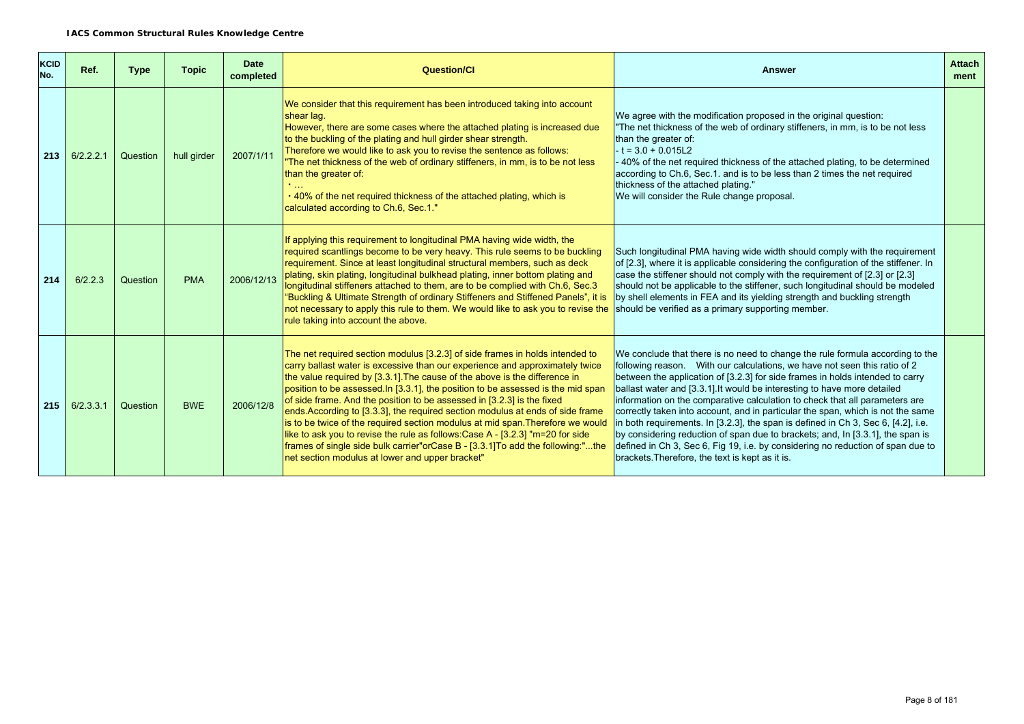| <b>KCID</b><br>No. | Ref.                 | <b>Type</b> | <b>Topic</b> | <b>Date</b><br>completed | <b>Question/Cl</b>                                                                                                                                                                                                                                                                                                                                                                                                                                                                                                                                                                                                                                                                                                                                                                                  | <b>Answer</b>                                                                                                                                                                                                                                                                                                                                                                                                                                                                                                                                                                                                                                                                                                                                                                                           | <b>Attach</b><br>ment |
|--------------------|----------------------|-------------|--------------|--------------------------|-----------------------------------------------------------------------------------------------------------------------------------------------------------------------------------------------------------------------------------------------------------------------------------------------------------------------------------------------------------------------------------------------------------------------------------------------------------------------------------------------------------------------------------------------------------------------------------------------------------------------------------------------------------------------------------------------------------------------------------------------------------------------------------------------------|---------------------------------------------------------------------------------------------------------------------------------------------------------------------------------------------------------------------------------------------------------------------------------------------------------------------------------------------------------------------------------------------------------------------------------------------------------------------------------------------------------------------------------------------------------------------------------------------------------------------------------------------------------------------------------------------------------------------------------------------------------------------------------------------------------|-----------------------|
|                    | $213 \mid 6/2.2.2.1$ | Question    | hull girder  | 2007/1/11                | We consider that this requirement has been introduced taking into account<br>shear lag.<br>However, there are some cases where the attached plating is increased due<br>to the buckling of the plating and hull girder shear strength.<br>Therefore we would like to ask you to revise the sentence as follows:<br>"The net thickness of the web of ordinary stiffeners, in mm, is to be not less<br>than the greater of:<br>. 40% of the net required thickness of the attached plating, which is<br>calculated according to Ch.6, Sec.1."                                                                                                                                                                                                                                                         | We agree with the modification proposed in the original question:<br>"The net thickness of the web of ordinary stiffeners, in mm, is to be not less<br>than the greater of:<br>$-t = 3.0 + 0.015L2$<br>40% of the net required thickness of the attached plating, to be determined<br>according to Ch.6, Sec.1. and is to be less than 2 times the net required<br>thickness of the attached plating."<br>We will consider the Rule change proposal.                                                                                                                                                                                                                                                                                                                                                    |                       |
| 214                | 6/2.2.3              | Question    | <b>PMA</b>   | 2006/12/13               | If applying this requirement to longitudinal PMA having wide width, the<br>required scantlings become to be very heavy. This rule seems to be buckling<br>requirement. Since at least longitudinal structural members, such as deck<br>plating, skin plating, longitudinal bulkhead plating, inner bottom plating and<br>longitudinal stiffeners attached to them, are to be complied with Ch.6, Sec.3<br>"Buckling & Ultimate Strength of ordinary Stiffeners and Stiffened Panels", it is<br>not necessary to apply this rule to them. We would like to ask you to revise the<br>rule taking into account the above.                                                                                                                                                                              | Such longitudinal PMA having wide width should comply with the requirement<br>of [2.3], where it is applicable considering the configuration of the stiffener. In<br>case the stiffener should not comply with the requirement of [2.3] or [2.3]<br>should not be applicable to the stiffener, such longitudinal should be modeled<br>by shell elements in FEA and its yielding strength and buckling strength<br>should be verified as a primary supporting member.                                                                                                                                                                                                                                                                                                                                    |                       |
| 215                | 6/2.3.3.1            | Question    | <b>BWE</b>   | 2006/12/8                | The net required section modulus [3.2.3] of side frames in holds intended to<br>carry ballast water is excessive than our experience and approximately twice<br>the value required by [3.3.1]. The cause of the above is the difference in<br>position to be assessed. In [3.3.1], the position to be assessed is the mid span<br>of side frame. And the position to be assessed in [3.2.3] is the fixed<br>ends According to [3.3.3], the required section modulus at ends of side frame<br>is to be twice of the required section modulus at mid span. Therefore we would<br>like to ask you to revise the rule as follows: Case A - [3.2.3] "m=20 for side<br>frames of single side bulk carrier"orCase B - [3.3.1] To add the following:"the<br>net section modulus at lower and upper bracket" | We conclude that there is no need to change the rule formula according to the<br>following reason.  With our calculations, we have not seen this ratio of 2<br>between the application of [3.2.3] for side frames in holds intended to carry<br>ballast water and [3.3.1]. It would be interesting to have more detailed<br>information on the comparative calculation to check that all parameters are<br>correctly taken into account, and in particular the span, which is not the same<br>in both requirements. In [3.2.3], the span is defined in Ch 3, Sec 6, [4.2], i.e.<br>by considering reduction of span due to brackets; and, In [3.3.1], the span is<br>defined in Ch 3, Sec 6, Fig 19, i.e. by considering no reduction of span due to<br>brackets. Therefore, the text is kept as it is. |                       |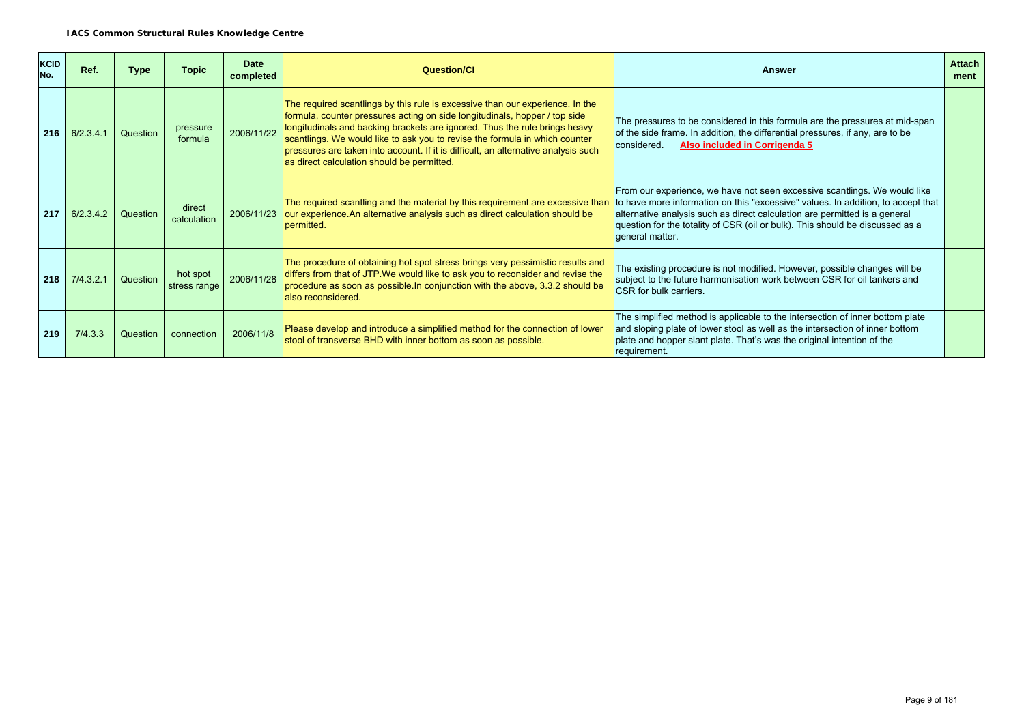| KCID<br>No. | Ref.      | <b>Type</b> | Topic                    | <b>Date</b><br>completed | <b>Question/Cl</b>                                                                                                                                                                                                                                                                                                                                                                                                                                           | Answer                                                                                                                                                                                                                                                                                                                                          | <b>Attach</b><br>ment |
|-------------|-----------|-------------|--------------------------|--------------------------|--------------------------------------------------------------------------------------------------------------------------------------------------------------------------------------------------------------------------------------------------------------------------------------------------------------------------------------------------------------------------------------------------------------------------------------------------------------|-------------------------------------------------------------------------------------------------------------------------------------------------------------------------------------------------------------------------------------------------------------------------------------------------------------------------------------------------|-----------------------|
| 216         | 6/2.3.4.1 | Question    | pressure<br>formula      | 2006/11/22               | The required scantlings by this rule is excessive than our experience. In the<br>formula, counter pressures acting on side longitudinals, hopper / top side<br>longitudinals and backing brackets are ignored. Thus the rule brings heavy<br>scantlings. We would like to ask you to revise the formula in which counter<br>pressures are taken into account. If it is difficult, an alternative analysis such<br>as direct calculation should be permitted. | The pressures to be considered in this formula are the pressures at mid-span<br>of the side frame. In addition, the differential pressures, if any, are to be<br>Also included in Corrigenda 5<br>considered.                                                                                                                                   |                       |
| 217         | 6/2.3.4.2 | Question    | direct<br>calculation    | 2006/11/23               | The required scantling and the material by this requirement are excessive than<br>our experience. An alternative analysis such as direct calculation should be<br>bermitted.                                                                                                                                                                                                                                                                                 | From our experience, we have not seen excessive scantlings. We would like<br>to have more information on this "excessive" values. In addition, to accept that<br>alternative analysis such as direct calculation are permitted is a general<br>question for the totality of CSR (oil or bulk). This should be discussed as a<br>general matter. |                       |
| 218         | 7/4.3.2.1 | Question    | hot spot<br>stress range | 2006/11/28               | The procedure of obtaining hot spot stress brings very pessimistic results and<br>differs from that of JTP. We would like to ask you to reconsider and revise the<br>procedure as soon as possible. In conjunction with the above, 3.3.2 should be<br>also reconsidered.                                                                                                                                                                                     | The existing procedure is not modified. However, possible changes will be<br>subject to the future harmonisation work between CSR for oil tankers and<br><b>CSR</b> for bulk carriers.                                                                                                                                                          |                       |
| 219         | 7/4.3.3   | Question    | connection               | 2006/11/8                | Please develop and introduce a simplified method for the connection of lower<br>stool of transverse BHD with inner bottom as soon as possible.                                                                                                                                                                                                                                                                                                               | The simplified method is applicable to the intersection of inner bottom plate<br>and sloping plate of lower stool as well as the intersection of inner bottom<br>plate and hopper slant plate. That's was the original intention of the<br>requirement.                                                                                         |                       |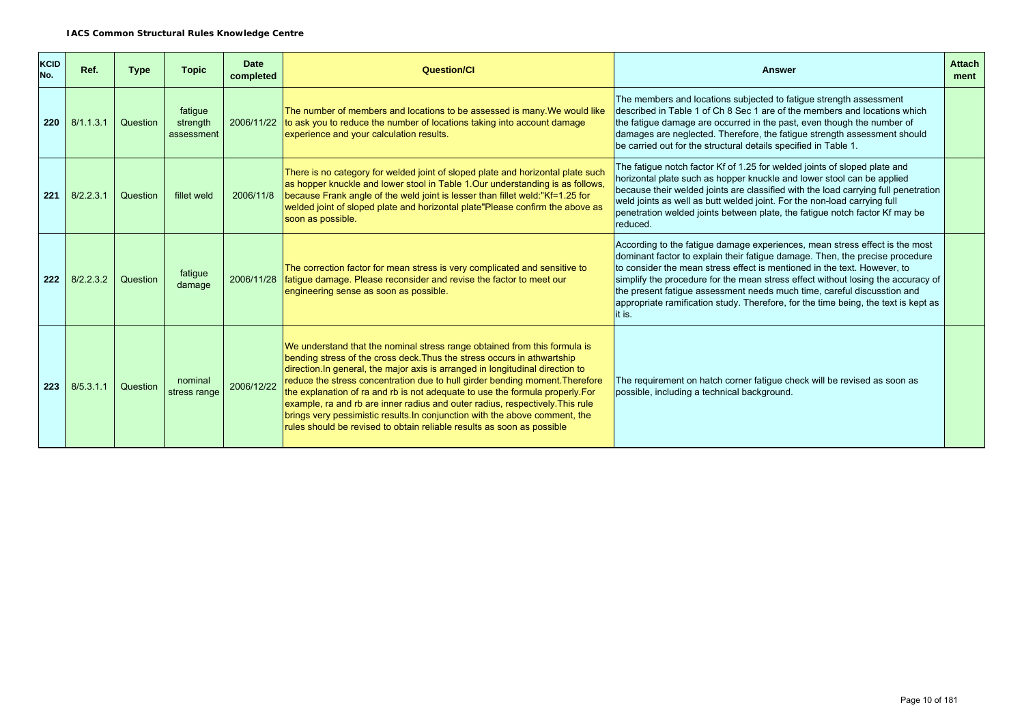| <b>KCID</b><br>No. | Ref.      | <b>Type</b> | <b>Topic</b>                      | <b>Date</b><br>completed | Question/Cl                                                                                                                                                                                                                                                                                                                                                                                                                                                                                                                                                                                                                                       | <b>Answer</b>                                                                                                                                                                                                                                                                                                                                                                                                                                                                                          | <b>Attach</b><br>ment |
|--------------------|-----------|-------------|-----------------------------------|--------------------------|---------------------------------------------------------------------------------------------------------------------------------------------------------------------------------------------------------------------------------------------------------------------------------------------------------------------------------------------------------------------------------------------------------------------------------------------------------------------------------------------------------------------------------------------------------------------------------------------------------------------------------------------------|--------------------------------------------------------------------------------------------------------------------------------------------------------------------------------------------------------------------------------------------------------------------------------------------------------------------------------------------------------------------------------------------------------------------------------------------------------------------------------------------------------|-----------------------|
| 220                | 8/1.1.3.1 | Question    | fatigue<br>strength<br>assessment | 2006/11/22               | The number of members and locations to be assessed is many. We would like<br>to ask you to reduce the number of locations taking into account damage<br>experience and your calculation results.                                                                                                                                                                                                                                                                                                                                                                                                                                                  | The members and locations subjected to fatigue strength assessment<br>described in Table 1 of Ch 8 Sec 1 are of the members and locations which<br>the fatigue damage are occurred in the past, even though the number of<br>damages are neglected. Therefore, the fatigue strength assessment should<br>be carried out for the structural details specified in Table 1.                                                                                                                               |                       |
| 221                | 8/2.2.3.1 | Question    | fillet weld                       | 2006/11/8                | There is no category for welded joint of sloped plate and horizontal plate such<br>as hopper knuckle and lower stool in Table 1. Our understanding is as follows,<br>because Frank angle of the weld joint is lesser than fillet weld:"Kf=1.25 for<br>welded joint of sloped plate and horizontal plate"Please confirm the above as<br>soon as possible.                                                                                                                                                                                                                                                                                          | The fatigue notch factor Kf of 1.25 for welded joints of sloped plate and<br>horizontal plate such as hopper knuckle and lower stool can be applied<br>because their welded joints are classified with the load carrying full penetration<br>weld joints as well as butt welded joint. For the non-load carrying full<br>penetration welded joints between plate, the fatigue notch factor Kf may be<br>reduced.                                                                                       |                       |
| 222                | 8/2.2.3.2 | Question    | fatigue<br>damage                 |                          | The correction factor for mean stress is very complicated and sensitive to<br>2006/11/28   fatigue damage. Please reconsider and revise the factor to meet our<br>engineering sense as soon as possible.                                                                                                                                                                                                                                                                                                                                                                                                                                          | According to the fatigue damage experiences, mean stress effect is the most<br>dominant factor to explain their fatigue damage. Then, the precise procedure<br>to consider the mean stress effect is mentioned in the text. However, to<br>simplify the procedure for the mean stress effect without losing the accuracy of<br>the present fatigue assessment needs much time, careful discusstion and<br>appropriate ramification study. Therefore, for the time being, the text is kept as<br>it is. |                       |
| 223                | 8/5.3.1.1 | Question    | nominal<br>stress range           | 2006/12/22               | We understand that the nominal stress range obtained from this formula is<br>bending stress of the cross deck. Thus the stress occurs in athwartship<br>direction. In general, the major axis is arranged in longitudinal direction to<br>reduce the stress concentration due to hull girder bending moment. Therefore<br>the explanation of ra and rb is not adequate to use the formula properly. For<br>example, ra and rb are inner radius and outer radius, respectively. This rule<br>brings very pessimistic results. In conjunction with the above comment, the<br>rules should be revised to obtain reliable results as soon as possible | The requirement on hatch corner fatique check will be revised as soon as<br>possible, including a technical background.                                                                                                                                                                                                                                                                                                                                                                                |                       |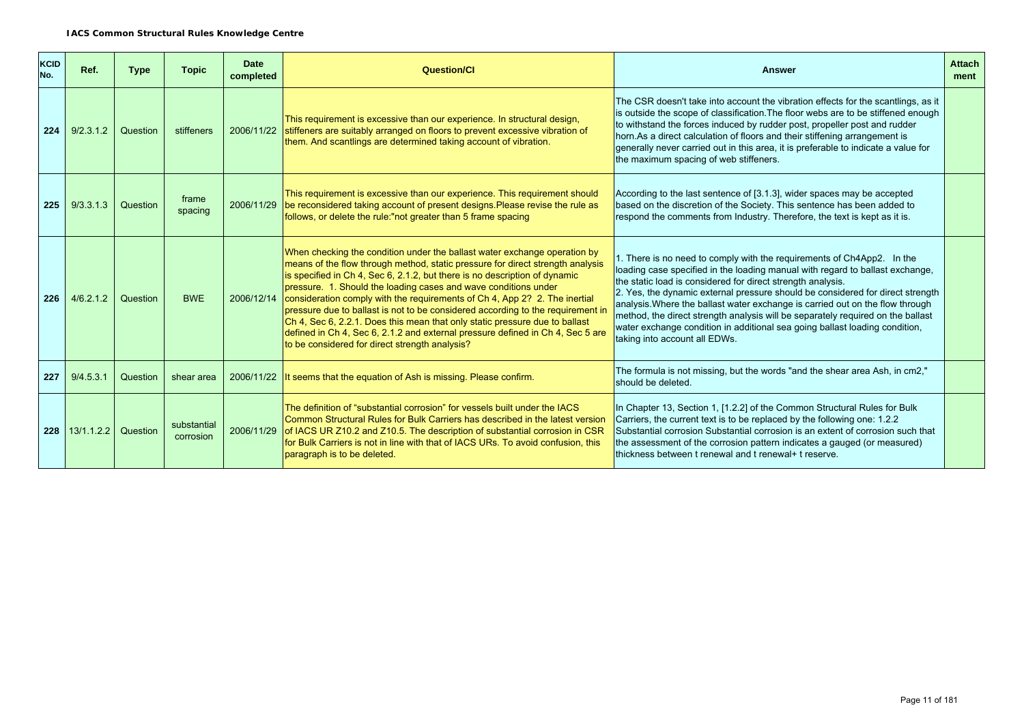| <b>KCID</b><br>No. | Ref.               | <b>Type</b> | <b>Topic</b>             | <b>Date</b><br>completed | Question/Cl                                                                                                                                                                                                                                                                                                                                                                                                                                                                                                                                                                                                                                                                                      | <b>Answer</b>                                                                                                                                                                                                                                                                                                                                                                                                                                                                                                                                                                                | <b>Attach</b><br>ment |
|--------------------|--------------------|-------------|--------------------------|--------------------------|--------------------------------------------------------------------------------------------------------------------------------------------------------------------------------------------------------------------------------------------------------------------------------------------------------------------------------------------------------------------------------------------------------------------------------------------------------------------------------------------------------------------------------------------------------------------------------------------------------------------------------------------------------------------------------------------------|----------------------------------------------------------------------------------------------------------------------------------------------------------------------------------------------------------------------------------------------------------------------------------------------------------------------------------------------------------------------------------------------------------------------------------------------------------------------------------------------------------------------------------------------------------------------------------------------|-----------------------|
| 224                | 9/2.3.1.2          | Question    | stiffeners               | 2006/11/22               | This requirement is excessive than our experience. In structural design,<br>stiffeners are suitably arranged on floors to prevent excessive vibration of<br>them. And scantlings are determined taking account of vibration.                                                                                                                                                                                                                                                                                                                                                                                                                                                                     | The CSR doesn't take into account the vibration effects for the scantlings, as it<br>is outside the scope of classification. The floor webs are to be stiffened enough<br>to withstand the forces induced by rudder post, propeller post and rudder<br>horn. As a direct calculation of floors and their stiffening arrangement is<br>generally never carried out in this area, it is preferable to indicate a value for<br>the maximum spacing of web stiffeners.                                                                                                                           |                       |
| 225                | 9/3.3.1.3          | Question    | frame<br>spacing         | 2006/11/29               | This requirement is excessive than our experience. This requirement should<br>be reconsidered taking account of present designs. Please revise the rule as<br>follows, or delete the rule:"not greater than 5 frame spacing                                                                                                                                                                                                                                                                                                                                                                                                                                                                      | According to the last sentence of [3.1.3], wider spaces may be accepted<br>based on the discretion of the Society. This sentence has been added to<br>respond the comments from Industry. Therefore, the text is kept as it is.                                                                                                                                                                                                                                                                                                                                                              |                       |
| 226                | 4/6.2.1.2          | Question    | <b>BWE</b>               | 2006/12/14               | When checking the condition under the ballast water exchange operation by<br>means of the flow through method, static pressure for direct strength analysis<br>is specified in Ch 4, Sec 6, 2.1.2, but there is no description of dynamic<br>pressure. 1. Should the loading cases and wave conditions under<br>consideration comply with the requirements of Ch 4, App 2? 2. The inertial<br>pressure due to ballast is not to be considered according to the requirement in<br>Ch 4, Sec 6, 2.2.1. Does this mean that only static pressure due to ballast<br>defined in Ch 4, Sec 6, 2.1.2 and external pressure defined in Ch 4, Sec 5 are<br>to be considered for direct strength analysis? | 1. There is no need to comply with the requirements of Ch4App2. In the<br>loading case specified in the loading manual with regard to ballast exchange,<br>the static load is considered for direct strength analysis.<br>2. Yes, the dynamic external pressure should be considered for direct strength<br>analysis. Where the ballast water exchange is carried out on the flow through<br>method, the direct strength analysis will be separately required on the ballast<br>water exchange condition in additional sea going ballast loading condition,<br>taking into account all EDWs. |                       |
| 227                | 9/4.5.3.1          | Question    | shear area               | 2006/11/22               | It seems that the equation of Ash is missing. Please confirm.                                                                                                                                                                                                                                                                                                                                                                                                                                                                                                                                                                                                                                    | The formula is not missing, but the words "and the shear area Ash, in cm2,"<br>should be deleted.                                                                                                                                                                                                                                                                                                                                                                                                                                                                                            |                       |
|                    | $228$   13/1.1.2.2 | Question    | substantial<br>corrosion | 2006/11/29               | The definition of "substantial corrosion" for vessels built under the IACS<br>Common Structural Rules for Bulk Carriers has described in the latest version<br>of IACS UR Z10.2 and Z10.5. The description of substantial corrosion in CSR<br>for Bulk Carriers is not in line with that of IACS URs. To avoid confusion, this<br>paragraph is to be deleted.                                                                                                                                                                                                                                                                                                                                    | In Chapter 13, Section 1, [1.2.2] of the Common Structural Rules for Bulk<br>Carriers, the current text is to be replaced by the following one: 1.2.2<br>Substantial corrosion Substantial corrosion is an extent of corrosion such that<br>the assessment of the corrosion pattern indicates a gauged (or measured)<br>thickness between t renewal and t renewal+ t reserve.                                                                                                                                                                                                                |                       |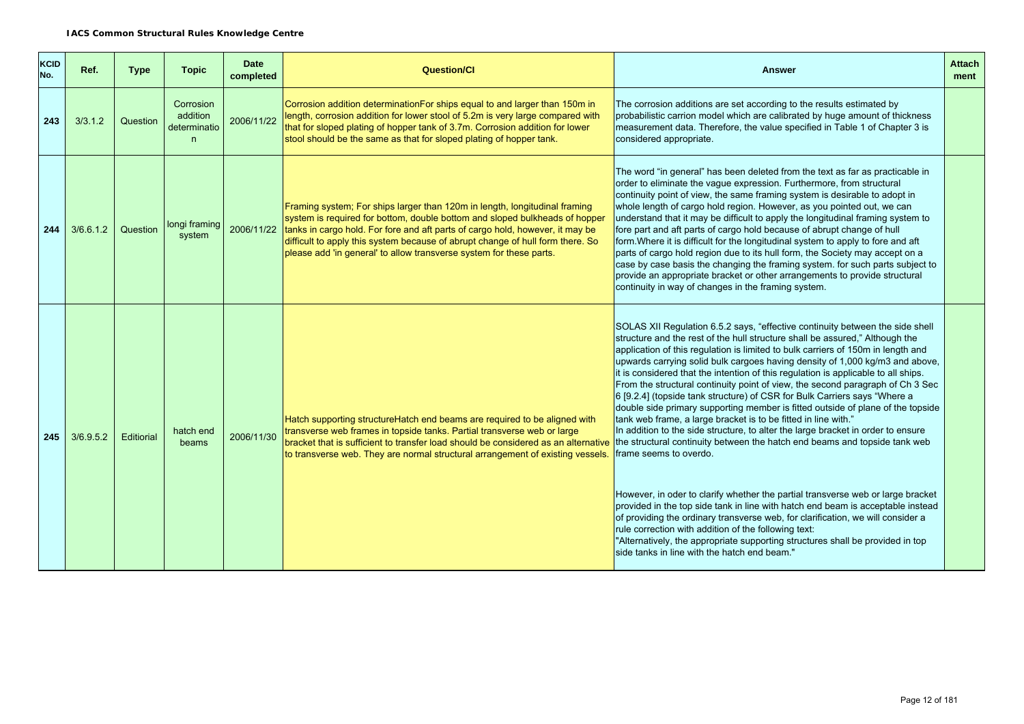| <b>KCID</b><br>No. | Ref.      | <b>Type</b> | <b>Topic</b>                               | <b>Date</b><br>completed | <b>Question/CI</b>                                                                                                                                                                                                                                                                                                                                                                                  | <b>Answer</b>                                                                                                                                                                                                                                                                                                                                                                                                                                                                                                                                                                                                                                                                                                                                                                                                                                                                                                                                                                                                                                                                                                                                                                                                                                                                                                                                                                              | <b>Attach</b><br>ment |
|--------------------|-----------|-------------|--------------------------------------------|--------------------------|-----------------------------------------------------------------------------------------------------------------------------------------------------------------------------------------------------------------------------------------------------------------------------------------------------------------------------------------------------------------------------------------------------|--------------------------------------------------------------------------------------------------------------------------------------------------------------------------------------------------------------------------------------------------------------------------------------------------------------------------------------------------------------------------------------------------------------------------------------------------------------------------------------------------------------------------------------------------------------------------------------------------------------------------------------------------------------------------------------------------------------------------------------------------------------------------------------------------------------------------------------------------------------------------------------------------------------------------------------------------------------------------------------------------------------------------------------------------------------------------------------------------------------------------------------------------------------------------------------------------------------------------------------------------------------------------------------------------------------------------------------------------------------------------------------------|-----------------------|
| 243                | 3/3.1.2   | Question    | Corrosion<br>addition<br>determinatio<br>n | 2006/11/22               | Corrosion addition determinationFor ships equal to and larger than 150m in<br>length, corrosion addition for lower stool of 5.2m is very large compared with<br>that for sloped plating of hopper tank of 3.7m. Corrosion addition for lower<br>stool should be the same as that for sloped plating of hopper tank.                                                                                 | The corrosion additions are set according to the results estimated by<br>probabilistic carrion model which are calibrated by huge amount of thickness<br>measurement data. Therefore, the value specified in Table 1 of Chapter 3 is<br>considered appropriate.                                                                                                                                                                                                                                                                                                                                                                                                                                                                                                                                                                                                                                                                                                                                                                                                                                                                                                                                                                                                                                                                                                                            |                       |
| 244                | 3/6.6.1.2 | Question    | longi framing<br>system                    | 2006/11/22               | Framing system; For ships larger than 120m in length, longitudinal framing<br>system is required for bottom, double bottom and sloped bulkheads of hopper<br>tanks in cargo hold. For fore and aft parts of cargo hold, however, it may be<br>difficult to apply this system because of abrupt change of hull form there. So<br>please add 'in general' to allow transverse system for these parts. | The word "in general" has been deleted from the text as far as practicable in<br>order to eliminate the vague expression. Furthermore, from structural<br>continuity point of view, the same framing system is desirable to adopt in<br>whole length of cargo hold region. However, as you pointed out, we can<br>understand that it may be difficult to apply the longitudinal framing system to<br>fore part and aft parts of cargo hold because of abrupt change of hull<br>form. Where it is difficult for the longitudinal system to apply to fore and aft<br>parts of cargo hold region due to its hull form, the Society may accept on a<br>case by case basis the changing the framing system. for such parts subject to<br>provide an appropriate bracket or other arrangements to provide structural<br>continuity in way of changes in the framing system.                                                                                                                                                                                                                                                                                                                                                                                                                                                                                                                      |                       |
| 245                | 3/6.9.5.2 | Editiorial  | hatch end<br>beams                         | 2006/11/30               | Hatch supporting structure Hatch end beams are required to be aligned with<br>transverse web frames in topside tanks. Partial transverse web or large<br>bracket that is sufficient to transfer load should be considered as an alternative<br>to transverse web. They are normal structural arrangement of existing vessels.                                                                       | SOLAS XII Regulation 6.5.2 says, "effective continuity between the side shell<br>structure and the rest of the hull structure shall be assured," Although the<br>application of this regulation is limited to bulk carriers of 150m in length and<br>upwards carrying solid bulk cargoes having density of 1,000 kg/m3 and above,<br>it is considered that the intention of this regulation is applicable to all ships.<br>From the structural continuity point of view, the second paragraph of Ch 3 Sec<br>6 [9.2.4] (topside tank structure) of CSR for Bulk Carriers says "Where a<br>double side primary supporting member is fitted outside of plane of the topside<br>tank web frame, a large bracket is to be fitted in line with."<br>In addition to the side structure, to alter the large bracket in order to ensure<br>the structural continuity between the hatch end beams and topside tank web<br>frame seems to overdo.<br>However, in oder to clarify whether the partial transverse web or large bracket<br>provided in the top side tank in line with hatch end beam is acceptable instead<br>of providing the ordinary transverse web, for clarification, we will consider a<br>rule correction with addition of the following text:<br>"Alternatively, the appropriate supporting structures shall be provided in top<br>side tanks in line with the hatch end beam." |                       |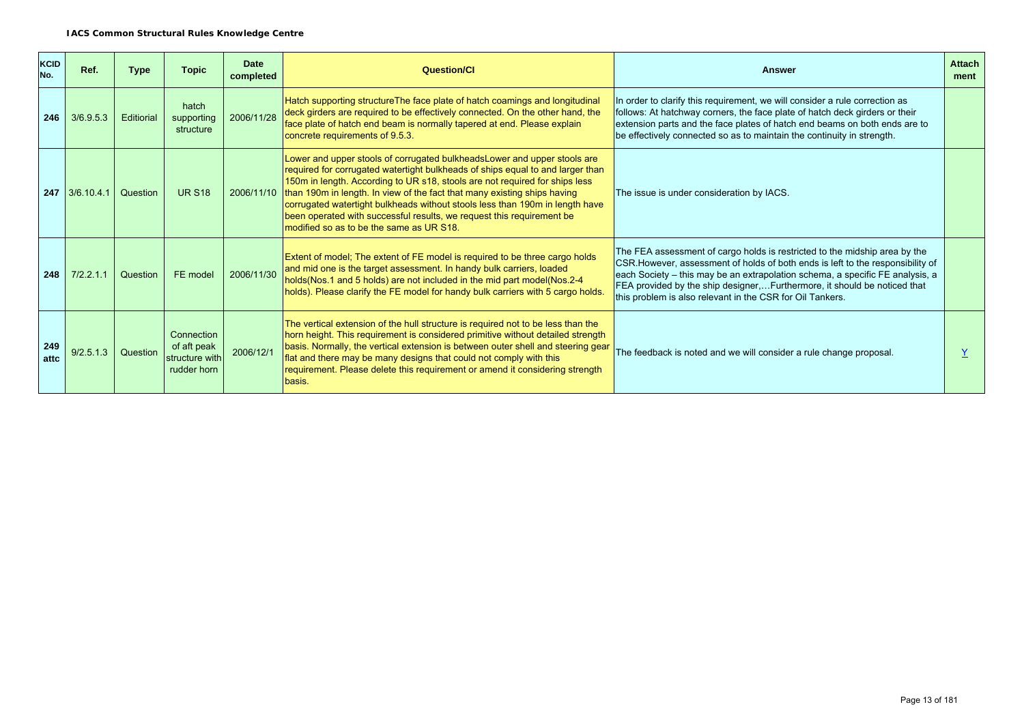| <b>KCID</b><br>No. | Ref.             | <b>Type</b> | <b>Topic</b>                                               | <b>Date</b><br>completed | Question/Cl                                                                                                                                                                                                                                                                                                                                                                                                                                                                                                                 | Answer                                                                                                                                                                                                                                                                                                                                                                                  | <b>Attach</b><br>ment |
|--------------------|------------------|-------------|------------------------------------------------------------|--------------------------|-----------------------------------------------------------------------------------------------------------------------------------------------------------------------------------------------------------------------------------------------------------------------------------------------------------------------------------------------------------------------------------------------------------------------------------------------------------------------------------------------------------------------------|-----------------------------------------------------------------------------------------------------------------------------------------------------------------------------------------------------------------------------------------------------------------------------------------------------------------------------------------------------------------------------------------|-----------------------|
| 246                | 3/6.9.5.3        | Editiorial  | hatch<br>supporting<br>structure                           | 2006/11/28               | Hatch supporting structure The face plate of hatch coamings and longitudinal<br>deck girders are required to be effectively connected. On the other hand, the<br>face plate of hatch end beam is normally tapered at end. Please explain<br>concrete requirements of 9.5.3.                                                                                                                                                                                                                                                 | In order to clarify this requirement, we will consider a rule correction as<br>follows: At hatchway corners, the face plate of hatch deck girders or their<br>extension parts and the face plates of hatch end beams on both ends are to<br>be effectively connected so as to maintain the continuity in strength.                                                                      |                       |
|                    | $247$ 3/6.10.4.1 | Question    | <b>UR S18</b>                                              | 2006/11/10               | Lower and upper stools of corrugated bulkheads Lower and upper stools are<br>required for corrugated watertight bulkheads of ships equal to and larger than<br>150m in length. According to UR s18, stools are not required for ships less<br>than 190m in length. In view of the fact that many existing ships having<br>corrugated watertight bulkheads without stools less than 190m in length have<br>been operated with successful results, we request this requirement be<br>modified so as to be the same as UR S18. | The issue is under consideration by IACS.                                                                                                                                                                                                                                                                                                                                               |                       |
| 248                | 7/2.2.1.1        | Question    | FE model                                                   | 2006/11/30               | Extent of model; The extent of FE model is required to be three cargo holds<br>and mid one is the target assessment. In handy bulk carriers, loaded<br>holds(Nos.1 and 5 holds) are not included in the mid part model(Nos.2-4<br>holds). Please clarify the FE model for handy bulk carriers with 5 cargo holds.                                                                                                                                                                                                           | The FEA assessment of cargo holds is restricted to the midship area by the<br>CSR. However, assessment of holds of both ends is left to the responsibility of<br>each Society - this may be an extrapolation schema, a specific FE analysis, a<br>FEA provided by the ship designer,Furthermore, it should be noticed that<br>this problem is also relevant in the CSR for Oil Tankers. |                       |
| 249<br>attc        | 9/2.5.1.3        | Question    | Connection<br>of aft peak<br>structure with<br>rudder horn | 2006/12/1                | The vertical extension of the hull structure is required not to be less than the<br>horn height. This requirement is considered primitive without detailed strength<br>basis. Normally, the vertical extension is between outer shell and steering gear<br>flat and there may be many designs that could not comply with this<br>requirement. Please delete this requirement or amend it considering strength<br>basis.                                                                                                     | The feedback is noted and we will consider a rule change proposal.                                                                                                                                                                                                                                                                                                                      |                       |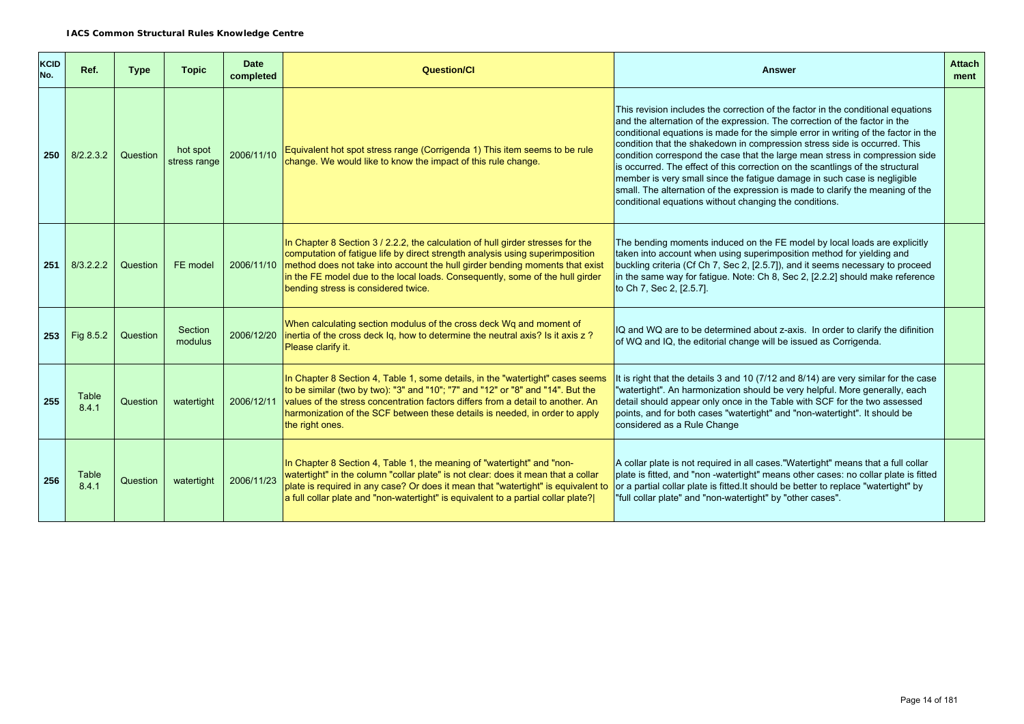| <b>KCID</b><br>No. | Ref.           | <b>Type</b> | <b>Topic</b>             | <b>Date</b><br>completed | <b>Question/Cl</b>                                                                                                                                                                                                                                                                                                                                                       | <b>Answer</b>                                                                                                                                                                                                                                                                                                                                                                                                                                                                                                                                                                                                                                                                                                               | <b>Attach</b><br>ment |
|--------------------|----------------|-------------|--------------------------|--------------------------|--------------------------------------------------------------------------------------------------------------------------------------------------------------------------------------------------------------------------------------------------------------------------------------------------------------------------------------------------------------------------|-----------------------------------------------------------------------------------------------------------------------------------------------------------------------------------------------------------------------------------------------------------------------------------------------------------------------------------------------------------------------------------------------------------------------------------------------------------------------------------------------------------------------------------------------------------------------------------------------------------------------------------------------------------------------------------------------------------------------------|-----------------------|
| 250                | 8/2.2.3.2      | Question    | hot spot<br>stress range | 2006/11/10               | Equivalent hot spot stress range (Corrigenda 1) This item seems to be rule<br>change. We would like to know the impact of this rule change.                                                                                                                                                                                                                              | This revision includes the correction of the factor in the conditional equations<br>and the alternation of the expression. The correction of the factor in the<br>conditional equations is made for the simple error in writing of the factor in the<br>condition that the shakedown in compression stress side is occurred. This<br>condition correspond the case that the large mean stress in compression side<br>is occurred. The effect of this correction on the scantlings of the structural<br>member is very small since the fatigue damage in such case is negligible<br>small. The alternation of the expression is made to clarify the meaning of the<br>conditional equations without changing the conditions. |                       |
| 251                | 8/3.2.2.2      | Question    | FE model                 | 2006/11/10               | In Chapter 8 Section 3 / 2.2.2, the calculation of hull girder stresses for the<br>computation of fatigue life by direct strength analysis using superimposition<br>method does not take into account the hull girder bending moments that exist<br>in the FE model due to the local loads. Consequently, some of the hull girder<br>bending stress is considered twice. | The bending moments induced on the FE model by local loads are explicitly<br>taken into account when using superimposition method for yielding and<br>buckling criteria (Cf Ch 7, Sec 2, [2.5.7]), and it seems necessary to proceed<br>in the same way for fatigue. Note: Ch 8, Sec 2, [2.2.2] should make reference<br>to Ch 7, Sec 2, [2.5.7].                                                                                                                                                                                                                                                                                                                                                                           |                       |
| 253                | Fig 8.5.2      | Question    | Section<br>modulus       | 2006/12/20               | When calculating section modulus of the cross deck Wq and moment of<br>inertia of the cross deck Iq, how to determine the neutral axis? Is it axis z ?<br>Please clarify it.                                                                                                                                                                                             | IQ and WQ are to be determined about z-axis. In order to clarify the difinition<br>of WQ and IQ, the editorial change will be issued as Corrigenda.                                                                                                                                                                                                                                                                                                                                                                                                                                                                                                                                                                         |                       |
| 255                | Table<br>8.4.1 | Question    | watertight               | 2006/12/11               | In Chapter 8 Section 4, Table 1, some details, in the "watertight" cases seems<br>to be similar (two by two): "3" and "10"; "7" and "12" or "8" and "14". But the<br>values of the stress concentration factors differs from a detail to another. An<br>harmonization of the SCF between these details is needed, in order to apply<br>the right ones.                   | It is right that the details 3 and 10 (7/12 and 8/14) are very similar for the case<br>"watertight". An harmonization should be very helpful. More generally, each<br>detail should appear only once in the Table with SCF for the two assessed<br>points, and for both cases "watertight" and "non-watertight". It should be<br>considered as a Rule Change                                                                                                                                                                                                                                                                                                                                                                |                       |
| 256                | Table<br>8.4.1 | Question    | watertight               | 2006/11/23               | In Chapter 8 Section 4, Table 1, the meaning of "watertight" and "non-<br>watertight" in the column "collar plate" is not clear: does it mean that a collar<br>plate is required in any case? Or does it mean that "watertight" is equivalent to<br>a full collar plate and "non-watertight" is equivalent to a partial collar plate?                                    | A collar plate is not required in all cases. "Watertight" means that a full collar<br>plate is fitted, and "non -watertight" means other cases: no collar plate is fitted<br>or a partial collar plate is fitted. It should be better to replace "watertight" by<br>"full collar plate" and "non-watertight" by "other cases".                                                                                                                                                                                                                                                                                                                                                                                              |                       |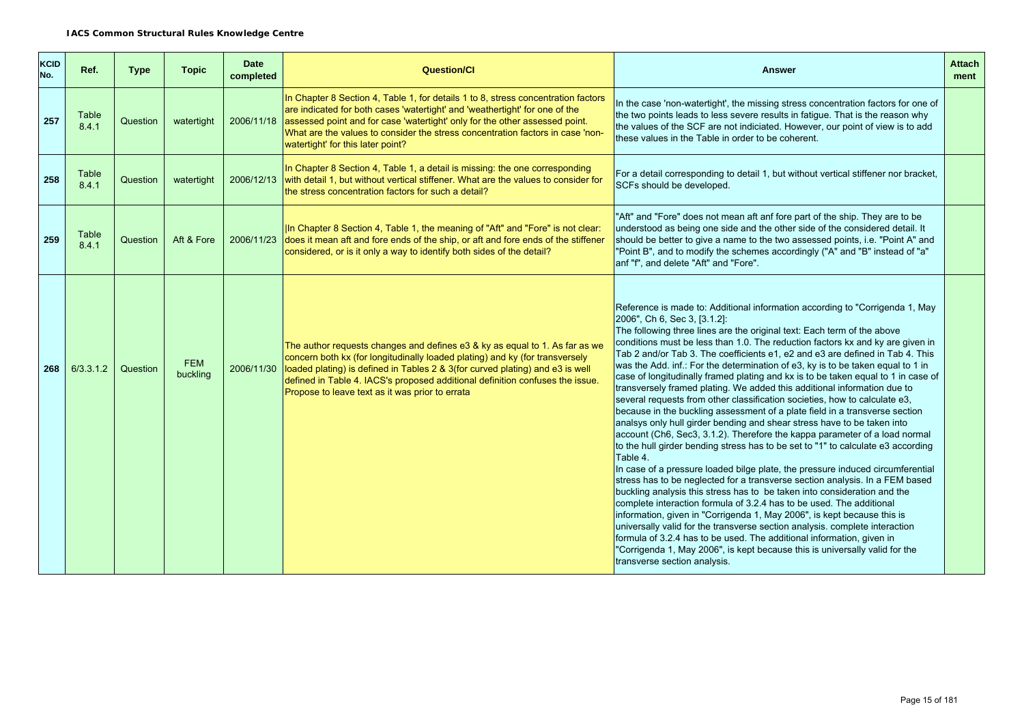| <b>KCID</b><br>No. | Ref.           | <b>Type</b> | <b>Topic</b>           | <b>Date</b><br>completed | <b>Question/Cl</b>                                                                                                                                                                                                                                                                                                                                                                | <b>Answer</b>                                                                                                                                                                                                                                                                                                                                                                                                                                                                                                                                                                                                                                                                                                                                                                                                                                                                                                                                                                                                                                                                                                                                                                                                                                                                                                                                                                                                                                                                                                                                                                                                                                                                                                | <b>Attach</b><br>ment |
|--------------------|----------------|-------------|------------------------|--------------------------|-----------------------------------------------------------------------------------------------------------------------------------------------------------------------------------------------------------------------------------------------------------------------------------------------------------------------------------------------------------------------------------|--------------------------------------------------------------------------------------------------------------------------------------------------------------------------------------------------------------------------------------------------------------------------------------------------------------------------------------------------------------------------------------------------------------------------------------------------------------------------------------------------------------------------------------------------------------------------------------------------------------------------------------------------------------------------------------------------------------------------------------------------------------------------------------------------------------------------------------------------------------------------------------------------------------------------------------------------------------------------------------------------------------------------------------------------------------------------------------------------------------------------------------------------------------------------------------------------------------------------------------------------------------------------------------------------------------------------------------------------------------------------------------------------------------------------------------------------------------------------------------------------------------------------------------------------------------------------------------------------------------------------------------------------------------------------------------------------------------|-----------------------|
| 257                | Table<br>8.4.1 | Question    | watertight             |                          | In Chapter 8 Section 4, Table 1, for details 1 to 8, stress concentration factors<br>are indicated for both cases 'watertight' and 'weathertight' for one of the<br>2006/11/18 assessed point and for case 'watertight' only for the other assessed point.<br>What are the values to consider the stress concentration factors in case 'non-<br>watertight' for this later point? | In the case 'non-watertight', the missing stress concentration factors for one of<br>the two points leads to less severe results in fatigue. That is the reason why<br>the values of the SCF are not indiciated. However, our point of view is to add<br>these values in the Table in order to be coherent.                                                                                                                                                                                                                                                                                                                                                                                                                                                                                                                                                                                                                                                                                                                                                                                                                                                                                                                                                                                                                                                                                                                                                                                                                                                                                                                                                                                                  |                       |
| 258                | Table<br>8.4.1 | Question    | watertight             | 2006/12/13               | In Chapter 8 Section 4, Table 1, a detail is missing: the one corresponding<br>with detail 1, but without vertical stiffener. What are the values to consider for<br>the stress concentration factors for such a detail?                                                                                                                                                          | For a detail corresponding to detail 1, but without vertical stiffener nor bracket,<br>SCFs should be developed.                                                                                                                                                                                                                                                                                                                                                                                                                                                                                                                                                                                                                                                                                                                                                                                                                                                                                                                                                                                                                                                                                                                                                                                                                                                                                                                                                                                                                                                                                                                                                                                             |                       |
| 259                | Table<br>8.4.1 | Question    | Aft & Fore             |                          | In Chapter 8 Section 4, Table 1, the meaning of "Aft" and "Fore" is not clear:<br>2006/11/23 does it mean aft and fore ends of the ship, or aft and fore ends of the stiffener<br>considered, or is it only a way to identify both sides of the detail?                                                                                                                           | "Aft" and "Fore" does not mean aft anf fore part of the ship. They are to be<br>understood as being one side and the other side of the considered detail. It<br>should be better to give a name to the two assessed points, i.e. "Point A" and<br>"Point B", and to modify the schemes accordingly ("A" and "B" instead of "a"<br>anf "f", and delete "Aft" and "Fore".                                                                                                                                                                                                                                                                                                                                                                                                                                                                                                                                                                                                                                                                                                                                                                                                                                                                                                                                                                                                                                                                                                                                                                                                                                                                                                                                      |                       |
| 268                | 6/3.3.1.2      | Question    | <b>FEM</b><br>buckling | 2006/11/30               | The author requests changes and defines e3 & ky as equal to 1. As far as we<br>concern both kx (for longitudinally loaded plating) and ky (for transversely<br>loaded plating) is defined in Tables 2 & 3(for curved plating) and e3 is well<br>defined in Table 4. IACS's proposed additional definition confuses the issue.<br>Propose to leave text as it was prior to errata  | Reference is made to: Additional information according to "Corrigenda 1, May<br>2006", Ch 6, Sec 3, [3.1.2]:<br>The following three lines are the original text: Each term of the above<br>conditions must be less than 1.0. The reduction factors kx and ky are given in<br>Tab 2 and/or Tab 3. The coefficients e1, e2 and e3 are defined in Tab 4. This<br>was the Add. inf.: For the determination of e3, ky is to be taken equal to 1 in<br>case of longitudinally framed plating and kx is to be taken equal to 1 in case of<br>transversely framed plating. We added this additional information due to<br>several requests from other classification societies, how to calculate e3,<br>because in the buckling assessment of a plate field in a transverse section<br>analsys only hull girder bending and shear stress have to be taken into<br>account (Ch6, Sec3, 3.1.2). Therefore the kappa parameter of a load normal<br>to the hull girder bending stress has to be set to "1" to calculate e3 according<br>Table 4.<br>In case of a pressure loaded bilge plate, the pressure induced circumferential<br>stress has to be neglected for a transverse section analysis. In a FEM based<br>buckling analysis this stress has to be taken into consideration and the<br>complete interaction formula of 3.2.4 has to be used. The additional<br>information, given in "Corrigenda 1, May 2006", is kept because this is<br>universally valid for the transverse section analysis. complete interaction<br>formula of 3.2.4 has to be used. The additional information, given in<br>"Corrigenda 1, May 2006", is kept because this is universally valid for the<br>transverse section analysis. |                       |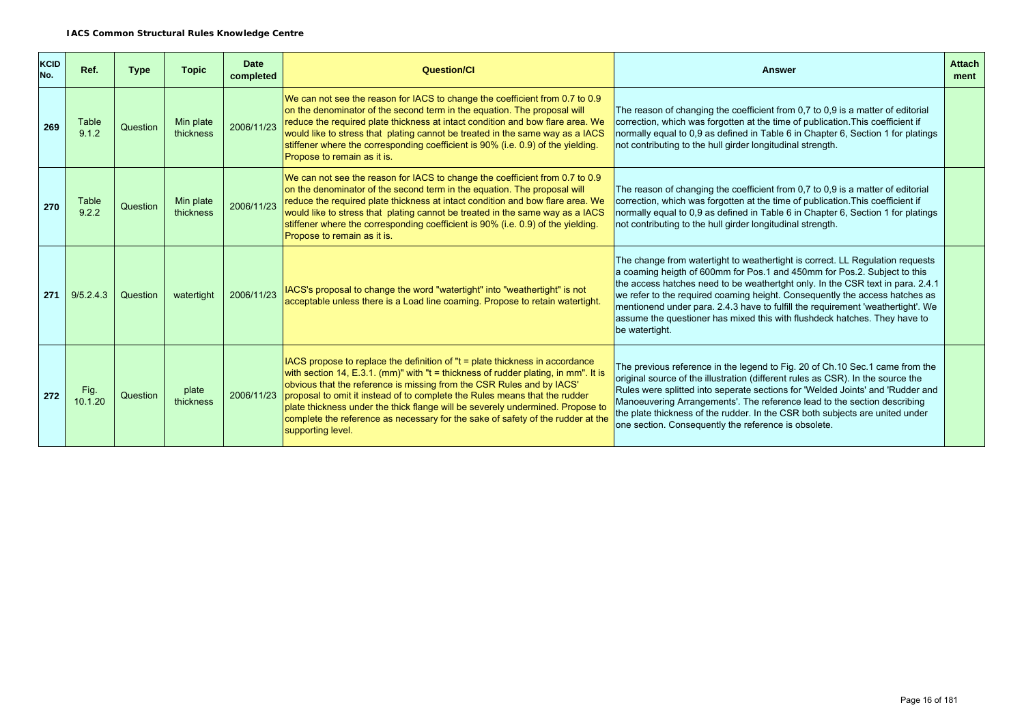| KCID<br>No. | Ref.            | <b>Type</b> | <b>Topic</b>           | <b>Date</b><br>completed | <b>Question/Cl</b>                                                                                                                                                                                                                                                                                                                                                                                                                                                                                                  | Answer                                                                                                                                                                                                                                                                                                                                                                                                                                                                                                       | <b>Attach</b><br>ment |
|-------------|-----------------|-------------|------------------------|--------------------------|---------------------------------------------------------------------------------------------------------------------------------------------------------------------------------------------------------------------------------------------------------------------------------------------------------------------------------------------------------------------------------------------------------------------------------------------------------------------------------------------------------------------|--------------------------------------------------------------------------------------------------------------------------------------------------------------------------------------------------------------------------------------------------------------------------------------------------------------------------------------------------------------------------------------------------------------------------------------------------------------------------------------------------------------|-----------------------|
| 269         | Table<br>9.1.2  | Question    | Min plate<br>thickness | 2006/11/23               | We can not see the reason for IACS to change the coefficient from 0.7 to 0.9<br>on the denominator of the second term in the equation. The proposal will<br>reduce the required plate thickness at intact condition and bow flare area. We<br>would like to stress that plating cannot be treated in the same way as a IACS<br>stiffener where the corresponding coefficient is 90% (i.e. 0.9) of the yielding.<br>Propose to remain as it is.                                                                      | The reason of changing the coefficient from 0,7 to 0,9 is a matter of editorial<br>correction, which was forgotten at the time of publication. This coefficient if<br>normally equal to 0,9 as defined in Table 6 in Chapter 6, Section 1 for platings<br>not contributing to the hull girder longitudinal strength.                                                                                                                                                                                         |                       |
| 270         | Table<br>9.2.2  | Question    | Min plate<br>thickness | 2006/11/23               | We can not see the reason for IACS to change the coefficient from 0.7 to 0.9<br>on the denominator of the second term in the equation. The proposal will<br>reduce the required plate thickness at intact condition and bow flare area. We<br>would like to stress that plating cannot be treated in the same way as a IACS<br>stiffener where the corresponding coefficient is 90% (i.e. 0.9) of the yielding.<br>Propose to remain as it is.                                                                      | The reason of changing the coefficient from 0,7 to 0,9 is a matter of editorial<br>correction, which was forgotten at the time of publication. This coefficient if<br>normally equal to 0,9 as defined in Table 6 in Chapter 6, Section 1 for platings<br>not contributing to the hull girder longitudinal strength.                                                                                                                                                                                         |                       |
| 271         | 9/5.2.4.3       | Question    | watertight             | 2006/11/23               | IACS's proposal to change the word "watertight" into "weathertight" is not<br>acceptable unless there is a Load line coaming. Propose to retain watertight.                                                                                                                                                                                                                                                                                                                                                         | The change from watertight to weathertight is correct. LL Regulation requests<br>a coaming heigth of 600mm for Pos.1 and 450mm for Pos.2. Subject to this<br>the access hatches need to be weathertght only. In the CSR text in para. 2.4.1<br>we refer to the required coaming height. Consequently the access hatches as<br>mentionend under para. 2.4.3 have to fulfill the requirement 'weathertight'. We<br>assume the questioner has mixed this with flushdeck hatches. They have to<br>be watertight. |                       |
| 272         | Fig.<br>10.1.20 | Question    | plate<br>thickness     | 2006/11/23               | IACS propose to replace the definition of "t = plate thickness in accordance<br>with section 14, E.3.1. (mm)" with "t = thickness of rudder plating, in mm". It is<br>obvious that the reference is missing from the CSR Rules and by IACS'<br>proposal to omit it instead of to complete the Rules means that the rudder<br>plate thickness under the thick flange will be severely undermined. Propose to<br>complete the reference as necessary for the sake of safety of the rudder at the<br>supporting level. | The previous reference in the legend to Fig. 20 of Ch.10 Sec.1 came from the<br>original source of the illustration (different rules as CSR). In the source the<br>Rules were splitted into seperate sections for 'Welded Joints' and 'Rudder and<br>Manoeuvering Arrangements'. The reference lead to the section describing<br>the plate thickness of the rudder. In the CSR both subjects are united under<br>one section. Consequently the reference is obsolete.                                        |                       |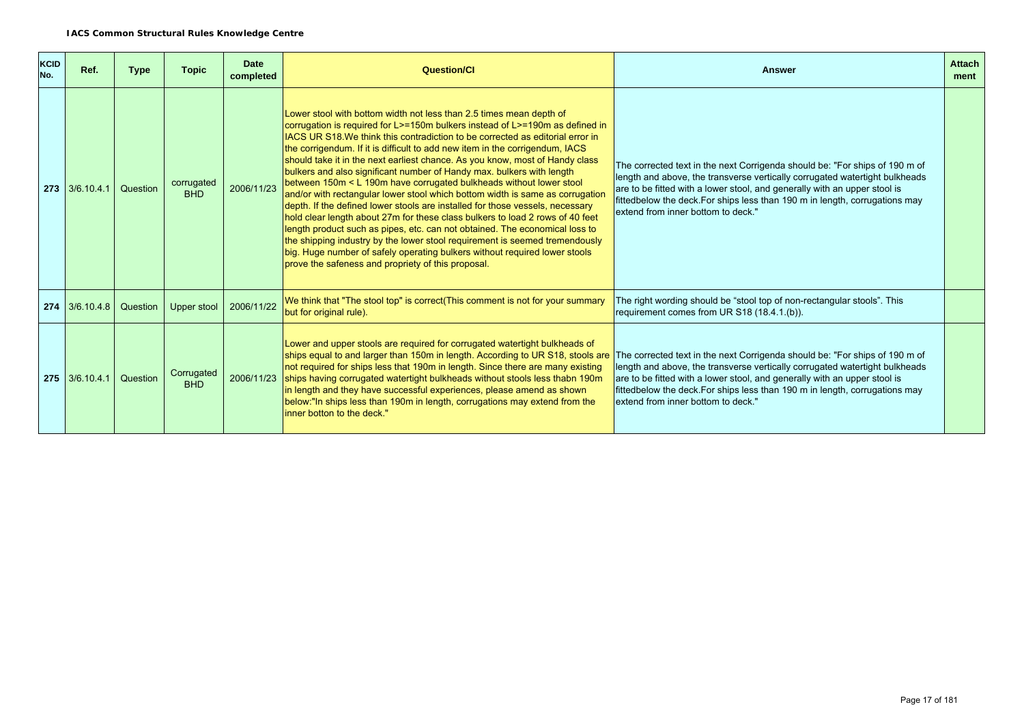| <b>KCID</b><br>No. | Ref.       | <b>Type</b> | <b>Topic</b>             | <b>Date</b><br>completed | <b>Question/Cl</b>                                                                                                                                                                                                                                                                                                                                                                                                                                                                                                                                                                                                                                                                                                                                                                                                                                                                                                                                                                                                                                                                                                | <b>Answer</b>                                                                                                                                                                                                                                                                                                                                                | <b>Attach</b><br>ment |
|--------------------|------------|-------------|--------------------------|--------------------------|-------------------------------------------------------------------------------------------------------------------------------------------------------------------------------------------------------------------------------------------------------------------------------------------------------------------------------------------------------------------------------------------------------------------------------------------------------------------------------------------------------------------------------------------------------------------------------------------------------------------------------------------------------------------------------------------------------------------------------------------------------------------------------------------------------------------------------------------------------------------------------------------------------------------------------------------------------------------------------------------------------------------------------------------------------------------------------------------------------------------|--------------------------------------------------------------------------------------------------------------------------------------------------------------------------------------------------------------------------------------------------------------------------------------------------------------------------------------------------------------|-----------------------|
| 273                | 3/6.10.4.1 | Question    | corrugated<br><b>BHD</b> | 2006/11/23               | Lower stool with bottom width not less than 2.5 times mean depth of<br>corrugation is required for L>=150m bulkers instead of L>=190m as defined in<br><b>IACS UR S18. We think this contradiction to be corrected as editorial error in</b><br>the corrigendum. If it is difficult to add new item in the corrigendum, IACS<br>should take it in the next earliest chance. As you know, most of Handy class<br>bulkers and also significant number of Handy max. bulkers with length<br>between 150m < L 190m have corrugated bulkheads without lower stool<br>and/or with rectangular lower stool which bottom width is same as corrugation<br>depth. If the defined lower stools are installed for those vessels, necessary<br>hold clear length about 27m for these class bulkers to load 2 rows of 40 feet<br>length product such as pipes, etc. can not obtained. The economical loss to<br>the shipping industry by the lower stool requirement is seemed tremendously<br>big. Huge number of safely operating bulkers without required lower stools<br>prove the safeness and propriety of this proposal. | The corrected text in the next Corrigenda should be: "For ships of 190 m of<br>length and above, the transverse vertically corrugated watertight bulkheads<br>are to be fitted with a lower stool, and generally with an upper stool is<br>fittedbelow the deck. For ships less than 190 m in length, corrugations may<br>extend from inner bottom to deck." |                       |
| 274                | 3/6.10.4.8 | Question    | Upper stool              | 2006/11/22               | We think that "The stool top" is correct(This comment is not for your summary<br>but for original rule).                                                                                                                                                                                                                                                                                                                                                                                                                                                                                                                                                                                                                                                                                                                                                                                                                                                                                                                                                                                                          | The right wording should be "stool top of non-rectangular stools". This<br>requirement comes from UR S18 (18.4.1.(b)).                                                                                                                                                                                                                                       |                       |
| 275                | 3/6.10.4.1 | Question    | Corrugated<br><b>BHD</b> | 2006/11/23               | Lower and upper stools are required for corrugated watertight bulkheads of<br>ships equal to and larger than 150m in length. According to UR S18, stools are<br>not required for ships less that 190m in length. Since there are many existing<br>ships having corrugated watertight bulkheads without stools less thabn 190m<br>in length and they have successful experiences, please amend as shown<br>below: "In ships less than 190m in length, corrugations may extend from the<br>linner botton to the deck."                                                                                                                                                                                                                                                                                                                                                                                                                                                                                                                                                                                              | The corrected text in the next Corrigenda should be: "For ships of 190 m of<br>length and above, the transverse vertically corrugated watertight bulkheads<br>are to be fitted with a lower stool, and generally with an upper stool is<br>fittedbelow the deck. For ships less than 190 m in length, corrugations may<br>extend from inner bottom to deck." |                       |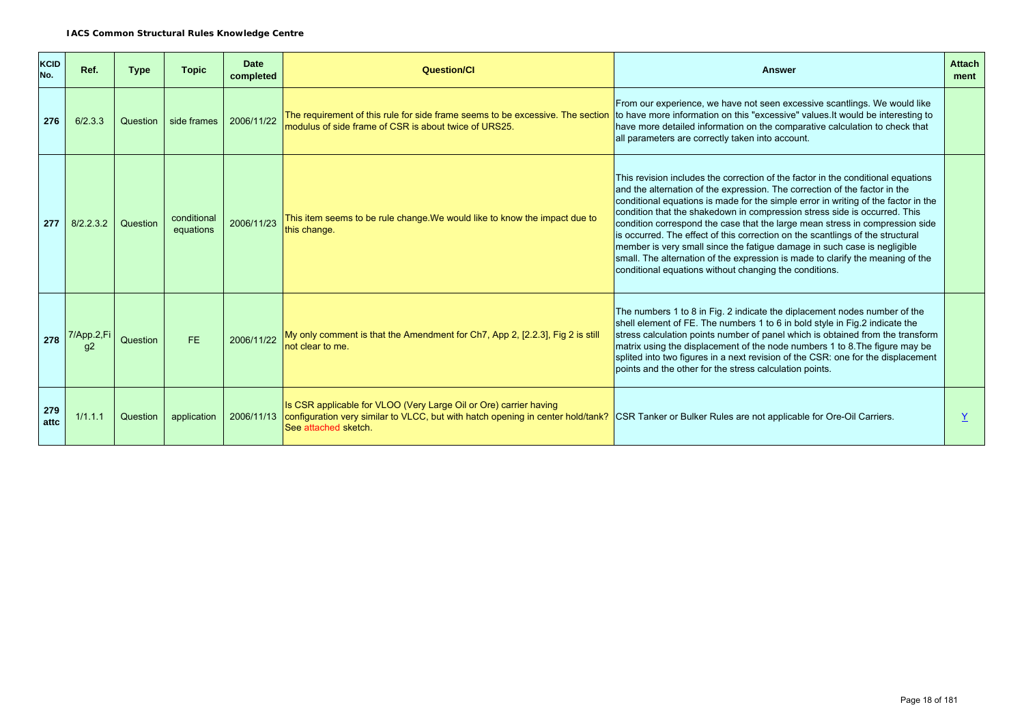| <b>KCID</b><br>No. | Ref.             | <b>Type</b> | <b>Topic</b>             | <b>Date</b><br>completed | <b>Question/CI</b>                                                                                                                                                                                                                                          | <b>Answer</b>                                                                                                                                                                                                                                                                                                                                                                                                                                                                                                                                                                                                                                                                                                               | <b>Attach</b><br>ment |
|--------------------|------------------|-------------|--------------------------|--------------------------|-------------------------------------------------------------------------------------------------------------------------------------------------------------------------------------------------------------------------------------------------------------|-----------------------------------------------------------------------------------------------------------------------------------------------------------------------------------------------------------------------------------------------------------------------------------------------------------------------------------------------------------------------------------------------------------------------------------------------------------------------------------------------------------------------------------------------------------------------------------------------------------------------------------------------------------------------------------------------------------------------------|-----------------------|
| 276                | 6/2.3.3          | Question    | side frames              | 2006/11/22               | The requirement of this rule for side frame seems to be excessive. The section<br>modulus of side frame of CSR is about twice of URS25.                                                                                                                     | From our experience, we have not seen excessive scantlings. We would like<br>to have more information on this "excessive" values. It would be interesting to<br>have more detailed information on the comparative calculation to check that<br>all parameters are correctly taken into account.                                                                                                                                                                                                                                                                                                                                                                                                                             |                       |
| 277                | 8/2.2.3.2        | Question    | conditional<br>equations | 2006/11/23               | This item seems to be rule change. We would like to know the impact due to<br>this change.                                                                                                                                                                  | This revision includes the correction of the factor in the conditional equations<br>and the alternation of the expression. The correction of the factor in the<br>conditional equations is made for the simple error in writing of the factor in the<br>condition that the shakedown in compression stress side is occurred. This<br>condition correspond the case that the large mean stress in compression side<br>is occurred. The effect of this correction on the scantlings of the structural<br>member is very small since the fatigue damage in such case is negligible<br>small. The alternation of the expression is made to clarify the meaning of the<br>conditional equations without changing the conditions. |                       |
| 278                | 7/App.2,Fi<br>α2 | Question    | <b>FE</b>                | 2006/11/22               | My only comment is that the Amendment for Ch7, App 2, [2.2.3], Fig 2 is still<br>not clear to me.                                                                                                                                                           | The numbers 1 to 8 in Fig. 2 indicate the diplacement nodes number of the<br>shell element of FE. The numbers 1 to 6 in bold style in Fig.2 indicate the<br>stress calculation points number of panel which is obtained from the transform<br>matrix using the displacement of the node numbers 1 to 8. The figure may be<br>splited into two figures in a next revision of the CSR: one for the displacement<br>points and the other for the stress calculation points.                                                                                                                                                                                                                                                    |                       |
| 279<br>attc        | 1/1.1.1          | Question    | application              |                          | Is CSR applicable for VLOO (Very Large Oil or Ore) carrier having<br>2006/11/13 configuration very similar to VLCC, but with hatch opening in center hold/tank? CSR Tanker or Bulker Rules are not applicable for Ore-Oil Carriers.<br>See attached sketch. |                                                                                                                                                                                                                                                                                                                                                                                                                                                                                                                                                                                                                                                                                                                             |                       |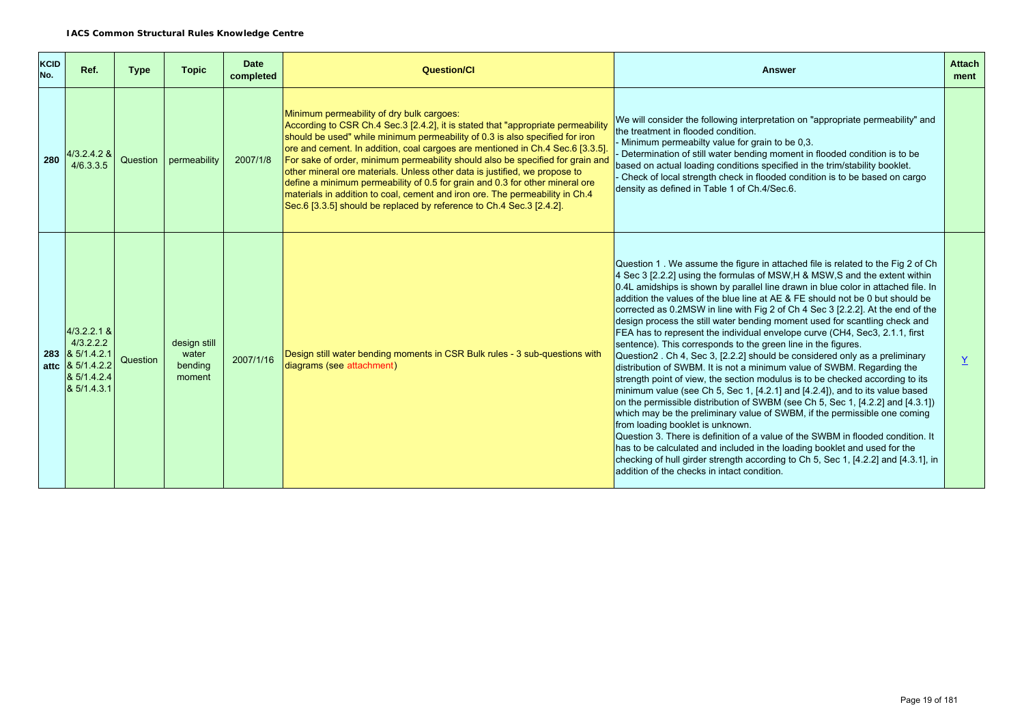| <b>KCID</b><br>No. | Ref.                                                                                               | <b>Type</b> | <b>Topic</b>                               | <b>Date</b><br>completed | <b>Question/Cl</b>                                                                                                                                                                                                                                                                                                                                                                                                                                                                                                                                                                                                                                                                                         | <b>Answer</b>                                                                                                                                                                                                                                                                                                                                                                                                                                                                                                                                                                                                                                                                                                                                                                                                                                                                                                                                                                                                                                                                                                                                                                                                                                                                                                                                                                                                                                                                          | <b>Attach</b><br>ment |
|--------------------|----------------------------------------------------------------------------------------------------|-------------|--------------------------------------------|--------------------------|------------------------------------------------------------------------------------------------------------------------------------------------------------------------------------------------------------------------------------------------------------------------------------------------------------------------------------------------------------------------------------------------------------------------------------------------------------------------------------------------------------------------------------------------------------------------------------------------------------------------------------------------------------------------------------------------------------|----------------------------------------------------------------------------------------------------------------------------------------------------------------------------------------------------------------------------------------------------------------------------------------------------------------------------------------------------------------------------------------------------------------------------------------------------------------------------------------------------------------------------------------------------------------------------------------------------------------------------------------------------------------------------------------------------------------------------------------------------------------------------------------------------------------------------------------------------------------------------------------------------------------------------------------------------------------------------------------------------------------------------------------------------------------------------------------------------------------------------------------------------------------------------------------------------------------------------------------------------------------------------------------------------------------------------------------------------------------------------------------------------------------------------------------------------------------------------------------|-----------------------|
| 280                | 4/3.2.4.2 &<br>4/6.3.3.5                                                                           | Question    | permeability                               | 2007/1/8                 | Minimum permeability of dry bulk cargoes:<br>According to CSR Ch.4 Sec.3 [2.4.2], it is stated that "appropriate permeability<br>should be used" while minimum permeability of 0.3 is also specified for iron<br>ore and cement. In addition, coal cargoes are mentioned in Ch.4 Sec.6 [3.3.5].<br>For sake of order, minimum permeability should also be specified for grain and<br>other mineral ore materials. Unless other data is justified, we propose to<br>define a minimum permeability of 0.5 for grain and 0.3 for other mineral ore<br>materials in addition to coal, cement and iron ore. The permeability in Ch.4<br>Sec. 6 [3.3.5] should be replaced by reference to Ch. 4 Sec. 3 [2.4.2]. | We will consider the following interpretation on "appropriate permeability" and<br>the treatment in flooded condition.<br>Minimum permeabilty value for grain to be 0,3.<br>Determination of still water bending moment in flooded condition is to be<br>based on actual loading conditions specified in the trim/stability booklet.<br>Check of local strength check in flooded condition is to be based on cargo<br>density as defined in Table 1 of Ch.4/Sec.6.                                                                                                                                                                                                                                                                                                                                                                                                                                                                                                                                                                                                                                                                                                                                                                                                                                                                                                                                                                                                                     |                       |
|                    | $4/3.2.2.1$ &<br>4/3.2.2.2<br>$283$ $85/1.4.2.1$<br>attc & 5/1.4.2.2<br>& 5/1.4.2.4<br>& 5/1.4.3.1 | Question    | design still<br>water<br>bending<br>moment | 2007/1/16                | Design still water bending moments in CSR Bulk rules - 3 sub-questions with<br>diagrams (see attachment)                                                                                                                                                                                                                                                                                                                                                                                                                                                                                                                                                                                                   | Question 1. We assume the figure in attached file is related to the Fig 2 of Ch<br>4 Sec 3 [2.2.2] using the formulas of MSW, H & MSW, S and the extent within<br>0.4L amidships is shown by parallel line drawn in blue color in attached file. In<br>addition the values of the blue line at AE & FE should not be 0 but should be<br>corrected as 0.2MSW in line with Fig 2 of Ch 4 Sec 3 [2.2.2]. At the end of the<br>design process the still water bending moment used for scantling check and<br>FEA has to represent the individual envelope curve (CH4, Sec3, 2.1.1, first<br>sentence). This corresponds to the green line in the figures.<br>Question2. Ch 4, Sec 3, [2.2.2] should be considered only as a preliminary<br>distribution of SWBM. It is not a minimum value of SWBM. Regarding the<br>strength point of view, the section modulus is to be checked according to its<br>minimum value (see Ch 5, Sec 1, [4.2.1] and [4.2.4]), and to its value based<br>on the permissible distribution of SWBM (see Ch 5, Sec 1, [4.2.2] and [4.3.1])<br>which may be the preliminary value of SWBM, if the permissible one coming<br>from loading booklet is unknown.<br>Question 3. There is definition of a value of the SWBM in flooded condition. It<br>has to be calculated and included in the loading booklet and used for the<br>checking of hull girder strength according to Ch 5, Sec 1, [4.2.2] and [4.3.1], in<br>addition of the checks in intact condition. | $\underline{Y}$       |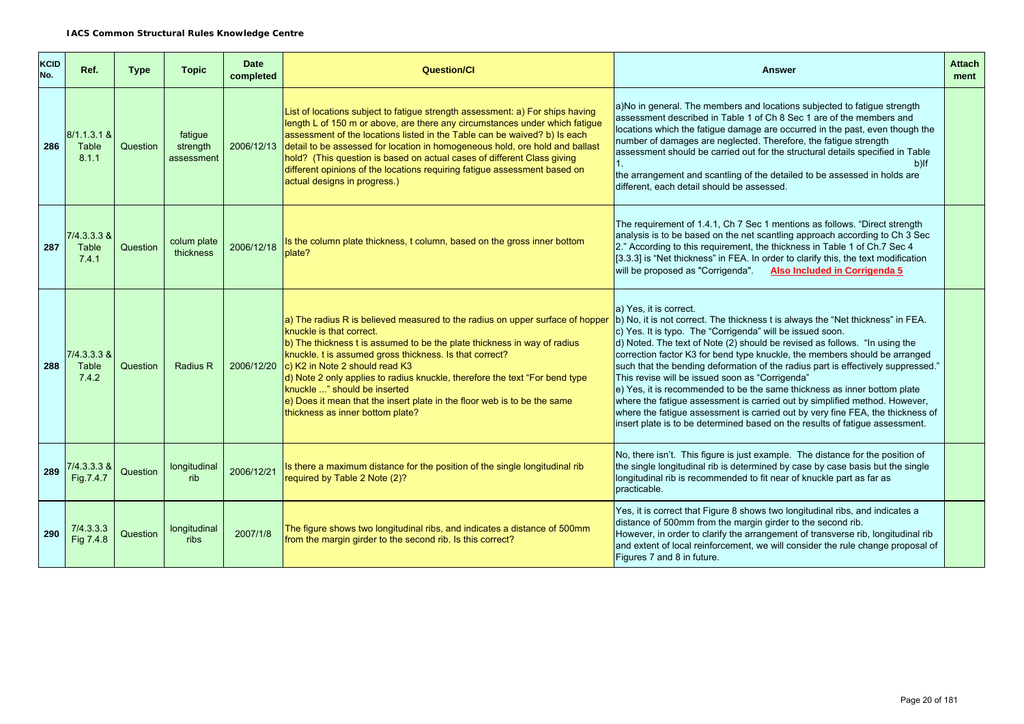| <b>KCID</b><br>No. | Ref.                            | <b>Type</b> | <b>Topic</b>                      | <b>Date</b><br>completed | <b>Question/Cl</b>                                                                                                                                                                                                                                                                                                                                                                                                                                                                                                   | <b>Answer</b>                                                                                                                                                                                                                                                                                                                                                                                                                                                                                                                                                                                                                                                                                                                                                                                                         | <b>Attach</b><br>ment |
|--------------------|---------------------------------|-------------|-----------------------------------|--------------------------|----------------------------------------------------------------------------------------------------------------------------------------------------------------------------------------------------------------------------------------------------------------------------------------------------------------------------------------------------------------------------------------------------------------------------------------------------------------------------------------------------------------------|-----------------------------------------------------------------------------------------------------------------------------------------------------------------------------------------------------------------------------------------------------------------------------------------------------------------------------------------------------------------------------------------------------------------------------------------------------------------------------------------------------------------------------------------------------------------------------------------------------------------------------------------------------------------------------------------------------------------------------------------------------------------------------------------------------------------------|-----------------------|
| 286                | $8/1.1.3.1$ &<br>Table<br>8.1.1 | Question    | fatigue<br>strength<br>assessment | 2006/12/13               | List of locations subject to fatigue strength assessment: a) For ships having<br>length L of 150 m or above, are there any circumstances under which fatigue<br>assessment of the locations listed in the Table can be waived? b) Is each<br>detail to be assessed for location in homogeneous hold, ore hold and ballast<br>hold? (This question is based on actual cases of different Class giving<br>different opinions of the locations requiring fatigue assessment based on<br>actual designs in progress.)    | a)No in general. The members and locations subjected to fatigue strength<br>assessment described in Table 1 of Ch 8 Sec 1 are of the members and<br>locations which the fatigue damage are occurred in the past, even though the<br>number of damages are neglected. Therefore, the fatigue strength<br>assessment should be carried out for the structural details specified in Table<br>$b)$ If<br>1.<br>the arrangement and scantling of the detailed to be assessed in holds are<br>different, each detail should be assessed.                                                                                                                                                                                                                                                                                    |                       |
| 287                | $7/4.3.3.3$ &<br>Table<br>7.4.1 | Question    | colum plate<br>thickness          | 2006/12/18               | Is the column plate thickness, t column, based on the gross inner bottom<br>plate?                                                                                                                                                                                                                                                                                                                                                                                                                                   | The requirement of 1.4.1, Ch 7 Sec 1 mentions as follows. "Direct strength<br>analysis is to be based on the net scantling approach according to Ch 3 Sec<br>2." According to this requirement, the thickness in Table 1 of Ch.7 Sec 4<br>[3.3.3] is "Net thickness" in FEA. In order to clarify this, the text modification<br>will be proposed as "Corrigenda" Also Included in Corrigenda 5                                                                                                                                                                                                                                                                                                                                                                                                                        |                       |
| 288                | $7/4.3.3.3$ &<br>Table<br>7.4.2 | Question    | <b>Radius R</b>                   | 2006/12/20               | a) The radius R is believed measured to the radius on upper surface of hopper<br>knuckle is that correct.<br>b) The thickness t is assumed to be the plate thickness in way of radius<br>knuckle. t is assumed gross thickness. Is that correct?<br>c) K2 in Note 2 should read K3<br>d) Note 2 only applies to radius knuckle, therefore the text "For bend type<br>knuckle " should be inserted<br>$ e $ Does it mean that the insert plate in the floor web is to be the same<br>thickness as inner bottom plate? | a) Yes. it is correct.<br>b) No, it is not correct. The thickness t is always the "Net thickness" in FEA.<br>c) Yes. It is typo. The "Corrigenda" will be issued soon.<br>$\vert$ d) Noted. The text of Note (2) should be revised as follows. "In using the<br>correction factor K3 for bend type knuckle, the members should be arranged<br>such that the bending deformation of the radius part is effectively suppressed."<br>This revise will be issued soon as "Corrigenda"<br>$\vert$ e) Yes, it is recommended to be the same thickness as inner bottom plate<br>where the fatigue assessment is carried out by simplified method. However,<br>where the fatigue assessment is carried out by very fine FEA, the thickness of<br>insert plate is to be determined based on the results of fatigue assessment. |                       |
| 289                | 7/4.3.3.3 &<br>Fig.7.4.7        | Question    | longitudinal<br>rib               | 2006/12/21               | Is there a maximum distance for the position of the single longitudinal rib<br>required by Table 2 Note (2)?                                                                                                                                                                                                                                                                                                                                                                                                         | No, there isn't. This figure is just example. The distance for the position of<br>the single longitudinal rib is determined by case by case basis but the single<br>longitudinal rib is recommended to fit near of knuckle part as far as<br>practicable.                                                                                                                                                                                                                                                                                                                                                                                                                                                                                                                                                             |                       |
| 290                | 7/4.3.3.3<br>Fig 7.4.8          | Question    | longitudinal<br><b>ribs</b>       | 2007/1/8                 | The figure shows two longitudinal ribs, and indicates a distance of 500mm<br>from the margin girder to the second rib. Is this correct?                                                                                                                                                                                                                                                                                                                                                                              | Yes, it is correct that Figure 8 shows two longitudinal ribs, and indicates a<br>distance of 500mm from the margin girder to the second rib.<br>However, in order to clarify the arrangement of transverse rib, longitudinal rib<br>and extent of local reinforcement, we will consider the rule change proposal of<br>Figures 7 and 8 in future.                                                                                                                                                                                                                                                                                                                                                                                                                                                                     |                       |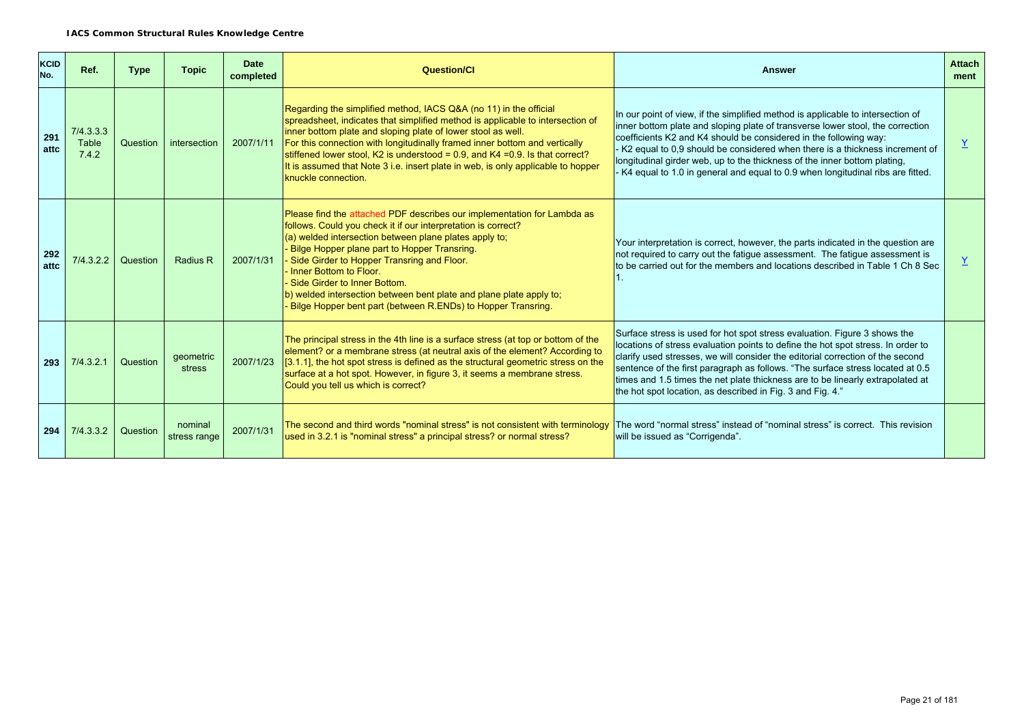| <b>KCID</b><br>No. | Ref.                        | <b>Type</b> | <b>Topic</b>            | <b>Date</b><br>completed | Question/Cl                                                                                                                                                                                                                                                                                                                                                                                                                                                                                         | <b>Answer</b>                                                                                                                                                                                                                                                                                                                                                                                                                                                                          | <b>Attach</b><br>ment |
|--------------------|-----------------------------|-------------|-------------------------|--------------------------|-----------------------------------------------------------------------------------------------------------------------------------------------------------------------------------------------------------------------------------------------------------------------------------------------------------------------------------------------------------------------------------------------------------------------------------------------------------------------------------------------------|----------------------------------------------------------------------------------------------------------------------------------------------------------------------------------------------------------------------------------------------------------------------------------------------------------------------------------------------------------------------------------------------------------------------------------------------------------------------------------------|-----------------------|
| 291<br>attc        | 7/4.3.3.3<br>Table<br>7.4.2 | Question    | intersection            | 2007/1/11                | Regarding the simplified method, IACS Q&A (no 11) in the official<br>spreadsheet, indicates that simplified method is applicable to intersection of<br>inner bottom plate and sloping plate of lower stool as well.<br>For this connection with longitudinally framed inner bottom and vertically<br>stiffened lower stool, K2 is understood = $0.9$ , and K4 = $0.9$ . Is that correct?<br>It is assumed that Note 3 i.e. insert plate in web, is only applicable to hopper<br>knuckle connection. | In our point of view, if the simplified method is applicable to intersection of<br>inner bottom plate and sloping plate of transverse lower stool, the correction<br>coefficients K2 and K4 should be considered in the following way:<br>K2 equal to 0,9 should be considered when there is a thickness increment of<br>longitudinal girder web, up to the thickness of the inner bottom plating,<br>- K4 equal to 1.0 in general and equal to 0.9 when longitudinal ribs are fitted. | $\underline{Y}$       |
| 292<br>attc        | 7/4.3.2.2                   | Question    | Radius R                | 2007/1/31                | Please find the attached PDF describes our implementation for Lambda as<br>follows. Could you check it if our interpretation is correct?<br>(a) welded intersection between plane plates apply to;<br>Bilge Hopper plane part to Hopper Transring.<br>Side Girder to Hopper Transring and Floor.<br>Inner Bottom to Floor.<br>Side Girder to Inner Bottom.<br>b) welded intersection between bent plate and plane plate apply to;<br>Bilge Hopper bent part (between R.ENDs) to Hopper Transring.   | Your interpretation is correct, however, the parts indicated in the question are<br>not required to carry out the fatigue assessment. The fatigue assessment is<br>to be carried out for the members and locations described in Table 1 Ch 8 Sec                                                                                                                                                                                                                                       | $\underline{Y}$       |
| 293                | 7/4.3.2.1                   | Question    | geometric<br>stress     | 2007/1/23                | The principal stress in the 4th line is a surface stress (at top or bottom of the<br>element? or a membrane stress (at neutral axis of the element? According to<br>[3.1.1], the hot spot stress is defined as the structural geometric stress on the<br>surface at a hot spot. However, in figure 3, it seems a membrane stress.<br>Could you tell us which is correct?                                                                                                                            | Surface stress is used for hot spot stress evaluation. Figure 3 shows the<br>locations of stress evaluation points to define the hot spot stress. In order to<br>clarify used stresses, we will consider the editorial correction of the second<br>sentence of the first paragraph as follows. "The surface stress located at 0.5<br>times and 1.5 times the net plate thickness are to be linearly extrapolated at<br>the hot spot location, as described in Fig. 3 and Fig. 4."      |                       |
| 294                | 7/4.3.3.2                   | Question    | nominal<br>stress range | 2007/1/31                | The second and third words "nominal stress" is not consistent with terminology<br>used in 3.2.1 is "nominal stress" a principal stress? or normal stress?                                                                                                                                                                                                                                                                                                                                           | The word "normal stress" instead of "nominal stress" is correct. This revision<br>will be issued as "Corrigenda".                                                                                                                                                                                                                                                                                                                                                                      |                       |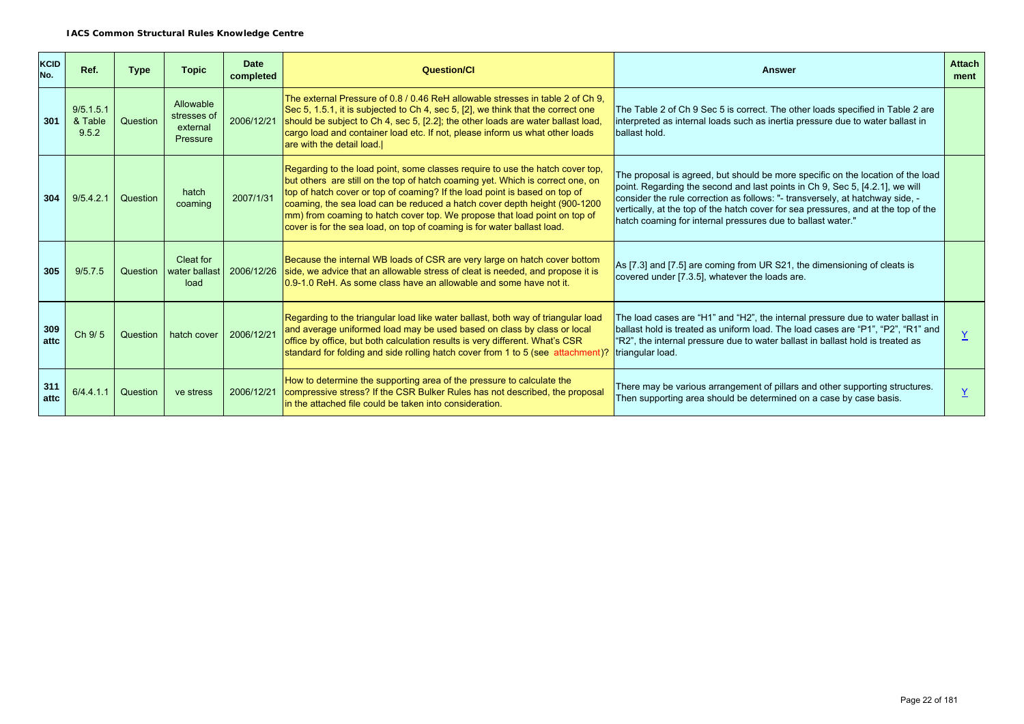| KCID<br>No. | Ref.                          | <b>Type</b> | <b>Topic</b>                                     | Date<br>completed | Question/Cl                                                                                                                                                                                                                                                                                                                                                                                                                                                                        | <b>Answer</b>                                                                                                                                                                                                                                                                                                                                                                                         | <b>Attach</b><br>ment |
|-------------|-------------------------------|-------------|--------------------------------------------------|-------------------|------------------------------------------------------------------------------------------------------------------------------------------------------------------------------------------------------------------------------------------------------------------------------------------------------------------------------------------------------------------------------------------------------------------------------------------------------------------------------------|-------------------------------------------------------------------------------------------------------------------------------------------------------------------------------------------------------------------------------------------------------------------------------------------------------------------------------------------------------------------------------------------------------|-----------------------|
| 301         | 9/5.1.5.1<br>& Table<br>9.5.2 | Question    | Allowable<br>stresses of<br>external<br>Pressure | 2006/12/21        | The external Pressure of 0.8 / 0.46 ReH allowable stresses in table 2 of Ch 9.<br>Sec 5, 1.5.1, it is subjected to Ch 4, sec 5, [2], we think that the correct one<br>should be subject to Ch 4, sec 5, [2.2]; the other loads are water ballast load,<br>cargo load and container load etc. If not, please inform us what other loads<br>are with the detail load.                                                                                                                | The Table 2 of Ch 9 Sec 5 is correct. The other loads specified in Table 2 are<br>interpreted as internal loads such as inertia pressure due to water ballast in<br>ballast hold.                                                                                                                                                                                                                     |                       |
| 304         | 9/5.4.2.1                     | Question    | hatch<br>coaming                                 | 2007/1/31         | Regarding to the load point, some classes require to use the hatch cover top,<br>but others are still on the top of hatch coaming yet. Which is correct one, on<br>top of hatch cover or top of coaming? If the load point is based on top of<br>coaming, the sea load can be reduced a hatch cover depth height (900-1200<br>mm) from coaming to hatch cover top. We propose that load point on top of<br>cover is for the sea load, on top of coaming is for water ballast load. | The proposal is agreed, but should be more specific on the location of the load<br>point. Regarding the second and last points in Ch 9, Sec 5, [4.2.1], we will<br>consider the rule correction as follows: "- transversely, at hatchway side, -<br>vertically, at the top of the hatch cover for sea pressures, and at the top of the<br>hatch coaming for internal pressures due to ballast water." |                       |
| 305         | 9/5.7.5                       | Question    | Cleat for<br>water ballast<br>load               | 2006/12/26        | Because the internal WB loads of CSR are very large on hatch cover bottom<br>side, we advice that an allowable stress of cleat is needed, and propose it is<br>10.9-1.0 ReH. As some class have an allowable and some have not it.                                                                                                                                                                                                                                                 | As [7.3] and [7.5] are coming from UR S21, the dimensioning of cleats is<br>covered under [7.3.5], whatever the loads are.                                                                                                                                                                                                                                                                            |                       |
| 309<br>attc | Ch 9/5                        | Question    | hatch cover                                      | 2006/12/21        | Regarding to the triangular load like water ballast, both way of triangular load<br>and average uniformed load may be used based on class by class or local<br>office by office, but both calculation results is very different. What's CSR<br>standard for folding and side rolling hatch cover from 1 to 5 (see attachment)?                                                                                                                                                     | The load cases are "H1" and "H2", the internal pressure due to water ballast in<br>ballast hold is treated as uniform load. The load cases are "P1", "P2", "R1" and<br>"R2", the internal pressure due to water ballast in ballast hold is treated as<br>triangular load.                                                                                                                             |                       |
| 311<br>attc | 6/4.4.1.1                     | Question    | ve stress                                        | 2006/12/21        | How to determine the supporting area of the pressure to calculate the<br>compressive stress? If the CSR Bulker Rules has not described, the proposal<br>in the attached file could be taken into consideration.                                                                                                                                                                                                                                                                    | There may be various arrangement of pillars and other supporting structures.<br>Then supporting area should be determined on a case by case basis.                                                                                                                                                                                                                                                    |                       |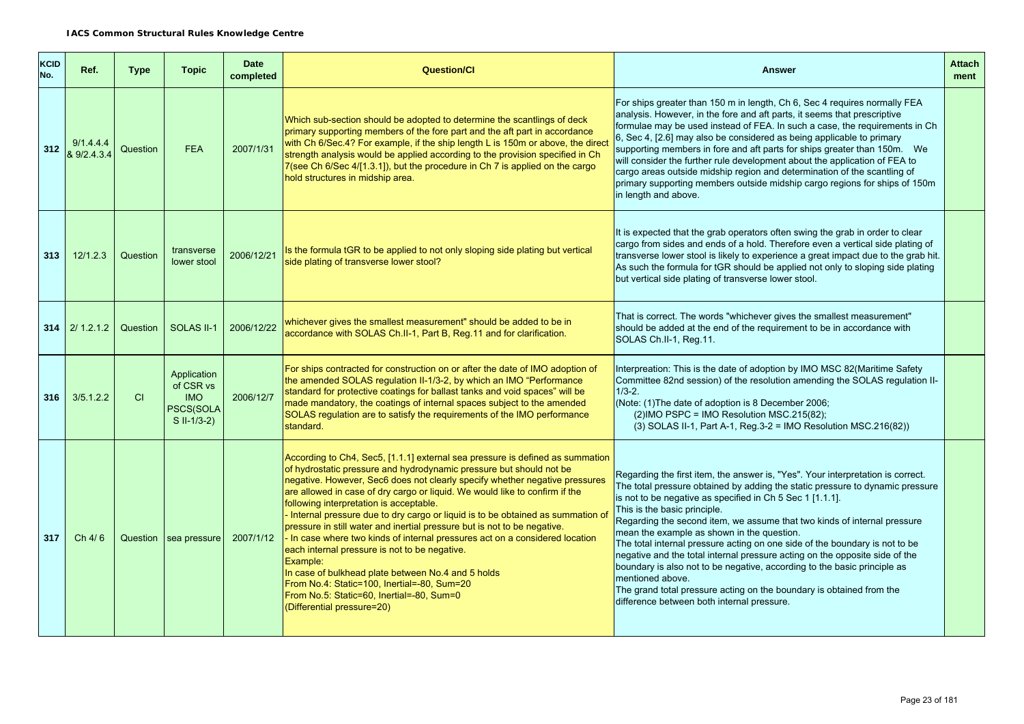| <b>KCID</b><br>No. | Ref.                     | Type     | <b>Topic</b>                                                         | <b>Date</b><br>completed | <b>Question/Cl</b>                                                                                                                                                                                                                                                                                                                                                                                                                                                                                                                                                                                                                                                                                                                                                                                                                                         | <b>Answer</b>                                                                                                                                                                                                                                                                                                                                                                                                                                                                                                                                                                                                                                                                                                                                                               | <b>Attach</b><br>ment |
|--------------------|--------------------------|----------|----------------------------------------------------------------------|--------------------------|------------------------------------------------------------------------------------------------------------------------------------------------------------------------------------------------------------------------------------------------------------------------------------------------------------------------------------------------------------------------------------------------------------------------------------------------------------------------------------------------------------------------------------------------------------------------------------------------------------------------------------------------------------------------------------------------------------------------------------------------------------------------------------------------------------------------------------------------------------|-----------------------------------------------------------------------------------------------------------------------------------------------------------------------------------------------------------------------------------------------------------------------------------------------------------------------------------------------------------------------------------------------------------------------------------------------------------------------------------------------------------------------------------------------------------------------------------------------------------------------------------------------------------------------------------------------------------------------------------------------------------------------------|-----------------------|
| 312                | 9/1.4.4.4<br>& 9/2.4.3.4 | Question | <b>FEA</b>                                                           | 2007/1/31                | Which sub-section should be adopted to determine the scantlings of deck<br>primary supporting members of the fore part and the aft part in accordance<br>with Ch 6/Sec.4? For example, if the ship length L is 150m or above, the dired<br>strength analysis would be applied according to the provision specified in Ch<br>7(see Ch 6/Sec 4/[1.3.1]), but the procedure in Ch 7 is applied on the cargo<br>hold structures in midship area.                                                                                                                                                                                                                                                                                                                                                                                                               | For ships greater than 150 m in length, Ch 6, Sec 4 requires normally FEA<br>analysis. However, in the fore and aft parts, it seems that prescriptive<br>formulae may be used instead of FEA. In such a case, the requirements in Ch<br>6, Sec 4, [2.6] may also be considered as being applicable to primary<br>supporting members in fore and aft parts for ships greater than 150m.  We<br>will consider the further rule development about the application of FEA to<br>cargo areas outside midship region and determination of the scantling of<br>primary supporting members outside midship cargo regions for ships of 150m<br>in length and above.                                                                                                                  |                       |
| 313                | 12/1.2.3                 | Question | transverse<br>lower stool                                            | 2006/12/21               | Is the formula tGR to be applied to not only sloping side plating but vertical<br>side plating of transverse lower stool?                                                                                                                                                                                                                                                                                                                                                                                                                                                                                                                                                                                                                                                                                                                                  | It is expected that the grab operators often swing the grab in order to clear<br>cargo from sides and ends of a hold. Therefore even a vertical side plating of<br>transverse lower stool is likely to experience a great impact due to the grab hit.<br>As such the formula for tGR should be applied not only to sloping side plating<br>but vertical side plating of transverse lower stool.                                                                                                                                                                                                                                                                                                                                                                             |                       |
|                    | $314$   2/1.2.1.2        | Question | SOLAS II-1                                                           | 2006/12/22               | whichever gives the smallest measurement" should be added to be in<br>accordance with SOLAS Ch.II-1, Part B, Reg.11 and for clarification.                                                                                                                                                                                                                                                                                                                                                                                                                                                                                                                                                                                                                                                                                                                 | That is correct. The words "whichever gives the smallest measurement"<br>should be added at the end of the requirement to be in accordance with<br>SOLAS Ch.II-1, Reg.11.                                                                                                                                                                                                                                                                                                                                                                                                                                                                                                                                                                                                   |                       |
| 316                | 3/5.1.2.2                | CI.      | Application<br>of CSR vs<br><b>IMO</b><br>PSCS(SOLA<br>$S II-1/3-2)$ | 2006/12/7                | For ships contracted for construction on or after the date of IMO adoption of<br>the amended SOLAS regulation II-1/3-2, by which an IMO "Performance<br>standard for protective coatings for ballast tanks and void spaces" will be<br>made mandatory, the coatings of internal spaces subject to the amended<br>SOLAS regulation are to satisfy the reguirements of the IMO performance<br>standard.                                                                                                                                                                                                                                                                                                                                                                                                                                                      | Interpreation: This is the date of adoption by IMO MSC 82(Maritime Safety<br>Committee 82nd session) of the resolution amending the SOLAS regulation II-<br>$1/3 - 2$ .<br>(Note: (1) The date of adoption is 8 December 2006;<br>$(2)$ IMO PSPC = IMO Resolution MSC.215 $(82)$ ;<br>(3) SOLAS II-1, Part A-1, Reg.3-2 = IMO Resolution MSC.216(82))                                                                                                                                                                                                                                                                                                                                                                                                                       |                       |
| 317                | Ch 4/6                   |          | Question sea pressure                                                | 2007/1/12                | According to Ch4, Sec5, [1.1.1] external sea pressure is defined as summation<br>of hydrostatic pressure and hydrodynamic pressure but should not be<br>negative. However, Sec6 does not clearly specify whether negative pressures<br>are allowed in case of dry cargo or liquid. We would like to confirm if the<br>following interpretation is acceptable.<br>- Internal pressure due to dry cargo or liquid is to be obtained as summation of<br>pressure in still water and inertial pressure but is not to be negative.<br>- In case where two kinds of internal pressures act on a considered location<br>each internal pressure is not to be negative.<br>Example:<br>In case of bulkhead plate between No.4 and 5 holds<br>From No.4: Static=100, Inertial=-80, Sum=20<br>From No.5: Static=60, Inertial=-80, Sum=0<br>(Differential pressure=20) | Regarding the first item, the answer is, "Yes". Your interpretation is correct.<br>The total pressure obtained by adding the static pressure to dynamic pressure<br>is not to be negative as specified in Ch 5 Sec 1 [1.1.1].<br>This is the basic principle.<br>Regarding the second item, we assume that two kinds of internal pressure<br>mean the example as shown in the question.<br>The total internal pressure acting on one side of the boundary is not to be<br>negative and the total internal pressure acting on the opposite side of the<br>boundary is also not to be negative, according to the basic principle as<br>mentioned above.<br>The grand total pressure acting on the boundary is obtained from the<br>difference between both internal pressure. |                       |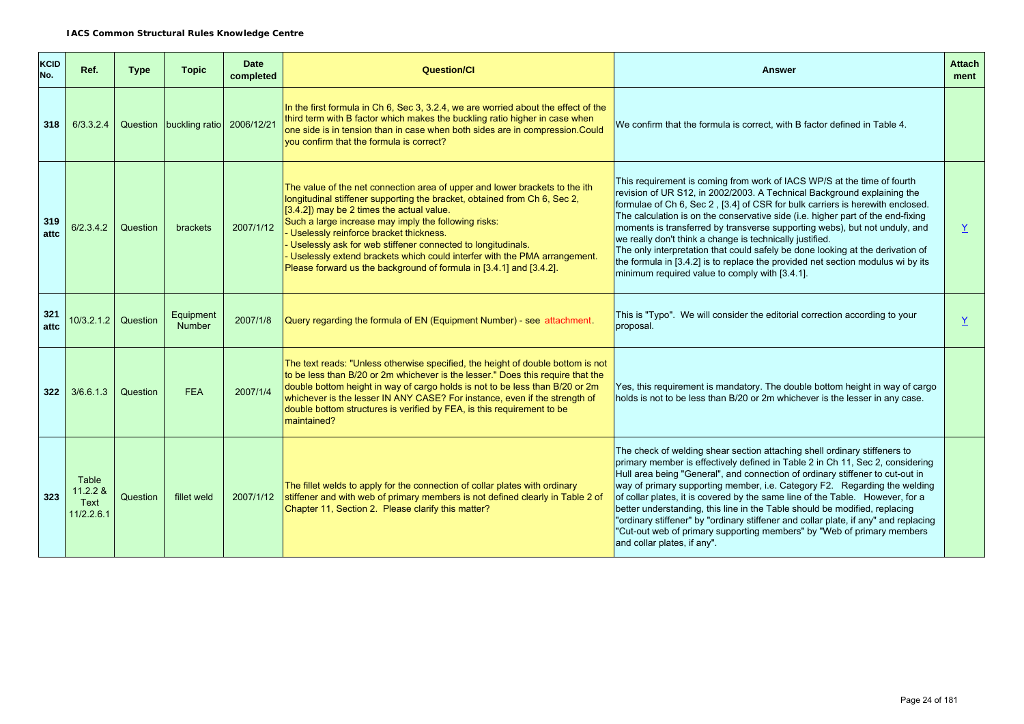| KCID<br>No. | Ref.                                    | <b>Type</b> | <b>Topic</b>                       | <b>Date</b><br>completed | <b>Question/CI</b>                                                                                                                                                                                                                                                                                                                                                                                                                                                                                                         | <b>Answer</b>                                                                                                                                                                                                                                                                                                                                                                                                                                                                                                                                                                                                                                                                           | <b>Attach</b><br>ment |
|-------------|-----------------------------------------|-------------|------------------------------------|--------------------------|----------------------------------------------------------------------------------------------------------------------------------------------------------------------------------------------------------------------------------------------------------------------------------------------------------------------------------------------------------------------------------------------------------------------------------------------------------------------------------------------------------------------------|-----------------------------------------------------------------------------------------------------------------------------------------------------------------------------------------------------------------------------------------------------------------------------------------------------------------------------------------------------------------------------------------------------------------------------------------------------------------------------------------------------------------------------------------------------------------------------------------------------------------------------------------------------------------------------------------|-----------------------|
| 318         | 6/3.3.2.4                               |             | Question buckling ratio 2006/12/21 |                          | In the first formula in Ch 6, Sec 3, 3.2.4, we are worried about the effect of the<br>third term with B factor which makes the buckling ratio higher in case when<br>one side is in tension than in case when both sides are in compression.Could<br>you confirm that the formula is correct?                                                                                                                                                                                                                              | We confirm that the formula is correct, with B factor defined in Table 4.                                                                                                                                                                                                                                                                                                                                                                                                                                                                                                                                                                                                               |                       |
| 319<br>attc | 6/2.3.4.2                               | Question    | brackets                           | 2007/1/12                | The value of the net connection area of upper and lower brackets to the ith<br>longitudinal stiffener supporting the bracket, obtained from Ch 6, Sec 2,<br>$(3.4.2)$ may be 2 times the actual value.<br>Such a large increase may imply the following risks:<br>Uselessly reinforce bracket thickness.<br>Uselessly ask for web stiffener connected to longitudinals.<br>Uselessly extend brackets which could interfer with the PMA arrangement.<br>Please forward us the background of formula in [3.4.1] and [3.4.2]. | This requirement is coming from work of IACS WP/S at the time of fourth<br>revision of UR S12, in 2002/2003. A Technical Background explaining the<br>formulae of Ch 6, Sec 2, [3.4] of CSR for bulk carriers is herewith enclosed.<br>The calculation is on the conservative side (i.e. higher part of the end-fixing<br>moments is transferred by transverse supporting webs), but not unduly, and<br>we really don't think a change is technically justified.<br>The only interpretation that could safely be done looking at the derivation of<br>the formula in [3.4.2] is to replace the provided net section modulus wi by its<br>minimum required value to comply with [3.4.1]. | Y                     |
| 321<br>attc | 10/3.2.1.2                              | Question    | Equipment<br>Number                | 2007/1/8                 | Query regarding the formula of EN (Equipment Number) - see attachment.                                                                                                                                                                                                                                                                                                                                                                                                                                                     | This is "Typo". We will consider the editorial correction according to your<br>proposal.                                                                                                                                                                                                                                                                                                                                                                                                                                                                                                                                                                                                | Y                     |
| 322         | 3/6.6.1.3                               | Question    | <b>FEA</b>                         | 2007/1/4                 | The text reads: "Unless otherwise specified, the height of double bottom is not<br>to be less than B/20 or 2m whichever is the lesser." Does this require that the<br>double bottom height in way of cargo holds is not to be less than B/20 or 2m<br>whichever is the lesser IN ANY CASE? For instance, even if the strength of<br>double bottom structures is verified by FEA, is this requirement to be<br>maintained?                                                                                                  | Yes, this requirement is mandatory. The double bottom height in way of cargo<br>holds is not to be less than B/20 or 2m whichever is the lesser in any case.                                                                                                                                                                                                                                                                                                                                                                                                                                                                                                                            |                       |
| 323         | Table<br>11.2.2 &<br>Text<br>11/2.2.6.1 | Question    | fillet weld                        | 2007/1/12                | The fillet welds to apply for the connection of collar plates with ordinary<br>stiffener and with web of primary members is not defined clearly in Table 2 of<br>Chapter 11, Section 2. Please clarify this matter?                                                                                                                                                                                                                                                                                                        | The check of welding shear section attaching shell ordinary stiffeners to<br>primary member is effectively defined in Table 2 in Ch 11, Sec 2, considering<br>Hull area being "General", and connection of ordinary stiffener to cut-out in<br>way of primary supporting member, i.e. Category F2. Regarding the welding<br>of collar plates, it is covered by the same line of the Table. However, for a<br>better understanding, this line in the Table should be modified, replacing<br>"ordinary stiffener" by "ordinary stiffener and collar plate, if any" and replacing<br>"Cut-out web of primary supporting members" by "Web of primary members<br>and collar plates, if any". |                       |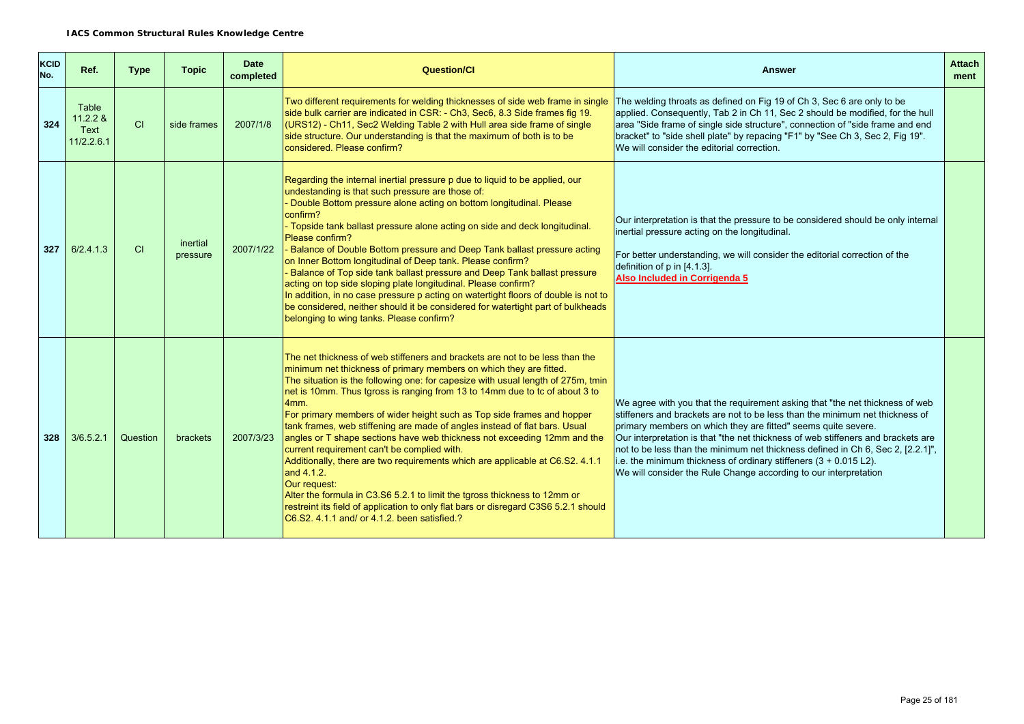| <b>KCID</b><br>No. | Ref.                                      | <b>Type</b> | <b>Topic</b>         | <b>Date</b><br>completed | <b>Question/Cl</b>                                                                                                                                                                                                                                                                                                                                                                                                                                                                                                                                                                                                                                                                                                                                                                                                                                                                                                                                  | <b>Answer</b>                                                                                                                                                                                                                                                                                                                                                                                                                                                                                                                                 | <b>Attach</b><br>ment |
|--------------------|-------------------------------------------|-------------|----------------------|--------------------------|-----------------------------------------------------------------------------------------------------------------------------------------------------------------------------------------------------------------------------------------------------------------------------------------------------------------------------------------------------------------------------------------------------------------------------------------------------------------------------------------------------------------------------------------------------------------------------------------------------------------------------------------------------------------------------------------------------------------------------------------------------------------------------------------------------------------------------------------------------------------------------------------------------------------------------------------------------|-----------------------------------------------------------------------------------------------------------------------------------------------------------------------------------------------------------------------------------------------------------------------------------------------------------------------------------------------------------------------------------------------------------------------------------------------------------------------------------------------------------------------------------------------|-----------------------|
| 324                | Table<br>$11.2.2$ &<br>Text<br>11/2.2.6.1 | CI          | side frames          | 2007/1/8                 | Two different requirements for welding thicknesses of side web frame in single<br>side bulk carrier are indicated in CSR: - Ch3, Sec6, 8.3 Side frames fig 19.<br>(URS12) - Ch11, Sec2 Welding Table 2 with Hull area side frame of single<br>side structure. Our understanding is that the maximum of both is to be<br>considered. Please confirm?                                                                                                                                                                                                                                                                                                                                                                                                                                                                                                                                                                                                 | The welding throats as defined on Fig 19 of Ch 3, Sec 6 are only to be<br>applied. Consequently, Tab 2 in Ch 11, Sec 2 should be modified, for the hull<br>area "Side frame of single side structure", connection of "side frame and end<br>bracket" to "side shell plate" by repacing "F1" by "See Ch 3, Sec 2, Fig 19".<br>We will consider the editorial correction.                                                                                                                                                                       |                       |
| 327                | 6/2.4.1.3                                 | CI          | inertial<br>pressure | 2007/1/22                | Regarding the internal inertial pressure p due to liquid to be applied, our<br>undestanding is that such pressure are those of:<br>- Double Bottom pressure alone acting on bottom longitudinal. Please<br>confirm?<br>- Topside tank ballast pressure alone acting on side and deck longitudinal.<br>Please confirm?<br>- Balance of Double Bottom pressure and Deep Tank ballast pressure acting<br>on Inner Bottom longitudinal of Deep tank. Please confirm?<br>- Balance of Top side tank ballast pressure and Deep Tank ballast pressure<br>acting on top side sloping plate longitudinal. Please confirm?<br>In addition, in no case pressure p acting on watertight floors of double is not to<br>be considered, neither should it be considered for watertight part of bulkheads<br>belonging to wing tanks. Please confirm?                                                                                                               | Our interpretation is that the pressure to be considered should be only internal<br>inertial pressure acting on the longitudinal.<br>For better understanding, we will consider the editorial correction of the<br>definition of p in [4.1.3].<br>Also Included in Corrigenda 5                                                                                                                                                                                                                                                               |                       |
| 328                | 3/6.5.2.1                                 | Question    | <b>brackets</b>      | 2007/3/23                | The net thickness of web stiffeners and brackets are not to be less than the<br>minimum net thickness of primary members on which they are fitted.<br>The situation is the following one: for capesize with usual length of 275m, tmin<br>net is 10mm. Thus tgross is ranging from 13 to 14mm due to to of about 3 to<br>4mm.<br>For primary members of wider height such as Top side frames and hopper<br>tank frames, web stiffening are made of angles instead of flat bars. Usual<br>angles or T shape sections have web thickness not exceeding 12mm and the<br>current requirement can't be complied with.<br>Additionally, there are two requirements which are applicable at C6.S2. 4.1.1<br>and 4.1.2.<br>Our request:<br>Alter the formula in C3.S6 5.2.1 to limit the tgross thickness to 12mm or<br>restreint its field of application to only flat bars or disregard C3S6 5.2.1 should<br>C6.S2, 4.1.1 and/ or 4.1.2, been satisfied.? | We agree with you that the requirement asking that "the net thickness of web<br>stiffeners and brackets are not to be less than the minimum net thickness of<br>primary members on which they are fitted" seems quite severe.<br>Our interpretation is that "the net thickness of web stiffeners and brackets are<br>not to be less than the minimum net thickness defined in Ch 6, Sec 2, [2.2.1]",<br>i.e. the minimum thickness of ordinary stiffeners (3 + 0.015 L2).<br>We will consider the Rule Change according to our interpretation |                       |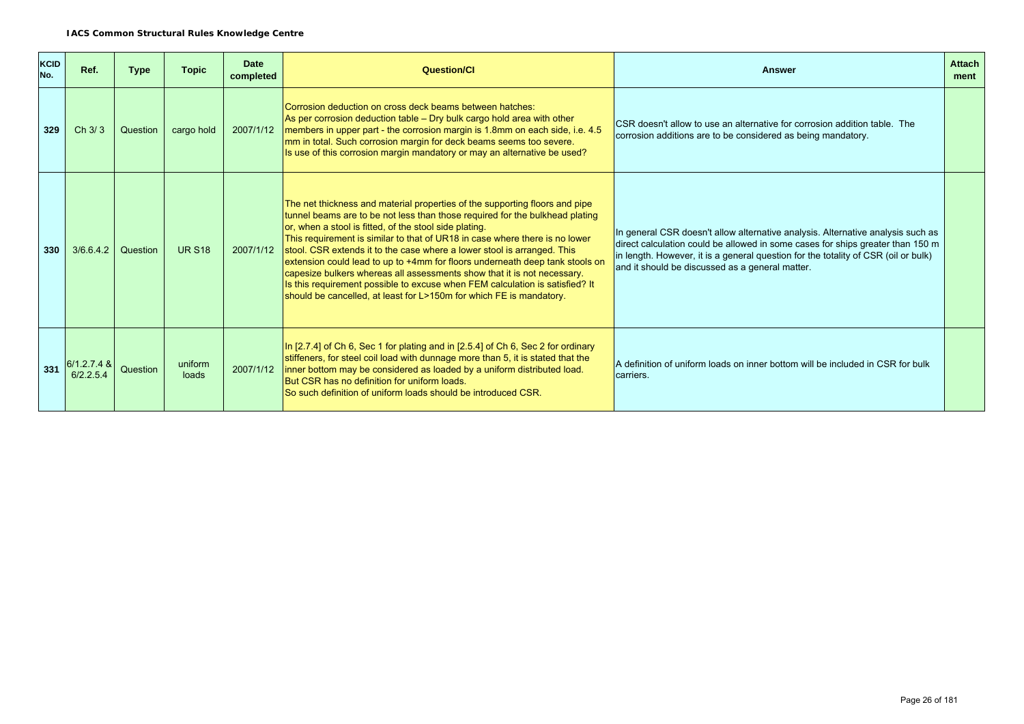| <b>KCID</b><br>No. | Ref.                       | <b>Type</b> | <b>Topic</b>     | <b>Date</b><br>completed | <b>Question/CI</b>                                                                                                                                                                                                                                                                                                                                                                                                                                                                                                                                                                                                                                                                                | <b>Answer</b>                                                                                                                                                                                                                                                                                              | <b>Attach</b><br>ment |
|--------------------|----------------------------|-------------|------------------|--------------------------|---------------------------------------------------------------------------------------------------------------------------------------------------------------------------------------------------------------------------------------------------------------------------------------------------------------------------------------------------------------------------------------------------------------------------------------------------------------------------------------------------------------------------------------------------------------------------------------------------------------------------------------------------------------------------------------------------|------------------------------------------------------------------------------------------------------------------------------------------------------------------------------------------------------------------------------------------------------------------------------------------------------------|-----------------------|
| 329                | Ch 3/3                     | Question    | cargo hold       | 2007/1/12                | Corrosion deduction on cross deck beams between hatches:<br>As per corrosion deduction table – Dry bulk cargo hold area with other<br>members in upper part - the corrosion margin is 1.8mm on each side, i.e. 4.5<br>mm in total. Such corrosion margin for deck beams seems too severe.<br>Is use of this corrosion margin mandatory or may an alternative be used?                                                                                                                                                                                                                                                                                                                             | CSR doesn't allow to use an alternative for corrosion addition table. The<br>corrosion additions are to be considered as being mandatory.                                                                                                                                                                  |                       |
| 330                | 3/6.6.4.2                  | Question    | <b>UR S18</b>    | 2007/1/12                | The net thickness and material properties of the supporting floors and pipe<br>tunnel beams are to be not less than those required for the bulkhead plating<br>or, when a stool is fitted, of the stool side plating.<br>This requirement is similar to that of UR18 in case where there is no lower<br>stool. CSR extends it to the case where a lower stool is arranged. This<br>extension could lead to up to +4mm for floors underneath deep tank stools on<br>capesize bulkers whereas all assessments show that it is not necessary.<br>Is this requirement possible to excuse when FEM calculation is satisfied? It<br>should be cancelled, at least for L>150m for which FE is mandatory. | In general CSR doesn't allow alternative analysis. Alternative analysis such as<br>direct calculation could be allowed in some cases for ships greater than 150 m<br>in length. However, it is a general question for the totality of CSR (oil or bulk)<br>and it should be discussed as a general matter. |                       |
| 331                | $6/1.2.7.4$ &<br>6/2.2.5.4 | Question    | uniform<br>loads | 2007/1/12                | In $[2.7.4]$ of Ch 6, Sec 1 for plating and in $[2.5.4]$ of Ch 6, Sec 2 for ordinary<br>stiffeners, for steel coil load with dunnage more than 5, it is stated that the<br>inner bottom may be considered as loaded by a uniform distributed load.<br>But CSR has no definition for uniform loads.<br>So such definition of uniform loads should be introduced CSR.                                                                                                                                                                                                                                                                                                                               | A definition of uniform loads on inner bottom will be included in CSR for bulk<br>carriers.                                                                                                                                                                                                                |                       |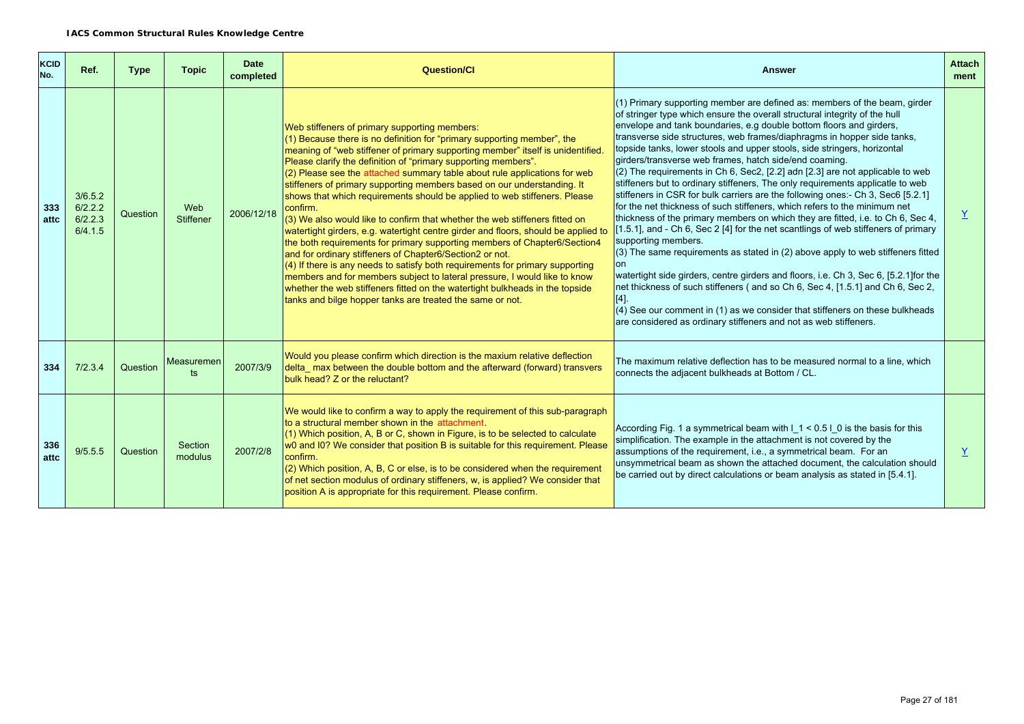| KCID<br>No. | Ref.                                     | <b>Type</b> | <b>Topic</b>            | <b>Date</b><br>completed | Question/Cl                                                                                                                                                                                                                                                                                                                                                                                                                                                                                                                                                                                                                                                                                                                                                                                                                                                                                                                                                                                                                                                                                                                                               | <b>Answer</b>                                                                                                                                                                                                                                                                                                                                                                                                                                                                                                                                                                                                                                                                                                                                                                                                                                                                                                                                                                                                                                                                                                                                                                                                                                                                                                                                                                                                 | <b>Attach</b><br>ment |
|-------------|------------------------------------------|-------------|-------------------------|--------------------------|-----------------------------------------------------------------------------------------------------------------------------------------------------------------------------------------------------------------------------------------------------------------------------------------------------------------------------------------------------------------------------------------------------------------------------------------------------------------------------------------------------------------------------------------------------------------------------------------------------------------------------------------------------------------------------------------------------------------------------------------------------------------------------------------------------------------------------------------------------------------------------------------------------------------------------------------------------------------------------------------------------------------------------------------------------------------------------------------------------------------------------------------------------------|---------------------------------------------------------------------------------------------------------------------------------------------------------------------------------------------------------------------------------------------------------------------------------------------------------------------------------------------------------------------------------------------------------------------------------------------------------------------------------------------------------------------------------------------------------------------------------------------------------------------------------------------------------------------------------------------------------------------------------------------------------------------------------------------------------------------------------------------------------------------------------------------------------------------------------------------------------------------------------------------------------------------------------------------------------------------------------------------------------------------------------------------------------------------------------------------------------------------------------------------------------------------------------------------------------------------------------------------------------------------------------------------------------------|-----------------------|
| 333<br>attc | 3/6.5.2<br>6/2.2.2<br>6/2.2.3<br>6/4.1.5 | Question    | Web<br><b>Stiffener</b> | 2006/12/18               | Web stiffeners of primary supporting members:<br>(1) Because there is no definition for "primary supporting member", the<br>meaning of "web stiffener of primary supporting member" itself is unidentified.<br>Please clarify the definition of "primary supporting members".<br>(2) Please see the attached summary table about rule applications for web<br>stiffeners of primary supporting members based on our understanding. It<br>shows that which requirements should be applied to web stiffeners. Please<br>confirm.<br>(3) We also would like to confirm that whether the web stiffeners fitted on<br>watertight girders, e.g. watertight centre girder and floors, should be applied to<br>the both requirements for primary supporting members of Chapter6/Section4<br>and for ordinary stiffeners of Chapter6/Section2 or not.<br>$(4)$ If there is any needs to satisfy both requirements for primary supporting<br>members and for members subject to lateral pressure, I would like to know<br>whether the web stiffeners fitted on the watertight bulkheads in the topside<br>tanks and bilge hopper tanks are treated the same or not. | (1) Primary supporting member are defined as: members of the beam, girder<br>of stringer type which ensure the overall structural integrity of the hull<br>envelope and tank boundaries, e.g double bottom floors and girders,<br>transverse side structures, web frames/diaphragms in hopper side tanks,<br>topside tanks, lower stools and upper stools, side stringers, horizontal<br>girders/transverse web frames, hatch side/end coaming.<br>$(2)$ The requirements in Ch 6, Sec2, [2.2] adn [2.3] are not applicable to web<br>stiffeners but to ordinary stiffeners, The only requirements applicatle to web<br>stiffeners in CSR for bulk carriers are the following ones:- Ch 3, Sec6 [5.2.1]<br>for the net thickness of such stiffeners, which refers to the minimum net<br>thickness of the primary members on which they are fitted, i.e. to Ch 6, Sec 4,<br>1.5.1], and - Ch 6, Sec 2 [4] for the net scantlings of web stiffeners of primary<br>supporting members.<br>$(3)$ The same requirements as stated in (2) above apply to web stiffeners fitted<br>on<br>watertight side girders, centre girders and floors, i.e. Ch 3, Sec 6, [5.2.1] for the<br>net thickness of such stiffeners (and so Ch 6, Sec 4, [1.5.1] and Ch 6, Sec 2,<br>(4) See our comment in (1) as we consider that stiffeners on these bulkheads<br>are considered as ordinary stiffeners and not as web stiffeners. | $\underline{Y}$       |
| 334         | 7/2.3.4                                  | Question    | Measuremen<br>ts        | 2007/3/9                 | Would you please confirm which direction is the maxium relative deflection<br>delta max between the double bottom and the afterward (forward) transvers<br>bulk head? Z or the reluctant?                                                                                                                                                                                                                                                                                                                                                                                                                                                                                                                                                                                                                                                                                                                                                                                                                                                                                                                                                                 | The maximum relative deflection has to be measured normal to a line, which<br>connects the adjacent bulkheads at Bottom / CL.                                                                                                                                                                                                                                                                                                                                                                                                                                                                                                                                                                                                                                                                                                                                                                                                                                                                                                                                                                                                                                                                                                                                                                                                                                                                                 |                       |
| 336<br>attc | 9/5.5.5                                  | Question    | Section<br>modulus      | 2007/2/8                 | We would like to confirm a way to apply the requirement of this sub-paragraph<br>to a structural member shown in the attachment.<br>$(1)$ Which position, A, B or C, shown in Figure, is to be selected to calculate<br>w0 and I0? We consider that position B is suitable for this requirement. Please<br>confirm.<br>$(2)$ Which position, A, B, C or else, is to be considered when the requirement<br>of net section modulus of ordinary stiffeners, w, is applied? We consider that<br>position A is appropriate for this requirement. Please confirm.                                                                                                                                                                                                                                                                                                                                                                                                                                                                                                                                                                                               | According Fig. 1 a symmetrical beam with $1 < 0.51$ 0 is the basis for this<br>simplification. The example in the attachment is not covered by the<br>assumptions of the requirement, i.e., a symmetrical beam. For an<br>unsymmetrical beam as shown the attached document, the calculation should<br>be carried out by direct calculations or beam analysis as stated in [5.4.1].                                                                                                                                                                                                                                                                                                                                                                                                                                                                                                                                                                                                                                                                                                                                                                                                                                                                                                                                                                                                                           | Y                     |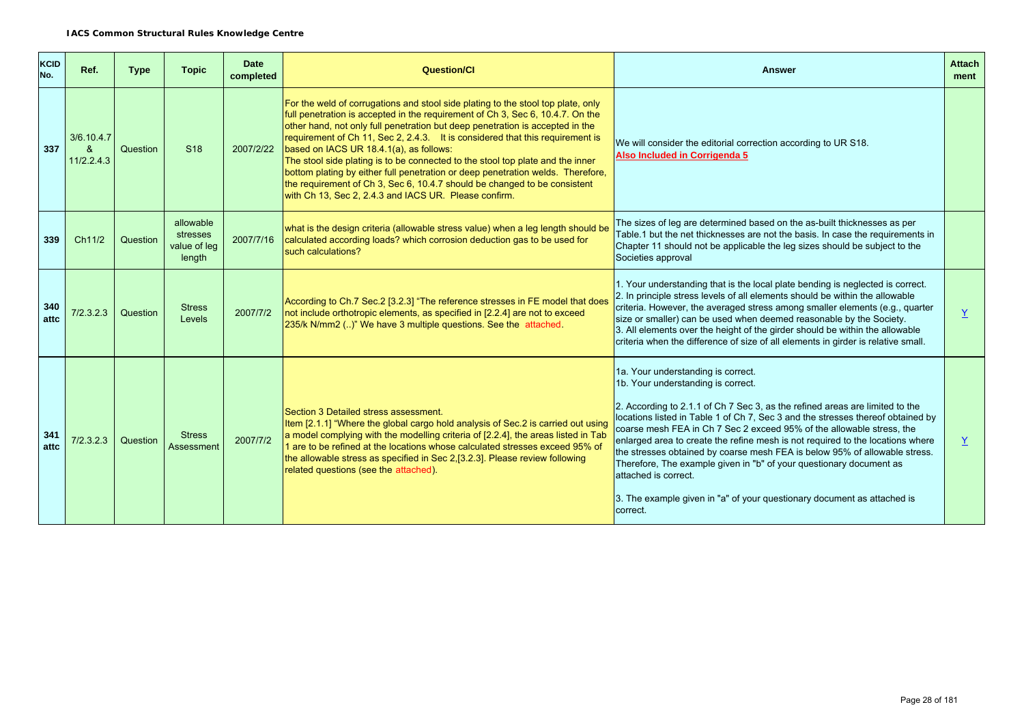| <b>KCID</b><br>No. | Ref.                          | <b>Type</b> | <b>Topic</b>                                    | <b>Date</b><br>completed | <b>Question/Cl</b>                                                                                                                                                                                                                                                                                                                                                                                                                                                                                                                                                                                                                                                                         | <b>Answer</b>                                                                                                                                                                                                                                                                                                                                                                                                                                                                                                                                                                                                                                                              | <b>Attach</b><br>ment |
|--------------------|-------------------------------|-------------|-------------------------------------------------|--------------------------|--------------------------------------------------------------------------------------------------------------------------------------------------------------------------------------------------------------------------------------------------------------------------------------------------------------------------------------------------------------------------------------------------------------------------------------------------------------------------------------------------------------------------------------------------------------------------------------------------------------------------------------------------------------------------------------------|----------------------------------------------------------------------------------------------------------------------------------------------------------------------------------------------------------------------------------------------------------------------------------------------------------------------------------------------------------------------------------------------------------------------------------------------------------------------------------------------------------------------------------------------------------------------------------------------------------------------------------------------------------------------------|-----------------------|
| 337                | 3/6.10.4.7<br>&<br>11/2.2.4.3 | Question    | S <sub>18</sub>                                 | 2007/2/22                | For the weld of corrugations and stool side plating to the stool top plate, only<br>full penetration is accepted in the requirement of Ch 3, Sec 6, 10.4.7. On the<br>other hand, not only full penetration but deep penetration is accepted in the<br>requirement of Ch 11, Sec 2, 2.4.3. It is considered that this requirement is<br>based on IACS UR 18.4.1(a), as follows:<br>The stool side plating is to be connected to the stool top plate and the inner<br>bottom plating by either full penetration or deep penetration welds. Therefore,<br>the requirement of Ch 3, Sec 6, 10.4.7 should be changed to be consistent<br>with Ch 13, Sec 2, 2.4.3 and IACS UR. Please confirm. | We will consider the editorial correction according to UR S18.<br>Also Included in Corrigenda 5                                                                                                                                                                                                                                                                                                                                                                                                                                                                                                                                                                            |                       |
| 339                | Ch11/2                        | Question    | allowable<br>stresses<br>value of leg<br>length | 2007/7/16                | what is the design criteria (allowable stress value) when a leg length should be<br>calculated according loads? which corrosion deduction gas to be used for<br>such calculations?                                                                                                                                                                                                                                                                                                                                                                                                                                                                                                         | The sizes of leg are determined based on the as-built thicknesses as per<br>Table.1 but the net thicknesses are not the basis. In case the requirements in<br>Chapter 11 should not be applicable the leg sizes should be subject to the<br>Societies approval                                                                                                                                                                                                                                                                                                                                                                                                             |                       |
| 340<br>attc        | 7/2.3.2.3                     | Question    | <b>Stress</b><br>Levels                         | 2007/7/2                 | According to Ch.7 Sec.2 [3.2.3] "The reference stresses in FE model that does<br>not include orthotropic elements, as specified in [2.2.4] are not to exceed<br>235/k N/mm2 ()" We have 3 multiple questions. See the attached.                                                                                                                                                                                                                                                                                                                                                                                                                                                            | 1. Your understanding that is the local plate bending is neglected is correct.<br>2. In principle stress levels of all elements should be within the allowable<br>criteria. However, the averaged stress among smaller elements (e.g., quarter<br>size or smaller) can be used when deemed reasonable by the Society.<br>3. All elements over the height of the girder should be within the allowable<br>criteria when the difference of size of all elements in girder is relative small.                                                                                                                                                                                 | Y                     |
| 341<br>attc        | 7/2.3.2.3                     | Question    | <b>Stress</b><br>Assessment                     | 2007/7/2                 | Section 3 Detailed stress assessment.<br>Item [2.1.1] "Where the global cargo hold analysis of Sec.2 is carried out using<br>a model complying with the modelling criteria of [2.2.4], the areas listed in Tab<br>1 are to be refined at the locations whose calculated stresses exceed 95% of<br>the allowable stress as specified in Sec 2,[3.2.3]. Please review following<br>related questions (see the attached).                                                                                                                                                                                                                                                                     | 1a. Your understanding is correct.<br>1b. Your understanding is correct.<br>2. According to 2.1.1 of Ch 7 Sec 3, as the refined areas are limited to the<br>locations listed in Table 1 of Ch 7, Sec 3 and the stresses thereof obtained by<br>coarse mesh FEA in Ch 7 Sec 2 exceed 95% of the allowable stress, the<br>enlarged area to create the refine mesh is not required to the locations where<br>the stresses obtained by coarse mesh FEA is below 95% of allowable stress.<br>Therefore, The example given in "b" of your questionary document as<br>attached is correct.<br>3. The example given in "a" of your questionary document as attached is<br>correct. | $\underline{Y}$       |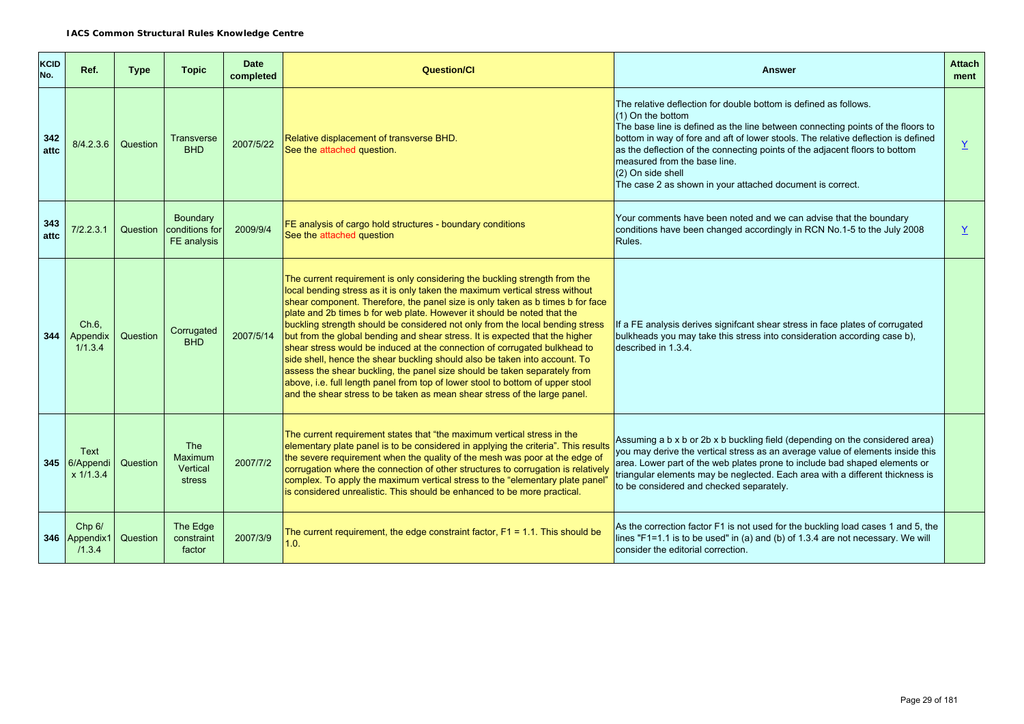| KCID<br>No. | Ref.                                  | <b>Type</b> | <b>Topic</b>                                | <b>Date</b><br>completed | Question/Cl                                                                                                                                                                                                                                                                                                                                                                                                                                                                                                                                                                                                                                                                                                                                                                                                                                                                                     | <b>Answer</b>                                                                                                                                                                                                                                                                                                                                                                                                                                                  | <b>Attach</b><br>ment |
|-------------|---------------------------------------|-------------|---------------------------------------------|--------------------------|-------------------------------------------------------------------------------------------------------------------------------------------------------------------------------------------------------------------------------------------------------------------------------------------------------------------------------------------------------------------------------------------------------------------------------------------------------------------------------------------------------------------------------------------------------------------------------------------------------------------------------------------------------------------------------------------------------------------------------------------------------------------------------------------------------------------------------------------------------------------------------------------------|----------------------------------------------------------------------------------------------------------------------------------------------------------------------------------------------------------------------------------------------------------------------------------------------------------------------------------------------------------------------------------------------------------------------------------------------------------------|-----------------------|
| 342<br>attc | 8/4.2.3.6                             | Question    | <b>Transverse</b><br><b>BHD</b>             | 2007/5/22                | Relative displacement of transverse BHD.<br>See the attached question.                                                                                                                                                                                                                                                                                                                                                                                                                                                                                                                                                                                                                                                                                                                                                                                                                          | The relative deflection for double bottom is defined as follows.<br>(1) On the bottom<br>The base line is defined as the line between connecting points of the floors to<br>bottom in way of fore and aft of lower stools. The relative deflection is defined<br>as the deflection of the connecting points of the adjacent floors to bottom<br>measured from the base line.<br>(2) On side shell<br>The case 2 as shown in your attached document is correct. | $\overline{X}$        |
| 343<br>attc | 7/2.2.3.1                             | Question    | Boundary<br>conditions for<br>FE analysis   | 2009/9/4                 | FE analysis of cargo hold structures - boundary conditions<br>See the attached question                                                                                                                                                                                                                                                                                                                                                                                                                                                                                                                                                                                                                                                                                                                                                                                                         | Your comments have been noted and we can advise that the boundary<br>conditions have been changed accordingly in RCN No.1-5 to the July 2008<br>Rules.                                                                                                                                                                                                                                                                                                         | Y                     |
| 344         | Ch.6.<br>Appendix<br>1/1.3.4          | Question    | Corrugated<br><b>BHD</b>                    | 2007/5/14                | The current requirement is only considering the buckling strength from the<br>local bending stress as it is only taken the maximum vertical stress without<br>shear component. Therefore, the panel size is only taken as b times b for face<br>plate and 2b times b for web plate. However it should be noted that the<br>buckling strength should be considered not only from the local bending stress<br>but from the global bending and shear stress. It is expected that the higher<br>shear stress would be induced at the connection of corrugated bulkhead to<br>side shell, hence the shear buckling should also be taken into account. To<br>assess the shear buckling, the panel size should be taken separately from<br>above, i.e. full length panel from top of lower stool to bottom of upper stool<br>and the shear stress to be taken as mean shear stress of the large panel. | If a FE analysis derives signifcant shear stress in face plates of corrugated<br>bulkheads you may take this stress into consideration according case b),<br>described in 1.3.4.                                                                                                                                                                                                                                                                               |                       |
|             | Text<br>345 6/Appendi<br>$x\ 1/1.3.4$ | Question    | <b>The</b><br>Maximum<br>Vertical<br>stress | 2007/7/2                 | The current requirement states that "the maximum vertical stress in the<br>elementary plate panel is to be considered in applying the criteria". This results<br>the severe requirement when the quality of the mesh was poor at the edge of<br>corrugation where the connection of other structures to corrugation is relatively<br>complex. To apply the maximum vertical stress to the "elementary plate panel"<br>is considered unrealistic. This should be enhanced to be more practical.                                                                                                                                                                                                                                                                                                                                                                                                  | Assuming a b x b or 2b x b buckling field (depending on the considered area)<br>you may derive the vertical stress as an average value of elements inside this<br>area. Lower part of the web plates prone to include bad shaped elements or<br>triangular elements may be neglected. Each area with a different thickness is<br>to be considered and checked separately.                                                                                      |                       |
|             | Chp 6/<br>346 Appendix1<br>/1.3.4     | Question    | The Edge<br>constraint<br>factor            | 2007/3/9                 | The current requirement, the edge constraint factor, $F1 = 1.1$ . This should be<br>1.0.                                                                                                                                                                                                                                                                                                                                                                                                                                                                                                                                                                                                                                                                                                                                                                                                        | As the correction factor F1 is not used for the buckling load cases 1 and 5, the<br>lines "F1=1.1 is to be used" in (a) and (b) of 1.3.4 are not necessary. We will<br>consider the editorial correction.                                                                                                                                                                                                                                                      |                       |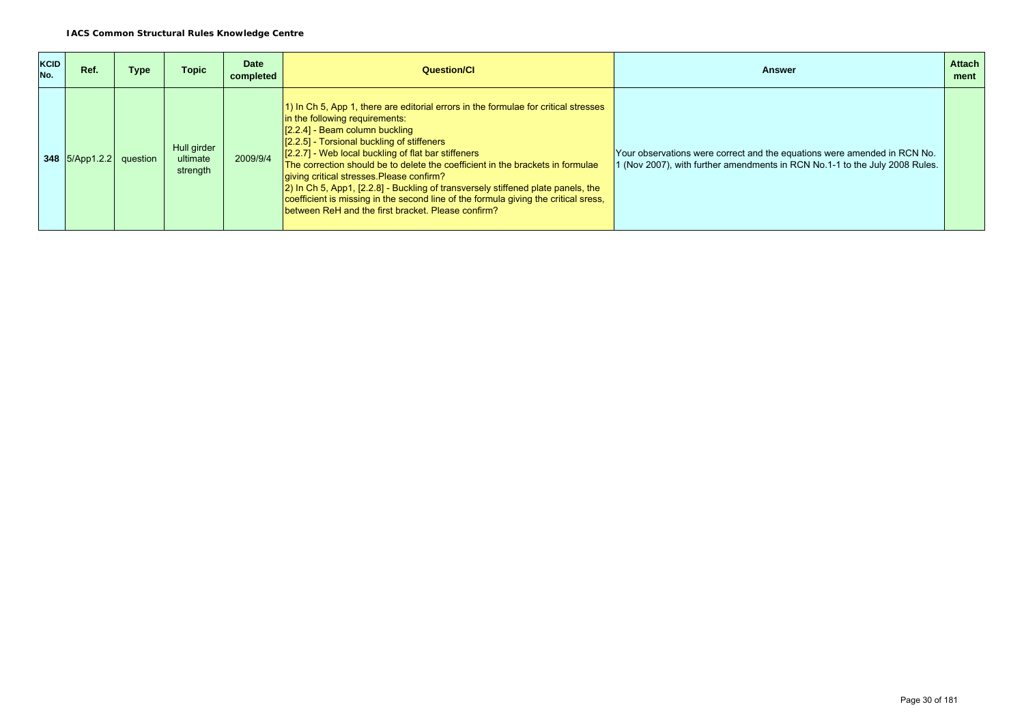| <b>KCID</b><br>No. | Ref.                      | Type | <b>Topic</b>                        | Date<br>completed | Question/Cl                                                                                                                                                                                                                                                                                                                                                                                                                                                                                                                                                                                                                    | Answer                                                                                                                                                  | <b>Attach</b><br>ment |
|--------------------|---------------------------|------|-------------------------------------|-------------------|--------------------------------------------------------------------------------------------------------------------------------------------------------------------------------------------------------------------------------------------------------------------------------------------------------------------------------------------------------------------------------------------------------------------------------------------------------------------------------------------------------------------------------------------------------------------------------------------------------------------------------|---------------------------------------------------------------------------------------------------------------------------------------------------------|-----------------------|
|                    | 348 $5/App1.2.2$ question |      | Hull girder<br>ultimate<br>strength | 2009/9/4          | 1) In Ch 5, App 1, there are editorial errors in the formulae for critical stresses<br>in the following requirements:<br>$[2.2.4]$ - Beam column buckling<br>[2.2.5] - Torsional buckling of stiffeners<br>[2.2.7] - Web local buckling of flat bar stiffeners<br>The correction should be to delete the coefficient in the brackets in formulae<br>giving critical stresses Please confirm?<br>[2] In Ch 5, App1, [2.2.8] - Buckling of transversely stiffened plate panels, the<br>coefficient is missing in the second line of the formula giving the critical sress,<br>between ReH and the first bracket. Please confirm? | Your observations were correct and the equations were amended in RCN No.<br>I (Nov 2007), with further amendments in RCN No.1-1 to the July 2008 Rules. |                       |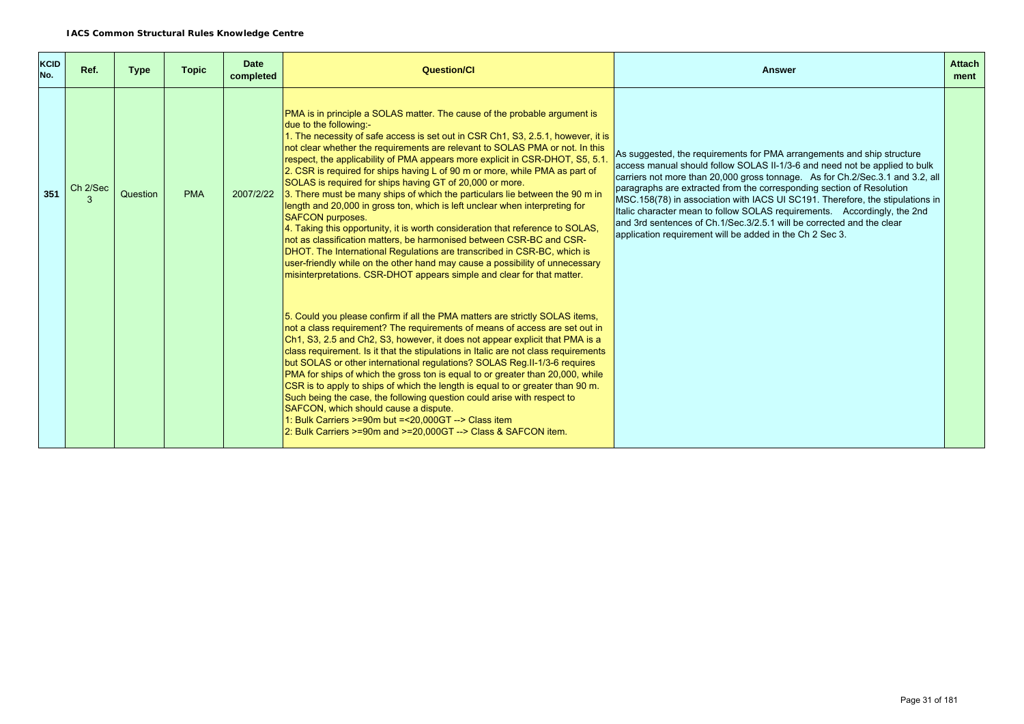| <b>KCID</b><br>No. | Ref.     | <b>Type</b> | <b>Topic</b> | <b>Date</b><br>completed | <b>Question/CI</b>                                                                                                                                                                                                                                                                                                                                                                                                                                                                                                                                                                                                                                                                                                                                                                                                                                                                                                                                                                                                                                                                           | <b>Answer</b>                                                                                                                                                                                                                                                                                                                                                                                                                                                                                                                                                                                                    | <b>Attach</b><br>ment |
|--------------------|----------|-------------|--------------|--------------------------|----------------------------------------------------------------------------------------------------------------------------------------------------------------------------------------------------------------------------------------------------------------------------------------------------------------------------------------------------------------------------------------------------------------------------------------------------------------------------------------------------------------------------------------------------------------------------------------------------------------------------------------------------------------------------------------------------------------------------------------------------------------------------------------------------------------------------------------------------------------------------------------------------------------------------------------------------------------------------------------------------------------------------------------------------------------------------------------------|------------------------------------------------------------------------------------------------------------------------------------------------------------------------------------------------------------------------------------------------------------------------------------------------------------------------------------------------------------------------------------------------------------------------------------------------------------------------------------------------------------------------------------------------------------------------------------------------------------------|-----------------------|
| 351                | Ch 2/Sec | Question    | <b>PMA</b>   | 2007/2/22                | PMA is in principle a SOLAS matter. The cause of the probable argument is<br>due to the following:-<br>1. The necessity of safe access is set out in CSR Ch1, S3, 2.5.1, however, it is<br>not clear whether the requirements are relevant to SOLAS PMA or not. In this<br>respect, the applicability of PMA appears more explicit in CSR-DHOT, S5, 5.1.<br>2. CSR is required for ships having L of 90 m or more, while PMA as part of<br>SOLAS is required for ships having GT of 20,000 or more.<br>3. There must be many ships of which the particulars lie between the 90 m in<br>length and 20,000 in gross ton, which is left unclear when interpreting for<br><b>SAFCON purposes.</b><br>4. Taking this opportunity, it is worth consideration that reference to SOLAS,<br>not as classification matters, be harmonised between CSR-BC and CSR-<br>DHOT. The International Regulations are transcribed in CSR-BC, which is<br>user-friendly while on the other hand may cause a possibility of unnecessary<br>misinterpretations. CSR-DHOT appears simple and clear for that matter. | As suggested, the reguirements for PMA arrangements and ship structure<br>access manual should follow SOLAS II-1/3-6 and need not be applied to bulk<br>carriers not more than 20,000 gross tonnage. As for Ch.2/Sec.3.1 and 3.2, all<br>paragraphs are extracted from the corresponding section of Resolution<br>MSC.158(78) in association with IACS UI SC191. Therefore, the stipulations in<br>Italic character mean to follow SOLAS requirements. Accordingly, the 2nd<br>and 3rd sentences of Ch.1/Sec.3/2.5.1 will be corrected and the clear<br>application requirement will be added in the Ch 2 Sec 3. |                       |
|                    |          |             |              |                          | 5. Could you please confirm if all the PMA matters are strictly SOLAS items,<br>not a class requirement? The requirements of means of access are set out in<br>Ch1, S3, 2.5 and Ch2, S3, however, it does not appear explicit that PMA is a<br>class requirement. Is it that the stipulations in Italic are not class requirements<br>but SOLAS or other international regulations? SOLAS Reg.II-1/3-6 requires<br>PMA for ships of which the gross ton is equal to or greater than 20,000, while<br>CSR is to apply to ships of which the length is equal to or greater than 90 m.<br>Such being the case, the following question could arise with respect to<br>SAFCON, which should cause a dispute.<br>1: Bulk Carriers >=90m but =<20,000GT --> Class item<br>2: Bulk Carriers >=90m and >=20.000GT --> Class & SAFCON item.                                                                                                                                                                                                                                                            |                                                                                                                                                                                                                                                                                                                                                                                                                                                                                                                                                                                                                  |                       |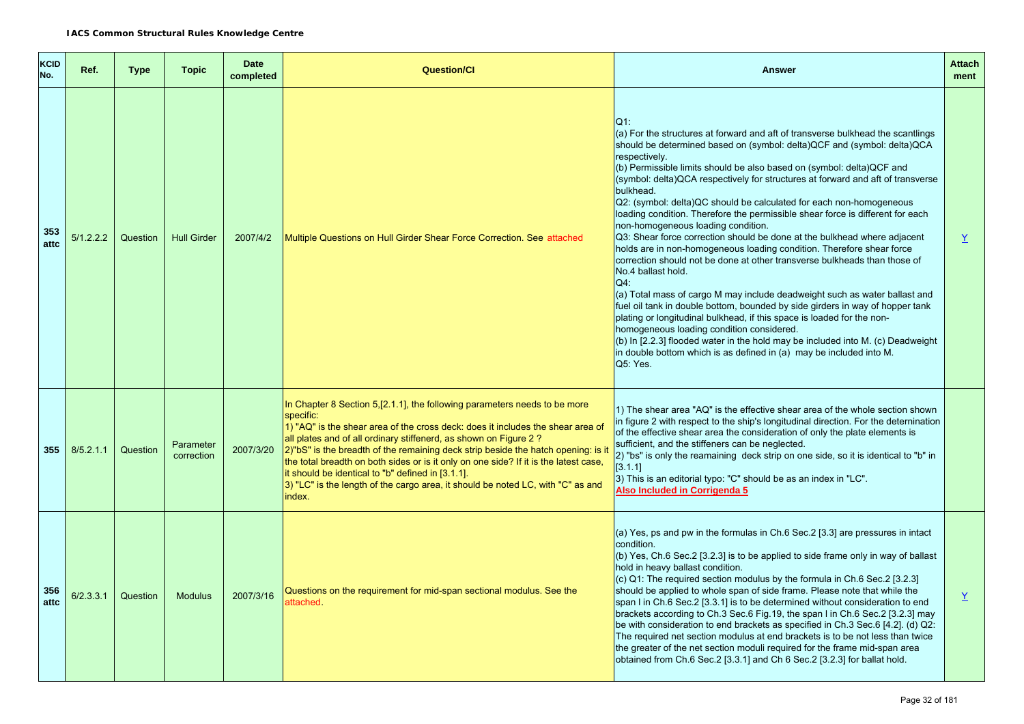| <b>KCID</b><br>No. | Ref.      | <b>Type</b> | <b>Topic</b>            | <b>Date</b><br>completed | <b>Question/Cl</b>                                                                                                                                                                                                                                                                                                                                                                                                                                                                                                                                                            | <b>Answer</b>                                                                                                                                                                                                                                                                                                                                                                                                                                                                                                                                                                                                                                                                                                                                                                                                                                                                                                                                                                                                                                                                                                                                                                                                                                                                                  | <b>Attach</b><br>ment |
|--------------------|-----------|-------------|-------------------------|--------------------------|-------------------------------------------------------------------------------------------------------------------------------------------------------------------------------------------------------------------------------------------------------------------------------------------------------------------------------------------------------------------------------------------------------------------------------------------------------------------------------------------------------------------------------------------------------------------------------|------------------------------------------------------------------------------------------------------------------------------------------------------------------------------------------------------------------------------------------------------------------------------------------------------------------------------------------------------------------------------------------------------------------------------------------------------------------------------------------------------------------------------------------------------------------------------------------------------------------------------------------------------------------------------------------------------------------------------------------------------------------------------------------------------------------------------------------------------------------------------------------------------------------------------------------------------------------------------------------------------------------------------------------------------------------------------------------------------------------------------------------------------------------------------------------------------------------------------------------------------------------------------------------------|-----------------------|
| 353<br>attc        | 5/1.2.2.2 | Question    | <b>Hull Girder</b>      | 2007/4/2                 | Multiple Questions on Hull Girder Shear Force Correction. See attached                                                                                                                                                                                                                                                                                                                                                                                                                                                                                                        | $Q1$ :<br>(a) For the structures at forward and aft of transverse bulkhead the scantlings<br>should be determined based on (symbol: delta) QCF and (symbol: delta) QCA<br>respectively.<br>(b) Permissible limits should be also based on (symbol: delta) QCF and<br>(symbol: delta)QCA respectively for structures at forward and aft of transverse<br>bulkhead.<br>Q2: (symbol: delta)QC should be calculated for each non-homogeneous<br>loading condition. Therefore the permissible shear force is different for each<br>non-homogeneous loading condition.<br>Q3: Shear force correction should be done at the bulkhead where adjacent<br>holds are in non-homogeneous loading condition. Therefore shear force<br>correction should not be done at other transverse bulkheads than those of<br>No.4 ballast hold.<br>$Q4$ :<br>(a) Total mass of cargo M may include deadweight such as water ballast and<br>fuel oil tank in double bottom, bounded by side girders in way of hopper tank<br>plating or longitudinal bulkhead, if this space is loaded for the non-<br>homogeneous loading condition considered.<br>(b) In [2.2.3] flooded water in the hold may be included into M. (c) Deadweight<br>in double bottom which is as defined in (a) may be included into M.<br>Q5: Yes. | $\overline{X}$        |
| 355                | 8/5.2.1.1 | Question    | Parameter<br>correction | 2007/3/20                | In Chapter 8 Section 5, [2.1.1], the following parameters needs to be more<br>specific:<br>1) "AQ" is the shear area of the cross deck: does it includes the shear area of<br>all plates and of all ordinary stiffenerd, as shown on Figure 2?<br>2)"bS" is the breadth of the remaining deck strip beside the hatch opening: is if<br>the total breadth on both sides or is it only on one side? If it is the latest case,<br>it should be identical to "b" defined in [3.1.1].<br>3) "LC" is the length of the cargo area, it should be noted LC, with "C" as and<br>index. | 1) The shear area "AQ" is the effective shear area of the whole section shown<br>in figure 2 with respect to the ship's longitudinal direction. For the deternination<br>of the effective shear area the consideration of only the plate elements is<br>sufficient, and the stiffeners can be neglected.<br>2) "bs" is only the reamaining deck strip on one side, so it is identical to "b" in<br>[3.1.1]<br>3) This is an editorial typo: "C" should be as an index in "LC".<br>Also Included in Corrigenda 5                                                                                                                                                                                                                                                                                                                                                                                                                                                                                                                                                                                                                                                                                                                                                                                |                       |
| 356<br>attc        | 6/2.3.3.1 | Question    | <b>Modulus</b>          | 2007/3/16                | Questions on the requirement for mid-span sectional modulus. See the<br>attached.                                                                                                                                                                                                                                                                                                                                                                                                                                                                                             | (a) Yes, ps and pw in the formulas in Ch.6 Sec.2 [3.3] are pressures in intact<br>condition.<br>(b) Yes, Ch.6 Sec.2 [3.2.3] is to be applied to side frame only in way of ballast<br>hold in heavy ballast condition.<br>(c) Q1: The required section modulus by the formula in Ch.6 Sec.2 [3.2.3]<br>should be applied to whole span of side frame. Please note that while the<br>span I in Ch.6 Sec.2 [3.3.1] is to be determined without consideration to end<br>brackets according to Ch.3 Sec.6 Fig.19, the span I in Ch.6 Sec.2 [3.2.3] may<br>be with consideration to end brackets as specified in Ch.3 Sec.6 [4.2]. (d) Q2:<br>The required net section modulus at end brackets is to be not less than twice<br>the greater of the net section moduli required for the frame mid-span area<br>obtained from Ch.6 Sec.2 [3.3.1] and Ch 6 Sec.2 [3.2.3] for ballat hold.                                                                                                                                                                                                                                                                                                                                                                                                                | $\underline{Y}$       |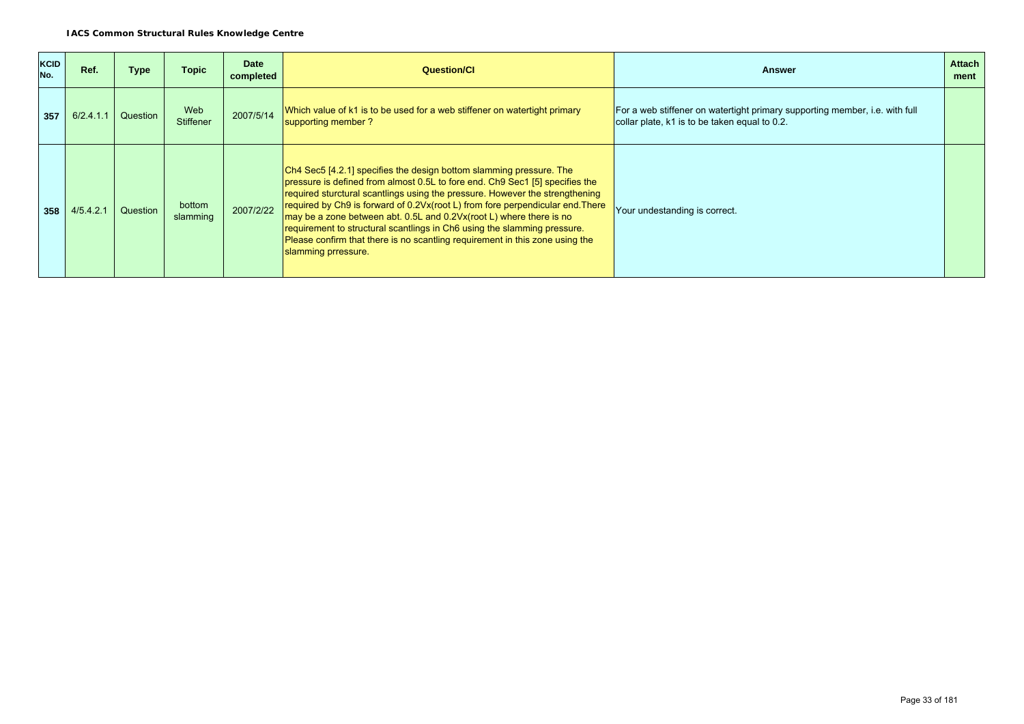| <b>KCID</b><br>No. | Ref.      | Type     | <b>Topic</b>            | <b>Date</b><br>completed | <b>Question/CI</b>                                                                                                                                                                                                                                                                                                                                                                                                                                                                                                                                                              | <b>Answer</b>                                                                                                                | <b>Attach</b><br>ment |
|--------------------|-----------|----------|-------------------------|--------------------------|---------------------------------------------------------------------------------------------------------------------------------------------------------------------------------------------------------------------------------------------------------------------------------------------------------------------------------------------------------------------------------------------------------------------------------------------------------------------------------------------------------------------------------------------------------------------------------|------------------------------------------------------------------------------------------------------------------------------|-----------------------|
| 357                | 6/2.4.1.1 | Question | Web<br><b>Stiffener</b> | 2007/5/14                | Which value of k1 is to be used for a web stiffener on watertight primary<br>supporting member ?                                                                                                                                                                                                                                                                                                                                                                                                                                                                                | For a web stiffener on watertight primary supporting member, i.e. with full<br>collar plate, k1 is to be taken equal to 0.2. |                       |
| 358                | 4/5.4.2.1 | Question | bottom<br>slamming      | 2007/2/22                | Ch4 Sec5 [4.2.1] specifies the design bottom slamming pressure. The<br>pressure is defined from almost 0.5L to fore end. Ch9 Sec1 [5] specifies the<br>required sturctural scantlings using the pressure. However the strengthening<br>required by Ch9 is forward of 0.2Vx(root L) from fore perpendicular end. There<br>may be a zone between abt. 0.5L and 0.2Vx(root L) where there is no<br>requirement to structural scantlings in Ch6 using the slamming pressure.<br>Please confirm that there is no scantling requirement in this zone using the<br>slamming prressure. | Your undestanding is correct.                                                                                                |                       |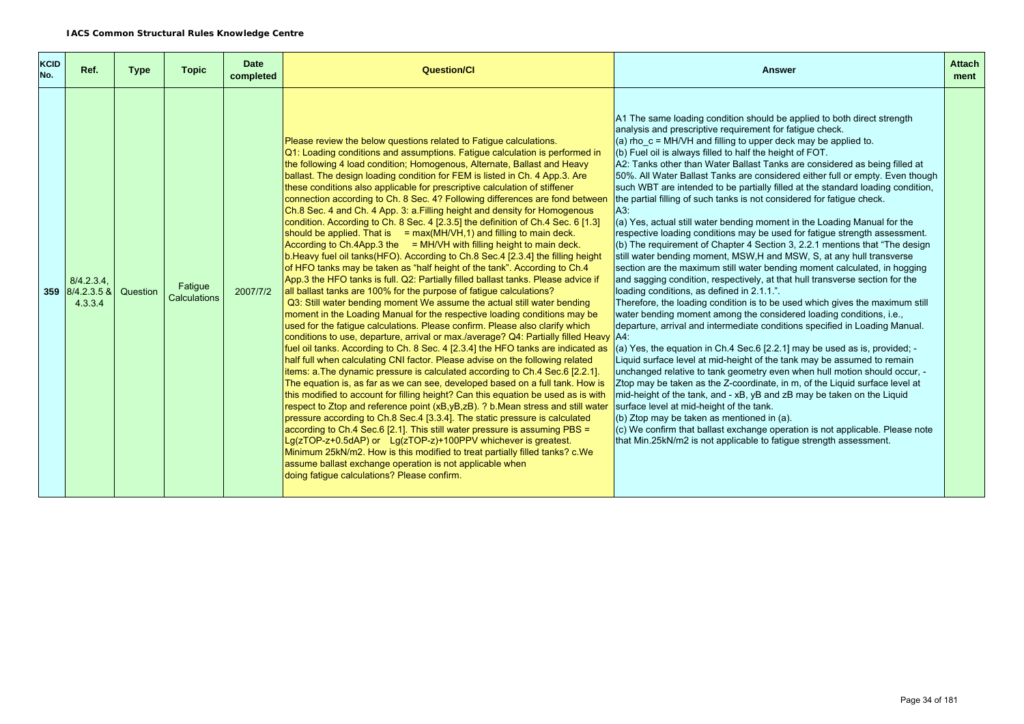| <b>KCID</b><br>No. | Ref.                                        | <b>Type</b> | <b>Topic</b>            | <b>Date</b><br>completed | <b>Question/Cl</b>                                                                                                                                                                                                                                                                                                                                                                                                                                                                                                                                                                                                                                                                                                                                                                                                                                                                                                                                                                                                                                                                                                                                                                                                                                                                                                                                                                                                                                                                                                                                                                                                                                                                                                                                                                                                                                                                                                                                                                                                                                                                                                                                                                                                                                                                                                                                                                                                     | <b>Answer</b>                                                                                                                                                                                                                                                                                                                                                                                                                                                                                                                                                                                                                                                                                                                                                                                                                                                                                                                                                                                                                                                                                                                                                                                                                                                                                                                                                                                                                                                                                                                                                                                                                                                                                                                                                                                                                                                                                                                                                                                                             | <b>Attach</b><br>ment |
|--------------------|---------------------------------------------|-------------|-------------------------|--------------------------|------------------------------------------------------------------------------------------------------------------------------------------------------------------------------------------------------------------------------------------------------------------------------------------------------------------------------------------------------------------------------------------------------------------------------------------------------------------------------------------------------------------------------------------------------------------------------------------------------------------------------------------------------------------------------------------------------------------------------------------------------------------------------------------------------------------------------------------------------------------------------------------------------------------------------------------------------------------------------------------------------------------------------------------------------------------------------------------------------------------------------------------------------------------------------------------------------------------------------------------------------------------------------------------------------------------------------------------------------------------------------------------------------------------------------------------------------------------------------------------------------------------------------------------------------------------------------------------------------------------------------------------------------------------------------------------------------------------------------------------------------------------------------------------------------------------------------------------------------------------------------------------------------------------------------------------------------------------------------------------------------------------------------------------------------------------------------------------------------------------------------------------------------------------------------------------------------------------------------------------------------------------------------------------------------------------------------------------------------------------------------------------------------------------------|---------------------------------------------------------------------------------------------------------------------------------------------------------------------------------------------------------------------------------------------------------------------------------------------------------------------------------------------------------------------------------------------------------------------------------------------------------------------------------------------------------------------------------------------------------------------------------------------------------------------------------------------------------------------------------------------------------------------------------------------------------------------------------------------------------------------------------------------------------------------------------------------------------------------------------------------------------------------------------------------------------------------------------------------------------------------------------------------------------------------------------------------------------------------------------------------------------------------------------------------------------------------------------------------------------------------------------------------------------------------------------------------------------------------------------------------------------------------------------------------------------------------------------------------------------------------------------------------------------------------------------------------------------------------------------------------------------------------------------------------------------------------------------------------------------------------------------------------------------------------------------------------------------------------------------------------------------------------------------------------------------------------------|-----------------------|
|                    | $8/4.2.3.4$ .<br>359 8/4.2.3.5 &<br>4.3.3.4 | Question    | Fatique<br>Calculations | 2007/7/2                 | Please review the below questions related to Fatigue calculations.<br>Q1: Loading conditions and assumptions. Fatigue calculation is performed in<br>the following 4 load condition; Homogenous, Alternate, Ballast and Heavy<br>ballast. The design loading condition for FEM is listed in Ch. 4 App.3. Are<br>these conditions also applicable for prescriptive calculation of stiffener<br>connection according to Ch. 8 Sec. 4? Following differences are fond between<br>Ch.8 Sec. 4 and Ch. 4 App. 3: a. Filling height and density for Homogenous<br>condition. According to Ch. 8 Sec. 4 [2.3.5] the definition of Ch.4 Sec. 6 [1.3]<br>should be applied. That is $= max(MH/VH, 1)$ and filling to main deck.<br>$\vert$ According to Ch.4App.3 the $\vert$ = MH/VH with filling height to main deck.<br>b. Heavy fuel oil tanks (HFO). According to Ch.8 Sec. 4 [2.3.4] the filling height<br>of HFO tanks may be taken as "half height of the tank". According to Ch.4<br>App.3 the HFO tanks is full. Q2: Partially filled ballast tanks. Please advice if<br>all ballast tanks are 100% for the purpose of fatigue calculations?<br>Q3: Still water bending moment We assume the actual still water bending<br>moment in the Loading Manual for the respective loading conditions may be<br>used for the fatigue calculations. Please confirm. Please also clarify which<br>conditions to use, departure, arrival or max./average? Q4: Partially filled Heavy A4:<br>fuel oil tanks. According to Ch. 8 Sec. 4 [2.3.4] the HFO tanks are indicated as<br>half full when calculating CNI factor. Please advise on the following related<br>items: a. The dynamic pressure is calculated according to Ch.4 Sec.6 [2.2.1].<br>The equation is, as far as we can see, developed based on a full tank. How is<br>this modified to account for filling height? Can this equation be used as is with<br>respect to Ztop and reference point (xB,yB,zB). ? b. Mean stress and still water<br>pressure according to Ch.8 Sec.4 [3.3.4]. The static pressure is calculated<br>according to Ch.4 Sec.6 [2.1]. This still water pressure is assuming PBS =<br>Lg(zTOP-z+0.5dAP) or Lg(zTOP-z)+100PPV whichever is greatest.<br>Minimum 25kN/m2. How is this modified to treat partially filled tanks? c.We<br>assume ballast exchange operation is not applicable when<br>doing fatique calculations? Please confirm. | A1 The same loading condition should be applied to both direct strength<br>analysis and prescriptive requirement for fatigue check.<br>(a) rho $c = MH/VH$ and filling to upper deck may be applied to.<br>(b) Fuel oil is always filled to half the height of FOT.<br>A2: Tanks other than Water Ballast Tanks are considered as being filled at<br>50%. All Water Ballast Tanks are considered either full or empty. Even though<br>such WBT are intended to be partially filled at the standard loading condition,<br>the partial filling of such tanks is not considered for fatigue check.<br>A3:<br>(a) Yes, actual still water bending moment in the Loading Manual for the<br>respective loading conditions may be used for fatigue strength assessment.<br>(b) The requirement of Chapter 4 Section 3, 2.2.1 mentions that "The design<br>still water bending moment, MSW, H and MSW, S, at any hull transverse<br>section are the maximum still water bending moment calculated, in hogging<br>and sagging condition, respectively, at that hull transverse section for the<br>loading conditions, as defined in 2.1.1.".<br>Therefore, the loading condition is to be used which gives the maximum still<br>water bending moment among the considered loading conditions, i.e.,<br>departure, arrival and intermediate conditions specified in Loading Manual.<br>(a) Yes, the equation in Ch.4 Sec.6 [2.2.1] may be used as is, provided; -<br>Liquid surface level at mid-height of the tank may be assumed to remain<br>unchanged relative to tank geometry even when hull motion should occur, -<br>Ztop may be taken as the Z-coordinate, in m, of the Liquid surface level at<br>mid-height of the tank, and - xB, yB and zB may be taken on the Liquid<br>surface level at mid-height of the tank.<br>(b) Ztop may be taken as mentioned in (a).<br>(c) We confirm that ballast exchange operation is not applicable. Please note<br>that Min.25kN/m2 is not applicable to fatigue strength assessment. |                       |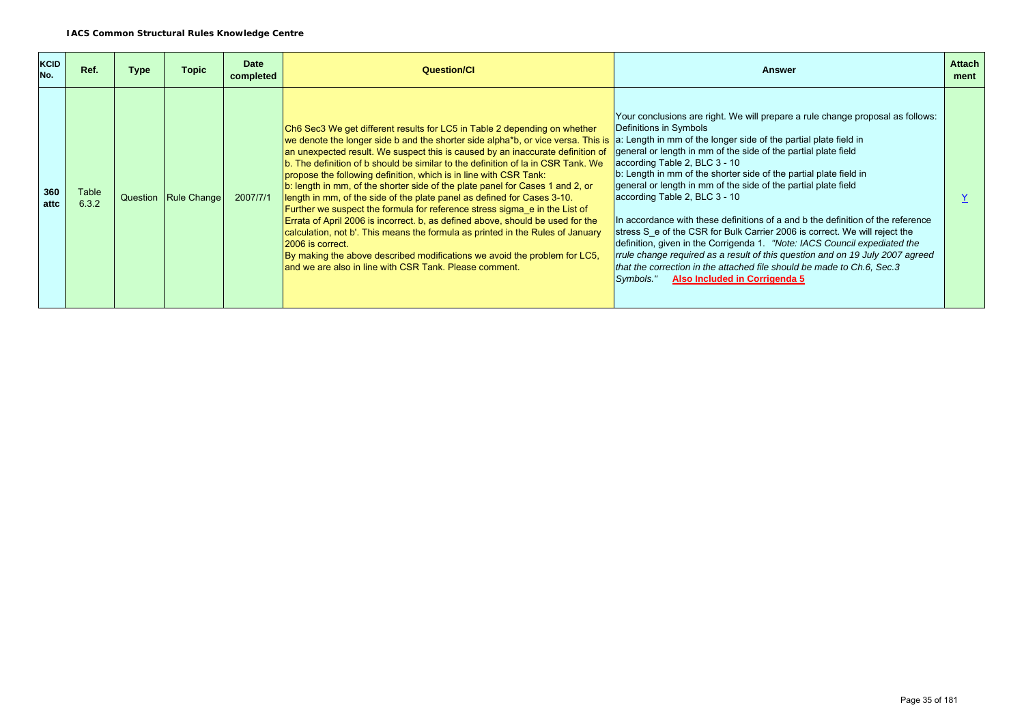| <b>KCID</b><br>No. | Ref.           | <b>Type</b> | <b>Topic</b>           | <b>Date</b><br>completed | <b>Question/CI</b>                                                                                                                                                                                                                                                                                                                                                                                                                                                                                                                                                                                                                                                                                                                                                                                                                                                                                                                                                                                                                                  | <b>Answer</b>                                                                                                                                                                                                                                                                                                                                                                                                                                                                                                                                                                                                                                                                                                                                                                                                                              | <b>Attach</b><br>ment |
|--------------------|----------------|-------------|------------------------|--------------------------|-----------------------------------------------------------------------------------------------------------------------------------------------------------------------------------------------------------------------------------------------------------------------------------------------------------------------------------------------------------------------------------------------------------------------------------------------------------------------------------------------------------------------------------------------------------------------------------------------------------------------------------------------------------------------------------------------------------------------------------------------------------------------------------------------------------------------------------------------------------------------------------------------------------------------------------------------------------------------------------------------------------------------------------------------------|--------------------------------------------------------------------------------------------------------------------------------------------------------------------------------------------------------------------------------------------------------------------------------------------------------------------------------------------------------------------------------------------------------------------------------------------------------------------------------------------------------------------------------------------------------------------------------------------------------------------------------------------------------------------------------------------------------------------------------------------------------------------------------------------------------------------------------------------|-----------------------|
| 360<br>attc        | Table<br>6.3.2 |             | Question   Rule Change | 2007/7/1                 | Ch6 Sec3 We get different results for LC5 in Table 2 depending on whether<br>we denote the longer side b and the shorter side alpha*b, or vice versa. This is a: Length in mm of the longer side of the partial plate field in<br>an unexpected result. We suspect this is caused by an inaccurate definition of<br>b. The definition of b should be similar to the definition of la in CSR Tank. We<br>propose the following definition, which is in line with CSR Tank:<br>b: length in mm, of the shorter side of the plate panel for Cases 1 and 2, or<br>length in mm, of the side of the plate panel as defined for Cases 3-10.<br>Further we suspect the formula for reference stress sigma e in the List of<br>Errata of April 2006 is incorrect. b, as defined above, should be used for the<br>calculation, not b'. This means the formula as printed in the Rules of January<br>2006 is correct.<br>By making the above described modifications we avoid the problem for LC5,<br>land we are also in line with CSR Tank. Please comment. | Your conclusions are right. We will prepare a rule change proposal as follows:<br>Definitions in Symbols<br>general or length in mm of the side of the partial plate field<br>according Table 2, BLC 3 - 10<br>b: Length in mm of the shorter side of the partial plate field in<br>general or length in mm of the side of the partial plate field<br>according Table 2, BLC 3 - 10<br>In accordance with these definitions of a and b the definition of the reference<br>stress S e of the CSR for Bulk Carrier 2006 is correct. We will reject the<br>definition, given in the Corrigenda 1. "Note: IACS Council expediated the<br>rrule change required as a result of this question and on 19 July 2007 agreed<br>that the correction in the attached file should be made to Ch.6, Sec.3<br>Also Included in Corrigenda 5<br>Symbols." |                       |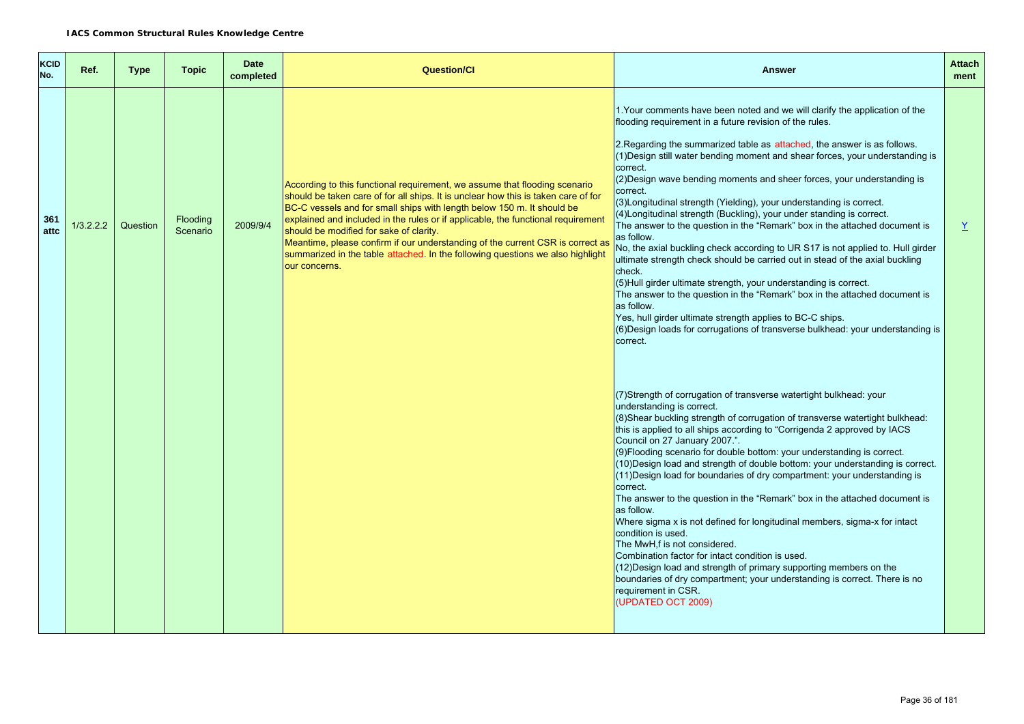| KCID<br>No. | Ref.      | <b>Type</b> | <b>Topic</b>         | <b>Date</b><br>completed | <b>Question/Cl</b>                                                                                                                                                                                                                                                                                                                                                                                                                                                                                                                                             | Answer                                                                                                                                                                                                                                                                                                                                                                                                                                                                                                                                                                                                                                                                                                                                                                                                                                                                                                                                                                                                                                                                                                                                                       | <b>Attach</b><br>ment |
|-------------|-----------|-------------|----------------------|--------------------------|----------------------------------------------------------------------------------------------------------------------------------------------------------------------------------------------------------------------------------------------------------------------------------------------------------------------------------------------------------------------------------------------------------------------------------------------------------------------------------------------------------------------------------------------------------------|--------------------------------------------------------------------------------------------------------------------------------------------------------------------------------------------------------------------------------------------------------------------------------------------------------------------------------------------------------------------------------------------------------------------------------------------------------------------------------------------------------------------------------------------------------------------------------------------------------------------------------------------------------------------------------------------------------------------------------------------------------------------------------------------------------------------------------------------------------------------------------------------------------------------------------------------------------------------------------------------------------------------------------------------------------------------------------------------------------------------------------------------------------------|-----------------------|
| 361<br>attc | 1/3.2.2.2 | Question    | Flooding<br>Scenario | 2009/9/4                 | According to this functional requirement, we assume that flooding scenario<br>should be taken care of for all ships. It is unclear how this is taken care of for<br>BC-C vessels and for small ships with length below 150 m. It should be<br>explained and included in the rules or if applicable, the functional requirement<br>should be modified for sake of clarity.<br>Meantime, please confirm if our understanding of the current CSR is correct as<br>summarized in the table attached. In the following questions we also highlight<br>our concerns. | 1. Your comments have been noted and we will clarify the application of the<br>flooding requirement in a future revision of the rules.<br>2. Regarding the summarized table as attached, the answer is as follows.<br>(1) Design still water bending moment and shear forces, your understanding is<br>correct.<br>(2) Design wave bending moments and sheer forces, your understanding is<br>correct.<br>(3) Longitudinal strength (Yielding), your understanding is correct.<br>(4) Longitudinal strength (Buckling), your under standing is correct.<br>The answer to the question in the "Remark" box in the attached document is<br>as follow.<br>No, the axial buckling check according to UR S17 is not applied to. Hull girder<br>ultimate strength check should be carried out in stead of the axial buckling<br>check.<br>(5)Hull girder ultimate strength, your understanding is correct.<br>The answer to the question in the "Remark" box in the attached document is<br>as follow.<br>Yes, hull girder ultimate strength applies to BC-C ships.<br>(6) Design loads for corrugations of transverse bulkhead: your understanding is<br>correct. | Y                     |
|             |           |             |                      |                          |                                                                                                                                                                                                                                                                                                                                                                                                                                                                                                                                                                | (7) Strength of corrugation of transverse watertight bulkhead: your<br>understanding is correct.<br>(8) Shear buckling strength of corrugation of transverse watertight bulkhead:<br>this is applied to all ships according to "Corrigenda 2 approved by IACS<br>Council on 27 January 2007.".<br>(9) Flooding scenario for double bottom: your understanding is correct.<br>(10) Design load and strength of double bottom: your understanding is correct.<br>(11) Design load for boundaries of dry compartment: your understanding is<br>correct.<br>The answer to the question in the "Remark" box in the attached document is<br>as follow.<br>Where sigma x is not defined for longitudinal members, sigma-x for intact<br>condition is used.<br>The MwH,f is not considered.<br>Combination factor for intact condition is used.<br>(12) Design load and strength of primary supporting members on the<br>boundaries of dry compartment; your understanding is correct. There is no<br>requirement in CSR.<br>(UPDATED OCT 2009)                                                                                                                      |                       |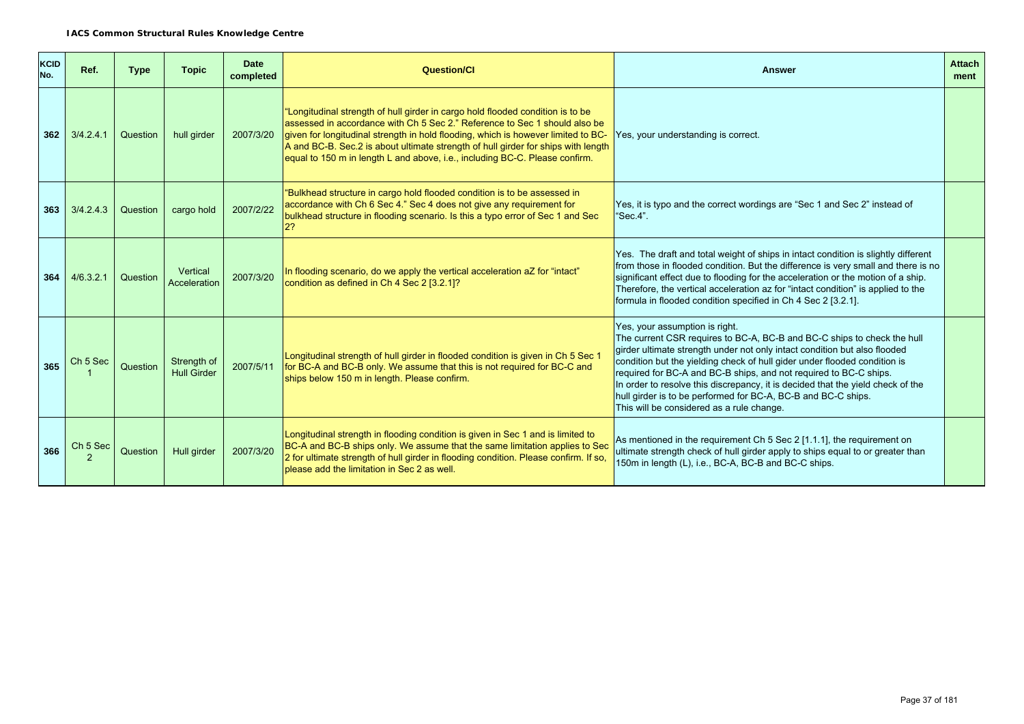| KCID<br>No. | Ref.                | <b>Type</b> | <b>Topic</b>                      | <b>Date</b><br>completed | <b>Question/CI</b>                                                                                                                                                                                                                                                                                                                                                                                                    | <b>Answer</b>                                                                                                                                                                                                                                                                                                                                                                                                                                                                                                                             | <b>Attach</b><br>ment |
|-------------|---------------------|-------------|-----------------------------------|--------------------------|-----------------------------------------------------------------------------------------------------------------------------------------------------------------------------------------------------------------------------------------------------------------------------------------------------------------------------------------------------------------------------------------------------------------------|-------------------------------------------------------------------------------------------------------------------------------------------------------------------------------------------------------------------------------------------------------------------------------------------------------------------------------------------------------------------------------------------------------------------------------------------------------------------------------------------------------------------------------------------|-----------------------|
| 362         | 3/4.2.4.1           | Question    | hull girder                       | 2007/3/20                | "Longitudinal strength of hull girder in cargo hold flooded condition is to be<br>assessed in accordance with Ch 5 Sec 2." Reference to Sec 1 should also be<br>given for longitudinal strength in hold flooding, which is however limited to BC-<br>A and BC-B. Sec.2 is about ultimate strength of hull girder for ships with length<br>equal to 150 m in length L and above, i.e., including BC-C. Please confirm. | Yes, your understanding is correct.                                                                                                                                                                                                                                                                                                                                                                                                                                                                                                       |                       |
| 363         | 3/4.2.4.3           | Question    | cargo hold                        | 2007/2/22                | "Bulkhead structure in cargo hold flooded condition is to be assessed in<br>accordance with Ch 6 Sec 4." Sec 4 does not give any requirement for<br>bulkhead structure in flooding scenario. Is this a typo error of Sec 1 and Sec                                                                                                                                                                                    | Yes, it is typo and the correct wordings are "Sec 1 and Sec 2" instead of<br>"Sec.4".                                                                                                                                                                                                                                                                                                                                                                                                                                                     |                       |
| 364         | 4/6.3.2.1           | Question    | Vertical<br>Acceleration          | 2007/3/20                | In flooding scenario, do we apply the vertical acceleration aZ for "intact"<br>condition as defined in Ch 4 Sec 2 [3.2.1]?                                                                                                                                                                                                                                                                                            | Yes. The draft and total weight of ships in intact condition is slightly different<br>from those in flooded condition. But the difference is very small and there is no<br>significant effect due to flooding for the acceleration or the motion of a ship.<br>Therefore, the vertical acceleration az for "intact condition" is applied to the<br>formula in flooded condition specified in Ch 4 Sec 2 [3.2.1].                                                                                                                          |                       |
| 365         | Ch <sub>5</sub> Sec | Question    | Strength of<br><b>Hull Girder</b> | 2007/5/11                | Longitudinal strength of hull girder in flooded condition is given in Ch 5 Sec 1<br>for BC-A and BC-B only. We assume that this is not required for BC-C and<br>ships below 150 m in length. Please confirm.                                                                                                                                                                                                          | Yes, your assumption is right.<br>The current CSR requires to BC-A, BC-B and BC-C ships to check the hull<br>girder ultimate strength under not only intact condition but also flooded<br>condition but the yielding check of hull gider under flooded condition is<br>required for BC-A and BC-B ships, and not required to BC-C ships.<br>In order to resolve this discrepancy, it is decided that the yield check of the<br>hull girder is to be performed for BC-A, BC-B and BC-C ships.<br>This will be considered as a rule change. |                       |
| 366         | Ch <sub>5</sub> Sec | Question    | Hull girder                       | 2007/3/20                | Longitudinal strength in flooding condition is given in Sec 1 and is limited to<br>BC-A and BC-B ships only. We assume that the same limitation applies to Sec<br>2 for ultimate strength of hull girder in flooding condition. Please confirm. If so,<br>please add the limitation in Sec 2 as well.                                                                                                                 | As mentioned in the requirement Ch 5 Sec 2 [1.1.1], the requirement on<br>ultimate strength check of hull girder apply to ships equal to or greater than<br>150m in length (L), i.e., BC-A, BC-B and BC-C ships.                                                                                                                                                                                                                                                                                                                          |                       |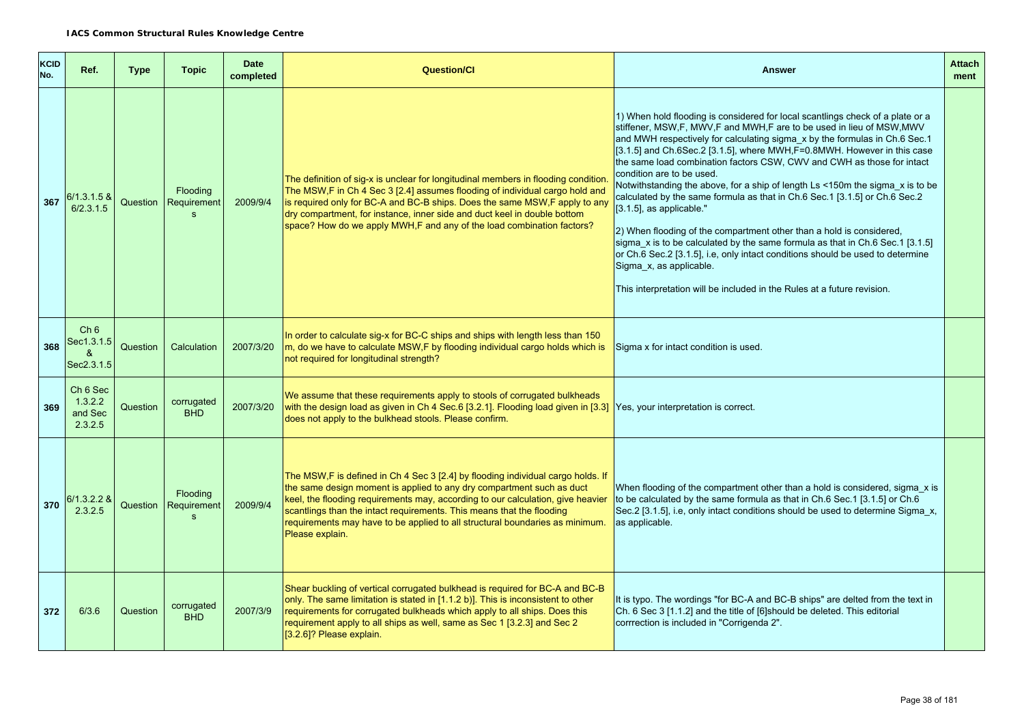| KCID<br>No. | Ref.                                                 | <b>Type</b> | <b>Topic</b>                            | <b>Date</b><br>completed | <b>Question/Cl</b>                                                                                                                                                                                                                                                                                                                                                                                                       | <b>Answer</b>                                                                                                                                                                                                                                                                                                                                                                                                                                                                                                                                                                                                                                                                                                                                                                                                                                                                                                                                                          | <b>Attach</b><br>ment |
|-------------|------------------------------------------------------|-------------|-----------------------------------------|--------------------------|--------------------------------------------------------------------------------------------------------------------------------------------------------------------------------------------------------------------------------------------------------------------------------------------------------------------------------------------------------------------------------------------------------------------------|------------------------------------------------------------------------------------------------------------------------------------------------------------------------------------------------------------------------------------------------------------------------------------------------------------------------------------------------------------------------------------------------------------------------------------------------------------------------------------------------------------------------------------------------------------------------------------------------------------------------------------------------------------------------------------------------------------------------------------------------------------------------------------------------------------------------------------------------------------------------------------------------------------------------------------------------------------------------|-----------------------|
| 367         | 6/1.3.1.5 &<br>6/2.3.1.5                             |             | Flooding<br>Question   Requirement<br>S | 2009/9/4                 | The definition of sig-x is unclear for longitudinal members in flooding condition<br>The MSW,F in Ch 4 Sec 3 [2.4] assumes flooding of individual cargo hold and<br>is required only for BC-A and BC-B ships. Does the same MSW,F apply to any<br>dry compartment, for instance, inner side and duct keel in double bottom<br>space? How do we apply MWH, F and any of the load combination factors?                     | 1) When hold flooding is considered for local scantlings check of a plate or a<br>stiffener, MSW, F, MWV, F and MWH, F are to be used in lieu of MSW, MWV<br>and MWH respectively for calculating sigma_x by the formulas in Ch.6 Sec.1<br>[3.1.5] and Ch.6Sec.2 [3.1.5], where MWH, F=0.8MWH. However in this case<br>the same load combination factors CSW, CWV and CWH as those for intact<br>condition are to be used.<br>Notwithstanding the above, for a ship of length Ls <150m the sigma x is to be<br>calculated by the same formula as that in Ch.6 Sec.1 [3.1.5] or Ch.6 Sec.2<br>[3.1.5], as applicable."<br>2) When flooding of the compartment other than a hold is considered,<br>sigma_x is to be calculated by the same formula as that in Ch.6 Sec.1 [3.1.5]<br>or Ch.6 Sec.2 [3.1.5], i.e, only intact conditions should be used to determine<br>Sigma x, as applicable.<br>This interpretation will be included in the Rules at a future revision. |                       |
| 368         | Ch <sub>6</sub><br>Sec1.3.1.5<br>&<br>Sec2.3.1.5     | Question    | Calculation                             | 2007/3/20                | In order to calculate sig-x for BC-C ships and ships with length less than 150<br>m, do we have to calculate MSW, F by flooding individual cargo holds which is<br>not required for longitudinal strength?                                                                                                                                                                                                               | Sigma x for intact condition is used.                                                                                                                                                                                                                                                                                                                                                                                                                                                                                                                                                                                                                                                                                                                                                                                                                                                                                                                                  |                       |
| 369         | Ch <sub>6</sub> Sec<br>1.3.2.2<br>and Sec<br>2.3.2.5 | Question    | corrugated<br><b>BHD</b>                | 2007/3/20                | We assume that these requirements apply to stools of corrugated bulkheads<br>with the design load as given in Ch 4 Sec.6 [3.2.1]. Flooding load given in [3.3] Yes, your interpretation is correct.<br>does not apply to the bulkhead stools. Please confirm.                                                                                                                                                            |                                                                                                                                                                                                                                                                                                                                                                                                                                                                                                                                                                                                                                                                                                                                                                                                                                                                                                                                                                        |                       |
| 370         | 3/1.3.2.2 &<br>2.3.2.5                               |             | Flooding<br>Question   Requirement<br>S | 2009/9/4                 | The MSW, F is defined in Ch 4 Sec 3 [2.4] by flooding individual cargo holds. If<br>the same design moment is applied to any dry compartment such as duct<br>keel, the flooding requirements may, according to our calculation, give heavier<br>scantlings than the intact requirements. This means that the flooding<br>requirements may have to be applied to all structural boundaries as minimum.<br>Please explain. | When flooding of the compartment other than a hold is considered, sigma x is<br>to be calculated by the same formula as that in Ch.6 Sec.1 [3.1.5] or Ch.6<br>Sec.2 [3.1.5], i.e, only intact conditions should be used to determine Sigma x,<br>as applicable.                                                                                                                                                                                                                                                                                                                                                                                                                                                                                                                                                                                                                                                                                                        |                       |
| 372         | 6/3.6                                                | Question    | corrugated<br><b>BHD</b>                | 2007/3/9                 | Shear buckling of vertical corrugated bulkhead is required for BC-A and BC-B<br>only. The same limitation is stated in [1.1.2 b)]. This is inconsistent to other<br>requirements for corrugated bulkheads which apply to all ships. Does this<br>requirement apply to all ships as well, same as Sec 1 [3.2.3] and Sec 2<br>[3.2.6]? Please explain.                                                                     | It is typo. The wordings "for BC-A and BC-B ships" are delted from the text in<br>Ch. 6 Sec 3 [1.1.2] and the title of [6] should be deleted. This editorial<br>corrrection is included in "Corrigenda 2".                                                                                                                                                                                                                                                                                                                                                                                                                                                                                                                                                                                                                                                                                                                                                             |                       |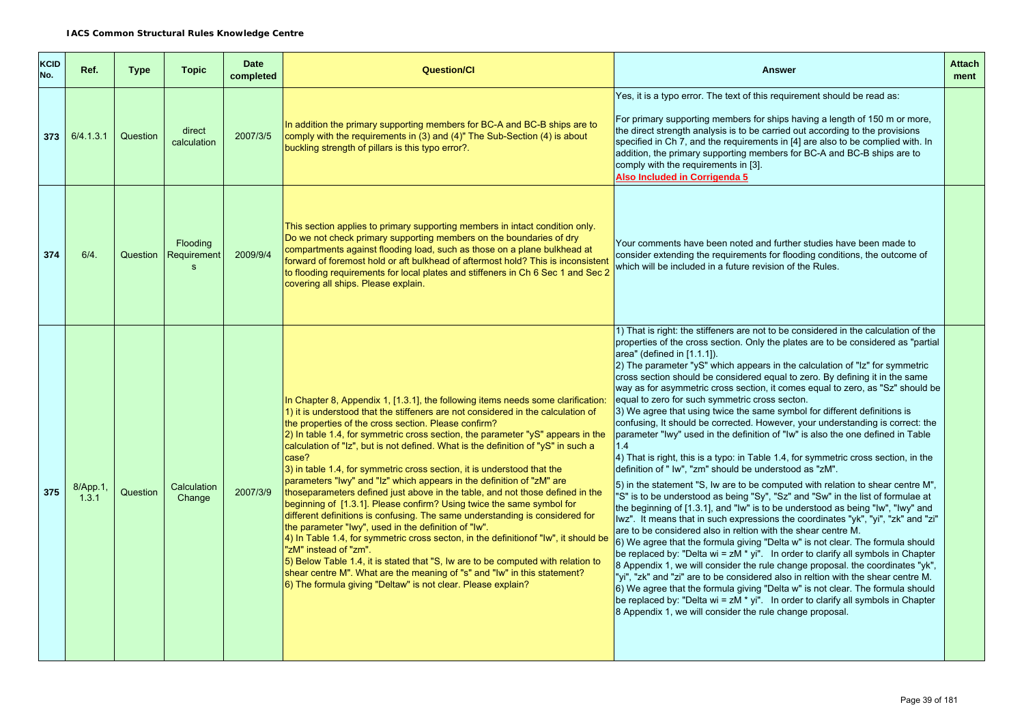| KCID<br>No. | Ref.              | <b>Type</b> | <b>Topic</b>                                   | <b>Date</b><br>completed | <b>Question/Cl</b>                                                                                                                                                                                                                                                                                                                                                                                                                                                                                                                                                                                                                                                                                                                                                                                                                                                                                                                                                                                                                                                                                                                                                                                                                     | <b>Answer</b>                                                                                                                                                                                                                                                                                                                                                                                                                                                                                                                                                                                                                                                                                                                                                                                                                                                                                                                                                                                                                                                                                                                                                                                                                                                                                                                                                                                                                                                                                                                                                                                                                                                                                                                                                                                                                                                                                                                              | <b>Attach</b><br>ment |
|-------------|-------------------|-------------|------------------------------------------------|--------------------------|----------------------------------------------------------------------------------------------------------------------------------------------------------------------------------------------------------------------------------------------------------------------------------------------------------------------------------------------------------------------------------------------------------------------------------------------------------------------------------------------------------------------------------------------------------------------------------------------------------------------------------------------------------------------------------------------------------------------------------------------------------------------------------------------------------------------------------------------------------------------------------------------------------------------------------------------------------------------------------------------------------------------------------------------------------------------------------------------------------------------------------------------------------------------------------------------------------------------------------------|--------------------------------------------------------------------------------------------------------------------------------------------------------------------------------------------------------------------------------------------------------------------------------------------------------------------------------------------------------------------------------------------------------------------------------------------------------------------------------------------------------------------------------------------------------------------------------------------------------------------------------------------------------------------------------------------------------------------------------------------------------------------------------------------------------------------------------------------------------------------------------------------------------------------------------------------------------------------------------------------------------------------------------------------------------------------------------------------------------------------------------------------------------------------------------------------------------------------------------------------------------------------------------------------------------------------------------------------------------------------------------------------------------------------------------------------------------------------------------------------------------------------------------------------------------------------------------------------------------------------------------------------------------------------------------------------------------------------------------------------------------------------------------------------------------------------------------------------------------------------------------------------------------------------------------------------|-----------------------|
| 373         | 6/4.1.3.1         | Question    | direct<br>calculation                          | 2007/3/5                 | In addition the primary supporting members for BC-A and BC-B ships are to<br>comply with the requirements in (3) and (4)" The Sub-Section (4) is about<br>buckling strength of pillars is this typo error?.                                                                                                                                                                                                                                                                                                                                                                                                                                                                                                                                                                                                                                                                                                                                                                                                                                                                                                                                                                                                                            | Yes, it is a typo error. The text of this requirement should be read as:<br>For primary supporting members for ships having a length of 150 m or more,<br>the direct strength analysis is to be carried out according to the provisions<br>specified in Ch 7, and the requirements in [4] are also to be complied with. In<br>addition, the primary supporting members for BC-A and BC-B ships are to<br>comply with the requirements in [3].<br>Also Included in Corrigenda 5                                                                                                                                                                                                                                                                                                                                                                                                                                                                                                                                                                                                                                                                                                                                                                                                                                                                                                                                                                                                                                                                                                                                                                                                                                                                                                                                                                                                                                                             |                       |
| 374         | 6/4.              | Question    | <b>Flooding</b><br>Requirement<br>$\mathbf{s}$ | 2009/9/4                 | This section applies to primary supporting members in intact condition only.<br>Do we not check primary supporting members on the boundaries of dry<br>compartments against flooding load, such as those on a plane bulkhead at<br>forward of foremost hold or aft bulkhead of aftermost hold? This is inconsistent<br>to flooding requirements for local plates and stiffeners in Ch 6 Sec 1 and Sec 2<br>covering all ships. Please explain.                                                                                                                                                                                                                                                                                                                                                                                                                                                                                                                                                                                                                                                                                                                                                                                         | Your comments have been noted and further studies have been made to<br>consider extending the requirements for flooding conditions, the outcome of<br>which will be included in a future revision of the Rules.                                                                                                                                                                                                                                                                                                                                                                                                                                                                                                                                                                                                                                                                                                                                                                                                                                                                                                                                                                                                                                                                                                                                                                                                                                                                                                                                                                                                                                                                                                                                                                                                                                                                                                                            |                       |
| 375         | 8/App.1,<br>1.3.1 | Question    | Calculation<br>Change                          | 2007/3/9                 | In Chapter 8, Appendix 1, [1.3.1], the following items needs some clarification:<br>1) it is understood that the stiffeners are not considered in the calculation of<br>the properties of the cross section. Please confirm?<br>$\vert$ 2) In table 1.4, for symmetric cross section, the parameter " $\sqrt{S}$ " appears in the<br>calculation of "Iz", but is not defined. What is the definition of "yS" in such a<br>case?<br>3) in table 1.4, for symmetric cross section, it is understood that the<br>parameters "Iwy" and "Iz" which appears in the definition of "zM" are<br>thoseparameters defined just above in the table, and not those defined in the<br>beginning of [1.3.1]. Please confirm? Using twice the same symbol for<br>different definitions is confusing. The same understanding is considered for<br>the parameter "Iwy", used in the definition of "Iw".<br>4) In Table 1.4, for symmetric cross secton, in the definition of "Iw", it should be<br>"zM" instead of "zm".<br>5) Below Table 1.4, it is stated that "S, Iw are to be computed with relation to<br>shear centre M". What are the meaning of "s" and "Iw" in this statement?<br>6) The formula giving "Deltaw" is not clear. Please explain? | 1) That is right: the stiffeners are not to be considered in the calculation of the<br>properties of the cross section. Only the plates are to be considered as "partial<br>area" (defined in [1.1.1]).<br>$\vert$ 2) The parameter "yS" which appears in the calculation of " $\vert$ z" for symmetric<br>cross section should be considered equal to zero. By defining it in the same<br>way as for asymmetric cross section, it comes equal to zero, as "Sz" should be<br>equal to zero for such symmetric cross secton.<br>3) We agree that using twice the same symbol for different definitions is<br>confusing, It should be corrected. However, your understanding is correct: the<br>parameter "Iwy" used in the definition of "Iw" is also the one defined in Table<br>1.4<br>4) That is right, this is a typo: in Table 1.4, for symmetric cross section, in the<br>definition of " lw", "zm" should be understood as "zM".<br>5) in the statement "S, Iw are to be computed with relation to shear centre M",<br>"S" is to be understood as being "Sy", "Sz" and "Sw" in the list of formulae at<br>the beginning of [1.3.1], and "Iw" is to be understood as being "Iw", "Iwy" and<br>lwz". It means that in such expressions the coordinates "yk", "yi", "zk" and "zi"<br>are to be considered also in reltion with the shear centre M.<br>6) We agree that the formula giving "Delta w" is not clear. The formula should<br>be replaced by: "Delta wi = $zM * yi$ ". In order to clarify all symbols in Chapter<br>8 Appendix 1, we will consider the rule change proposal. the coordinates "yk",<br>"yi", "zk" and "zi" are to be considered also in reltion with the shear centre M.<br>6) We agree that the formula giving "Delta w" is not clear. The formula should<br>be replaced by: "Delta wi = $zM * yi$ ". In order to clarify all symbols in Chapter<br>8 Appendix 1, we will consider the rule change proposal. |                       |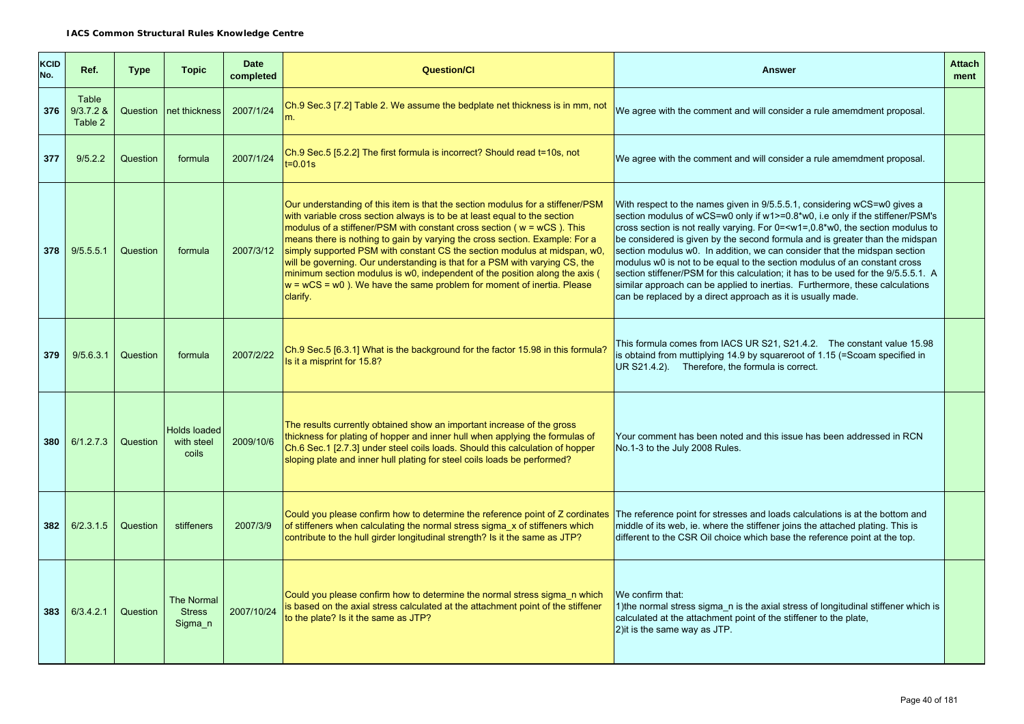| KCID<br>No. | Ref.                            | <b>Type</b> | <b>Topic</b>                                  | <b>Date</b><br>completed | <b>Question/CI</b>                                                                                                                                                                                                                                                                                                                                                                                                                                                                                                                                                                                                                                      | <b>Answer</b>                                                                                                                                                                                                                                                                                                                                                                                                                                                                                                                                                                                                                                                                                                                                              | <b>Attach</b><br>ment |
|-------------|---------------------------------|-------------|-----------------------------------------------|--------------------------|---------------------------------------------------------------------------------------------------------------------------------------------------------------------------------------------------------------------------------------------------------------------------------------------------------------------------------------------------------------------------------------------------------------------------------------------------------------------------------------------------------------------------------------------------------------------------------------------------------------------------------------------------------|------------------------------------------------------------------------------------------------------------------------------------------------------------------------------------------------------------------------------------------------------------------------------------------------------------------------------------------------------------------------------------------------------------------------------------------------------------------------------------------------------------------------------------------------------------------------------------------------------------------------------------------------------------------------------------------------------------------------------------------------------------|-----------------------|
| 376         | Table<br>$9/3.7.2$ &<br>Table 2 |             | Question Inet thickness                       | 2007/1/24                | Ch.9 Sec.3 [7.2] Table 2. We assume the bedplate net thickness is in mm, not<br>m.                                                                                                                                                                                                                                                                                                                                                                                                                                                                                                                                                                      | We agree with the comment and will consider a rule amemdment proposal.                                                                                                                                                                                                                                                                                                                                                                                                                                                                                                                                                                                                                                                                                     |                       |
| 377         | 9/5.2.2                         | Question    | formula                                       | 2007/1/24                | Ch.9 Sec.5 [5.2.2] The first formula is incorrect? Should read t=10s, not<br>t=0.01s                                                                                                                                                                                                                                                                                                                                                                                                                                                                                                                                                                    | We agree with the comment and will consider a rule amemdment proposal.                                                                                                                                                                                                                                                                                                                                                                                                                                                                                                                                                                                                                                                                                     |                       |
| 378         | 9/5.5.5.1                       | Question    | formula                                       | 2007/3/12                | Our understanding of this item is that the section modulus for a stiffener/PSM<br>with variable cross section always is to be at least equal to the section<br>modulus of a stiffener/PSM with constant cross section (w = wCS). This<br>means there is nothing to gain by varying the cross section. Example: For a<br>simply supported PSM with constant CS the section modulus at midspan, w0,<br>will be governing. Our understanding is that for a PSM with varying CS, the<br>minimum section modulus is w0, independent of the position along the axis (<br>$w = wCS = w0$ ). We have the same problem for moment of inertia. Please<br>clarify. | With respect to the names given in 9/5.5.5.1, considering wCS=w0 gives a<br>section modulus of wCS=w0 only if w1>=0.8*w0, i.e only if the stiffener/PSM's<br>cross section is not really varying. For 0= <w1=,0.8*w0, modulus="" section="" the="" to<br="">be considered is given by the second formula and is greater than the midspan<br/>section modulus w0. In addition, we can consider that the midspan section<br/>modulus w0 is not to be equal to the section modulus of an constant cross<br/>section stiffener/PSM for this calculation; it has to be used for the 9/5.5.5.1. A<br/>similar approach can be applied to inertias. Furthermore, these calculations<br/>can be replaced by a direct approach as it is usually made.</w1=,0.8*w0,> |                       |
| 379         | 9/5.6.3.1                       | Question    | formula                                       | 2007/2/22                | Ch.9 Sec.5 [6.3.1] What is the background for the factor 15.98 in this formula?<br>Is it a misprint for 15.8?                                                                                                                                                                                                                                                                                                                                                                                                                                                                                                                                           | This formula comes from IACS UR S21, S21.4.2. The constant value 15.98<br>is obtaind from muttiplying 14.9 by squareroot of 1.15 (=Scoam specified in<br>UR S21.4.2). Therefore, the formula is correct.                                                                                                                                                                                                                                                                                                                                                                                                                                                                                                                                                   |                       |
| 380         | 6/1.2.7.3                       | Question    | <b>Holds loaded</b><br>with steel<br>coils    | 2009/10/6                | The results currently obtained show an important increase of the gross<br>thickness for plating of hopper and inner hull when applying the formulas of<br>Ch.6 Sec.1 [2.7.3] under steel coils loads. Should this calculation of hopper<br>sloping plate and inner hull plating for steel coils loads be performed?                                                                                                                                                                                                                                                                                                                                     | Your comment has been noted and this issue has been addressed in RCN<br>No.1-3 to the July 2008 Rules.                                                                                                                                                                                                                                                                                                                                                                                                                                                                                                                                                                                                                                                     |                       |
| 382         | 6/2.3.1.5                       | Question    | stiffeners                                    | 2007/3/9                 | Could you please confirm how to determine the reference point of Z cordinates The reference point for stresses and loads calculations is at the bottom and<br>of stiffeners when calculating the normal stress sigma x of stiffeners which<br>contribute to the hull girder longitudinal strength? Is it the same as JTP?                                                                                                                                                                                                                                                                                                                               | middle of its web, ie. where the stiffener joins the attached plating. This is<br>different to the CSR Oil choice which base the reference point at the top.                                                                                                                                                                                                                                                                                                                                                                                                                                                                                                                                                                                               |                       |
| 383         | 6/3.4.2.1                       | Question    | <b>The Normal</b><br><b>Stress</b><br>Sigma n | 2007/10/24               | Could you please confirm how to determine the normal stress sigma n which<br>is based on the axial stress calculated at the attachment point of the stiffener<br>to the plate? Is it the same as JTP?                                                                                                                                                                                                                                                                                                                                                                                                                                                   | We confirm that:<br>1) the normal stress sigma n is the axial stress of longitudinal stiffener which is<br>calculated at the attachment point of the stiffener to the plate,<br>2) it is the same way as JTP.                                                                                                                                                                                                                                                                                                                                                                                                                                                                                                                                              |                       |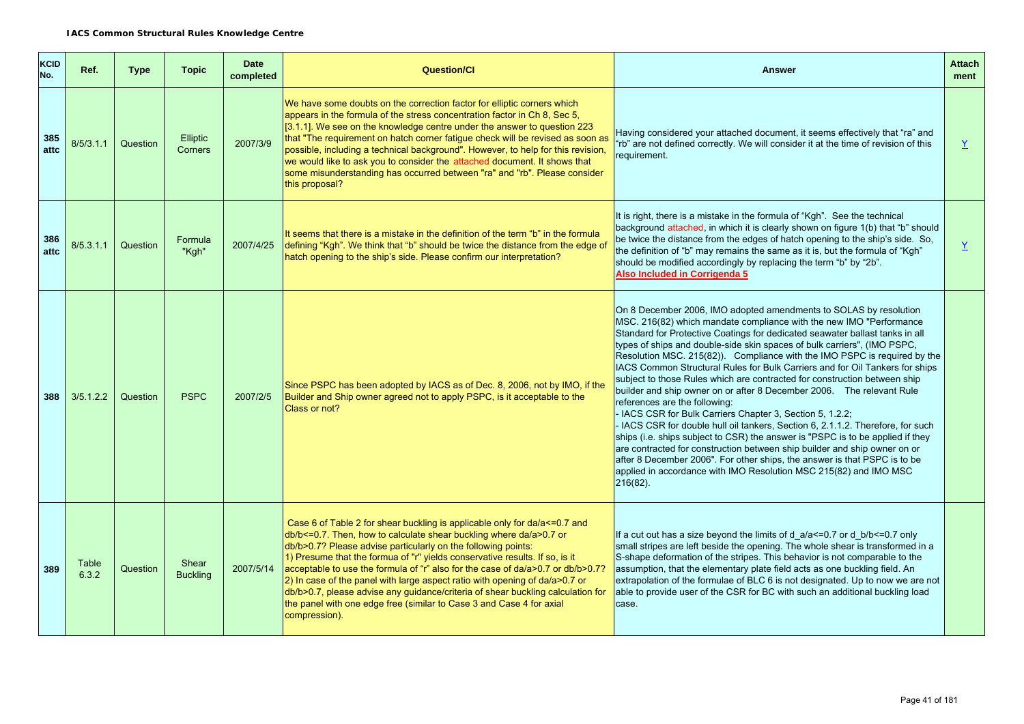| <b>KCID</b><br>No. | Ref.           | <b>Type</b> | <b>Topic</b>             | <b>Date</b><br>completed | <b>Question/CI</b>                                                                                                                                                                                                                                                                                                                                                                                                                                                                                                                                                                                                                                    | <b>Answer</b>                                                                                                                                                                                                                                                                                                                                                                                                                                                                                                                                                                                                                                                                                                                                                                                                                                                                                                                                                                                                                                                                                                                             | <b>Attach</b><br>ment |
|--------------------|----------------|-------------|--------------------------|--------------------------|-------------------------------------------------------------------------------------------------------------------------------------------------------------------------------------------------------------------------------------------------------------------------------------------------------------------------------------------------------------------------------------------------------------------------------------------------------------------------------------------------------------------------------------------------------------------------------------------------------------------------------------------------------|-------------------------------------------------------------------------------------------------------------------------------------------------------------------------------------------------------------------------------------------------------------------------------------------------------------------------------------------------------------------------------------------------------------------------------------------------------------------------------------------------------------------------------------------------------------------------------------------------------------------------------------------------------------------------------------------------------------------------------------------------------------------------------------------------------------------------------------------------------------------------------------------------------------------------------------------------------------------------------------------------------------------------------------------------------------------------------------------------------------------------------------------|-----------------------|
| 385<br>attc        | 8/5/3.1.1      | Question    | Elliptic<br>Corners      | 2007/3/9                 | We have some doubts on the correction factor for elliptic corners which<br>appears in the formula of the stress concentration factor in Ch 8, Sec 5,<br>[3.1.1]. We see on the knowledge centre under the answer to question 223<br>that "The requirement on hatch corner fatigue check will be revised as soon as<br>possible, including a technical background". However, to help for this revision,<br>we would like to ask you to consider the attached document. It shows that<br>some misunderstanding has occurred between "ra" and "rb". Please consider<br>this proposal?                                                                    | Having considered your attached document, it seems effectively that "ra" and<br>'rb" are not defined correctly. We will consider it at the time of revision of this<br>requirement.                                                                                                                                                                                                                                                                                                                                                                                                                                                                                                                                                                                                                                                                                                                                                                                                                                                                                                                                                       | Y                     |
| 386<br>attc        | 8/5.3.1.1      | Question    | Formula<br>"Kgh"         | 2007/4/25                | It seems that there is a mistake in the definition of the term "b" in the formula<br>defining "Kgh". We think that "b" should be twice the distance from the edge of<br>hatch opening to the ship's side. Please confirm our interpretation?                                                                                                                                                                                                                                                                                                                                                                                                          | It is right, there is a mistake in the formula of "Kgh". See the technical<br>background attached, in which it is clearly shown on figure 1(b) that "b" should<br>be twice the distance from the edges of hatch opening to the ship's side. So,<br>the definition of "b" may remains the same as it is, but the formula of "Kgh"<br>should be modified accordingly by replacing the term "b" by "2b".<br>Also Included in Corrigenda 5                                                                                                                                                                                                                                                                                                                                                                                                                                                                                                                                                                                                                                                                                                    | $\underline{Y}$       |
| 388                | 3/5.1.2.2      | Question    | <b>PSPC</b>              | 2007/2/5                 | Since PSPC has been adopted by IACS as of Dec. 8, 2006, not by IMO, if the<br>Builder and Ship owner agreed not to apply PSPC, is it acceptable to the<br>Class or not?                                                                                                                                                                                                                                                                                                                                                                                                                                                                               | On 8 December 2006, IMO adopted amendments to SOLAS by resolution<br>MSC. 216(82) which mandate compliance with the new IMO "Performance<br>Standard for Protective Coatings for dedicated seawater ballast tanks in all<br>types of ships and double-side skin spaces of bulk carriers", (IMO PSPC,<br>Resolution MSC. 215(82)). Compliance with the IMO PSPC is required by the<br>IACS Common Structural Rules for Bulk Carriers and for Oil Tankers for ships<br>subject to those Rules which are contracted for construction between ship<br>builder and ship owner on or after 8 December 2006.  The relevant Rule<br>references are the following:<br>- IACS CSR for Bulk Carriers Chapter 3, Section 5, 1.2.2;<br>- IACS CSR for double hull oil tankers, Section 6, 2.1.1.2. Therefore, for such<br>ships (i.e. ships subject to CSR) the answer is "PSPC is to be applied if they<br>are contracted for construction between ship builder and ship owner on or<br>after 8 December 2006". For other ships, the answer is that PSPC is to be<br>applied in accordance with IMO Resolution MSC 215(82) and IMO MSC<br>$216(82)$ . |                       |
| 389                | Table<br>6.3.2 | Question    | Shear<br><b>Buckling</b> | 2007/5/14                | Case 6 of Table 2 for shear buckling is applicable only for da/a <= 0.7 and<br>db/b <= 0.7. Then, how to calculate shear buckling where da/a>0.7 or<br>db/b>0.7? Please advise particularly on the following points:<br>1) Presume that the formua of "r" yields conservative results. If so, is it<br>acceptable to use the formula of "r" also for the case of da/a>0.7 or db/b>0.7?<br>$ 2$ ) In case of the panel with large aspect ratio with opening of da/a>0.7 or<br>db/b>0.7, please advise any guidance/criteria of shear buckling calculation for<br>the panel with one edge free (similar to Case 3 and Case 4 for axial<br>compression). | If a cut out has a size beyond the limits of $d_a/a < = 0.7$ or $d_b/b < = 0.7$ only<br>small stripes are left beside the opening. The whole shear is transformed in a<br>S-shape deformation of the stripes. This behavior is not comparable to the<br>assumption, that the elementary plate field acts as one buckling field. An<br>extrapolation of the formulae of BLC 6 is not designated. Up to now we are not<br>able to provide user of the CSR for BC with such an additional buckling load<br>case.                                                                                                                                                                                                                                                                                                                                                                                                                                                                                                                                                                                                                             |                       |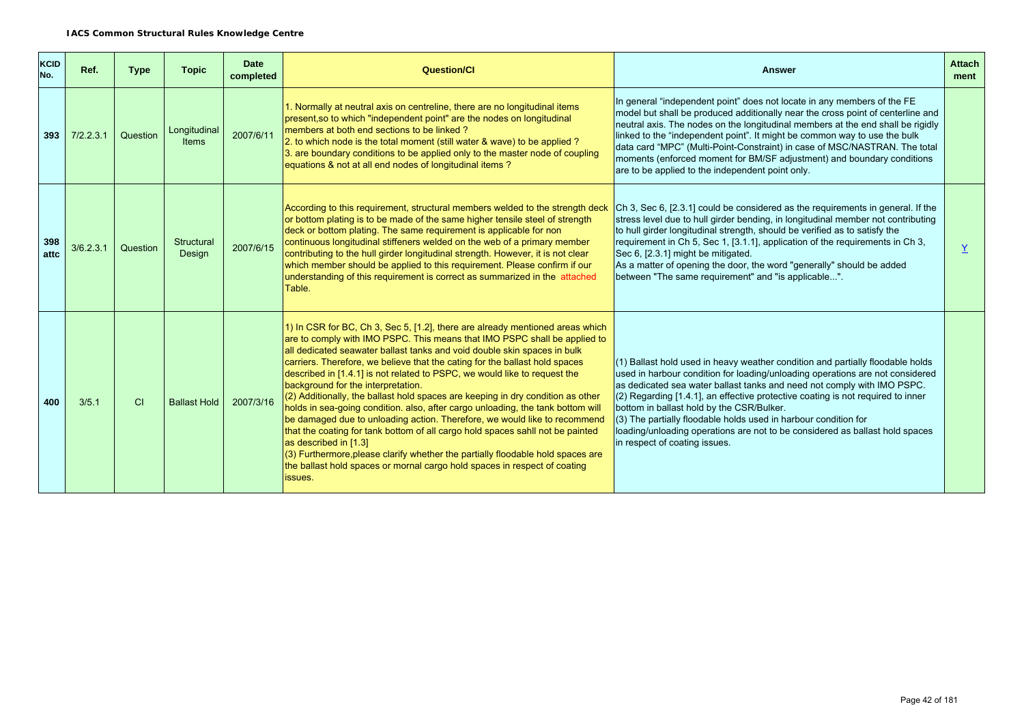| <b>KCID</b><br>No. | Ref.      | <b>Type</b> | <b>Topic</b>                 | <b>Date</b><br>completed | Question/Cl                                                                                                                                                                                                                                                                                                                                                                                                                                                                                                                                                                                                                                                                                                                                                                                                                                                                                                                                                                       | <b>Answer</b>                                                                                                                                                                                                                                                                                                                                                                                                                                                                                                                                                      | <b>Attach</b><br>ment |
|--------------------|-----------|-------------|------------------------------|--------------------------|-----------------------------------------------------------------------------------------------------------------------------------------------------------------------------------------------------------------------------------------------------------------------------------------------------------------------------------------------------------------------------------------------------------------------------------------------------------------------------------------------------------------------------------------------------------------------------------------------------------------------------------------------------------------------------------------------------------------------------------------------------------------------------------------------------------------------------------------------------------------------------------------------------------------------------------------------------------------------------------|--------------------------------------------------------------------------------------------------------------------------------------------------------------------------------------------------------------------------------------------------------------------------------------------------------------------------------------------------------------------------------------------------------------------------------------------------------------------------------------------------------------------------------------------------------------------|-----------------------|
| 393                | 7/2.2.3.1 | Question    | Longitudinal<br><b>Items</b> | 2007/6/11                | 1. Normally at neutral axis on centreline, there are no longitudinal items<br>present, so to which "independent point" are the nodes on longitudinal<br>members at both end sections to be linked?<br>2. to which node is the total moment (still water & wave) to be applied?<br>3. are boundary conditions to be applied only to the master node of coupling<br>equations & not at all end nodes of longitudinal items?                                                                                                                                                                                                                                                                                                                                                                                                                                                                                                                                                         | In general "independent point" does not locate in any members of the FE<br>model but shall be produced additionally near the cross point of centerline and<br>neutral axis. The nodes on the longitudinal members at the end shall be rigidly<br>linked to the "independent point". It might be common way to use the bulk<br>data card "MPC" (Multi-Point-Constraint) in case of MSC/NASTRAN. The total<br>moments (enforced moment for BM/SF adjustment) and boundary conditions<br>are to be applied to the independent point only.                             |                       |
| 398<br>attc        | 3/6.2.3.1 | Question    | Structural<br>Design         | 2007/6/15                | According to this requirement, structural members welded to the strength deck<br>or bottom plating is to be made of the same higher tensile steel of strength<br>deck or bottom plating. The same requirement is applicable for non<br>continuous longitudinal stiffeners welded on the web of a primary member<br>contributing to the hull girder longitudinal strength. However, it is not clear<br>which member should be applied to this requirement. Please confirm if our<br>understanding of this requirement is correct as summarized in the attached<br>Table.                                                                                                                                                                                                                                                                                                                                                                                                           | Ch 3, Sec 6, [2.3.1] could be considered as the requirements in general. If the<br>stress level due to hull girder bending, in longitudinal member not contributing<br>to hull girder longitudinal strength, should be verified as to satisfy the<br>requirement in Ch 5, Sec 1, [3.1.1], application of the requirements in Ch 3,<br>Sec 6, [2.3.1] might be mitigated.<br>As a matter of opening the door, the word "generally" should be added<br>between "The same requirement" and "is applicable".                                                           | $\overline{Y}$        |
| 400                | 3/5.1     | CI          | <b>Ballast Hold</b>          | 2007/3/16                | 1) In CSR for BC, Ch 3, Sec 5, [1.2], there are already mentioned areas which<br>are to comply with IMO PSPC. This means that IMO PSPC shall be applied to<br>all dedicated seawater ballast tanks and void double skin spaces in bulk<br>carriers. Therefore, we believe that the cating for the ballast hold spaces<br>described in [1.4.1] is not related to PSPC, we would like to request the<br>background for the interpretation.<br>(2) Additionally, the ballast hold spaces are keeping in dry condition as other<br>holds in sea-going condition. also, after cargo unloading, the tank bottom will<br>be damaged due to unloading action. Therefore, we would like to recommend<br>that the coating for tank bottom of all cargo hold spaces sahll not be painted<br>as described in [1.3]<br>(3) Furthermore, please clarify whether the partially floodable hold spaces are<br>the ballast hold spaces or mornal cargo hold spaces in respect of coating<br>issues. | $(1)$ Ballast hold used in heavy weather condition and partially floodable holds<br>used in harbour condition for loading/unloading operations are not considered<br>as dedicated sea water ballast tanks and need not comply with IMO PSPC.<br>$(2)$ Regarding [1.4.1], an effective protective coating is not required to inner<br>bottom in ballast hold by the CSR/Bulker.<br>(3) The partially floodable holds used in harbour condition for<br>loading/unloading operations are not to be considered as ballast hold spaces<br>in respect of coating issues. |                       |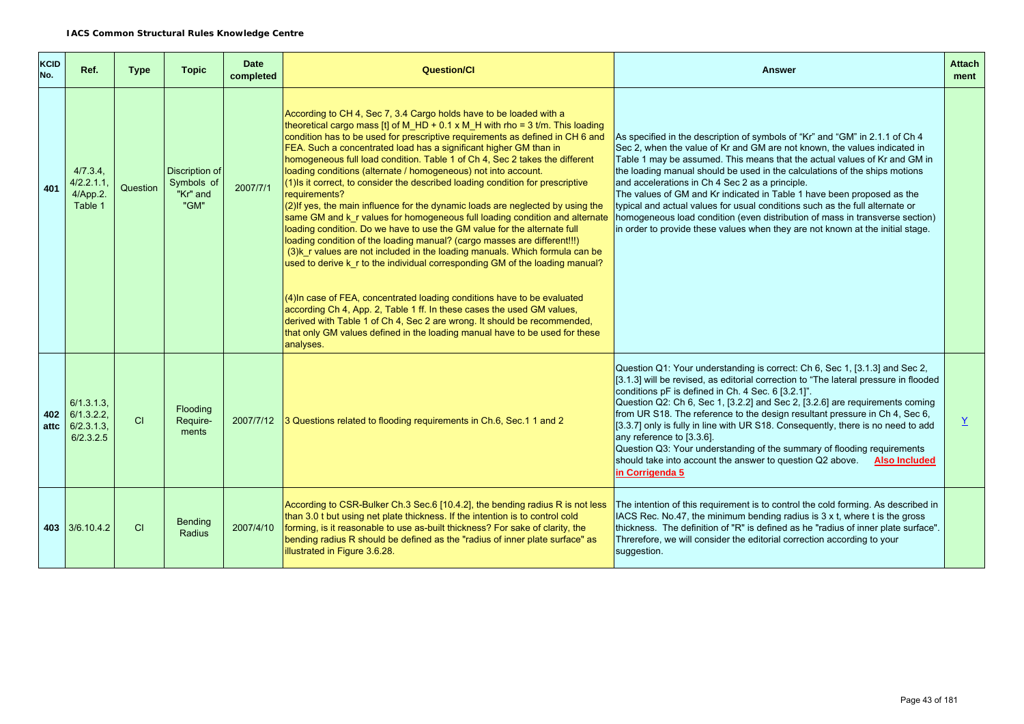| <b>KCID</b><br>No. | Ref.                                                    | <b>Type</b> | <b>Topic</b>                                     | <b>Date</b><br>completed | <b>Question/Cl</b>                                                                                                                                                                                                                                                                                                                                                                                                                                                                                                                                                                                                                                                                                                                                                                                                                                                                                                                                                                                                                                                                                                                                                                                                                                                                                                                                                                        | <b>Answer</b>                                                                                                                                                                                                                                                                                                                                                                                                                                                                                                                                                                                                                                                                                       | <b>Attach</b><br>ment |
|--------------------|---------------------------------------------------------|-------------|--------------------------------------------------|--------------------------|-------------------------------------------------------------------------------------------------------------------------------------------------------------------------------------------------------------------------------------------------------------------------------------------------------------------------------------------------------------------------------------------------------------------------------------------------------------------------------------------------------------------------------------------------------------------------------------------------------------------------------------------------------------------------------------------------------------------------------------------------------------------------------------------------------------------------------------------------------------------------------------------------------------------------------------------------------------------------------------------------------------------------------------------------------------------------------------------------------------------------------------------------------------------------------------------------------------------------------------------------------------------------------------------------------------------------------------------------------------------------------------------|-----------------------------------------------------------------------------------------------------------------------------------------------------------------------------------------------------------------------------------------------------------------------------------------------------------------------------------------------------------------------------------------------------------------------------------------------------------------------------------------------------------------------------------------------------------------------------------------------------------------------------------------------------------------------------------------------------|-----------------------|
| 401                | 4/7.3.4.<br>4/2.2.1.1<br>4/App.2.<br>Table 1            | Question    | Discription of<br>Symbols of<br>"Kr" and<br>"GM" | 2007/7/1                 | According to CH 4, Sec 7, 3.4 Cargo holds have to be loaded with a<br>theoretical cargo mass [t] of M_HD + 0.1 x M_H with rho = 3 t/m. This loading<br>condition has to be used for prescriptive requirements as defined in CH 6 and<br>FEA. Such a concentrated load has a significant higher GM than in<br>homogeneous full load condition. Table 1 of Ch 4, Sec 2 takes the different<br>loading conditions (alternate / homogeneous) not into account.<br>(1) Is it correct, to consider the described loading condition for prescriptive<br>requirements?<br>$(2)$ If yes, the main influence for the dynamic loads are neglected by using the<br>same GM and k_r values for homogeneous full loading condition and alternate<br>loading condition. Do we have to use the GM value for the alternate full<br>loading condition of the loading manual? (cargo masses are different!!!)<br>(3)k_r values are not included in the loading manuals. Which formula can be<br>used to derive k_r to the individual corresponding GM of the loading manual?<br>$(4)$ In case of FEA, concentrated loading conditions have to be evaluated<br>according Ch 4, App. 2, Table 1 ff. In these cases the used GM values,<br>derived with Table 1 of Ch 4, Sec 2 are wrong. It should be recommended,<br>that only GM values defined in the loading manual have to be used for these<br>analyses. | As specified in the description of symbols of "Kr" and "GM" in 2.1.1 of Ch 4<br>Sec 2, when the value of Kr and GM are not known, the values indicated in<br>Table 1 may be assumed. This means that the actual values of Kr and GM in<br>the loading manual should be used in the calculations of the ships motions<br>and accelerations in Ch 4 Sec 2 as a principle.<br>The values of GM and Kr indicated in Table 1 have been proposed as the<br>typical and actual values for usual conditions such as the full alternate or<br>homogeneous load condition (even distribution of mass in transverse section)<br>in order to provide these values when they are not known at the initial stage. |                       |
| 402                | 6/1.3.1.3<br>6/1.3.2.2<br>attc $6/2.3.1.3$<br>6/2.3.2.5 | CI          | Flooding<br>Require-<br>ments                    | 2007/7/12                | 3 Questions related to flooding requirements in Ch.6, Sec.1 1 and 2                                                                                                                                                                                                                                                                                                                                                                                                                                                                                                                                                                                                                                                                                                                                                                                                                                                                                                                                                                                                                                                                                                                                                                                                                                                                                                                       | Question Q1: Your understanding is correct: Ch 6, Sec 1, [3.1.3] and Sec 2,<br>$(3.1.3)$ will be revised, as editorial correction to "The lateral pressure in flooded<br>conditions pF is defined in Ch. 4 Sec. 6 [3.2.1]".<br>Question Q2: Ch 6, Sec 1, [3.2.2] and Sec 2, [3.2.6] are requirements coming<br>from UR S18. The reference to the design resultant pressure in Ch 4, Sec 6,<br>$(3.3.7)$ only is fully in line with UR S18. Consequently, there is no need to add<br>any reference to [3.3.6].<br>Question Q3: Your understanding of the summary of flooding requirements<br>should take into account the answer to question Q2 above.<br><b>Also Included</b><br>in Corrigenda 5    | $\overline{X}$        |
|                    | 403 3/6.10.4.2                                          | CI          | <b>Bending</b><br>Radius                         | 2007/4/10                | According to CSR-Bulker Ch.3 Sec.6 [10.4.2], the bending radius R is not less<br>than 3.0 t but using net plate thickness. If the intention is to control cold<br>forming, is it reasonable to use as-built thickness? For sake of clarity, the<br>bending radius R should be defined as the "radius of inner plate surface" as<br>illustrated in Figure 3.6.28.                                                                                                                                                                                                                                                                                                                                                                                                                                                                                                                                                                                                                                                                                                                                                                                                                                                                                                                                                                                                                          | The intention of this requirement is to control the cold forming. As described in<br>$\vert$ IACS Rec. No.47, the minimum bending radius is 3 x t, where t is the gross<br>thickness. The definition of "R" is defined as he "radius of inner plate surface".<br>Threrefore, we will consider the editorial correction according to your<br>suggestion.                                                                                                                                                                                                                                                                                                                                             |                       |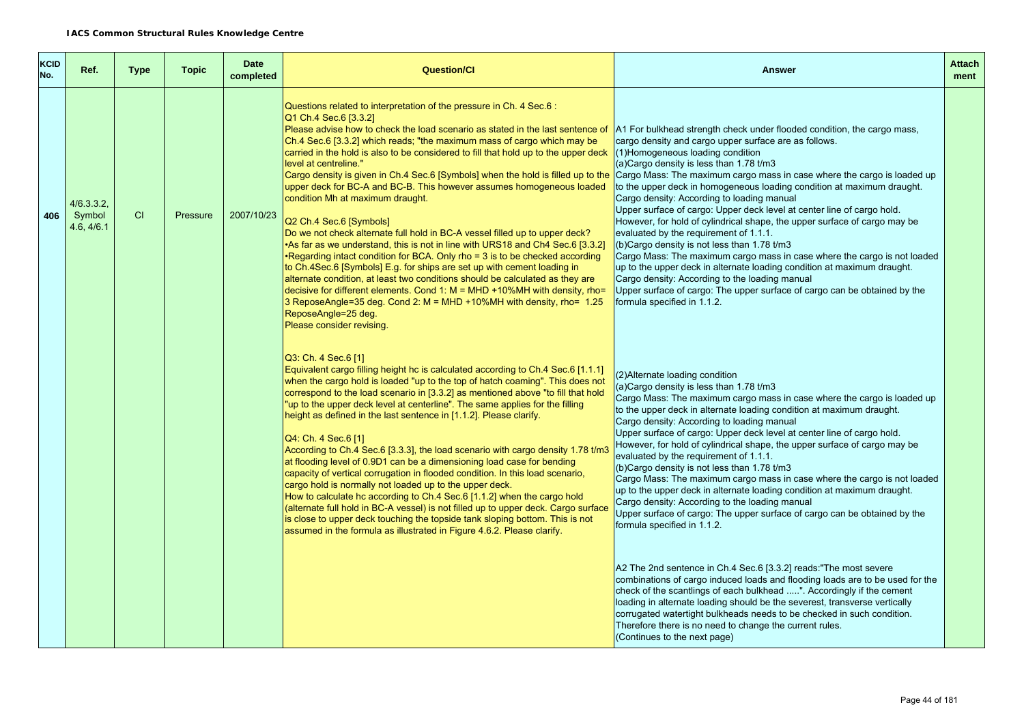| <b>KCID</b><br>No. | Ref.                               | <b>Type</b> | <b>Topic</b> | <b>Date</b><br>completed | <b>Question/Cl</b>                                                                                                                                                                                                                                                                                                                                                                                                                                                                                                                                                                                                                                                                                                                                                                                                                                                                                                                                                                                                                                                                                                                                                                                                                    | <b>Answer</b>                                                                                                                                                                                                                                                                                                                                                                                                                                                                                                                                                                                                                                                                                                                                                                                                                                                                                                                                                                                                                                                                                                                                                                                                                                                                                                                         | <b>Attach</b><br>ment |
|--------------------|------------------------------------|-------------|--------------|--------------------------|---------------------------------------------------------------------------------------------------------------------------------------------------------------------------------------------------------------------------------------------------------------------------------------------------------------------------------------------------------------------------------------------------------------------------------------------------------------------------------------------------------------------------------------------------------------------------------------------------------------------------------------------------------------------------------------------------------------------------------------------------------------------------------------------------------------------------------------------------------------------------------------------------------------------------------------------------------------------------------------------------------------------------------------------------------------------------------------------------------------------------------------------------------------------------------------------------------------------------------------|---------------------------------------------------------------------------------------------------------------------------------------------------------------------------------------------------------------------------------------------------------------------------------------------------------------------------------------------------------------------------------------------------------------------------------------------------------------------------------------------------------------------------------------------------------------------------------------------------------------------------------------------------------------------------------------------------------------------------------------------------------------------------------------------------------------------------------------------------------------------------------------------------------------------------------------------------------------------------------------------------------------------------------------------------------------------------------------------------------------------------------------------------------------------------------------------------------------------------------------------------------------------------------------------------------------------------------------|-----------------------|
| 406                | 4/6.3.3.2,<br>Symbol<br>4.6, 4/6.1 | CI          | Pressure     | 2007/10/23               | Questions related to interpretation of the pressure in Ch. 4 Sec.6:<br>Q1 Ch.4 Sec.6 [3.3.2]<br>Please advise how to check the load scenario as stated in the last sentence of<br>Ch.4 Sec.6 [3.3.2] which reads; "the maximum mass of cargo which may be<br>carried in the hold is also to be considered to fill that hold up to the upper deck<br>level at centreline."<br>Cargo density is given in Ch.4 Sec.6 [Symbols] when the hold is filled up to the<br>upper deck for BC-A and BC-B. This however assumes homogeneous loaded<br>condition Mh at maximum draught.<br>Q2 Ch.4 Sec.6 [Symbols]<br>Do we not check alternate full hold in BC-A vessel filled up to upper deck?<br>•As far as we understand, this is not in line with URS18 and Ch4 Sec.6 [3.3.2]<br>•Regarding intact condition for BCA. Only rho = 3 is to be checked according<br>to Ch.4Sec.6 [Symbols] E.g. for ships are set up with cement loading in<br>alternate condition, at least two conditions should be calculated as they are<br>decisive for different elements. Cond 1: $M = MHD + 10\%MH$ with density, rho=<br>3 ReposeAngle=35 deg. Cond 2: $M = MHD + 10\% MH$ with density, rho= 1.25<br>ReposeAngle=25 deg.<br>Please consider revising. | A1 For bulkhead strength check under flooded condition, the cargo mass,<br>cargo density and cargo upper surface are as follows.<br>$(1)$ Homogeneous loading condition<br>(a)Cargo density is less than 1.78 t/m3<br>Cargo Mass: The maximum cargo mass in case where the cargo is loaded up<br>to the upper deck in homogeneous loading condition at maximum draught.<br>Cargo density: According to loading manual<br>Upper surface of cargo: Upper deck level at center line of cargo hold.<br>However, for hold of cylindrical shape, the upper surface of cargo may be<br>evaluated by the requirement of 1.1.1.<br>(b) Cargo density is not less than 1.78 t/m3<br>Cargo Mass: The maximum cargo mass in case where the cargo is not loaded<br>up to the upper deck in alternate loading condition at maximum draught.<br>Cargo density: According to the loading manual<br>Upper surface of cargo: The upper surface of cargo can be obtained by the<br>formula specified in 1.1.2.                                                                                                                                                                                                                                                                                                                                           |                       |
|                    |                                    |             |              |                          | Q3: Ch. 4 Sec. 6 [1]<br>Equivalent cargo filling height hc is calculated according to Ch.4 Sec.6 [1.1.1]<br>when the cargo hold is loaded "up to the top of hatch coaming". This does not<br>correspond to the load scenario in [3.3.2] as mentioned above "to fill that hold<br>"up to the upper deck level at centerline". The same applies for the filling<br>height as defined in the last sentence in [1.1.2]. Please clarify.<br>Q4: Ch. 4 Sec. 6 [1]<br>According to Ch.4 Sec.6 [3.3.3], the load scenario with cargo density 1.78 t/m3<br>at flooding level of 0.9D1 can be a dimensioning load case for bending<br>capacity of vertical corrugation in flooded condition. In this load scenario,<br>cargo hold is normally not loaded up to the upper deck.<br>How to calculate hc according to Ch.4 Sec.6 [1.1.2] when the cargo hold<br>(alternate full hold in BC-A vessel) is not filled up to upper deck. Cargo surface<br>is close to upper deck touching the topside tank sloping bottom. This is not<br>assumed in the formula as illustrated in Figure 4.6.2. Please clarify.                                                                                                                                       | (2) Alternate loading condition<br>(a)Cargo density is less than 1.78 t/m3<br>Cargo Mass: The maximum cargo mass in case where the cargo is loaded up<br>to the upper deck in alternate loading condition at maximum draught.<br>Cargo density: According to loading manual<br>Upper surface of cargo: Upper deck level at center line of cargo hold.<br>However, for hold of cylindrical shape, the upper surface of cargo may be<br>evaluated by the requirement of 1.1.1.<br>(b) Cargo density is not less than $1.78$ t/m3<br>Cargo Mass: The maximum cargo mass in case where the cargo is not loaded<br>up to the upper deck in alternate loading condition at maximum draught.<br>Cargo density: According to the loading manual<br>Upper surface of cargo: The upper surface of cargo can be obtained by the<br>formula specified in 1.1.2.<br>A2 The 2nd sentence in Ch.4 Sec.6 [3.3.2] reads: "The most severe<br>combinations of cargo induced loads and flooding loads are to be used for the<br>check of the scantlings of each bulkhead ". Accordingly if the cement<br>loading in alternate loading should be the severest, transverse vertically<br>corrugated watertight bulkheads needs to be checked in such condition.<br>Therefore there is no need to change the current rules.<br>(Continues to the next page) |                       |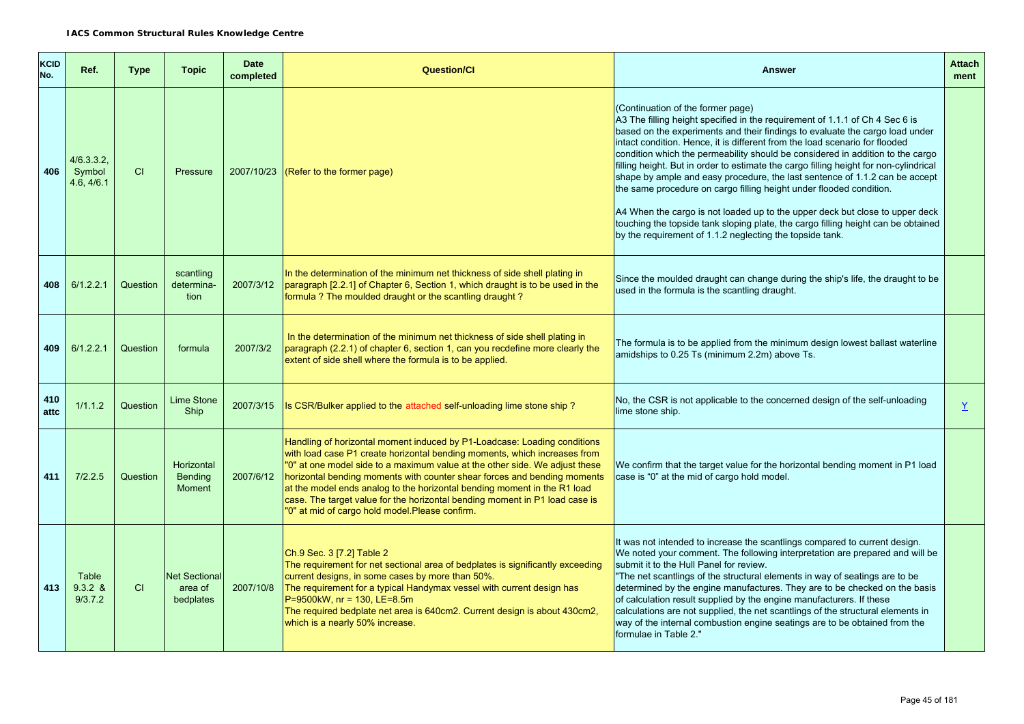| <b>KCID</b><br>No. | Ref.                               | <b>Type</b> | <b>Topic</b>                                  | <b>Date</b><br>completed | <b>Question/Cl</b>                                                                                                                                                                                                                                                                                                                                                                                                                                                                                                            | <b>Answer</b>                                                                                                                                                                                                                                                                                                                                                                                                                                                                                                                                                                                                                                                                                                                                                                                                                                      | <b>Attach</b><br>ment |
|--------------------|------------------------------------|-------------|-----------------------------------------------|--------------------------|-------------------------------------------------------------------------------------------------------------------------------------------------------------------------------------------------------------------------------------------------------------------------------------------------------------------------------------------------------------------------------------------------------------------------------------------------------------------------------------------------------------------------------|----------------------------------------------------------------------------------------------------------------------------------------------------------------------------------------------------------------------------------------------------------------------------------------------------------------------------------------------------------------------------------------------------------------------------------------------------------------------------------------------------------------------------------------------------------------------------------------------------------------------------------------------------------------------------------------------------------------------------------------------------------------------------------------------------------------------------------------------------|-----------------------|
| 406                | 4/6.3.3.2,<br>Symbol<br>4.6, 4/6.1 | CI          | Pressure                                      |                          | $2007/10/23$ (Refer to the former page)                                                                                                                                                                                                                                                                                                                                                                                                                                                                                       | (Continuation of the former page)<br>A3 The filling height specified in the requirement of 1.1.1 of Ch 4 Sec 6 is<br>based on the experiments and their findings to evaluate the cargo load under<br>intact condition. Hence, it is different from the load scenario for flooded<br>condition which the permeability should be considered in addition to the cargo<br>filling height. But in order to estimate the cargo filling height for non-cylindrical<br>shape by ample and easy procedure, the last sentence of 1.1.2 can be accept<br>the same procedure on cargo filling height under flooded condition.<br>A4 When the cargo is not loaded up to the upper deck but close to upper deck<br>touching the topside tank sloping plate, the cargo filling height can be obtained<br>by the requirement of 1.1.2 neglecting the topside tank. |                       |
| 408                | 6/1.2.2.1                          | Question    | scantling<br>determina-<br>tion               | 2007/3/12                | In the determination of the minimum net thickness of side shell plating in<br>paragraph [2.2.1] of Chapter 6, Section 1, which draught is to be used in the<br>formula? The moulded draught or the scantling draught?                                                                                                                                                                                                                                                                                                         | Since the moulded draught can change during the ship's life, the draught to be<br>used in the formula is the scantling draught.                                                                                                                                                                                                                                                                                                                                                                                                                                                                                                                                                                                                                                                                                                                    |                       |
| 409                | 6/1.2.2.1                          | Question    | formula                                       | 2007/3/2                 | In the determination of the minimum net thickness of side shell plating in<br>paragraph (2.2.1) of chapter 6, section 1, can you recdefine more clearly the<br>extent of side shell where the formula is to be applied.                                                                                                                                                                                                                                                                                                       | The formula is to be applied from the minimum design lowest ballast waterline<br>amidships to 0.25 Ts (minimum 2.2m) above Ts.                                                                                                                                                                                                                                                                                                                                                                                                                                                                                                                                                                                                                                                                                                                     |                       |
| 410<br>attc        | 1/1.1.2                            | Question    | Lime Stone<br><b>Ship</b>                     | 2007/3/15                | Is CSR/Bulker applied to the attached self-unloading lime stone ship?                                                                                                                                                                                                                                                                                                                                                                                                                                                         | No, the CSR is not applicable to the concerned design of the self-unloading<br>lime stone ship.                                                                                                                                                                                                                                                                                                                                                                                                                                                                                                                                                                                                                                                                                                                                                    | $\underline{Y}$       |
| 411                | 7/2.2.5                            | Question    | Horizontal<br><b>Bending</b><br><b>Moment</b> | 2007/6/12                | Handling of horizontal moment induced by P1-Loadcase: Loading conditions<br>with load case P1 create horizontal bending moments, which increases from<br>"0" at one model side to a maximum value at the other side. We adjust these<br>horizontal bending moments with counter shear forces and bending moments<br>at the model ends analog to the horizontal bending moment in the R1 load<br>case. The target value for the horizontal bending moment in P1 load case is<br>"0" at mid of cargo hold model.Please confirm. | We confirm that the target value for the horizontal bending moment in P1 load<br>case is "0" at the mid of cargo hold model.                                                                                                                                                                                                                                                                                                                                                                                                                                                                                                                                                                                                                                                                                                                       |                       |
| 413                | Table<br>$9.3.2 \&$<br>9/3.7.2     | CI.         | <b>Net Sectional</b><br>area of<br>bedplates  | 2007/10/8                | Ch.9 Sec. 3 [7.2] Table 2<br>The requirement for net sectional area of bedplates is significantly exceeding<br>current designs, in some cases by more than 50%.<br>The requirement for a typical Handymax vessel with current design has<br>P=9500kW, nr = 130, LE=8.5m<br>The required bedplate net area is 640cm2. Current design is about 430cm2,<br>which is a nearly 50% increase.                                                                                                                                       | It was not intended to increase the scantlings compared to current design.<br>We noted your comment. The following interpretation are prepared and will be<br>submit it to the Hull Panel for review.<br>"The net scantlings of the structural elements in way of seatings are to be<br>determined by the engine manufactures. They are to be checked on the basis<br>of calculation result supplied by the engine manufacturers. If these<br>calculations are not supplied, the net scantlings of the structural elements in<br>way of the internal combustion engine seatings are to be obtained from the<br>formulae in Table 2."                                                                                                                                                                                                               |                       |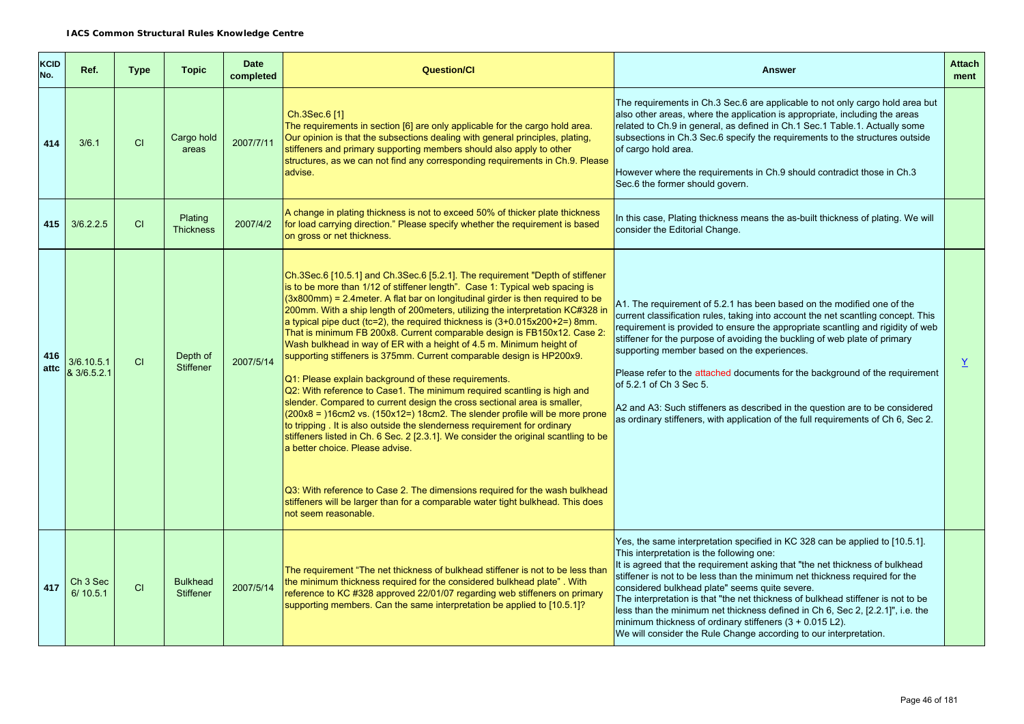| <b>KCID</b><br>No. | Ref.                            | <b>Type</b> | <b>Topic</b>                        | <b>Date</b><br>completed | <b>Question/Cl</b>                                                                                                                                                                                                                                                                                                                                                                                                                                                                                                                                                                                                                                                                                                                                                                                                                                                                                                                                                                                                                                                                                                                                                                                                                                                                                                                                          | <b>Answer</b>                                                                                                                                                                                                                                                                                                                                                                                                                                                                                                                                                                                                                                                | <b>Attach</b><br>ment |
|--------------------|---------------------------------|-------------|-------------------------------------|--------------------------|-------------------------------------------------------------------------------------------------------------------------------------------------------------------------------------------------------------------------------------------------------------------------------------------------------------------------------------------------------------------------------------------------------------------------------------------------------------------------------------------------------------------------------------------------------------------------------------------------------------------------------------------------------------------------------------------------------------------------------------------------------------------------------------------------------------------------------------------------------------------------------------------------------------------------------------------------------------------------------------------------------------------------------------------------------------------------------------------------------------------------------------------------------------------------------------------------------------------------------------------------------------------------------------------------------------------------------------------------------------|--------------------------------------------------------------------------------------------------------------------------------------------------------------------------------------------------------------------------------------------------------------------------------------------------------------------------------------------------------------------------------------------------------------------------------------------------------------------------------------------------------------------------------------------------------------------------------------------------------------------------------------------------------------|-----------------------|
| 414                | 3/6.1                           | <b>CI</b>   | Cargo hold<br>areas                 | 2007/7/11                | Ch.3Sec.6 [1]<br>The requirements in section [6] are only applicable for the cargo hold area.<br>Our opinion is that the subsections dealing with general principles, plating,<br>stiffeners and primary supporting members should also apply to other<br>structures, as we can not find any corresponding requirements in Ch.9. Please<br>advise.                                                                                                                                                                                                                                                                                                                                                                                                                                                                                                                                                                                                                                                                                                                                                                                                                                                                                                                                                                                                          | The requirements in Ch.3 Sec.6 are applicable to not only cargo hold area but<br>also other areas, where the application is appropriate, including the areas<br>related to Ch.9 in general, as defined in Ch.1 Sec.1 Table.1. Actually some<br>subsections in Ch.3 Sec.6 specify the requirements to the structures outside<br>of cargo hold area.<br>However where the requirements in Ch.9 should contradict those in Ch.3<br>Sec.6 the former should govern.                                                                                                                                                                                              |                       |
| 415                | 3/6.2.2.5                       | CI          | Plating<br><b>Thickness</b>         | 2007/4/2                 | A change in plating thickness is not to exceed 50% of thicker plate thickness<br>for load carrying direction." Please specify whether the requirement is based<br>on gross or net thickness.                                                                                                                                                                                                                                                                                                                                                                                                                                                                                                                                                                                                                                                                                                                                                                                                                                                                                                                                                                                                                                                                                                                                                                | In this case, Plating thickness means the as-built thickness of plating. We will<br>consider the Editorial Change.                                                                                                                                                                                                                                                                                                                                                                                                                                                                                                                                           |                       |
| 416<br>attc        | 3/6.10.5.1<br>& 3/6.5.2.1       | <b>CI</b>   | Depth of<br><b>Stiffener</b>        | 2007/5/14                | Ch.3Sec.6 [10.5.1] and Ch.3Sec.6 [5.2.1]. The requirement "Depth of stiffener<br>is to be more than 1/12 of stiffener length". Case 1: Typical web spacing is<br>$(3x800mm)$ = 2.4 meter. A flat bar on longitudinal girder is then required to be<br>200mm. With a ship length of 200meters, utilizing the interpretation KC#328 in<br>a typical pipe duct (tc=2), the required thickness is $(3+0.015x200+2=)$ 8mm.<br>That is minimum FB 200x8. Current comparable design is FB150x12. Case 2:<br>Wash bulkhead in way of ER with a height of 4.5 m. Minimum height of<br>supporting stiffeners is 375mm. Current comparable design is HP200x9.<br>Q1: Please explain background of these requirements.<br>Q2: With reference to Case1. The minimum required scantling is high and<br>slender. Compared to current design the cross sectional area is smaller,<br>$(200x8 = 16cm2 \text{ vs. } (150x12=) 18cm2$ . The slender profile will be more prone<br>to tripping. It is also outside the slenderness requirement for ordinary<br>stiffeners listed in Ch. 6 Sec. 2 [2.3.1]. We consider the original scantling to be<br>a better choice. Please advise.<br>Q3: With reference to Case 2. The dimensions required for the wash bulkhead<br>stiffeners will be larger than for a comparable water tight bulkhead. This does<br>not seem reasonable. | A1. The requirement of 5.2.1 has been based on the modified one of the<br>current classification rules, taking into account the net scantling concept. This<br>requirement is provided to ensure the appropriate scantling and rigidity of web<br>stiffener for the purpose of avoiding the buckling of web plate of primary<br>supporting member based on the experiences.<br>Please refer to the attached documents for the background of the requirement<br>of 5.2.1 of Ch 3 Sec 5.<br>A2 and A3: Such stiffeners as described in the question are to be considered<br>as ordinary stiffeners, with application of the full requirements of Ch 6, Sec 2.  | $\overline{X}$        |
| 417                | Ch <sub>3</sub> Sec<br>6/10.5.1 | CI          | <b>Bulkhead</b><br><b>Stiffener</b> | 2007/5/14                | The requirement "The net thickness of bulkhead stiffener is not to be less than<br>the minimum thickness required for the considered bulkhead plate". With<br>reference to KC #328 approved 22/01/07 regarding web stiffeners on primary<br>supporting members. Can the same interpretation be applied to [10.5.1]?                                                                                                                                                                                                                                                                                                                                                                                                                                                                                                                                                                                                                                                                                                                                                                                                                                                                                                                                                                                                                                         | Yes, the same interpretation specified in KC 328 can be applied to [10.5.1].<br>This interpretation is the following one:<br>It is agreed that the requirement asking that "the net thickness of bulkhead<br>stiffener is not to be less than the minimum net thickness required for the<br>considered bulkhead plate" seems quite severe.<br>The interpretation is that "the net thickness of bulkhead stiffener is not to be<br>less than the minimum net thickness defined in Ch 6, Sec 2, [2.2.1]", i.e. the<br>minimum thickness of ordinary stiffeners $(3 + 0.015 \text{ L2})$ .<br>We will consider the Rule Change according to our interpretation. |                       |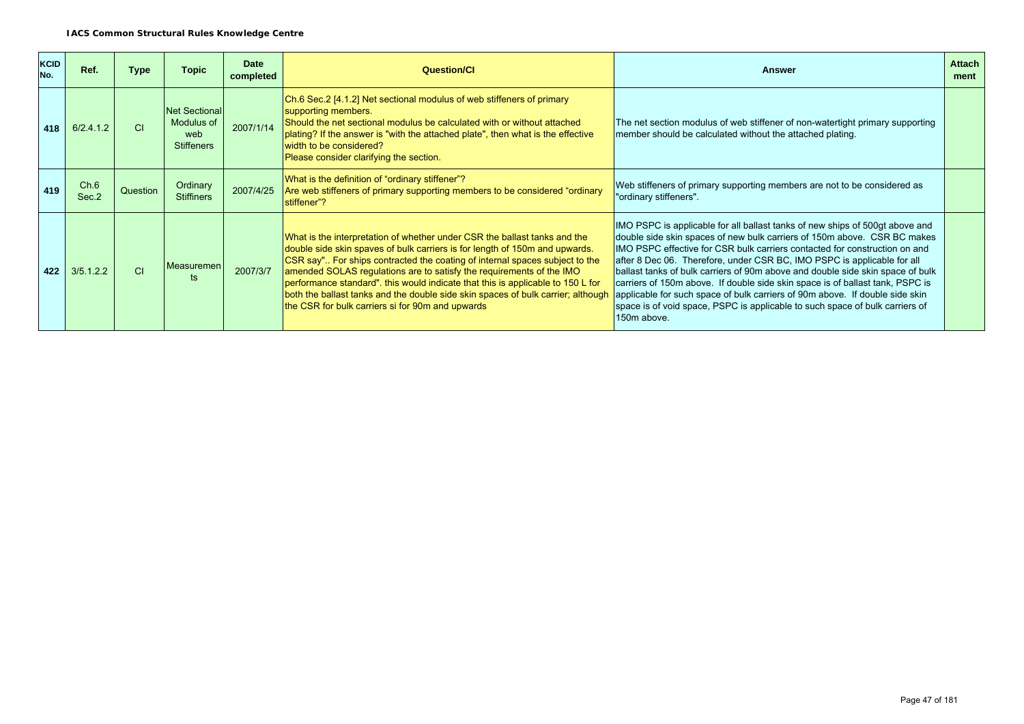| <b>KCID</b><br>No. | Ref.          | Type     | <b>Topic</b>                                                   | <b>Date</b><br>completed | <b>Question/CI</b>                                                                                                                                                                                                                                                                                                                                                                                                                                                                                                                         | Answer                                                                                                                                                                                                                                                                                                                                                                                                                                                                                                                                                                                                                                                              | <b>Attach</b><br>ment |
|--------------------|---------------|----------|----------------------------------------------------------------|--------------------------|--------------------------------------------------------------------------------------------------------------------------------------------------------------------------------------------------------------------------------------------------------------------------------------------------------------------------------------------------------------------------------------------------------------------------------------------------------------------------------------------------------------------------------------------|---------------------------------------------------------------------------------------------------------------------------------------------------------------------------------------------------------------------------------------------------------------------------------------------------------------------------------------------------------------------------------------------------------------------------------------------------------------------------------------------------------------------------------------------------------------------------------------------------------------------------------------------------------------------|-----------------------|
| 418                | 6/2.4.1.2     | CI.      | <b>Net Sectional</b><br>Modulus of<br>web<br><b>Stiffeners</b> | 2007/1/14                | Ch.6 Sec.2 [4.1.2] Net sectional modulus of web stiffeners of primary<br>supporting members.<br>Should the net sectional modulus be calculated with or without attached<br>plating? If the answer is "with the attached plate", then what is the effective<br>width to be considered?<br>Please consider clarifying the section.                                                                                                                                                                                                           | The net section modulus of web stiffener of non-watertight primary supporting<br>member should be calculated without the attached plating.                                                                                                                                                                                                                                                                                                                                                                                                                                                                                                                          |                       |
| 419                | Ch.6<br>Sec.2 | Question | Ordinary<br><b>Stiffiners</b>                                  | 2007/4/25                | What is the definition of "ordinary stiffener"?<br>Are web stiffeners of primary supporting members to be considered "ordinary<br>stiffener"?                                                                                                                                                                                                                                                                                                                                                                                              | Web stiffeners of primary supporting members are not to be considered as<br>"ordinary stiffeners".                                                                                                                                                                                                                                                                                                                                                                                                                                                                                                                                                                  |                       |
| 422                | 3/5.1.2.2     | CI       | Measuremen<br>ts                                               | 2007/3/7                 | What is the interpretation of whether under CSR the ballast tanks and the<br>double side skin spaves of bulk carriers is for length of 150m and upwards.<br>CSR say" For ships contracted the coating of internal spaces subject to the<br>amended SOLAS regulations are to satisfy the requirements of the IMO<br>performance standard". this would indicate that this is applicable to 150 L for<br>both the ballast tanks and the double side skin spaces of bulk carrier; although<br>the CSR for bulk carriers si for 90m and upwards | IMO PSPC is applicable for all ballast tanks of new ships of 500gt above and<br>double side skin spaces of new bulk carriers of 150m above. CSR BC makes<br>IMO PSPC effective for CSR bulk carriers contacted for construction on and<br>after 8 Dec 06. Therefore, under CSR BC, IMO PSPC is applicable for all<br>ballast tanks of bulk carriers of 90m above and double side skin space of bulk<br>carriers of 150m above. If double side skin space is of ballast tank, PSPC is<br>applicable for such space of bulk carriers of 90m above. If double side skin<br>space is of void space, PSPC is applicable to such space of bulk carriers of<br>150m above. |                       |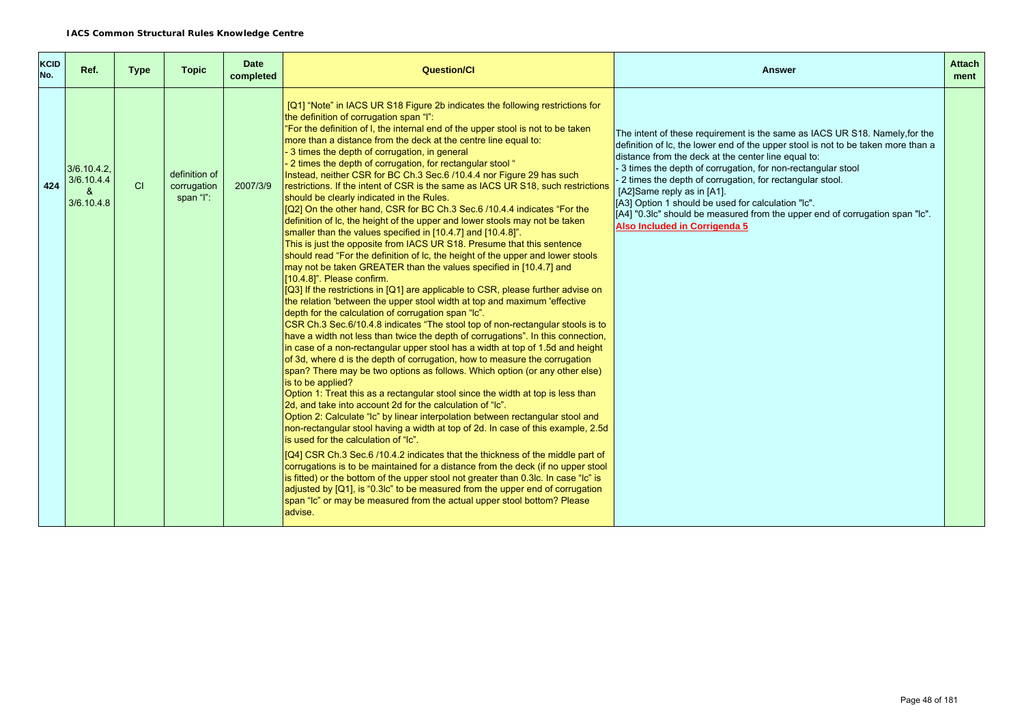| <b>KCID</b><br>No. | Ref.                                             | <b>Type</b> | <b>Topic</b>                              | <b>Date</b><br>completed | <b>Question/Cl</b>                                                                                                                                                                                                                                                                                                                                                                                                                                                                                                                                                                                                                                                                                                                                                                                                                                                                                                                                                                                                                                                                                                                                                                                                                                                                                                                                                                                                                                                                                                                                                                                                                                                                                                                                                                                                                                                                                                                                                                                                                                                                                                                                                                                                                                                                                                                                                                                                                                                                                                                                                         | Answer                                                                                                                                                                                                                                                                                                                                                                                                                                                                                                                                                    | <b>Attach</b><br>ment |
|--------------------|--------------------------------------------------|-------------|-------------------------------------------|--------------------------|----------------------------------------------------------------------------------------------------------------------------------------------------------------------------------------------------------------------------------------------------------------------------------------------------------------------------------------------------------------------------------------------------------------------------------------------------------------------------------------------------------------------------------------------------------------------------------------------------------------------------------------------------------------------------------------------------------------------------------------------------------------------------------------------------------------------------------------------------------------------------------------------------------------------------------------------------------------------------------------------------------------------------------------------------------------------------------------------------------------------------------------------------------------------------------------------------------------------------------------------------------------------------------------------------------------------------------------------------------------------------------------------------------------------------------------------------------------------------------------------------------------------------------------------------------------------------------------------------------------------------------------------------------------------------------------------------------------------------------------------------------------------------------------------------------------------------------------------------------------------------------------------------------------------------------------------------------------------------------------------------------------------------------------------------------------------------------------------------------------------------------------------------------------------------------------------------------------------------------------------------------------------------------------------------------------------------------------------------------------------------------------------------------------------------------------------------------------------------------------------------------------------------------------------------------------------------|-----------------------------------------------------------------------------------------------------------------------------------------------------------------------------------------------------------------------------------------------------------------------------------------------------------------------------------------------------------------------------------------------------------------------------------------------------------------------------------------------------------------------------------------------------------|-----------------------|
| 424                | $3/6.10.4.2$ .<br>3/6.10.4.4<br>୍ୟ<br>3/6.10.4.8 | <b>CI</b>   | definition of<br>corrugation<br>span "l": | 2007/3/9                 | [Q1] "Note" in IACS UR S18 Figure 2b indicates the following restrictions for<br>the definition of corrugation span "I":<br>"For the definition of I, the internal end of the upper stool is not to be taken<br>more than a distance from the deck at the centre line equal to:<br>- 3 times the depth of corrugation, in general<br>- 2 times the depth of corrugation, for rectangular stool "<br>Instead, neither CSR for BC Ch.3 Sec.6 /10.4.4 nor Figure 29 has such<br>restrictions. If the intent of CSR is the same as IACS UR S18, such restrictions<br>should be clearly indicated in the Rules.<br>[Q2] On the other hand, CSR for BC Ch.3 Sec.6 /10.4.4 indicates "For the<br>definition of Ic, the height of the upper and lower stools may not be taken<br>smaller than the values specified in [10.4.7] and [10.4.8]".<br>This is just the opposite from IACS UR S18. Presume that this sentence<br>should read "For the definition of Ic, the height of the upper and lower stools<br>may not be taken GREATER than the values specified in [10.4.7] and<br>[10.4.8]". Please confirm.<br>[Q3] If the restrictions in [Q1] are applicable to CSR, please further advise on<br>the relation 'between the upper stool width at top and maximum 'effective<br>depth for the calculation of corrugation span "Ic".<br>CSR Ch.3 Sec.6/10.4.8 indicates "The stool top of non-rectangular stools is to<br>have a width not less than twice the depth of corrugations". In this connection,<br>in case of a non-rectangular upper stool has a width at top of 1.5d and height<br>of 3d, where d is the depth of corrugation, how to measure the corrugation<br>span? There may be two options as follows. Which option (or any other else)<br>is to be applied?<br>Option 1: Treat this as a rectangular stool since the width at top is less than<br>2d, and take into account 2d for the calculation of "Ic".<br>Option 2: Calculate "Ic" by linear interpolation between rectangular stool and<br>non-rectangular stool having a width at top of 2d. In case of this example, 2.5d<br>is used for the calculation of "Ic".<br>[Q4] CSR Ch.3 Sec.6 /10.4.2 indicates that the thickness of the middle part of<br>corrugations is to be maintained for a distance from the deck (if no upper stool<br>is fitted) or the bottom of the upper stool not greater than 0.3lc. In case "Ic" is<br>adjusted by [Q1], is "0.3lc" to be measured from the upper end of corrugation<br>span "Ic" or may be measured from the actual upper stool bottom? Please<br>advise. | The intent of these requirement is the same as IACS UR S18. Namely, for the<br>definition of Ic, the lower end of the upper stool is not to be taken more than a<br>distance from the deck at the center line equal to:<br>-3 times the depth of corrugation, for non-rectangular stool<br>2 times the depth of corrugation, for rectangular stool.<br>[A2]Same reply as in [A1].<br>[A3] Option 1 should be used for calculation "Ic".<br>[[A4] "0.3lc" should be measured from the upper end of corrugation span "Ic".<br>Also Included in Corrigenda 5 |                       |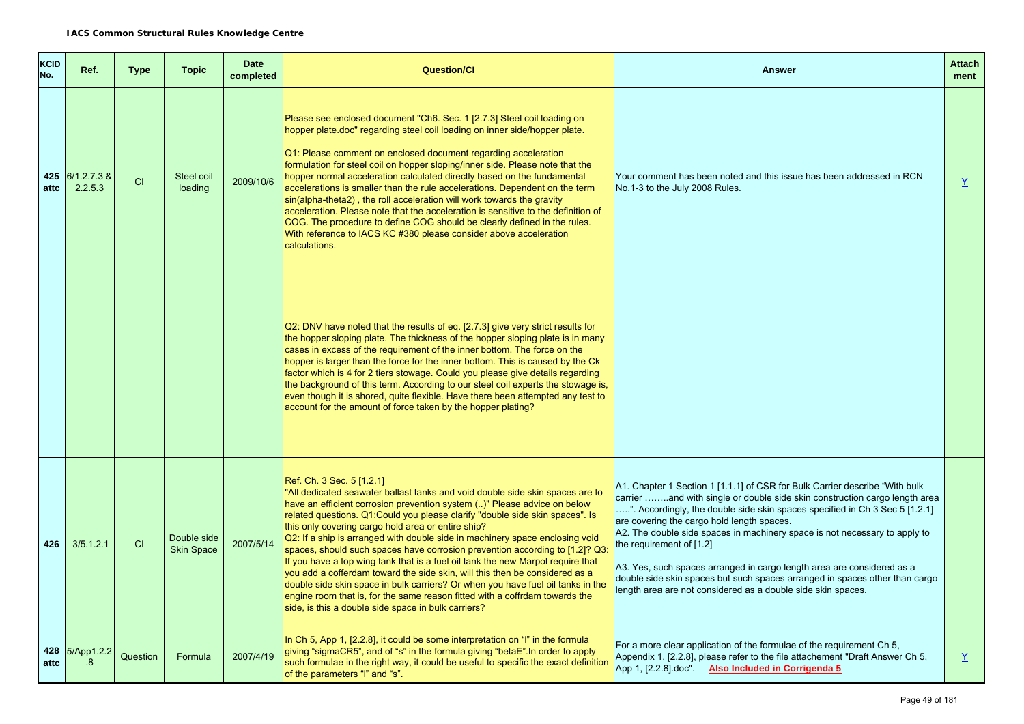| <b>KCID</b><br>No. | Ref.                       | <b>Type</b> | <b>Topic</b>                     | <b>Date</b><br>completed | <b>Question/Cl</b>                                                                                                                                                                                                                                                                                                                                                                                                                                                                                                                                                                                                                                                                                                                                                                                                                                                                       | <b>Answer</b>                                                                                                                                                                                                                                                                                                                                                                                                                                                                                                                                                                                                             | <b>Attach</b><br>ment    |
|--------------------|----------------------------|-------------|----------------------------------|--------------------------|------------------------------------------------------------------------------------------------------------------------------------------------------------------------------------------------------------------------------------------------------------------------------------------------------------------------------------------------------------------------------------------------------------------------------------------------------------------------------------------------------------------------------------------------------------------------------------------------------------------------------------------------------------------------------------------------------------------------------------------------------------------------------------------------------------------------------------------------------------------------------------------|---------------------------------------------------------------------------------------------------------------------------------------------------------------------------------------------------------------------------------------------------------------------------------------------------------------------------------------------------------------------------------------------------------------------------------------------------------------------------------------------------------------------------------------------------------------------------------------------------------------------------|--------------------------|
| attc               | 425 6/1.2.7.3 &<br>2.2.5.3 | CI          | Steel coil<br>loading            | 2009/10/6                | Please see enclosed document "Ch6. Sec. 1 [2.7.3] Steel coil loading on<br>hopper plate.doc" regarding steel coil loading on inner side/hopper plate.<br>Q1: Please comment on enclosed document regarding acceleration<br>formulation for steel coil on hopper sloping/inner side. Please note that the<br>hopper normal acceleration calculated directly based on the fundamental<br>accelerations is smaller than the rule accelerations. Dependent on the term<br>sin(alpha-theta2), the roll acceleration will work towards the gravity<br>acceleration. Please note that the acceleration is sensitive to the definition of<br>COG. The procedure to define COG should be clearly defined in the rules.<br>With reference to IACS KC #380 please consider above acceleration<br>calculations.                                                                                      | Your comment has been noted and this issue has been addressed in RCN<br>No.1-3 to the July 2008 Rules.                                                                                                                                                                                                                                                                                                                                                                                                                                                                                                                    | $\underline{Y}$          |
|                    |                            |             |                                  |                          | Q2: DNV have noted that the results of eq. [2.7.3] give very strict results for<br>the hopper sloping plate. The thickness of the hopper sloping plate is in many<br>cases in excess of the requirement of the inner bottom. The force on the<br>hopper is larger than the force for the inner bottom. This is caused by the Ck<br>factor which is 4 for 2 tiers stowage. Could you please give details regarding<br>the background of this term. According to our steel coil experts the stowage is,<br>even though it is shored, quite flexible. Have there been attempted any test to<br>account for the amount of force taken by the hopper plating?                                                                                                                                                                                                                                 |                                                                                                                                                                                                                                                                                                                                                                                                                                                                                                                                                                                                                           |                          |
| 426                | 3/5.1.2.1                  | CI          | Double side<br><b>Skin Space</b> | 2007/5/14                | Ref. Ch. 3 Sec. 5 [1.2.1]<br>"All dedicated seawater ballast tanks and void double side skin spaces are to<br>have an efficient corrosion prevention system ()" Please advice on below<br>related questions. Q1: Could you please clarify "double side skin spaces". Is<br>this only covering cargo hold area or entire ship?<br>Q2: If a ship is arranged with double side in machinery space enclosing void<br>spaces, should such spaces have corrosion prevention according to [1.2]? Q3:<br>If you have a top wing tank that is a fuel oil tank the new Marpol require that<br>you add a cofferdam toward the side skin, will this then be considered as a<br>double side skin space in bulk carriers? Or when you have fuel oil tanks in the<br>engine room that is, for the same reason fitted with a coffrdam towards the<br>side, is this a double side space in bulk carriers? | A1. Chapter 1 Section 1 [1.1.1] of CSR for Bulk Carrier describe "With bulk<br>carrier and with single or double side skin construction cargo length area<br>". Accordingly, the double side skin spaces specified in Ch 3 Sec 5 [1.2.1]<br>are covering the cargo hold length spaces.<br>A2. The double side spaces in machinery space is not necessary to apply to<br>the requirement of [1.2]<br>A3. Yes, such spaces arranged in cargo length area are considered as a<br>double side skin spaces but such spaces arranged in spaces other than cargo<br>length area are not considered as a double side skin spaces. |                          |
| attc               | 428 5/App1.2.2<br>.8       | Question    | Formula                          | 2007/4/19                | In Ch 5, App 1, [2.2.8], it could be some interpretation on "I" in the formula<br>giving "sigmaCR5", and of "s" in the formula giving "betaE". In order to apply<br>such formulae in the right way, it could be useful to specific the exact definition<br>of the parameters "I" and "s".                                                                                                                                                                                                                                                                                                                                                                                                                                                                                                                                                                                                | For a more clear application of the formulae of the requirement Ch 5,<br>Appendix 1, [2.2.8], please refer to the file attachement "Draft Answer Ch 5,<br>App 1, [2.2.8].doc". Also Included in Corrigenda 5                                                                                                                                                                                                                                                                                                                                                                                                              | $\underline{\mathsf{Y}}$ |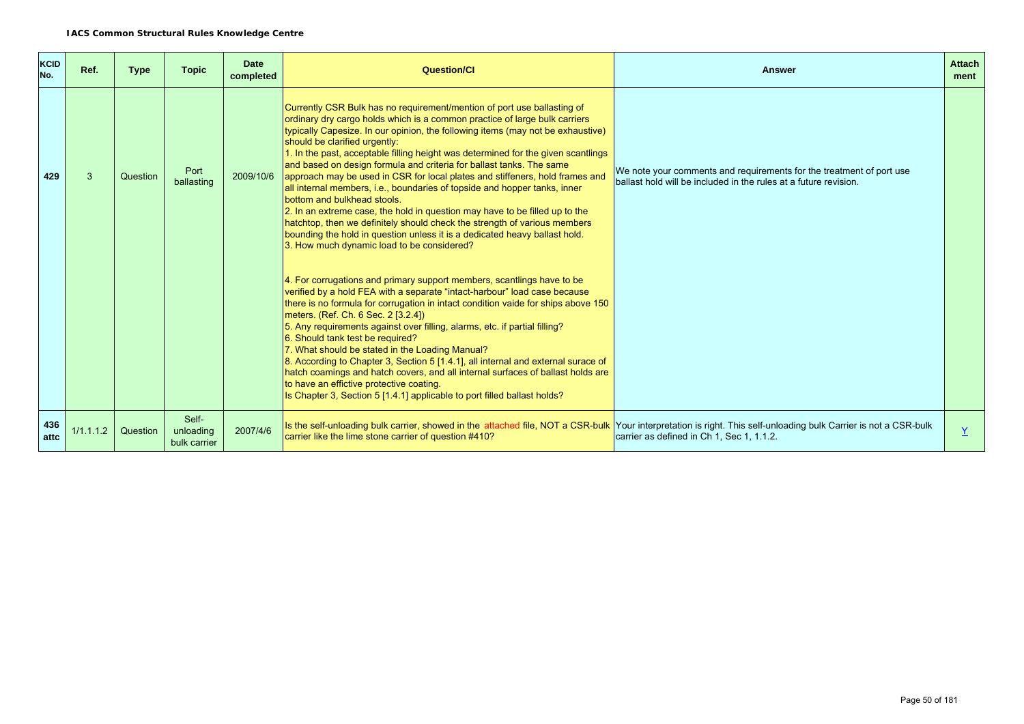| <b>KCID</b><br>No. | Ref.      | <b>Type</b> | <b>Topic</b>                       | <b>Date</b><br>completed | <b>Question/Cl</b>                                                                                                                                                                                                                                                                                                                                                                                                                                                                                                                                                                                                                                                                                                                                                                                                                                                                                                         | <b>Answer</b>                                                                                                                            | <b>Attach</b><br>ment |
|--------------------|-----------|-------------|------------------------------------|--------------------------|----------------------------------------------------------------------------------------------------------------------------------------------------------------------------------------------------------------------------------------------------------------------------------------------------------------------------------------------------------------------------------------------------------------------------------------------------------------------------------------------------------------------------------------------------------------------------------------------------------------------------------------------------------------------------------------------------------------------------------------------------------------------------------------------------------------------------------------------------------------------------------------------------------------------------|------------------------------------------------------------------------------------------------------------------------------------------|-----------------------|
| 429                | 3         | Question    | Port<br>ballasting                 | 2009/10/6                | Currently CSR Bulk has no requirement/mention of port use ballasting of<br>ordinary dry cargo holds which is a common practice of large bulk carriers<br>typically Capesize. In our opinion, the following items (may not be exhaustive)<br>should be clarified urgently:<br>1. In the past, acceptable filling height was determined for the given scantlings<br>and based on design formula and criteria for ballast tanks. The same<br>approach may be used in CSR for local plates and stiffeners, hold frames and<br>all internal members, i.e., boundaries of topside and hopper tanks, inner<br>bottom and bulkhead stools.<br>2. In an extreme case, the hold in question may have to be filled up to the<br>hatchtop, then we definitely should check the strength of various members<br>bounding the hold in question unless it is a dedicated heavy ballast hold.<br>3. How much dynamic load to be considered? | We note your comments and requirements for the treatment of port use<br>ballast hold will be included in the rules at a future revision. |                       |
|                    |           |             |                                    |                          | 4. For corrugations and primary support members, scantlings have to be<br>verified by a hold FEA with a separate "intact-harbour" load case because<br>there is no formula for corrugation in intact condition vaide for ships above 150<br>meters. (Ref. Ch. 6 Sec. 2 [3.2.4])<br>5. Any requirements against over filling, alarms, etc. if partial filling?<br>6. Should tank test be required?<br>7. What should be stated in the Loading Manual?<br>8. According to Chapter 3, Section 5 [1.4.1], all internal and external surace of<br>hatch coamings and hatch covers, and all internal surfaces of ballast holds are<br>to have an effictive protective coating.<br>Is Chapter 3, Section 5 [1.4.1] applicable to port filled ballast holds?                                                                                                                                                                       |                                                                                                                                          |                       |
| 436<br>attc        | 1/1.1.1.2 | Question    | Self-<br>unloading<br>bulk carrier | 2007/4/6                 | Is the self-unloading bulk carrier, showed in the attached file, NOT a CSR-bulk Your interpretation is right. This self-unloading bulk Carrier is not a CSR-bulk<br>carrier like the lime stone carrier of question #410?                                                                                                                                                                                                                                                                                                                                                                                                                                                                                                                                                                                                                                                                                                  | carrier as defined in Ch 1, Sec 1, 1.1.2.                                                                                                | $\underline{Y}$       |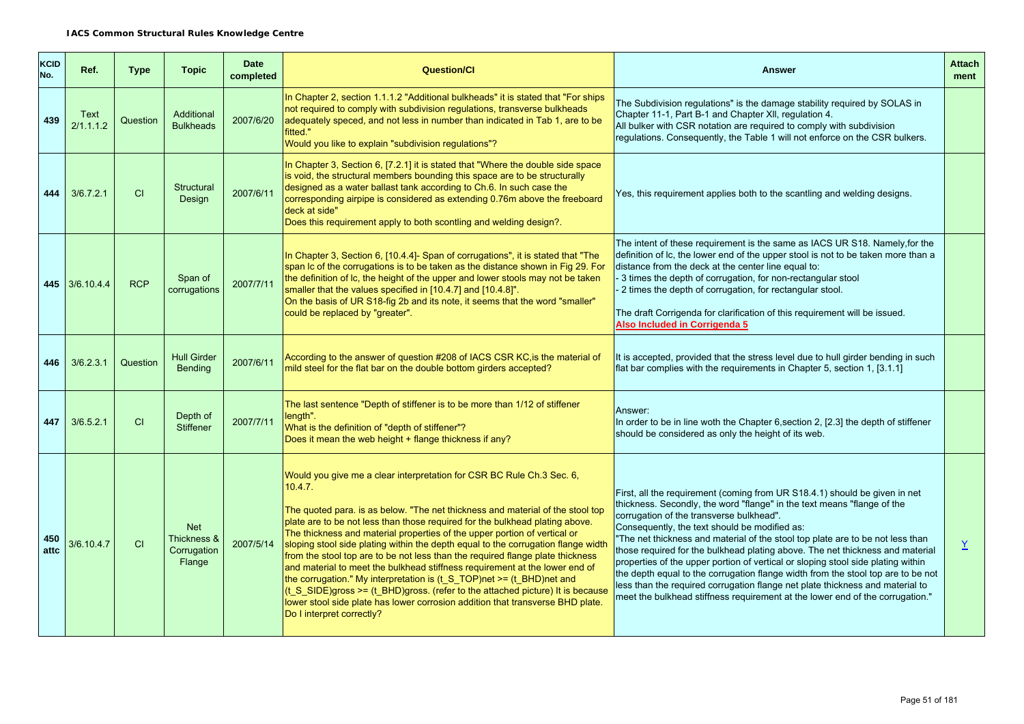| <b>KCID</b><br>No. | Ref.                     | <b>Type</b> | <b>Topic</b>                                       | <b>Date</b><br>completed | <b>Question/Cl</b>                                                                                                                                                                                                                                                                                                                                                                                                                                                                                                                                                                                                                                                                                                                                                                                                                                                         | <b>Answer</b>                                                                                                                                                                                                                                                                                                                                                                                                                                                                                                                                                                                                                                                                                                                                                  | <b>Attach</b><br>ment |
|--------------------|--------------------------|-------------|----------------------------------------------------|--------------------------|----------------------------------------------------------------------------------------------------------------------------------------------------------------------------------------------------------------------------------------------------------------------------------------------------------------------------------------------------------------------------------------------------------------------------------------------------------------------------------------------------------------------------------------------------------------------------------------------------------------------------------------------------------------------------------------------------------------------------------------------------------------------------------------------------------------------------------------------------------------------------|----------------------------------------------------------------------------------------------------------------------------------------------------------------------------------------------------------------------------------------------------------------------------------------------------------------------------------------------------------------------------------------------------------------------------------------------------------------------------------------------------------------------------------------------------------------------------------------------------------------------------------------------------------------------------------------------------------------------------------------------------------------|-----------------------|
| 439                | <b>Text</b><br>2/1.1.1.2 | Question    | Additional<br><b>Bulkheads</b>                     | 2007/6/20                | In Chapter 2, section 1.1.1.2 "Additional bulkheads" it is stated that "For ships"<br>not required to comply with subdivision requiations, transverse bulkheads<br>adequately speced, and not less in number than indicated in Tab 1, are to be<br>fitted."<br>Would you like to explain "subdivision regulations"?                                                                                                                                                                                                                                                                                                                                                                                                                                                                                                                                                        | The Subdivision regulations" is the damage stability required by SOLAS in<br>Chapter 11-1, Part B-1 and Chapter XII, regulation 4.<br>All bulker with CSR notation are required to comply with subdivision<br>regulations. Consequently, the Table 1 will not enforce on the CSR bulkers.                                                                                                                                                                                                                                                                                                                                                                                                                                                                      |                       |
| 444                | 3/6.7.2.1                | CI          | Structural<br>Design                               | 2007/6/11                | In Chapter 3, Section 6, [7.2.1] it is stated that "Where the double side space<br>is void, the structural members bounding this space are to be structurally<br>designed as a water ballast tank according to Ch.6. In such case the<br>corresponding airpipe is considered as extending 0.76m above the freeboard<br>deck at side"<br>Does this requirement apply to both scontling and welding design?.                                                                                                                                                                                                                                                                                                                                                                                                                                                                 | Yes, this requirement applies both to the scantling and welding designs.                                                                                                                                                                                                                                                                                                                                                                                                                                                                                                                                                                                                                                                                                       |                       |
|                    | 445 3/6.10.4.4           | <b>RCP</b>  | Span of<br>corrugations                            | 2007/7/11                | In Chapter 3, Section 6, [10.4.4]- Span of corrugations", it is stated that "The<br>span Ic of the corrugations is to be taken as the distance shown in Fig 29. For<br>the definition of Ic, the height of the upper and lower stools may not be taken<br>smaller that the values specified in [10.4.7] and [10.4.8]".<br>On the basis of UR S18-fig 2b and its note, it seems that the word "smaller"<br>could be replaced by "greater".                                                                                                                                                                                                                                                                                                                                                                                                                                  | The intent of these requirement is the same as IACS UR S18. Namely, for the<br>definition of Ic, the lower end of the upper stool is not to be taken more than a<br>distance from the deck at the center line equal to:<br>- 3 times the depth of corrugation, for non-rectangular stool<br>2 times the depth of corrugation, for rectangular stool.<br>The draft Corrigenda for clarification of this requirement will be issued.<br>Also Included in Corrigenda 5                                                                                                                                                                                                                                                                                            |                       |
| 446                | 3/6.2.3.1                | Question    | <b>Hull Girder</b><br><b>Bending</b>               | 2007/6/11                | According to the answer of question #208 of IACS CSR KC, is the material of<br>mild steel for the flat bar on the double bottom girders accepted?                                                                                                                                                                                                                                                                                                                                                                                                                                                                                                                                                                                                                                                                                                                          | It is accepted, provided that the stress level due to hull girder bending in such<br>flat bar complies with the requirements in Chapter 5, section 1, $[3.1.1]$                                                                                                                                                                                                                                                                                                                                                                                                                                                                                                                                                                                                |                       |
| 447                | 3/6.5.2.1                | CI          | Depth of<br><b>Stiffener</b>                       | 2007/7/11                | The last sentence "Depth of stiffener is to be more than 1/12 of stiffener<br>length".<br>What is the definition of "depth of stiffener"?<br>Does it mean the web height + flange thickness if any?                                                                                                                                                                                                                                                                                                                                                                                                                                                                                                                                                                                                                                                                        | Answer:<br>In order to be in line woth the Chapter 6, section 2, [2.3] the depth of stiffener<br>should be considered as only the height of its web.                                                                                                                                                                                                                                                                                                                                                                                                                                                                                                                                                                                                           |                       |
| 450<br>attc        | 3/6.10.4.7               | CI          | <b>Net</b><br>Thickness &<br>Corrugation<br>Flange | 2007/5/14                | Would you give me a clear interpretation for CSR BC Rule Ch.3 Sec. 6,<br>10.4.7.<br>The quoted para. is as below. "The net thickness and material of the stool top<br>plate are to be not less than those required for the bulkhead plating above.<br>The thickness and material properties of the upper portion of vertical or<br>sloping stool side plating within the depth equal to the corrugation flange width<br>from the stool top are to be not less than the required flange plate thickness<br>and material to meet the bulkhead stiffness requirement at the lower end of<br>the corrugation." My interpretation is $(t_S_TOP)$ net >= $(t_BHD)$ net and<br>$(t_S_S)$ SIDE)gross >= (t_BHD)gross. (refer to the attached picture) It is because<br>lower stool side plate has lower corrosion addition that transverse BHD plate.<br>Do I interpret correctly? | First, all the requirement (coming from UR S18.4.1) should be given in net<br>thickness. Secondly, the word "flange" in the text means "flange of the<br>corrugation of the transverse bulkhead".<br>Consequently, the text should be modified as:<br>The net thickness and material of the stool top plate are to be not less than<br>those required for the bulkhead plating above. The net thickness and material<br>properties of the upper portion of vertical or sloping stool side plating within<br>the depth equal to the corrugation flange width from the stool top are to be not<br>less than the required corrugation flange net plate thickness and material to<br>meet the bulkhead stiffness requirement at the lower end of the corrugation." | $\underline{Y}$       |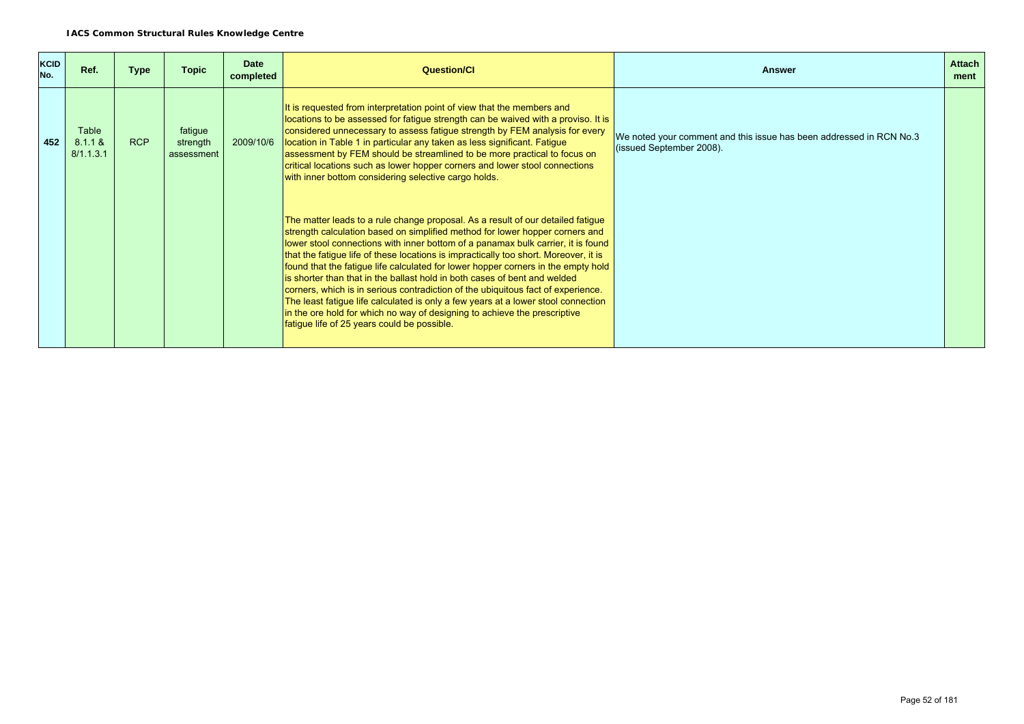| <b>KCID</b><br>No. | Ref.                          | <b>Type</b> | <b>Topic</b>                      | <b>Date</b><br>completed | <b>Question/CI</b>                                                                                                                                                                                                                                                                                                                                                                                                                                                                                                                                                                                                                                                                                                                                                                                                 | Answer                                                                                          | <b>Attach</b><br>ment |
|--------------------|-------------------------------|-------------|-----------------------------------|--------------------------|--------------------------------------------------------------------------------------------------------------------------------------------------------------------------------------------------------------------------------------------------------------------------------------------------------------------------------------------------------------------------------------------------------------------------------------------------------------------------------------------------------------------------------------------------------------------------------------------------------------------------------------------------------------------------------------------------------------------------------------------------------------------------------------------------------------------|-------------------------------------------------------------------------------------------------|-----------------------|
| 452                | Table<br>8.1.1 &<br>8/1.1.3.1 | <b>RCP</b>  | fatigue<br>strength<br>assessment | 2009/10/6                | It is requested from interpretation point of view that the members and<br>locations to be assessed for fatigue strength can be waived with a proviso. It is<br>considered unnecessary to assess fatigue strength by FEM analysis for every<br>location in Table 1 in particular any taken as less significant. Fatigue<br>assessment by FEM should be streamlined to be more practical to focus on<br>critical locations such as lower hopper corners and lower stool connections<br>with inner bottom considering selective cargo holds.                                                                                                                                                                                                                                                                          | We noted your comment and this issue has been addressed in RCN No.3<br>(issued September 2008). |                       |
|                    |                               |             |                                   |                          | The matter leads to a rule change proposal. As a result of our detailed fatigue<br>strength calculation based on simplified method for lower hopper corners and<br>lower stool connections with inner bottom of a panamax bulk carrier, it is found<br>that the fatigue life of these locations is impractically too short. Moreover, it is<br>found that the fatigue life calculated for lower hopper corners in the empty hold<br>is shorter than that in the ballast hold in both cases of bent and welded<br>corners, which is in serious contradiction of the ubiquitous fact of experience.<br>The least fatigue life calculated is only a few years at a lower stool connection<br>in the ore hold for which no way of designing to achieve the prescriptive<br>fatigue life of 25 years could be possible. |                                                                                                 |                       |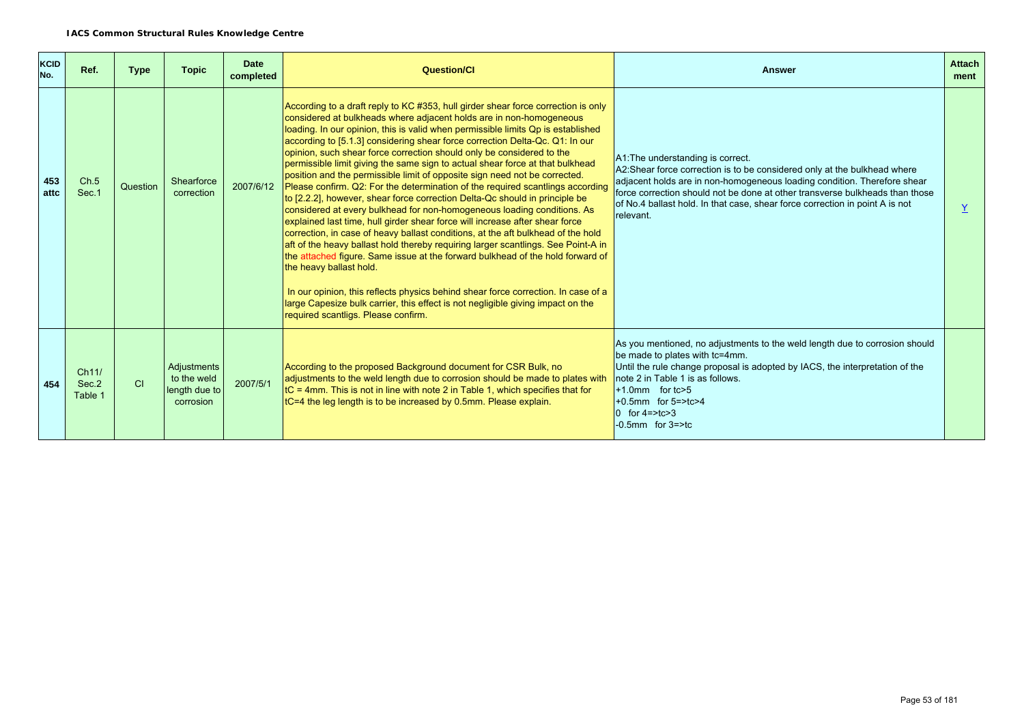| <b>KCID</b><br>No. | Ref.                      | <b>Type</b> | <b>Topic</b>                                             | <b>Date</b><br>completed | <b>Question/Cl</b>                                                                                                                                                                                                                                                                                                                                                                                                                                                                                                                                                                                                                                                                                                                                                                                                                                                                                                                                                                                                                                                                                                                                                                                                                                                                                                                                                                                    | <b>Answer</b>                                                                                                                                                                                                                                                                                                                                                          | <b>Attach</b><br>ment |
|--------------------|---------------------------|-------------|----------------------------------------------------------|--------------------------|-------------------------------------------------------------------------------------------------------------------------------------------------------------------------------------------------------------------------------------------------------------------------------------------------------------------------------------------------------------------------------------------------------------------------------------------------------------------------------------------------------------------------------------------------------------------------------------------------------------------------------------------------------------------------------------------------------------------------------------------------------------------------------------------------------------------------------------------------------------------------------------------------------------------------------------------------------------------------------------------------------------------------------------------------------------------------------------------------------------------------------------------------------------------------------------------------------------------------------------------------------------------------------------------------------------------------------------------------------------------------------------------------------|------------------------------------------------------------------------------------------------------------------------------------------------------------------------------------------------------------------------------------------------------------------------------------------------------------------------------------------------------------------------|-----------------------|
| 453<br>attc        | Ch.5<br>Sec.1             | Question    | Shearforce<br>correction                                 | 2007/6/12                | According to a draft reply to KC #353, hull girder shear force correction is only<br>considered at bulkheads where adjacent holds are in non-homogeneous<br>loading. In our opinion, this is valid when permissible limits Qp is established<br>according to [5.1.3] considering shear force correction Delta-Qc. Q1: In our<br>opinion, such shear force correction should only be considered to the<br>permissible limit giving the same sign to actual shear force at that bulkhead<br>position and the permissible limit of opposite sign need not be corrected.<br>Please confirm. Q2: For the determination of the required scantlings according<br>to [2.2.2], however, shear force correction Delta-Qc should in principle be<br>considered at every bulkhead for non-homogeneous loading conditions. As<br>explained last time, hull girder shear force will increase after shear force<br>correction, in case of heavy ballast conditions, at the aft bulkhead of the hold<br>aft of the heavy ballast hold thereby requiring larger scantlings. See Point-A in<br>the attached figure. Same issue at the forward bulkhead of the hold forward of<br>the heavy ballast hold.<br>In our opinion, this reflects physics behind shear force correction. In case of a<br>large Capesize bulk carrier, this effect is not negligible giving impact on the<br>required scantligs. Please confirm. | A1: The understanding is correct.<br>A2:Shear force correction is to be considered only at the bulkhead where<br>adjacent holds are in non-homogeneous loading condition. Therefore shear<br>force correction should not be done at other transverse bulkheads than those<br>of No.4 ballast hold. In that case, shear force correction in point A is not<br>relevant. |                       |
| 454                | Ch11/<br>Sec.2<br>Table 1 | CI          | Adjustments<br>to the weld<br>length due to<br>corrosion | 2007/5/1                 | According to the proposed Background document for CSR Bulk, no<br>adjustments to the weld length due to corrosion should be made to plates with<br>$ $ tC = 4mm. This is not in line with note 2 in Table 1, which specifies that for<br>tC=4 the leg length is to be increased by 0.5mm. Please explain.                                                                                                                                                                                                                                                                                                                                                                                                                                                                                                                                                                                                                                                                                                                                                                                                                                                                                                                                                                                                                                                                                             | As you mentioned, no adjustments to the weld length due to corrosion should<br>be made to plates with tc=4mm.<br>Until the rule change proposal is adopted by IACS, the interpretation of the<br>note 2 in Table 1 is as follows.<br>$+1.0$ mm for tc $>5$<br>$+0.5$ mm for $5 = > t$ c $>4$<br>0 for $4 = > t$ c $> 3$<br>$-0.5$ mm for $3 = >$ tc                    |                       |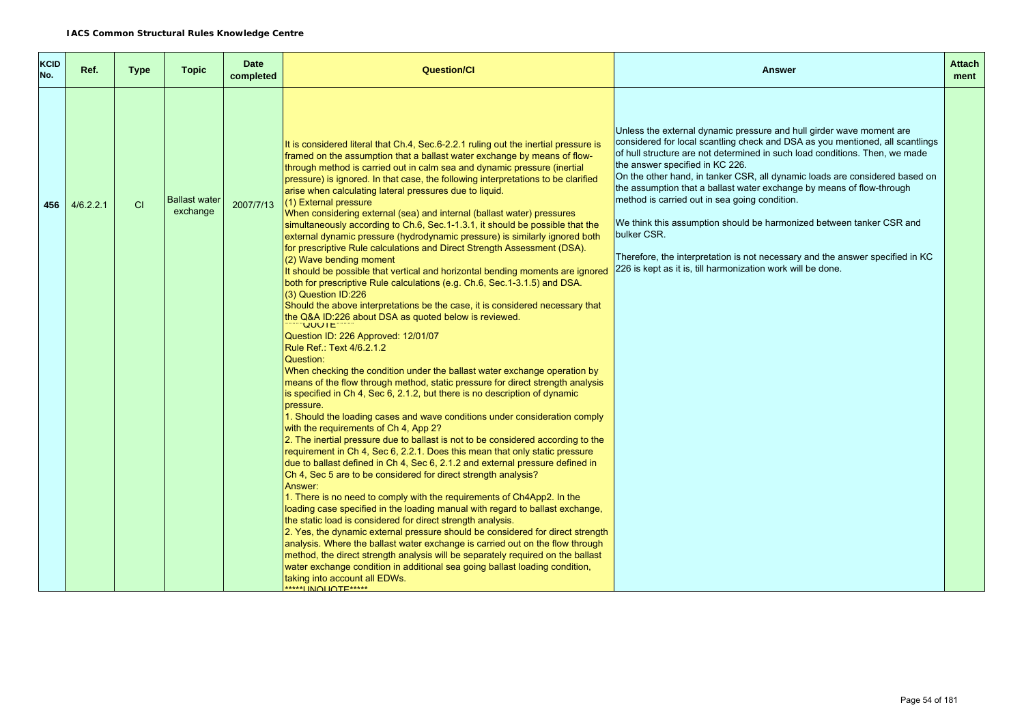| <b>KCID</b><br>No. | Ref.      | <b>Type</b> | <b>Topic</b>                     | <b>Date</b><br>completed | <b>Question/CI</b>                                                                                                                                                                                                                                                                                                                                                                                                                                                                                                                                                                                                                                                                                                                                                                                                                                                                                                                                                                                                                                                                                                                                                                                                                                                                                                                                                                                                                                                                                                                                                                                                                                                                                                                                                                                                                                                                                                                                                                                                                                                                                                                                                                                                                                                                                                                                                                                                                                                                                                       | <b>Answer</b>                                                                                                                                                                                                                                                                                                                                                                                                                                                                                                                                                                                                                                                                                                           | <b>Attach</b><br>ment |
|--------------------|-----------|-------------|----------------------------------|--------------------------|--------------------------------------------------------------------------------------------------------------------------------------------------------------------------------------------------------------------------------------------------------------------------------------------------------------------------------------------------------------------------------------------------------------------------------------------------------------------------------------------------------------------------------------------------------------------------------------------------------------------------------------------------------------------------------------------------------------------------------------------------------------------------------------------------------------------------------------------------------------------------------------------------------------------------------------------------------------------------------------------------------------------------------------------------------------------------------------------------------------------------------------------------------------------------------------------------------------------------------------------------------------------------------------------------------------------------------------------------------------------------------------------------------------------------------------------------------------------------------------------------------------------------------------------------------------------------------------------------------------------------------------------------------------------------------------------------------------------------------------------------------------------------------------------------------------------------------------------------------------------------------------------------------------------------------------------------------------------------------------------------------------------------------------------------------------------------------------------------------------------------------------------------------------------------------------------------------------------------------------------------------------------------------------------------------------------------------------------------------------------------------------------------------------------------------------------------------------------------------------------------------------------------|-------------------------------------------------------------------------------------------------------------------------------------------------------------------------------------------------------------------------------------------------------------------------------------------------------------------------------------------------------------------------------------------------------------------------------------------------------------------------------------------------------------------------------------------------------------------------------------------------------------------------------------------------------------------------------------------------------------------------|-----------------------|
| 456                | 4/6.2.2.1 | CI          | <b>Ballast water</b><br>exchange | 2007/7/13                | It is considered literal that Ch.4, Sec.6-2.2.1 ruling out the inertial pressure is<br>framed on the assumption that a ballast water exchange by means of flow-<br>through method is carried out in calm sea and dynamic pressure (inertial<br>pressure) is ignored. In that case, the following interpretations to be clarified<br>arise when calculating lateral pressures due to liquid.<br>(1) External pressure<br>When considering external (sea) and internal (ballast water) pressures<br>simultaneously according to Ch.6, Sec.1-1.3.1, it should be possible that the<br>external dynamic pressure (hydrodynamic pressure) is similarly ignored both<br>for prescriptive Rule calculations and Direct Strength Assessment (DSA).<br>(2) Wave bending moment<br>It should be possible that vertical and horizontal bending moments are ignored<br>both for prescriptive Rule calculations (e.g. Ch.6, Sec.1-3.1.5) and DSA.<br>(3) Question ID:226<br>Should the above interpretations be the case, it is considered necessary that<br>the Q&A ID:226 about DSA as quoted below is reviewed.<br><b>QUUTE</b><br>Question ID: 226 Approved: 12/01/07<br>Rule Ref.: Text 4/6.2.1.2<br>Question:<br>When checking the condition under the ballast water exchange operation by<br>means of the flow through method, static pressure for direct strength analysis<br>is specified in Ch 4, Sec 6, 2.1.2, but there is no description of dynamic<br>pressure.<br>1. Should the loading cases and wave conditions under consideration comply<br>with the requirements of Ch 4, App 2?<br>2. The inertial pressure due to ballast is not to be considered according to the<br>requirement in Ch 4, Sec 6, 2.2.1. Does this mean that only static pressure<br>due to ballast defined in Ch 4, Sec 6, 2.1.2 and external pressure defined in<br>Ch 4, Sec 5 are to be considered for direct strength analysis?<br>Answer:<br>1. There is no need to comply with the requirements of Ch4App2. In the<br>loading case specified in the loading manual with regard to ballast exchange,<br>the static load is considered for direct strength analysis.<br>2. Yes, the dynamic external pressure should be considered for direct strength<br>analysis. Where the ballast water exchange is carried out on the flow through<br>method, the direct strength analysis will be separately required on the ballast<br>water exchange condition in additional sea going ballast loading condition,<br>taking into account all EDWs. | Unless the external dynamic pressure and hull girder wave moment are<br>considered for local scantling check and DSA as you mentioned, all scantlings<br>of hull structure are not determined in such load conditions. Then, we made<br>the answer specified in KC 226.<br>On the other hand, in tanker CSR, all dynamic loads are considered based on<br>the assumption that a ballast water exchange by means of flow-through<br>method is carried out in sea going condition.<br>We think this assumption should be harmonized between tanker CSR and<br>bulker CSR.<br>Therefore, the interpretation is not necessary and the answer specified in KC<br>226 is kept as it is, till harmonization work will be done. |                       |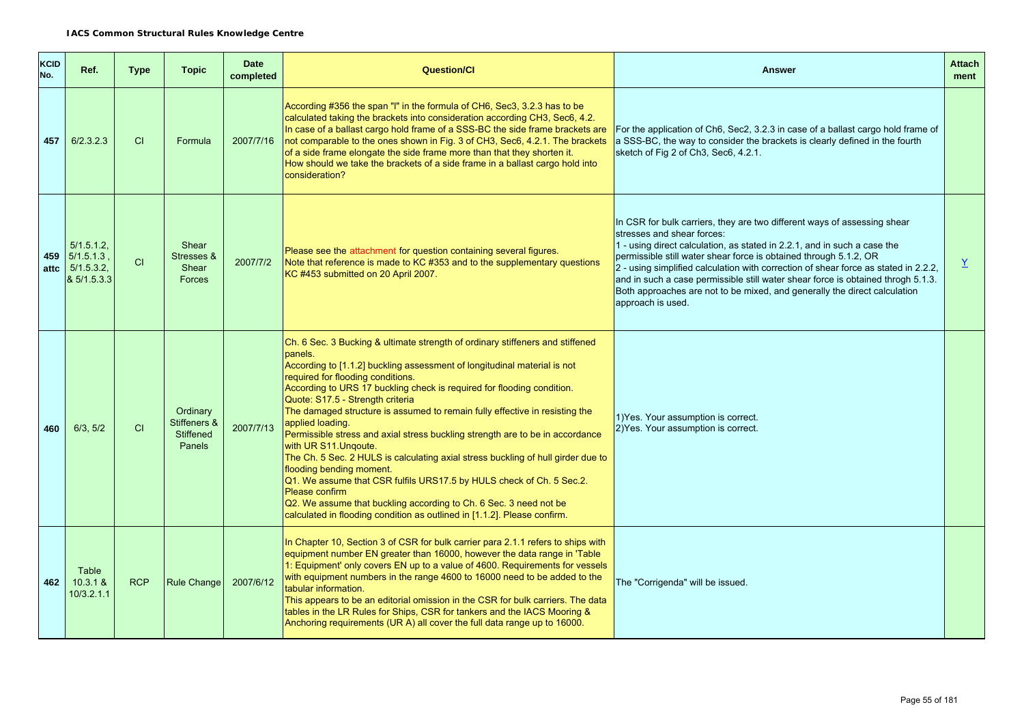| <b>KCID</b><br>No. | Ref.                                               | <b>Type</b> | <b>Topic</b>                                                  | <b>Date</b><br>completed | <b>Question/Cl</b>                                                                                                                                                                                                                                                                                                                                                                                                                                                                                                                                                                                                                                                                                                                                                                                                                                                                              | <b>Answer</b>                                                                                                                                                                                                                                                                                                                                                                                                                                                                                                                        | <b>Attach</b><br>ment    |
|--------------------|----------------------------------------------------|-------------|---------------------------------------------------------------|--------------------------|-------------------------------------------------------------------------------------------------------------------------------------------------------------------------------------------------------------------------------------------------------------------------------------------------------------------------------------------------------------------------------------------------------------------------------------------------------------------------------------------------------------------------------------------------------------------------------------------------------------------------------------------------------------------------------------------------------------------------------------------------------------------------------------------------------------------------------------------------------------------------------------------------|--------------------------------------------------------------------------------------------------------------------------------------------------------------------------------------------------------------------------------------------------------------------------------------------------------------------------------------------------------------------------------------------------------------------------------------------------------------------------------------------------------------------------------------|--------------------------|
| 457                | 6/2.3.2.3                                          | CI          | Formula                                                       | 2007/7/16                | According #356 the span "I" in the formula of CH6, Sec3, 3.2.3 has to be<br>calculated taking the brackets into consideration according CH3, Sec6, 4.2.<br>In case of a ballast cargo hold frame of a SSS-BC the side frame brackets are<br>not comparable to the ones shown in Fig. 3 of CH3, Sec6, 4.2.1. The brackets<br>of a side frame elongate the side frame more than that they shorten it.<br>How should we take the brackets of a side frame in a ballast cargo hold into<br>consideration?                                                                                                                                                                                                                                                                                                                                                                                           | For the application of Ch6, Sec2, 3.2.3 in case of a ballast cargo hold frame of<br>a SSS-BC, the way to consider the brackets is clearly defined in the fourth<br>sketch of Fig 2 of Ch3, Sec6, 4.2.1.                                                                                                                                                                                                                                                                                                                              |                          |
| 459<br>attc        | 5/1.5.1.2<br>5/1.5.1.3<br>5/1.5.3.2<br>& 5/1.5.3.3 | CI          | Shear<br>Stresses &<br>Shear<br>Forces                        | 2007/7/2                 | Please see the attachment for question containing several figures.<br>Note that reference is made to KC #353 and to the supplementary questions<br>KC #453 submitted on 20 April 2007.                                                                                                                                                                                                                                                                                                                                                                                                                                                                                                                                                                                                                                                                                                          | In CSR for bulk carriers, they are two different ways of assessing shear<br>stresses and shear forces:<br>1 - using direct calculation, as stated in 2.2.1, and in such a case the<br>permissible still water shear force is obtained through 5.1.2, OR<br>2 - using simplified calculation with correction of shear force as stated in 2.2.2,<br>and in such a case permissible still water shear force is obtained throgh 5.1.3.<br>Both approaches are not to be mixed, and generally the direct calculation<br>approach is used. | $\underline{\mathsf{Y}}$ |
| 460                | 6/3, 5/2                                           | CI          | Ordinary<br>Stiffeners &<br><b>Stiffened</b><br><b>Panels</b> | 2007/7/13                | Ch. 6 Sec. 3 Bucking & ultimate strength of ordinary stiffeners and stiffened<br>panels.<br>According to [1.1.2] buckling assessment of longitudinal material is not<br>required for flooding conditions.<br>According to URS 17 buckling check is required for flooding condition.<br>Quote: S17.5 - Strength criteria<br>The damaged structure is assumed to remain fully effective in resisting the<br>applied loading.<br>Permissible stress and axial stress buckling strength are to be in accordance<br>with UR S11. Ungoute.<br>The Ch. 5 Sec. 2 HULS is calculating axial stress buckling of hull girder due to<br>flooding bending moment.<br>Q1. We assume that CSR fulfils URS17.5 by HULS check of Ch. 5 Sec.2.<br>Please confirm<br>Q2. We assume that buckling according to Ch. 6 Sec. 3 need not be<br>calculated in flooding condition as outlined in [1.1.2]. Please confirm. | 1) Yes. Your assumption is correct.<br>2) Yes. Your assumption is correct.                                                                                                                                                                                                                                                                                                                                                                                                                                                           |                          |
| 462                | Table<br>10.3.1 &<br>10/3.2.1.1                    | <b>RCP</b>  | Rule Change                                                   | 2007/6/12                | In Chapter 10, Section 3 of CSR for bulk carrier para 2.1.1 refers to ships with<br>equipment number EN greater than 16000, however the data range in 'Table<br>1: Equipment' only covers EN up to a value of 4600. Requirements for vessels<br>with equipment numbers in the range 4600 to 16000 need to be added to the<br>tabular information.<br>This appears to be an editorial omission in the CSR for bulk carriers. The data<br>tables in the LR Rules for Ships, CSR for tankers and the IACS Mooring &<br>Anchoring requirements (UR A) all cover the full data range up to 16000.                                                                                                                                                                                                                                                                                                    | The "Corrigenda" will be issued.                                                                                                                                                                                                                                                                                                                                                                                                                                                                                                     |                          |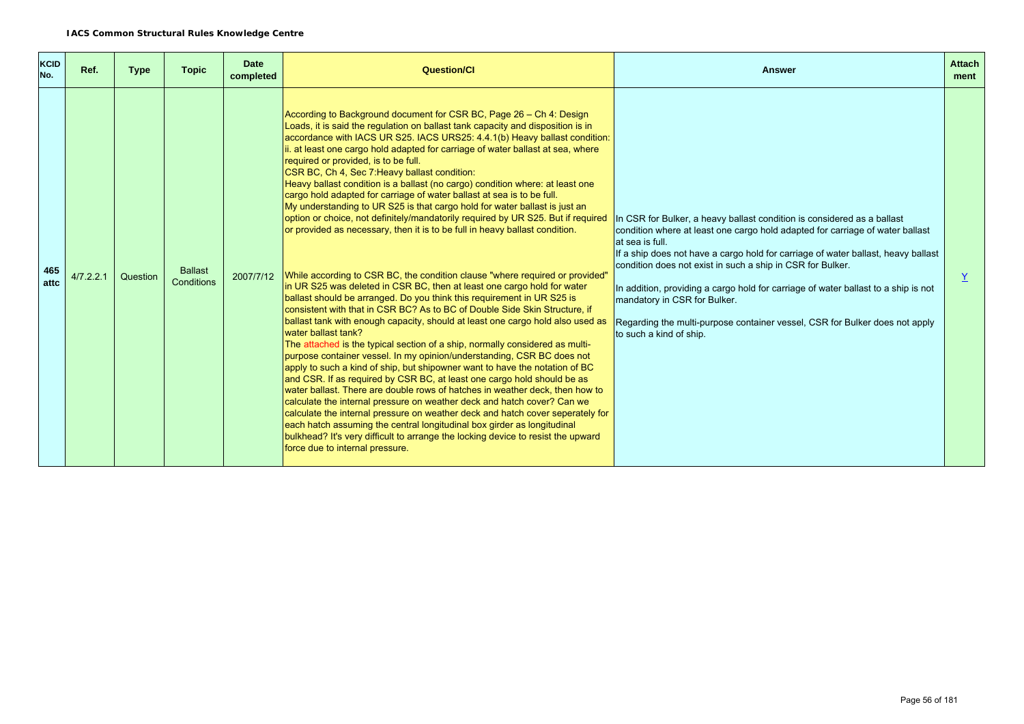| <b>KCID</b><br>No. | Ref.      | <b>Type</b> | <b>Topic</b>                 | <b>Date</b><br>completed | <b>Question/CI</b>                                                                                                                                                                                                                                                                                                                                                                                                                                                                                                                                                                                                                                                                                                                                                                                                                                                                                                                                                                                                                                                                                                                                                                                                                                                                                                                                                                                                                                                                                                                                                                                                                                                                                                                                                                                                                                                                                                                                                                                                         | <b>Answer</b>                                                                                                                                                                                                                                                                                                                                                                                                                                                                                                                                                  | <b>Attach</b><br>ment |
|--------------------|-----------|-------------|------------------------------|--------------------------|----------------------------------------------------------------------------------------------------------------------------------------------------------------------------------------------------------------------------------------------------------------------------------------------------------------------------------------------------------------------------------------------------------------------------------------------------------------------------------------------------------------------------------------------------------------------------------------------------------------------------------------------------------------------------------------------------------------------------------------------------------------------------------------------------------------------------------------------------------------------------------------------------------------------------------------------------------------------------------------------------------------------------------------------------------------------------------------------------------------------------------------------------------------------------------------------------------------------------------------------------------------------------------------------------------------------------------------------------------------------------------------------------------------------------------------------------------------------------------------------------------------------------------------------------------------------------------------------------------------------------------------------------------------------------------------------------------------------------------------------------------------------------------------------------------------------------------------------------------------------------------------------------------------------------------------------------------------------------------------------------------------------------|----------------------------------------------------------------------------------------------------------------------------------------------------------------------------------------------------------------------------------------------------------------------------------------------------------------------------------------------------------------------------------------------------------------------------------------------------------------------------------------------------------------------------------------------------------------|-----------------------|
| 465<br>attc        | 4/7.2.2.1 | Question    | <b>Ballast</b><br>Conditions | 2007/7/12                | According to Background document for CSR BC, Page 26 – Ch 4: Design<br>Loads, it is said the regulation on ballast tank capacity and disposition is in<br>accordance with IACS UR S25. IACS URS25: 4.4.1(b) Heavy ballast condition:<br>ii. at least one cargo hold adapted for carriage of water ballast at sea, where<br>required or provided, is to be full.<br>CSR BC, Ch 4, Sec 7 Heavy ballast condition:<br>Heavy ballast condition is a ballast (no cargo) condition where: at least one<br>cargo hold adapted for carriage of water ballast at sea is to be full.<br>My understanding to UR S25 is that cargo hold for water ballast is just an<br>option or choice, not definitely/mandatorily required by UR S25. But if required<br>or provided as necessary, then it is to be full in heavy ballast condition.<br>While according to CSR BC, the condition clause "where required or provided"<br>in UR S25 was deleted in CSR BC, then at least one cargo hold for water<br>ballast should be arranged. Do you think this requirement in UR S25 is<br>consistent with that in CSR BC? As to BC of Double Side Skin Structure, if<br>ballast tank with enough capacity, should at least one cargo hold also used as<br>water ballast tank?<br>The attached is the typical section of a ship, normally considered as multi-<br>purpose container vessel. In my opinion/understanding, CSR BC does not<br>apply to such a kind of ship, but shipowner want to have the notation of BC<br>and CSR. If as required by CSR BC, at least one cargo hold should be as<br>water ballast. There are double rows of hatches in weather deck, then how to<br>calculate the internal pressure on weather deck and hatch cover? Can we<br>calculate the internal pressure on weather deck and hatch cover seperately for<br>each hatch assuming the central longitudinal box girder as longitudinal<br>bulkhead? It's very difficult to arrange the locking device to resist the upward<br>force due to internal pressure. | In CSR for Bulker, a heavy ballast condition is considered as a ballast<br>condition where at least one cargo hold adapted for carriage of water ballast<br>at sea is full.<br>If a ship does not have a cargo hold for carriage of water ballast, heavy ballast<br>condition does not exist in such a ship in CSR for Bulker.<br>In addition, providing a cargo hold for carriage of water ballast to a ship is not<br>mandatory in CSR for Bulker.<br>Regarding the multi-purpose container vessel, CSR for Bulker does not apply<br>to such a kind of ship. | $\underline{Y}$       |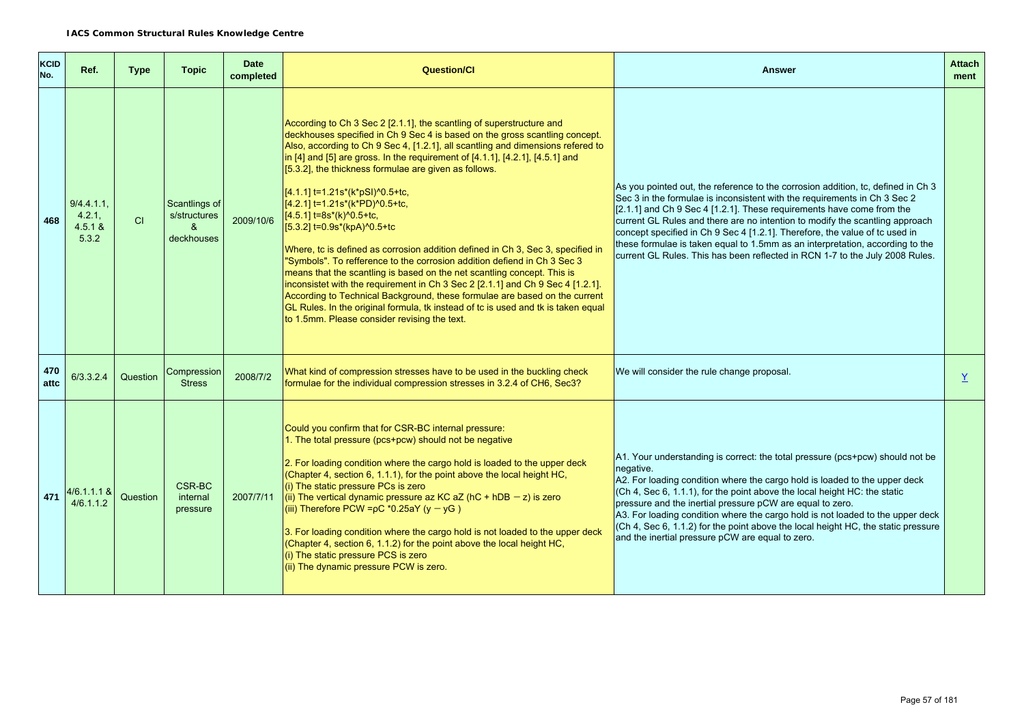| <b>KCID</b><br>No. | Ref.                                   | <b>Type</b> | <b>Topic</b>                                                         | <b>Date</b><br>completed | <b>Question/Cl</b>                                                                                                                                                                                                                                                                                                                                                                                                                                                                                                                                                                                                                                                                                                                                                                                                                                                                                                                                                                                                                                                 | <b>Answer</b>                                                                                                                                                                                                                                                                                                                                                                                                                                                                                                                                                            | <b>Attach</b><br>ment |
|--------------------|----------------------------------------|-------------|----------------------------------------------------------------------|--------------------------|--------------------------------------------------------------------------------------------------------------------------------------------------------------------------------------------------------------------------------------------------------------------------------------------------------------------------------------------------------------------------------------------------------------------------------------------------------------------------------------------------------------------------------------------------------------------------------------------------------------------------------------------------------------------------------------------------------------------------------------------------------------------------------------------------------------------------------------------------------------------------------------------------------------------------------------------------------------------------------------------------------------------------------------------------------------------|--------------------------------------------------------------------------------------------------------------------------------------------------------------------------------------------------------------------------------------------------------------------------------------------------------------------------------------------------------------------------------------------------------------------------------------------------------------------------------------------------------------------------------------------------------------------------|-----------------------|
| 468                | 9/4.4.1.1<br>4.2.1<br>4.5.1 &<br>5.3.2 | CI          | Scantlings of<br>s/structures<br>$\boldsymbol{\alpha}$<br>deckhouses | 2009/10/6                | According to Ch 3 Sec 2 [2.1.1], the scantling of superstructure and<br>deckhouses specified in Ch 9 Sec 4 is based on the gross scantling concept.<br>Also, according to Ch 9 Sec 4, [1.2.1], all scantling and dimensions refered to<br>in [4] and [5] are gross. In the requirement of [4.1.1], [4.2.1], [4.5.1] and<br>$[5.3.2]$ , the thickness formulae are given as follows.<br>[4.1.1] t=1.21s*(k*pSI)^0.5+tc,<br>[4.2.1] t=1.21s*(k*PD)^0.5+tc,<br>[4.5.1] t=8s*(k)^0.5+tc,<br>[5.3.2] t=0.9s*(kpA)^0.5+tc<br>Where, to is defined as corrosion addition defined in Ch 3, Sec 3, specified in<br>"Symbols". To refference to the corrosion addition defiend in Ch 3 Sec 3<br>means that the scantling is based on the net scantling concept. This is<br>inconsistet with the requirement in Ch 3 Sec 2 [2.1.1] and Ch 9 Sec 4 [1.2.1].<br>According to Technical Background, these formulae are based on the current<br>GL Rules. In the original formula, tk instead of tc is used and tk is taken equal<br>to 1.5mm. Please consider revising the text. | As you pointed out, the reference to the corrosion addition, tc, defined in Ch 3<br>Sec 3 in the formulae is inconsistent with the requirements in Ch 3 Sec 2<br>$[2.1.1]$ and Ch 9 Sec 4 [1.2.1]. These requirements have come from the<br>current GL Rules and there are no intention to modify the scantling approach<br>concept specified in Ch 9 Sec 4 [1.2.1]. Therefore, the value of tc used in<br>these formulae is taken equal to 1.5mm as an interpretation, according to the<br>current GL Rules. This has been reflected in RCN 1-7 to the July 2008 Rules. |                       |
| 470<br>attc        | 6/3.3.2.4                              | Question    | Compression<br><b>Stress</b>                                         | 2008/7/2                 | What kind of compression stresses have to be used in the buckling check<br>formulae for the individual compression stresses in 3.2.4 of CH6, Sec3?                                                                                                                                                                                                                                                                                                                                                                                                                                                                                                                                                                                                                                                                                                                                                                                                                                                                                                                 | We will consider the rule change proposal.                                                                                                                                                                                                                                                                                                                                                                                                                                                                                                                               | Y                     |
| 471                | $4/6.1.1.1$ &<br>4/6.1.1.2             | Question    | CSR-BC<br>internal<br>pressure                                       | 2007/7/11                | Could you confirm that for CSR-BC internal pressure:<br>1. The total pressure (pcs+pcw) should not be negative<br>2. For loading condition where the cargo hold is loaded to the upper deck<br>(Chapter 4, section 6, 1.1.1), for the point above the local height HC,<br>(i) The static pressure PCs is zero<br>(ii) The vertical dynamic pressure az KC aZ (hC + hDB $-z$ ) is zero<br>(iii) Therefore PCW = $pC$ *0.25aY (y - yG)<br>3. For loading condition where the cargo hold is not loaded to the upper deck<br>(Chapter 4, section 6, 1.1.2) for the point above the local height HC,<br>(i) The static pressure PCS is zero<br>(ii) The dynamic pressure PCW is zero.                                                                                                                                                                                                                                                                                                                                                                                   | A1. Your understanding is correct: the total pressure (pcs+pcw) should not be<br>negative.<br>A2. For loading condition where the cargo hold is loaded to the upper deck<br>(Ch 4, Sec 6, 1.1.1), for the point above the local height HC: the static<br>pressure and the inertial pressure pCW are equal to zero.<br>A3. For loading condition where the cargo hold is not loaded to the upper deck<br>$C$ h 4, Sec 6, 1.1.2) for the point above the local height HC, the static pressure<br>and the inertial pressure pCW are equal to zero.                          |                       |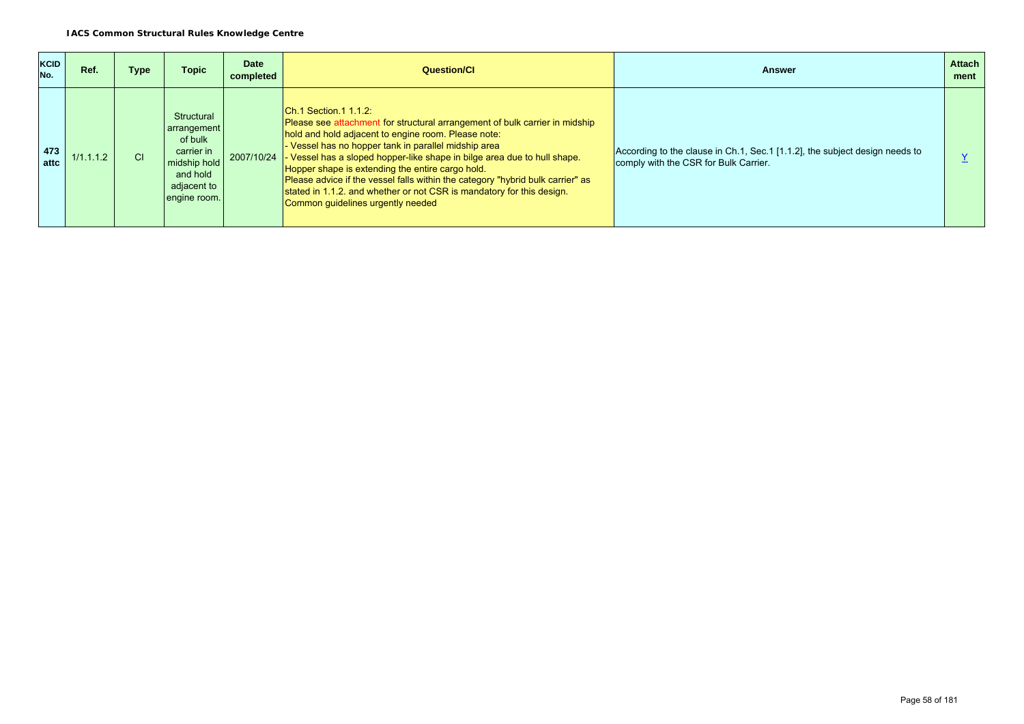| <b>KCID</b><br>No. | Ref.      | Type      | Topic                                                                                                         | <b>Date</b><br>completed | Question/Cl                                                                                                                                                                                                                                                                                                                                                                                                                                                                                                                                        | <b>Answer</b>                                                                                                        | <b>Attach</b><br>ment |
|--------------------|-----------|-----------|---------------------------------------------------------------------------------------------------------------|--------------------------|----------------------------------------------------------------------------------------------------------------------------------------------------------------------------------------------------------------------------------------------------------------------------------------------------------------------------------------------------------------------------------------------------------------------------------------------------------------------------------------------------------------------------------------------------|----------------------------------------------------------------------------------------------------------------------|-----------------------|
| 473<br>attc        | 1/1.1.1.2 | <b>CI</b> | Structural<br>arrangement<br>of bulk<br>carrier in<br>midship hold<br>and hold<br>adjacent to<br>engine room. | 2007/10/24               | $ Ch.1$ Section.1 1.1.2:<br>Please see attachment for structural arrangement of bulk carrier in midship<br>hold and hold adjacent to engine room. Please note:<br>Vessel has no hopper tank in parallel midship area<br>Vessel has a sloped hopper-like shape in bilge area due to hull shape.<br>Hopper shape is extending the entire cargo hold.<br>Please advice if the vessel falls within the category "hybrid bulk carrier" as<br>stated in 1.1.2, and whether or not CSR is mandatory for this design.<br>Common quidelines urgently needed | According to the clause in Ch.1, Sec.1 [1.1.2], the subject design needs to<br>comply with the CSR for Bulk Carrier. |                       |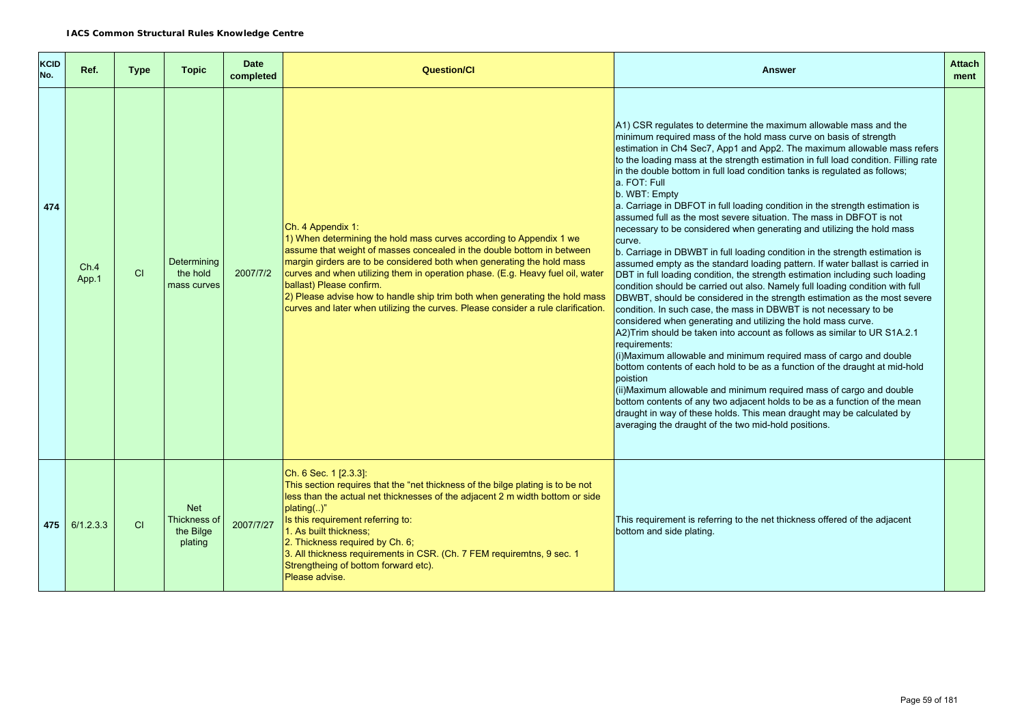| <b>KCID</b><br>No. | Ref.            | <b>Type</b> | <b>Topic</b>                                       | <b>Date</b><br>completed | <b>Question/Cl</b>                                                                                                                                                                                                                                                                                                                                                                                                                                                                                                             | <b>Answer</b>                                                                                                                                                                                                                                                                                                                                                                                                                                                                                                                                                                                                                                                                                                                                                                                                                                                                                                                                                                                                                                                                                                                                                                                                                                                                                                                                                                                                                                                                                                                                                                                                                                                                                                                                                                   | <b>Attach</b><br>ment |
|--------------------|-----------------|-------------|----------------------------------------------------|--------------------------|--------------------------------------------------------------------------------------------------------------------------------------------------------------------------------------------------------------------------------------------------------------------------------------------------------------------------------------------------------------------------------------------------------------------------------------------------------------------------------------------------------------------------------|---------------------------------------------------------------------------------------------------------------------------------------------------------------------------------------------------------------------------------------------------------------------------------------------------------------------------------------------------------------------------------------------------------------------------------------------------------------------------------------------------------------------------------------------------------------------------------------------------------------------------------------------------------------------------------------------------------------------------------------------------------------------------------------------------------------------------------------------------------------------------------------------------------------------------------------------------------------------------------------------------------------------------------------------------------------------------------------------------------------------------------------------------------------------------------------------------------------------------------------------------------------------------------------------------------------------------------------------------------------------------------------------------------------------------------------------------------------------------------------------------------------------------------------------------------------------------------------------------------------------------------------------------------------------------------------------------------------------------------------------------------------------------------|-----------------------|
| 474                | Ch.4<br>App.1   | CI          | Determining<br>the hold<br>mass curves             | 2007/7/2                 | Ch. 4 Appendix 1:<br>1) When determining the hold mass curves according to Appendix 1 we<br>assume that weight of masses concealed in the double bottom in between<br>margin girders are to be considered both when generating the hold mass<br>curves and when utilizing them in operation phase. (E.g. Heavy fuel oil, water<br>ballast) Please confirm.<br>2) Please advise how to handle ship trim both when generating the hold mass<br>curves and later when utilizing the curves. Please consider a rule clarification. | A1) CSR regulates to determine the maximum allowable mass and the<br>minimum required mass of the hold mass curve on basis of strength<br>estimation in Ch4 Sec7, App1 and App2. The maximum allowable mass refers<br>to the loading mass at the strength estimation in full load condition. Filling rate<br>in the double bottom in full load condition tanks is regulated as follows;<br>a. FOT: Full<br>b. WBT: Empty<br>a. Carriage in DBFOT in full loading condition in the strength estimation is<br>assumed full as the most severe situation. The mass in DBFOT is not<br>necessary to be considered when generating and utilizing the hold mass<br>curve.<br>b. Carriage in DBWBT in full loading condition in the strength estimation is<br>assumed empty as the standard loading pattern. If water ballast is carried in<br>DBT in full loading condition, the strength estimation including such loading<br>condition should be carried out also. Namely full loading condition with full<br>DBWBT, should be considered in the strength estimation as the most severe<br>condition. In such case, the mass in DBWBT is not necessary to be<br>considered when generating and utilizing the hold mass curve.<br>A2) Trim should be taken into account as follows as similar to UR S1A.2.1<br>requirements:<br>(i) Maximum allowable and minimum required mass of cargo and double<br>bottom contents of each hold to be as a function of the draught at mid-hold<br>poistion<br>(ii) Maximum allowable and minimum required mass of cargo and double<br>bottom contents of any two adjacent holds to be as a function of the mean<br>draught in way of these holds. This mean draught may be calculated by<br>averaging the draught of the two mid-hold positions. |                       |
|                    | $475$ 6/1.2.3.3 | CI          | <b>Net</b><br>Thickness of<br>the Bilge<br>plating | 2007/7/27                | Ch. 6 Sec. 1 [2.3.3]:<br>This section requires that the "net thickness of the bilge plating is to be not<br>less than the actual net thicknesses of the adjacent 2 m width bottom or side<br>$plating$ )"<br>Is this requirement referring to:<br>1. As built thickness:<br>2. Thickness required by Ch. 6;<br>3. All thickness requirements in CSR. (Ch. 7 FEM requiremtns, 9 sec. 1<br>Strengtheing of bottom forward etc).<br>Please advise.                                                                                | This requirement is referring to the net thickness offered of the adjacent<br>bottom and side plating.                                                                                                                                                                                                                                                                                                                                                                                                                                                                                                                                                                                                                                                                                                                                                                                                                                                                                                                                                                                                                                                                                                                                                                                                                                                                                                                                                                                                                                                                                                                                                                                                                                                                          |                       |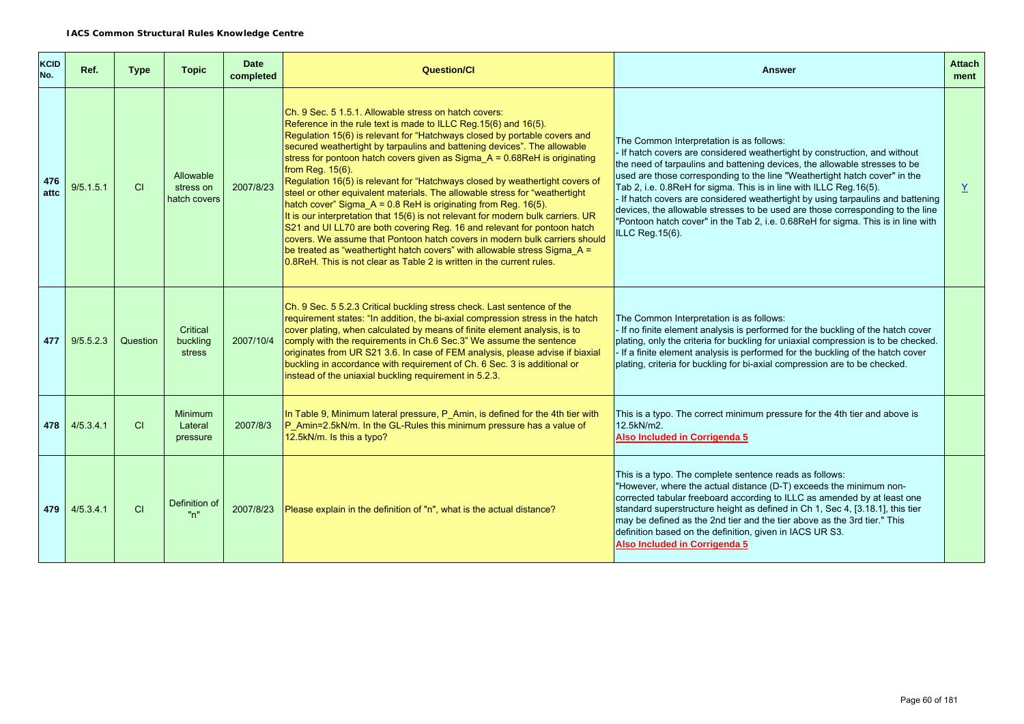| <b>KCID</b><br>No. | Ref.      | <b>Type</b> | <b>Topic</b>                           | <b>Date</b><br>completed | <b>Question/Cl</b>                                                                                                                                                                                                                                                                                                                                                                                                                                                                                                                                                                                                                                                                                                                                                                                                                                                                                                                                                                                                            | <b>Answer</b>                                                                                                                                                                                                                                                                                                                                                                                                                                                                                                                                                                                                                         | <b>Attach</b><br>ment |
|--------------------|-----------|-------------|----------------------------------------|--------------------------|-------------------------------------------------------------------------------------------------------------------------------------------------------------------------------------------------------------------------------------------------------------------------------------------------------------------------------------------------------------------------------------------------------------------------------------------------------------------------------------------------------------------------------------------------------------------------------------------------------------------------------------------------------------------------------------------------------------------------------------------------------------------------------------------------------------------------------------------------------------------------------------------------------------------------------------------------------------------------------------------------------------------------------|---------------------------------------------------------------------------------------------------------------------------------------------------------------------------------------------------------------------------------------------------------------------------------------------------------------------------------------------------------------------------------------------------------------------------------------------------------------------------------------------------------------------------------------------------------------------------------------------------------------------------------------|-----------------------|
| 476<br>attc        | 9/5.1.5.1 | CI          | Allowable<br>stress on<br>hatch covers | 2007/8/23                | Ch. 9 Sec. 5 1.5.1. Allowable stress on hatch covers:<br>Reference in the rule text is made to ILLC Reg. 15(6) and 16(5).<br>Regulation 15(6) is relevant for "Hatchways closed by portable covers and<br>secured weathertight by tarpaulins and battening devices". The allowable<br>stress for pontoon hatch covers given as Sigma_A = $0.68$ ReH is originating<br>from Req. 15(6).<br>Regulation 16(5) is relevant for "Hatchways closed by weathertight covers of<br>steel or other equivalent materials. The allowable stress for "weathertight<br>hatch cover" Sigma_A = 0.8 ReH is originating from Reg. 16(5).<br>It is our interpretation that 15(6) is not relevant for modern bulk carriers. UR<br>S21 and UI LL70 are both covering Reg. 16 and relevant for pontoon hatch<br>covers. We assume that Pontoon hatch covers in modern bulk carriers should<br>be treated as "weathertight hatch covers" with allowable stress Sigma $A =$<br>0.8ReH. This is not clear as Table 2 is written in the current rules. | The Common Interpretation is as follows:<br>- If hatch covers are considered weathertight by construction, and without<br>the need of tarpaulins and battening devices, the allowable stresses to be<br>used are those corresponding to the line "Weathertight hatch cover" in the<br>Tab 2, i.e. 0.8ReH for sigma. This is in line with ILLC Reg.16(5).<br>- If hatch covers are considered weathertight by using tarpaulins and battening<br>devices, the allowable stresses to be used are those corresponding to the line<br>"Pontoon hatch cover" in the Tab 2, i.e. 0.68ReH for sigma. This is in line with<br>ILLC Reg. 15(6). | Y                     |
| 477                | 9/5.5.2.3 | Question    | Critical<br>buckling<br>stress         | 2007/10/4                | Ch. 9 Sec. 5 5.2.3 Critical buckling stress check. Last sentence of the<br>requirement states: "In addition, the bi-axial compression stress in the hatch<br>cover plating, when calculated by means of finite element analysis, is to<br>comply with the requirements in Ch.6 Sec.3" We assume the sentence<br>originates from UR S21 3.6. In case of FEM analysis, please advise if biaxial<br>buckling in accordance with requirement of Ch. 6 Sec. 3 is additional or<br>instead of the uniaxial buckling requirement in 5.2.3.                                                                                                                                                                                                                                                                                                                                                                                                                                                                                           | The Common Interpretation is as follows:<br>If no finite element analysis is performed for the buckling of the hatch cover<br>plating, only the criteria for buckling for uniaxial compression is to be checked.<br>- If a finite element analysis is performed for the buckling of the hatch cover<br>plating, criteria for buckling for bi-axial compression are to be checked.                                                                                                                                                                                                                                                     |                       |
| 478                | 4/5.3.4.1 | <b>CI</b>   | Minimum<br>Lateral<br>pressure         | 2007/8/3                 | In Table 9, Minimum lateral pressure, P Amin, is defined for the 4th tier with<br>P_Amin=2.5kN/m. In the GL-Rules this minimum pressure has a value of<br>12.5kN/m. Is this a typo?                                                                                                                                                                                                                                                                                                                                                                                                                                                                                                                                                                                                                                                                                                                                                                                                                                           | This is a typo. The correct minimum pressure for the 4th tier and above is<br>12.5kN/m2.<br>Also Included in Corrigenda 5                                                                                                                                                                                                                                                                                                                                                                                                                                                                                                             |                       |
| 479                | 4/5.3.4.1 | CI          | Definition of<br>"n"                   | 2007/8/23                | Please explain in the definition of "n", what is the actual distance?                                                                                                                                                                                                                                                                                                                                                                                                                                                                                                                                                                                                                                                                                                                                                                                                                                                                                                                                                         | This is a typo. The complete sentence reads as follows:<br>"However, where the actual distance (D-T) exceeds the minimum non-<br>corrected tabular freeboard according to ILLC as amended by at least one<br>standard superstructure height as defined in Ch 1, Sec 4, [3.18.1], this tier<br>may be defined as the 2nd tier and the tier above as the 3rd tier." This<br>definition based on the definition, given in IACS UR S3.<br>Also Included in Corrigenda 5                                                                                                                                                                   |                       |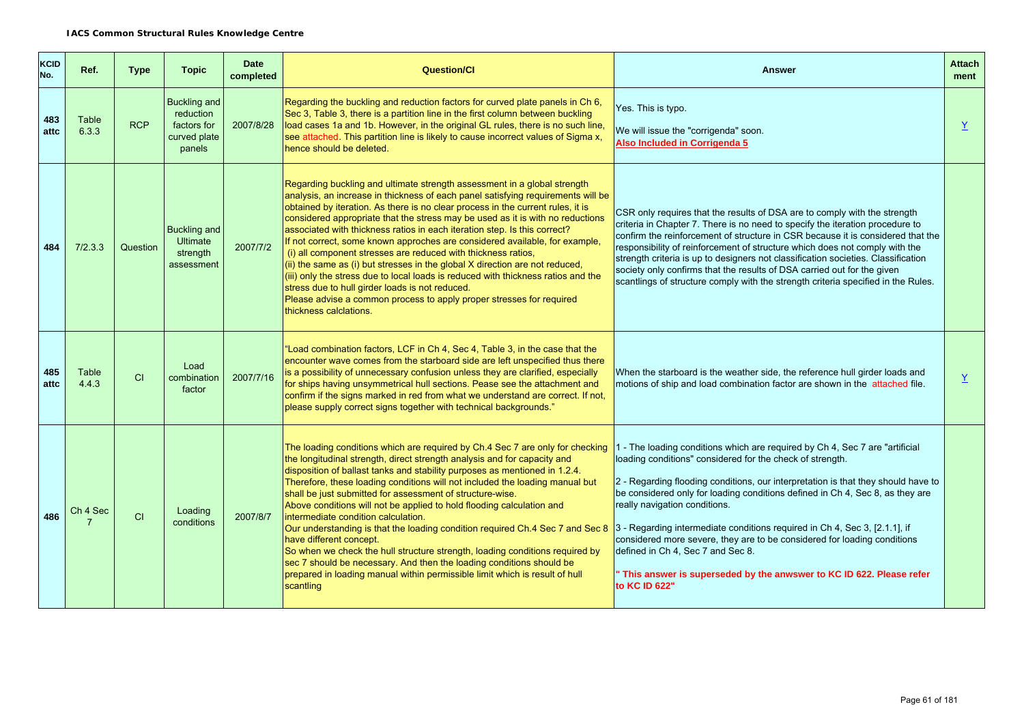| <b>KCID</b><br>No. | Ref.           | <b>Type</b> | <b>Topic</b>                                                              | <b>Date</b><br>completed | <b>Question/CI</b>                                                                                                                                                                                                                                                                                                                                                                                                                                                                                                                                                                                                                                                                                                                                                                                                                                                                                        | <b>Answer</b>                                                                                                                                                                                                                                                                                                                                                                                                                                                                                                                                                                                                                            | <b>Attach</b><br>ment |
|--------------------|----------------|-------------|---------------------------------------------------------------------------|--------------------------|-----------------------------------------------------------------------------------------------------------------------------------------------------------------------------------------------------------------------------------------------------------------------------------------------------------------------------------------------------------------------------------------------------------------------------------------------------------------------------------------------------------------------------------------------------------------------------------------------------------------------------------------------------------------------------------------------------------------------------------------------------------------------------------------------------------------------------------------------------------------------------------------------------------|------------------------------------------------------------------------------------------------------------------------------------------------------------------------------------------------------------------------------------------------------------------------------------------------------------------------------------------------------------------------------------------------------------------------------------------------------------------------------------------------------------------------------------------------------------------------------------------------------------------------------------------|-----------------------|
| 483<br>attc        | Table<br>6.3.3 | <b>RCP</b>  | <b>Buckling and</b><br>reduction<br>factors for<br>curved plate<br>panels | 2007/8/28                | Regarding the buckling and reduction factors for curved plate panels in Ch 6,<br>Sec 3, Table 3, there is a partition line in the first column between buckling<br>load cases 1a and 1b. However, in the original GL rules, there is no such line,<br>see attached. This partition line is likely to cause incorrect values of Sigma x,<br>hence should be deleted.                                                                                                                                                                                                                                                                                                                                                                                                                                                                                                                                       | Yes. This is typo.<br>We will issue the "corrigenda" soon.<br>Also Included in Corrigenda 5                                                                                                                                                                                                                                                                                                                                                                                                                                                                                                                                              | $\overline{X}$        |
| 484                | 7/2.3.3        | Question    | <b>Buckling and</b><br><b>Ultimate</b><br>strength<br>assessment          | 2007/7/2                 | Regarding buckling and ultimate strength assessment in a global strength<br>analysis, an increase in thickness of each panel satisfying requirements will be<br>obtained by iteration. As there is no clear process in the current rules, it is<br>considered appropriate that the stress may be used as it is with no reductions<br>associated with thickness ratios in each iteration step. Is this correct?<br>If not correct, some known approches are considered available, for example,<br>(i) all component stresses are reduced with thickness ratios,<br>$\left  \right $ (ii) the same as (i) but stresses in the global X direction are not reduced,<br>(iii) only the stress due to local loads is reduced with thickness ratios and the<br>stress due to hull girder loads is not reduced.<br>Please advise a common process to apply proper stresses for required<br>thickness calclations. | CSR only requires that the results of DSA are to comply with the strength<br>criteria in Chapter 7. There is no need to specify the iteration procedure to<br>confirm the reinforcement of structure in CSR because it is considered that the<br>responsibility of reinforcement of structure which does not comply with the<br>strength criteria is up to designers not classification societies. Classification<br>society only confirms that the results of DSA carried out for the given<br>scantlings of structure comply with the strength criteria specified in the Rules.                                                        |                       |
| 485<br>attc        | Table<br>4.4.3 | CI          | Load<br>combination<br>factor                                             | 2007/7/16                | "Load combination factors, LCF in Ch 4, Sec 4, Table 3, in the case that the<br>encounter wave comes from the starboard side are left unspecified thus there<br>is a possibility of unnecessary confusion unless they are clarified, especially<br>for ships having unsymmetrical hull sections. Pease see the attachment and<br>confirm if the signs marked in red from what we understand are correct. If not,<br>please supply correct signs together with technical backgrounds."                                                                                                                                                                                                                                                                                                                                                                                                                     | When the starboard is the weather side, the reference hull girder loads and<br>motions of ship and load combination factor are shown in the attached file.                                                                                                                                                                                                                                                                                                                                                                                                                                                                               | $\overline{X}$        |
| 486                | Ch 4 Sec       | <b>CI</b>   | Loading<br>conditions                                                     | 2007/8/7                 | The loading conditions which are required by Ch.4 Sec 7 are only for checking<br>the longitudinal strength, direct strength analysis and for capacity and<br>disposition of ballast tanks and stability purposes as mentioned in 1.2.4.<br>Therefore, these loading conditions will not included the loading manual but<br>shall be just submitted for assessment of structure-wise.<br>Above conditions will not be applied to hold flooding calculation and<br>intermediate condition calculation.<br>Our understanding is that the loading condition required Ch.4 Sec 7 and Sec 8<br>have different concept.<br>So when we check the hull structure strength, loading conditions required by<br>sec 7 should be necessary. And then the loading conditions should be<br>prepared in loading manual within permissible limit which is result of hull<br>scantling                                      | 1 - The loading conditions which are required by Ch 4, Sec 7 are "artificial"<br>loading conditions" considered for the check of strength.<br>2 - Regarding flooding conditions, our interpretation is that they should have to<br>be considered only for loading conditions defined in Ch 4, Sec 8, as they are<br>really navigation conditions.<br>3 - Regarding intermediate conditions required in Ch 4, Sec 3, [2.1.1], if<br>considered more severe, they are to be considered for loading conditions<br>defined in Ch 4, Sec 7 and Sec 8.<br>This answer is superseded by the anwswer to KC ID 622. Please refer<br>to KC ID 622" |                       |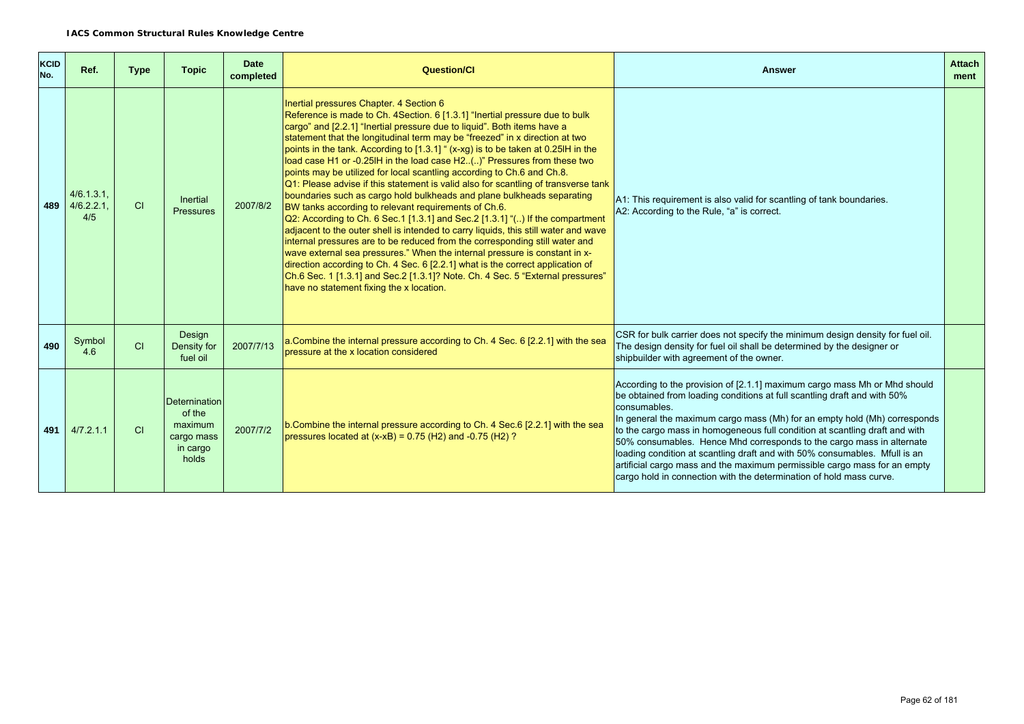| <b>KCID</b><br>No. | Ref.                              | <b>Type</b> | <b>Topic</b>                                                                 | <b>Date</b><br>completed | <b>Question/CI</b>                                                                                                                                                                                                                                                                                                                                                                                                                                                                                                                                                                                                                                                                                                                                                                                                                                                                                                                                                                                                                                                                                                                                                                                                                                                                                      | <b>Answer</b>                                                                                                                                                                                                                                                                                                                                                                                                                                                                                                                                                                                                                                | <b>Attach</b><br>ment |
|--------------------|-----------------------------------|-------------|------------------------------------------------------------------------------|--------------------------|---------------------------------------------------------------------------------------------------------------------------------------------------------------------------------------------------------------------------------------------------------------------------------------------------------------------------------------------------------------------------------------------------------------------------------------------------------------------------------------------------------------------------------------------------------------------------------------------------------------------------------------------------------------------------------------------------------------------------------------------------------------------------------------------------------------------------------------------------------------------------------------------------------------------------------------------------------------------------------------------------------------------------------------------------------------------------------------------------------------------------------------------------------------------------------------------------------------------------------------------------------------------------------------------------------|----------------------------------------------------------------------------------------------------------------------------------------------------------------------------------------------------------------------------------------------------------------------------------------------------------------------------------------------------------------------------------------------------------------------------------------------------------------------------------------------------------------------------------------------------------------------------------------------------------------------------------------------|-----------------------|
| 489                | $4/6.1.3.1$ .<br>4/6.2.2.1<br>4/5 | CI          | Inertial<br>Pressures                                                        | 2007/8/2                 | Inertial pressures Chapter. 4 Section 6<br>Reference is made to Ch. 4Section. 6 [1.3.1] "Inertial pressure due to bulk<br>cargo" and [2.2.1] "Inertial pressure due to liquid". Both items have a<br>statement that the longitudinal term may be "freezed" in x direction at two<br>points in the tank. According to [1.3.1] " (x-xg) is to be taken at 0.25IH in the<br>load case H1 or -0.25IH in the load case H2()" Pressures from these two<br>points may be utilized for local scantling according to Ch.6 and Ch.8.<br>Q1: Please advise if this statement is valid also for scantling of transverse tank<br>boundaries such as cargo hold bulkheads and plane bulkheads separating<br>BW tanks according to relevant requirements of Ch.6.<br>Q2: According to Ch. 6 Sec.1 [1.3.1] and Sec.2 [1.3.1] "() If the compartment<br>adjacent to the outer shell is intended to carry liquids, this still water and wave<br>internal pressures are to be reduced from the corresponding still water and<br>wave external sea pressures." When the internal pressure is constant in x-<br>direction according to Ch. 4 Sec. 6 [2.2.1] what is the correct application of<br>Ch.6 Sec. 1 [1.3.1] and Sec.2 [1.3.1]? Note. Ch. 4 Sec. 5 "External pressures"<br>have no statement fixing the x location. | A1: This requirement is also valid for scantling of tank boundaries.<br>A2: According to the Rule, "a" is correct.                                                                                                                                                                                                                                                                                                                                                                                                                                                                                                                           |                       |
| 490                | Symbol<br>4.6                     | CI          | Design<br>Density for<br>fuel oil                                            | 2007/7/13                | a.Combine the internal pressure according to Ch. 4 Sec. 6 [2.2.1] with the sea<br>pressure at the x location considered                                                                                                                                                                                                                                                                                                                                                                                                                                                                                                                                                                                                                                                                                                                                                                                                                                                                                                                                                                                                                                                                                                                                                                                 | CSR for bulk carrier does not specify the minimum design density for fuel oil.<br>The design density for fuel oil shall be determined by the designer or<br>shipbuilder with agreement of the owner.                                                                                                                                                                                                                                                                                                                                                                                                                                         |                       |
| 491                | 4/7.2.1.1                         | CI          | <b>Deternination</b><br>of the<br>maximum<br>cargo mass<br>in cargo<br>holds | 2007/7/2                 | b. Combine the internal pressure according to Ch. 4 Sec. 6 [2.2.1] with the sea<br>pressures located at $(x-xB) = 0.75$ (H2) and -0.75 (H2)?                                                                                                                                                                                                                                                                                                                                                                                                                                                                                                                                                                                                                                                                                                                                                                                                                                                                                                                                                                                                                                                                                                                                                            | According to the provision of [2.1.1] maximum cargo mass Mh or Mhd should<br>be obtained from loading conditions at full scantling draft and with 50%<br>consumables.<br>In general the maximum cargo mass (Mh) for an empty hold (Mh) corresponds<br>to the cargo mass in homogeneous full condition at scantling draft and with<br>50% consumables. Hence Mhd corresponds to the cargo mass in alternate<br>loading condition at scantling draft and with 50% consumables. Mfull is an<br>artificial cargo mass and the maximum permissible cargo mass for an empty<br>cargo hold in connection with the determination of hold mass curve. |                       |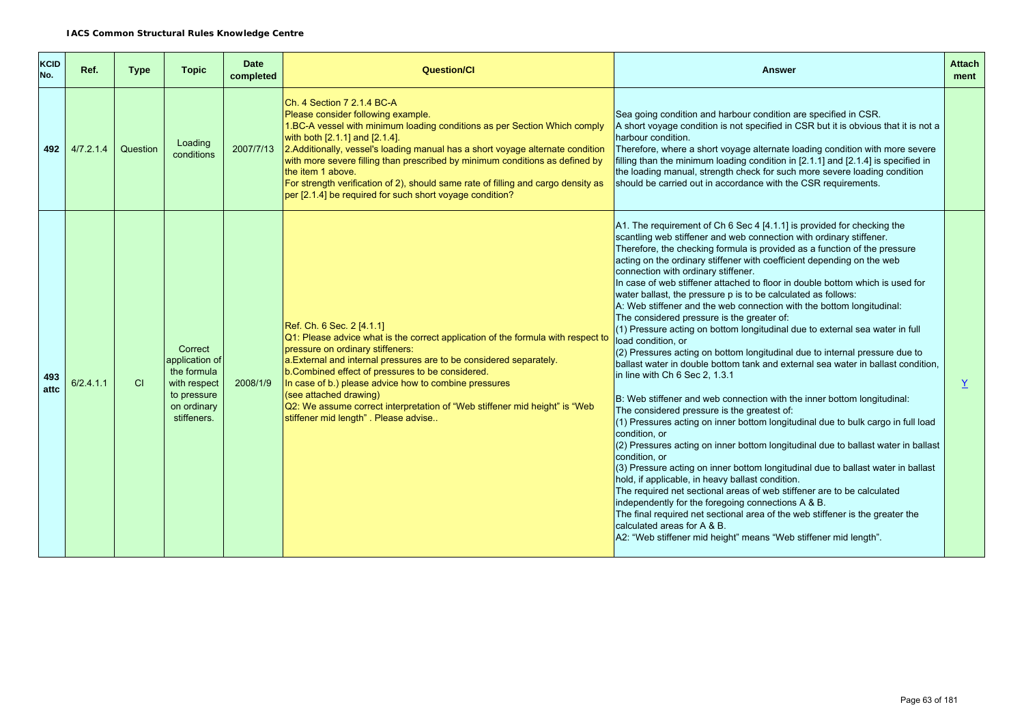| <b>KCID</b><br>No. | Ref.      | <b>Type</b> | <b>Topic</b>                                                                                          | <b>Date</b><br>completed | Question/Cl                                                                                                                                                                                                                                                                                                                                                                                                                                                                                                             | <b>Answer</b>                                                                                                                                                                                                                                                                                                                                                                                                                                                                                                                                                                                                                                                                                                                                                                                                                                                                                                                                                                                                                                                                                                                                                                                                                                                                                                                                                                                                                                                                                                                                                                                                                                                                                                                        | <b>Attach</b><br>ment |
|--------------------|-----------|-------------|-------------------------------------------------------------------------------------------------------|--------------------------|-------------------------------------------------------------------------------------------------------------------------------------------------------------------------------------------------------------------------------------------------------------------------------------------------------------------------------------------------------------------------------------------------------------------------------------------------------------------------------------------------------------------------|--------------------------------------------------------------------------------------------------------------------------------------------------------------------------------------------------------------------------------------------------------------------------------------------------------------------------------------------------------------------------------------------------------------------------------------------------------------------------------------------------------------------------------------------------------------------------------------------------------------------------------------------------------------------------------------------------------------------------------------------------------------------------------------------------------------------------------------------------------------------------------------------------------------------------------------------------------------------------------------------------------------------------------------------------------------------------------------------------------------------------------------------------------------------------------------------------------------------------------------------------------------------------------------------------------------------------------------------------------------------------------------------------------------------------------------------------------------------------------------------------------------------------------------------------------------------------------------------------------------------------------------------------------------------------------------------------------------------------------------|-----------------------|
| 492                | 4/7.2.1.4 | Question    | Loading<br>conditions                                                                                 | 2007/7/13                | Ch. 4 Section 7 2.1.4 BC-A<br>Please consider following example.<br>1.BC-A vessel with minimum loading conditions as per Section Which comply<br>with both [2.1.1] and [2.1.4].<br>2.Additionally, vessel's loading manual has a short voyage alternate condition<br>with more severe filling than prescribed by minimum conditions as defined by<br>the item 1 above.<br>For strength verification of 2), should same rate of filling and cargo density as<br>per [2.1.4] be required for such short voyage condition? | Sea going condition and harbour condition are specified in CSR.<br>A short voyage condition is not specified in CSR but it is obvious that it is not a<br>harbour condition.<br>Therefore, where a short voyage alternate loading condition with more severe<br>filling than the minimum loading condition in [2.1.1] and [2.1.4] is specified in<br>the loading manual, strength check for such more severe loading condition<br>should be carried out in accordance with the CSR requirements.                                                                                                                                                                                                                                                                                                                                                                                                                                                                                                                                                                                                                                                                                                                                                                                                                                                                                                                                                                                                                                                                                                                                                                                                                                     |                       |
| 493<br>attc        | 6/2.4.1.1 | <b>CI</b>   | Correct<br>application of<br>the formula<br>with respect<br>to pressure<br>on ordinary<br>stiffeners. | 2008/1/9                 | Ref. Ch. 6 Sec. 2 [4.1.1]<br>Q1: Please advice what is the correct application of the formula with respect to<br>pressure on ordinary stiffeners:<br>a. External and internal pressures are to be considered separately.<br>b. Combined effect of pressures to be considered.<br>In case of b.) please advice how to combine pressures<br>(see attached drawing)<br>Q2: We assume correct interpretation of "Web stiffener mid height" is "Web<br>stiffener mid length". Please advise                                  | A1. The requirement of Ch $6$ Sec 4 [4.1.1] is provided for checking the<br>scantling web stiffener and web connection with ordinary stiffener.<br>Therefore, the checking formula is provided as a function of the pressure<br>acting on the ordinary stiffener with coefficient depending on the web<br>connection with ordinary stiffener.<br>In case of web stiffener attached to floor in double bottom which is used for<br>water ballast, the pressure p is to be calculated as follows:<br>A: Web stiffener and the web connection with the bottom longitudinal:<br>The considered pressure is the greater of:<br>(1) Pressure acting on bottom longitudinal due to external sea water in full<br>load condition, or<br>(2) Pressures acting on bottom longitudinal due to internal pressure due to<br>ballast water in double bottom tank and external sea water in ballast condition,<br>in line with Ch 6 Sec 2, 1.3.1<br>B: Web stiffener and web connection with the inner bottom longitudinal:<br>The considered pressure is the greatest of:<br>(1) Pressures acting on inner bottom longitudinal due to bulk cargo in full load<br>condition, or<br>$(2)$ Pressures acting on inner bottom longitudinal due to ballast water in ballast<br>condition, or<br>(3) Pressure acting on inner bottom longitudinal due to ballast water in ballast<br>hold, if applicable, in heavy ballast condition.<br>The required net sectional areas of web stiffener are to be calculated<br>independently for the foregoing connections A & B.<br>The final required net sectional area of the web stiffener is the greater the<br>calculated areas for A & B.<br>A2: "Web stiffener mid height" means "Web stiffener mid length". | Y                     |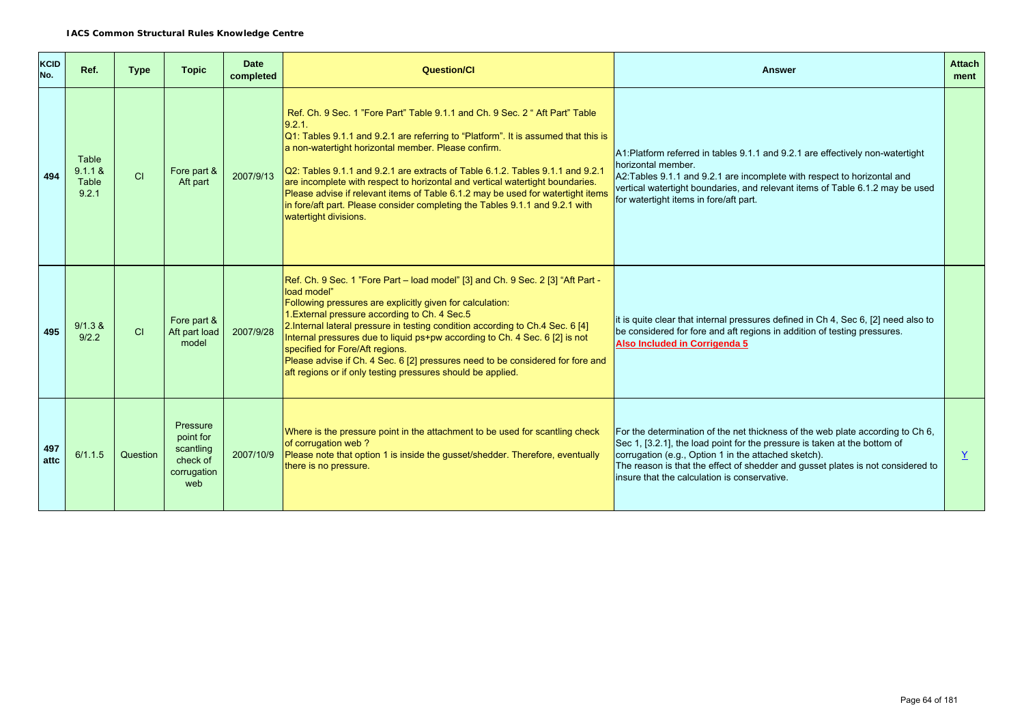| <b>KCID</b><br>No. | Ref.                               | <b>Type</b> | <b>Topic</b>                                                         | <b>Date</b><br>completed | Question/Cl                                                                                                                                                                                                                                                                                                                                                                                                                                                                                                                                                                                        | <b>Answer</b>                                                                                                                                                                                                                                                                                                                                          | <b>Attach</b><br>ment |
|--------------------|------------------------------------|-------------|----------------------------------------------------------------------|--------------------------|----------------------------------------------------------------------------------------------------------------------------------------------------------------------------------------------------------------------------------------------------------------------------------------------------------------------------------------------------------------------------------------------------------------------------------------------------------------------------------------------------------------------------------------------------------------------------------------------------|--------------------------------------------------------------------------------------------------------------------------------------------------------------------------------------------------------------------------------------------------------------------------------------------------------------------------------------------------------|-----------------------|
| 494                | Table<br>9.1.1 &<br>Table<br>9.2.1 | CI          | Fore part &<br>Aft part                                              | 2007/9/13                | Ref. Ch. 9 Sec. 1 "Fore Part" Table 9.1.1 and Ch. 9 Sec. 2 " Aft Part" Table<br>9.2.1.<br>Q1: Tables 9.1.1 and 9.2.1 are referring to "Platform". It is assumed that this is<br>a non-watertight horizontal member. Please confirm.<br>Q2: Tables 9.1.1 and 9.2.1 are extracts of Table 6.1.2. Tables 9.1.1 and 9.2.1<br>are incomplete with respect to horizontal and vertical watertight boundaries.<br>Please advise if relevant items of Table 6.1.2 may be used for watertight items<br>in fore/aft part. Please consider completing the Tables 9.1.1 and 9.2.1 with<br>watertight divisions. | A1:Platform referred in tables 9.1.1 and 9.2.1 are effectively non-watertight<br>horizontal member.<br>A2: Tables 9.1.1 and 9.2.1 are incomplete with respect to horizontal and<br>vertical watertight boundaries, and relevant items of Table 6.1.2 may be used<br>for watertight items in fore/aft part.                                             |                       |
| 495                | 9/1.3 &<br>9/2.2                   | CI          | Fore part &<br>Aft part load<br>model                                | 2007/9/28                | Ref. Ch. 9 Sec. 1 "Fore Part - load model" [3] and Ch. 9 Sec. 2 [3] "Aft Part -<br>load model"<br>Following pressures are explicitly given for calculation:<br>1. External pressure according to Ch. 4 Sec. 5<br>2. Internal lateral pressure in testing condition according to Ch.4 Sec. 6 [4]<br>Internal pressures due to liquid ps+pw according to Ch. 4 Sec. 6 [2] is not<br>specified for Fore/Aft regions.<br>Please advise if Ch. 4 Sec. 6 [2] pressures need to be considered for fore and<br>aft regions or if only testing pressures should be applied.                                 | it is quite clear that internal pressures defined in Ch 4, Sec 6, [2] need also to<br>be considered for fore and aft regions in addition of testing pressures.<br>Also Included in Corrigenda 5                                                                                                                                                        |                       |
| 497<br>attc        | 6/1.1.5                            | Question    | Pressure<br>point for<br>scantling<br>check of<br>corrugation<br>web | 2007/10/9                | Where is the pressure point in the attachment to be used for scantling check<br>of corrugation web?<br>Please note that option 1 is inside the gusset/shedder. Therefore, eventually<br>there is no pressure.                                                                                                                                                                                                                                                                                                                                                                                      | For the determination of the net thickness of the web plate according to Ch 6,<br>Sec 1, [3.2.1], the load point for the pressure is taken at the bottom of<br>corrugation (e.g., Option 1 in the attached sketch).<br>The reason is that the effect of shedder and gusset plates is not considered to<br>insure that the calculation is conservative. | Y                     |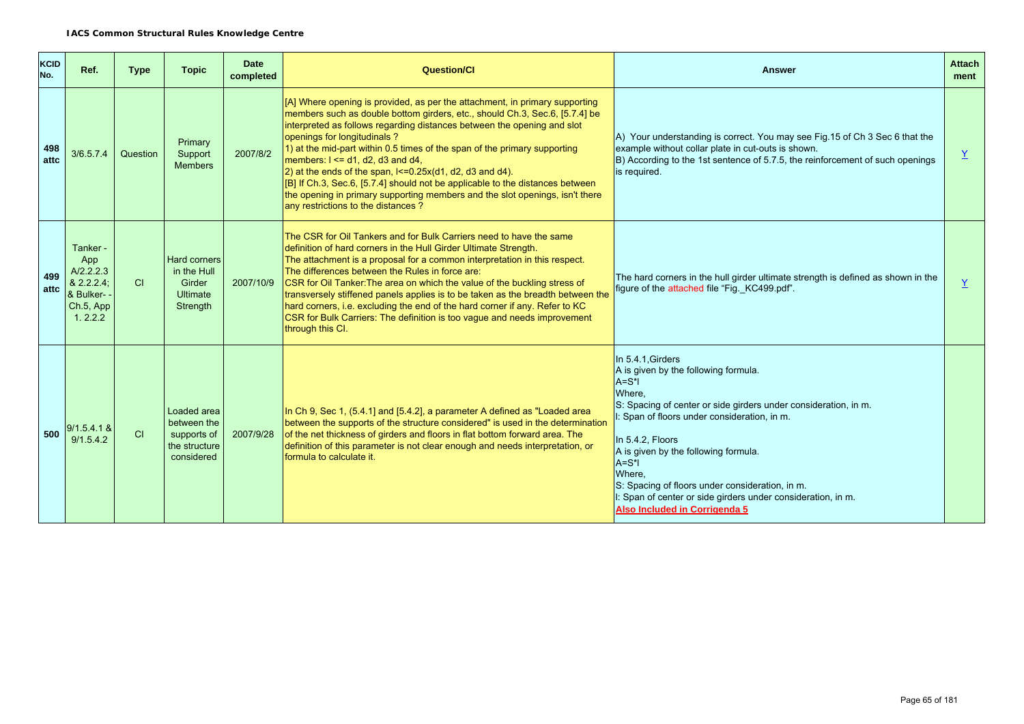| <b>KCID</b><br>No. | Ref.                                                                               | <b>Type</b> | <b>Topic</b>                                                                | <b>Date</b><br>completed | <b>Question/Cl</b>                                                                                                                                                                                                                                                                                                                                                                                                                                                                                                                                                                                                                                                           | <b>Answer</b>                                                                                                                                                                                                                                                                                                                                                                                                                       | <b>Attach</b><br>ment |
|--------------------|------------------------------------------------------------------------------------|-------------|-----------------------------------------------------------------------------|--------------------------|------------------------------------------------------------------------------------------------------------------------------------------------------------------------------------------------------------------------------------------------------------------------------------------------------------------------------------------------------------------------------------------------------------------------------------------------------------------------------------------------------------------------------------------------------------------------------------------------------------------------------------------------------------------------------|-------------------------------------------------------------------------------------------------------------------------------------------------------------------------------------------------------------------------------------------------------------------------------------------------------------------------------------------------------------------------------------------------------------------------------------|-----------------------|
| 498<br>attc        | 3/6.5.7.4                                                                          | Question    | Primary<br>Support<br><b>Members</b>                                        | 2007/8/2                 | [A] Where opening is provided, as per the attachment, in primary supporting<br>members such as double bottom girders, etc., should Ch.3, Sec.6, [5.7.4] be<br>interpreted as follows regarding distances between the opening and slot<br>openings for longitudinals?<br>1) at the mid-part within 0.5 times of the span of the primary supporting<br>members: $1 \le$ = d1, d2, d3 and d4,<br>$\vert$ 2) at the ends of the span, $\vert$ <=0.25x(d1, d2, d3 and d4).<br>[B] If Ch.3, Sec.6, [5.7.4] should not be applicable to the distances between<br>the opening in primary supporting members and the slot openings, isn't there<br>any restrictions to the distances? | $\vert$ A) Your understanding is correct. You may see Fig. 15 of Ch 3 Sec 6 that the<br>example without collar plate in cut-outs is shown.<br>$ B $ ) According to the 1st sentence of 5.7.5, the reinforcement of such openings<br>is required.                                                                                                                                                                                    | Y                     |
| 499<br>attc        | Tanker -<br>App<br>A/2.2.2.3<br>& 2.2.2.4;<br>& Bulker- -<br>Ch.5, App<br>1, 2.2.2 | CI          | <b>Hard corners</b><br>in the Hull<br>Girder<br><b>Ultimate</b><br>Strength | 2007/10/9                | The CSR for Oil Tankers and for Bulk Carriers need to have the same<br>definition of hard corners in the Hull Girder Ultimate Strength.<br>The attachment is a proposal for a common interpretation in this respect.<br>The differences between the Rules in force are:<br>CSR for Oil Tanker: The area on which the value of the buckling stress of<br>transversely stiffened panels applies is to be taken as the breadth between the<br>hard corners, i.e. excluding the end of the hard corner if any. Refer to KC<br>CSR for Bulk Carriers: The definition is too vague and needs improvement<br>through this CI.                                                       | The hard corners in the hull girder ultimate strength is defined as shown in the<br>figure of the attached file "Fig._KC499.pdf".                                                                                                                                                                                                                                                                                                   | $\overline{Y}$        |
| 500                | 9/1.5.4.1 &<br>9/1.5.4.2                                                           | <b>CI</b>   | Loaded area<br>between the<br>supports of<br>the structure<br>considered    | 2007/9/28                | In Ch 9, Sec 1, (5.4.1] and [5.4.2], a parameter A defined as "Loaded area<br>between the supports of the structure considered" is used in the determination<br>of the net thickness of girders and floors in flat bottom forward area. The<br>definition of this parameter is not clear enough and needs interpretation, or<br>formula to calculate it.                                                                                                                                                                                                                                                                                                                     | In 5.4.1, Girders<br>A is given by the following formula.<br>$A=S^*$<br>Where.<br>S: Spacing of center or side girders under consideration, in m.<br>: Span of floors under consideration, in m.<br>In 5.4.2, Floors<br>A is given by the following formula.<br>A=S*I<br>Where.<br>S: Spacing of floors under consideration, in m.<br>I: Span of center or side girders under consideration, in m.<br>Also Included in Corrigenda 5 |                       |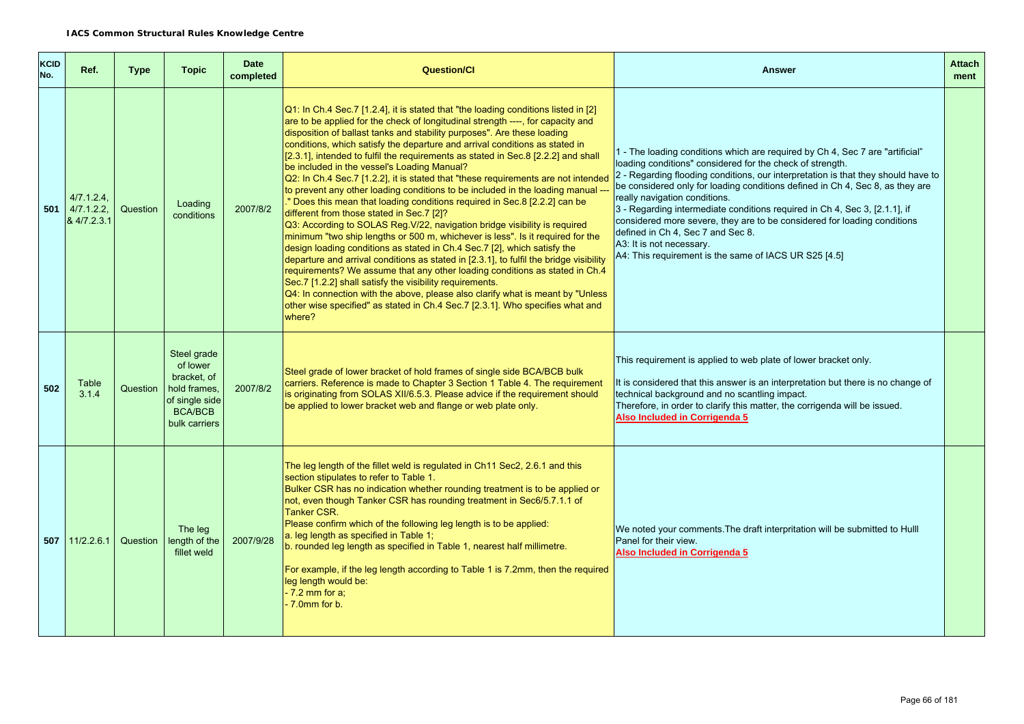| <b>KCID</b><br>No. | Ref.                                             | <b>Type</b> | <b>Topic</b>                                                                                                | <b>Date</b><br>completed | <b>Question/Cl</b>                                                                                                                                                                                                                                                                                                                                                                                                                                                                                                                                                                                                                                                                                                                                                                                                                                                                                                                                                                                                                                                                                                                                                                                                                                                                                                                                                                                                                   | <b>Answer</b>                                                                                                                                                                                                                                                                                                                                                                                                                                                                                                                                                                                                                         | <b>Attach</b><br>ment |
|--------------------|--------------------------------------------------|-------------|-------------------------------------------------------------------------------------------------------------|--------------------------|--------------------------------------------------------------------------------------------------------------------------------------------------------------------------------------------------------------------------------------------------------------------------------------------------------------------------------------------------------------------------------------------------------------------------------------------------------------------------------------------------------------------------------------------------------------------------------------------------------------------------------------------------------------------------------------------------------------------------------------------------------------------------------------------------------------------------------------------------------------------------------------------------------------------------------------------------------------------------------------------------------------------------------------------------------------------------------------------------------------------------------------------------------------------------------------------------------------------------------------------------------------------------------------------------------------------------------------------------------------------------------------------------------------------------------------|---------------------------------------------------------------------------------------------------------------------------------------------------------------------------------------------------------------------------------------------------------------------------------------------------------------------------------------------------------------------------------------------------------------------------------------------------------------------------------------------------------------------------------------------------------------------------------------------------------------------------------------|-----------------------|
|                    | $4/7.1.2.4$ .<br>$501$ 4/7.1.2.2.<br>& 4/7.2.3.1 | Question    | Loading<br>conditions                                                                                       | 2007/8/2                 | Q1: In Ch.4 Sec.7 [1.2.4], it is stated that "the loading conditions listed in [2]<br>are to be applied for the check of longitudinal strength ----, for capacity and<br>disposition of ballast tanks and stability purposes". Are these loading<br>conditions, which satisfy the departure and arrival conditions as stated in<br>[[2.3.1], intended to fulfil the requirements as stated in Sec.8 [2.2.2] and shall<br>be included in the vessel's Loading Manual?<br>Q2: In Ch.4 Sec.7 [1.2.2], it is stated that "these requirements are not intended<br>to prevent any other loading conditions to be included in the loading manual -<br>" Does this mean that loading conditions required in Sec.8 [2.2.2] can be<br>different from those stated in Sec.7 [2]?<br>Q3: According to SOLAS Reg. V/22, navigation bridge visibility is required<br>minimum "two ship lengths or 500 m, whichever is less". Is it required for the<br>design loading conditions as stated in Ch.4 Sec.7 [2], which satisfy the<br>departure and arrival conditions as stated in [2.3.1], to fulfil the bridge visibility<br>requirements? We assume that any other loading conditions as stated in Ch.4<br>Sec.7 [1.2.2] shall satisfy the visibility requirements.<br>Q4: In connection with the above, please also clarify what is meant by "Unless"<br>other wise specified" as stated in Ch.4 Sec.7 [2.3.1]. Who specifies what and<br>where? | 1 - The loading conditions which are required by Ch 4, Sec 7 are "artificial"<br>loading conditions" considered for the check of strength.<br>2 - Regarding flooding conditions, our interpretation is that they should have to<br>be considered only for loading conditions defined in Ch 4, Sec 8, as they are<br>really navigation conditions.<br>3 - Regarding intermediate conditions required in Ch 4, Sec 3, [2.1.1], if<br>considered more severe, they are to be considered for loading conditions<br>defined in Ch 4, Sec 7 and Sec 8.<br>A3: It is not necessary.<br>A4: This requirement is the same of IACS UR S25 [4.5] |                       |
| 502                | Table<br>3.1.4                                   | Question    | Steel grade<br>of lower<br>bracket, of<br>hold frames,<br>of single side<br><b>BCA/BCB</b><br>bulk carriers | 2007/8/2                 | Steel grade of lower bracket of hold frames of single side BCA/BCB bulk<br>carriers. Reference is made to Chapter 3 Section 1 Table 4. The requirement<br>is originating from SOLAS XII/6.5.3. Please advice if the requirement should<br>be applied to lower bracket web and flange or web plate only.                                                                                                                                                                                                                                                                                                                                                                                                                                                                                                                                                                                                                                                                                                                                                                                                                                                                                                                                                                                                                                                                                                                              | This requirement is applied to web plate of lower bracket only.<br>It is considered that this answer is an interpretation but there is no change of<br>technical background and no scantling impact.<br>Therefore, in order to clarify this matter, the corrigenda will be issued.<br>Also Included in Corrigenda 5                                                                                                                                                                                                                                                                                                                   |                       |
|                    | $507$   11/2.2.6.1                               | Question    | The leg<br>length of the<br>fillet weld                                                                     | 2007/9/28                | The leg length of the fillet weld is regulated in Ch11 Sec2, 2.6.1 and this<br>section stipulates to refer to Table 1.<br>Bulker CSR has no indication whether rounding treatment is to be applied or<br>not, even though Tanker CSR has rounding treatment in Sec6/5.7.1.1 of<br><b>Tanker CSR.</b><br>Please confirm which of the following leg length is to be applied:<br>a. leg length as specified in Table 1;<br>b. rounded leg length as specified in Table 1, nearest half millimetre.<br>For example, if the leg length according to Table 1 is 7.2mm, then the required<br>leg length would be:<br>$-7.2$ mm for a;<br>$-7.0$ mm for $b$ .                                                                                                                                                                                                                                                                                                                                                                                                                                                                                                                                                                                                                                                                                                                                                                                | We noted your comments. The draft interpritation will be submitted to Hull<br>Panel for their view.<br>Also Included in Corrigenda 5                                                                                                                                                                                                                                                                                                                                                                                                                                                                                                  |                       |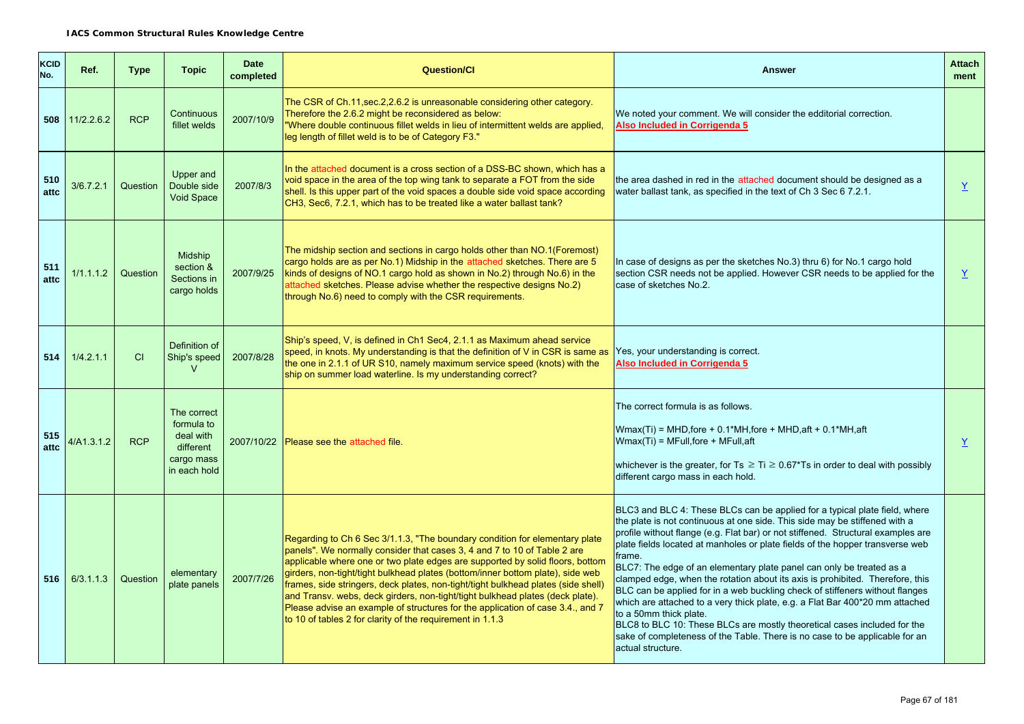| KCID<br>No. | Ref.       | <b>Type</b> | <b>Topic</b>                                                                      | <b>Date</b><br>completed | <b>Question/Cl</b>                                                                                                                                                                                                                                                                                                                                                                                                                                                                                                                                                                                                                              | <b>Answer</b>                                                                                                                                                                                                                                                                                                                                                                                                                                                                                                                                                                                                                                                                                                                                                                                                                                                              | <b>Attach</b><br>ment |
|-------------|------------|-------------|-----------------------------------------------------------------------------------|--------------------------|-------------------------------------------------------------------------------------------------------------------------------------------------------------------------------------------------------------------------------------------------------------------------------------------------------------------------------------------------------------------------------------------------------------------------------------------------------------------------------------------------------------------------------------------------------------------------------------------------------------------------------------------------|----------------------------------------------------------------------------------------------------------------------------------------------------------------------------------------------------------------------------------------------------------------------------------------------------------------------------------------------------------------------------------------------------------------------------------------------------------------------------------------------------------------------------------------------------------------------------------------------------------------------------------------------------------------------------------------------------------------------------------------------------------------------------------------------------------------------------------------------------------------------------|-----------------------|
| 508         | 11/2.2.6.2 | <b>RCP</b>  | Continuous<br>fillet welds                                                        | 2007/10/9                | The CSR of Ch.11, sec.2, 2.6.2 is unreasonable considering other category.<br>Therefore the 2.6.2 might be reconsidered as below:<br>"Where double continuous fillet welds in lieu of intermittent welds are applied,<br>leg length of fillet weld is to be of Category F3."                                                                                                                                                                                                                                                                                                                                                                    | We noted your comment. We will consider the edditorial correction.<br>Also Included in Corrigenda 5                                                                                                                                                                                                                                                                                                                                                                                                                                                                                                                                                                                                                                                                                                                                                                        |                       |
| 510<br>attc | 3/6.7.2.1  | Question    | Upper and<br>Double side<br><b>Void Space</b>                                     | 2007/8/3                 | In the attached document is a cross section of a DSS-BC shown, which has a<br>void space in the area of the top wing tank to separate a FOT from the side<br>shell. Is this upper part of the void spaces a double side void space according<br>CH3, Sec6, 7.2.1, which has to be treated like a water ballast tank?                                                                                                                                                                                                                                                                                                                            | the area dashed in red in the attached document should be designed as a<br>water ballast tank, as specified in the text of Ch 3 Sec 6 7.2.1.                                                                                                                                                                                                                                                                                                                                                                                                                                                                                                                                                                                                                                                                                                                               | $\underline{Y}$       |
| 511<br>attc | 1/1.1.1.2  | Question    | <b>Midship</b><br>section &<br>Sections in<br>cargo holds                         | 2007/9/25                | The midship section and sections in cargo holds other than NO.1(Foremost)<br>cargo holds are as per No.1) Midship in the attached sketches. There are 5<br>kinds of designs of NO.1 cargo hold as shown in No.2) through No.6) in the<br>attached sketches. Please advise whether the respective designs No.2)<br>through No.6) need to comply with the CSR requirements.                                                                                                                                                                                                                                                                       | In case of designs as per the sketches No.3) thru 6) for No.1 cargo hold<br>section CSR needs not be applied. However CSR needs to be applied for the<br>case of sketches No.2.                                                                                                                                                                                                                                                                                                                                                                                                                                                                                                                                                                                                                                                                                            | $\underline{Y}$       |
| 514         | 1/4.2.1.1  | CI          | Definition of<br>Ship's speed<br>$\vee$                                           | 2007/8/28                | Ship's speed, V, is defined in Ch1 Sec4, 2.1.1 as Maximum ahead service<br>speed, in knots. My understanding is that the definition of V in CSR is same as<br>the one in 2.1.1 of UR S10, namely maximum service speed (knots) with the<br>ship on summer load waterline. Is my understanding correct?                                                                                                                                                                                                                                                                                                                                          | Yes, your understanding is correct.<br>Also Included in Corrigenda 5                                                                                                                                                                                                                                                                                                                                                                                                                                                                                                                                                                                                                                                                                                                                                                                                       |                       |
| 515<br>attc | 4/A1.3.1.2 | <b>RCP</b>  | The correct<br>formula to<br>deal with<br>different<br>cargo mass<br>in each hold |                          | 2007/10/22 Please see the attached file.                                                                                                                                                                                                                                                                                                                                                                                                                                                                                                                                                                                                        | The correct formula is as follows.<br>$Wmax(Ti)$ = MHD, fore + 0.1*MH, fore + MHD, aft + 0.1*MH, aft<br>$Wmax(Ti) = MFull,$ fore + MFull, aft<br>whichever is the greater, for $Ts \geq Ti \geq 0.67$ *Ts in order to deal with possibly<br>different cargo mass in each hold.                                                                                                                                                                                                                                                                                                                                                                                                                                                                                                                                                                                             | $\underline{Y}$       |
| 516         | 6/3.1.1.3  | Question    | elementary<br>plate panels                                                        | 2007/7/26                | Regarding to Ch 6 Sec 3/1.1.3, "The boundary condition for elementary plate<br>panels". We normally consider that cases 3, 4 and 7 to 10 of Table 2 are<br>applicable where one or two plate edges are supported by solid floors, bottom<br>girders, non-tight/tight bulkhead plates (bottom/inner bottom plate), side web<br>frames, side stringers, deck plates, non-tight/tight bulkhead plates (side shell)<br>and Transv. webs, deck girders, non-tight/tight bulkhead plates (deck plate).<br>Please advise an example of structures for the application of case 3.4., and 7<br>to 10 of tables 2 for clarity of the requirement in 1.1.3 | BLC3 and BLC 4: These BLCs can be applied for a typical plate field, where<br>the plate is not continuous at one side. This side may be stiffened with a<br>profile without flange (e.g. Flat bar) or not stiffened. Structural examples are<br>plate fields located at manholes or plate fields of the hopper transverse web<br>frame.<br>BLC7: The edge of an elementary plate panel can only be treated as a<br>clamped edge, when the rotation about its axis is prohibited. Therefore, this<br>BLC can be applied for in a web buckling check of stiffeners without flanges<br>which are attached to a very thick plate, e.g. a Flat Bar 400*20 mm attached<br>to a 50mm thick plate.<br>BLC8 to BLC 10: These BLCs are mostly theoretical cases included for the<br>sake of completeness of the Table. There is no case to be applicable for an<br>actual structure. |                       |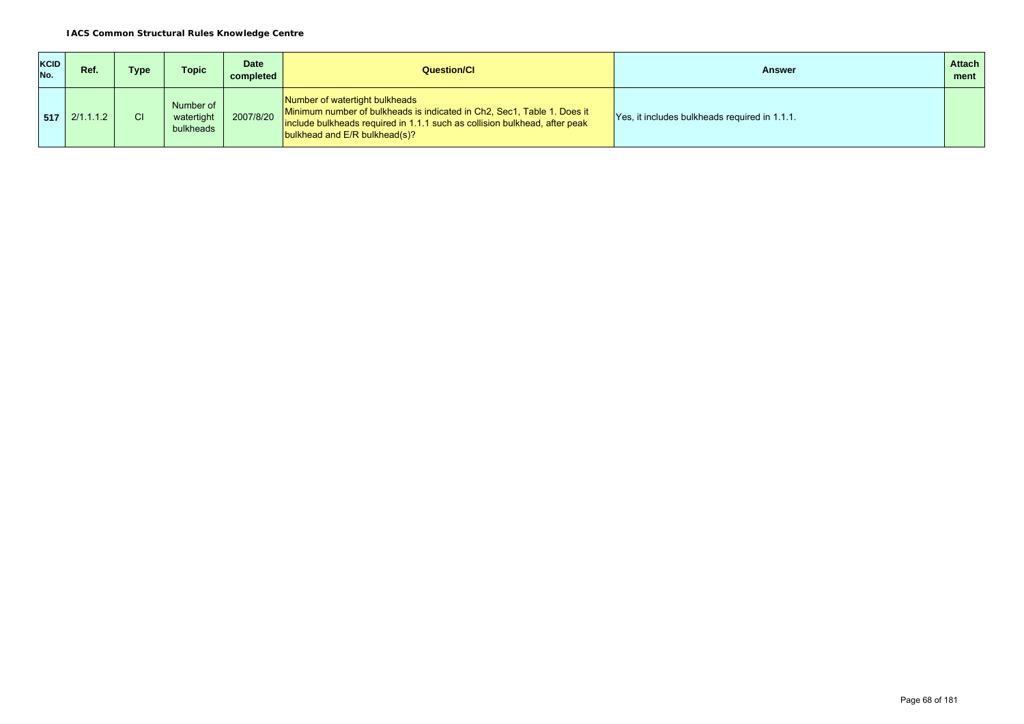| <b>KCID</b><br>No. | Ref.                          | Type | Topic                                | <b>Date</b><br>completed | Question/Cl                                                                                                                                                                                                              | <b>Answer</b>                                 | <b>Attach</b><br>ment |
|--------------------|-------------------------------|------|--------------------------------------|--------------------------|--------------------------------------------------------------------------------------------------------------------------------------------------------------------------------------------------------------------------|-----------------------------------------------|-----------------------|
|                    | $\vert$ 517 $\vert$ 2/1.1.1.2 | СI   | Number of<br>watertight<br>bulkheads | 2007/8/20                | Number of watertight bulkheads<br>Minimum number of bulkheads is indicated in Ch2, Sec1, Table 1. Does it<br>include bulkheads required in 1.1.1 such as collision bulkhead, after peak<br>bulkhead and E/R bulkhead(s)? | Yes, it includes bulkheads required in 1.1.1. |                       |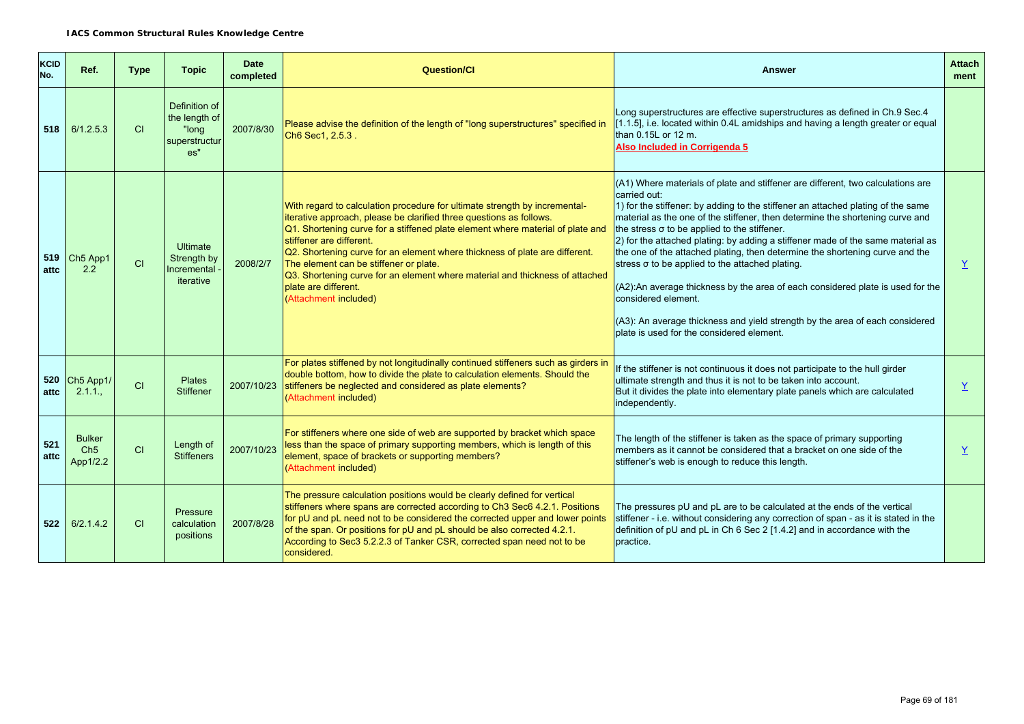| KCID<br>No. | Ref.                                         | <b>Type</b> | <b>Topic</b>                                                    | <b>Date</b><br>completed | <b>Question/Cl</b>                                                                                                                                                                                                                                                                                                                                                                                                                                                                                                        | Answer                                                                                                                                                                                                                                                                                                                                                                                                                                                                                                                                                                                                                                                                                                                                                                                                                  | <b>Attach</b><br>ment |
|-------------|----------------------------------------------|-------------|-----------------------------------------------------------------|--------------------------|---------------------------------------------------------------------------------------------------------------------------------------------------------------------------------------------------------------------------------------------------------------------------------------------------------------------------------------------------------------------------------------------------------------------------------------------------------------------------------------------------------------------------|-------------------------------------------------------------------------------------------------------------------------------------------------------------------------------------------------------------------------------------------------------------------------------------------------------------------------------------------------------------------------------------------------------------------------------------------------------------------------------------------------------------------------------------------------------------------------------------------------------------------------------------------------------------------------------------------------------------------------------------------------------------------------------------------------------------------------|-----------------------|
|             | $518$ 6/1.2.5.3                              | CI          | Definition of<br>the length of<br>"long<br>superstructur<br>es" | 2007/8/30                | Please advise the definition of the length of "long superstructures" specified in<br>Ch6 Sec1, 2.5.3.                                                                                                                                                                                                                                                                                                                                                                                                                     | Long superstructures are effective superstructures as defined in Ch.9 Sec.4<br>[1.1.5], i.e. located within 0.4L amidships and having a length greater or equal<br>than $0.15L$ or 12 m.<br>Also Included in Corrigenda 5                                                                                                                                                                                                                                                                                                                                                                                                                                                                                                                                                                                               |                       |
| 519<br>attc | Ch <sub>5</sub> App1<br>2.2                  | CI          | <b>Ultimate</b><br>Strength by<br>Incremental<br>iterative      | 2008/2/7                 | With regard to calculation procedure for ultimate strength by incremental-<br>iterative approach, please be clarified three questions as follows.<br>Q1. Shortening curve for a stiffened plate element where material of plate and<br>stiffener are different.<br>Q2. Shortening curve for an element where thickness of plate are different.<br>The element can be stiffener or plate.<br>Q3. Shortening curve for an element where material and thickness of attached<br>plate are different.<br>(Attachment included) | $(A1)$ Where materials of plate and stiffener are different, two calculations are<br>carried out:<br>$\vert$ 1) for the stiffener: by adding to the stiffener an attached plating of the same<br>material as the one of the stiffener, then determine the shortening curve and<br>the stress $\sigma$ to be applied to the stiffener.<br>$\vert$ 2) for the attached plating: by adding a stiffener made of the same material as<br>the one of the attached plating, then determine the shortening curve and the<br>stress $\sigma$ to be applied to the attached plating.<br>$(A2)$ : An average thickness by the area of each considered plate is used for the<br>considered element.<br>$(A3)$ : An average thickness and yield strength by the area of each considered<br>plate is used for the considered element. | Y                     |
| 520<br>attc | Ch5 App1/<br>2.1.1.                          | CI          | <b>Plates</b><br><b>Stiffener</b>                               | 2007/10/23               | For plates stiffened by not longitudinally continued stiffeners such as girders in<br>double bottom, how to divide the plate to calculation elements. Should the<br>stiffeners be neglected and considered as plate elements?<br>(Attachment included)                                                                                                                                                                                                                                                                    | If the stiffener is not continuous it does not participate to the hull girder<br>ultimate strength and thus it is not to be taken into account.<br>But it divides the plate into elementary plate panels which are calculated<br>independently.                                                                                                                                                                                                                                                                                                                                                                                                                                                                                                                                                                         | Y                     |
| 521<br>attc | <b>Bulker</b><br>Ch <sub>5</sub><br>App1/2.2 | CI          | Length of<br><b>Stiffeners</b>                                  | 2007/10/23               | For stiffeners where one side of web are supported by bracket which space<br>less than the space of primary supporting members, which is length of this<br>element, space of brackets or supporting members?<br>(Attachment included)                                                                                                                                                                                                                                                                                     | The length of the stiffener is taken as the space of primary supporting<br>members as it cannot be considered that a bracket on one side of the<br>stiffener's web is enough to reduce this length.                                                                                                                                                                                                                                                                                                                                                                                                                                                                                                                                                                                                                     | Y                     |
|             | $522$ 6/2.1.4.2                              | CI          | Pressure<br>calculation<br>positions                            | 2007/8/28                | The pressure calculation positions would be clearly defined for vertical<br>stiffeners where spans are corrected according to Ch3 Sec6 4.2.1. Positions<br>for pU and pL need not to be considered the corrected upper and lower points<br>of the span. Or positions for pU and pL should be also corrected 4.2.1.<br>According to Sec3 5.2.2.3 of Tanker CSR, corrected span need not to be<br>considered.                                                                                                               | The pressures pU and pL are to be calculated at the ends of the vertical<br>stiffener - i.e. without considering any correction of span - as it is stated in the<br>definition of pU and pL in Ch 6 Sec 2 [1.4.2] and in accordance with the<br>practice.                                                                                                                                                                                                                                                                                                                                                                                                                                                                                                                                                               |                       |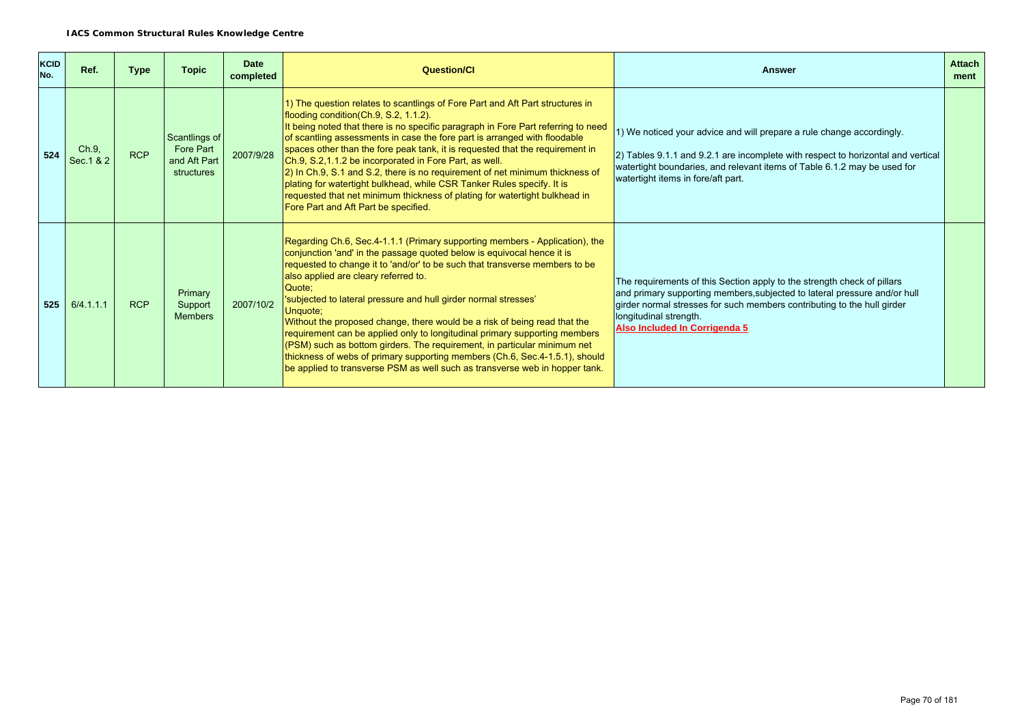| <b>KCID</b><br>No. | Ref.                | <b>Type</b> | <b>Topic</b>                                             | <b>Date</b><br>completed | Question/Cl                                                                                                                                                                                                                                                                                                                                                                                                                                                                                                                                                                                                                                                                                                                                                                | <b>Answer</b>                                                                                                                                                                                                                                                                              | <b>Attach</b><br>ment |
|--------------------|---------------------|-------------|----------------------------------------------------------|--------------------------|----------------------------------------------------------------------------------------------------------------------------------------------------------------------------------------------------------------------------------------------------------------------------------------------------------------------------------------------------------------------------------------------------------------------------------------------------------------------------------------------------------------------------------------------------------------------------------------------------------------------------------------------------------------------------------------------------------------------------------------------------------------------------|--------------------------------------------------------------------------------------------------------------------------------------------------------------------------------------------------------------------------------------------------------------------------------------------|-----------------------|
| 524                | Ch.9,<br>Sec. 1 & 2 | <b>RCP</b>  | Scantlings of<br>Fore Part<br>and Aft Part<br>structures | 2007/9/28                | 1) The question relates to scantlings of Fore Part and Aft Part structures in<br>flooding condition (Ch.9, S.2, 1.1.2).<br>It being noted that there is no specific paragraph in Fore Part referring to need<br>of scantling assessments in case the fore part is arranged with floodable<br>spaces other than the fore peak tank, it is requested that the requirement in<br>Ch.9, S.2, 1.1.2 be incorporated in Fore Part, as well.<br>2) In Ch.9, S.1 and S.2, there is no requirement of net minimum thickness of<br>plating for watertight bulkhead, while CSR Tanker Rules specify. It is<br>requested that net minimum thickness of plating for watertight bulkhead in<br>Fore Part and Aft Part be specified.                                                      | 1) We noticed your advice and will prepare a rule change accordingly.<br>2) Tables 9.1.1 and 9.2.1 are incomplete with respect to horizontal and vertical<br>watertight boundaries, and relevant items of Table 6.1.2 may be used for<br>watertight items in fore/aft part.                |                       |
| 525                | 6/4.1.1.1           | <b>RCP</b>  | Primary<br>Support<br><b>Members</b>                     | 2007/10/2                | Regarding Ch.6, Sec.4-1.1.1 (Primary supporting members - Application), the<br>conjunction 'and' in the passage quoted below is equivocal hence it is<br>requested to change it to 'and/or' to be such that transverse members to be<br>also applied are cleary referred to.<br>Quote:<br>'subjected to lateral pressure and hull girder normal stresses'<br>Unquote;<br>Without the proposed change, there would be a risk of being read that the<br>requirement can be applied only to longitudinal primary supporting members<br>(PSM) such as bottom girders. The requirement, in particular minimum net<br>thickness of webs of primary supporting members (Ch.6, Sec.4-1.5.1), should<br>be applied to transverse PSM as well such as transverse web in hopper tank. | The requirements of this Section apply to the strength check of pillars<br>and primary supporting members, subjected to lateral pressure and/or hull<br>girder normal stresses for such members contributing to the hull girder<br>longitudinal strength.<br>Also Included In Corrigenda 5 |                       |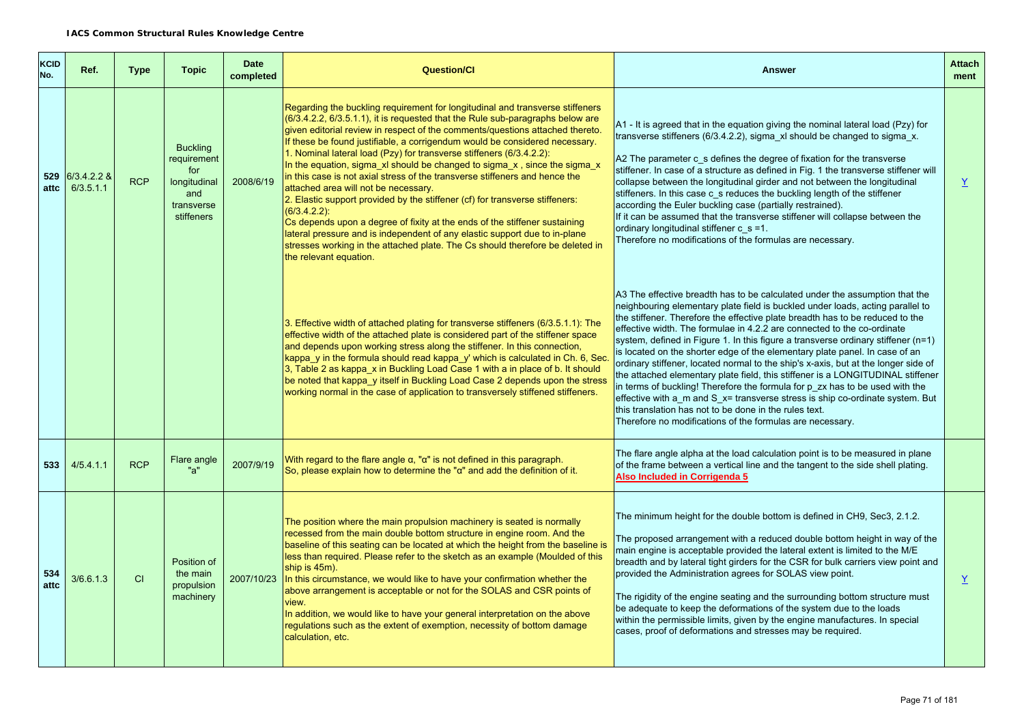| <b>KCID</b><br>No. | Ref.                         | <b>Type</b> | <b>Topic</b>                                                                             | <b>Date</b><br>completed | <b>Question/Cl</b>                                                                                                                                                                                                                                                                                                                                                                                                                                                                                                                                                                                                                                                                                                                                                                                                                                                                                                                                                                         | <b>Answer</b>                                                                                                                                                                                                                                                                                                                                                                                                                                                                                                                                                                                                                                                                                                                                                                                                                                                                                                                                                    | <b>Attach</b><br>ment |
|--------------------|------------------------------|-------------|------------------------------------------------------------------------------------------|--------------------------|--------------------------------------------------------------------------------------------------------------------------------------------------------------------------------------------------------------------------------------------------------------------------------------------------------------------------------------------------------------------------------------------------------------------------------------------------------------------------------------------------------------------------------------------------------------------------------------------------------------------------------------------------------------------------------------------------------------------------------------------------------------------------------------------------------------------------------------------------------------------------------------------------------------------------------------------------------------------------------------------|------------------------------------------------------------------------------------------------------------------------------------------------------------------------------------------------------------------------------------------------------------------------------------------------------------------------------------------------------------------------------------------------------------------------------------------------------------------------------------------------------------------------------------------------------------------------------------------------------------------------------------------------------------------------------------------------------------------------------------------------------------------------------------------------------------------------------------------------------------------------------------------------------------------------------------------------------------------|-----------------------|
| attc               | 529 6/3.4.2.2 &<br>6/3.5.1.1 | <b>RCP</b>  | <b>Buckling</b><br>requirement<br>for<br>longitudinal<br>and<br>transverse<br>stiffeners | 2008/6/19                | Regarding the buckling requirement for longitudinal and transverse stiffeners<br>(6/3.4.2.2, 6/3.5.1.1), it is requested that the Rule sub-paragraphs below are<br>given editorial review in respect of the comments/questions attached thereto.<br>If these be found justifiable, a corrigendum would be considered necessary.<br>1. Nominal lateral load (Pzy) for transverse stiffeners (6/3.4.2.2):<br>In the equation, sigma xl should be changed to sigma $x$ , since the sigma $x$<br>in this case is not axial stress of the transverse stiffeners and hence the<br>attached area will not be necessary.<br>2. Elastic support provided by the stiffener (cf) for transverse stiffeners:<br>$(6/3.4.2.2)$ :<br>Cs depends upon a degree of fixity at the ends of the stiffener sustaining<br>lateral pressure and is independent of any elastic support due to in-plane<br>stresses working in the attached plate. The Cs should therefore be deleted in<br>the relevant equation. | A1 - It is agreed that in the equation giving the nominal lateral load (Pzy) for<br>transverse stiffeners (6/3.4.2.2), sigma xl should be changed to sigma x.<br>A2 The parameter c s defines the degree of fixation for the transverse<br>stiffener. In case of a structure as defined in Fig. 1 the transverse stiffener will<br>collapse between the longitudinal girder and not between the longitudinal<br>stiffeners. In this case c s reduces the buckling length of the stiffener<br>according the Euler buckling case (partially restrained).<br>If it can be assumed that the transverse stiffener will collapse between the<br>ordinary longitudinal stiffener $c$ s =1.<br>Therefore no modifications of the formulas are necessary.                                                                                                                                                                                                                 | $\underline{Y}$       |
|                    |                              |             |                                                                                          |                          | 3. Effective width of attached plating for transverse stiffeners (6/3.5.1.1): The<br>effective width of the attached plate is considered part of the stiffener space<br>and depends upon working stress along the stiffener. In this connection,<br>kappa y in the formula should read kappa y' which is calculated in Ch. 6, Sec.<br>3, Table 2 as kappa x in Buckling Load Case 1 with a in place of b. It should<br>be noted that kappa y itself in Buckling Load Case 2 depends upon the stress<br>working normal in the case of application to transversely stiffened stiffeners.                                                                                                                                                                                                                                                                                                                                                                                                     | A3 The effective breadth has to be calculated under the assumption that the<br>neighbouring elementary plate field is buckled under loads, acting parallel to<br>the stiffener. Therefore the effective plate breadth has to be reduced to the<br>effective width. The formulae in 4.2.2 are connected to the co-ordinate<br>system, defined in Figure 1. In this figure a transverse ordinary stiffener $(n=1)$<br>is located on the shorter edge of the elementary plate panel. In case of an<br>ordinary stiffener, located normal to the ship's x-axis, but at the longer side of<br>the attached elementary plate field, this stiffener is a LONGITUDINAL stiffener<br>in terms of buckling! Therefore the formula for p zx has to be used with the<br>effective with a m and S x= transverse stress is ship co-ordinate system. But<br>this translation has not to be done in the rules text.<br>Therefore no modifications of the formulas are necessary. |                       |
| 533                | 4/5.4.1.1                    | <b>RCP</b>  | Flare angle<br>"a"                                                                       | 2007/9/19                | With regard to the flare angle $\alpha$ , " $\alpha$ " is not defined in this paragraph.<br>So, please explain how to determine the " $\alpha$ " and add the definition of it.                                                                                                                                                                                                                                                                                                                                                                                                                                                                                                                                                                                                                                                                                                                                                                                                             | The flare angle alpha at the load calculation point is to be measured in plane<br>of the frame between a vertical line and the tangent to the side shell plating.<br>Also Included in Corrigenda 5                                                                                                                                                                                                                                                                                                                                                                                                                                                                                                                                                                                                                                                                                                                                                               |                       |
| 534<br>attc        | 3/6.6.1.3                    | <b>CI</b>   | Position of<br>the main<br>propulsion<br>machinery                                       | 2007/10/23               | The position where the main propulsion machinery is seated is normally<br>recessed from the main double bottom structure in engine room. And the<br>baseline of this seating can be located at which the height from the baseline is<br>less than required. Please refer to the sketch as an example (Moulded of this<br>ship is 45m).<br>In this circumstance, we would like to have your confirmation whether the<br>above arrangement is acceptable or not for the SOLAS and CSR points of<br>view.<br>In addition, we would like to have your general interpretation on the above<br>regulations such as the extent of exemption, necessity of bottom damage<br>calculation, etc.                                                                                                                                                                                                                                                                                                      | The minimum height for the double bottom is defined in CH9, Sec3, 2.1.2.<br>The proposed arrangement with a reduced double bottom height in way of the<br>main engine is acceptable provided the lateral extent is limited to the M/E<br>breadth and by lateral tight girders for the CSR for bulk carriers view point and<br>provided the Administration agrees for SOLAS view point.<br>The rigidity of the engine seating and the surrounding bottom structure must<br>be adequate to keep the deformations of the system due to the loads<br>within the permissible limits, given by the engine manufactures. In special<br>cases, proof of deformations and stresses may be required.                                                                                                                                                                                                                                                                       | $\underline{Y}$       |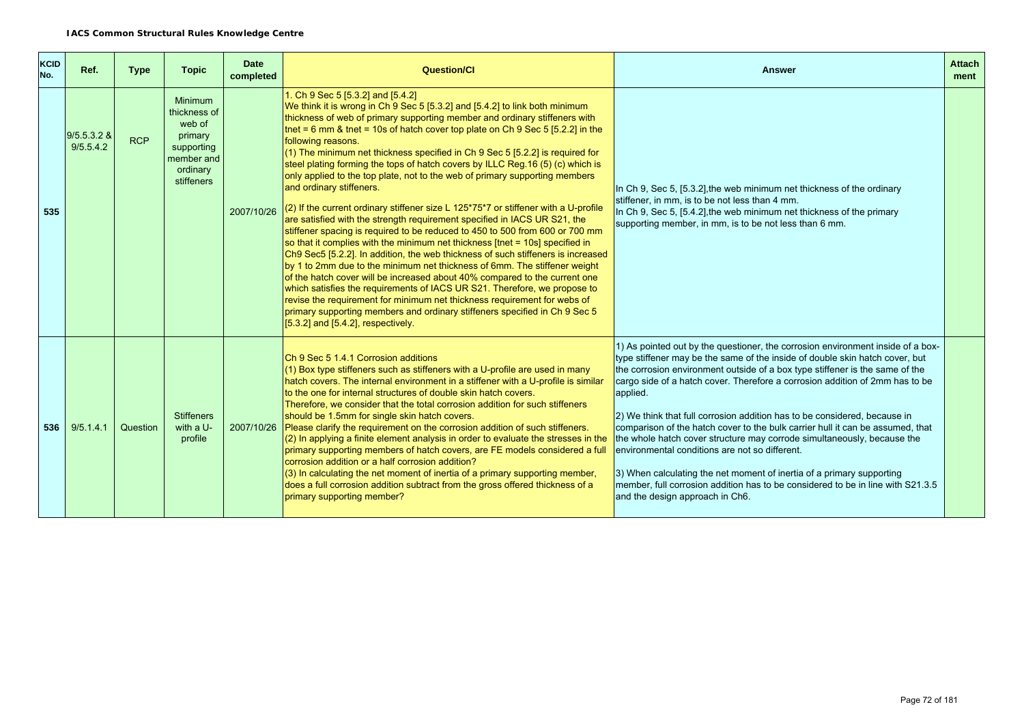| <b>KCID</b><br>No. | Ref.                       | <b>Type</b> | <b>Topic</b>                                                                                              | <b>Date</b><br>completed | <b>Question/Cl</b>                                                                                                                                                                                                                                                                                                                                                                                                                                                                                                                                                                                                                                                                                                                                                                                                                                                                                                                                                                                                                                                                                                                                                                                                                                                                                                                                                                                                                                               | <b>Answer</b>                                                                                                                                                                                                                                                                                                                                                                                                                                                                                                                                                                                                                                                                                                                                                                                                                           | <b>Attach</b><br>ment |
|--------------------|----------------------------|-------------|-----------------------------------------------------------------------------------------------------------|--------------------------|------------------------------------------------------------------------------------------------------------------------------------------------------------------------------------------------------------------------------------------------------------------------------------------------------------------------------------------------------------------------------------------------------------------------------------------------------------------------------------------------------------------------------------------------------------------------------------------------------------------------------------------------------------------------------------------------------------------------------------------------------------------------------------------------------------------------------------------------------------------------------------------------------------------------------------------------------------------------------------------------------------------------------------------------------------------------------------------------------------------------------------------------------------------------------------------------------------------------------------------------------------------------------------------------------------------------------------------------------------------------------------------------------------------------------------------------------------------|-----------------------------------------------------------------------------------------------------------------------------------------------------------------------------------------------------------------------------------------------------------------------------------------------------------------------------------------------------------------------------------------------------------------------------------------------------------------------------------------------------------------------------------------------------------------------------------------------------------------------------------------------------------------------------------------------------------------------------------------------------------------------------------------------------------------------------------------|-----------------------|
| 535                | $9/5.5.3.2$ &<br>9/5.5.4.2 | <b>RCP</b>  | <b>Minimum</b><br>thickness of<br>web of<br>primary<br>supporting<br>member and<br>ordinary<br>stiffeners | 2007/10/26               | 1. Ch 9 Sec 5 [5.3.2] and [5.4.2]<br>We think it is wrong in Ch 9 Sec 5 [5.3.2] and [5.4.2] to link both minimum<br>thickness of web of primary supporting member and ordinary stiffeners with<br>tnet = 6 mm & tnet = 10s of hatch cover top plate on Ch 9 Sec 5 $[5.2.2]$ in the<br>following reasons.<br>(1) The minimum net thickness specified in Ch 9 Sec $5$ [5.2.2] is required for<br>steel plating forming the tops of hatch covers by ILLC Reg.16 (5) (c) which is<br>only applied to the top plate, not to the web of primary supporting members<br>and ordinary stiffeners.<br>(2) If the current ordinary stiffener size L 125*75*7 or stiffener with a U-profile<br>are satisfied with the strength requirement specified in IACS UR S21, the<br>stiffener spacing is required to be reduced to 450 to 500 from 600 or 700 mm<br>so that it complies with the minimum net thickness [tnet = $10s$ ] specified in<br>Ch9 Sec5 [5.2.2]. In addition, the web thickness of such stiffeners is increased<br>by 1 to 2mm due to the minimum net thickness of 6mm. The stiffener weight<br>of the hatch cover will be increased about 40% compared to the current one<br>which satisfies the requirements of IACS UR S21. Therefore, we propose to<br>revise the requirement for minimum net thickness requirement for webs of<br>primary supporting members and ordinary stiffeners specified in Ch 9 Sec 5<br>$[5.3.2]$ and $[5.4.2]$ , respectively. | In Ch 9, Sec 5, $[5.3.2]$ , the web minimum net thickness of the ordinary<br>stiffener, in mm, is to be not less than 4 mm.<br>In Ch 9, Sec 5, $[5.4.2]$ , the web minimum net thickness of the primary<br>supporting member, in mm, is to be not less than 6 mm.                                                                                                                                                                                                                                                                                                                                                                                                                                                                                                                                                                       |                       |
| 536                | 9/5.1.4.1                  | Question    | <b>Stiffeners</b><br>with a U-<br>profile                                                                 | 2007/10/26               | Ch 9 Sec 5 1.4.1 Corrosion additions<br>(1) Box type stiffeners such as stiffeners with a U-profile are used in many<br>hatch covers. The internal environment in a stiffener with a U-profile is similar<br>to the one for internal structures of double skin hatch covers.<br>Therefore, we consider that the total corrosion addition for such stiffeners<br>should be 1.5mm for single skin hatch covers.<br>Please clarify the requirement on the corrosion addition of such stiffeners.<br>$(2)$ In applying a finite element analysis in order to evaluate the stresses in the<br>primary supporting members of hatch covers, are FE models considered a full<br>corrosion addition or a half corrosion addition?<br>$(3)$ In calculating the net moment of inertia of a primary supporting member,<br>does a full corrosion addition subtract from the gross offered thickness of a<br>primary supporting member?                                                                                                                                                                                                                                                                                                                                                                                                                                                                                                                                        | 1) As pointed out by the questioner, the corrosion environment inside of a box-<br>type stiffener may be the same of the inside of double skin hatch cover, but<br>the corrosion environment outside of a box type stiffener is the same of the<br>cargo side of a hatch cover. Therefore a corrosion addition of 2mm has to be<br>applied.<br>(2) We think that full corrosion addition has to be considered, because in<br>comparison of the hatch cover to the bulk carrier hull it can be assumed, that<br>the whole hatch cover structure may corrode simultaneously, because the<br>environmental conditions are not so different.<br>3) When calculating the net moment of inertia of a primary supporting<br>member, full corrosion addition has to be considered to be in line with S21.3.5<br>and the design approach in Ch6. |                       |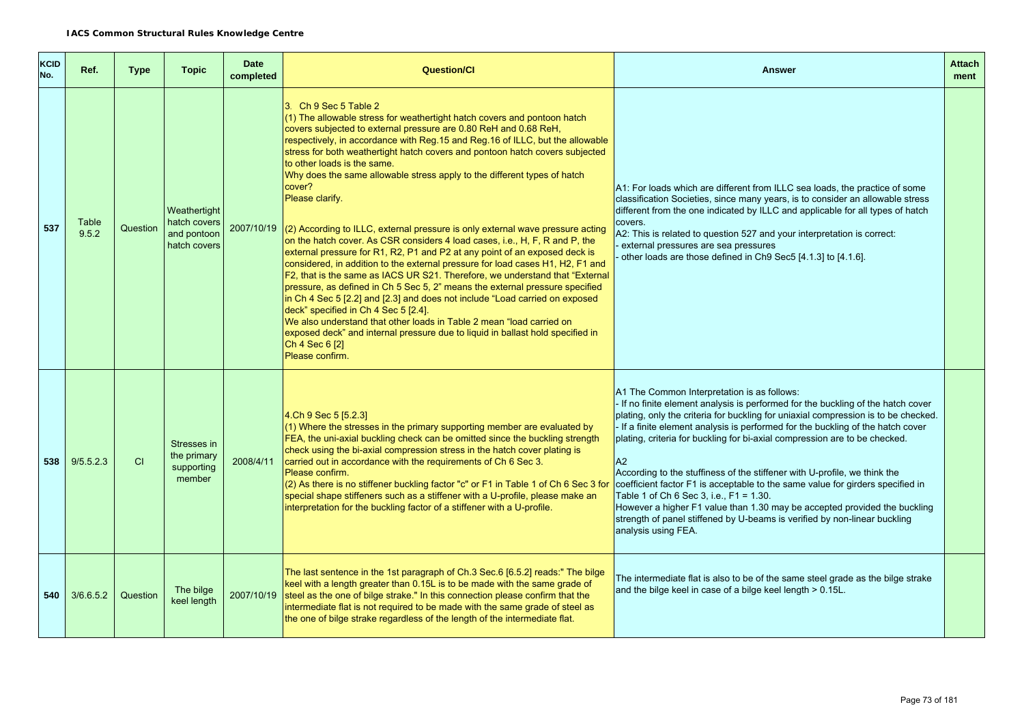| KCID<br>No. | Ref.           | <b>Type</b> | <b>Topic</b>                                                | <b>Date</b><br>completed | <b>Question/Cl</b>                                                                                                                                                                                                                                                                                                                                                                                                                                                                                                                                                                                                                                                                                                                                                                                                                                                                                                                                                                                                                                                                                                                                                                                                                                                                                                | <b>Answer</b>                                                                                                                                                                                                                                                                                                                                                                                                                                                                                                                                                                                                                                                                                                                                                                         | <b>Attach</b><br>ment |
|-------------|----------------|-------------|-------------------------------------------------------------|--------------------------|-------------------------------------------------------------------------------------------------------------------------------------------------------------------------------------------------------------------------------------------------------------------------------------------------------------------------------------------------------------------------------------------------------------------------------------------------------------------------------------------------------------------------------------------------------------------------------------------------------------------------------------------------------------------------------------------------------------------------------------------------------------------------------------------------------------------------------------------------------------------------------------------------------------------------------------------------------------------------------------------------------------------------------------------------------------------------------------------------------------------------------------------------------------------------------------------------------------------------------------------------------------------------------------------------------------------|---------------------------------------------------------------------------------------------------------------------------------------------------------------------------------------------------------------------------------------------------------------------------------------------------------------------------------------------------------------------------------------------------------------------------------------------------------------------------------------------------------------------------------------------------------------------------------------------------------------------------------------------------------------------------------------------------------------------------------------------------------------------------------------|-----------------------|
| 537         | Table<br>9.5.2 | Question    | Weathertight<br>hatch covers<br>and pontoon<br>hatch covers |                          | 3 Ch 9 Sec 5 Table 2<br>(1) The allowable stress for weathertight hatch covers and pontoon hatch<br>covers subjected to external pressure are 0.80 ReH and 0.68 ReH,<br>respectively, in accordance with Reg.15 and Reg.16 of ILLC, but the allowable<br>stress for both weathertight hatch covers and pontoon hatch covers subjected<br>to other loads is the same.<br>Why does the same allowable stress apply to the different types of hatch<br>cover?<br>Please clarify.<br>$2007/10/19$ (2) According to ILLC, external pressure is only external wave pressure acting<br>on the hatch cover. As CSR considers 4 load cases, i.e., H, F, R and P, the<br>external pressure for R1, R2, P1 and P2 at any point of an exposed deck is<br>considered, in addition to the external pressure for load cases H1, H2, F1 and<br>F2, that is the same as IACS UR S21. Therefore, we understand that "External<br>pressure, as defined in Ch 5 Sec 5, 2" means the external pressure specified<br>in Ch 4 Sec 5 [2.2] and [2.3] and does not include "Load carried on exposed<br>deck" specified in Ch 4 Sec 5 [2.4].<br>We also understand that other loads in Table 2 mean "load carried on<br>exposed deck" and internal pressure due to liquid in ballast hold specified in<br>Ch 4 Sec 6 [2]<br>Please confirm. | A1: For loads which are different from ILLC sea loads, the practice of some<br>classification Societies, since many years, is to consider an allowable stress<br>different from the one indicated by ILLC and applicable for all types of hatch<br>covers.<br>A2: This is related to question 527 and your interpretation is correct:<br>external pressures are sea pressures<br>other loads are those defined in Ch9 Sec5 [4.1.3] to [4.1.6].                                                                                                                                                                                                                                                                                                                                        |                       |
| 538         | 9/5.5.2.3      | CI          | Stresses in<br>the primary<br>supporting<br>member          | 2008/4/11                | 4. Ch 9 Sec 5 [5.2.3]<br>$(1)$ Where the stresses in the primary supporting member are evaluated by<br>FEA, the uni-axial buckling check can be omitted since the buckling strength<br>check using the bi-axial compression stress in the hatch cover plating is<br>carried out in accordance with the requirements of Ch 6 Sec 3.<br>Please confirm.<br>(2) As there is no stiffener buckling factor "c" or F1 in Table 1 of Ch 6 Sec 3 for<br>special shape stiffeners such as a stiffener with a U-profile, please make an<br>interpretation for the buckling factor of a stiffener with a U-profile.                                                                                                                                                                                                                                                                                                                                                                                                                                                                                                                                                                                                                                                                                                          | A1 The Common Interpretation is as follows:<br>- If no finite element analysis is performed for the buckling of the hatch cover<br>plating, only the criteria for buckling for uniaxial compression is to be checked.<br>If a finite element analysis is performed for the buckling of the hatch cover<br>plating, criteria for buckling for bi-axial compression are to be checked.<br>A2<br>According to the stuffiness of the stiffener with U-profile, we think the<br>coefficient factor F1 is acceptable to the same value for girders specified in<br>Table 1 of Ch 6 Sec 3, i.e., F1 = 1.30.<br>However a higher F1 value than 1.30 may be accepted provided the buckling<br>strength of panel stiffened by U-beams is verified by non-linear buckling<br>analysis using FEA. |                       |
| 540 l       | 3/6.6.5.2      | Question    | The bilge<br>keel length                                    |                          | The last sentence in the 1st paragraph of Ch.3 Sec.6 [6.5.2] reads:" The bilge<br>keel with a length greater than 0.15L is to be made with the same grade of<br>2007/10/19 steel as the one of bilge strake." In this connection please confirm that the<br>intermediate flat is not required to be made with the same grade of steel as<br>the one of bilge strake regardless of the length of the intermediate flat.                                                                                                                                                                                                                                                                                                                                                                                                                                                                                                                                                                                                                                                                                                                                                                                                                                                                                            | The intermediate flat is also to be of the same steel grade as the bilge strake<br>and the bilge keel in case of a bilge keel length > 0.15L.                                                                                                                                                                                                                                                                                                                                                                                                                                                                                                                                                                                                                                         |                       |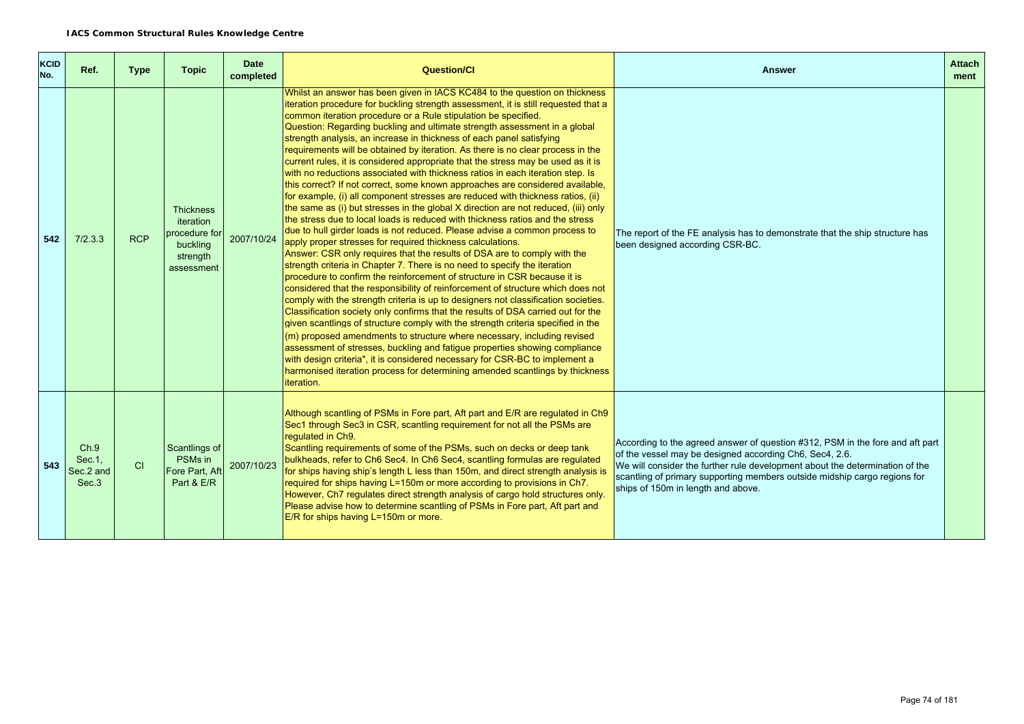| KCID<br>No. | Ref.                                  | <b>Type</b> | <b>Topic</b>                                                                         | <b>Date</b><br>completed | <b>Question/CI</b>                                                                                                                                                                                                                                                                                                                                                                                                                                                                                                                                                                                                                                                                                                                                                                                                                                                                                                                                                                                                                                                                                                                                                                                                                                                                                                                                                                                                                                                                                                                                                                                                                                                                                                                                                                                                                                                                                                                                                                                                                                                          | <b>Answer</b>                                                                                                                                                                                                                                                                                                                               | <b>Attach</b><br>ment |
|-------------|---------------------------------------|-------------|--------------------------------------------------------------------------------------|--------------------------|-----------------------------------------------------------------------------------------------------------------------------------------------------------------------------------------------------------------------------------------------------------------------------------------------------------------------------------------------------------------------------------------------------------------------------------------------------------------------------------------------------------------------------------------------------------------------------------------------------------------------------------------------------------------------------------------------------------------------------------------------------------------------------------------------------------------------------------------------------------------------------------------------------------------------------------------------------------------------------------------------------------------------------------------------------------------------------------------------------------------------------------------------------------------------------------------------------------------------------------------------------------------------------------------------------------------------------------------------------------------------------------------------------------------------------------------------------------------------------------------------------------------------------------------------------------------------------------------------------------------------------------------------------------------------------------------------------------------------------------------------------------------------------------------------------------------------------------------------------------------------------------------------------------------------------------------------------------------------------------------------------------------------------------------------------------------------------|---------------------------------------------------------------------------------------------------------------------------------------------------------------------------------------------------------------------------------------------------------------------------------------------------------------------------------------------|-----------------------|
| 542         | 7/2.3.3                               | <b>RCP</b>  | <b>Thickness</b><br>iteration<br>procedure for<br>buckling<br>strength<br>assessment | 2007/10/24               | Whilst an answer has been given in IACS KC484 to the question on thickness<br>iteration procedure for buckling strength assessment, it is still requested that a<br>common iteration procedure or a Rule stipulation be specified.<br>Question: Regarding buckling and ultimate strength assessment in a global<br>strength analysis, an increase in thickness of each panel satisfying<br>requirements will be obtained by iteration. As there is no clear process in the<br>current rules, it is considered appropriate that the stress may be used as it is<br>with no reductions associated with thickness ratios in each iteration step. Is<br>this correct? If not correct, some known approaches are considered available,<br>for example, (i) all component stresses are reduced with thickness ratios, (ii)<br>the same as (i) but stresses in the global X direction are not reduced, (iii) only<br>the stress due to local loads is reduced with thickness ratios and the stress<br>due to hull girder loads is not reduced. Please advise a common process to<br>apply proper stresses for required thickness calculations.<br>Answer: CSR only requires that the results of DSA are to comply with the<br>strength criteria in Chapter 7. There is no need to specify the iteration<br>procedure to confirm the reinforcement of structure in CSR because it is<br>considered that the responsibility of reinforcement of structure which does not<br>comply with the strength criteria is up to designers not classification societies.<br>Classification society only confirms that the results of DSA carried out for the<br>given scantlings of structure comply with the strength criteria specified in the<br>$\vert$ (m) proposed amendments to structure where necessary, including revised<br>assessment of stresses, buckling and fatigue properties showing compliance<br>with design criteria", it is considered necessary for CSR-BC to implement a<br>harmonised iteration process for determining amended scantlings by thickness<br>iteration. | The report of the FE analysis has to demonstrate that the ship structure has<br>been designed according CSR-BC.                                                                                                                                                                                                                             |                       |
| 543         | Ch.9<br>Sec. 1.<br>Sec.2 and<br>Sec.3 | CI          | Scantlings of<br>PSMs in<br>Fore Part, Aft<br>Part & E/R                             | 2007/10/23               | Although scantling of PSMs in Fore part, Aft part and E/R are regulated in Ch9<br>Sec1 through Sec3 in CSR, scantling requirement for not all the PSMs are<br>requlated in Ch9.<br>Scantling requirements of some of the PSMs, such on decks or deep tank<br>bulkheads, refer to Ch6 Sec4. In Ch6 Sec4, scantling formulas are regulated<br>for ships having ship's length L less than 150m, and direct strength analysis is<br>required for ships having L=150m or more according to provisions in Ch7.<br>However, Ch7 regulates direct strength analysis of cargo hold structures only.<br>Please advise how to determine scantling of PSMs in Fore part, Aft part and<br>E/R for ships having L=150m or more.                                                                                                                                                                                                                                                                                                                                                                                                                                                                                                                                                                                                                                                                                                                                                                                                                                                                                                                                                                                                                                                                                                                                                                                                                                                                                                                                                           | According to the agreed answer of question #312, PSM in the fore and aft part<br>of the vessel may be designed according Ch6, Sec4, 2.6.<br>We will consider the further rule development about the determination of the<br>scantling of primary supporting members outside midship cargo regions for<br>ships of 150m in length and above. |                       |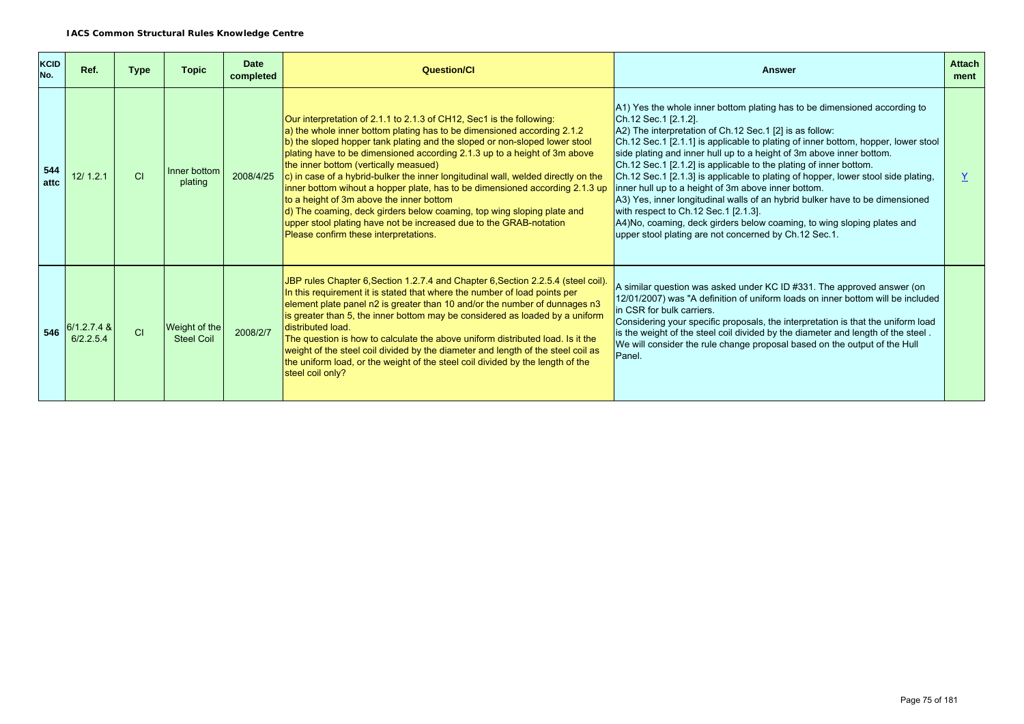| <b>KCID</b><br>No. | Ref.                       | <b>Type</b> | <b>Topic</b>                       | <b>Date</b><br>completed | Question/Cl                                                                                                                                                                                                                                                                                                                                                                                                                                                                                                                                                                                                                                                                                                                                                   | <b>Answer</b>                                                                                                                                                                                                                                                                                                                                                                                                                                                                                                                                                                                                                                                                                                                                                                                            | <b>Attach</b><br>ment |
|--------------------|----------------------------|-------------|------------------------------------|--------------------------|---------------------------------------------------------------------------------------------------------------------------------------------------------------------------------------------------------------------------------------------------------------------------------------------------------------------------------------------------------------------------------------------------------------------------------------------------------------------------------------------------------------------------------------------------------------------------------------------------------------------------------------------------------------------------------------------------------------------------------------------------------------|----------------------------------------------------------------------------------------------------------------------------------------------------------------------------------------------------------------------------------------------------------------------------------------------------------------------------------------------------------------------------------------------------------------------------------------------------------------------------------------------------------------------------------------------------------------------------------------------------------------------------------------------------------------------------------------------------------------------------------------------------------------------------------------------------------|-----------------------|
| 544<br>attc        | 12/1.2.1                   | CI          | Inner bottom<br>plating            | 2008/4/25                | Our interpretation of 2.1.1 to 2.1.3 of CH12, Sec1 is the following:<br>a) the whole inner bottom plating has to be dimensioned according 2.1.2<br>b) the sloped hopper tank plating and the sloped or non-sloped lower stool<br>plating have to be dimensioned according 2.1.3 up to a height of 3m above<br>the inner bottom (vertically measued)<br>c) in case of a hybrid-bulker the inner longitudinal wall, welded directly on the<br>inner bottom wihout a hopper plate, has to be dimensioned according 2.1.3 up<br>to a height of 3m above the inner bottom<br>d) The coaming, deck girders below coaming, top wing sloping plate and<br>upper stool plating have not be increased due to the GRAB-notation<br>Please confirm these interpretations. | A1) Yes the whole inner bottom plating has to be dimensioned according to<br>Ch.12 Sec.1 [2.1.2].<br>$A2$ ) The interpretation of Ch.12 Sec.1 [2] is as follow:<br>Ch.12 Sec.1 [2.1.1] is applicable to plating of inner bottom, hopper, lower stool<br>side plating and inner hull up to a height of 3m above inner bottom.<br>Ch.12 Sec.1 [2.1.2] is applicable to the plating of inner bottom.<br>Ch.12 Sec.1 [2.1.3] is applicable to plating of hopper, lower stool side plating,<br>inner hull up to a height of 3m above inner bottom.<br>A3) Yes, inner longitudinal walls of an hybrid bulker have to be dimensioned<br>with respect to Ch.12 Sec.1 [2.1.3].<br>A4)No, coaming, deck girders below coaming, to wing sloping plates and<br>upper stool plating are not concerned by Ch.12 Sec.1. | Y                     |
| 546                | $6/1.2.7.4$ &<br>6/2.2.5.4 | CI          | Weight of the<br><b>Steel Coil</b> | 2008/2/7                 | JBP rules Chapter 6, Section 1.2.7.4 and Chapter 6, Section 2.2.5.4 (steel coil).<br>In this requirement it is stated that where the number of load points per<br>element plate panel n2 is greater than 10 and/or the number of dunnages n3<br>is greater than 5, the inner bottom may be considered as loaded by a uniform<br>distributed load.<br>The question is how to calculate the above uniform distributed load. Is it the<br>weight of the steel coil divided by the diameter and length of the steel coil as<br>the uniform load, or the weight of the steel coil divided by the length of the<br>steel coil only?                                                                                                                                 | A similar question was asked under KC ID #331. The approved answer (on<br>12/01/2007) was "A definition of uniform loads on inner bottom will be included<br>in CSR for bulk carriers.<br>Considering your specific proposals, the interpretation is that the uniform load<br>is the weight of the steel coil divided by the diameter and length of the steel.<br>We will consider the rule change proposal based on the output of the Hull<br>Panel.                                                                                                                                                                                                                                                                                                                                                    |                       |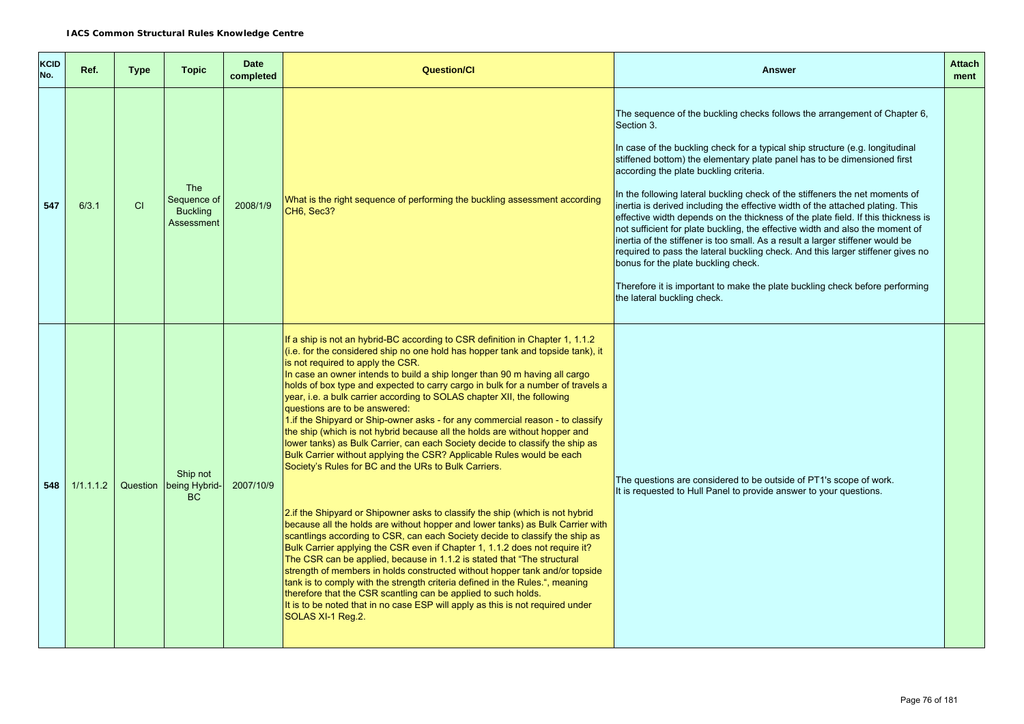| KCID<br>No. | Ref.      | <b>Type</b> | <b>Topic</b>                                               | <b>Date</b><br>completed | <b>Question/Cl</b>                                                                                                                                                                                                                                                                                                                                                                                                                                                                                                                                                                                                                                                                                                                                                                                                                                                                                                                                                                                                                                                                                                                                                                                                                                                                                                                                                                                                                                                                                                                                                                                                          | <b>Answer</b>                                                                                                                                                                                                                                                                                                                                                                                                                                                                                                                                                                                                                                                                                                                                                                                                                                                                                                                                                     | <b>Attach</b><br>ment |
|-------------|-----------|-------------|------------------------------------------------------------|--------------------------|-----------------------------------------------------------------------------------------------------------------------------------------------------------------------------------------------------------------------------------------------------------------------------------------------------------------------------------------------------------------------------------------------------------------------------------------------------------------------------------------------------------------------------------------------------------------------------------------------------------------------------------------------------------------------------------------------------------------------------------------------------------------------------------------------------------------------------------------------------------------------------------------------------------------------------------------------------------------------------------------------------------------------------------------------------------------------------------------------------------------------------------------------------------------------------------------------------------------------------------------------------------------------------------------------------------------------------------------------------------------------------------------------------------------------------------------------------------------------------------------------------------------------------------------------------------------------------------------------------------------------------|-------------------------------------------------------------------------------------------------------------------------------------------------------------------------------------------------------------------------------------------------------------------------------------------------------------------------------------------------------------------------------------------------------------------------------------------------------------------------------------------------------------------------------------------------------------------------------------------------------------------------------------------------------------------------------------------------------------------------------------------------------------------------------------------------------------------------------------------------------------------------------------------------------------------------------------------------------------------|-----------------------|
| 547         | 6/3.1     | <b>CI</b>   | <b>The</b><br>Sequence of<br><b>Buckling</b><br>Assessment | 2008/1/9                 | What is the right sequence of performing the buckling assessment according<br>CH6, Sec3?                                                                                                                                                                                                                                                                                                                                                                                                                                                                                                                                                                                                                                                                                                                                                                                                                                                                                                                                                                                                                                                                                                                                                                                                                                                                                                                                                                                                                                                                                                                                    | The sequence of the buckling checks follows the arrangement of Chapter 6,<br>Section 3.<br>In case of the buckling check for a typical ship structure (e.g. longitudinal<br>stiffened bottom) the elementary plate panel has to be dimensioned first<br>according the plate buckling criteria.<br>In the following lateral buckling check of the stiffeners the net moments of<br>inertia is derived including the effective width of the attached plating. This<br>effective width depends on the thickness of the plate field. If this thickness is<br>not sufficient for plate buckling, the effective width and also the moment of<br>inertia of the stiffener is too small. As a result a larger stiffener would be<br>required to pass the lateral buckling check. And this larger stiffener gives no<br>bonus for the plate buckling check.<br>Therefore it is important to make the plate buckling check before performing<br>the lateral buckling check. |                       |
| 548         | 1/1.1.1.2 | Question    | Ship not<br>being Hybrid-<br><b>BC</b>                     | 2007/10/9                | If a ship is not an hybrid-BC according to CSR definition in Chapter 1, 1.1.2<br>(i.e. for the considered ship no one hold has hopper tank and topside tank), it<br>is not required to apply the CSR.<br>In case an owner intends to build a ship longer than 90 m having all cargo<br>holds of box type and expected to carry cargo in bulk for a number of travels a<br>year, i.e. a bulk carrier according to SOLAS chapter XII, the following<br>questions are to be answered:<br>1. if the Shipyard or Ship-owner asks - for any commercial reason - to classify<br>the ship (which is not hybrid because all the holds are without hopper and<br>lower tanks) as Bulk Carrier, can each Society decide to classify the ship as<br>Bulk Carrier without applying the CSR? Applicable Rules would be each<br>Society's Rules for BC and the URs to Bulk Carriers.<br>2. if the Shipyard or Shipowner asks to classify the ship (which is not hybrid<br>because all the holds are without hopper and lower tanks) as Bulk Carrier with<br>scantlings according to CSR, can each Society decide to classify the ship as<br>Bulk Carrier applying the CSR even if Chapter 1, 1.1.2 does not require it?<br>The CSR can be applied, because in 1.1.2 is stated that "The structural<br>strength of members in holds constructed without hopper tank and/or topside<br>tank is to comply with the strength criteria defined in the Rules.", meaning<br>therefore that the CSR scantling can be applied to such holds.<br>It is to be noted that in no case ESP will apply as this is not required under<br>SOLAS XI-1 Reg.2. | The questions are considered to be outside of PT1's scope of work.<br>It is requested to Hull Panel to provide answer to your questions.                                                                                                                                                                                                                                                                                                                                                                                                                                                                                                                                                                                                                                                                                                                                                                                                                          |                       |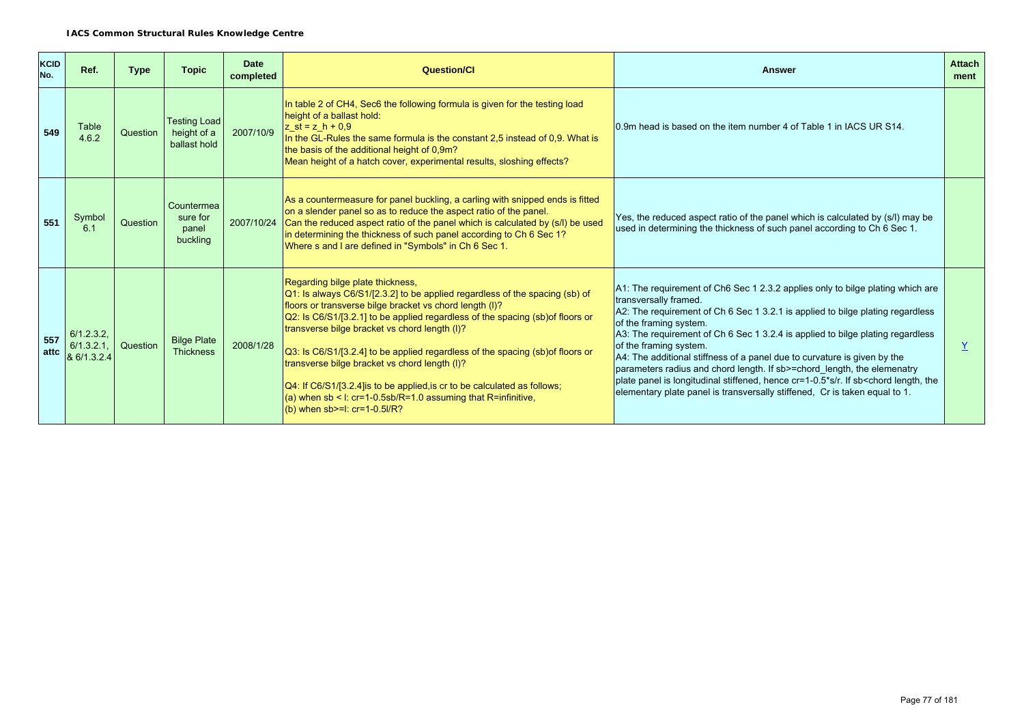| <b>KCID</b><br>No. | Ref.                                  | <b>Type</b> | <b>Topic</b>                                       | <b>Date</b><br>completed | <b>Question/Cl</b>                                                                                                                                                                                                                                                                                                                                                                                                                                                                                                                                                                                                                                 | <b>Answer</b>                                                                                                                                                                                                                                                                                                                                                                                                                                                                                                                                                                                                                                                             | <b>Attach</b><br>ment |
|--------------------|---------------------------------------|-------------|----------------------------------------------------|--------------------------|----------------------------------------------------------------------------------------------------------------------------------------------------------------------------------------------------------------------------------------------------------------------------------------------------------------------------------------------------------------------------------------------------------------------------------------------------------------------------------------------------------------------------------------------------------------------------------------------------------------------------------------------------|---------------------------------------------------------------------------------------------------------------------------------------------------------------------------------------------------------------------------------------------------------------------------------------------------------------------------------------------------------------------------------------------------------------------------------------------------------------------------------------------------------------------------------------------------------------------------------------------------------------------------------------------------------------------------|-----------------------|
| 549                | Table<br>4.6.2                        | Question    | <b>Testing Load</b><br>height of a<br>ballast hold | 2007/10/9                | In table 2 of CH4, Sec6 the following formula is given for the testing load<br>height of a ballast hold:<br>$z_{st} = z_h + 0.9$<br>In the GL-Rules the same formula is the constant 2.5 instead of 0.9. What is<br>the basis of the additional height of 0,9m?<br>Mean height of a hatch cover, experimental results, sloshing effects?                                                                                                                                                                                                                                                                                                           | 0.9m head is based on the item number 4 of Table 1 in IACS UR S14.                                                                                                                                                                                                                                                                                                                                                                                                                                                                                                                                                                                                        |                       |
| 551                | Symbol<br>6.1                         | Question    | Countermea<br>sure for<br>panel<br>buckling        | 2007/10/24               | As a countermeasure for panel buckling, a carling with snipped ends is fitted<br>on a slender panel so as to reduce the aspect ratio of the panel.<br>Can the reduced aspect ratio of the panel which is calculated by (s/l) be used<br>in determining the thickness of such panel according to Ch 6 Sec 1?<br>Where s and I are defined in "Symbols" in Ch 6 Sec 1.                                                                                                                                                                                                                                                                               | Yes, the reduced aspect ratio of the panel which is calculated by (s/l) may be<br>used in determining the thickness of such panel according to Ch 6 Sec 1.                                                                                                                                                                                                                                                                                                                                                                                                                                                                                                                |                       |
| 557<br>attc        | 6/1.2.3.2<br>6/1.3.2.1<br>& 6/1.3.2.4 | Question    | <b>Bilge Plate</b><br><b>Thickness</b>             | 2008/1/28                | Regarding bilge plate thickness,<br>$\vert$ Q1: Is always C6/S1/[2.3.2] to be applied regardless of the spacing (sb) of<br>floors or transverse bilge bracket vs chord length (I)?<br>Q2: Is C6/S1/[3.2.1] to be applied regardless of the spacing (sb) of floors or<br>transverse bilge bracket vs chord length (I)?<br>Q3: Is C6/S1/[3.2.4] to be applied regardless of the spacing (sb) of floors or<br>transverse bilge bracket vs chord length (I)?<br>$[Q4:$ If C6/S1/[3.2.4] is to be applied, is cr to be calculated as follows;<br>(a) when sb < I: $cr=1-0.5$ sb/R=1.0 assuming that R=infinitive,<br>(b) when $sb>=1$ : $cr=1-0.5l/R$ ? | A1: The requirement of Ch6 Sec 1 2.3.2 applies only to bilge plating which are<br>transversally framed.<br>A2: The requirement of Ch 6 Sec 1 3.2.1 is applied to bilge plating regardless<br>of the framing system.<br>A3: The requirement of Ch 6 Sec 1 3.2.4 is applied to bilge plating regardless<br>of the framing system.<br>A4: The additional stiffness of a panel due to curvature is given by the<br>parameters radius and chord length. If sb>=chord_length, the elemenatry<br>plate panel is longitudinal stiffened, hence cr=1-0.5*s/r. If sb <chord length,="" the<br="">elementary plate panel is transversally stiffened. Cr is taken equal to 1.</chord> |                       |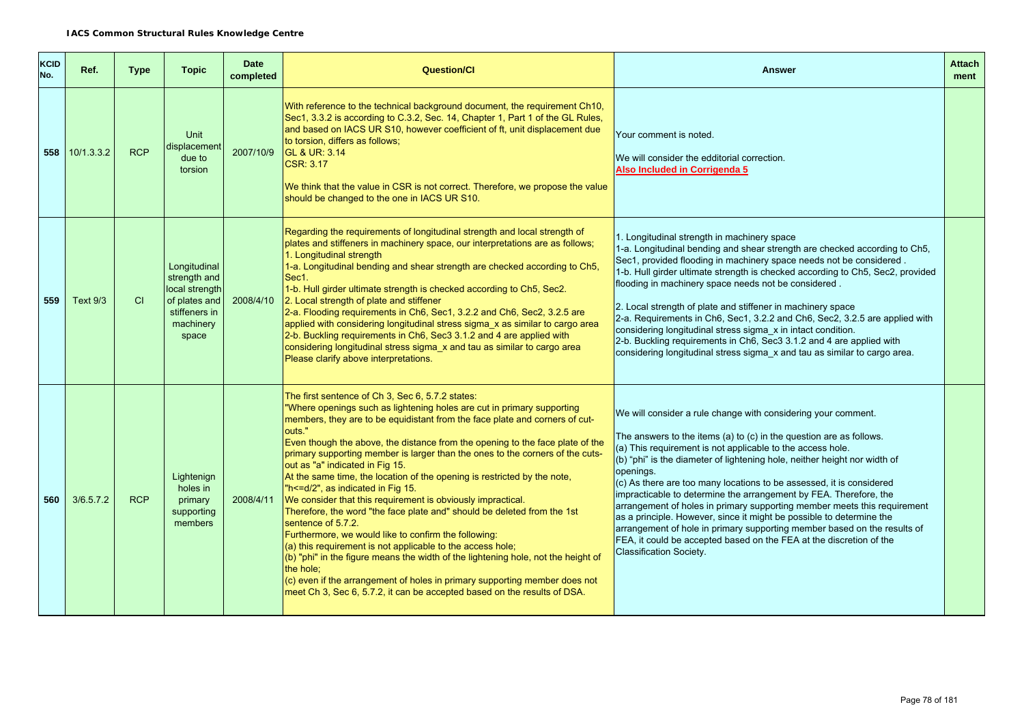| <b>KCID</b><br>No. | Ref.       | <b>Type</b> | <b>Topic</b>                                                                                           | <b>Date</b><br>completed | <b>Question/Cl</b>                                                                                                                                                                                                                                                                                                                                                                                                                                                                                                                                                                                                                                                                                                                                                                                                                                                                                                                                                                                                                                                                                          | <b>Answer</b>                                                                                                                                                                                                                                                                                                                                                                                                                                                                                                                                                                                                                                                                                                                                                               | <b>Attach</b><br>ment |
|--------------------|------------|-------------|--------------------------------------------------------------------------------------------------------|--------------------------|-------------------------------------------------------------------------------------------------------------------------------------------------------------------------------------------------------------------------------------------------------------------------------------------------------------------------------------------------------------------------------------------------------------------------------------------------------------------------------------------------------------------------------------------------------------------------------------------------------------------------------------------------------------------------------------------------------------------------------------------------------------------------------------------------------------------------------------------------------------------------------------------------------------------------------------------------------------------------------------------------------------------------------------------------------------------------------------------------------------|-----------------------------------------------------------------------------------------------------------------------------------------------------------------------------------------------------------------------------------------------------------------------------------------------------------------------------------------------------------------------------------------------------------------------------------------------------------------------------------------------------------------------------------------------------------------------------------------------------------------------------------------------------------------------------------------------------------------------------------------------------------------------------|-----------------------|
| 558                | 10/1.3.3.2 | <b>RCP</b>  | <b>Unit</b><br>displacement<br>due to<br>torsion                                                       | 2007/10/9                | With reference to the technical background document, the requirement Ch10,<br>Sec1, 3.3.2 is according to C.3.2, Sec. 14, Chapter 1, Part 1 of the GL Rules,<br>and based on IACS UR S10, however coefficient of ft, unit displacement due<br>to torsion, differs as follows;<br><b>GL &amp; UR: 3.14</b><br>CSR: 3.17<br>We think that the value in CSR is not correct. Therefore, we propose the value<br>should be changed to the one in IACS UR S10.                                                                                                                                                                                                                                                                                                                                                                                                                                                                                                                                                                                                                                                    | Your comment is noted.<br>We will consider the edditorial correction.<br>Also Included in Corrigenda 5                                                                                                                                                                                                                                                                                                                                                                                                                                                                                                                                                                                                                                                                      |                       |
| 559                | Text 9/3   | CI          | Longitudinal<br>strength and<br>local strength<br>of plates and<br>stiffeners in<br>machinery<br>space | 2008/4/10                | Regarding the requirements of longitudinal strength and local strength of<br>plates and stiffeners in machinery space, our interpretations are as follows;<br>1. Longitudinal strength<br>1-a. Longitudinal bending and shear strength are checked according to Ch5,<br>Sec1.<br>1-b. Hull girder ultimate strength is checked according to Ch5, Sec2.<br>2. Local strength of plate and stiffener<br>2-a. Flooding requirements in Ch6, Sec1, 3.2.2 and Ch6, Sec2, 3.2.5 are<br>applied with considering longitudinal stress sigma_x as similar to cargo area<br>2-b. Buckling requirements in Ch6, Sec3 3.1.2 and 4 are applied with<br>considering longitudinal stress sigma_x and tau as similar to cargo area<br>Please clarify above interpretations.                                                                                                                                                                                                                                                                                                                                                 | 1. Longitudinal strength in machinery space<br>1-a. Longitudinal bending and shear strength are checked according to Ch5,<br>Sec1, provided flooding in machinery space needs not be considered.<br>1-b. Hull girder ultimate strength is checked according to Ch5, Sec2, provided<br>flooding in machinery space needs not be considered.<br>2. Local strength of plate and stiffener in machinery space<br>2-a. Requirements in Ch6, Sec1, 3.2.2 and Ch6, Sec2, 3.2.5 are applied with<br>considering longitudinal stress sigma_x in intact condition.<br>2-b. Buckling requirements in Ch6, Sec3 3.1.2 and 4 are applied with<br>considering longitudinal stress sigma_x and tau as similar to cargo area.                                                               |                       |
| 560                | 3/6.5.7.2  | <b>RCP</b>  | Lightenign<br>holes in<br>primary<br>supporting<br>members                                             | 2008/4/11                | The first sentence of Ch 3, Sec 6, 5.7.2 states:<br>"Where openings such as lightening holes are cut in primary supporting<br>members, they are to be equidistant from the face plate and corners of cut-<br>outs."<br>Even though the above, the distance from the opening to the face plate of the<br>primary supporting member is larger than the ones to the corners of the cuts-<br>out as "a" indicated in Fig 15.<br>At the same time, the location of the opening is restricted by the note,<br>"h <= d/2", as indicated in Fig 15.<br>We consider that this requirement is obviously impractical.<br>Therefore, the word "the face plate and" should be deleted from the 1st<br>sentence of 5.7.2.<br>Furthermore, we would like to confirm the following:<br>$(a)$ this requirement is not applicable to the access hole;<br>$($ (b) "phi" in the figure means the width of the lightening hole, not the height of<br>the hole:<br>$\vert$ (c) even if the arrangement of holes in primary supporting member does not<br>meet Ch 3, Sec 6, 5.7.2, it can be accepted based on the results of DSA. | We will consider a rule change with considering your comment.<br>The answers to the items (a) to (c) in the question are as follows.<br>(a) This requirement is not applicable to the access hole.<br>(b) "phi" is the diameter of lightening hole, neither height nor width of<br>openings.<br>(c) As there are too many locations to be assessed, it is considered<br>impracticable to determine the arrangement by FEA. Therefore, the<br>arrangement of holes in primary supporting member meets this requirement<br>as a principle. However, since it might be possible to determine the<br>arrangement of hole in primary supporting member based on the results of<br>FEA, it could be accepted based on the FEA at the discretion of the<br>Classification Society. |                       |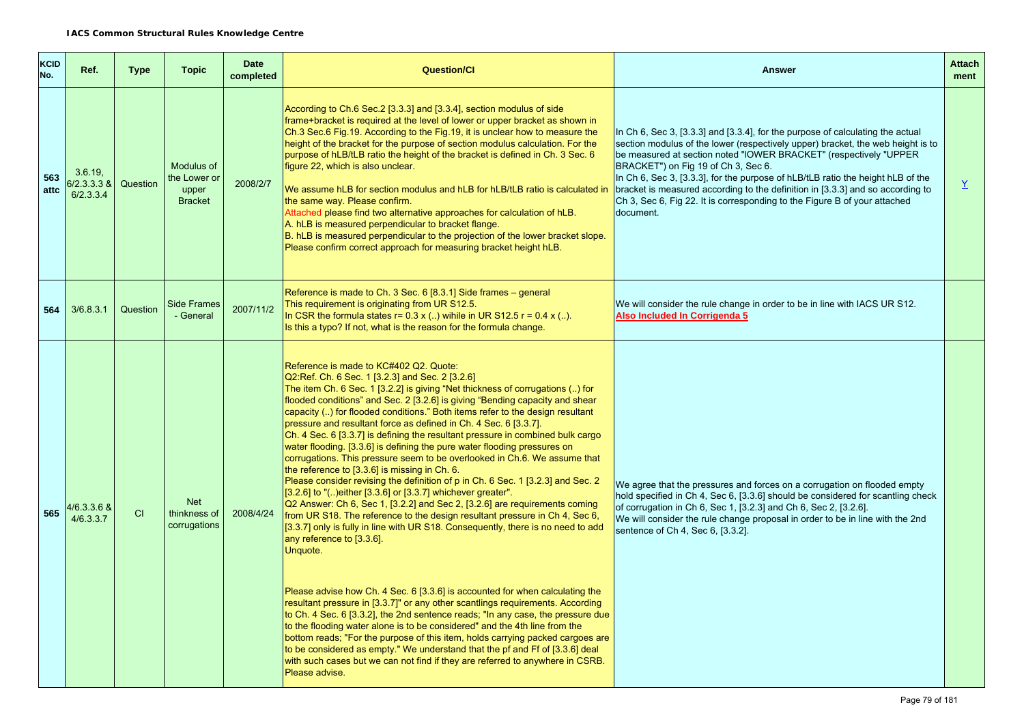| KCID<br>No. | Ref.                                 | <b>Type</b> | <b>Topic</b>                                                 | <b>Date</b><br>completed | <b>Question/Cl</b>                                                                                                                                                                                                                                                                                                                                                                                                                                                                                                                                                                                                                                                                                                                                                                                                                                                                                                                                                                                                                                                                                                                                                                                                                                                                                                                                                                                                                                                                                                                                                                                                                                                                                                                                               | <b>Answer</b>                                                                                                                                                                                                                                                                                                                                                                                                                                                                                                                                | <b>Attach</b><br>ment |
|-------------|--------------------------------------|-------------|--------------------------------------------------------------|--------------------------|------------------------------------------------------------------------------------------------------------------------------------------------------------------------------------------------------------------------------------------------------------------------------------------------------------------------------------------------------------------------------------------------------------------------------------------------------------------------------------------------------------------------------------------------------------------------------------------------------------------------------------------------------------------------------------------------------------------------------------------------------------------------------------------------------------------------------------------------------------------------------------------------------------------------------------------------------------------------------------------------------------------------------------------------------------------------------------------------------------------------------------------------------------------------------------------------------------------------------------------------------------------------------------------------------------------------------------------------------------------------------------------------------------------------------------------------------------------------------------------------------------------------------------------------------------------------------------------------------------------------------------------------------------------------------------------------------------------------------------------------------------------|----------------------------------------------------------------------------------------------------------------------------------------------------------------------------------------------------------------------------------------------------------------------------------------------------------------------------------------------------------------------------------------------------------------------------------------------------------------------------------------------------------------------------------------------|-----------------------|
| 563<br>attc | 3.6.19<br>$6/2.3.3.3$ &<br>6/2.3.3.4 | Question    | <b>Modulus of</b><br>the Lower or<br>upper<br><b>Bracket</b> | 2008/2/7                 | According to Ch.6 Sec.2 [3.3.3] and [3.3.4], section modulus of side<br>frame+bracket is required at the level of lower or upper bracket as shown in<br>Ch.3 Sec.6 Fig.19. According to the Fig.19, it is unclear how to measure the<br>height of the bracket for the purpose of section modulus calculation. For the<br>purpose of hLB/tLB ratio the height of the bracket is defined in Ch. 3 Sec. 6<br>figure 22, which is also unclear.<br>We assume hLB for section modulus and hLB for hLB/tLB ratio is calculated in<br>the same way. Please confirm.<br>Attached please find two alternative approaches for calculation of hLB.<br>A. hLB is measured perpendicular to bracket flange.<br>B. hLB is measured perpendicular to the projection of the lower bracket slope.<br>Please confirm correct approach for measuring bracket height hLB.                                                                                                                                                                                                                                                                                                                                                                                                                                                                                                                                                                                                                                                                                                                                                                                                                                                                                                            | In Ch 6, Sec 3, [3.3.3] and [3.3.4], for the purpose of calculating the actual<br>section modulus of the lower (respectively upper) bracket, the web height is to<br>be measured at section noted "IOWER BRACKET" (respectively "UPPER<br>BRACKET") on Fig 19 of Ch 3, Sec 6.<br>In Ch 6, Sec 3, [3.3.3], for the purpose of hLB/tLB ratio the height hLB of the<br>bracket is measured according to the definition in [3.3.3] and so according to<br>Ch 3, Sec 6, Fig 22. It is corresponding to the Figure B of your attached<br>document. | Y                     |
| 564         | 3/6.8.3.1                            | Question    | <b>Side Frames</b><br>- General                              | 2007/11/2                | Reference is made to Ch. 3 Sec. 6 [8.3.1] Side frames – general<br>This requirement is originating from UR S12.5.<br>In CSR the formula states $r = 0.3 x$ () wihile in UR S12.5 $r = 0.4 x$ ().<br>Is this a typo? If not, what is the reason for the formula change.                                                                                                                                                                                                                                                                                                                                                                                                                                                                                                                                                                                                                                                                                                                                                                                                                                                                                                                                                                                                                                                                                                                                                                                                                                                                                                                                                                                                                                                                                           | We will consider the rule change in order to be in line with IACS UR S12.<br>Also Included In Corrigenda 5                                                                                                                                                                                                                                                                                                                                                                                                                                   |                       |
| 565         | 4/6.3.3.6 &<br>4/6.3.3.7             | CI          | <b>Net</b><br>thinkness of<br>corrugations                   | 2008/4/24                | Reference is made to KC#402 Q2. Quote:<br>Q2:Ref. Ch. 6 Sec. 1 [3.2.3] and Sec. 2 [3.2.6]<br>The item Ch. 6 Sec. 1 [3.2.2] is giving "Net thickness of corrugations () for<br>flooded conditions" and Sec. 2 [3.2.6] is giving "Bending capacity and shear<br>capacity () for flooded conditions." Both items refer to the design resultant<br>pressure and resultant force as defined in Ch. 4 Sec. 6 [3.3.7].<br>Ch. 4 Sec. 6 [3.3.7] is defining the resultant pressure in combined bulk cargo<br>water flooding. [3.3.6] is defining the pure water flooding pressures on<br>corrugations. This pressure seem to be overlooked in Ch.6. We assume that<br>the reference to [3.3.6] is missing in Ch. 6.<br>Please consider revising the definition of p in Ch. 6 Sec. 1 [3.2.3] and Sec. 2<br>[3.2.6] to "() either [3.3.6] or [3.3.7] whichever greater".<br>Q2 Answer: Ch 6, Sec 1, [3.2.2] and Sec 2, [3.2.6] are requirements coming<br>from UR S18. The reference to the design resultant pressure in Ch 4, Sec 6.<br>[3.3.7] only is fully in line with UR S18. Consequently, there is no need to add<br>any reference to [3.3.6].<br>Unquote.<br>Please advise how Ch. 4 Sec. 6 [3.3.6] is accounted for when calculating the<br>resultant pressure in [3.3.7]" or any other scantlings requirements. According<br>to Ch. 4 Sec. 6 [3.3.2], the 2nd sentence reads; "In any case, the pressure due<br>to the flooding water alone is to be considered" and the 4th line from the<br>bottom reads; "For the purpose of this item, holds carrying packed cargoes are<br>to be considered as empty." We understand that the pf and Ff of [3.3.6] deal<br>with such cases but we can not find if they are referred to anywhere in CSRB.<br>Please advise. | We agree that the pressures and forces on a corrugation on flooded empty<br>hold specified in Ch 4, Sec 6, [3.3.6] should be considered for scantling check<br>of corrugation in Ch 6, Sec 1, [3.2.3] and Ch 6, Sec 2, [3.2.6].<br>We will consider the rule change proposal in order to be in line with the 2nd<br>sentence of Ch 4, Sec 6, [3.3.2].                                                                                                                                                                                        |                       |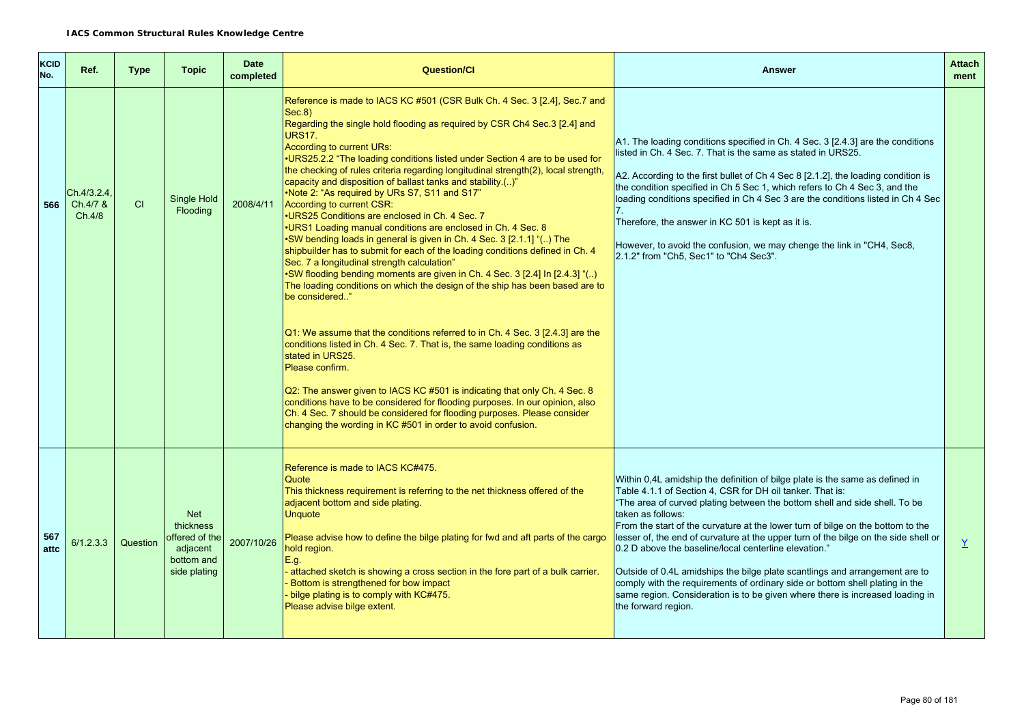| <b>KCID</b><br>No. | Ref.                              | <b>Type</b> | <b>Topic</b>                                                                        | <b>Date</b><br>completed | <b>Question/CI</b>                                                                                                                                                                                                                                                                                                                                                                                                                                                                                                                                                                                                                                                                                                                                                                                                                                                                                                                                                                                                                                                                                                                                                                                                                                                                                                                                                                                                                                                                                                                                              | <b>Answer</b>                                                                                                                                                                                                                                                                                                                                                                                                                                                                                                                                                                                                                                                                                                                                          | <b>Attach</b><br>ment |
|--------------------|-----------------------------------|-------------|-------------------------------------------------------------------------------------|--------------------------|-----------------------------------------------------------------------------------------------------------------------------------------------------------------------------------------------------------------------------------------------------------------------------------------------------------------------------------------------------------------------------------------------------------------------------------------------------------------------------------------------------------------------------------------------------------------------------------------------------------------------------------------------------------------------------------------------------------------------------------------------------------------------------------------------------------------------------------------------------------------------------------------------------------------------------------------------------------------------------------------------------------------------------------------------------------------------------------------------------------------------------------------------------------------------------------------------------------------------------------------------------------------------------------------------------------------------------------------------------------------------------------------------------------------------------------------------------------------------------------------------------------------------------------------------------------------|--------------------------------------------------------------------------------------------------------------------------------------------------------------------------------------------------------------------------------------------------------------------------------------------------------------------------------------------------------------------------------------------------------------------------------------------------------------------------------------------------------------------------------------------------------------------------------------------------------------------------------------------------------------------------------------------------------------------------------------------------------|-----------------------|
| 566                | Ch.4/3.2.4,<br>Ch.4/7 &<br>Ch.4/8 | CI          | Single Hold<br>Flooding                                                             | 2008/4/11                | Reference is made to IACS KC #501 (CSR Bulk Ch. 4 Sec. 3 [2.4], Sec. 7 and<br>Sec.8)<br>Regarding the single hold flooding as required by CSR Ch4 Sec.3 [2.4] and<br><b>URS17.</b><br>According to current URs:<br>.URS25.2.2 "The loading conditions listed under Section 4 are to be used for<br>the checking of rules criteria regarding longitudinal strength(2), local strength,<br>capacity and disposition of ballast tanks and stability.()"<br>•Note 2: "As required by URs S7, S11 and S17"<br>According to current CSR:<br>•URS25 Conditions are enclosed in Ch. 4 Sec. 7<br>•URS1 Loading manual conditions are enclosed in Ch. 4 Sec. 8<br>•SW bending loads in general is given in Ch. 4 Sec. 3 [2.1.1] "() The<br>shipbuilder has to submit for each of the loading conditions defined in Ch. 4<br>Sec. 7 a longitudinal strength calculation"<br>•SW flooding bending moments are given in Ch. 4 Sec. 3 [2.4] In [2.4.3] "()<br>The loading conditions on which the design of the ship has been based are to<br>be considered"<br>$Q1:$ We assume that the conditions referred to in Ch. 4 Sec. 3 [2.4.3] are the<br>conditions listed in Ch. 4 Sec. 7. That is, the same loading conditions as<br>stated in URS25.<br>Please confirm.<br>Q2: The answer given to IACS KC #501 is indicating that only Ch. 4 Sec. 8<br>conditions have to be considered for flooding purposes. In our opinion, also<br>Ch. 4 Sec. 7 should be considered for flooding purposes. Please consider<br>changing the wording in KC #501 in order to avoid confusion. | A1. The loading conditions specified in Ch. 4 Sec. 3 [2.4.3] are the conditions<br>listed in Ch. 4 Sec. 7. That is the same as stated in URS25.<br>A2. According to the first bullet of Ch 4 Sec 8 [2.1.2], the loading condition is<br>the condition specified in Ch 5 Sec 1, which refers to Ch 4 Sec 3, and the<br>loading conditions specified in Ch 4 Sec 3 are the conditions listed in Ch 4 Sec<br>Therefore, the answer in KC 501 is kept as it is.<br>However, to avoid the confusion, we may chenge the link in "CH4, Sec8,<br>2.1.2" from "Ch5, Sec1" to "Ch4 Sec3".                                                                                                                                                                        |                       |
| 567<br>attc        | 6/1.2.3.3                         | Question    | <b>Net</b><br>thickness<br>offered of the<br>adjacent<br>bottom and<br>side plating | 2007/10/26               | Reference is made to IACS KC#475.<br>Quote<br>This thickness requirement is referring to the net thickness offered of the<br>adjacent bottom and side plating.<br><b>Unquote</b><br>Please advise how to define the bilge plating for fwd and aft parts of the cargo<br>hold region.<br>E.g.<br>attached sketch is showing a cross section in the fore part of a bulk carrier.<br>Bottom is strengthened for bow impact<br>bilge plating is to comply with KC#475.<br>Please advise bilge extent.                                                                                                                                                                                                                                                                                                                                                                                                                                                                                                                                                                                                                                                                                                                                                                                                                                                                                                                                                                                                                                                               | Within 0,4L amidship the definition of bilge plate is the same as defined in<br>Table 4.1.1 of Section 4. CSR for DH oil tanker. That is:<br>"The area of curved plating between the bottom shell and side shell. To be<br>taken as follows:<br>From the start of the curvature at the lower turn of bilge on the bottom to the<br>lesser of, the end of curvature at the upper turn of the bilge on the side shell or<br>0.2 D above the baseline/local centerline elevation."<br>Outside of 0.4L amidships the bilge plate scantlings and arrangement are to<br>comply with the requirements of ordinary side or bottom shell plating in the<br>same region. Consideration is to be given where there is increased loading in<br>the forward region. | $\underline{Y}$       |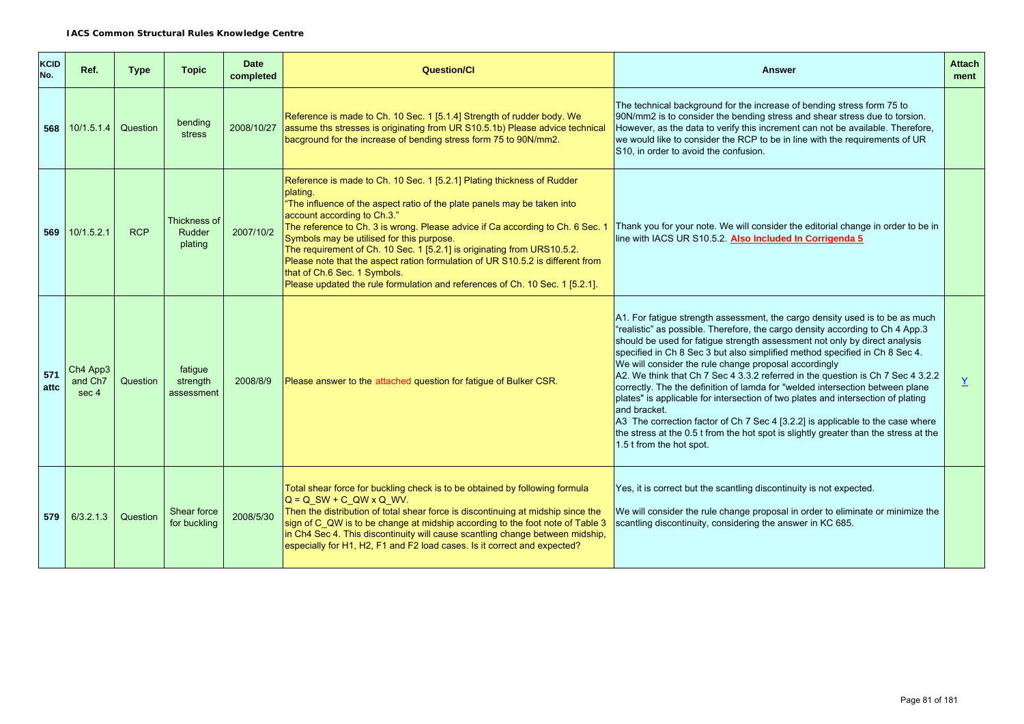| <b>KCID</b><br>No. | Ref.                                     | <b>Type</b> | <b>Topic</b>                      | <b>Date</b><br>completed | <b>Question/Cl</b>                                                                                                                                                                                                                                                                                                                                                                                                                                                                                                                                                                                        | <b>Answer</b>                                                                                                                                                                                                                                                                                                                                                                                                                                                                                                                                                                                                                                                                                                                                                                                                                                                     | <b>Attach</b><br>ment |
|--------------------|------------------------------------------|-------------|-----------------------------------|--------------------------|-----------------------------------------------------------------------------------------------------------------------------------------------------------------------------------------------------------------------------------------------------------------------------------------------------------------------------------------------------------------------------------------------------------------------------------------------------------------------------------------------------------------------------------------------------------------------------------------------------------|-------------------------------------------------------------------------------------------------------------------------------------------------------------------------------------------------------------------------------------------------------------------------------------------------------------------------------------------------------------------------------------------------------------------------------------------------------------------------------------------------------------------------------------------------------------------------------------------------------------------------------------------------------------------------------------------------------------------------------------------------------------------------------------------------------------------------------------------------------------------|-----------------------|
| 568                | 10/1.5.1.4                               | Question    | bending<br>stress                 | 2008/10/27               | Reference is made to Ch. 10 Sec. 1 [5.1.4] Strength of rudder body. We<br>assume ths stresses is originating from UR S10.5.1b) Please advice technical<br>bacground for the increase of bending stress form 75 to 90N/mm2.                                                                                                                                                                                                                                                                                                                                                                                | The technical background for the increase of bending stress form 75 to<br>90N/mm2 is to consider the bending stress and shear stress due to torsion.<br>However, as the data to verify this increment can not be available. Therefore,<br>we would like to consider the RCP to be in line with the requirements of UR<br>S10, in order to avoid the confusion.                                                                                                                                                                                                                                                                                                                                                                                                                                                                                                    |                       |
|                    | 569 10/1.5.2.1                           | <b>RCP</b>  | Thickness of<br>Rudder<br>plating | 2007/10/2                | Reference is made to Ch. 10 Sec. 1 [5.2.1] Plating thickness of Rudder<br>plating.<br>"The influence of the aspect ratio of the plate panels may be taken into<br>account according to Ch.3."<br>The reference to Ch. 3 is wrong. Please advice if Ca according to Ch. 6 Sec. 1<br>Symbols may be utilised for this purpose.<br>The requirement of Ch. 10 Sec. 1 [5.2.1] is originating from URS10.5.2.<br>Please note that the aspect ration formulation of UR S10.5.2 is different from<br>that of Ch.6 Sec. 1 Symbols.<br>Please updated the rule formulation and references of Ch. 10 Sec. 1 [5.2.1]. | Thank you for your note. We will consider the editorial change in order to be in<br>line with IACS UR S10.5.2. Also Included In Corrigenda 5                                                                                                                                                                                                                                                                                                                                                                                                                                                                                                                                                                                                                                                                                                                      |                       |
| 571<br>attc        | Ch4 App3<br>and Ch <sub>7</sub><br>sec 4 | Question    | fatique<br>strength<br>assessment | 2008/8/9                 | Please answer to the attached question for fatigue of Bulker CSR.                                                                                                                                                                                                                                                                                                                                                                                                                                                                                                                                         | A1. For fatigue strength assessment, the cargo density used is to be as much<br>"realistic" as possible. Therefore, the cargo density according to Ch 4 App.3<br>should be used for fatigue strength assessment not only by direct analysis<br>specified in Ch 8 Sec 3 but also simplified method specified in Ch 8 Sec 4.<br>We will consider the rule change proposal accordingly<br>A2. We think that Ch 7 Sec 4 3.3.2 referred in the question is Ch 7 Sec 4 3.2.2<br>correctly. The the definition of lamda for "welded intersection between plane<br>plates" is applicable for intersection of two plates and intersection of plating<br>and bracket.<br>A3 The correction factor of Ch 7 Sec 4 [3.2.2] is applicable to the case where<br>the stress at the 0.5 t from the hot spot is slightly greater than the stress at the<br>1.5 t from the hot spot. | Y.                    |
| 579                | 6/3.2.1.3                                | Question    | Shear force<br>for buckling       | 2008/5/30                | Total shear force for buckling check is to be obtained by following formula<br>$Q = Q SW + C Q W \times Q WV$ .<br>Then the distribution of total shear force is discontinuing at midship since the<br>sign of C_QW is to be change at midship according to the foot note of Table 3<br>in Ch4 Sec 4. This discontinuity will cause scantling change between midship,<br>especially for H1, H2, F1 and F2 load cases. Is it correct and expected?                                                                                                                                                         | Yes, it is correct but the scantling discontinuity is not expected.<br>We will consider the rule change proposal in order to eliminate or minimize the<br>scantling discontinuity, considering the answer in KC 685.                                                                                                                                                                                                                                                                                                                                                                                                                                                                                                                                                                                                                                              |                       |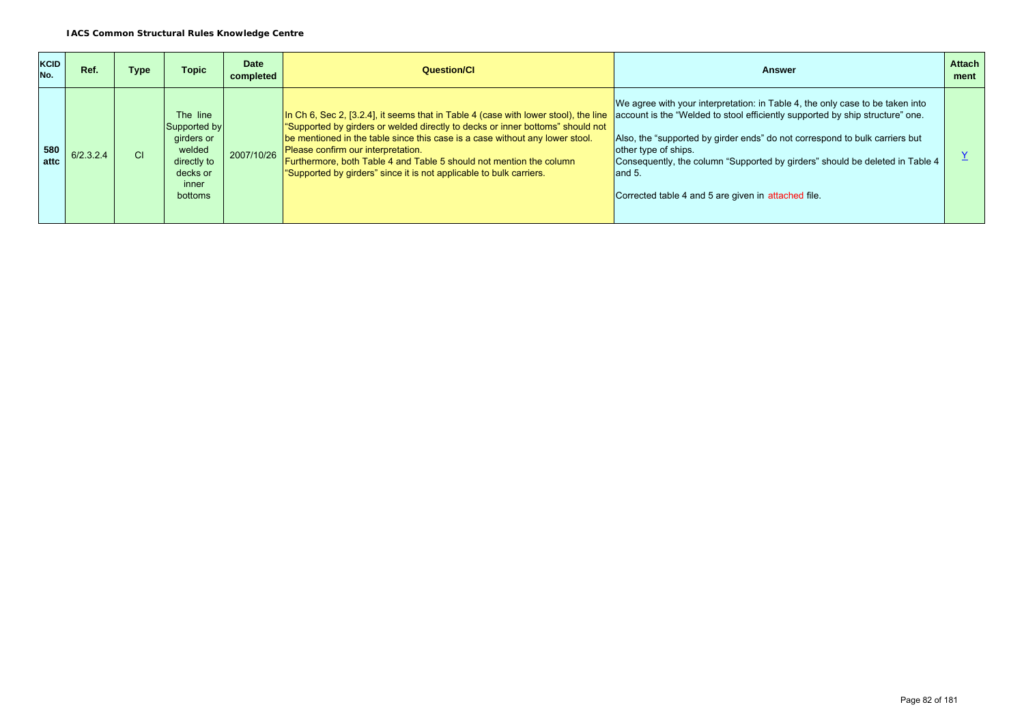| <b>KCID</b><br>No. | Ref.      | Type      | Topic                                                                                                  | <b>Date</b><br>completed | Question/CI                                                                                                                                                                                                                                                                                                                                                                                                                                                                                                             | Answer                                                                                                                                                                                                                                                                                                                                  | <b>Attach</b><br>ment |
|--------------------|-----------|-----------|--------------------------------------------------------------------------------------------------------|--------------------------|-------------------------------------------------------------------------------------------------------------------------------------------------------------------------------------------------------------------------------------------------------------------------------------------------------------------------------------------------------------------------------------------------------------------------------------------------------------------------------------------------------------------------|-----------------------------------------------------------------------------------------------------------------------------------------------------------------------------------------------------------------------------------------------------------------------------------------------------------------------------------------|-----------------------|
| 580<br>attc        | 6/2.3.2.4 | <b>CI</b> | The line<br>Supported by<br>girders or<br>welded<br>directly to<br>decks or<br>inner<br><b>bottoms</b> | 2007/10/26               | In Ch 6, Sec 2, [3.2.4], it seems that in Table 4 (case with lower stool), the line account is the "Welded to stool efficiently supported by ship structure" one.<br>"Supported by girders or welded directly to decks or inner bottoms" should not<br>be mentioned in the table since this case is a case without any lower stool.<br>Please confirm our interpretation.<br>Furthermore, both Table 4 and Table 5 should not mention the column<br>"Supported by girders" since it is not applicable to bulk carriers. | We agree with your interpretation: in Table 4, the only case to be taken into<br>Also, the "supported by girder ends" do not correspond to bulk carriers but<br>other type of ships.<br>Consequently, the column "Supported by girders" should be deleted in Table 4<br>and $5.$<br>Corrected table 4 and 5 are given in attached file. |                       |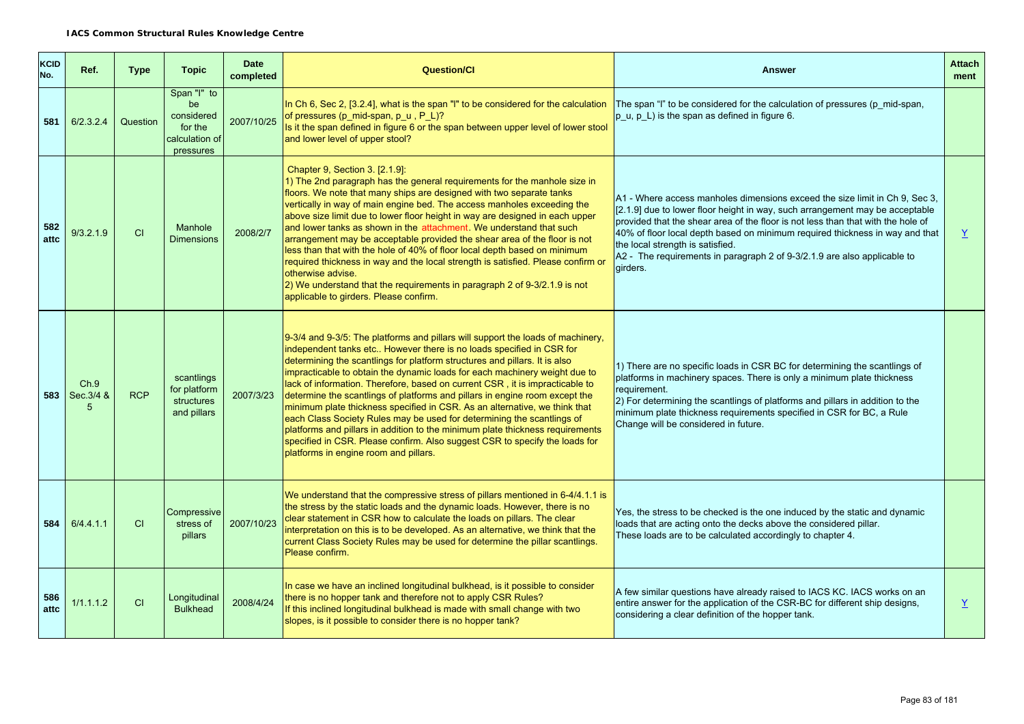| <b>KCID</b><br>No. | Ref.               | <b>Type</b> | <b>Topic</b>                                                              | <b>Date</b><br>completed | <b>Question/Cl</b>                                                                                                                                                                                                                                                                                                                                                                                                                                                                                                                                                                                                                                                                                                                                                                                                                                  | <b>Answer</b>                                                                                                                                                                                                                                                                                                                                                                                                                                               | <b>Attach</b><br>ment |
|--------------------|--------------------|-------------|---------------------------------------------------------------------------|--------------------------|-----------------------------------------------------------------------------------------------------------------------------------------------------------------------------------------------------------------------------------------------------------------------------------------------------------------------------------------------------------------------------------------------------------------------------------------------------------------------------------------------------------------------------------------------------------------------------------------------------------------------------------------------------------------------------------------------------------------------------------------------------------------------------------------------------------------------------------------------------|-------------------------------------------------------------------------------------------------------------------------------------------------------------------------------------------------------------------------------------------------------------------------------------------------------------------------------------------------------------------------------------------------------------------------------------------------------------|-----------------------|
| 581                | 6/2.3.2.4          | Question    | Span "I" to<br>be<br>considered<br>for the<br>calculation of<br>pressures | 2007/10/25               | In Ch 6, Sec 2, [3.2.4], what is the span "I" to be considered for the calculation<br>of pressures (p mid-span, p $u$ , P L)?<br>Is it the span defined in figure 6 or the span between upper level of lower stool<br>and lower level of upper stool?                                                                                                                                                                                                                                                                                                                                                                                                                                                                                                                                                                                               | The span "I" to be considered for the calculation of pressures (p mid-span,<br>p u, p L) is the span as defined in figure 6.                                                                                                                                                                                                                                                                                                                                |                       |
| 582<br>attc        | 9/3.2.1.9          | CI          | Manhole<br><b>Dimensions</b>                                              | 2008/2/7                 | Chapter 9, Section 3. [2.1.9]:<br>1) The 2nd paragraph has the general requirements for the manhole size in<br>floors. We note that many ships are designed with two separate tanks<br>vertically in way of main engine bed. The access manholes exceeding the<br>above size limit due to lower floor height in way are designed in each upper<br>and lower tanks as shown in the attachment. We understand that such<br>arrangement may be acceptable provided the shear area of the floor is not<br>less than that with the hole of 40% of floor local depth based on minimum<br>required thickness in way and the local strength is satisfied. Please confirm or<br>otherwise advise.<br>2) We understand that the requirements in paragraph 2 of 9-3/2.1.9 is not<br>applicable to girders. Please confirm.                                     | A1 - Where access manholes dimensions exceed the size limit in Ch 9, Sec 3,<br>[2.1.9] due to lower floor height in way, such arrangement may be acceptable<br>provided that the shear area of the floor is not less than that with the hole of<br>40% of floor local depth based on minimum required thickness in way and that<br>the local strength is satisfied.<br>A2 - The requirements in paragraph 2 of 9-3/2.1.9 are also applicable to<br>girders. | Y                     |
| 583                | Ch.9<br>Sec. 3/4 & | <b>RCP</b>  | scantlings<br>for platform<br>structures<br>and pillars                   | 2007/3/23                | 9-3/4 and 9-3/5: The platforms and pillars will support the loads of machinery.<br>independent tanks etc However there is no loads specified in CSR for<br>determining the scantlings for platform structures and pillars. It is also<br>impracticable to obtain the dynamic loads for each machinery weight due to<br>lack of information. Therefore, based on current CSR, it is impracticable to<br>determine the scantlings of platforms and pillars in engine room except the<br>minimum plate thickness specified in CSR. As an alternative, we think that<br>each Class Society Rules may be used for determining the scantlings of<br>platforms and pillars in addition to the minimum plate thickness requirements<br>specified in CSR. Please confirm. Also suggest CSR to specify the loads for<br>platforms in engine room and pillars. | 1) There are no specific loads in CSR BC for determining the scantlings of<br>platforms in machinery spaces. There is only a minimum plate thickness<br>requirement.<br>2) For determining the scantlings of platforms and pillars in addition to the<br>minimum plate thickness requirements specified in CSR for BC, a Rule<br>Change will be considered in future.                                                                                       |                       |
| 584                | 6/4.4.1.1          | CI          | Compressive<br>stress of<br>pillars                                       | 2007/10/23               | We understand that the compressive stress of pillars mentioned in 6-4/4.1.1 is<br>the stress by the static loads and the dynamic loads. However, there is no<br>clear statement in CSR how to calculate the loads on pillars. The clear<br>interpretation on this is to be developed. As an alternative, we think that the<br>current Class Society Rules may be used for determine the pillar scantlings.<br>Please confirm.                                                                                                                                                                                                                                                                                                                                                                                                                       | Yes, the stress to be checked is the one induced by the static and dynamic<br>loads that are acting onto the decks above the considered pillar.<br>These loads are to be calculated accordingly to chapter 4.                                                                                                                                                                                                                                               |                       |
| 586<br>attc        | 1/1.1.1.2          | CI          | Longitudinal<br><b>Bulkhead</b>                                           | 2008/4/24                | In case we have an inclined longitudinal bulkhead, is it possible to consider<br>there is no hopper tank and therefore not to apply CSR Rules?<br>If this inclined longitudinal bulkhead is made with small change with two<br>slopes, is it possible to consider there is no hopper tank?                                                                                                                                                                                                                                                                                                                                                                                                                                                                                                                                                          | A few similar questions have already raised to IACS KC. IACS works on an<br>entire answer for the application of the CSR-BC for different ship designs,<br>considering a clear definition of the hopper tank.                                                                                                                                                                                                                                               | $\underline{Y}$       |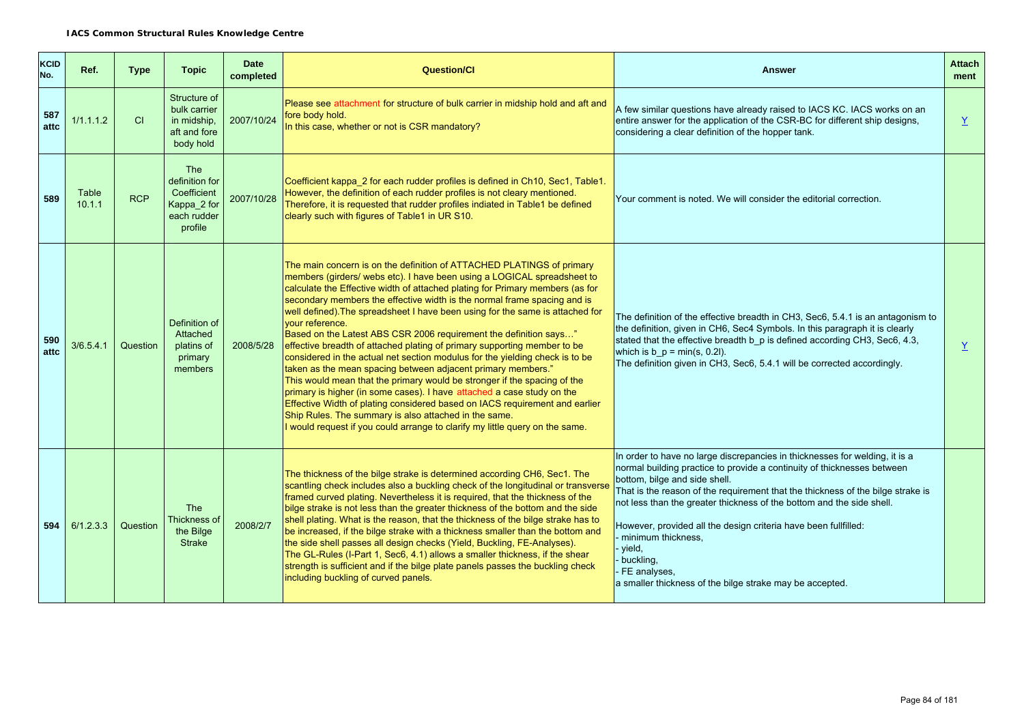| <b>KCID</b><br>No. | Ref.            | <b>Type</b> | <b>Topic</b>                                                                         | <b>Date</b><br>completed | <b>Question/CI</b>                                                                                                                                                                                                                                                                                                                                                                                                                                                                                                                                                                                                                                                                                                                                                                                                                                                                                                                                                                                                                                                                               | <b>Answer</b>                                                                                                                                                                                                                                                                                                                                                                                                                                                                                                                                   | <b>Attach</b><br>ment |
|--------------------|-----------------|-------------|--------------------------------------------------------------------------------------|--------------------------|--------------------------------------------------------------------------------------------------------------------------------------------------------------------------------------------------------------------------------------------------------------------------------------------------------------------------------------------------------------------------------------------------------------------------------------------------------------------------------------------------------------------------------------------------------------------------------------------------------------------------------------------------------------------------------------------------------------------------------------------------------------------------------------------------------------------------------------------------------------------------------------------------------------------------------------------------------------------------------------------------------------------------------------------------------------------------------------------------|-------------------------------------------------------------------------------------------------------------------------------------------------------------------------------------------------------------------------------------------------------------------------------------------------------------------------------------------------------------------------------------------------------------------------------------------------------------------------------------------------------------------------------------------------|-----------------------|
| 587<br>attc        | 1/1.1.1.2       | CI          | Structure of<br>bulk carrier<br>in midship.<br>aft and fore<br>body hold             | 2007/10/24               | Please see attachment for structure of bulk carrier in midship hold and aft and<br>fore body hold.<br>In this case, whether or not is CSR mandatory?                                                                                                                                                                                                                                                                                                                                                                                                                                                                                                                                                                                                                                                                                                                                                                                                                                                                                                                                             | A few similar questions have already raised to IACS KC. IACS works on an<br>entire answer for the application of the CSR-BC for different ship designs,<br>considering a clear definition of the hopper tank.                                                                                                                                                                                                                                                                                                                                   | Y                     |
| 589                | Table<br>10.1.1 | <b>RCP</b>  | <b>The</b><br>definition for<br>Coefficient<br>Kappa_2 for<br>each rudder<br>profile | 2007/10/28               | Coefficient kappa 2 for each rudder profiles is defined in Ch10, Sec1, Table1.<br>However, the definition of each rudder profiles is not cleary mentioned.<br>Therefore, it is requested that rudder profiles indiated in Table1 be defined<br>clearly such with figures of Table1 in UR S10.                                                                                                                                                                                                                                                                                                                                                                                                                                                                                                                                                                                                                                                                                                                                                                                                    | Your comment is noted. We will consider the editorial correction.                                                                                                                                                                                                                                                                                                                                                                                                                                                                               |                       |
| 590<br>attc        | 3/6.5.4.1       | Question    | Definition of<br>Attached<br>platins of<br>primary<br>members                        | 2008/5/28                | The main concern is on the definition of ATTACHED PLATINGS of primary<br>members (girders/ webs etc). I have been using a LOGICAL spreadsheet to<br>calculate the Effective width of attached plating for Primary members (as for<br>secondary members the effective width is the normal frame spacing and is<br>well defined). The spreadsheet I have been using for the same is attached for<br>vour reference.<br>Based on the Latest ABS CSR 2006 requirement the definition says"<br>effective breadth of attached plating of primary supporting member to be<br>considered in the actual net section modulus for the yielding check is to be<br>taken as the mean spacing between adjacent primary members."<br>This would mean that the primary would be stronger if the spacing of the<br>primary is higher (in some cases). I have attached a case study on the<br>Effective Width of plating considered based on IACS requirement and earlier<br>Ship Rules. The summary is also attached in the same.<br>I would request if you could arrange to clarify my little query on the same. | The definition of the effective breadth in CH3, Sec6, 5.4.1 is an antagonism to<br>the definition, given in CH6, Sec4 Symbols. In this paragraph it is clearly<br>stated that the effective breadth b_p is defined according CH3, Sec6, 4.3,<br>which is $b_p = min(s, 0.2l)$ .<br>The definition given in CH3, Sec6, 5.4.1 will be corrected accordingly.                                                                                                                                                                                      | Y                     |
| 594                | 6/1.2.3.3       | Question    | <b>The</b><br>Thickness of<br>the Bilge<br><b>Strake</b>                             | 2008/2/7                 | The thickness of the bilge strake is determined according CH6, Sec1. The<br>scantling check includes also a buckling check of the longitudinal or transverse<br>framed curved plating. Nevertheless it is required, that the thickness of the<br>bilge strake is not less than the greater thickness of the bottom and the side<br>shell plating. What is the reason, that the thickness of the bilge strake has to<br>be increased, if the bilge strake with a thickness smaller than the bottom and<br>the side shell passes all design checks (Yield, Buckling, FE-Analyses).<br>The GL-Rules (I-Part 1, Sec6, 4.1) allows a smaller thickness, if the shear<br>strength is sufficient and if the bilge plate panels passes the buckling check<br>including buckling of curved panels.                                                                                                                                                                                                                                                                                                        | In order to have no large discrepancies in thicknesses for welding, it is a<br>normal building practice to provide a continuity of thicknesses between<br>bottom, bilge and side shell.<br>That is the reason of the requirement that the thickness of the bilge strake is<br>not less than the greater thickness of the bottom and the side shell.<br>However, provided all the design criteria have been fullfilled:<br>minimum thickness.<br>vield,<br>buckling,<br>FE analyses,<br>a smaller thickness of the bilge strake may be accepted. |                       |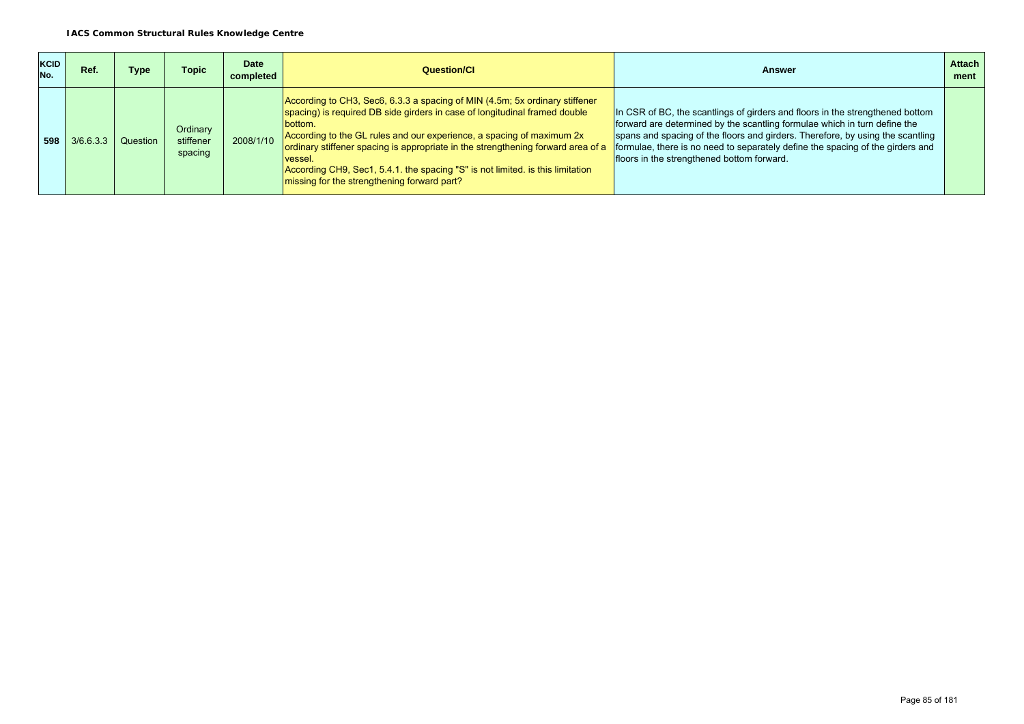| <b>KCID</b><br>No. | Ref.                   | Type | Topic                            | <b>Date</b><br>completed | Question/Cl                                                                                                                                                                                                                                                                                                                                                                                                                                                                          | Answer                                                                                                                                                                                                                                                                                                                                                                       | <b>Attach</b><br>ment |
|--------------------|------------------------|------|----------------------------------|--------------------------|--------------------------------------------------------------------------------------------------------------------------------------------------------------------------------------------------------------------------------------------------------------------------------------------------------------------------------------------------------------------------------------------------------------------------------------------------------------------------------------|------------------------------------------------------------------------------------------------------------------------------------------------------------------------------------------------------------------------------------------------------------------------------------------------------------------------------------------------------------------------------|-----------------------|
| 598                | $3/6.6.3.3$   Question |      | Ordinary<br>stiffener<br>spacing | 2008/1/10                | According to CH3, Sec6, 6.3.3 a spacing of MIN (4.5m; 5x ordinary stiffener<br>spacing) is required DB side girders in case of longitudinal framed double<br><b>bottom.</b><br>According to the GL rules and our experience, a spacing of maximum 2x<br>ordinary stiffener spacing is appropriate in the strengthening forward area of a<br>vessel.<br>According CH9, Sec1, 5.4.1. the spacing "S" is not limited. is this limitation<br>missing for the strengthening forward part? | In CSR of BC, the scantlings of girders and floors in the strengthened bottom<br>forward are determined by the scantling formulae which in turn define the<br>spans and spacing of the floors and girders. Therefore, by using the scantling<br>formulae, there is no need to separately define the spacing of the girders and<br>floors in the strengthened bottom forward. |                       |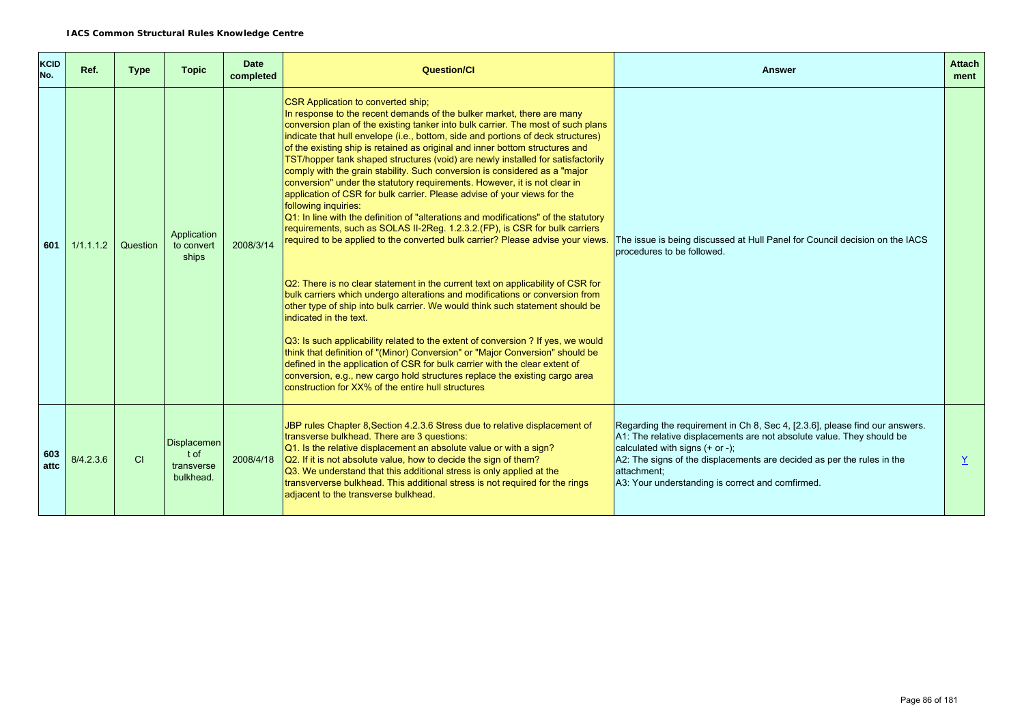| <b>KCID</b><br>No. | Ref.      | <b>Type</b> | <b>Topic</b>                                          | <b>Date</b><br>completed | Question/Cl                                                                                                                                                                                                                                                                                                                                                                                                                                                                                                                                                                                                                                                                                                                                                                                                                                                                                                                                                                                                                                                                                                                                                                                                                                                                                                                                                                                                                                                                                                                                                                                                                                                       | Answer                                                                                                                                                                                                                                                                                                                                  | <b>Attach</b><br>ment |
|--------------------|-----------|-------------|-------------------------------------------------------|--------------------------|-------------------------------------------------------------------------------------------------------------------------------------------------------------------------------------------------------------------------------------------------------------------------------------------------------------------------------------------------------------------------------------------------------------------------------------------------------------------------------------------------------------------------------------------------------------------------------------------------------------------------------------------------------------------------------------------------------------------------------------------------------------------------------------------------------------------------------------------------------------------------------------------------------------------------------------------------------------------------------------------------------------------------------------------------------------------------------------------------------------------------------------------------------------------------------------------------------------------------------------------------------------------------------------------------------------------------------------------------------------------------------------------------------------------------------------------------------------------------------------------------------------------------------------------------------------------------------------------------------------------------------------------------------------------|-----------------------------------------------------------------------------------------------------------------------------------------------------------------------------------------------------------------------------------------------------------------------------------------------------------------------------------------|-----------------------|
| 601                | 1/1.1.1.2 | Question    | Application<br>to convert<br>ships                    | 2008/3/14                | <b>CSR Application to converted ship;</b><br>In response to the recent demands of the bulker market, there are many<br>conversion plan of the existing tanker into bulk carrier. The most of such plans<br>indicate that hull envelope (i.e., bottom, side and portions of deck structures)<br>of the existing ship is retained as original and inner bottom structures and<br>TST/hopper tank shaped structures (void) are newly installed for satisfactorily<br>comply with the grain stability. Such conversion is considered as a "major<br>conversion" under the statutory requirements. However, it is not clear in<br>application of CSR for bulk carrier. Please advise of your views for the<br>following inquiries:<br>$Q1$ : In line with the definition of "alterations and modifications" of the statutory<br>requirements, such as SOLAS II-2Reg. 1.2.3.2. (FP), is CSR for bulk carriers<br>required to be applied to the converted bulk carrier? Please advise your views.<br>Q2: There is no clear statement in the current text on applicability of CSR for<br>bulk carriers which undergo alterations and modifications or conversion from<br>other type of ship into bulk carrier. We would think such statement should be<br>indicated in the text.<br>Q3: Is such applicability related to the extent of conversion ? If yes, we would<br>think that definition of "(Minor) Conversion" or "Major Conversion" should be<br>defined in the application of CSR for bulk carrier with the clear extent of<br>conversion, e.g., new cargo hold structures replace the existing cargo area<br>construction for XX% of the entire hull structures | The issue is being discussed at Hull Panel for Council decision on the IACS<br>procedures to be followed.                                                                                                                                                                                                                               |                       |
| 603<br>attc        | 8/4.2.3.6 | CI          | <b>Displacemen</b><br>t of<br>transverse<br>bulkhead. | 2008/4/18                | JBP rules Chapter 8, Section 4.2.3.6 Stress due to relative displacement of<br>transverse bulkhead. There are 3 questions:<br>Q1. Is the relative displacement an absolute value or with a sign?<br>Q2. If it is not absolute value, how to decide the sign of them?<br>Q3. We understand that this additional stress is only applied at the<br>transververse bulkhead. This additional stress is not required for the rings<br>adjacent to the transverse bulkhead.                                                                                                                                                                                                                                                                                                                                                                                                                                                                                                                                                                                                                                                                                                                                                                                                                                                                                                                                                                                                                                                                                                                                                                                              | Regarding the requirement in Ch 8, Sec 4, [2.3.6], please find our answers.<br>A1: The relative displacements are not absolute value. They should be<br>calculated with signs $(+ or -);$<br>A2: The signs of the displacements are decided as per the rules in the<br>lattachment:<br>A3: Your understanding is correct and comfirmed. | Y                     |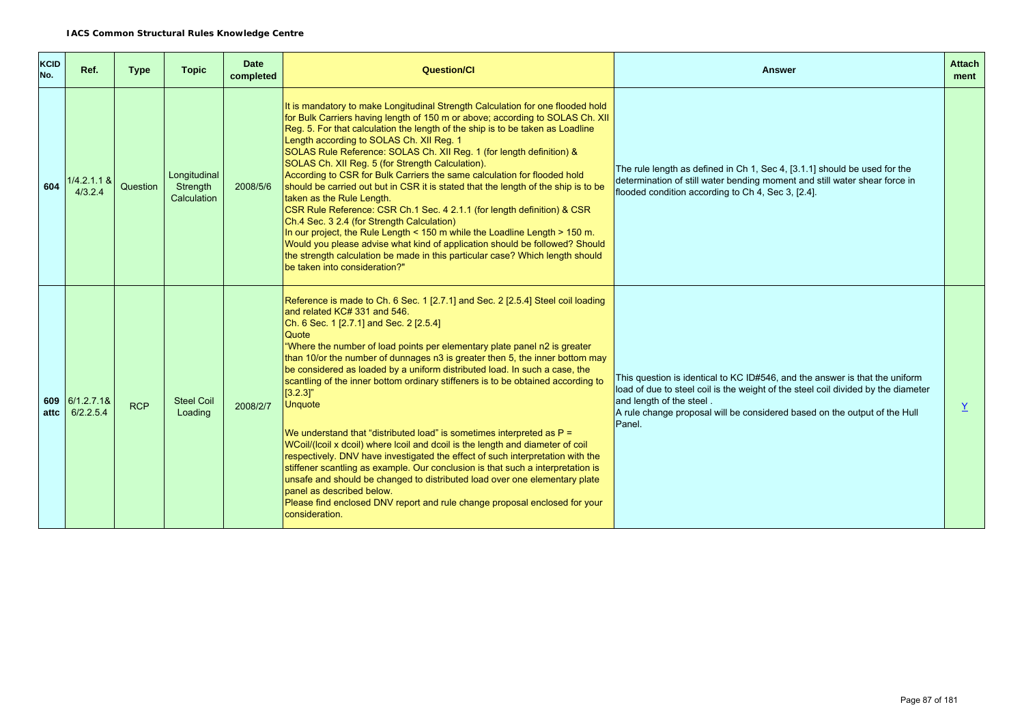| <b>KCID</b><br>No. | Ref.                        | <b>Type</b> | <b>Topic</b>                            | <b>Date</b><br>completed | <b>Question/CI</b>                                                                                                                                                                                                                                                                                                                                                                                                                                                                                                                                                                                                                                                                                                                                                                                                                                                                                                                                                                                                                                                             | <b>Answer</b>                                                                                                                                                                                                                                                                       | <b>Attach</b><br>ment |
|--------------------|-----------------------------|-------------|-----------------------------------------|--------------------------|--------------------------------------------------------------------------------------------------------------------------------------------------------------------------------------------------------------------------------------------------------------------------------------------------------------------------------------------------------------------------------------------------------------------------------------------------------------------------------------------------------------------------------------------------------------------------------------------------------------------------------------------------------------------------------------------------------------------------------------------------------------------------------------------------------------------------------------------------------------------------------------------------------------------------------------------------------------------------------------------------------------------------------------------------------------------------------|-------------------------------------------------------------------------------------------------------------------------------------------------------------------------------------------------------------------------------------------------------------------------------------|-----------------------|
| 604                | $1/4.2.1.1$ &<br>4/3.2.4    | Question    | Longitudinal<br>Strength<br>Calculation | 2008/5/6                 | It is mandatory to make Longitudinal Strength Calculation for one flooded hold<br>for Bulk Carriers having length of 150 m or above; according to SOLAS Ch. XII<br>Reg. 5. For that calculation the length of the ship is to be taken as Loadline<br>Length according to SOLAS Ch. XII Reg. 1<br>SOLAS Rule Reference: SOLAS Ch. XII Reg. 1 (for length definition) &<br>SOLAS Ch. XII Reg. 5 (for Strength Calculation).<br>According to CSR for Bulk Carriers the same calculation for flooded hold<br>should be carried out but in CSR it is stated that the length of the ship is to be<br>taken as the Rule Length.<br>CSR Rule Reference: CSR Ch.1 Sec. 4 2.1.1 (for length definition) & CSR<br>Ch.4 Sec. 3 2.4 (for Strength Calculation)<br>In our project, the Rule Length < 150 m while the Loadline Length > 150 m.<br>Would you please advise what kind of application should be followed? Should<br>the strength calculation be made in this particular case? Which length should<br>be taken into consideration?"                                               | The rule length as defined in Ch 1, Sec 4, [3.1.1] should be used for the<br>determination of still water bending moment and still water shear force in<br>flooded condition according to Ch 4, Sec 3, [2.4].                                                                       |                       |
| attc               | 609 6/1.2.7.1&<br>6/2.2.5.4 | <b>RCP</b>  | <b>Steel Coil</b><br>Loading            | 2008/2/7                 | Reference is made to Ch. 6 Sec. 1 [2.7.1] and Sec. 2 [2.5.4] Steel coil loading<br>and related KC# 331 and 546.<br>Ch. 6 Sec. 1 [2.7.1] and Sec. 2 [2.5.4]<br>Quote<br>"Where the number of load points per elementary plate panel n2 is greater<br>than 10/or the number of dunnages n3 is greater then 5, the inner bottom may<br>be considered as loaded by a uniform distributed load. In such a case, the<br>scantling of the inner bottom ordinary stiffeners is to be obtained according to<br>$[3.2.3]$ "<br><b>Unquote</b><br>We understand that "distributed load" is sometimes interpreted as P =<br>WCoil/(Icoil x dcoil) where Icoil and dcoil is the length and diameter of coil<br>respectively. DNV have investigated the effect of such interpretation with the<br>stiffener scantling as example. Our conclusion is that such a interpretation is<br>unsafe and should be changed to distributed load over one elementary plate<br>panel as described below.<br>Please find enclosed DNV report and rule change proposal enclosed for your<br>consideration. | This question is identical to KC ID#546, and the answer is that the uniform<br>load of due to steel coil is the weight of the steel coil divided by the diameter<br>and length of the steel.<br>A rule change proposal will be considered based on the output of the Hull<br>Panel. | Y                     |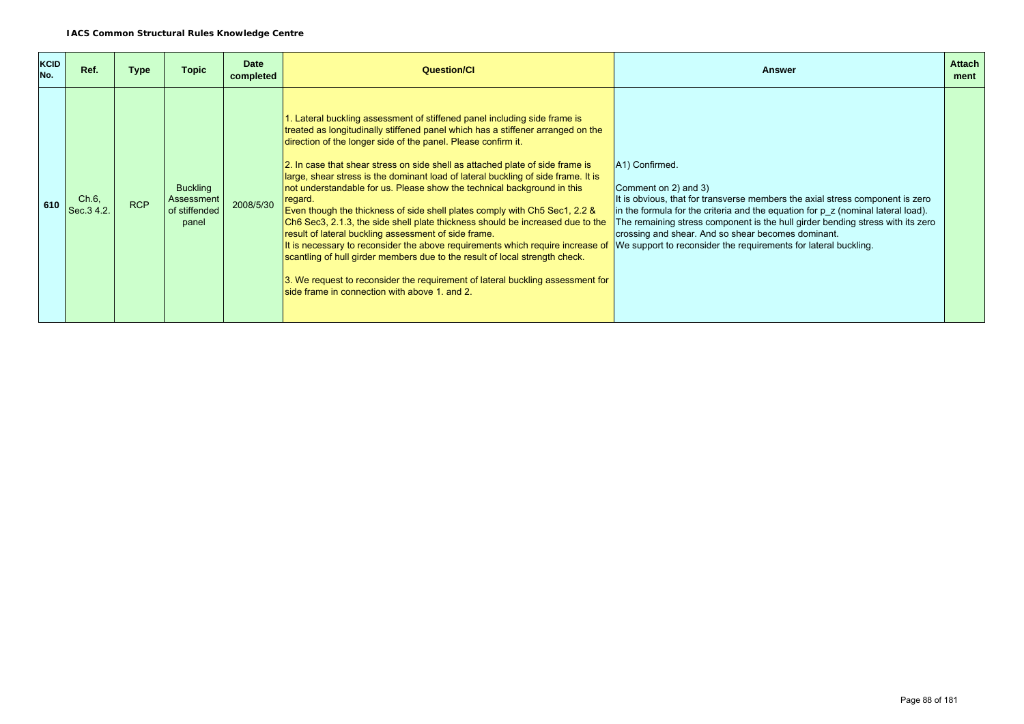| <b>KCID</b><br>No. | Ref.                | <b>Type</b> | <b>Topic</b>                                                   | <b>Date</b><br>completed | <b>Question/CI</b>                                                                                                                                                                                                                                                                                                                                                                                                                                                                                                                                                                                                                                                                                                                                                                                                                                                                                                                                                                                                    | <b>Answer</b>                                                                                                                                                                                                                                                                                                                                                                                                               | <b>Attach</b><br>ment |
|--------------------|---------------------|-------------|----------------------------------------------------------------|--------------------------|-----------------------------------------------------------------------------------------------------------------------------------------------------------------------------------------------------------------------------------------------------------------------------------------------------------------------------------------------------------------------------------------------------------------------------------------------------------------------------------------------------------------------------------------------------------------------------------------------------------------------------------------------------------------------------------------------------------------------------------------------------------------------------------------------------------------------------------------------------------------------------------------------------------------------------------------------------------------------------------------------------------------------|-----------------------------------------------------------------------------------------------------------------------------------------------------------------------------------------------------------------------------------------------------------------------------------------------------------------------------------------------------------------------------------------------------------------------------|-----------------------|
| 610                | Ch.6,<br>Sec. 34.2. | <b>RCP</b>  | <b>Buckling</b><br><b>Assessment</b><br>of stiffended<br>panel | 2008/5/30                | 1. Lateral buckling assessment of stiffened panel including side frame is<br>treated as longitudinally stiffened panel which has a stiffener arranged on the<br>direction of the longer side of the panel. Please confirm it.<br>2. In case that shear stress on side shell as attached plate of side frame is<br>large, shear stress is the dominant load of lateral buckling of side frame. It is<br>not understandable for us. Please show the technical background in this<br>regard.<br>Even though the thickness of side shell plates comply with Ch5 Sec1, 2.2 &<br>Ch6 Sec3, 2.1.3, the side shell plate thickness should be increased due to the<br>result of lateral buckling assessment of side frame.<br>It is necessary to reconsider the above requirements which require increase of<br>scantling of hull girder members due to the result of local strength check.<br>3. We request to reconsider the requirement of lateral buckling assessment for<br>side frame in connection with above 1, and 2. | A1) Confirmed.<br>Comment on 2) and 3)<br>It is obvious, that for transverse members the axial stress component is zero<br>in the formula for the criteria and the equation for $p \, z$ (nominal lateral load).<br>The remaining stress component is the hull girder bending stress with its zero<br>crossing and shear. And so shear becomes dominant.<br>We support to reconsider the requirements for lateral buckling. |                       |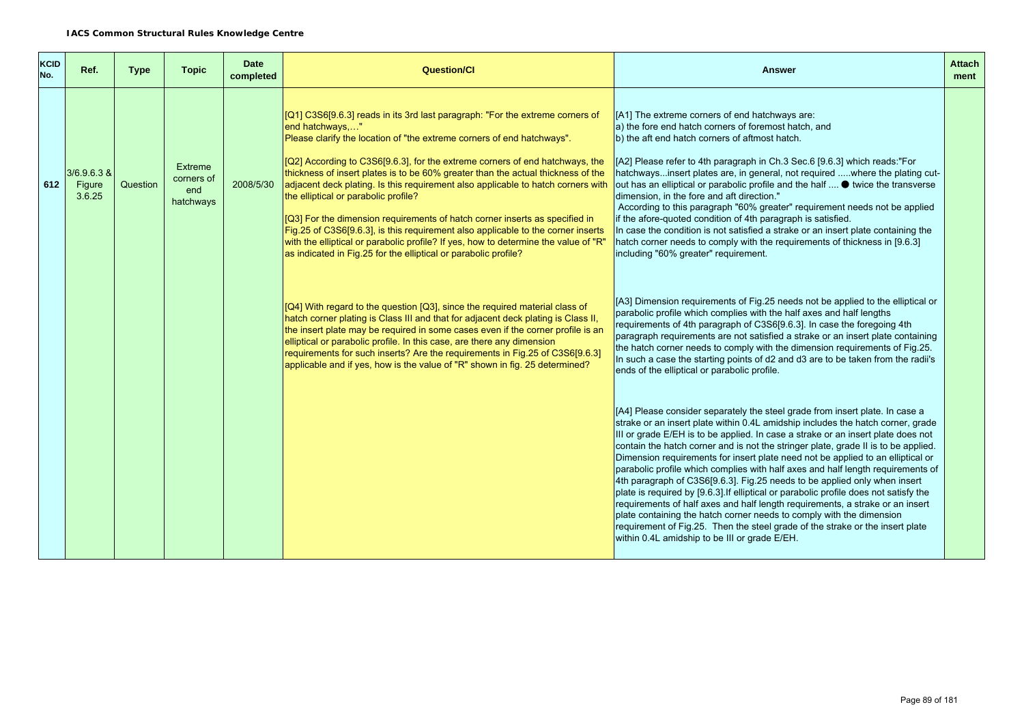| <b>KCID</b><br>No. | Ref.                              | <b>Type</b> | <b>Topic</b>                              | <b>Date</b><br>completed | <b>Question/CI</b>                                                                                                                                                                                                                                                                                                                                                                                                                                                                                                                                                                                                                                                                                                                                                                                     | <b>Answer</b>                                                                                                                                                                                                                                                                                                                                                                                                                                                                                                                                                                                                                                                                                                                                                                                                                                                                                                                                                                    | <b>Attach</b><br>ment |
|--------------------|-----------------------------------|-------------|-------------------------------------------|--------------------------|--------------------------------------------------------------------------------------------------------------------------------------------------------------------------------------------------------------------------------------------------------------------------------------------------------------------------------------------------------------------------------------------------------------------------------------------------------------------------------------------------------------------------------------------------------------------------------------------------------------------------------------------------------------------------------------------------------------------------------------------------------------------------------------------------------|----------------------------------------------------------------------------------------------------------------------------------------------------------------------------------------------------------------------------------------------------------------------------------------------------------------------------------------------------------------------------------------------------------------------------------------------------------------------------------------------------------------------------------------------------------------------------------------------------------------------------------------------------------------------------------------------------------------------------------------------------------------------------------------------------------------------------------------------------------------------------------------------------------------------------------------------------------------------------------|-----------------------|
| 612                | $3/6.9.6.3$ &<br>Figure<br>3.6.25 | Question    | Extreme<br>corners of<br>end<br>hatchways | 2008/5/30                | [Q1] C3S6[9.6.3] reads in its 3rd last paragraph: "For the extreme corners of<br>end hatchways"<br>Please clarify the location of "the extreme corners of end hatchways".<br>[Q2] According to C3S6[9.6.3], for the extreme corners of end hatchways, the<br>thickness of insert plates is to be 60% greater than the actual thickness of the<br>adjacent deck plating. Is this requirement also applicable to hatch corners with<br>the elliptical or parabolic profile?<br>[Q3] For the dimension requirements of hatch corner inserts as specified in<br>Fig.25 of C3S6[9.6.3], is this requirement also applicable to the corner inserts<br>with the elliptical or parabolic profile? If yes, how to determine the value of "R"<br>as indicated in Fig.25 for the elliptical or parabolic profile? | [A1] The extreme corners of end hatchways are:<br>a) the fore end hatch corners of foremost hatch, and<br>b) the aft end hatch corners of aftmost hatch.<br>[A2] Please refer to 4th paragraph in Ch.3 Sec.6 [9.6.3] which reads:"For<br>hatchwaysinsert plates are, in general, not required where the plating cut-<br>out has an elliptical or parabolic profile and the half $\bullet$ twice the transverse<br>dimension, in the fore and aft direction."<br>According to this paragraph "60% greater" requirement needs not be applied<br>if the afore-quoted condition of 4th paragraph is satisfied.<br>In case the condition is not satisfied a strake or an insert plate containing the<br>hatch corner needs to comply with the requirements of thickness in [9.6.3]<br>including "60% greater" requirement.                                                                                                                                                            |                       |
|                    |                                   |             |                                           |                          | [Q4] With regard to the question [Q3], since the required material class of<br>hatch corner plating is Class III and that for adjacent deck plating is Class II,<br>the insert plate may be required in some cases even if the corner profile is an<br>elliptical or parabolic profile. In this case, are there any dimension<br>requirements for such inserts? Are the requirements in Fig. 25 of C3S6[9.6.3]<br>applicable and if yes, how is the value of "R" shown in fig. 25 determined?                                                                                                                                                                                                                                                                                                          | [A3] Dimension requirements of Fig.25 needs not be applied to the elliptical or<br>parabolic profile which complies with the half axes and half lengths<br>requirements of 4th paragraph of C3S6[9.6.3]. In case the foregoing 4th<br>paragraph requirements are not satisfied a strake or an insert plate containing<br>the hatch corner needs to comply with the dimension requirements of Fig.25.<br>In such a case the starting points of d2 and d3 are to be taken from the radii's<br>ends of the elliptical or parabolic profile.                                                                                                                                                                                                                                                                                                                                                                                                                                         |                       |
|                    |                                   |             |                                           |                          |                                                                                                                                                                                                                                                                                                                                                                                                                                                                                                                                                                                                                                                                                                                                                                                                        | [A4] Please consider separately the steel grade from insert plate. In case a<br>strake or an insert plate within 0.4L amidship includes the hatch corner, grade<br>III or grade E/EH is to be applied. In case a strake or an insert plate does not<br>contain the hatch corner and is not the stringer plate, grade II is to be applied.<br>Dimension requirements for insert plate need not be applied to an elliptical or<br>parabolic profile which complies with half axes and half length requirements of<br>4th paragraph of C3S6[9.6.3]. Fig.25 needs to be applied only when insert<br>plate is required by [9.6.3]. If elliptical or parabolic profile does not satisfy the<br>requirements of half axes and half length requirements, a strake or an insert<br>plate containing the hatch corner needs to comply with the dimension<br>requirement of Fig.25. Then the steel grade of the strake or the insert plate<br>within 0.4L amidship to be III or grade E/EH. |                       |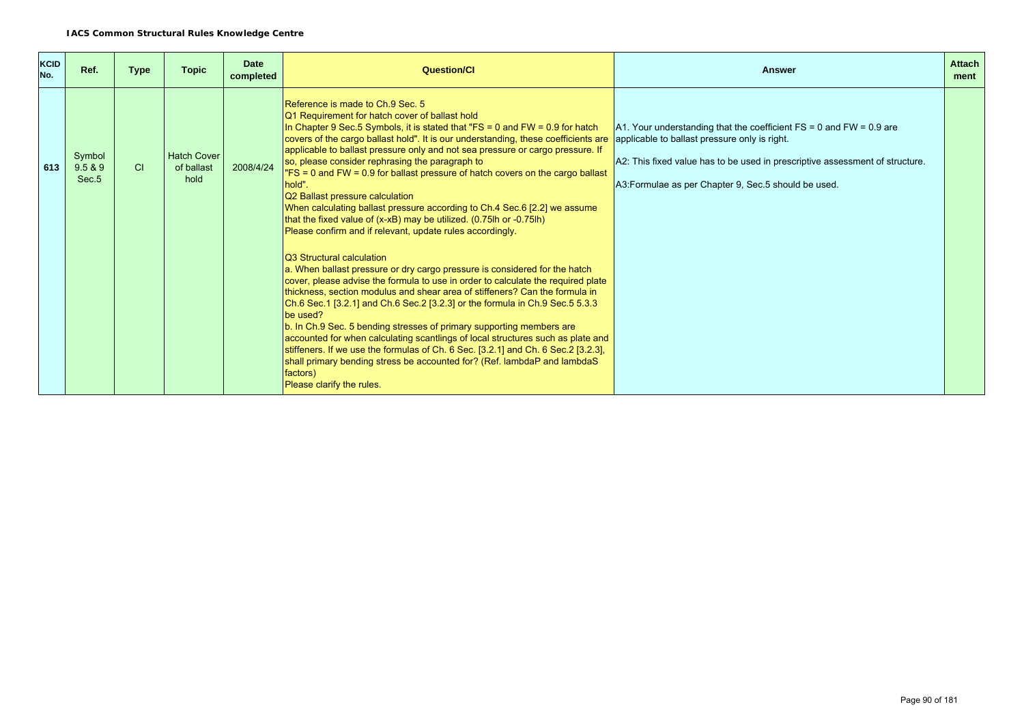| <b>KCID</b><br>No. | Ref.                                   | <b>Type</b> | <b>Topic</b>                             | <b>Date</b><br>completed | <b>Question/CI</b>                                                                                                                                                                                                                                                                                                                                                                                                                                                                                                                                                                                                                                                                                                                                      | <b>Answer</b>                                                                                                                                                                                                                                                     | <b>Attach</b><br>ment |
|--------------------|----------------------------------------|-------------|------------------------------------------|--------------------------|---------------------------------------------------------------------------------------------------------------------------------------------------------------------------------------------------------------------------------------------------------------------------------------------------------------------------------------------------------------------------------------------------------------------------------------------------------------------------------------------------------------------------------------------------------------------------------------------------------------------------------------------------------------------------------------------------------------------------------------------------------|-------------------------------------------------------------------------------------------------------------------------------------------------------------------------------------------------------------------------------------------------------------------|-----------------------|
| 613                | Symbol<br>9.5 & 9<br>Sec. <sub>5</sub> | <b>CI</b>   | <b>Hatch Cover</b><br>of ballast<br>hold | 2008/4/24                | Reference is made to Ch.9 Sec. 5<br>Q1 Requirement for hatch cover of ballast hold<br>In Chapter 9 Sec.5 Symbols, it is stated that "FS = 0 and FW = $0.9$ for hatch<br>covers of the cargo ballast hold". It is our understanding, these coefficients are<br>applicable to ballast pressure only and not sea pressure or cargo pressure. If<br>so, please consider rephrasing the paragraph to<br>"FS = 0 and FW = 0.9 for ballast pressure of hatch covers on the cargo ballast<br>hold".<br>Q2 Ballast pressure calculation<br>When calculating ballast pressure according to Ch.4 Sec.6 [2.2] we assume<br>that the fixed value of $(x-xB)$ may be utilized. $(0.75$ lh or $-0.75$ lh)<br>Please confirm and if relevant, update rules accordingly. | A1. Your understanding that the coefficient $FS = 0$ and $FW = 0.9$ are<br>applicable to ballast pressure only is right.<br>A2: This fixed value has to be used in prescriptive assessment of structure.<br>A3: Formulae as per Chapter 9, Sec. 5 should be used. |                       |
|                    |                                        |             |                                          |                          | <b>Q3</b> Structural calculation<br>a. When ballast pressure or dry cargo pressure is considered for the hatch<br>cover, please advise the formula to use in order to calculate the required plate<br>thickness, section modulus and shear area of stiffeners? Can the formula in<br>Ch.6 Sec.1 [3.2.1] and Ch.6 Sec.2 [3.2.3] or the formula in Ch.9 Sec.5 5.3.3<br>be used?<br>b. In Ch.9 Sec. 5 bending stresses of primary supporting members are<br>accounted for when calculating scantlings of local structures such as plate and<br>stiffeners. If we use the formulas of Ch. 6 Sec. [3.2.1] and Ch. 6 Sec. 2 [3.2.3],<br>shall primary bending stress be accounted for? (Ref. lambdaP and lambdaS<br>factors)<br>Please clarify the rules.     |                                                                                                                                                                                                                                                                   |                       |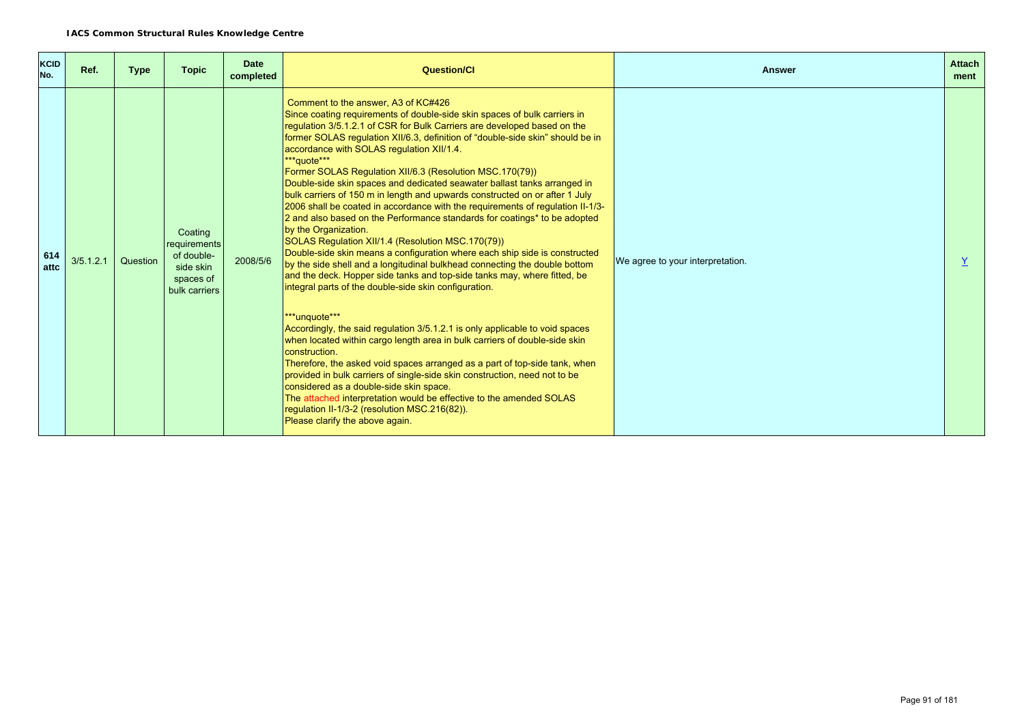| <b>KCID</b><br>No. | Ref.      | <b>Type</b> | <b>Topic</b>                                                                     | <b>Date</b><br>completed | Question/Cl                                                                                                                                                                                                                                                                                                                                                                                                                                                                                                                                                                                                                                                                                                                                                                                                                                                                                                                                                                                                                                                                                                                                                                                                                                                                                                                                                                                                                                                                                                                                                                                                                                                                      | <b>Answer</b>                    | <b>Attach</b><br>ment |
|--------------------|-----------|-------------|----------------------------------------------------------------------------------|--------------------------|----------------------------------------------------------------------------------------------------------------------------------------------------------------------------------------------------------------------------------------------------------------------------------------------------------------------------------------------------------------------------------------------------------------------------------------------------------------------------------------------------------------------------------------------------------------------------------------------------------------------------------------------------------------------------------------------------------------------------------------------------------------------------------------------------------------------------------------------------------------------------------------------------------------------------------------------------------------------------------------------------------------------------------------------------------------------------------------------------------------------------------------------------------------------------------------------------------------------------------------------------------------------------------------------------------------------------------------------------------------------------------------------------------------------------------------------------------------------------------------------------------------------------------------------------------------------------------------------------------------------------------------------------------------------------------|----------------------------------|-----------------------|
| 614<br>attc        | 3/5.1.2.1 | Question    | Coating<br>requirements<br>of double-<br>side skin<br>spaces of<br>bulk carriers | 2008/5/6                 | Comment to the answer, A3 of KC#426<br>Since coating requirements of double-side skin spaces of bulk carriers in<br>regulation 3/5.1.2.1 of CSR for Bulk Carriers are developed based on the<br>former SOLAS regulation XII/6.3, definition of "double-side skin" should be in<br>accordance with SOLAS regulation XII/1.4.<br>***quote***<br>Former SOLAS Regulation XII/6.3 (Resolution MSC.170(79))<br>Double-side skin spaces and dedicated seawater ballast tanks arranged in<br>bulk carriers of 150 m in length and upwards constructed on or after 1 July<br>2006 shall be coated in accordance with the requirements of regulation II-1/3-<br>2 and also based on the Performance standards for coatings* to be adopted<br>by the Organization.<br>SOLAS Regulation XII/1.4 (Resolution MSC.170(79))<br>Double-side skin means a configuration where each ship side is constructed<br>by the side shell and a longitudinal bulkhead connecting the double bottom<br>and the deck. Hopper side tanks and top-side tanks may, where fitted, be<br>integral parts of the double-side skin configuration.<br>***unquote***<br>Accordingly, the said regulation 3/5.1.2.1 is only applicable to void spaces<br>when located within cargo length area in bulk carriers of double-side skin<br>construction.<br>Therefore, the asked void spaces arranged as a part of top-side tank, when<br>provided in bulk carriers of single-side skin construction, need not to be<br>considered as a double-side skin space.<br>The attached interpretation would be effective to the amended SOLAS<br>regulation II-1/3-2 (resolution MSC.216(82)).<br>Please clarify the above again. | We agree to your interpretation. |                       |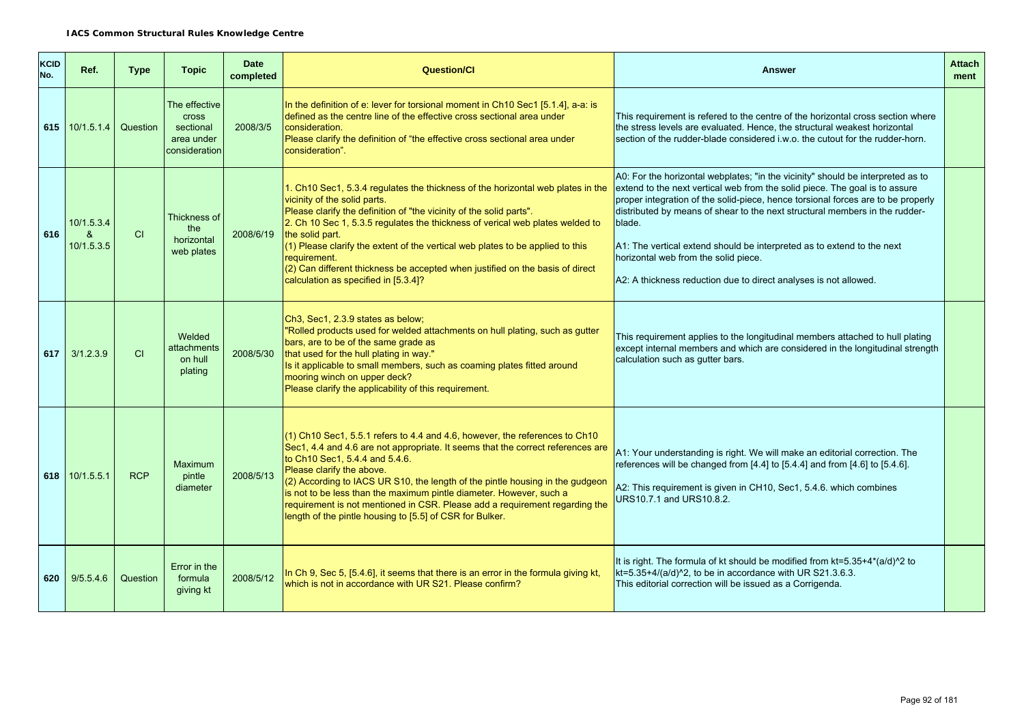| <b>KCID</b><br>No. | Ref.                                                   | <b>Type</b> | <b>Topic</b>                                                              | <b>Date</b><br>completed | <b>Question/Cl</b>                                                                                                                                                                                                                                                                                                                                                                                                                                                                                                                          | <b>Answer</b>                                                                                                                                                                                                                                                                                                                                                                                                                                                                                                                     | <b>Attach</b><br>ment |
|--------------------|--------------------------------------------------------|-------------|---------------------------------------------------------------------------|--------------------------|---------------------------------------------------------------------------------------------------------------------------------------------------------------------------------------------------------------------------------------------------------------------------------------------------------------------------------------------------------------------------------------------------------------------------------------------------------------------------------------------------------------------------------------------|-----------------------------------------------------------------------------------------------------------------------------------------------------------------------------------------------------------------------------------------------------------------------------------------------------------------------------------------------------------------------------------------------------------------------------------------------------------------------------------------------------------------------------------|-----------------------|
|                    | 615 10/1.5.1.4 Question                                |             | The effective<br><b>Cross</b><br>sectional<br>area under<br>consideration | 2008/3/5                 | In the definition of e: lever for torsional moment in Ch10 Sec1 [5.1.4], a-a: is<br>defined as the centre line of the effective cross sectional area under<br>consideration.<br>Please clarify the definition of "the effective cross sectional area under<br>consideration".                                                                                                                                                                                                                                                               | This requirement is refered to the centre of the horizontal cross section where<br>the stress levels are evaluated. Hence, the structural weakest horizontal<br>section of the rudder-blade considered i.w.o. the cutout for the rudder-horn.                                                                                                                                                                                                                                                                                     |                       |
| 616                | 10/1.5.3.4<br>$\boldsymbol{\mathcal{R}}$<br>10/1.5.3.5 | CI          | Thickness of<br>the<br>horizontal<br>web plates                           | 2008/6/19                | 1. Ch10 Sec1, 5.3.4 regulates the thickness of the horizontal web plates in the<br>vicinity of the solid parts.<br>Please clarify the definition of "the vicinity of the solid parts".<br>2. Ch 10 Sec 1, 5.3.5 regulates the thickness of verical web plates welded to<br>the solid part.<br>$(1)$ Please clarify the extent of the vertical web plates to be applied to this<br>requirement.<br>$(2)$ Can different thickness be accepted when justified on the basis of direct<br>calculation as specified in [5.3.4]?                   | A0: For the horizontal webplates; "in the vicinity" should be interpreted as to<br>extend to the next vertical web from the solid piece. The goal is to assure<br>proper integration of the solid-piece, hence torsional forces are to be properly<br>distributed by means of shear to the next structural members in the rudder-<br>blade.<br>A1: The vertical extend should be interpreted as to extend to the next<br>horizontal web from the solid piece.<br>A2: A thickness reduction due to direct analyses is not allowed. |                       |
| 617                | 3/1.2.3.9                                              | CI          | Welded<br>attachments<br>on hull<br>plating                               | 2008/5/30                | Ch <sub>3</sub> , Sec <sub>1</sub> , 2.3.9 states as below;<br>"Rolled products used for welded attachments on hull plating, such as gutter<br>bars, are to be of the same grade as<br>that used for the hull plating in way."<br>Is it applicable to small members, such as coaming plates fitted around<br>mooring winch on upper deck?<br>Please clarify the applicability of this requirement.                                                                                                                                          | This requirement applies to the longitudinal members attached to hull plating<br>except internal members and which are considered in the longitudinal strength<br>calculation such as gutter bars.                                                                                                                                                                                                                                                                                                                                |                       |
|                    | 618 $10/1.5.5.1$                                       | <b>RCP</b>  | <b>Maximum</b><br>pintle<br>diameter                                      | 2008/5/13                | $(1)$ Ch10 Sec1, 5.5.1 refers to 4.4 and 4.6, however, the references to Ch10<br>Sec1, 4.4 and 4.6 are not appropriate. It seems that the correct references are<br>$\rm{I}$ to Ch10 Sec1, 5.4.4 and 5.4.6.<br>Please clarify the above.<br>(2) According to IACS UR S10, the length of the pintle housing in the gudgeon<br>is not to be less than the maximum pintle diameter. However, such a<br>requirement is not mentioned in CSR. Please add a requirement regarding the<br>length of the pintle housing to [5.5] of CSR for Bulker. | A1: Your understanding is right. We will make an editorial correction. The<br>references will be changed from [4.4] to [5.4.4] and from [4.6] to [5.4.6].<br>A2: This requirement is given in CH10, Sec1, 5.4.6. which combines<br>URS10.7.1 and URS10.8.2.                                                                                                                                                                                                                                                                       |                       |
| 620                | 9/5.5.4.6                                              | Question    | Error in the<br>formula<br>giving kt                                      | 2008/5/12                | In Ch 9, Sec 5, [5.4.6], it seems that there is an error in the formula giving kt,<br>which is not in accordance with UR S21. Please confirm?                                                                                                                                                                                                                                                                                                                                                                                               | It is right. The formula of kt should be modified from kt=5.35+4*(a/d)^2 to<br>kt=5.35+4/(a/d)^2, to be in accordance with UR S21.3.6.3.<br>This editorial correction will be issued as a Corrigenda.                                                                                                                                                                                                                                                                                                                             |                       |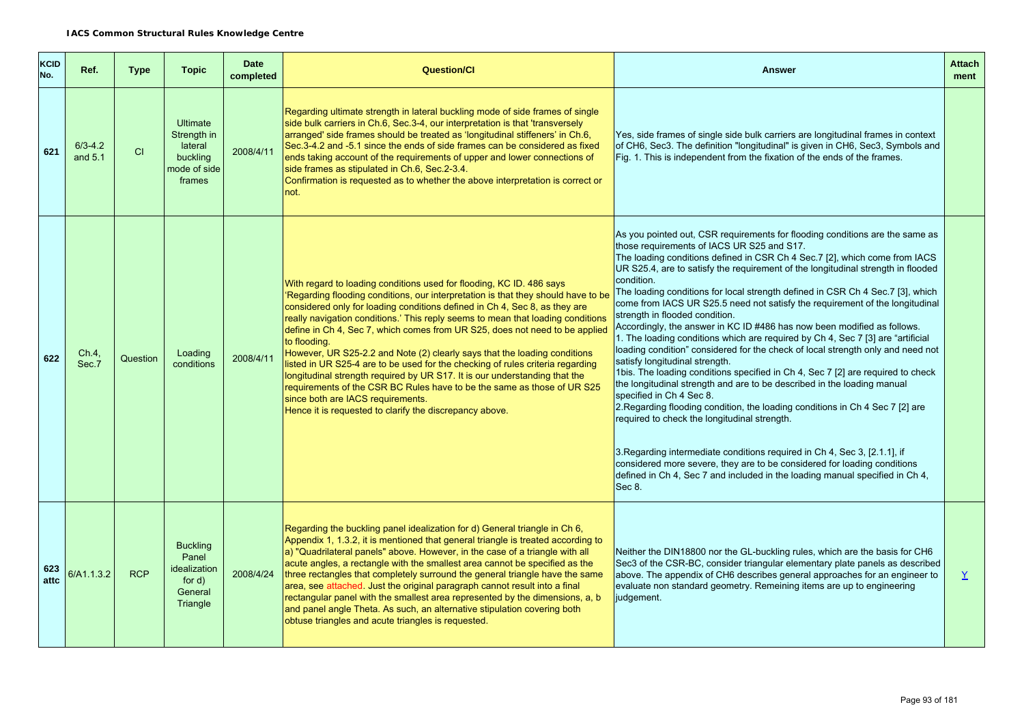| <b>KCID</b><br>No. | Ref.                   | <b>Type</b> | <b>Topic</b>                                                                    | <b>Date</b><br>completed | <b>Question/Cl</b>                                                                                                                                                                                                                                                                                                                                                                                                                                                                                                                                                                                                                                                                                                                                                                                                                               | <b>Answer</b>                                                                                                                                                                                                                                                                                                                                                                                                                                                                                                                                                                                                                                                                                                                                                                                                                                                                                                                                                                                                                                                                                                                                                                                                                                                                                                                                                                    | <b>Attach</b><br>ment |
|--------------------|------------------------|-------------|---------------------------------------------------------------------------------|--------------------------|--------------------------------------------------------------------------------------------------------------------------------------------------------------------------------------------------------------------------------------------------------------------------------------------------------------------------------------------------------------------------------------------------------------------------------------------------------------------------------------------------------------------------------------------------------------------------------------------------------------------------------------------------------------------------------------------------------------------------------------------------------------------------------------------------------------------------------------------------|----------------------------------------------------------------------------------------------------------------------------------------------------------------------------------------------------------------------------------------------------------------------------------------------------------------------------------------------------------------------------------------------------------------------------------------------------------------------------------------------------------------------------------------------------------------------------------------------------------------------------------------------------------------------------------------------------------------------------------------------------------------------------------------------------------------------------------------------------------------------------------------------------------------------------------------------------------------------------------------------------------------------------------------------------------------------------------------------------------------------------------------------------------------------------------------------------------------------------------------------------------------------------------------------------------------------------------------------------------------------------------|-----------------------|
| 621                | $6/3 - 4.2$<br>and 5.1 | CI          | <b>Ultimate</b><br>Strength in<br>lateral<br>buckling<br>mode of side<br>frames | 2008/4/11                | Regarding ultimate strength in lateral buckling mode of side frames of single<br>side bulk carriers in Ch.6, Sec.3-4, our interpretation is that 'transversely<br>arranged' side frames should be treated as 'longitudinal stiffeners' in Ch.6,<br>Sec.3-4.2 and -5.1 since the ends of side frames can be considered as fixed<br>ends taking account of the requirements of upper and lower connections of<br>side frames as stipulated in Ch.6, Sec.2-3.4.<br>Confirmation is requested as to whether the above interpretation is correct or<br>not.                                                                                                                                                                                                                                                                                           | Yes, side frames of single side bulk carriers are longitudinal frames in context<br>of CH6, Sec3. The definition "longitudinal" is given in CH6, Sec3, Symbols and<br>Fig. 1. This is independent from the fixation of the ends of the frames.                                                                                                                                                                                                                                                                                                                                                                                                                                                                                                                                                                                                                                                                                                                                                                                                                                                                                                                                                                                                                                                                                                                                   |                       |
| 622                | Ch.4,<br>Sec.7         | Question    | Loading<br>conditions                                                           | 2008/4/11                | With regard to loading conditions used for flooding, KC ID. 486 says<br>Regarding flooding conditions, our interpretation is that they should have to be<br>considered only for loading conditions defined in Ch 4, Sec 8, as they are<br>really navigation conditions.' This reply seems to mean that loading conditions<br>define in Ch 4, Sec 7, which comes from UR S25, does not need to be applied<br>to flooding.<br>However, UR S25-2.2 and Note (2) clearly says that the loading conditions<br>listed in UR S25-4 are to be used for the checking of rules criteria regarding<br>longitudinal strength required by UR S17. It is our understanding that the<br>requirements of the CSR BC Rules have to be the same as those of UR S25<br>since both are IACS requirements.<br>Hence it is requested to clarify the discrepancy above. | As you pointed out, CSR requirements for flooding conditions are the same as<br>those requirements of IACS UR S25 and S17.<br>The loading conditions defined in CSR Ch 4 Sec.7 [2], which come from IACS<br>UR S25.4, are to satisfy the requirement of the longitudinal strength in flooded<br>condition.<br>The loading conditions for local strength defined in CSR Ch 4 Sec. 7 [3], which<br>come from IACS UR S25.5 need not satisfy the requirement of the longitudinal<br>strength in flooded condition.<br>Accordingly, the answer in KC ID #486 has now been modified as follows.<br>1. The loading conditions which are required by Ch 4, Sec 7 [3] are "artificial<br>loading condition" considered for the check of local strength only and need not<br>satisfy longitudinal strength.<br>1bis. The loading conditions specified in Ch 4, Sec 7 [2] are required to check<br>the longitudinal strength and are to be described in the loading manual<br>specified in Ch 4 Sec 8.<br>2. Regarding flooding condition, the loading conditions in Ch 4 Sec 7 [2] are<br>required to check the longitudinal strength.<br>3. Regarding intermediate conditions required in Ch 4, Sec 3, [2.1.1], if<br>considered more severe, they are to be considered for loading conditions<br>defined in Ch 4, Sec 7 and included in the loading manual specified in Ch 4,<br>Sec 8. |                       |
| 623<br>attc        | 6/A1.1.3.2             | <b>RCP</b>  | <b>Buckling</b><br>Panel<br>idealization<br>for $d$ )<br>General<br>Triangle    | 2008/4/24                | Regarding the buckling panel idealization for d) General triangle in Ch 6,<br>Appendix 1, 1.3.2, it is mentioned that general triangle is treated according to<br>a) "Quadrilateral panels" above. However, in the case of a triangle with all<br>acute angles, a rectangle with the smallest area cannot be specified as the<br>three rectangles that completely surround the general triangle have the same<br>area, see attached. Just the original paragraph cannot result into a final<br>rectangular panel with the smallest area represented by the dimensions, a, b<br>and panel angle Theta. As such, an alternative stipulation covering both<br>obtuse triangles and acute triangles is requested.                                                                                                                                    | Neither the DIN18800 nor the GL-buckling rules, which are the basis for CH6<br>Sec3 of the CSR-BC, consider triangular elementary plate panels as described<br>above. The appendix of CH6 describes general approaches for an engineer to<br>evaluate non standard geometry. Remeining items are up to engineering<br>judgement.                                                                                                                                                                                                                                                                                                                                                                                                                                                                                                                                                                                                                                                                                                                                                                                                                                                                                                                                                                                                                                                 | $\overline{X}$        |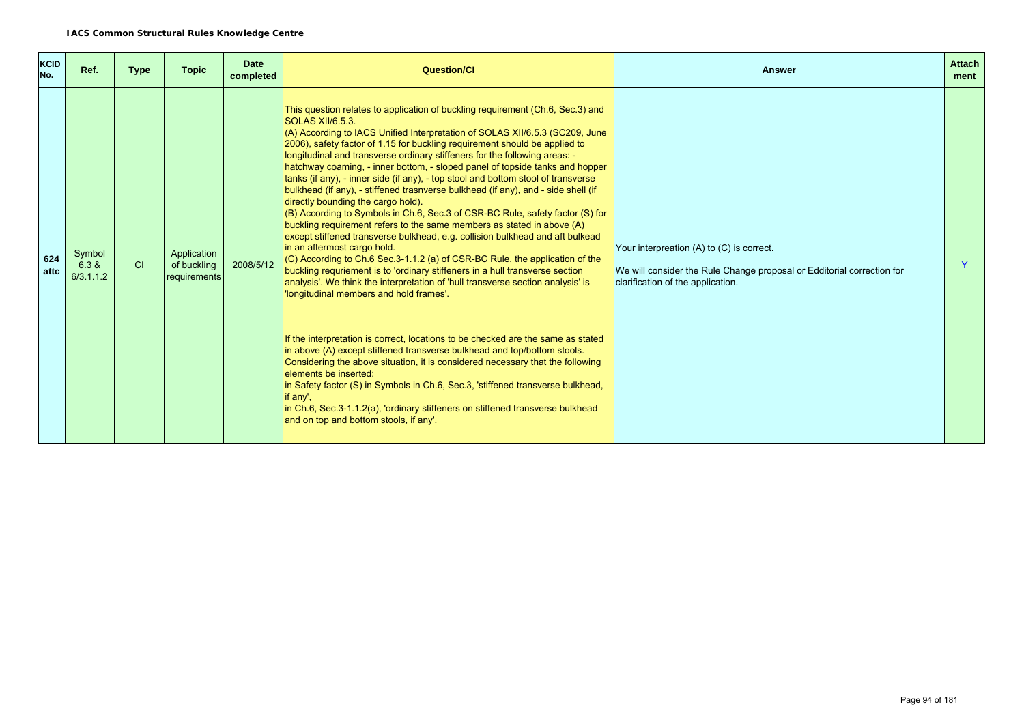| <b>KCID</b><br>No. | Ref.                         | <b>Type</b> | <b>Topic</b>                               | <b>Date</b><br>completed | Question/Cl                                                                                                                                                                                                                                                                                                                                                                                                                                                                                                                                                                                                                                                                                                                                                                                                                                                                                                                                                                                                                                                                                                                                                                                                                                                                                                                                                                                                                                                                                                                                                                                                                                                                                                                        | Answer                                                                                                                                                       | <b>Attach</b><br>ment |
|--------------------|------------------------------|-------------|--------------------------------------------|--------------------------|------------------------------------------------------------------------------------------------------------------------------------------------------------------------------------------------------------------------------------------------------------------------------------------------------------------------------------------------------------------------------------------------------------------------------------------------------------------------------------------------------------------------------------------------------------------------------------------------------------------------------------------------------------------------------------------------------------------------------------------------------------------------------------------------------------------------------------------------------------------------------------------------------------------------------------------------------------------------------------------------------------------------------------------------------------------------------------------------------------------------------------------------------------------------------------------------------------------------------------------------------------------------------------------------------------------------------------------------------------------------------------------------------------------------------------------------------------------------------------------------------------------------------------------------------------------------------------------------------------------------------------------------------------------------------------------------------------------------------------|--------------------------------------------------------------------------------------------------------------------------------------------------------------|-----------------------|
| 624<br>attc        | Symbol<br>6.3 &<br>6/3.1.1.2 | CI          | Application<br>of buckling<br>requirements | 2008/5/12                | This question relates to application of buckling requirement (Ch.6, Sec.3) and<br>SOLAS XII/6.5.3.<br>(A) According to IACS Unified Interpretation of SOLAS XII/6.5.3 (SC209, June<br>2006), safety factor of 1.15 for buckling requirement should be applied to<br>longitudinal and transverse ordinary stiffeners for the following areas: -<br>hatchway coaming, - inner bottom, - sloped panel of topside tanks and hopper<br>tanks (if any), - inner side (if any), - top stool and bottom stool of transverse<br>bulkhead (if any), - stiffened trasnverse bulkhead (if any), and - side shell (if<br>directly bounding the cargo hold).<br>$ $ (B) According to Symbols in Ch.6, Sec.3 of CSR-BC Rule, safety factor (S) for<br>buckling requirement refers to the same members as stated in above (A)<br>except stiffened transverse bulkhead, e.g. collision bulkhead and aft bulkead<br>in an aftermost cargo hold.<br>$(C)$ According to Ch.6 Sec.3-1.1.2 (a) of CSR-BC Rule, the application of the<br>buckling requriement is to 'ordinary stiffeners in a hull transverse section<br>analysis'. We think the interpretation of 'hull transverse section analysis' is<br>longitudinal members and hold frames'.<br>If the interpretation is correct, locations to be checked are the same as stated<br>in above (A) except stiffened transverse bulkhead and top/bottom stools.<br>Considering the above situation, it is considered necessary that the following<br>elements be inserted:<br>in Safety factor (S) in Symbols in Ch.6, Sec.3, 'stiffened transverse bulkhead,<br>if any',<br>in Ch.6, Sec.3-1.1.2(a), 'ordinary stiffeners on stiffened transverse bulkhead<br>and on top and bottom stools, if any'. | Your interpreation $(A)$ to $(C)$ is correct.<br>We will consider the Rule Change proposal or Edditorial correction for<br>clarification of the application. |                       |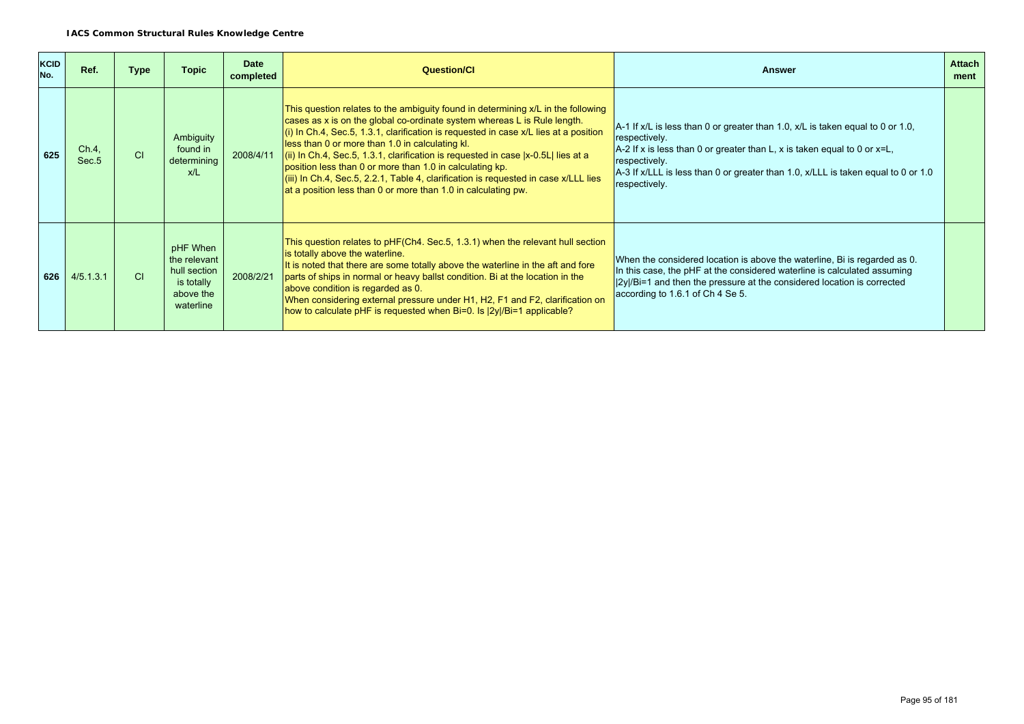| KCID<br>No. | Ref.                       | <b>Type</b> | <b>Topic</b>                                                                     | <b>Date</b><br>completed | <b>Question/CI</b>                                                                                                                                                                                                                                                                                                                                                                                                                                                                                                                                                                                                    | <b>Answer</b>                                                                                                                                                                                                                                                                                            | <b>Attach</b><br>ment |
|-------------|----------------------------|-------------|----------------------------------------------------------------------------------|--------------------------|-----------------------------------------------------------------------------------------------------------------------------------------------------------------------------------------------------------------------------------------------------------------------------------------------------------------------------------------------------------------------------------------------------------------------------------------------------------------------------------------------------------------------------------------------------------------------------------------------------------------------|----------------------------------------------------------------------------------------------------------------------------------------------------------------------------------------------------------------------------------------------------------------------------------------------------------|-----------------------|
| 625         | Ch.4,<br>Sec. <sub>5</sub> | CI          | Ambiguity<br>found in<br>determining<br>x/L                                      | 2008/4/11                | This question relates to the ambiguity found in determining x/L in the following<br>cases as x is on the global co-ordinate system whereas L is Rule length.<br>(i) In Ch.4, Sec.5, 1.3.1, clarification is requested in case x/L lies at a position<br>less than 0 or more than 1.0 in calculating kl.<br>$(iii)$ In Ch.4, Sec.5, 1.3.1, clarification is requested in case $[x-0.5L]$ lies at a<br>position less than 0 or more than 1.0 in calculating kp.<br>(iii) In Ch.4, Sec.5, 2.2.1, Table 4, clarification is requested in case x/LLL lies<br>at a position less than 0 or more than 1.0 in calculating pw. | $A$ -1 If x/L is less than 0 or greater than 1.0, x/L is taken equal to 0 or 1.0,<br>respectively.<br>A-2 If x is less than 0 or greater than L, x is taken equal to 0 or $x=L$ ,<br>respectively.<br>A-3 If x/LLL is less than 0 or greater than 1.0, x/LLL is taken equal to 0 or 1.0<br>respectively. |                       |
| 626         | 4/5.1.3.1                  | C1          | pHF When<br>the relevant<br>hull section<br>is totally<br>above the<br>waterline | 2008/2/21                | This question relates to pHF(Ch4. Sec.5, 1.3.1) when the relevant hull section<br>is totally above the waterline.<br>It is noted that there are some totally above the waterline in the aft and fore<br>parts of ships in normal or heavy ballst condition. Bi at the location in the<br>above condition is regarded as 0.<br>When considering external pressure under H1, H2, F1 and F2, clarification on<br>how to calculate pHF is requested when Bi=0. Is $ 2y /Bi=1$ applicable?                                                                                                                                 | When the considered location is above the waterline, Bi is regarded as 0.<br>In this case, the pHF at the considered waterline is calculated assuming<br>$ 2y /Bi=1$ and then the pressure at the considered location is corrected<br>according to 1.6.1 of Ch 4 Se 5.                                   |                       |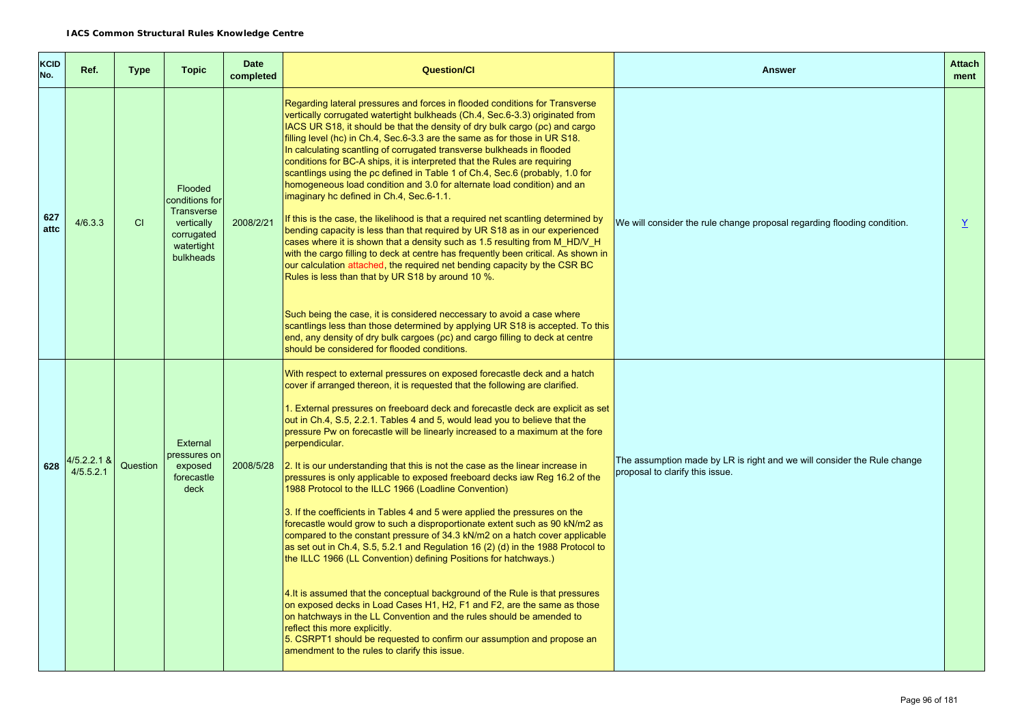| <b>KCID</b><br>No. | Ref.                       | <b>Type</b> | <b>Topic</b>                                                                                          | <b>Date</b><br>completed | <b>Question/Cl</b>                                                                                                                                                                                                                                                                                                                                                                                                                                                                                                                                                                                                                                                                                                                                                                                                                                                                                                                                                                                                                                                                                                                                                                                                                                                                                                                                                                                                                                            | <b>Answer</b>                                                                                              | <b>Attach</b><br>ment    |
|--------------------|----------------------------|-------------|-------------------------------------------------------------------------------------------------------|--------------------------|---------------------------------------------------------------------------------------------------------------------------------------------------------------------------------------------------------------------------------------------------------------------------------------------------------------------------------------------------------------------------------------------------------------------------------------------------------------------------------------------------------------------------------------------------------------------------------------------------------------------------------------------------------------------------------------------------------------------------------------------------------------------------------------------------------------------------------------------------------------------------------------------------------------------------------------------------------------------------------------------------------------------------------------------------------------------------------------------------------------------------------------------------------------------------------------------------------------------------------------------------------------------------------------------------------------------------------------------------------------------------------------------------------------------------------------------------------------|------------------------------------------------------------------------------------------------------------|--------------------------|
| 627<br>attc        | 4/6.3.3                    | CI          | Flooded<br>conditions for<br><b>Transverse</b><br>vertically<br>corrugated<br>watertight<br>bulkheads | 2008/2/21                | Regarding lateral pressures and forces in flooded conditions for Transverse<br>vertically corrugated watertight bulkheads (Ch.4, Sec.6-3.3) originated from<br>IACS UR S18, it should be that the density of dry bulk cargo (pc) and cargo<br>filling level (hc) in Ch.4, Sec.6-3.3 are the same as for those in UR S18.<br>In calculating scantling of corrugated transverse bulkheads in flooded<br>conditions for BC-A ships, it is interpreted that the Rules are requiring<br>scantlings using the pc defined in Table 1 of Ch.4, Sec.6 (probably, 1.0 for<br>homogeneous load condition and 3.0 for alternate load condition) and an<br>imaginary hc defined in Ch.4, Sec.6-1.1.<br>If this is the case, the likelihood is that a required net scantling determined by<br>bending capacity is less than that required by UR S18 as in our experienced<br>cases where it is shown that a density such as 1.5 resulting from M HD/V H<br>with the cargo filling to deck at centre has frequently been critical. As shown in<br>our calculation attached, the required net bending capacity by the CSR BC<br>Rules is less than that by UR S18 by around 10 %.<br>Such being the case, it is considered neccessary to avoid a case where<br>scantlings less than those determined by applying UR S18 is accepted. To this<br>end, any density of dry bulk cargoes (pc) and cargo filling to deck at centre<br>should be considered for flooded conditions. | We will consider the rule change proposal regarding flooding condition.                                    | $\underline{\mathsf{Y}}$ |
| 628                | $4/5.2.2.1$ &<br>4/5.5.2.1 | Question    | <b>External</b><br>pressures on<br>exposed<br>forecastle<br>deck                                      | 2008/5/28                | With respect to external pressures on exposed forecastle deck and a hatch<br>cover if arranged thereon, it is requested that the following are clarified.<br>1. External pressures on freeboard deck and forecastle deck are explicit as set<br>out in Ch.4, S.5, 2.2.1. Tables 4 and 5, would lead you to believe that the<br>pressure Pw on forecastle will be linearly increased to a maximum at the fore<br>perpendicular.<br>2. It is our understanding that this is not the case as the linear increase in<br>pressures is only applicable to exposed freeboard decks iaw Reg 16.2 of the<br>1988 Protocol to the ILLC 1966 (Loadline Convention)<br>3. If the coefficients in Tables 4 and 5 were applied the pressures on the<br>forecastle would grow to such a disproportionate extent such as 90 kN/m2 as<br>compared to the constant pressure of 34.3 kN/m2 on a hatch cover applicable<br>as set out in Ch.4, S.5, 5.2.1 and Regulation 16 (2) (d) in the 1988 Protocol to<br>the ILLC 1966 (LL Convention) defining Positions for hatchways.)<br>4. It is assumed that the conceptual background of the Rule is that pressures<br>on exposed decks in Load Cases H1, H2, F1 and F2, are the same as those<br>on hatchways in the LL Convention and the rules should be amended to<br>reflect this more explicitly.<br>5. CSRPT1 should be requested to confirm our assumption and propose an<br>amendment to the rules to clarify this issue.   | The assumption made by LR is right and we will consider the Rule change<br>proposal to clarify this issue. |                          |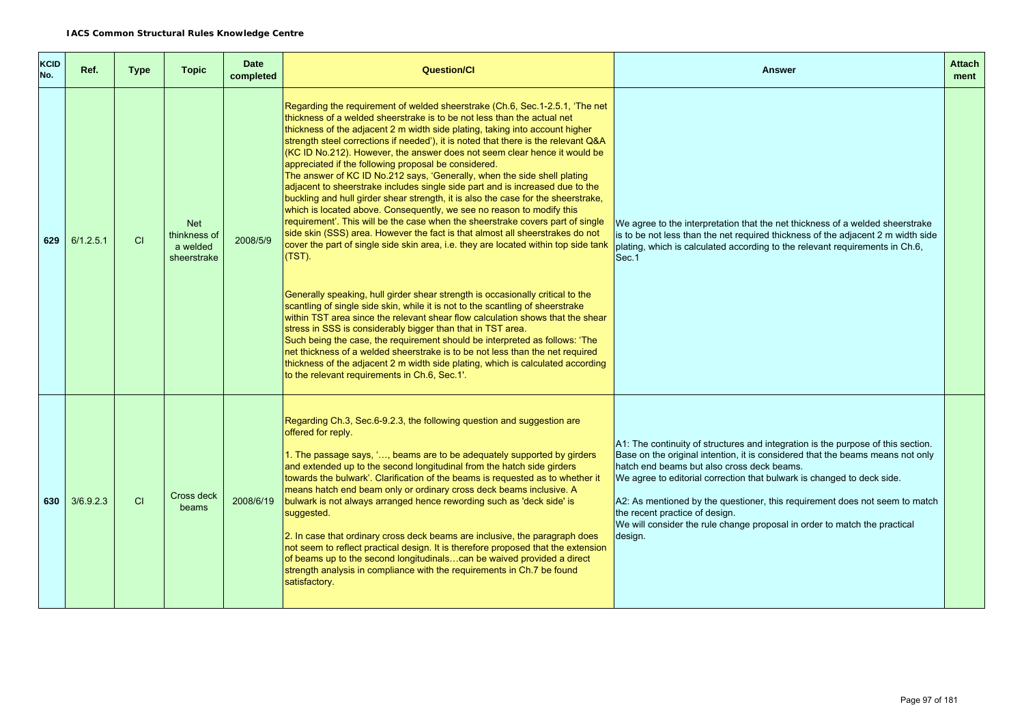| <b>KCID</b><br>No. | Ref.      | <b>Type</b> | <b>Topic</b>                                          | <b>Date</b><br>completed | <b>Question/Cl</b>                                                                                                                                                                                                                                                                                                                                                                                                                                                                                                                                                                                                                                                                                                                                                                                                                                                                                                                                                                                                                                                                                                                                                                                                                                                                                                                                                                                                                                                                                                                                                                                                                                                                            | <b>Answer</b>                                                                                                                                                                                                                                                                                                                                                                                                                                                                                       | <b>Attach</b><br>ment |
|--------------------|-----------|-------------|-------------------------------------------------------|--------------------------|-----------------------------------------------------------------------------------------------------------------------------------------------------------------------------------------------------------------------------------------------------------------------------------------------------------------------------------------------------------------------------------------------------------------------------------------------------------------------------------------------------------------------------------------------------------------------------------------------------------------------------------------------------------------------------------------------------------------------------------------------------------------------------------------------------------------------------------------------------------------------------------------------------------------------------------------------------------------------------------------------------------------------------------------------------------------------------------------------------------------------------------------------------------------------------------------------------------------------------------------------------------------------------------------------------------------------------------------------------------------------------------------------------------------------------------------------------------------------------------------------------------------------------------------------------------------------------------------------------------------------------------------------------------------------------------------------|-----------------------------------------------------------------------------------------------------------------------------------------------------------------------------------------------------------------------------------------------------------------------------------------------------------------------------------------------------------------------------------------------------------------------------------------------------------------------------------------------------|-----------------------|
| 629                | 6/1.2.5.1 | CI          | <b>Net</b><br>thinkness of<br>a welded<br>sheerstrake | 2008/5/9                 | Regarding the requirement of welded sheerstrake (Ch.6, Sec.1-2.5.1, 'The net<br>thickness of a welded sheerstrake is to be not less than the actual net<br>thickness of the adjacent 2 m width side plating, taking into account higher<br>strength steel corrections if needed'), it is noted that there is the relevant Q&A<br>(KC ID No.212). However, the answer does not seem clear hence it would be<br>appreciated if the following proposal be considered.<br>The answer of KC ID No.212 says, 'Generally, when the side shell plating<br>adjacent to sheerstrake includes single side part and is increased due to the<br>buckling and hull girder shear strength, it is also the case for the sheerstrake,<br>which is located above. Consequently, we see no reason to modify this<br>requirement'. This will be the case when the sheerstrake covers part of single<br>side skin (SSS) area. However the fact is that almost all sheerstrakes do not<br>cover the part of single side skin area, i.e. they are located within top side tank<br>$(TST)$ .<br>Generally speaking, hull girder shear strength is occasionally critical to the<br>scantling of single side skin, while it is not to the scantling of sheerstrake<br>within TST area since the relevant shear flow calculation shows that the shear<br>stress in SSS is considerably bigger than that in TST area.<br>Such being the case, the requirement should be interpreted as follows: 'The<br>net thickness of a welded sheerstrake is to be not less than the net required<br>thickness of the adjacent 2 m width side plating, which is calculated according<br>to the relevant requirements in Ch.6, Sec.1'. | We agree to the interpretation that the net thickness of a welded sheerstrake<br>is to be not less than the net required thickness of the adjacent 2 m width side<br>plating, which is calculated according to the relevant requirements in Ch.6,<br>Sec.1                                                                                                                                                                                                                                          |                       |
| 630                | 3/6.9.2.3 | C1          | Cross deck<br>beams                                   | 2008/6/19                | Regarding Ch.3, Sec.6-9.2.3, the following question and suggestion are<br>offered for reply.<br>1. The passage says, ', beams are to be adequately supported by girders<br>and extended up to the second longitudinal from the hatch side girders<br>towards the bulwark'. Clarification of the beams is requested as to whether it<br>means hatch end beam only or ordinary cross deck beams inclusive. A<br>bulwark is not always arranged hence rewording such as 'deck side' is<br>suggested.<br>2. In case that ordinary cross deck beams are inclusive, the paragraph does<br>not seem to reflect practical design. It is therefore proposed that the extension<br>of beams up to the second longitudinalscan be waived provided a direct<br>strength analysis in compliance with the requirements in Ch.7 be found<br>satisfactory.                                                                                                                                                                                                                                                                                                                                                                                                                                                                                                                                                                                                                                                                                                                                                                                                                                                    | A1: The continuity of structures and integration is the purpose of this section.<br>Base on the original intention, it is considered that the beams means not only<br>hatch end beams but also cross deck beams.<br>We agree to editorial correction that bulwark is changed to deck side.<br>A2: As mentioned by the questioner, this requirement does not seem to match<br>the recent practice of design.<br>We will consider the rule change proposal in order to match the practical<br>design. |                       |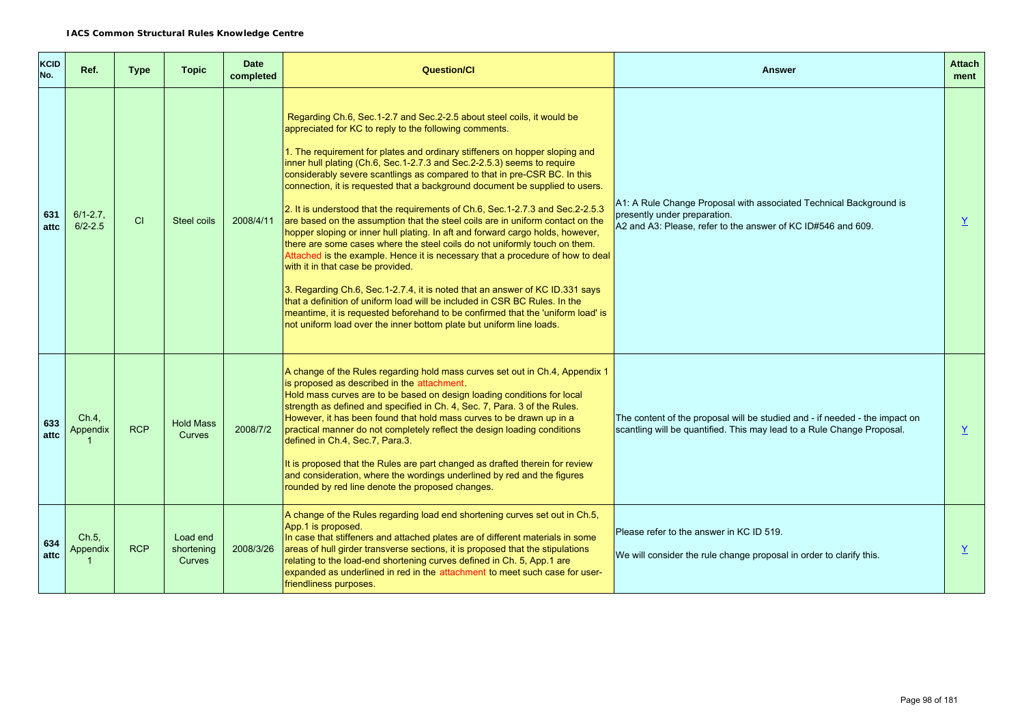| <b>KCID</b><br>No. | Ref.                         | <b>Type</b> | <b>Topic</b>                            | <b>Date</b><br>completed | <b>Question/Cl</b>                                                                                                                                                                                                                                                                                                                                                                                                                                                                                                                                                                                                                                                                                                                                                                                                                                                                                                                                                                                                                                                                                                                                                                                                                          | <b>Answer</b>                                                                                                                                                      | <b>Attach</b><br>ment |
|--------------------|------------------------------|-------------|-----------------------------------------|--------------------------|---------------------------------------------------------------------------------------------------------------------------------------------------------------------------------------------------------------------------------------------------------------------------------------------------------------------------------------------------------------------------------------------------------------------------------------------------------------------------------------------------------------------------------------------------------------------------------------------------------------------------------------------------------------------------------------------------------------------------------------------------------------------------------------------------------------------------------------------------------------------------------------------------------------------------------------------------------------------------------------------------------------------------------------------------------------------------------------------------------------------------------------------------------------------------------------------------------------------------------------------|--------------------------------------------------------------------------------------------------------------------------------------------------------------------|-----------------------|
| 631<br>attc        | $6/1 - 2.7$ .<br>$6/2 - 2.5$ | CI          | Steel coils                             | 2008/4/11                | Regarding Ch.6, Sec.1-2.7 and Sec.2-2.5 about steel coils, it would be<br>appreciated for KC to reply to the following comments.<br>1. The requirement for plates and ordinary stiffeners on hopper sloping and<br>inner hull plating (Ch.6, Sec.1-2.7.3 and Sec.2-2.5.3) seems to require<br>considerably severe scantlings as compared to that in pre-CSR BC. In this<br>connection, it is requested that a background document be supplied to users.<br>2. It is understood that the requirements of Ch.6, Sec.1-2.7.3 and Sec.2-2.5.3<br>are based on the assumption that the steel coils are in uniform contact on the<br>hopper sloping or inner hull plating. In aft and forward cargo holds, however,<br>there are some cases where the steel coils do not uniformly touch on them.<br>Attached is the example. Hence it is necessary that a procedure of how to deal<br>with it in that case be provided.<br>3. Regarding Ch.6, Sec.1-2.7.4, it is noted that an answer of KC ID.331 says<br>that a definition of uniform load will be included in CSR BC Rules. In the<br>meantime, it is requested beforehand to be confirmed that the 'uniform load' is<br>not uniform load over the inner bottom plate but uniform line loads. | A1: A Rule Change Proposal with associated Technical Background is<br>presently under preparation.<br>A2 and A3: Please, refer to the answer of KC ID#546 and 609. | $\underline{Y}$       |
| 633<br>attc        | Ch.4<br>Appendix             | <b>RCP</b>  | <b>Hold Mass</b><br><b>Curves</b>       | 2008/7/2                 | A change of the Rules regarding hold mass curves set out in Ch.4, Appendix 1<br>is proposed as described in the attachment.<br>Hold mass curves are to be based on design loading conditions for local<br>strength as defined and specified in Ch. 4, Sec. 7, Para. 3 of the Rules.<br>However, it has been found that hold mass curves to be drawn up in a<br>practical manner do not completely reflect the design loading conditions<br>defined in Ch.4, Sec.7, Para.3.<br>It is proposed that the Rules are part changed as drafted therein for review<br>and consideration, where the wordings underlined by red and the figures<br>rounded by red line denote the proposed changes.                                                                                                                                                                                                                                                                                                                                                                                                                                                                                                                                                   | The content of the proposal will be studied and - if needed - the impact on<br>scantling will be quantified. This may lead to a Rule Change Proposal.              | $\underline{Y}$       |
| 634<br>attc        | Ch.5,<br>Appendix            | <b>RCP</b>  | Load end<br>shortening<br><b>Curves</b> | 2008/3/26                | A change of the Rules regarding load end shortening curves set out in Ch.5,<br>App.1 is proposed.<br>In case that stiffeners and attached plates are of different materials in some<br>areas of hull girder transverse sections, it is proposed that the stipulations<br>relating to the load-end shortening curves defined in Ch. 5, App.1 are<br>expanded as underlined in red in the attachment to meet such case for user-<br>friendliness purposes.                                                                                                                                                                                                                                                                                                                                                                                                                                                                                                                                                                                                                                                                                                                                                                                    | Please refer to the answer in KC ID 519.<br>We will consider the rule change proposal in order to clarify this.                                                    | $\underline{Y}$       |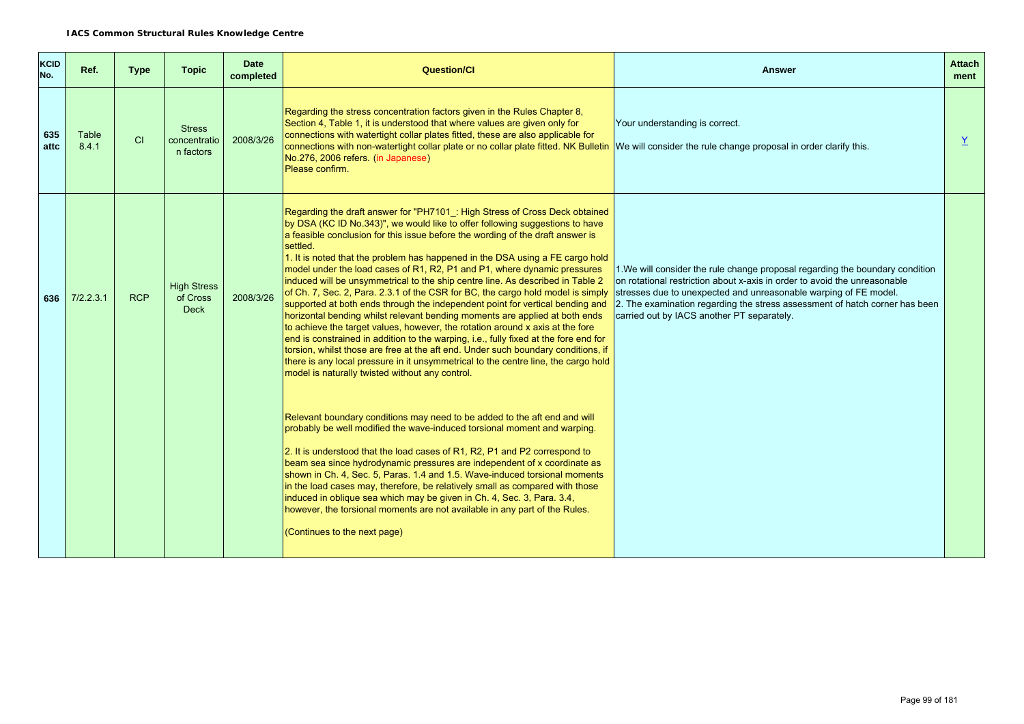| <b>KCID</b><br>No. | Ref.           | <b>Type</b> | <b>Topic</b>                                  | <b>Date</b><br>completed | <b>Question/CI</b>                                                                                                                                                                                                                                                                                                                                                                                                                                                                                                                                                                                                                                                                                                                                                                                                                                                                                                                                                                                                                                                                                                                                                                                                                                                                                                                                                                                                                                                                                                                                                                                                                                                                                                                                                                                                                          | <b>Answer</b>                                                                                                                                                                                                                                                                                                                                               | <b>Attach</b><br>ment |
|--------------------|----------------|-------------|-----------------------------------------------|--------------------------|---------------------------------------------------------------------------------------------------------------------------------------------------------------------------------------------------------------------------------------------------------------------------------------------------------------------------------------------------------------------------------------------------------------------------------------------------------------------------------------------------------------------------------------------------------------------------------------------------------------------------------------------------------------------------------------------------------------------------------------------------------------------------------------------------------------------------------------------------------------------------------------------------------------------------------------------------------------------------------------------------------------------------------------------------------------------------------------------------------------------------------------------------------------------------------------------------------------------------------------------------------------------------------------------------------------------------------------------------------------------------------------------------------------------------------------------------------------------------------------------------------------------------------------------------------------------------------------------------------------------------------------------------------------------------------------------------------------------------------------------------------------------------------------------------------------------------------------------|-------------------------------------------------------------------------------------------------------------------------------------------------------------------------------------------------------------------------------------------------------------------------------------------------------------------------------------------------------------|-----------------------|
| 635<br>attc        | Table<br>8.4.1 | CI          | <b>Stress</b><br>concentratio<br>n factors    | 2008/3/26                | Regarding the stress concentration factors given in the Rules Chapter 8,<br>Section 4, Table 1, it is understood that where values are given only for<br>connections with watertight collar plates fitted, these are also applicable for<br>connections with non-watertight collar plate or no collar plate fitted. NK Bulletin We will consider the rule change proposal in order clarify this.<br>No.276, 2006 refers. (in Japanese)<br>Please confirm.                                                                                                                                                                                                                                                                                                                                                                                                                                                                                                                                                                                                                                                                                                                                                                                                                                                                                                                                                                                                                                                                                                                                                                                                                                                                                                                                                                                   | Your understanding is correct.                                                                                                                                                                                                                                                                                                                              | Y                     |
| 636                | 7/2.2.3.1      | <b>RCP</b>  | <b>High Stress</b><br>of Cross<br><b>Deck</b> | 2008/3/26                | Regarding the draft answer for "PH7101 : High Stress of Cross Deck obtained<br>by DSA (KC ID No.343)", we would like to offer following suggestions to have<br>a feasible conclusion for this issue before the wording of the draft answer is<br>settled.<br>1. It is noted that the problem has happened in the DSA using a FE cargo hold<br>model under the load cases of R1, R2, P1 and P1, where dynamic pressures<br>induced will be unsymmetrical to the ship centre line. As described in Table 2<br>of Ch. 7, Sec. 2, Para. 2.3.1 of the CSR for BC, the cargo hold model is simply<br>supported at both ends through the independent point for vertical bending and<br>horizontal bending whilst relevant bending moments are applied at both ends<br>to achieve the target values, however, the rotation around x axis at the fore<br>end is constrained in addition to the warping, i.e., fully fixed at the fore end for<br>torsion, whilst those are free at the aft end. Under such boundary conditions, if<br>there is any local pressure in it unsymmetrical to the centre line, the cargo hold<br>model is naturally twisted without any control.<br>Relevant boundary conditions may need to be added to the aft end and will<br>probably be well modified the wave-induced torsional moment and warping.<br>2. It is understood that the load cases of R1, R2, P1 and P2 correspond to<br>beam sea since hydrodynamic pressures are independent of x coordinate as<br>shown in Ch. 4, Sec. 5, Paras. 1.4 and 1.5. Wave-induced torsional moments<br>in the load cases may, therefore, be relatively small as compared with those<br>induced in oblique sea which may be given in Ch. 4, Sec. 3, Para. 3.4,<br>however, the torsional moments are not available in any part of the Rules.<br>(Continues to the next page) | 1. We will consider the rule change proposal regarding the boundary condition<br>on rotational restriction about x-axis in order to avoid the unreasonable<br>stresses due to unexpected and unreasonable warping of FE model.<br>2. The examination regarding the stress assessment of hatch corner has been<br>carried out by IACS another PT separately. |                       |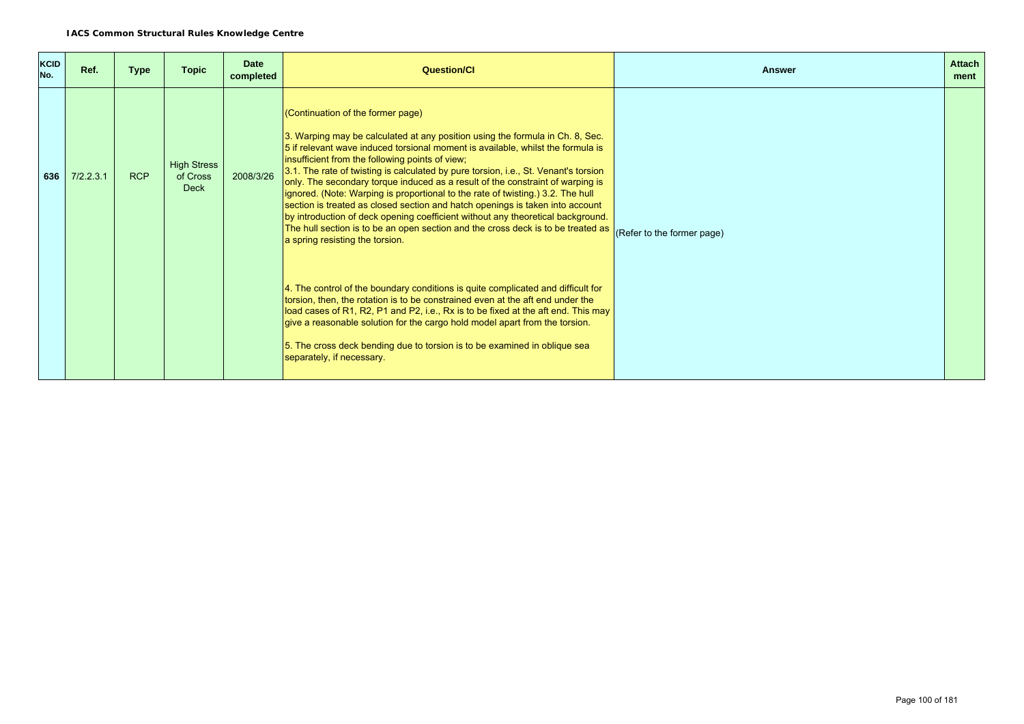| <b>KCID</b><br>No. | Ref.      | <b>Type</b> | <b>Topic</b>                                  | <b>Date</b><br>completed | <b>Question/Cl</b>                                                                                                                                                                                                                                                                                                                                                                                                                                                                                                                                                                                                                                                                                                                                                                                              | <b>Answer</b>              | <b>Attach</b><br>ment |
|--------------------|-----------|-------------|-----------------------------------------------|--------------------------|-----------------------------------------------------------------------------------------------------------------------------------------------------------------------------------------------------------------------------------------------------------------------------------------------------------------------------------------------------------------------------------------------------------------------------------------------------------------------------------------------------------------------------------------------------------------------------------------------------------------------------------------------------------------------------------------------------------------------------------------------------------------------------------------------------------------|----------------------------|-----------------------|
| 636                | 7/2.2.3.1 | <b>RCP</b>  | <b>High Stress</b><br>of Cross<br><b>Deck</b> | 2008/3/26                | (Continuation of the former page)<br>3. Warping may be calculated at any position using the formula in Ch. 8, Sec.<br>5 if relevant wave induced torsional moment is available, whilst the formula is<br>insufficient from the following points of view;<br>3.1. The rate of twisting is calculated by pure torsion, i.e., St. Venant's torsion<br>only. The secondary torque induced as a result of the constraint of warping is<br>ignored. (Note: Warping is proportional to the rate of twisting.) 3.2. The hull<br>section is treated as closed section and hatch openings is taken into account<br>by introduction of deck opening coefficient without any theoretical background.<br>The hull section is to be an open section and the cross deck is to be treated as<br>a spring resisting the torsion. | (Refer to the former page) |                       |
|                    |           |             |                                               |                          | 4. The control of the boundary conditions is quite complicated and difficult for<br>torsion, then, the rotation is to be constrained even at the aft end under the<br>load cases of R1, R2, P1 and P2, i.e., Rx is to be fixed at the aft end. This may<br>give a reasonable solution for the cargo hold model apart from the torsion.<br>5. The cross deck bending due to torsion is to be examined in oblique sea<br>separately, if necessary.                                                                                                                                                                                                                                                                                                                                                                |                            |                       |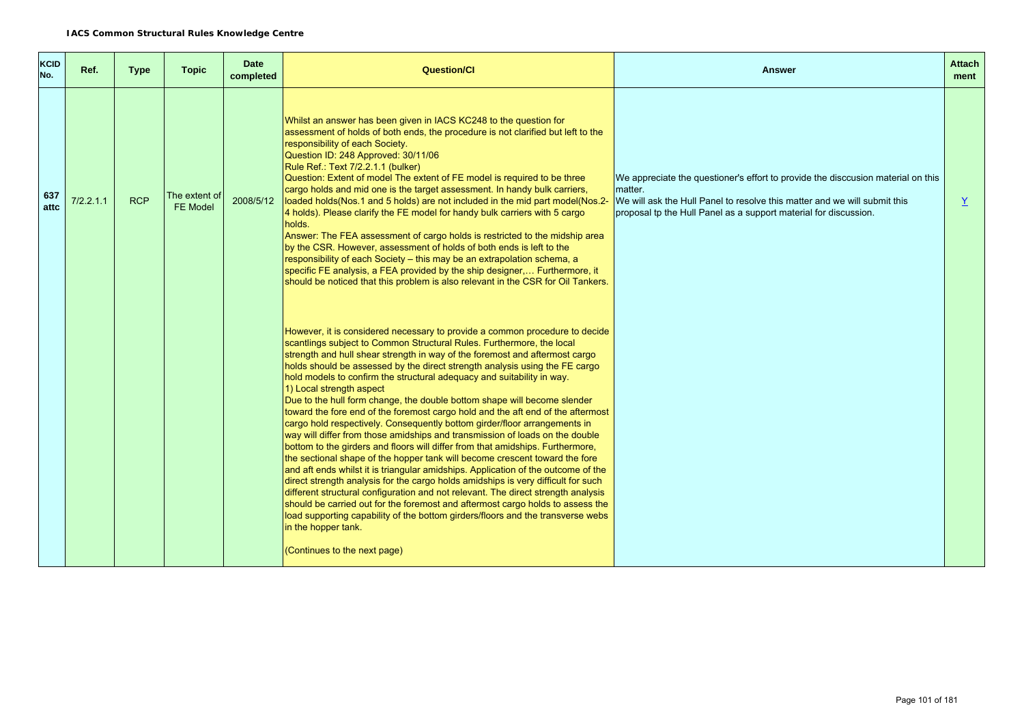| <b>KCID</b><br>No. | Ref.      | Type       | <b>Topic</b>                     | <b>Date</b><br>completed | <b>Question/CI</b>                                                                                                                                                                                                                                                                                                                                                                                                                                                                                                                                                                                                                                                                                                                                                                                                                                                                                                                                                                                                                                                                                                                                                                                                                                                                                                                                                                                               | <b>Answer</b>                                                                                                                                                                                                                                | <b>Attach</b><br>ment |
|--------------------|-----------|------------|----------------------------------|--------------------------|------------------------------------------------------------------------------------------------------------------------------------------------------------------------------------------------------------------------------------------------------------------------------------------------------------------------------------------------------------------------------------------------------------------------------------------------------------------------------------------------------------------------------------------------------------------------------------------------------------------------------------------------------------------------------------------------------------------------------------------------------------------------------------------------------------------------------------------------------------------------------------------------------------------------------------------------------------------------------------------------------------------------------------------------------------------------------------------------------------------------------------------------------------------------------------------------------------------------------------------------------------------------------------------------------------------------------------------------------------------------------------------------------------------|----------------------------------------------------------------------------------------------------------------------------------------------------------------------------------------------------------------------------------------------|-----------------------|
| 637<br>attc        | 7/2.2.1.1 | <b>RCP</b> | The extent of<br><b>FE Model</b> | 2008/5/12                | Whilst an answer has been given in IACS KC248 to the question for<br>assessment of holds of both ends, the procedure is not clarified but left to the<br>responsibility of each Society.<br>Question ID: 248 Approved: 30/11/06<br>Rule Ref.: Text 7/2.2.1.1 (bulker)<br>Question: Extent of model The extent of FE model is required to be three<br>cargo holds and mid one is the target assessment. In handy bulk carriers,<br>loaded holds(Nos.1 and 5 holds) are not included in the mid part model(Nos.2-<br>4 holds). Please clarify the FE model for handy bulk carriers with 5 cargo<br>holds.<br>Answer: The FEA assessment of cargo holds is restricted to the midship area<br>by the CSR. However, assessment of holds of both ends is left to the<br>responsibility of each Society - this may be an extrapolation schema, a<br>specific FE analysis, a FEA provided by the ship designer, Furthermore, it<br>should be noticed that this problem is also relevant in the CSR for Oil Tankers.                                                                                                                                                                                                                                                                                                                                                                                                      | We appreciate the questioner's effort to provide the disccusion material on this<br>matter.<br>We will ask the Hull Panel to resolve this matter and we will submit this<br>proposal tp the Hull Panel as a support material for discussion. | Y.                    |
|                    |           |            |                                  |                          | However, it is considered necessary to provide a common procedure to decide<br>scantlings subject to Common Structural Rules. Furthermore, the local<br>strength and hull shear strength in way of the foremost and aftermost cargo<br>holds should be assessed by the direct strength analysis using the FE cargo<br>hold models to confirm the structural adequacy and suitability in way.<br>1) Local strength aspect<br>Due to the hull form change, the double bottom shape will become slender<br>toward the fore end of the foremost cargo hold and the aft end of the aftermost<br>cargo hold respectively. Consequently bottom girder/floor arrangements in<br>way will differ from those amidships and transmission of loads on the double<br>bottom to the girders and floors will differ from that amidships. Furthermore,<br>the sectional shape of the hopper tank will become crescent toward the fore<br>and aft ends whilst it is triangular amidships. Application of the outcome of the<br>direct strength analysis for the cargo holds amidships is very difficult for such<br>different structural configuration and not relevant. The direct strength analysis<br>should be carried out for the foremost and aftermost cargo holds to assess the<br>load supporting capability of the bottom girders/floors and the transverse webs<br>in the hopper tank.<br>(Continues to the next page) |                                                                                                                                                                                                                                              |                       |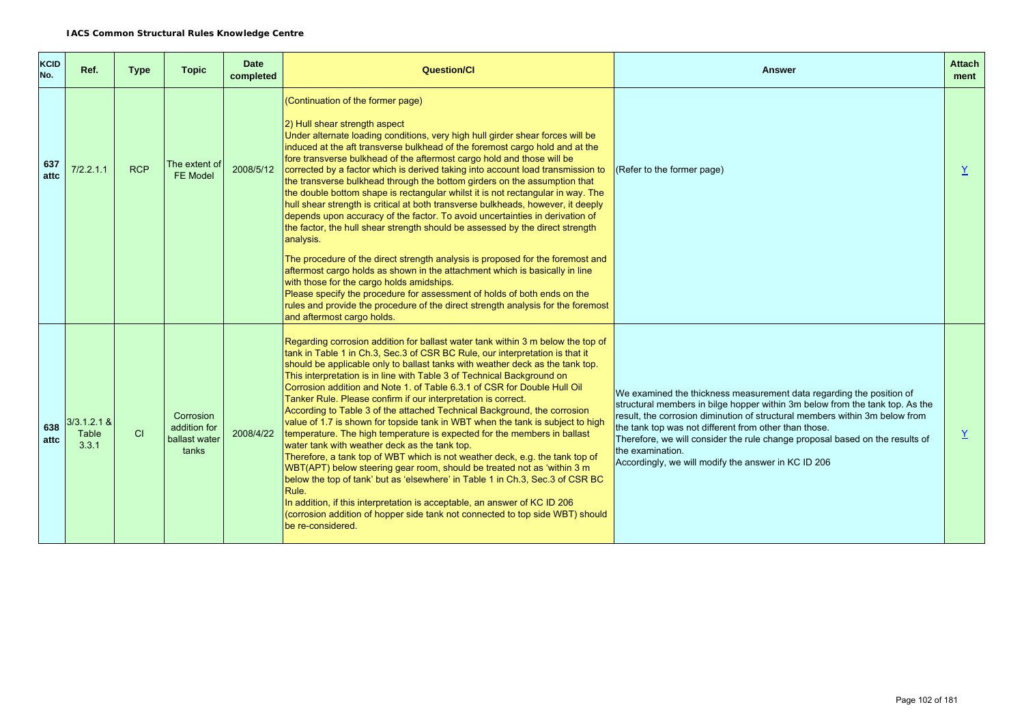| <b>KCID</b><br>No. | Ref.                             | <b>Type</b> | <b>Topic</b>                                        | <b>Date</b><br>completed | <b>Question/Cl</b>                                                                                                                                                                                                                                                                                                                                                                                                                                                                                                                                                                                                                                                                                                                                                                                                                                                                                                                                                                                                                                                                                                                                                                                         | Answer                                                                                                                                                                                                                                                                                                                                                                                                                                                  | <b>Attach</b><br>ment |
|--------------------|----------------------------------|-------------|-----------------------------------------------------|--------------------------|------------------------------------------------------------------------------------------------------------------------------------------------------------------------------------------------------------------------------------------------------------------------------------------------------------------------------------------------------------------------------------------------------------------------------------------------------------------------------------------------------------------------------------------------------------------------------------------------------------------------------------------------------------------------------------------------------------------------------------------------------------------------------------------------------------------------------------------------------------------------------------------------------------------------------------------------------------------------------------------------------------------------------------------------------------------------------------------------------------------------------------------------------------------------------------------------------------|---------------------------------------------------------------------------------------------------------------------------------------------------------------------------------------------------------------------------------------------------------------------------------------------------------------------------------------------------------------------------------------------------------------------------------------------------------|-----------------------|
| 637<br>attc        | 7/2.2.1.1                        | <b>RCP</b>  | The extent of<br>FE Model                           | 2008/5/12                | (Continuation of the former page)<br>2) Hull shear strength aspect<br>Under alternate loading conditions, very high hull girder shear forces will be<br>induced at the aft transverse bulkhead of the foremost cargo hold and at the<br>fore transverse bulkhead of the aftermost cargo hold and those will be<br>corrected by a factor which is derived taking into account load transmission to<br>the transverse bulkhead through the bottom girders on the assumption that<br>the double bottom shape is rectangular whilst it is not rectangular in way. The<br>hull shear strength is critical at both transverse bulkheads, however, it deeply<br>depends upon accuracy of the factor. To avoid uncertainties in derivation of<br>the factor, the hull shear strength should be assessed by the direct strength<br>analysis.                                                                                                                                                                                                                                                                                                                                                                        | (Refer to the former page)                                                                                                                                                                                                                                                                                                                                                                                                                              | Y                     |
|                    |                                  |             |                                                     |                          | The procedure of the direct strength analysis is proposed for the foremost and<br>aftermost cargo holds as shown in the attachment which is basically in line<br>with those for the cargo holds amidships.<br>Please specify the procedure for assessment of holds of both ends on the<br>rules and provide the procedure of the direct strength analysis for the foremost<br>and aftermost cargo holds.                                                                                                                                                                                                                                                                                                                                                                                                                                                                                                                                                                                                                                                                                                                                                                                                   |                                                                                                                                                                                                                                                                                                                                                                                                                                                         |                       |
| 638<br>attc        | $3/3.1.2.1 \&$<br>Table<br>3.3.1 | CI          | Corrosion<br>addition for<br>ballast water<br>tanks | 2008/4/22                | Regarding corrosion addition for ballast water tank within 3 m below the top of<br>tank in Table 1 in Ch.3, Sec.3 of CSR BC Rule, our interpretation is that it<br>should be applicable only to ballast tanks with weather deck as the tank top.<br>This interpretation is in line with Table 3 of Technical Background on<br>Corrosion addition and Note 1. of Table 6.3.1 of CSR for Double Hull Oil<br>Tanker Rule. Please confirm if our interpretation is correct.<br>According to Table 3 of the attached Technical Background, the corrosion<br>value of 1.7 is shown for topside tank in WBT when the tank is subject to high<br>temperature. The high temperature is expected for the members in ballast<br>water tank with weather deck as the tank top.<br>Therefore, a tank top of WBT which is not weather deck, e.g. the tank top of<br>WBT(APT) below steering gear room, should be treated not as 'within 3 m<br>below the top of tank' but as 'elsewhere' in Table 1 in Ch.3, Sec.3 of CSR BC<br>Rule.<br>In addition, if this interpretation is acceptable, an answer of KC ID 206<br>(corrosion addition of hopper side tank not connected to top side WBT) should<br>be re-considered. | We examined the thickness measurement data regarding the position of<br>structural members in bilge hopper within 3m below from the tank top. As the<br>result, the corrosion diminution of structural members within 3m below from<br>the tank top was not different from other than those.<br>Therefore, we will consider the rule change proposal based on the results of<br>the examination.<br>Accordingly, we will modify the answer in KC ID 206 | $\underline{Y}$       |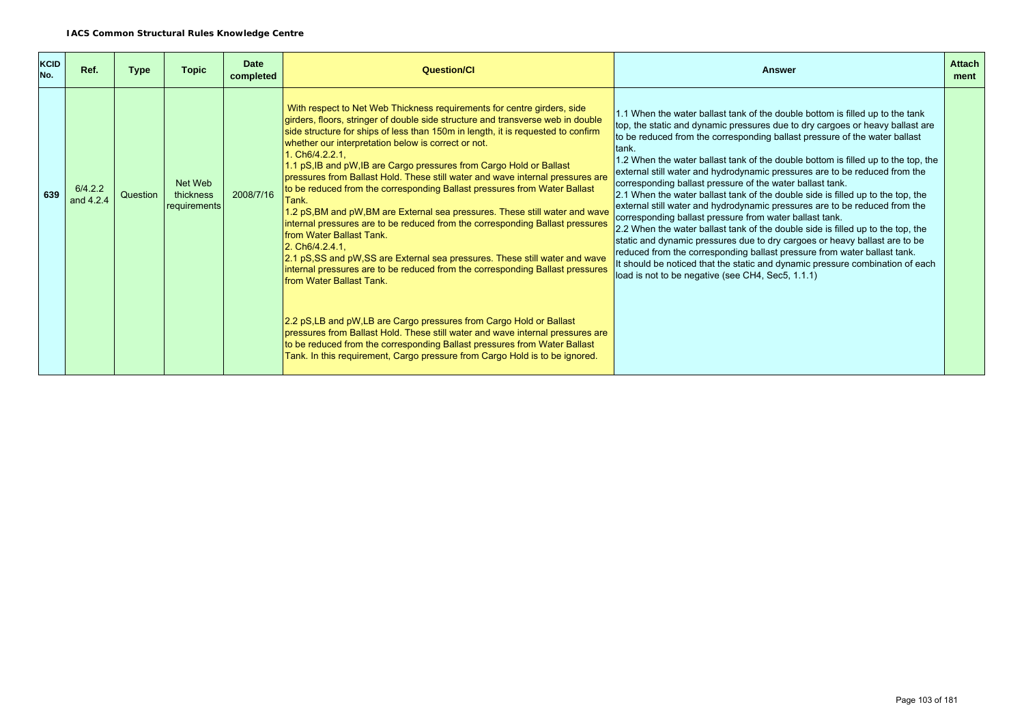| <b>KCID</b><br>No. | Ref.                 | <b>Type</b> | <b>Topic</b>                         | <b>Date</b><br>completed | Question/Cl                                                                                                                                                                                                                                                                                                                                                                                                                                                                                                                                                                                                                                                                                                                                                                                                                                                                                                                                                                                                                                                                                                                                                                                                                                                                                                               | Answer                                                                                                                                                                                                                                                                                                                                                                                                                                                                                                                                                                                                                                                                                                                                                                                                                                                                                                                                                                                                                                                                                                | <b>Attach</b><br>ment |
|--------------------|----------------------|-------------|--------------------------------------|--------------------------|---------------------------------------------------------------------------------------------------------------------------------------------------------------------------------------------------------------------------------------------------------------------------------------------------------------------------------------------------------------------------------------------------------------------------------------------------------------------------------------------------------------------------------------------------------------------------------------------------------------------------------------------------------------------------------------------------------------------------------------------------------------------------------------------------------------------------------------------------------------------------------------------------------------------------------------------------------------------------------------------------------------------------------------------------------------------------------------------------------------------------------------------------------------------------------------------------------------------------------------------------------------------------------------------------------------------------|-------------------------------------------------------------------------------------------------------------------------------------------------------------------------------------------------------------------------------------------------------------------------------------------------------------------------------------------------------------------------------------------------------------------------------------------------------------------------------------------------------------------------------------------------------------------------------------------------------------------------------------------------------------------------------------------------------------------------------------------------------------------------------------------------------------------------------------------------------------------------------------------------------------------------------------------------------------------------------------------------------------------------------------------------------------------------------------------------------|-----------------------|
| 639                | 6/4.2.2<br>and 4.2.4 | Question    | Net Web<br>thickness<br>requirements | 2008/7/16                | With respect to Net Web Thickness requirements for centre girders, side<br>girders, floors, stringer of double side structure and transverse web in double<br>side structure for ships of less than 150m in length, it is requested to confirm<br>whether our interpretation below is correct or not.<br>1. Ch6/4.2.2.1,<br>1.1 pS, IB and pW, IB are Cargo pressures from Cargo Hold or Ballast<br>pressures from Ballast Hold. These still water and wave internal pressures are<br>to be reduced from the corresponding Ballast pressures from Water Ballast<br>Tank.<br>1.2 pS, BM and pW, BM are External sea pressures. These still water and wave<br>internal pressures are to be reduced from the corresponding Ballast pressures<br><b>Ifrom Water Ballast Tank.</b><br>2. Ch6/4.2.4.1<br>2.1 pS, SS and pW, SS are External sea pressures. These still water and wave<br>internal pressures are to be reduced from the corresponding Ballast pressures<br><b>from Water Ballast Tank.</b><br>2.2 pS, LB and pW, LB are Cargo pressures from Cargo Hold or Ballast<br>pressures from Ballast Hold. These still water and wave internal pressures are<br>to be reduced from the corresponding Ballast pressures from Water Ballast<br>Tank. In this requirement, Cargo pressure from Cargo Hold is to be ignored. | 1.1 When the water ballast tank of the double bottom is filled up to the tank<br>top, the static and dynamic pressures due to dry cargoes or heavy ballast are<br>to be reduced from the corresponding ballast pressure of the water ballast<br>Itank.<br>1.2 When the water ballast tank of the double bottom is filled up to the top, the<br>external still water and hydrodynamic pressures are to be reduced from the<br>corresponding ballast pressure of the water ballast tank.<br>2.1 When the water ballast tank of the double side is filled up to the top, the<br>external still water and hydrodynamic pressures are to be reduced from the<br>corresponding ballast pressure from water ballast tank.<br>2.2 When the water ballast tank of the double side is filled up to the top, the<br>static and dynamic pressures due to dry cargoes or heavy ballast are to be<br>reduced from the corresponding ballast pressure from water ballast tank.<br>It should be noticed that the static and dynamic pressure combination of each<br>load is not to be negative (see CH4, Sec5, 1.1.1) |                       |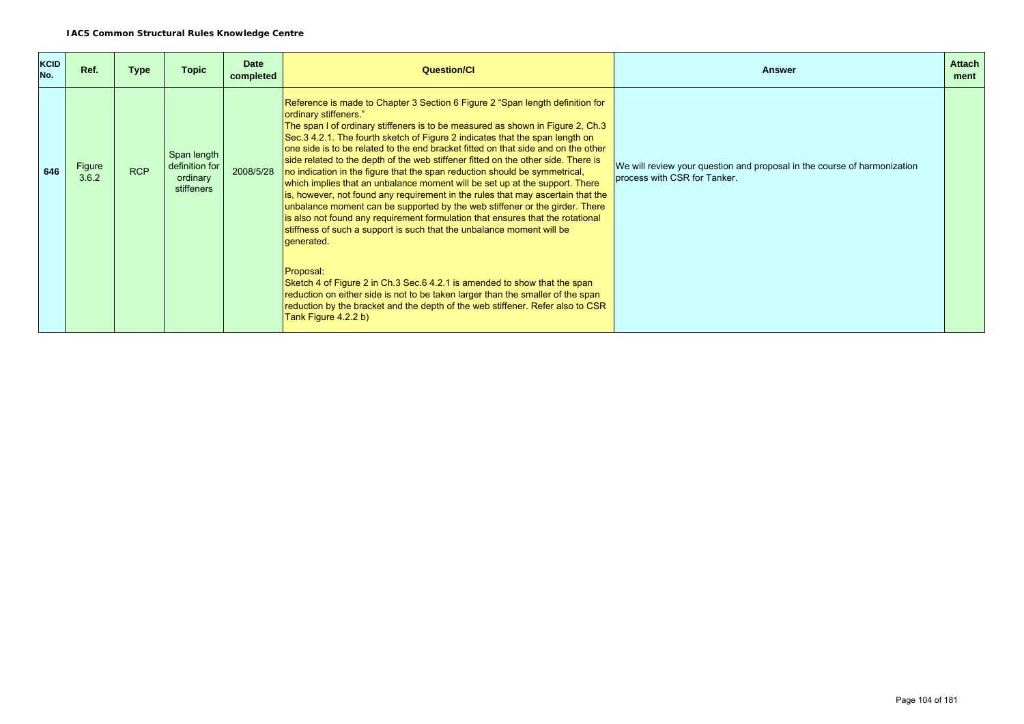| <b>KCID</b><br>No. | Ref.            | <b>Type</b> | <b>Topic</b>                                            | Date<br>completed | <b>Question/CI</b>                                                                                                                                                                                                                                                                                                                                                                                                                                                                                                                                                                                                                                                                                                                                                                                                                                                                                                                                         | <b>Answer</b>                                                                                            | <b>Attach</b><br>ment |
|--------------------|-----------------|-------------|---------------------------------------------------------|-------------------|------------------------------------------------------------------------------------------------------------------------------------------------------------------------------------------------------------------------------------------------------------------------------------------------------------------------------------------------------------------------------------------------------------------------------------------------------------------------------------------------------------------------------------------------------------------------------------------------------------------------------------------------------------------------------------------------------------------------------------------------------------------------------------------------------------------------------------------------------------------------------------------------------------------------------------------------------------|----------------------------------------------------------------------------------------------------------|-----------------------|
| 646                | Figure<br>3.6.2 | <b>RCP</b>  | Span length<br>definition for<br>ordinary<br>stiffeners | 2008/5/28         | Reference is made to Chapter 3 Section 6 Figure 2 "Span length definition for<br>ordinary stiffeners."<br>The span I of ordinary stiffeners is to be measured as shown in Figure 2, Ch.3<br>Sec. 34.2.1. The fourth sketch of Figure 2 indicates that the span length on<br>one side is to be related to the end bracket fitted on that side and on the other<br>side related to the depth of the web stiffener fitted on the other side. There is<br>no indication in the figure that the span reduction should be symmetrical,<br>which implies that an unbalance moment will be set up at the support. There<br>is, however, not found any requirement in the rules that may ascertain that the<br>unbalance moment can be supported by the web stiffener or the girder. There<br>is also not found any requirement formulation that ensures that the rotational<br>stiffness of such a support is such that the unbalance moment will be<br>generated. | We will review your question and proposal in the course of harmonization<br>process with CSR for Tanker. |                       |
|                    |                 |             |                                                         |                   | Proposal:<br>Sketch 4 of Figure 2 in Ch.3 Sec.6 4.2.1 is amended to show that the span<br>reduction on either side is not to be taken larger than the smaller of the span<br>reduction by the bracket and the depth of the web stiffener. Refer also to CSR<br>Tank Figure 4.2.2 b)                                                                                                                                                                                                                                                                                                                                                                                                                                                                                                                                                                                                                                                                        |                                                                                                          |                       |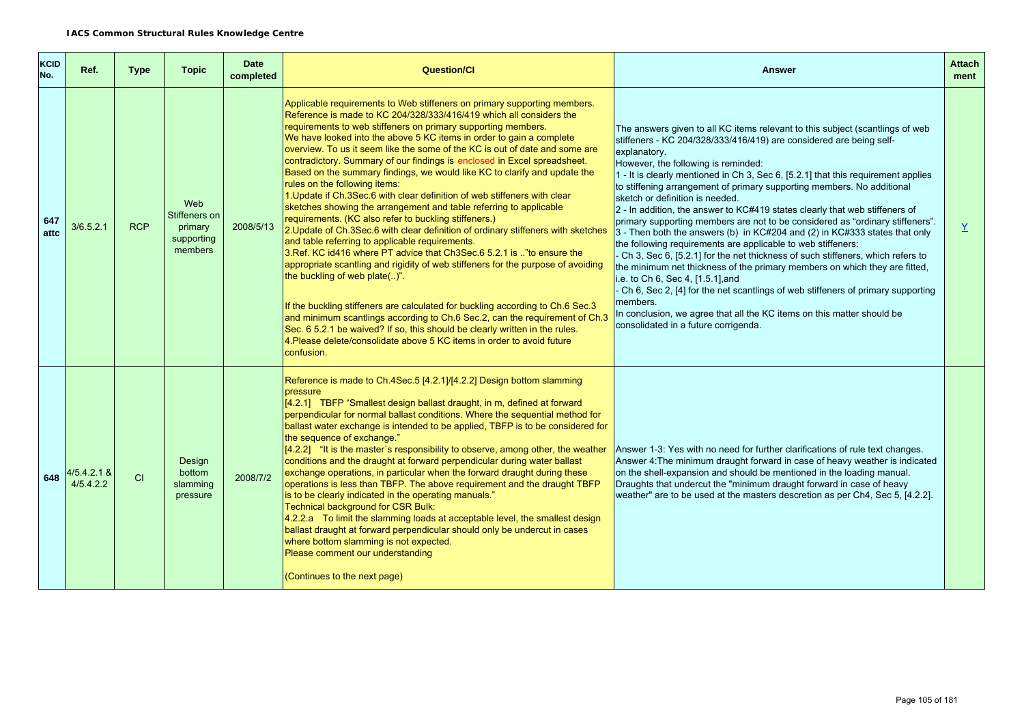| <b>KCID</b><br>No. | Ref.                       | Type       | <b>Topic</b>                                             | <b>Date</b><br>completed | <b>Question/Cl</b>                                                                                                                                                                                                                                                                                                                                                                                                                                                                                                                                                                                                                                                                                                                                                                                                                                                                                                                                                                                                                                                                                                                                                                                                                                                                                                                                                                                                                                           | <b>Answer</b>                                                                                                                                                                                                                                                                                                                                                                                                                                                                                                                                                                                                                                                                                                                                                                                                                                                                                                                                                                                                                                                                                                                                       | <b>Attach</b><br>ment |
|--------------------|----------------------------|------------|----------------------------------------------------------|--------------------------|--------------------------------------------------------------------------------------------------------------------------------------------------------------------------------------------------------------------------------------------------------------------------------------------------------------------------------------------------------------------------------------------------------------------------------------------------------------------------------------------------------------------------------------------------------------------------------------------------------------------------------------------------------------------------------------------------------------------------------------------------------------------------------------------------------------------------------------------------------------------------------------------------------------------------------------------------------------------------------------------------------------------------------------------------------------------------------------------------------------------------------------------------------------------------------------------------------------------------------------------------------------------------------------------------------------------------------------------------------------------------------------------------------------------------------------------------------------|-----------------------------------------------------------------------------------------------------------------------------------------------------------------------------------------------------------------------------------------------------------------------------------------------------------------------------------------------------------------------------------------------------------------------------------------------------------------------------------------------------------------------------------------------------------------------------------------------------------------------------------------------------------------------------------------------------------------------------------------------------------------------------------------------------------------------------------------------------------------------------------------------------------------------------------------------------------------------------------------------------------------------------------------------------------------------------------------------------------------------------------------------------|-----------------------|
| 647<br>attc        | 3/6.5.2.1                  | <b>RCP</b> | Web<br>Stiffeners on<br>primary<br>supporting<br>members | 2008/5/13                | Applicable requirements to Web stiffeners on primary supporting members.<br>Reference is made to KC 204/328/333/416/419 which all considers the<br>requirements to web stiffeners on primary supporting members.<br>We have looked into the above 5 KC items in order to gain a complete<br>overview. To us it seem like the some of the KC is out of date and some are<br>contradictory. Summary of our findings is enclosed in Excel spreadsheet.<br>Based on the summary findings, we would like KC to clarify and update the<br>rules on the following items:<br>1. Update if Ch.3Sec.6 with clear definition of web stiffeners with clear<br>sketches showing the arrangement and table referring to applicable<br>requirements. (KC also refer to buckling stiffeners.)<br>2. Update of Ch.3Sec.6 with clear definition of ordinary stiffeners with sketches<br>and table referring to applicable requirements.<br>3.Ref. KC id416 where PT advice that Ch3Sec.6 5.2.1 is  "to ensure the<br>appropriate scantling and rigidity of web stiffeners for the purpose of avoiding<br>the buckling of web plate()".<br>If the buckling stiffeners are calculated for buckling according to Ch.6 Sec.3<br>and minimum scantlings according to Ch.6 Sec.2, can the requirement of Ch.3<br>Sec. 6 5.2.1 be waived? If so, this should be clearly written in the rules.<br>4. Please delete/consolidate above 5 KC items in order to avoid future<br>confusion. | The answers given to all KC items relevant to this subject (scantlings of web<br>stiffeners - KC 204/328/333/416/419) are considered are being self-<br>explanatory.<br>However, the following is reminded:<br>1 - It is clearly mentioned in Ch 3, Sec 6, [5.2.1] that this requirement applies<br>to stiffening arrangement of primary supporting members. No additional<br>sketch or definition is needed.<br>$2$ - In addition, the answer to KC#419 states clearly that web stiffeners of<br>primary supporting members are not to be considered as "ordinary stiffeners".<br>3 - Then both the answers (b) in KC#204 and (2) in KC#333 states that only<br>the following requirements are applicable to web stiffeners:<br>Ch 3, Sec 6, [5.2.1] for the net thickness of such stiffeners, which refers to<br>the minimum net thickness of the primary members on which they are fitted,<br>i.e. to Ch 6, Sec 4, [1.5.1], and<br>Ch 6, Sec 2, [4] for the net scantlings of web stiffeners of primary supporting<br>members.<br>In conclusion, we agree that all the KC items on this matter should be<br>consolidated in a future corrigenda. | $\underline{Y}$       |
| 648                | $4/5.4.2.1$ &<br>4/5.4.2.2 | CI         | Design<br>bottom<br>slamming<br>pressure                 | 2008/7/2                 | Reference is made to Ch.4Sec.5 [4.2.1]/[4.2.2] Design bottom slamming<br>pressure<br>[4.2.1] TBFP "Smallest design ballast draught, in m, defined at forward<br>perpendicular for normal ballast conditions. Where the sequential method for<br>ballast water exchange is intended to be applied, TBFP is to be considered for<br>the sequence of exchange."<br>$[4.2.2]$ "It is the master's responsibility to observe, among other, the weather<br>conditions and the draught at forward perpendicular during water ballast<br>exchange operations, in particular when the forward draught during these<br>operations is less than TBFP. The above requirement and the draught TBFP<br>is to be clearly indicated in the operating manuals."<br>Technical background for CSR Bulk:<br>$4.2.2.a$ To limit the slamming loads at acceptable level, the smallest design<br>ballast draught at forward perpendicular should only be undercut in cases<br>where bottom slamming is not expected.<br>Please comment our understanding<br>(Continues to the next page)                                                                                                                                                                                                                                                                                                                                                                                            | Answer 1-3: Yes with no need for further clarifications of rule text changes.<br>Answer 4: The minimum draught forward in case of heavy weather is indicated<br>on the shell-expansion and should be mentioned in the loading manual.<br>Draughts that undercut the "minimum draught forward in case of heavy<br>weather" are to be used at the masters descretion as per Ch4, Sec 5, [4.2.2].                                                                                                                                                                                                                                                                                                                                                                                                                                                                                                                                                                                                                                                                                                                                                      |                       |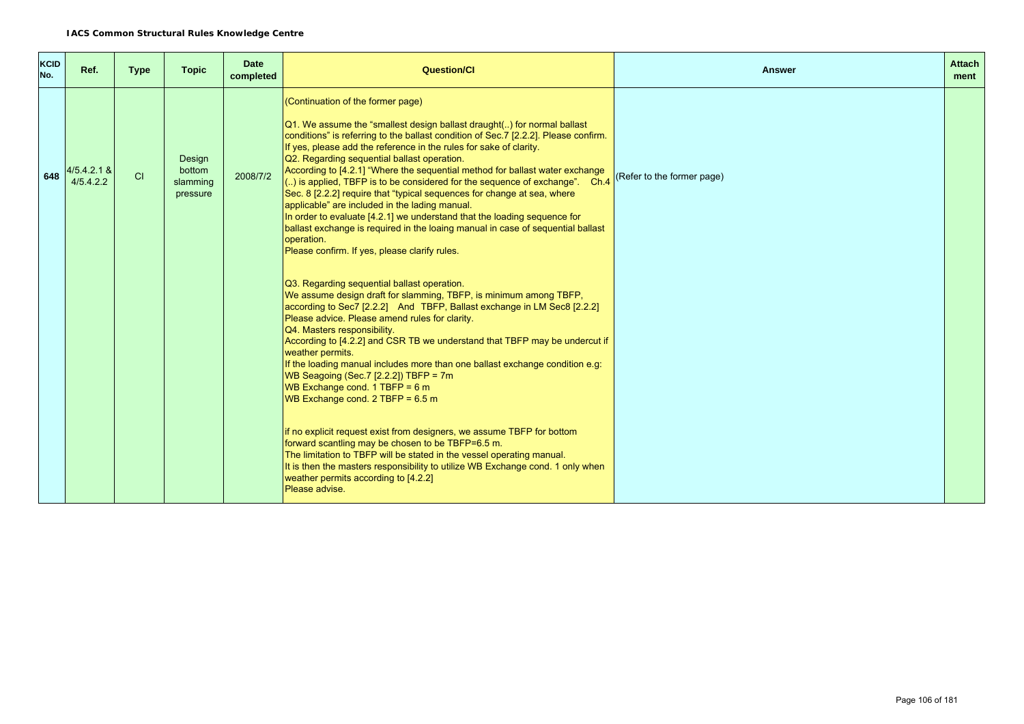| KCID<br>No. | Ref.                       | <b>Type</b> | <b>Topic</b>                             | <b>Date</b><br>completed | Question/Cl                                                                                                                                                                                                                                                                                                                                                                                                                                                                                                                                                                                                                                                                                                                                                                                                                                                                                                                               | <b>Answer</b>              | <b>Attach</b><br>ment |
|-------------|----------------------------|-------------|------------------------------------------|--------------------------|-------------------------------------------------------------------------------------------------------------------------------------------------------------------------------------------------------------------------------------------------------------------------------------------------------------------------------------------------------------------------------------------------------------------------------------------------------------------------------------------------------------------------------------------------------------------------------------------------------------------------------------------------------------------------------------------------------------------------------------------------------------------------------------------------------------------------------------------------------------------------------------------------------------------------------------------|----------------------------|-----------------------|
| 648         | $4/5.4.2.1$ &<br>4/5.4.2.2 | <b>CI</b>   | Design<br>bottom<br>slamming<br>pressure | 2008/7/2                 | (Continuation of the former page)<br>[Q1. We assume the "smallest design ballast draught() for normal ballast<br>conditions" is referring to the ballast condition of Sec. 7 [2.2.2]. Please confirm.<br>If yes, please add the reference in the rules for sake of clarity.<br>Q2. Regarding sequential ballast operation.<br>According to [4.2.1] "Where the sequential method for ballast water exchange<br>$\left  \dots \right $ is applied, TBFP is to be considered for the sequence of exchange". Ch.4<br>Sec. 8 [2.2.2] require that "typical sequences for change at sea, where<br>applicable" are included in the lading manual.<br>In order to evaluate [4.2.1] we understand that the loading sequence for<br>ballast exchange is required in the loaing manual in case of sequential ballast<br>operation.<br>Please confirm. If yes, please clarify rules.                                                                  | (Refer to the former page) |                       |
|             |                            |             |                                          |                          | Q3. Regarding sequential ballast operation.<br>We assume design draft for slamming, TBFP, is minimum among TBFP,<br>according to Sec7 [2.2.2] And TBFP, Ballast exchange in LM Sec8 [2.2.2]<br>Please advice. Please amend rules for clarity.<br>Q4. Masters responsibility.<br>According to [4.2.2] and CSR TB we understand that TBFP may be undercut if<br>weather permits.<br>If the loading manual includes more than one ballast exchange condition e.g:<br>WB Seagoing (Sec. 7 $[2.2.2]$ ) TBFP = 7m<br>WB Exchange cond. 1 TBFP = $6 m$<br>WB Exchange cond. $2$ TBFP = 6.5 m<br>If no explicit request exist from designers, we assume TBFP for bottom<br>forward scantling may be chosen to be TBFP=6.5 m.<br>The limitation to TBFP will be stated in the vessel operating manual.<br>It is then the masters responsibility to utilize WB Exchange cond. 1 only when<br>weather permits according to [4.2.2]<br>Please advise. |                            |                       |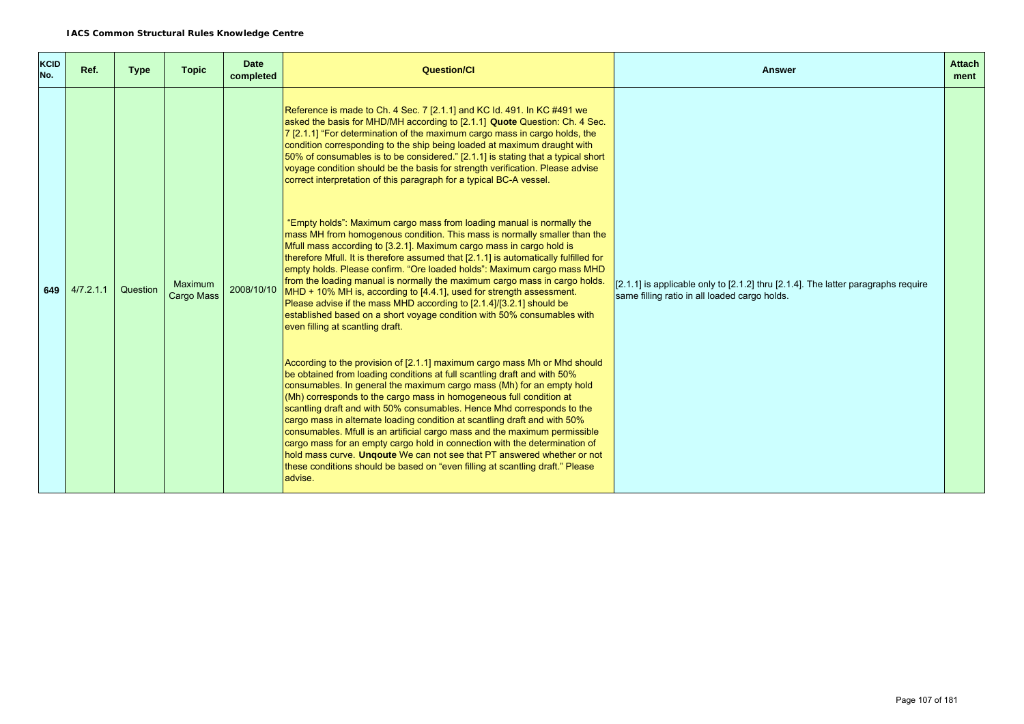| <b>KCID</b><br>No. | Ref.      | <b>Type</b> | <b>Topic</b>                        | <b>Date</b><br>completed | <b>Question/Cl</b>                                                                                                                                                                                                                                                                                                                                                                                                                                                                                                                                                                                                                                                                                                                                                                                                                                                                                                                                                                                                                                                                                                                                                                                                                                                                                                                                                                                                                                                                                                                                                                                                 | <b>Answer</b>                                                                                                                      | <b>Attach</b><br>ment |
|--------------------|-----------|-------------|-------------------------------------|--------------------------|--------------------------------------------------------------------------------------------------------------------------------------------------------------------------------------------------------------------------------------------------------------------------------------------------------------------------------------------------------------------------------------------------------------------------------------------------------------------------------------------------------------------------------------------------------------------------------------------------------------------------------------------------------------------------------------------------------------------------------------------------------------------------------------------------------------------------------------------------------------------------------------------------------------------------------------------------------------------------------------------------------------------------------------------------------------------------------------------------------------------------------------------------------------------------------------------------------------------------------------------------------------------------------------------------------------------------------------------------------------------------------------------------------------------------------------------------------------------------------------------------------------------------------------------------------------------------------------------------------------------|------------------------------------------------------------------------------------------------------------------------------------|-----------------------|
| 649                | 4/7.2.1.1 | Question    | <b>Maximum</b><br><b>Cargo Mass</b> | 2008/10/10               | Reference is made to Ch. 4 Sec. 7 [2.1.1] and KC Id. 491. In KC #491 we<br>asked the basis for MHD/MH according to [2.1.1] Quote Question: Ch. 4 Sec.<br>7 [2.1.1] "For determination of the maximum cargo mass in cargo holds, the<br>condition corresponding to the ship being loaded at maximum draught with<br>50% of consumables is to be considered." [2.1.1] is stating that a typical short<br>voyage condition should be the basis for strength verification. Please advise<br>correct interpretation of this paragraph for a typical BC-A vessel.<br>"Empty holds": Maximum cargo mass from loading manual is normally the<br>mass MH from homogenous condition. This mass is normally smaller than the<br>Mfull mass according to [3.2.1]. Maximum cargo mass in cargo hold is<br>therefore Mfull. It is therefore assumed that [2.1.1] is automatically fulfilled for<br>empty holds. Please confirm. "Ore loaded holds": Maximum cargo mass MHD<br>from the loading manual is normally the maximum cargo mass in cargo holds.<br>MHD + 10% MH is, according to [4.4.1], used for strength assessment.<br>Please advise if the mass MHD according to [2.1.4]/[3.2.1] should be<br>established based on a short voyage condition with 50% consumables with<br>even filling at scantling draft.<br>According to the provision of [2.1.1] maximum cargo mass Mh or Mhd should<br>be obtained from loading conditions at full scantling draft and with 50%<br>consumables. In general the maximum cargo mass (Mh) for an empty hold<br>(Mh) corresponds to the cargo mass in homogeneous full condition at | [2.1.1] is applicable only to [2.1.2] thru [2.1.4]. The latter paragraphs require<br>same filling ratio in all loaded cargo holds. |                       |
|                    |           |             |                                     |                          | scantling draft and with 50% consumables. Hence Mhd corresponds to the<br>cargo mass in alternate loading condition at scantling draft and with 50%<br>consumables. Mfull is an artificial cargo mass and the maximum permissible<br>cargo mass for an empty cargo hold in connection with the determination of<br>hold mass curve. Ungoute We can not see that PT answered whether or not<br>these conditions should be based on "even filling at scantling draft." Please<br>advise.                                                                                                                                                                                                                                                                                                                                                                                                                                                                                                                                                                                                                                                                                                                                                                                                                                                                                                                                                                                                                                                                                                                             |                                                                                                                                    |                       |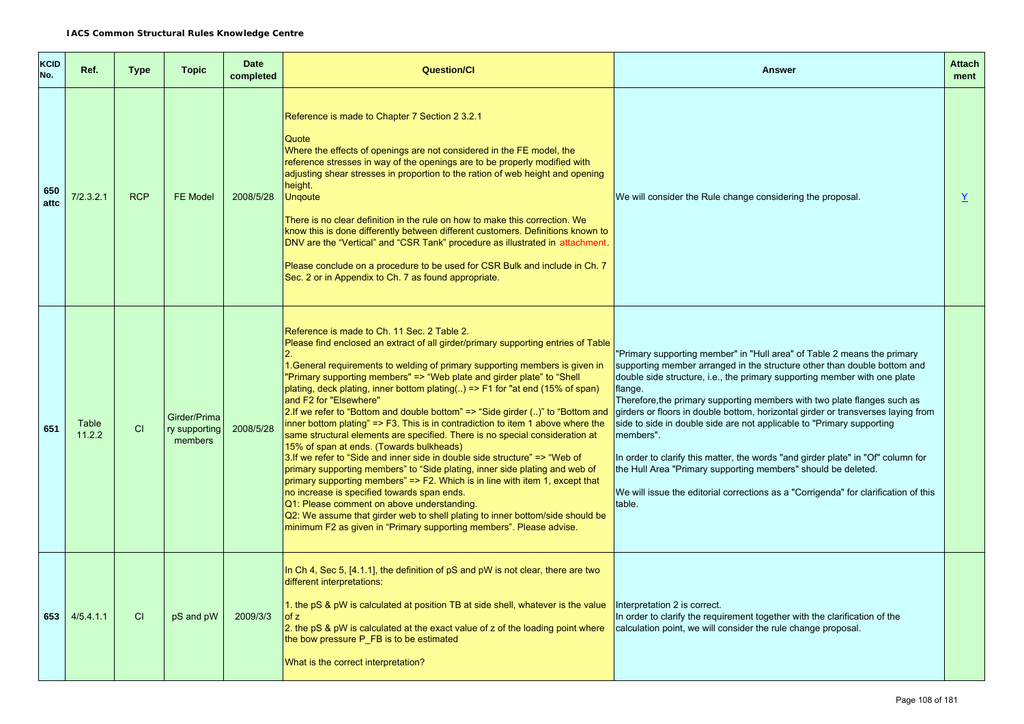| <b>KCID</b><br>No. | Ref.                   | <b>Type</b> | <b>Topic</b>                             | <b>Date</b><br>completed | <b>Question/CI</b>                                                                                                                                                                                                                                                                                                                                                                                                                                                                                                                                                                                                                                                                                                                                                                                                                                                                                                                                                                                                                                                                                                                                                                                                                         | Answer                                                                                                                                                                                                                                                                                                                                                                                                                                                                                                                                                                                                                                                                                                                                                  | <b>Attach</b><br>ment |
|--------------------|------------------------|-------------|------------------------------------------|--------------------------|--------------------------------------------------------------------------------------------------------------------------------------------------------------------------------------------------------------------------------------------------------------------------------------------------------------------------------------------------------------------------------------------------------------------------------------------------------------------------------------------------------------------------------------------------------------------------------------------------------------------------------------------------------------------------------------------------------------------------------------------------------------------------------------------------------------------------------------------------------------------------------------------------------------------------------------------------------------------------------------------------------------------------------------------------------------------------------------------------------------------------------------------------------------------------------------------------------------------------------------------|---------------------------------------------------------------------------------------------------------------------------------------------------------------------------------------------------------------------------------------------------------------------------------------------------------------------------------------------------------------------------------------------------------------------------------------------------------------------------------------------------------------------------------------------------------------------------------------------------------------------------------------------------------------------------------------------------------------------------------------------------------|-----------------------|
| 650<br>attc        | 7/2.3.2.1              | <b>RCP</b>  | <b>FE Model</b>                          | 2008/5/28                | Reference is made to Chapter 7 Section 2 3.2.1<br>Quote<br>Where the effects of openings are not considered in the FE model, the<br>reference stresses in way of the openings are to be properly modified with<br>adjusting shear stresses in proportion to the ration of web height and opening<br>height.<br><b>Ungoute</b><br>There is no clear definition in the rule on how to make this correction. We<br>know this is done differently between different customers. Definitions known to<br>DNV are the "Vertical" and "CSR Tank" procedure as illustrated in attachment.<br>Please conclude on a procedure to be used for CSR Bulk and include in Ch. 7<br>Sec. 2 or in Appendix to Ch. 7 as found appropriate.                                                                                                                                                                                                                                                                                                                                                                                                                                                                                                                    | We will consider the Rule change considering the proposal.                                                                                                                                                                                                                                                                                                                                                                                                                                                                                                                                                                                                                                                                                              | $\underline{Y}$       |
| 651                | <b>Table</b><br>11.2.2 | CI          | Girder/Prima<br>ry supporting<br>members | 2008/5/28                | Reference is made to Ch. 11 Sec. 2 Table 2.<br>Please find enclosed an extract of all girder/primary supporting entries of Table<br>1. General requirements to welding of primary supporting members is given in<br>"Primary supporting members" => "Web plate and girder plate" to "Shell<br>plating, deck plating, inner bottom plating( $\ldots$ ) => F1 for "at end (15% of span)<br>and F2 for "Elsewhere"<br>2. If we refer to "Bottom and double bottom" $\Rightarrow$ "Side girder ()" to "Bottom and<br>inner bottom plating" => F3. This is in contradiction to item 1 above where the<br>same structural elements are specified. There is no special consideration at<br>15% of span at ends. (Towards bulkheads)<br>3. If we refer to "Side and inner side in double side structure" => "Web of<br>primary supporting members" to "Side plating, inner side plating and web of<br>primary supporting members" $\Rightarrow$ F2. Which is in line with item 1, except that<br>no increase is specified towards span ends.<br>Q1: Please comment on above understanding.<br>Q2: We assume that girder web to shell plating to inner bottom/side should be<br>minimum F2 as given in "Primary supporting members". Please advise. | "Primary supporting member" in "Hull area" of Table 2 means the primary<br>supporting member arranged in the structure other than double bottom and<br>double side structure, i.e., the primary supporting member with one plate<br>flange.<br>Therefore, the primary supporting members with two plate flanges such as<br>girders or floors in double bottom, horizontal girder or transverses laying from<br>side to side in double side are not applicable to "Primary supporting<br>members".<br>In order to clarify this matter, the words "and girder plate" in "Of" column for<br>the Hull Area "Primary supporting members" should be deleted.<br>We will issue the editorial corrections as a "Corrigenda" for clarification of this<br>table. |                       |
| 653                | 4/5.4.1.1              | <b>CI</b>   | pS and pW                                | 2009/3/3                 | In Ch 4, Sec 5, $[4.1.1]$ , the definition of pS and pW is not clear, there are two<br>different interpretations:<br>1. the pS & pW is calculated at position TB at side shell, whatever is the value<br>of z<br>2. the pS & pW is calculated at the exact value of z of the loading point where<br>the bow pressure P_FB is to be estimated<br>What is the correct interpretation?                                                                                                                                                                                                                                                                                                                                                                                                                                                                                                                                                                                                                                                                                                                                                                                                                                                        | Interpretation 2 is correct.<br>In order to clarify the requirement together with the clarification of the<br>calculation point, we will consider the rule change proposal.                                                                                                                                                                                                                                                                                                                                                                                                                                                                                                                                                                             |                       |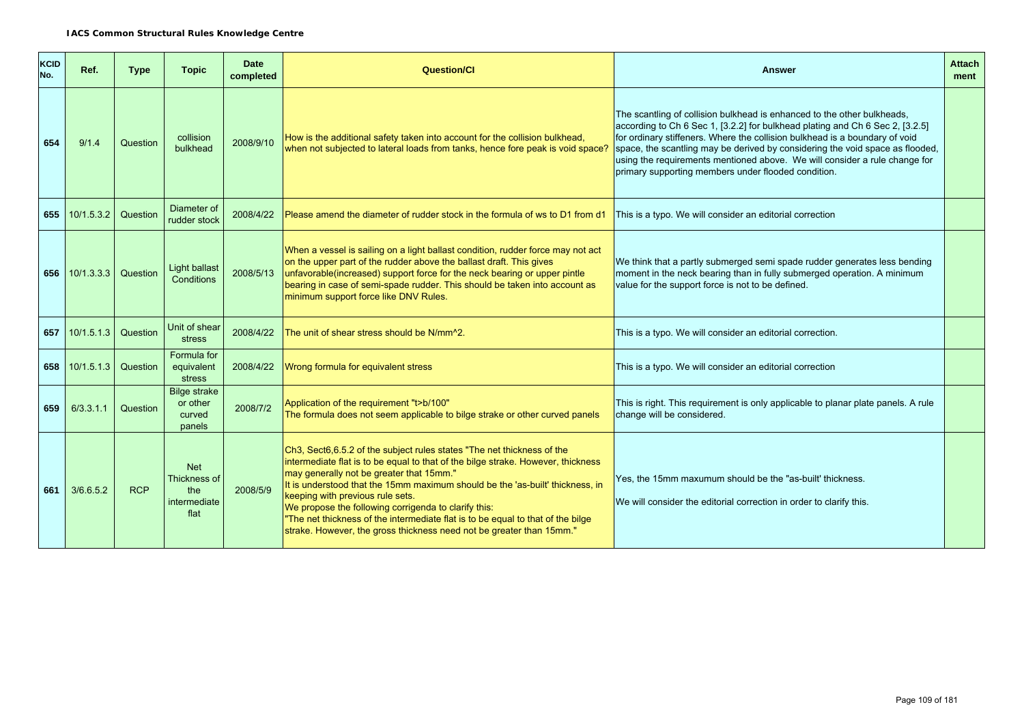| <b>KCID</b><br>No. | Ref.                    | <b>Type</b> | <b>Topic</b>                                              | <b>Date</b><br>completed | <b>Question/Cl</b>                                                                                                                                                                                                                                                                                                                                                                                                                                                                                                                             | Answer                                                                                                                                                                                                                                                                                                                                                                                                                                                        | <b>Attach</b><br>ment |
|--------------------|-------------------------|-------------|-----------------------------------------------------------|--------------------------|------------------------------------------------------------------------------------------------------------------------------------------------------------------------------------------------------------------------------------------------------------------------------------------------------------------------------------------------------------------------------------------------------------------------------------------------------------------------------------------------------------------------------------------------|---------------------------------------------------------------------------------------------------------------------------------------------------------------------------------------------------------------------------------------------------------------------------------------------------------------------------------------------------------------------------------------------------------------------------------------------------------------|-----------------------|
| 654                | 9/1.4                   | Question    | collision<br>bulkhead                                     | 2008/9/10                | How is the additional safety taken into account for the collision bulkhead,<br>when not subjected to lateral loads from tanks, hence fore peak is void space?                                                                                                                                                                                                                                                                                                                                                                                  | The scantling of collision bulkhead is enhanced to the other bulkheads,<br>according to Ch 6 Sec 1, [3.2.2] for bulkhead plating and Ch 6 Sec 2, [3.2.5]<br>for ordinary stiffeners. Where the collision bulkhead is a boundary of void<br>space, the scantling may be derived by considering the void space as flooded,<br>using the requirements mentioned above. We will consider a rule change for<br>primary supporting members under flooded condition. |                       |
| 655                | 10/1.5.3.2              | Question    | Diameter of<br>rudder stock                               | 2008/4/22                | Please amend the diameter of rudder stock in the formula of ws to D1 from d1                                                                                                                                                                                                                                                                                                                                                                                                                                                                   | This is a typo. We will consider an editorial correction                                                                                                                                                                                                                                                                                                                                                                                                      |                       |
|                    | 656 10/1.3.3.3 Question |             | Light ballast<br>Conditions                               | 2008/5/13                | When a vessel is sailing on a light ballast condition, rudder force may not act<br>on the upper part of the rudder above the ballast draft. This gives<br>unfavorable(increased) support force for the neck bearing or upper pintle<br>bearing in case of semi-spade rudder. This should be taken into account as<br>minimum support force like DNV Rules.                                                                                                                                                                                     | We think that a partly submerged semi spade rudder generates less bending<br>moment in the neck bearing than in fully submerged operation. A minimum<br>value for the support force is not to be defined.                                                                                                                                                                                                                                                     |                       |
| 657                | 10/1.5.1.3              | Question    | Unit of shear<br>stress                                   | 2008/4/22                | The unit of shear stress should be N/mm^2.                                                                                                                                                                                                                                                                                                                                                                                                                                                                                                     | This is a typo. We will consider an editorial correction.                                                                                                                                                                                                                                                                                                                                                                                                     |                       |
|                    | 658 10/1.5.1.3          | Question    | Formula for<br>equivalent<br>stress                       | 2008/4/22                | Wrong formula for equivalent stress                                                                                                                                                                                                                                                                                                                                                                                                                                                                                                            | This is a typo. We will consider an editorial correction                                                                                                                                                                                                                                                                                                                                                                                                      |                       |
| 659                | 6/3.3.1.1               | Question    | <b>Bilge strake</b><br>or other<br>curved<br>panels       | 2008/7/2                 | Application of the requirement "t>b/100"<br>The formula does not seem applicable to bilge strake or other curved panels                                                                                                                                                                                                                                                                                                                                                                                                                        | This is right. This requirement is only applicable to planar plate panels. A rule<br>change will be considered.                                                                                                                                                                                                                                                                                                                                               |                       |
| 661                | 3/6.6.5.2               | <b>RCP</b>  | <b>Net</b><br>Thickness of<br>the<br>intermediate<br>flat | 2008/5/9                 | Ch3, Sect6,6.5.2 of the subject rules states "The net thickness of the<br>intermediate flat is to be equal to that of the bilge strake. However, thickness<br>may generally not be greater that 15mm."<br>It is understood that the 15mm maximum should be the 'as-built' thickness, in<br>keeping with previous rule sets.<br>We propose the following corrigenda to clarify this:<br>"The net thickness of the intermediate flat is to be equal to that of the bilge<br>strake. However, the gross thickness need not be greater than 15mm." | Yes, the 15mm maxumum should be the "as-built' thickness.<br>We will consider the editorial correction in order to clarify this.                                                                                                                                                                                                                                                                                                                              |                       |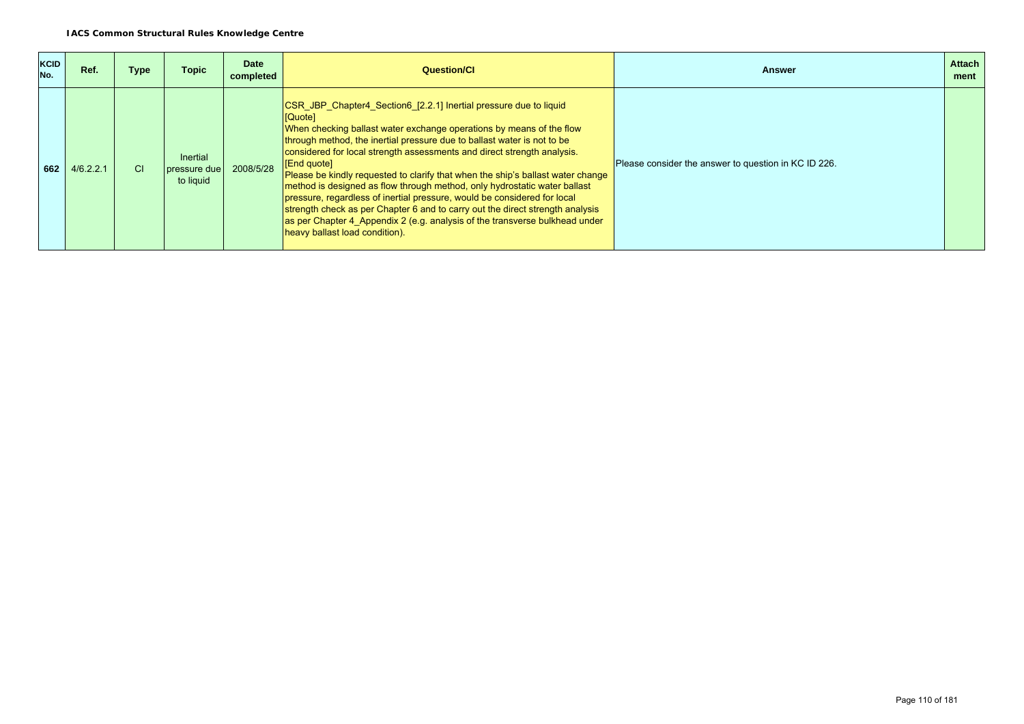| <b>KCID</b><br>No. | Ref.      | Type | <b>Topic</b>                                 | <b>Date</b><br>completed | Question/Cl                                                                                                                                                                                                                                                                                                                                                                                                                                                                                                                                                                                                                                                                                                                                                             | <b>Answer</b>                                        | <b>Attach</b><br>ment |
|--------------------|-----------|------|----------------------------------------------|--------------------------|-------------------------------------------------------------------------------------------------------------------------------------------------------------------------------------------------------------------------------------------------------------------------------------------------------------------------------------------------------------------------------------------------------------------------------------------------------------------------------------------------------------------------------------------------------------------------------------------------------------------------------------------------------------------------------------------------------------------------------------------------------------------------|------------------------------------------------------|-----------------------|
| 662                | 4/6.2.2.1 | СI   | <b>Inertial</b><br>pressure due<br>to liquid | 2008/5/28                | CSR JBP Chapter4 Section6 [2.2.1] Inertial pressure due to liquid<br>[Quote]<br>When checking ballast water exchange operations by means of the flow<br>through method, the inertial pressure due to ballast water is not to be<br>considered for local strength assessments and direct strength analysis.<br>[End quote]<br>Please be kindly requested to clarify that when the ship's ballast water change<br>method is designed as flow through method, only hydrostatic water ballast<br>pressure, regardless of inertial pressure, would be considered for local<br>strength check as per Chapter 6 and to carry out the direct strength analysis<br>as per Chapter 4 Appendix 2 (e.g. analysis of the transverse bulkhead under<br>heavy ballast load condition). | Please consider the answer to question in KC ID 226. |                       |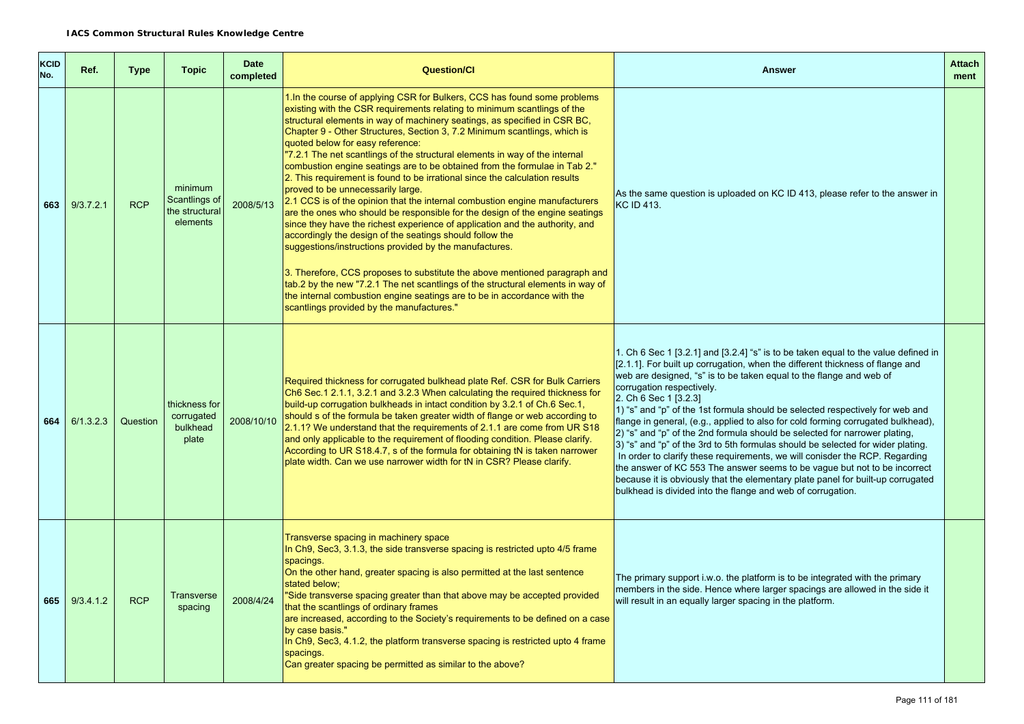| <b>KCID</b><br>No. | Ref.      | <b>Type</b> | <b>Topic</b>                                           | <b>Date</b><br>completed | <b>Question/Cl</b>                                                                                                                                                                                                                                                                                                                                                                                                                                                                                                                                                                                                                                                                                                                                                                                                                                                                                                                                                                                                                                                                                                                                                                                                                                                                                  | <b>Answer</b>                                                                                                                                                                                                                                                                                                                                                                                                                                                                                                                                                                                                                                                                                                                                                                                                                                                                                                                                        | <b>Attach</b><br>ment |
|--------------------|-----------|-------------|--------------------------------------------------------|--------------------------|-----------------------------------------------------------------------------------------------------------------------------------------------------------------------------------------------------------------------------------------------------------------------------------------------------------------------------------------------------------------------------------------------------------------------------------------------------------------------------------------------------------------------------------------------------------------------------------------------------------------------------------------------------------------------------------------------------------------------------------------------------------------------------------------------------------------------------------------------------------------------------------------------------------------------------------------------------------------------------------------------------------------------------------------------------------------------------------------------------------------------------------------------------------------------------------------------------------------------------------------------------------------------------------------------------|------------------------------------------------------------------------------------------------------------------------------------------------------------------------------------------------------------------------------------------------------------------------------------------------------------------------------------------------------------------------------------------------------------------------------------------------------------------------------------------------------------------------------------------------------------------------------------------------------------------------------------------------------------------------------------------------------------------------------------------------------------------------------------------------------------------------------------------------------------------------------------------------------------------------------------------------------|-----------------------|
| 663                | 9/3.7.2.1 | <b>RCP</b>  | minimum<br>Scantlings of<br>the structural<br>elements | 2008/5/13                | 1. In the course of applying CSR for Bulkers, CCS has found some problems<br>existing with the CSR requirements relating to minimum scantlings of the<br>structural elements in way of machinery seatings, as specified in CSR BC,<br>Chapter 9 - Other Structures, Section 3, 7.2 Minimum scantlings, which is<br>quoted below for easy reference:<br>"7.2.1 The net scantlings of the structural elements in way of the internal<br>combustion engine seatings are to be obtained from the formulae in Tab 2."<br>2. This requirement is found to be irrational since the calculation results<br>proved to be unnecessarily large.<br>2.1 CCS is of the opinion that the internal combustion engine manufacturers<br>are the ones who should be responsible for the design of the engine seatings<br>since they have the richest experience of application and the authority, and<br>accordingly the design of the seatings should follow the<br>suggestions/instructions provided by the manufactures.<br>3. Therefore, CCS proposes to substitute the above mentioned paragraph and<br>tab.2 by the new "7.2.1 The net scantlings of the structural elements in way of<br>the internal combustion engine seatings are to be in accordance with the<br>scantlings provided by the manufactures." | As the same question is uploaded on KC ID 413, please refer to the answer in<br>KC ID 413.                                                                                                                                                                                                                                                                                                                                                                                                                                                                                                                                                                                                                                                                                                                                                                                                                                                           |                       |
| 664                | 6/1.3.2.3 | Question    | thickness for<br>corrugated<br>bulkhead<br>plate       | 2008/10/10               | Required thickness for corrugated bulkhead plate Ref. CSR for Bulk Carriers<br>Ch6 Sec.1 2.1.1, 3.2.1 and 3.2.3 When calculating the required thickness for<br>build-up corrugation bulkheads in intact condition by 3.2.1 of Ch.6 Sec.1,<br>should s of the formula be taken greater width of flange or web according to<br>2.1.1? We understand that the requirements of 2.1.1 are come from UR S18<br>and only applicable to the requirement of flooding condition. Please clarify.<br>According to UR S18.4.7, s of the formula for obtaining tN is taken narrower<br>plate width. Can we use narrower width for tN in CSR? Please clarify.                                                                                                                                                                                                                                                                                                                                                                                                                                                                                                                                                                                                                                                     | 1. Ch 6 Sec 1 [3.2.1] and [3.2.4] "s" is to be taken equal to the value defined in<br>[2.1.1]. For built up corrugation, when the different thickness of flange and<br>web are designed, "s" is to be taken equal to the flange and web of<br>corrugation respectively.<br>2. Ch 6 Sec 1 [3.2.3]<br>1) "s" and "p" of the 1st formula should be selected respectively for web and<br>flange in general, (e.g., applied to also for cold forming corrugated bulkhead),<br>2) "s" and "p" of the 2nd formula should be selected for narrower plating,<br>3) "s" and "p" of the 3rd to 5th formulas should be selected for wider plating.<br>In order to clarify these requirements, we will conisder the RCP. Regarding<br>the answer of KC 553 The answer seems to be vague but not to be incorrect<br>because it is obviously that the elementary plate panel for built-up corrugated<br>bulkhead is divided into the flange and web of corrugation. |                       |
| 665                | 9/3.4.1.2 | <b>RCP</b>  | <b>Transverse</b><br>spacing                           | 2008/4/24                | Transverse spacing in machinery space<br>In Ch9, Sec3, 3.1.3, the side transverse spacing is restricted upto 4/5 frame<br>spacings.<br>On the other hand, greater spacing is also permitted at the last sentence<br>stated below:<br>"Side transverse spacing greater than that above may be accepted provided<br>that the scantlings of ordinary frames<br>are increased, according to the Society's requirements to be defined on a case<br>by case basis."<br>In Ch9, Sec3, 4.1.2, the platform transverse spacing is restricted upto 4 frame<br>spacings.<br>Can greater spacing be permitted as similar to the above?                                                                                                                                                                                                                                                                                                                                                                                                                                                                                                                                                                                                                                                                          | The primary support i.w.o. the platform is to be integrated with the primary<br>members in the side. Hence where larger spacings are allowed in the side it<br>will result in an equally larger spacing in the platform.                                                                                                                                                                                                                                                                                                                                                                                                                                                                                                                                                                                                                                                                                                                             |                       |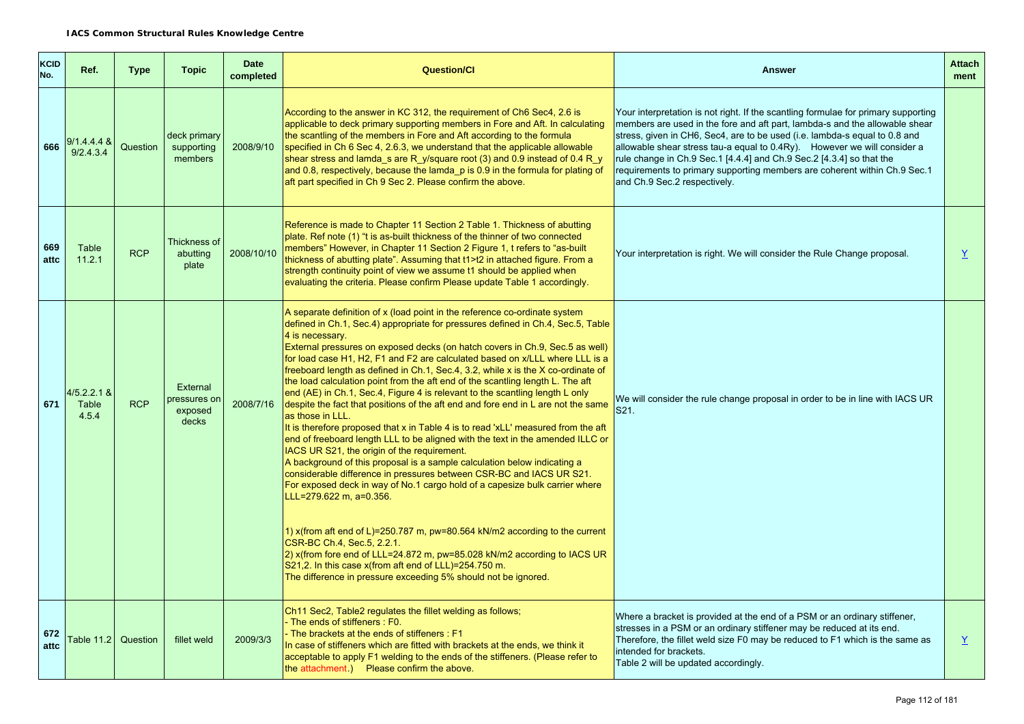| KCID<br>No. | Ref.                            | <b>Type</b> | <b>Topic</b>                                | <b>Date</b><br>completed | <b>Question/Cl</b>                                                                                                                                                                                                                                                                                                                                                                                                                                                                                                                                                                                                                                                                                                                                                                                                                                                                                                                                                                                                                                                                                                                                                                                                                                                                                                                                                                                                                                                                                                      | <b>Answer</b>                                                                                                                                                                                                                                                                                                                                                                                                                                                                                                    | <b>Attach</b><br>ment |
|-------------|---------------------------------|-------------|---------------------------------------------|--------------------------|-------------------------------------------------------------------------------------------------------------------------------------------------------------------------------------------------------------------------------------------------------------------------------------------------------------------------------------------------------------------------------------------------------------------------------------------------------------------------------------------------------------------------------------------------------------------------------------------------------------------------------------------------------------------------------------------------------------------------------------------------------------------------------------------------------------------------------------------------------------------------------------------------------------------------------------------------------------------------------------------------------------------------------------------------------------------------------------------------------------------------------------------------------------------------------------------------------------------------------------------------------------------------------------------------------------------------------------------------------------------------------------------------------------------------------------------------------------------------------------------------------------------------|------------------------------------------------------------------------------------------------------------------------------------------------------------------------------------------------------------------------------------------------------------------------------------------------------------------------------------------------------------------------------------------------------------------------------------------------------------------------------------------------------------------|-----------------------|
| 666         | $9/1.4.4.4 \&$<br>9/2.4.3.4     | Question    | deck primary<br>supporting<br>members       | 2008/9/10                | According to the answer in KC 312, the requirement of Ch6 Sec4, 2.6 is<br>applicable to deck primary supporting members in Fore and Aft. In calculating<br>the scantling of the members in Fore and Aft according to the formula<br>specified in Ch 6 Sec 4, 2.6.3, we understand that the applicable allowable<br>shear stress and lamda_s are R_y/square root (3) and 0.9 instead of 0.4 R_y<br>and 0.8, respectively, because the lamda p is 0.9 in the formula for plating of<br>aft part specified in Ch 9 Sec 2. Please confirm the above.                                                                                                                                                                                                                                                                                                                                                                                                                                                                                                                                                                                                                                                                                                                                                                                                                                                                                                                                                                        | Your interpretation is not right. If the scantling formulae for primary supporting<br>members are used in the fore and aft part, lambda-s and the allowable shear<br>stress, given in CH6, Sec4, are to be used (i.e. lambda-s equal to 0.8 and<br>allowable shear stress tau-a equal to 0.4Ry). However we will consider a<br>rule change in Ch.9 Sec.1 [4.4.4] and Ch.9 Sec.2 [4.3.4] so that the<br>requirements to primary supporting members are coherent within Ch.9 Sec.1<br>and Ch.9 Sec.2 respectively. |                       |
| 669<br>attc | Table<br>11.2.1                 | <b>RCP</b>  | Thickness of<br>abutting<br>plate           | 2008/10/10               | Reference is made to Chapter 11 Section 2 Table 1. Thickness of abutting<br>plate. Ref note (1) "t is as-built thickness of the thinner of two connected<br>members" However, in Chapter 11 Section 2 Figure 1, t refers to "as-built<br>thickness of abutting plate". Assuming that t1>t2 in attached figure. From a<br>strength continuity point of view we assume t1 should be applied when<br>evaluating the criteria. Please confirm Please update Table 1 accordingly.                                                                                                                                                                                                                                                                                                                                                                                                                                                                                                                                                                                                                                                                                                                                                                                                                                                                                                                                                                                                                                            | Your interpretation is right. We will consider the Rule Change proposal.                                                                                                                                                                                                                                                                                                                                                                                                                                         | $\underline{Y}$       |
| 671         | $4/5.2.2.1$ &<br>Table<br>4.5.4 | <b>RCP</b>  | External<br>ressures or<br>exposed<br>decks | 2008/7/16                | A separate definition of x (load point in the reference co-ordinate system<br>defined in Ch.1, Sec.4) appropriate for pressures defined in Ch.4, Sec.5, Table<br>4 is necessary.<br>External pressures on exposed decks (on hatch covers in Ch.9, Sec.5 as well)<br>for load case H1, H2, F1 and F2 are calculated based on x/LLL where LLL is a<br>freeboard length as defined in Ch.1, Sec.4, 3.2, while x is the X co-ordinate of<br>the load calculation point from the aft end of the scantling length L. The aft<br>end (AE) in Ch.1, Sec.4, Figure 4 is relevant to the scantling length L only<br>despite the fact that positions of the aft end and fore end in L are not the same<br>as those in LLL.<br>It is therefore proposed that x in Table 4 is to read 'xLL' measured from the aft<br>end of freeboard length LLL to be aligned with the text in the amended ILLC or<br>IACS UR S21, the origin of the requirement.<br>A background of this proposal is a sample calculation below indicating a<br>considerable difference in pressures between CSR-BC and IACS UR S21.<br>For exposed deck in way of No.1 cargo hold of a capesize bulk carrier where<br>LLL=279.622 m, a=0.356.<br>1) x(from aft end of L)=250.787 m, pw=80.564 kN/m2 according to the current<br>CSR-BC Ch.4, Sec.5, 2.2.1.<br>2) x(from fore end of LLL=24.872 m, pw=85.028 kN/m2 according to IACS UR<br>S21,2. In this case x(from aft end of LLL)=254.750 m.<br>The difference in pressure exceeding 5% should not be ignored. | We will consider the rule change proposal in order to be in line with IACS UR<br>S21.                                                                                                                                                                                                                                                                                                                                                                                                                            |                       |
| 672<br>attc | Table 11.2                      | Question    | fillet weld                                 | 2009/3/3                 | Ch11 Sec2, Table2 regulates the fillet welding as follows;<br>The ends of stiffeners : F0.<br>The brackets at the ends of stiffeners: F1<br>In case of stiffeners which are fitted with brackets at the ends, we think it<br>acceptable to apply F1 welding to the ends of the stiffeners. (Please refer to<br>the attachment.) Please confirm the above.                                                                                                                                                                                                                                                                                                                                                                                                                                                                                                                                                                                                                                                                                                                                                                                                                                                                                                                                                                                                                                                                                                                                                               | Where a bracket is provided at the end of a PSM or an ordinary stiffener,<br>stresses in a PSM or an ordinary stiffener may be reduced at its end.<br>Therefore, the fillet weld size F0 may be reduced to F1 which is the same as<br>intended for brackets.<br>Table 2 will be updated accordingly.                                                                                                                                                                                                             | $\underline{Y}$       |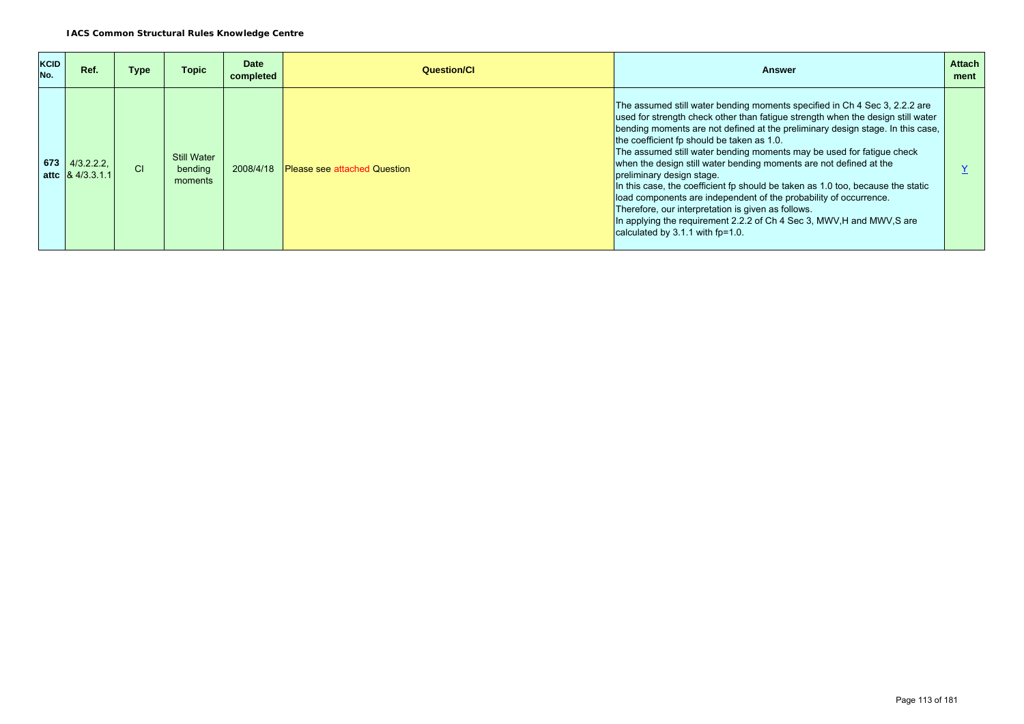| <b>KCID</b><br>No. | Ref.                                          | Type      | Topic                                    | Date<br>completed | Question/Cl                         | <b>Answer</b>                                                                                                                                                                                                                                                                                                                                                                                                                                                                                                                                                                                                                                                                                                                                                                                           | <b>Attach</b><br>ment |
|--------------------|-----------------------------------------------|-----------|------------------------------------------|-------------------|-------------------------------------|---------------------------------------------------------------------------------------------------------------------------------------------------------------------------------------------------------------------------------------------------------------------------------------------------------------------------------------------------------------------------------------------------------------------------------------------------------------------------------------------------------------------------------------------------------------------------------------------------------------------------------------------------------------------------------------------------------------------------------------------------------------------------------------------------------|-----------------------|
|                    | $673$ 4/3.2.2.2.<br>attc $\sqrt{8}$ 4/3.3.1.1 | <b>CI</b> | <b>Still Water</b><br>bending<br>moments | 2008/4/18         | <b>Please see attached Question</b> | The assumed still water bending moments specified in Ch 4 Sec 3, 2.2.2 are<br>used for strength check other than fatigue strength when the design still water<br>bending moments are not defined at the preliminary design stage. In this case,<br>the coefficient fp should be taken as 1.0.<br>The assumed still water bending moments may be used for fatigue check<br>when the design still water bending moments are not defined at the<br>preliminary design stage.<br>In this case, the coefficient fp should be taken as 1.0 too, because the static<br>load components are independent of the probability of occurrence.<br>Therefore, our interpretation is given as follows.<br>In applying the requirement 2.2.2 of Ch 4 Sec 3, MWV, H and MWV, S are<br>calculated by $3.1.1$ with fp=1.0. |                       |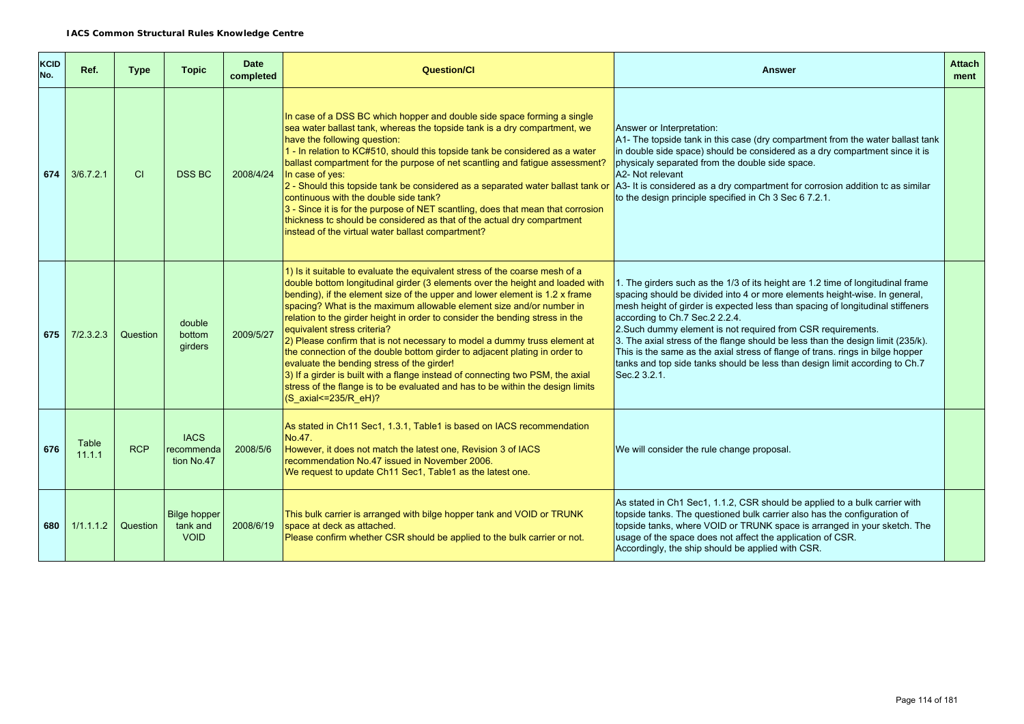| <b>KCID</b><br>No. | Ref.            | Type       | <b>Topic</b>                                   | <b>Date</b><br>completed | <b>Question/Cl</b>                                                                                                                                                                                                                                                                                                                                                                                                                                                                                                                                                                                                                                                                                                                                                                                                                      | <b>Answer</b>                                                                                                                                                                                                                                                                                                                                                                                                                                                                                                                                                                                                          | <b>Attach</b><br>ment |
|--------------------|-----------------|------------|------------------------------------------------|--------------------------|-----------------------------------------------------------------------------------------------------------------------------------------------------------------------------------------------------------------------------------------------------------------------------------------------------------------------------------------------------------------------------------------------------------------------------------------------------------------------------------------------------------------------------------------------------------------------------------------------------------------------------------------------------------------------------------------------------------------------------------------------------------------------------------------------------------------------------------------|------------------------------------------------------------------------------------------------------------------------------------------------------------------------------------------------------------------------------------------------------------------------------------------------------------------------------------------------------------------------------------------------------------------------------------------------------------------------------------------------------------------------------------------------------------------------------------------------------------------------|-----------------------|
| 674                | 3/6.7.2.1       | CI         | <b>DSS BC</b>                                  | 2008/4/24                | In case of a DSS BC which hopper and double side space forming a single<br>sea water ballast tank, whereas the topside tank is a dry compartment, we<br>have the following question:<br>1 - In relation to KC#510, should this topside tank be considered as a water<br>ballast compartment for the purpose of net scantling and fatigue assessment?<br>In case of yes:<br>2 - Should this topside tank be considered as a separated water ballast tank or<br>continuous with the double side tank?<br>3 - Since it is for the purpose of NET scantling, does that mean that corrosion<br>thickness tc should be considered as that of the actual dry compartment<br>instead of the virtual water ballast compartment?                                                                                                                  | Answer or Interpretation:<br>A1- The topside tank in this case (dry compartment from the water ballast tank<br>in double side space) should be considered as a dry compartment since it is<br>physicaly separated from the double side space.<br>A2- Not relevant<br>A3- It is considered as a dry compartment for corrosion addition tc as similar<br>to the design principle specified in Ch 3 Sec 6 7.2.1.                                                                                                                                                                                                          |                       |
| 675                | 7/2.3.2.3       | Question   | double<br>bottom<br>girders                    | 2009/5/27                | 1) Is it suitable to evaluate the equivalent stress of the coarse mesh of a<br>double bottom longitudinal girder (3 elements over the height and loaded with<br>bending), if the element size of the upper and lower element is 1.2 x frame<br>spacing? What is the maximum allowable element size and/or number in<br>relation to the girder height in order to consider the bending stress in the<br>equivalent stress criteria?<br>2) Please confirm that is not necessary to model a dummy truss element at<br>the connection of the double bottom girder to adjacent plating in order to<br>evaluate the bending stress of the girder!<br>3) If a girder is built with a flange instead of connecting two PSM, the axial<br>stress of the flange is to be evaluated and has to be within the design limits<br>(S_axial<=235/R_eH)? | 1. The girders such as the 1/3 of its height are 1.2 time of longitudinal frame<br>spacing should be divided into 4 or more elements height-wise. In general,<br>mesh height of girder is expected less than spacing of longitudinal stiffeners<br>according to Ch.7 Sec.2 2.2.4.<br>2. Such dummy element is not required from CSR requirements.<br>3. The axial stress of the flange should be less than the design limit (235/k).<br>This is the same as the axial stress of flange of trans. rings in bilge hopper<br>tanks and top side tanks should be less than design limit according to Ch.7<br>Sec. 2 3.2.1. |                       |
| 676                | Table<br>11.1.1 | <b>RCP</b> | <b>IACS</b><br>recommenda<br>tion No.47        | 2008/5/6                 | As stated in Ch11 Sec1, 1.3.1, Table1 is based on IACS recommendation<br>No.47.<br>However, it does not match the latest one, Revision 3 of IACS<br>recommendation No.47 issued in November 2006.<br>We request to update Ch11 Sec1, Table1 as the latest one.                                                                                                                                                                                                                                                                                                                                                                                                                                                                                                                                                                          | We will consider the rule change proposal.                                                                                                                                                                                                                                                                                                                                                                                                                                                                                                                                                                             |                       |
| 680                | 1/1.1.1.2       | Question   | <b>Bilge hopper</b><br>tank and<br><b>VOID</b> | 2008/6/19                | This bulk carrier is arranged with bilge hopper tank and VOID or TRUNK<br>space at deck as attached.<br>Please confirm whether CSR should be applied to the bulk carrier or not.                                                                                                                                                                                                                                                                                                                                                                                                                                                                                                                                                                                                                                                        | As stated in Ch1 Sec1, 1.1.2, CSR should be applied to a bulk carrier with<br>topside tanks. The questioned bulk carrier also has the configuration of<br>topside tanks, where VOID or TRUNK space is arranged in your sketch. The<br>usage of the space does not affect the application of CSR.<br>Accordingly, the ship should be applied with CSR.                                                                                                                                                                                                                                                                  |                       |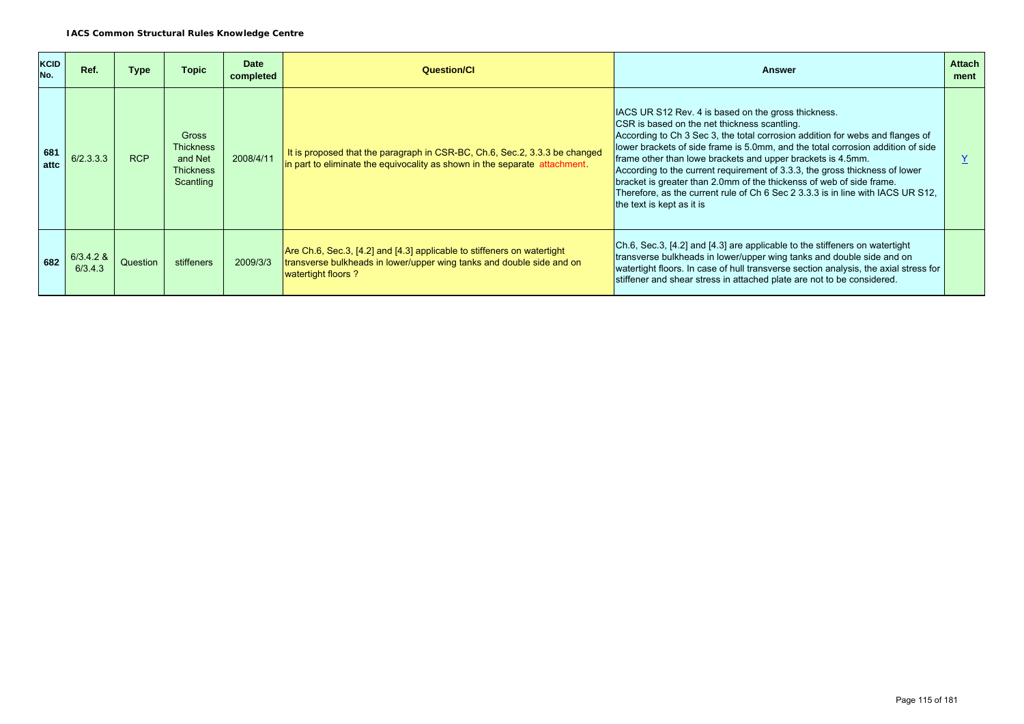| <b>KCID</b><br>No. | Ref.                   | Type       | <b>Topic</b>                                                                 | <b>Date</b><br>completed | <b>Question/Cl</b>                                                                                                                                                      | Answer                                                                                                                                                                                                                                                                                                                                                                                                                                                                                                                                                                                                        | <b>Attach</b><br>ment |
|--------------------|------------------------|------------|------------------------------------------------------------------------------|--------------------------|-------------------------------------------------------------------------------------------------------------------------------------------------------------------------|---------------------------------------------------------------------------------------------------------------------------------------------------------------------------------------------------------------------------------------------------------------------------------------------------------------------------------------------------------------------------------------------------------------------------------------------------------------------------------------------------------------------------------------------------------------------------------------------------------------|-----------------------|
| 681<br>attc        | 6/2.3.3.3              | <b>RCP</b> | <b>Gross</b><br><b>Thickness</b><br>and Net<br><b>Thickness</b><br>Scantling | 2008/4/11                | It is proposed that the paragraph in CSR-BC, Ch.6, Sec.2, 3.3.3 be changed<br>in part to eliminate the equivocality as shown in the separate attachment.                | IACS UR S12 Rev. 4 is based on the gross thickness.<br>CSR is based on the net thickness scantling.<br>According to Ch 3 Sec 3, the total corrosion addition for webs and flanges of<br>lower brackets of side frame is 5.0mm, and the total corrosion addition of side<br>frame other than lowe brackets and upper brackets is 4.5mm.<br>According to the current requirement of 3.3.3, the gross thickness of lower<br>bracket is greater than 2.0mm of the thickenss of web of side frame.<br>Therefore, as the current rule of Ch 6 Sec 2 3.3.3 is in line with IACS UR S12,<br>the text is kept as it is |                       |
| 682                | $6/3.4.2$ &<br>6/3.4.3 | Question   | stiffeners                                                                   | 2009/3/3                 | Are Ch.6, Sec.3, [4.2] and [4.3] applicable to stiffeners on watertight<br>transverse bulkheads in lower/upper wing tanks and double side and on<br>watertight floors ? | Ch.6, Sec.3, [4.2] and [4.3] are applicable to the stiffeners on watertight<br>transverse bulkheads in lower/upper wing tanks and double side and on<br>watertight floors. In case of hull transverse section analysis, the axial stress for<br>stiffener and shear stress in attached plate are not to be considered.                                                                                                                                                                                                                                                                                        |                       |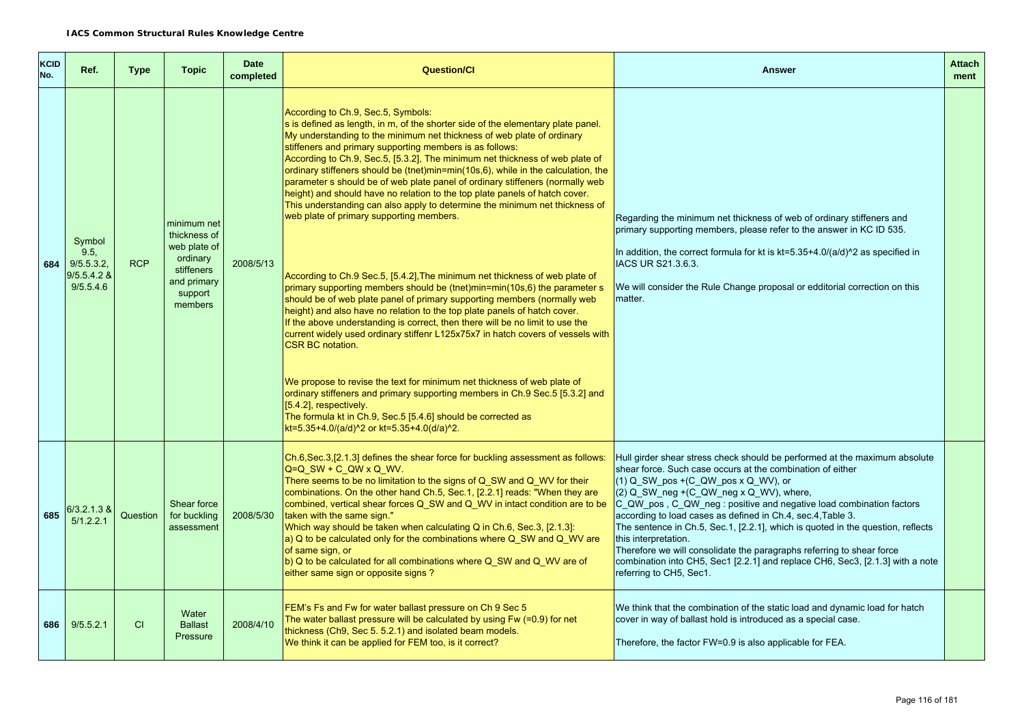| KCID<br>No. | Ref.                                                           | <b>Type</b> | <b>Topic</b>                                                                                               | <b>Date</b><br>completed | Question/Cl                                                                                                                                                                                                                                                                                                                                                                                                                                                                                                                                                                                                                                                                                                                                                                                                                                                                                                                                                                                                                                                                                                                                                                                                                                                                                                                                                                                                                                                                                                                                         | Answer                                                                                                                                                                                                                                                                                                                                                                                                                                                                                                                                                                                                                                                              | <b>Attach</b><br>ment |
|-------------|----------------------------------------------------------------|-------------|------------------------------------------------------------------------------------------------------------|--------------------------|-----------------------------------------------------------------------------------------------------------------------------------------------------------------------------------------------------------------------------------------------------------------------------------------------------------------------------------------------------------------------------------------------------------------------------------------------------------------------------------------------------------------------------------------------------------------------------------------------------------------------------------------------------------------------------------------------------------------------------------------------------------------------------------------------------------------------------------------------------------------------------------------------------------------------------------------------------------------------------------------------------------------------------------------------------------------------------------------------------------------------------------------------------------------------------------------------------------------------------------------------------------------------------------------------------------------------------------------------------------------------------------------------------------------------------------------------------------------------------------------------------------------------------------------------------|---------------------------------------------------------------------------------------------------------------------------------------------------------------------------------------------------------------------------------------------------------------------------------------------------------------------------------------------------------------------------------------------------------------------------------------------------------------------------------------------------------------------------------------------------------------------------------------------------------------------------------------------------------------------|-----------------------|
|             | Symbol<br>9.5.<br>684 9/5.5.3.2.<br>$9/5.5.4.2$ &<br>9/5.5.4.6 | <b>RCP</b>  | minimum net<br>thickness of<br>web plate of<br>ordinary<br>stiffeners<br>and primary<br>support<br>members | 2008/5/13                | According to Ch.9, Sec.5, Symbols:<br>s is defined as length, in m, of the shorter side of the elementary plate panel.<br>My understanding to the minimum net thickness of web plate of ordinary<br>stiffeners and primary supporting members is as follows:<br>According to Ch.9, Sec.5, [5.3.2], The minimum net thickness of web plate of<br>ordinary stiffeners should be (tnet)min=min(10s,6), while in the calculation, the<br>parameter s should be of web plate panel of ordinary stiffeners (normally web<br>height) and should have no relation to the top plate panels of hatch cover.<br>This understanding can also apply to determine the minimum net thickness of<br>web plate of primary supporting members.<br>According to Ch.9 Sec.5, [5.4.2], The minimum net thickness of web plate of<br>primary supporting members should be (tnet)min=min(10s,6) the parameter s<br>should be of web plate panel of primary supporting members (normally web<br>height) and also have no relation to the top plate panels of hatch cover.<br>If the above understanding is correct, then there will be no limit to use the<br>current widely used ordinary stiffenr L125x75x7 in hatch covers of vessels with<br><b>CSR BC notation.</b><br>We propose to revise the text for minimum net thickness of web plate of<br>ordinary stiffeners and primary supporting members in Ch.9 Sec.5 [5.3.2] and<br>[5.4.2], respectively.<br>The formula kt in Ch.9, Sec.5 [5.4.6] should be corrected as<br>kt=5.35+4.0/(a/d)^2 or kt=5.35+4.0(d/a)^2. | Regarding the minimum net thickness of web of ordinary stiffeners and<br>primary supporting members, please refer to the answer in KC ID 535.<br>In addition, the correct formula for kt is kt=5.35+4.0/(a/d)^2 as specified in<br>IACS UR S21.3.6.3.<br>We will consider the Rule Change proposal or edditorial correction on this<br>matter.                                                                                                                                                                                                                                                                                                                      |                       |
| 685         | 6/3.2.1.3 &<br>5/1.2.2.1                                       | Question    | Shear force<br>for buckling<br>assessment                                                                  | 2008/5/30                | Ch.6, Sec.3, [2.1.3] defines the shear force for buckling assessment as follows:<br>$Q=Q$ SW + C QW x Q WV.<br>There seems to be no limitation to the signs of Q_SW and Q_WV for their<br>combinations. On the other hand Ch.5, Sec.1, [2.2.1] reads: "When they are<br>combined, vertical shear forces Q_SW and Q_WV in intact condition are to be<br>taken with the same sign."<br>Which way should be taken when calculating Q in Ch.6, Sec.3, [2.1.3]:<br>a) Q to be calculated only for the combinations where Q_SW and Q_WV are<br>of same sign, or<br>b) Q to be calculated for all combinations where Q_SW and Q_WV are of<br>either same sign or opposite signs?                                                                                                                                                                                                                                                                                                                                                                                                                                                                                                                                                                                                                                                                                                                                                                                                                                                                           | Hull girder shear stress check should be performed at the maximum absolute<br>shear force. Such case occurs at the combination of either<br>$(1)$ Q SW pos +(C QW pos x Q WV), or<br>$(2)$ Q SW neg +(C QW neg x Q WV), where,<br>C_QW_pos, C_QW_neg: positive and negative load combination factors<br>according to load cases as defined in Ch.4, sec.4, Table 3.<br>The sentence in Ch.5, Sec.1, [2.2.1], which is quoted in the question, reflects<br>this interpretation.<br>Therefore we will consolidate the paragraphs referring to shear force<br>combination into CH5, Sec1 [2.2.1] and replace CH6, Sec3, [2.1.3] with a note<br>referring to CH5, Sec1. |                       |
| 686         | 9/5.5.2.1                                                      | <b>CI</b>   | Water<br><b>Ballast</b><br>Pressure                                                                        | 2008/4/10                | FEM's Fs and Fw for water ballast pressure on Ch 9 Sec 5<br>The water ballast pressure will be calculated by using $Fw (=0.9)$ for net<br>thickness (Ch9, Sec 5. 5.2.1) and isolated beam models.<br>We think it can be applied for FEM too, is it correct?                                                                                                                                                                                                                                                                                                                                                                                                                                                                                                                                                                                                                                                                                                                                                                                                                                                                                                                                                                                                                                                                                                                                                                                                                                                                                         | We think that the combination of the static load and dynamic load for hatch<br>cover in way of ballast hold is introduced as a special case.<br>Therefore, the factor FW=0.9 is also applicable for FEA.                                                                                                                                                                                                                                                                                                                                                                                                                                                            |                       |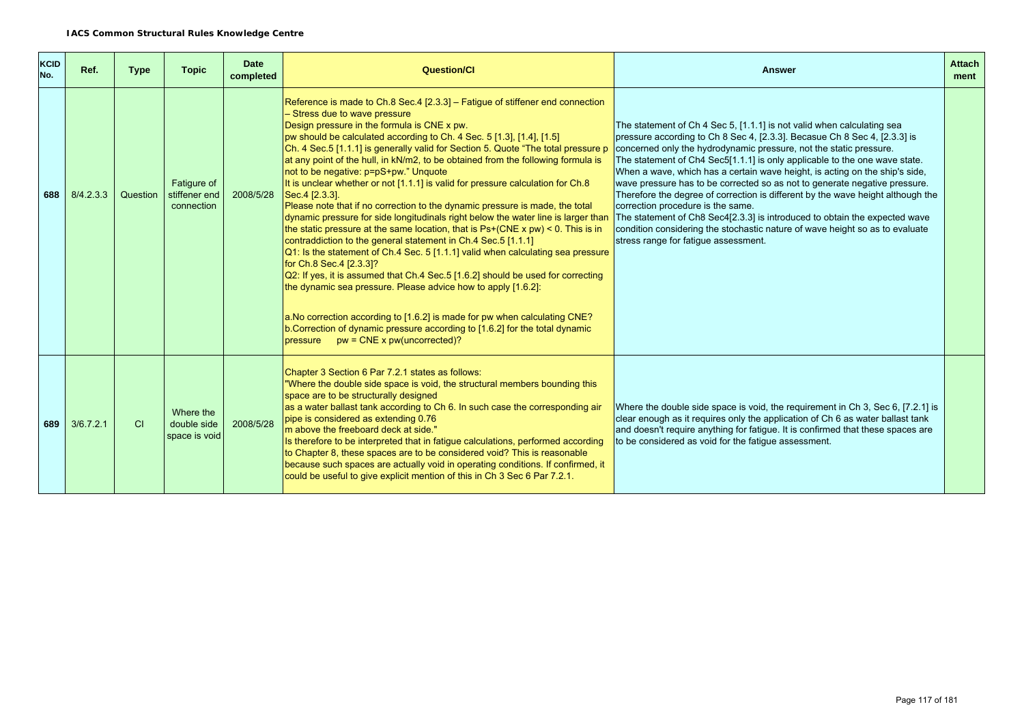| <b>KCID</b><br>No. | Ref.      | <b>Type</b> | <b>Topic</b>                               | <b>Date</b><br>completed | Question/Cl                                                                                                                                                                                                                                                                                                                                                                                                                                                                                                                                                                                                                                                                                                                                                                                                                                                                                                                                                                                                                                                                                                                                                                                                                                                                                                                                                                     | <b>Answer</b>                                                                                                                                                                                                                                                                                                                                                                                                                                                                                                                                                                                                                                                                                                                                                                                      | <b>Attach</b><br>ment |
|--------------------|-----------|-------------|--------------------------------------------|--------------------------|---------------------------------------------------------------------------------------------------------------------------------------------------------------------------------------------------------------------------------------------------------------------------------------------------------------------------------------------------------------------------------------------------------------------------------------------------------------------------------------------------------------------------------------------------------------------------------------------------------------------------------------------------------------------------------------------------------------------------------------------------------------------------------------------------------------------------------------------------------------------------------------------------------------------------------------------------------------------------------------------------------------------------------------------------------------------------------------------------------------------------------------------------------------------------------------------------------------------------------------------------------------------------------------------------------------------------------------------------------------------------------|----------------------------------------------------------------------------------------------------------------------------------------------------------------------------------------------------------------------------------------------------------------------------------------------------------------------------------------------------------------------------------------------------------------------------------------------------------------------------------------------------------------------------------------------------------------------------------------------------------------------------------------------------------------------------------------------------------------------------------------------------------------------------------------------------|-----------------------|
| 688                | 8/4.2.3.3 | Question    | Fatigure of<br>stiffener end<br>connection | 2008/5/28                | Reference is made to Ch.8 Sec.4 [2.3.3] - Fatigue of stiffener end connection<br>- Stress due to wave pressure<br>Design pressure in the formula is CNE x pw.<br>pw should be calculated according to Ch. 4 Sec. 5 [1.3], [1.4], [1.5]<br>Ch. 4 Sec. 5 [1.1.1] is generally valid for Section 5. Quote "The total pressure p<br>at any point of the hull, in kN/m2, to be obtained from the following formula is<br>not to be negative: p=pS+pw." Unquote<br>It is unclear whether or not [1.1.1] is valid for pressure calculation for Ch.8<br>Sec. 4 [2.3.3].<br>Please note that if no correction to the dynamic pressure is made, the total<br>dynamic pressure for side longitudinals right below the water line is larger than<br>the static pressure at the same location, that is $Ps+(CNE \times pw) < 0$ . This is in<br>contraddiction to the general statement in Ch.4 Sec.5 [1.1.1]<br>Q1: Is the statement of Ch.4 Sec. 5 [1.1.1] valid when calculating sea pressure<br>for Ch.8 Sec.4 [2.3.3]?<br>Q2: If yes, it is assumed that Ch.4 Sec.5 [1.6.2] should be used for correcting<br>the dynamic sea pressure. Please advice how to apply [1.6.2]:<br>a. No correction according to [1.6.2] is made for pw when calculating CNE?<br>b. Correction of dynamic pressure according to [1.6.2] for the total dynamic<br>pressure $pw = CNE \times pw(uncorrected)?$ | The statement of Ch 4 Sec 5, [1.1.1] is not valid when calculating sea<br>pressure according to Ch 8 Sec 4, [2.3.3]. Becasue Ch 8 Sec 4, [2.3.3] is<br>concerned only the hydrodynamic pressure, not the static pressure.<br>The statement of Ch4 Sec5[1.1.1] is only applicable to the one wave state.<br>When a wave, which has a certain wave height, is acting on the ship's side,<br>wave pressure has to be corrected so as not to generate negative pressure.<br>Therefore the degree of correction is different by the wave height although the<br>correction procedure is the same.<br>The statement of Ch8 Sec4[2.3.3] is introduced to obtain the expected wave<br>condition considering the stochastic nature of wave height so as to evaluate<br>stress range for fatigue assessment. |                       |
| 689                | 3/6.7.2.1 | <b>CI</b>   | Where the<br>double side<br>space is void  | 2008/5/28                | Chapter 3 Section 6 Par 7.2.1 states as follows:<br>"Where the double side space is void, the structural members bounding this<br>space are to be structurally designed<br>as a water ballast tank according to Ch 6. In such case the corresponding air<br>pipe is considered as extending 0.76<br>m above the freeboard deck at side."<br>Is therefore to be interpreted that in fatigue calculations, performed according<br>to Chapter 8, these spaces are to be considered void? This is reasonable<br>because such spaces are actually void in operating conditions. If confirmed, it<br>could be useful to give explicit mention of this in Ch 3 Sec 6 Par 7.2.1.                                                                                                                                                                                                                                                                                                                                                                                                                                                                                                                                                                                                                                                                                                        | Where the double side space is void, the requirement in Ch 3, Sec 6, [7.2.1] is<br>clear enough as it requires only the application of Ch 6 as water ballast tank<br>and doesn't require anything for fatigue. It is confirmed that these spaces are<br>to be considered as void for the fatigue assessment.                                                                                                                                                                                                                                                                                                                                                                                                                                                                                       |                       |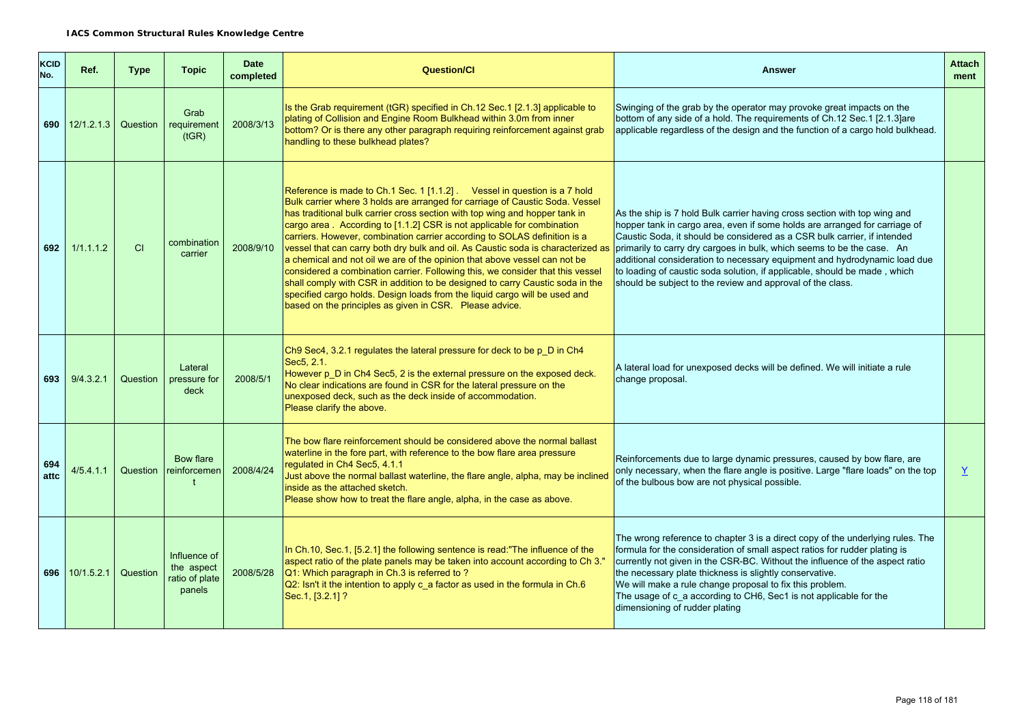| <b>KCID</b><br>No. | Ref.             | <b>Type</b> | <b>Topic</b>                                           | <b>Date</b><br>completed | <b>Question/Cl</b>                                                                                                                                                                                                                                                                                                                                                                                                                                                                                                                                                                                                                                                                                                                                                                                                                                                          | <b>Answer</b>                                                                                                                                                                                                                                                                                                                                                                                                                                                                                                                         | <b>Attach</b><br>ment |
|--------------------|------------------|-------------|--------------------------------------------------------|--------------------------|-----------------------------------------------------------------------------------------------------------------------------------------------------------------------------------------------------------------------------------------------------------------------------------------------------------------------------------------------------------------------------------------------------------------------------------------------------------------------------------------------------------------------------------------------------------------------------------------------------------------------------------------------------------------------------------------------------------------------------------------------------------------------------------------------------------------------------------------------------------------------------|---------------------------------------------------------------------------------------------------------------------------------------------------------------------------------------------------------------------------------------------------------------------------------------------------------------------------------------------------------------------------------------------------------------------------------------------------------------------------------------------------------------------------------------|-----------------------|
|                    | 690 $12/1.2.1.3$ | Question    | Grab<br>requirement<br>(tGR)                           | 2008/3/13                | Is the Grab requirement (tGR) specified in Ch.12 Sec.1 [2.1.3] applicable to<br>plating of Collision and Engine Room Bulkhead within 3.0m from inner<br>bottom? Or is there any other paragraph requiring reinforcement against grab<br>handling to these bulkhead plates?                                                                                                                                                                                                                                                                                                                                                                                                                                                                                                                                                                                                  | Swinging of the grab by the operator may provoke great impacts on the<br>bottom of any side of a hold. The requirements of Ch.12 Sec.1 [2.1.3] are<br>applicable regardless of the design and the function of a cargo hold bulkhead.                                                                                                                                                                                                                                                                                                  |                       |
| 692                | 1/1.1.1.2        | CI          | combination<br>carrier                                 | 2008/9/10                | Reference is made to Ch.1 Sec. 1 [1.1.2]. Vessel in question is a 7 hold<br>Bulk carrier where 3 holds are arranged for carriage of Caustic Soda. Vessel<br>has traditional bulk carrier cross section with top wing and hopper tank in<br>cargo area. According to [1.1.2] CSR is not applicable for combination<br>carriers. However, combination carrier according to SOLAS definition is a<br>vessel that can carry both dry bulk and oil. As Caustic soda is characterized as<br>a chemical and not oil we are of the opinion that above vessel can not be<br>considered a combination carrier. Following this, we consider that this vessel<br>shall comply with CSR in addition to be designed to carry Caustic soda in the<br>specified cargo holds. Design loads from the liquid cargo will be used and<br>based on the principles as given in CSR. Please advice. | As the ship is 7 hold Bulk carrier having cross section with top wing and<br>hopper tank in cargo area, even if some holds are arranged for carriage of<br>Caustic Soda, it should be considered as a CSR bulk carrier, if intended<br>primarily to carry dry cargoes in bulk, which seems to be the case. An<br>additional consideration to necessary equipment and hydrodynamic load due<br>to loading of caustic soda solution, if applicable, should be made, which<br>should be subject to the review and approval of the class. |                       |
| 693                | 9/4.3.2.1        | Question    | Lateral<br>pressure for<br>deck                        | 2008/5/1                 | Ch9 Sec4, 3.2.1 regulates the lateral pressure for deck to be p_D in Ch4<br>Sec5, 2.1.<br>However p_D in Ch4 Sec5, 2 is the external pressure on the exposed deck.<br>No clear indications are found in CSR for the lateral pressure on the<br>unexposed deck, such as the deck inside of accommodation.<br>Please clarify the above.                                                                                                                                                                                                                                                                                                                                                                                                                                                                                                                                       | A lateral load for unexposed decks will be defined. We will initiate a rule<br>change proposal.                                                                                                                                                                                                                                                                                                                                                                                                                                       |                       |
| 694<br>attc        | 4/5.4.1.1        | Question    | Bow flare<br>reinforcemen                              | 2008/4/24                | The bow flare reinforcement should be considered above the normal ballast<br>waterline in the fore part, with reference to the bow flare area pressure<br>requlated in Ch4 Sec5, 4.1.1<br>Just above the normal ballast waterline, the flare angle, alpha, may be inclined<br>inside as the attached sketch.<br>Please show how to treat the flare angle, alpha, in the case as above.                                                                                                                                                                                                                                                                                                                                                                                                                                                                                      | Reinforcements due to large dynamic pressures, caused by bow flare, are<br>only necessary, when the flare angle is positive. Large "flare loads" on the top<br>of the bulbous bow are not physical possible.                                                                                                                                                                                                                                                                                                                          | Y                     |
|                    | 696 10/1.5.2.1   | Question    | Influence of<br>the aspect<br>ratio of plate<br>panels | 2008/5/28                | In Ch.10, Sec.1, [5.2.1] the following sentence is read:"The influence of the<br>aspect ratio of the plate panels may be taken into account according to Ch 3."<br>Q1: Which paragraph in Ch.3 is referred to ?<br>Q2: Isn't it the intention to apply c_a factor as used in the formula in Ch.6<br>Sec.1, [3.2.1] ?                                                                                                                                                                                                                                                                                                                                                                                                                                                                                                                                                        | The wrong reference to chapter 3 is a direct copy of the underlying rules. The<br>formula for the consideration of small aspect ratios for rudder plating is<br>currently not given in the CSR-BC. Without the influence of the aspect ratio<br>the necessary plate thickness is slightly conservative.<br>We will make a rule change proposal to fix this problem.<br>The usage of c_a according to CH6, Sec1 is not applicable for the<br>dimensioning of rudder plating                                                            |                       |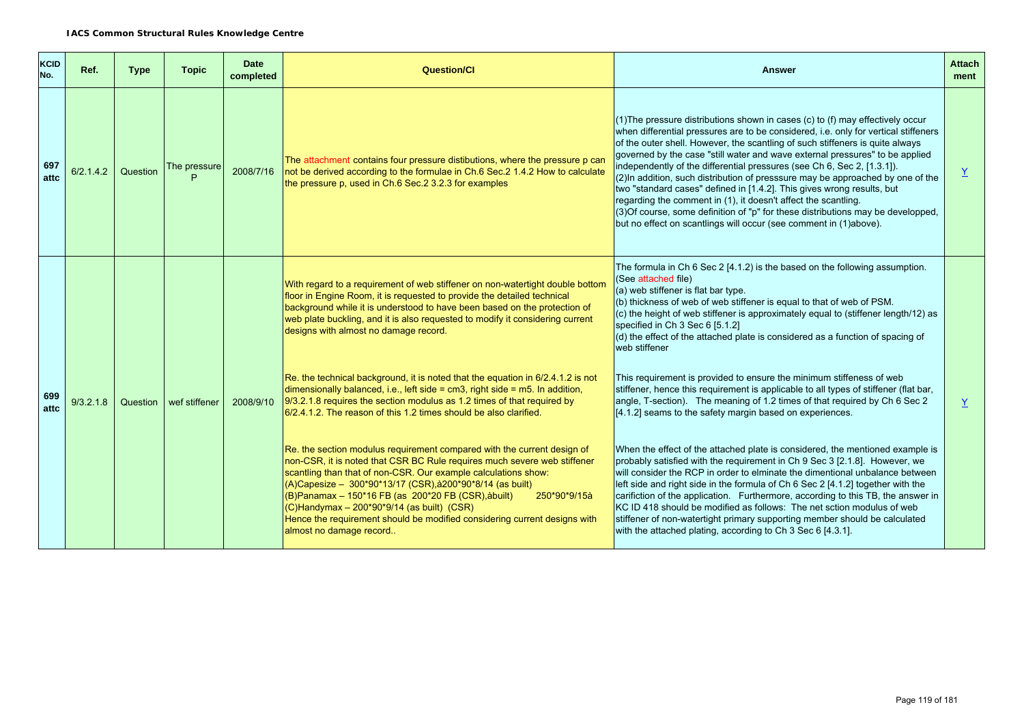| <b>KCID</b><br>No. | Ref.      | <b>Type</b> | <b>Topic</b>      | <b>Date</b><br>completed | Question/Cl                                                                                                                                                                                                                                                                                                                                                                                                                                                                                                               | Answer                                                                                                                                                                                                                                                                                                                                                                                                                                                                                                                                                                                                                                                                                                                                                                                                    | <b>Attach</b><br>ment |
|--------------------|-----------|-------------|-------------------|--------------------------|---------------------------------------------------------------------------------------------------------------------------------------------------------------------------------------------------------------------------------------------------------------------------------------------------------------------------------------------------------------------------------------------------------------------------------------------------------------------------------------------------------------------------|-----------------------------------------------------------------------------------------------------------------------------------------------------------------------------------------------------------------------------------------------------------------------------------------------------------------------------------------------------------------------------------------------------------------------------------------------------------------------------------------------------------------------------------------------------------------------------------------------------------------------------------------------------------------------------------------------------------------------------------------------------------------------------------------------------------|-----------------------|
| 697<br>attc        | 6/2.1.4.2 | Question    | The pressure<br>Þ | 2008/7/16                | The attachment contains four pressure distibutions, where the pressure p can<br>not be derived according to the formulae in Ch.6 Sec.2 1.4.2 How to calculate<br>the pressure p, used in Ch.6 Sec. 2 3.2.3 for examples                                                                                                                                                                                                                                                                                                   | (1) The pressure distributions shown in cases (c) to (f) may effectively occur<br>when differential pressures are to be considered, i.e. only for vertical stiffeners<br>of the outer shell. However, the scantling of such stiffeners is quite always<br>governed by the case "still water and wave external pressures" to be applied<br>independently of the differential pressures (see Ch 6, Sec 2, [1.3.1]).<br>(2) In addition, such distribution of presssure may be approached by one of the<br>two "standard cases" defined in [1.4.2]. This gives wrong results, but<br>regarding the comment in (1), it doesn't affect the scantling.<br>(3) Of course, some definition of "p" for these distributions may be developped,<br>but no effect on scantlings will occur (see comment in (1)above). | Y                     |
|                    |           |             |                   |                          | With regard to a requirement of web stiffener on non-watertight double bottom<br>floor in Engine Room, it is requested to provide the detailed technical<br>background while it is understood to have been based on the protection of<br>web plate buckling, and it is also requested to modify it considering current<br>designs with almost no damage record.                                                                                                                                                           | The formula in Ch 6 Sec 2 [4.1.2] is the based on the following assumption.<br>(See attached file)<br>(a) web stiffener is flat bar type.<br>(b) thickness of web of web stiffener is equal to that of web of PSM.<br>(c) the height of web stiffener is approximately equal to (stiffener length/12) as<br>specified in Ch 3 Sec 6 [5.1.2]<br>(d) the effect of the attached plate is considered as a function of spacing of<br>web stiffener                                                                                                                                                                                                                                                                                                                                                            |                       |
| 699<br>attc        | 9/3.2.1.8 | Question    | wef stiffener     | 2008/9/10                | Re. the technical background, it is noted that the equation in 6/2.4.1.2 is not<br>dimensionally balanced, i.e., left side = $cm3$ , right side = $m5$ . In addition,<br>$9/3.2.1.8$ requires the section modulus as 1.2 times of that required by<br>6/2.4.1.2. The reason of this 1.2 times should be also clarified.                                                                                                                                                                                                   | This requirement is provided to ensure the minimum stiffeness of web<br>stiffener, hence this requirement is applicable to all types of stiffener (flat bar,<br>angle, T-section). The meaning of 1.2 times of that required by Ch 6 Sec 2<br>[4.1.2] seams to the safety margin based on experiences.                                                                                                                                                                                                                                                                                                                                                                                                                                                                                                    | Y                     |
|                    |           |             |                   |                          | Re. the section modulus requirement compared with the current design of<br>non-CSR, it is noted that CSR BC Rule requires much severe web stiffener<br>scantling than that of non-CSR. Our example calculations show:<br>$(A)$ Capesize – 300*90*13/17 (CSR), à 200*90*8/14 (as built)<br>$(B)$ Panamax – 150*16 FB (as 200*20 FB (CSR), abuilt)<br>250*90*9/15à<br>$(C)$ Handymax – 200*90*9/14 (as built) (CSR)<br>Hence the requirement should be modified considering current designs with<br>almost no damage record | When the effect of the attached plate is considered, the mentioned example is<br>probably satisfied with the requirement in Ch 9 Sec 3 [2.1.8]. However, we<br>will consider the RCP in order to elminate the dimentional unbalance between<br>left side and right side in the formula of Ch 6 Sec 2 [4.1.2] together with the<br>carifiction of the application. Furthermore, according to this TB, the answer in<br>KC ID 418 should be modified as follows: The net sction modulus of web<br>stiffener of non-watertight primary supporting member should be calculated<br>with the attached plating, according to Ch 3 Sec 6 [4.3.1].                                                                                                                                                                 |                       |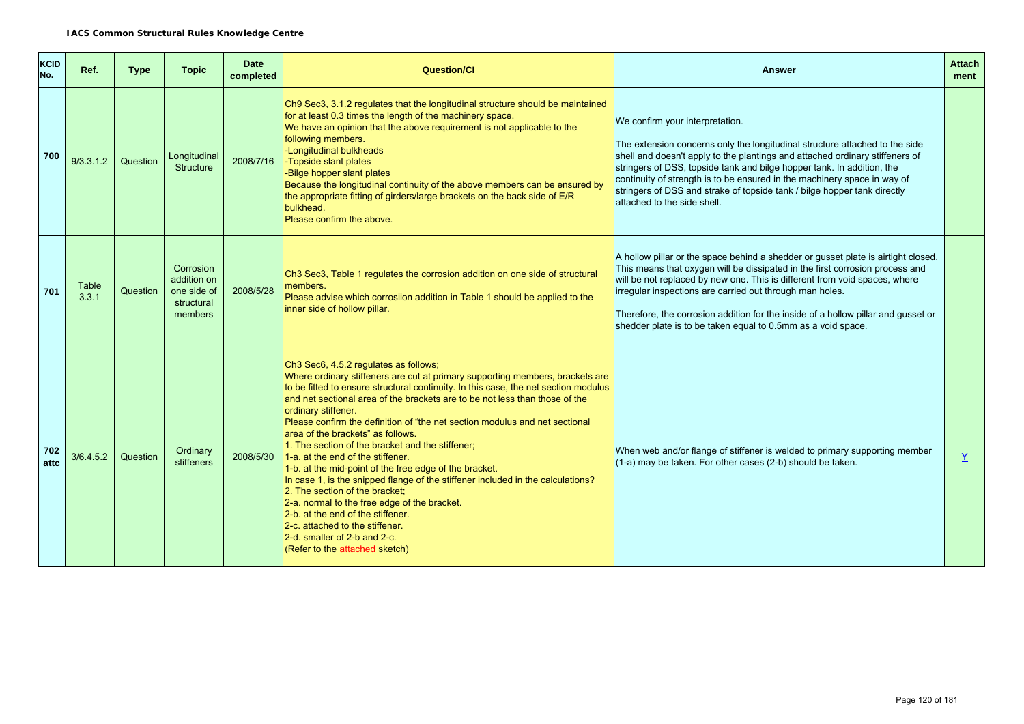| KCID<br>No. | Ref.           | <b>Type</b> | <b>Topic</b>                                                     | <b>Date</b><br>completed | <b>Question/CI</b>                                                                                                                                                                                                                                                                                                                                                                                                                                                                                                                                                                                                                                                                                                                                                                                                                                                                                        | <b>Answer</b>                                                                                                                                                                                                                                                                                                                                                                                                                                                    | <b>Attach</b><br>ment |
|-------------|----------------|-------------|------------------------------------------------------------------|--------------------------|-----------------------------------------------------------------------------------------------------------------------------------------------------------------------------------------------------------------------------------------------------------------------------------------------------------------------------------------------------------------------------------------------------------------------------------------------------------------------------------------------------------------------------------------------------------------------------------------------------------------------------------------------------------------------------------------------------------------------------------------------------------------------------------------------------------------------------------------------------------------------------------------------------------|------------------------------------------------------------------------------------------------------------------------------------------------------------------------------------------------------------------------------------------------------------------------------------------------------------------------------------------------------------------------------------------------------------------------------------------------------------------|-----------------------|
| 700         | 9/3.3.1.2      | Question    | Longitudinal<br><b>Structure</b>                                 | 2008/7/16                | Ch9 Sec3, 3.1.2 regulates that the longitudinal structure should be maintained<br>for at least 0.3 times the length of the machinery space.<br>We have an opinion that the above requirement is not applicable to the<br>following members.<br>-Longitudinal bulkheads<br>-Topside slant plates<br>-Bilge hopper slant plates<br>Because the longitudinal continuity of the above members can be ensured by<br>the appropriate fitting of girders/large brackets on the back side of E/R<br>bulkhead.<br>Please confirm the above.                                                                                                                                                                                                                                                                                                                                                                        | We confirm your interpretation.<br>The extension concerns only the longitudinal structure attached to the side<br>shell and doesn't apply to the plantings and attached ordinary stiffeners of<br>stringers of DSS, topside tank and bilge hopper tank. In addition, the<br>continuity of strength is to be ensured in the machinery space in way of<br>stringers of DSS and strake of topside tank / bilge hopper tank directly<br>attached to the side shell.  |                       |
| 701         | Table<br>3.3.1 | Question    | Corrosion<br>addition on<br>one side of<br>structural<br>members | 2008/5/28                | Ch3 Sec3, Table 1 regulates the corrosion addition on one side of structural<br>members.<br>Please advise which corrosiion addition in Table 1 should be applied to the<br>inner side of hollow pillar.                                                                                                                                                                                                                                                                                                                                                                                                                                                                                                                                                                                                                                                                                                   | A hollow pillar or the space behind a shedder or gusset plate is airtight closed.<br>This means that oxygen will be dissipated in the first corrosion process and<br>will be not replaced by new one. This is different from void spaces, where<br>irregular inspections are carried out through man holes.<br>Therefore, the corrosion addition for the inside of a hollow pillar and gusset or<br>shedder plate is to be taken equal to 0.5mm as a void space. |                       |
| 702<br>attc | 3/6.4.5.2      | Question    | Ordinary<br>stiffeners                                           | 2008/5/30                | Ch3 Sec6, 4.5.2 regulates as follows;<br>Where ordinary stiffeners are cut at primary supporting members, brackets are<br>to be fitted to ensure structural continuity. In this case, the net section modulus<br>and net sectional area of the brackets are to be not less than those of the<br>ordinary stiffener.<br>Please confirm the definition of "the net section modulus and net sectional<br>area of the brackets" as follows.<br>1. The section of the bracket and the stiffener;<br>1-a. at the end of the stiffener.<br>1-b. at the mid-point of the free edge of the bracket.<br>In case 1, is the snipped flange of the stiffener included in the calculations?<br>2. The section of the bracket:<br>2-a. normal to the free edge of the bracket.<br>2-b. at the end of the stiffener.<br>2-c. attached to the stiffener.<br>2-d. smaller of 2-b and 2-c.<br>(Refer to the attached sketch) | When web and/or flange of stiffener is welded to primary supporting member<br>(1-a) may be taken. For other cases (2-b) should be taken.                                                                                                                                                                                                                                                                                                                         | $\overline{Y}$        |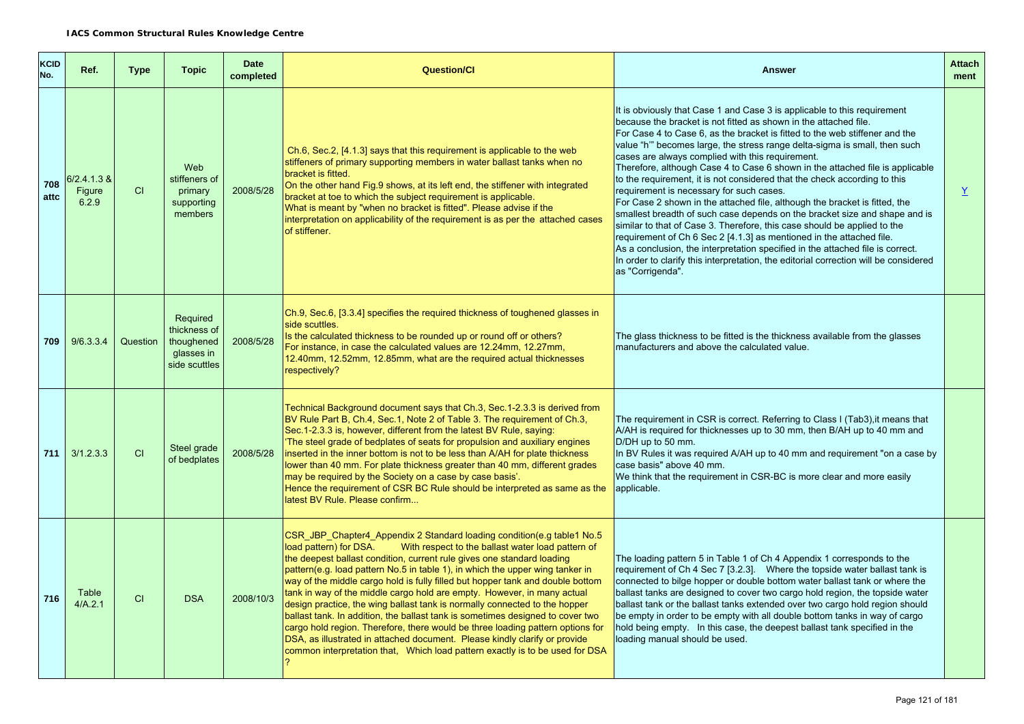| <b>KCID</b><br>No. | Ref.                             | <b>Type</b> | <b>Topic</b>                                                          | <b>Date</b><br>completed | <b>Question/Cl</b>                                                                                                                                                                                                                                                                                                                                                                                                                                                                                                                                                                                                                                                                                                                                                                                                                                                                            | <b>Answer</b>                                                                                                                                                                                                                                                                                                                                                                                                                                                                                                                                                                                                                                                                                                                                                                                                                                                                                                                                                                                                                                                                         | <b>Attach</b><br>ment    |
|--------------------|----------------------------------|-------------|-----------------------------------------------------------------------|--------------------------|-----------------------------------------------------------------------------------------------------------------------------------------------------------------------------------------------------------------------------------------------------------------------------------------------------------------------------------------------------------------------------------------------------------------------------------------------------------------------------------------------------------------------------------------------------------------------------------------------------------------------------------------------------------------------------------------------------------------------------------------------------------------------------------------------------------------------------------------------------------------------------------------------|---------------------------------------------------------------------------------------------------------------------------------------------------------------------------------------------------------------------------------------------------------------------------------------------------------------------------------------------------------------------------------------------------------------------------------------------------------------------------------------------------------------------------------------------------------------------------------------------------------------------------------------------------------------------------------------------------------------------------------------------------------------------------------------------------------------------------------------------------------------------------------------------------------------------------------------------------------------------------------------------------------------------------------------------------------------------------------------|--------------------------|
| 708<br>attc        | $6/2.4.1.3$ &<br>Figure<br>6.2.9 | CI          | Web<br>stiffeners of<br>primary<br>supporting<br>members              | 2008/5/28                | Ch.6, Sec.2, [4.1.3] says that this requirement is applicable to the web<br>stiffeners of primary supporting members in water ballast tanks when no<br>bracket is fitted.<br>On the other hand Fig.9 shows, at its left end, the stiffener with integrated<br>bracket at toe to which the subject requirement is applicable.<br>What is meant by "when no bracket is fitted". Please advise if the<br>interpretation on applicability of the requirement is as per the attached cases<br>of stiffener.                                                                                                                                                                                                                                                                                                                                                                                        | It is obviously that Case 1 and Case 3 is applicable to this requirement<br>because the bracket is not fitted as shown in the attached file.<br>For Case 4 to Case 6, as the bracket is fitted to the web stiffener and the<br>value "h'" becomes large, the stress range delta-sigma is small, then such<br>cases are always complied with this requirement.<br>Therefore, although Case 4 to Case 6 shown in the attached file is applicable<br>to the requirement, it is not considered that the check according to this<br>requirement is necessary for such cases.<br>For Case 2 shown in the attached file, although the bracket is fitted, the<br>smallest breadth of such case depends on the bracket size and shape and is<br>similar to that of Case 3. Therefore, this case should be applied to the<br>requirement of Ch 6 Sec 2 [4.1.3] as mentioned in the attached file.<br>As a conclusion, the interpretation specified in the attached file is correct.<br>In order to clarify this interpretation, the editorial correction will be considered<br>as "Corrigenda". | $\underline{\mathsf{Y}}$ |
| 709                | 9/6.3.3.4                        | Question    | Required<br>thickness of<br>thoughened<br>glasses in<br>side scuttles | 2008/5/28                | Ch.9, Sec.6, [3.3.4] specifies the required thickness of toughened glasses in<br>side scuttles.<br>Is the calculated thickness to be rounded up or round off or others?<br>For instance, in case the calculated values are 12.24mm, 12.27mm,<br>12.40mm, 12.52mm, 12.85mm, what are the required actual thicknesses<br>respectively?                                                                                                                                                                                                                                                                                                                                                                                                                                                                                                                                                          | The glass thickness to be fitted is the thickness available from the glasses<br>manufacturers and above the calculated value.                                                                                                                                                                                                                                                                                                                                                                                                                                                                                                                                                                                                                                                                                                                                                                                                                                                                                                                                                         |                          |
| 711                | 3/1.2.3.3                        | CI          | Steel grade<br>of bedplates                                           | 2008/5/28                | Technical Background document says that Ch.3, Sec.1-2.3.3 is derived from<br>BV Rule Part B, Ch.4, Sec.1, Note 2 of Table 3. The requirement of Ch.3,<br>Sec. 1-2.3.3 is, however, different from the latest BV Rule, saying:<br>The steel grade of bedplates of seats for propulsion and auxiliary engines<br>inserted in the inner bottom is not to be less than A/AH for plate thickness<br>lower than 40 mm. For plate thickness greater than 40 mm, different grades<br>may be required by the Society on a case by case basis'.<br>Hence the requirement of CSR BC Rule should be interpreted as same as the<br>latest BV Rule. Please confirm                                                                                                                                                                                                                                          | The requirement in CSR is correct. Referring to Class I (Tab3), it means that<br>A/AH is required for thicknesses up to 30 mm, then B/AH up to 40 mm and<br>D/DH up to 50 mm.<br>In BV Rules it was required A/AH up to 40 mm and requirement "on a case by<br>case basis" above 40 mm.<br>We think that the requirement in CSR-BC is more clear and more easily<br>applicable.                                                                                                                                                                                                                                                                                                                                                                                                                                                                                                                                                                                                                                                                                                       |                          |
| 716                | Table<br>4/A.2.1                 | CI          | <b>DSA</b>                                                            | 2008/10/3                | CSR JBP Chapter4 Appendix 2 Standard loading condition(e.g table1 No.5<br>load pattern) for DSA.<br>With respect to the ballast water load pattern of<br>the deepest ballast condition, current rule gives one standard loading<br>pattern(e.g. load pattern No.5 in table 1), in which the upper wing tanker in<br>way of the middle cargo hold is fully filled but hopper tank and double bottom<br>tank in way of the middle cargo hold are empty. However, in many actual<br>design practice, the wing ballast tank is normally connected to the hopper<br>ballast tank. In addition, the ballast tank is sometimes designed to cover two<br>cargo hold region. Therefore, there would be three loading pattern options for<br>DSA, as illustrated in attached document. Please kindly clarify or provide<br>common interpretation that, Which load pattern exactly is to be used for DSA | The loading pattern 5 in Table 1 of Ch 4 Appendix 1 corresponds to the<br>requirement of Ch 4 Sec 7 [3.2.3]. Where the topside water ballast tank is<br>connected to bilge hopper or double bottom water ballast tank or where the<br>ballast tanks are designed to cover two cargo hold region, the topside water<br>ballast tank or the ballast tanks extended over two cargo hold region should<br>be empty in order to be empty with all double bottom tanks in way of cargo<br>hold being empty. In this case, the deepest ballast tank specified in the<br>loading manual should be used.                                                                                                                                                                                                                                                                                                                                                                                                                                                                                       |                          |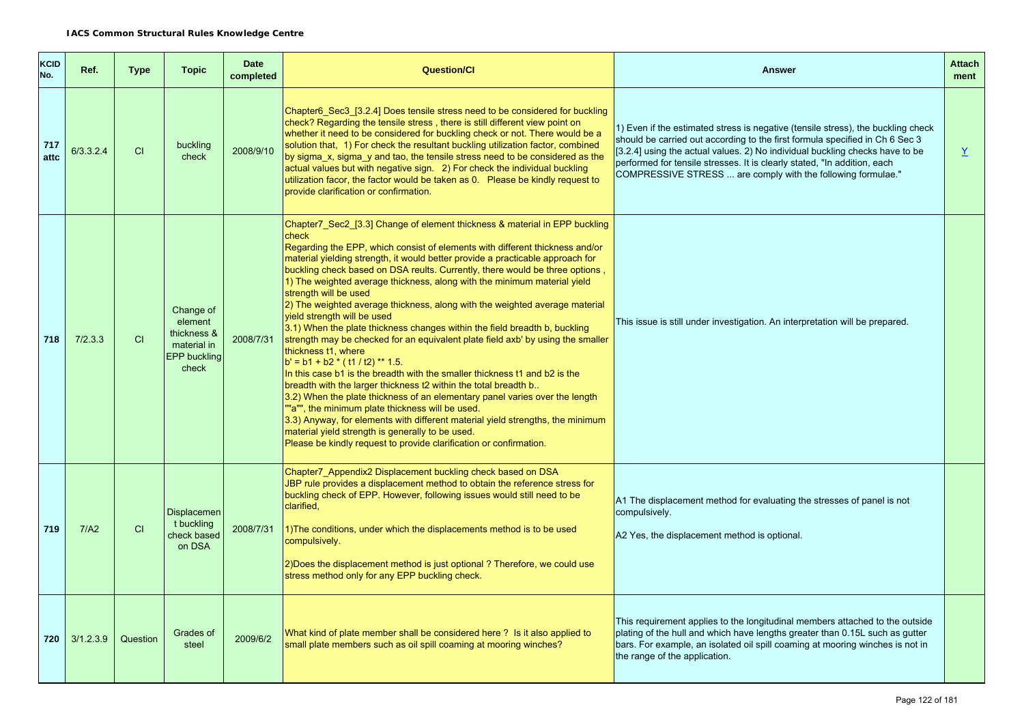| <b>KCID</b><br>No. | Ref.      | <b>Type</b> | <b>Topic</b>                                                                | <b>Date</b><br>completed | <b>Question/Cl</b>                                                                                                                                                                                                                                                                                                                                                                                                                                                                                                                                                                                                                                                                                                                                                                                                                                                                                                                                                                                                                                                                                                                                                                                                                                                                     | <b>Answer</b>                                                                                                                                                                                                                                                                                                                                                                                | <b>Attach</b><br>ment |  |
|--------------------|-----------|-------------|-----------------------------------------------------------------------------|--------------------------|----------------------------------------------------------------------------------------------------------------------------------------------------------------------------------------------------------------------------------------------------------------------------------------------------------------------------------------------------------------------------------------------------------------------------------------------------------------------------------------------------------------------------------------------------------------------------------------------------------------------------------------------------------------------------------------------------------------------------------------------------------------------------------------------------------------------------------------------------------------------------------------------------------------------------------------------------------------------------------------------------------------------------------------------------------------------------------------------------------------------------------------------------------------------------------------------------------------------------------------------------------------------------------------|----------------------------------------------------------------------------------------------------------------------------------------------------------------------------------------------------------------------------------------------------------------------------------------------------------------------------------------------------------------------------------------------|-----------------------|--|
| 717<br>atto        | 6/3.3.2.4 | CI          | buckling<br>check                                                           | 2008/9/10                | Chapter6 Sec3 [3.2.4] Does tensile stress need to be considered for buckling<br>check? Regarding the tensile stress, there is still different view point on<br>whether it need to be considered for buckling check or not. There would be a<br>solution that, 1) For check the resultant buckling utilization factor, combined<br>by sigma_x, sigma_y and tao, the tensile stress need to be considered as the<br>actual values but with negative sign. 2) For check the individual buckling<br>utilization facor, the factor would be taken as 0.  Please be kindly request to<br>provide clarification or confirmation.                                                                                                                                                                                                                                                                                                                                                                                                                                                                                                                                                                                                                                                              | 1) Even if the estimated stress is negative (tensile stress), the buckling check<br>should be carried out according to the first formula specified in Ch 6 Sec 3<br>[3.2.4] using the actual values. 2) No individual buckling checks have to be<br>performed for tensile stresses. It is clearly stated, "In addition, each<br>COMPRESSIVE STRESS  are comply with the following formulae." | $\underline{Y}$       |  |
| 718                | 7/2.3.3   | CI          | Change of<br>element<br>thickness &<br>material in<br>EPP buckling<br>check | 2008/7/31                | Chapter7_Sec2_[3.3] Change of element thickness & material in EPP buckling<br>check<br>Regarding the EPP, which consist of elements with different thickness and/or<br>material yielding strength, it would better provide a practicable approach for<br>buckling check based on DSA reults. Currently, there would be three options,<br>1) The weighted average thickness, along with the minimum material yield<br>strength will be used<br>2) The weighted average thickness, along with the weighted average material<br>yield strength will be used<br>3.1) When the plate thickness changes within the field breadth b, buckling<br>strength may be checked for an equivalent plate field axb' by using the smaller<br>thickness t1, where<br>$b' = b1 + b2$ * (t1 / t2) ** 1.5.<br>In this case b1 is the breadth with the smaller thickness t1 and b2 is the<br>breadth with the larger thickness t2 within the total breadth b<br>3.2) When the plate thickness of an elementary panel varies over the length<br>""a"", the minimum plate thickness will be used.<br>3.3) Anyway, for elements with different material yield strengths, the minimum<br>material yield strength is generally to be used.<br>Please be kindly request to provide clarification or confirmation. | This issue is still under investigation. An interpretation will be prepared.                                                                                                                                                                                                                                                                                                                 |                       |  |
| 719                | 7/A2      | CI          | <b>Displacemen</b><br>t buckling<br>check based<br>on DSA                   | 2008/7/31                | Chapter7 Appendix2 Displacement buckling check based on DSA<br>JBP rule provides a displacement method to obtain the reference stress for<br>buckling check of EPP. However, following issues would still need to be<br>clarified,<br>1) The conditions, under which the displacements method is to be used<br>compulsively.<br>2) Does the displacement method is just optional? Therefore, we could use<br>stress method only for any EPP buckling check.                                                                                                                                                                                                                                                                                                                                                                                                                                                                                                                                                                                                                                                                                                                                                                                                                            | A1 The displacement method for evaluating the stresses of panel is not<br>compulsively.<br>A2 Yes, the displacement method is optional.                                                                                                                                                                                                                                                      |                       |  |
| 720                | 3/1.2.3.9 | Question    | Grades of<br>steel                                                          | 2009/6/2                 | What kind of plate member shall be considered here ? Is it also applied to<br>small plate members such as oil spill coaming at mooring winches?                                                                                                                                                                                                                                                                                                                                                                                                                                                                                                                                                                                                                                                                                                                                                                                                                                                                                                                                                                                                                                                                                                                                        | This requirement applies to the longitudinal members attached to the outside<br>plating of the hull and which have lengths greater than 0.15L such as gutter<br>bars. For example, an isolated oil spill coaming at mooring winches is not in<br>the range of the application.                                                                                                               |                       |  |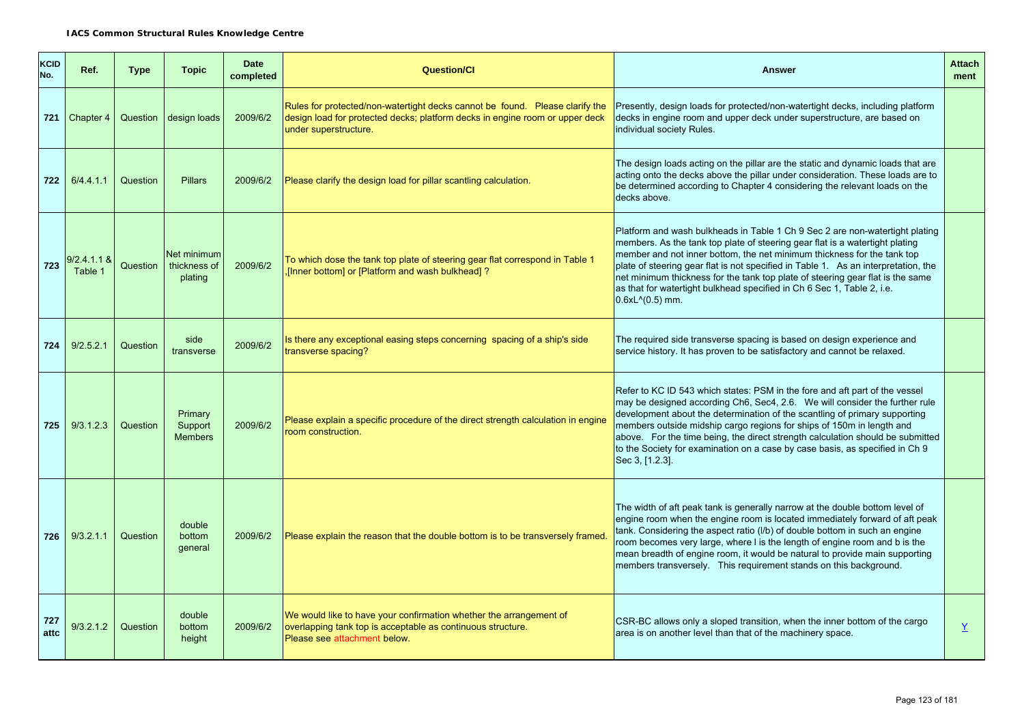| <b>KCID</b><br>No. | Ref.                   | <b>Type</b> | <b>Topic</b>                           | <b>Date</b><br>completed | <b>Question/Cl</b>                                                                                                                                                                    | <b>Answer</b>                                                                                                                                                                                                                                                                                                                                                                                                                                                                                                    | <b>Attach</b><br>ment |
|--------------------|------------------------|-------------|----------------------------------------|--------------------------|---------------------------------------------------------------------------------------------------------------------------------------------------------------------------------------|------------------------------------------------------------------------------------------------------------------------------------------------------------------------------------------------------------------------------------------------------------------------------------------------------------------------------------------------------------------------------------------------------------------------------------------------------------------------------------------------------------------|-----------------------|
|                    | 721 Chapter $4$        | Question    | design loads                           | 2009/6/2                 | Rules for protected/non-watertight decks cannot be found. Please clarify the<br>design load for protected decks; platform decks in engine room or upper deck<br>under superstructure. | Presently, design loads for protected/non-watertight decks, including platform<br>decks in engine room and upper deck under superstructure, are based on<br>individual society Rules.                                                                                                                                                                                                                                                                                                                            |                       |
|                    | 722 6/4.4.1.1          | Question    | <b>Pillars</b>                         | 2009/6/2                 | Please clarify the design load for pillar scantling calculation.                                                                                                                      | The design loads acting on the pillar are the static and dynamic loads that are<br>acting onto the decks above the pillar under consideration. These loads are to<br>be determined according to Chapter 4 considering the relevant loads on the<br>decks above.                                                                                                                                                                                                                                                  |                       |
| 723                | 9/2.4.1.1 &<br>Table 1 | Question    | Net minimum<br>thickness of<br>plating | 2009/6/2                 | To which dose the tank top plate of steering gear flat correspond in Table 1<br>[Inner bottom] or [Platform and wash bulkhead]?                                                       | Platform and wash bulkheads in Table 1 Ch 9 Sec 2 are non-watertight plating<br>members. As the tank top plate of steering gear flat is a watertight plating<br>member and not inner bottom, the net minimum thickness for the tank top<br>plate of steering gear flat is not specified in Table 1. As an interpretation, the<br>net minimum thickness for the tank top plate of steering gear flat is the same<br>as that for watertight bulkhead specified in Ch 6 Sec 1, Table 2, i.e.<br>$0.6xL^{(0.5)}$ mm. |                       |
| 724                | 9/2.5.2.1              | Question    | side<br>transverse                     | 2009/6/2                 | Is there any exceptional easing steps concerning spacing of a ship's side<br>transverse spacing?                                                                                      | The required side transverse spacing is based on design experience and<br>service history. It has proven to be satisfactory and cannot be relaxed.                                                                                                                                                                                                                                                                                                                                                               |                       |
| 725                | 9/3.1.2.3              | Question    | Primary<br>Support<br><b>Members</b>   | 2009/6/2                 | Please explain a specific procedure of the direct strength calculation in engine<br>room construction.                                                                                | Refer to KC ID 543 which states: PSM in the fore and aft part of the vessel<br>may be designed according Ch6, Sec4, 2.6. We will consider the further rule<br>development about the determination of the scantling of primary supporting<br>members outside midship cargo regions for ships of 150m in length and<br>above. For the time being, the direct strength calculation should be submitted<br>to the Society for examination on a case by case basis, as specified in Ch 9<br>Sec 3, [1.2.3].           |                       |
| 726                | 9/3.2.1.1              | Question    | double<br>bottom<br>general            | 2009/6/2                 | Please explain the reason that the double bottom is to be transversely framed.                                                                                                        | The width of aft peak tank is generally narrow at the double bottom level of<br>engine room when the engine room is located immediately forward of aft peak<br>tank. Considering the aspect ratio (I/b) of double bottom in such an engine<br>room becomes very large, where I is the length of engine room and b is the<br>mean breadth of engine room, it would be natural to provide main supporting<br>members transversely. This requirement stands on this background.                                     |                       |
| 727<br>attc        | 9/3.2.1.2              | Question    | double<br>bottom<br>height             | 2009/6/2                 | We would like to have your confirmation whether the arrangement of<br>overlapping tank top is acceptable as continuous structure.<br>Please see attachment below.                     | CSR-BC allows only a sloped transition, when the inner bottom of the cargo<br>area is on another level than that of the machinery space.                                                                                                                                                                                                                                                                                                                                                                         | $\underline{Y}$       |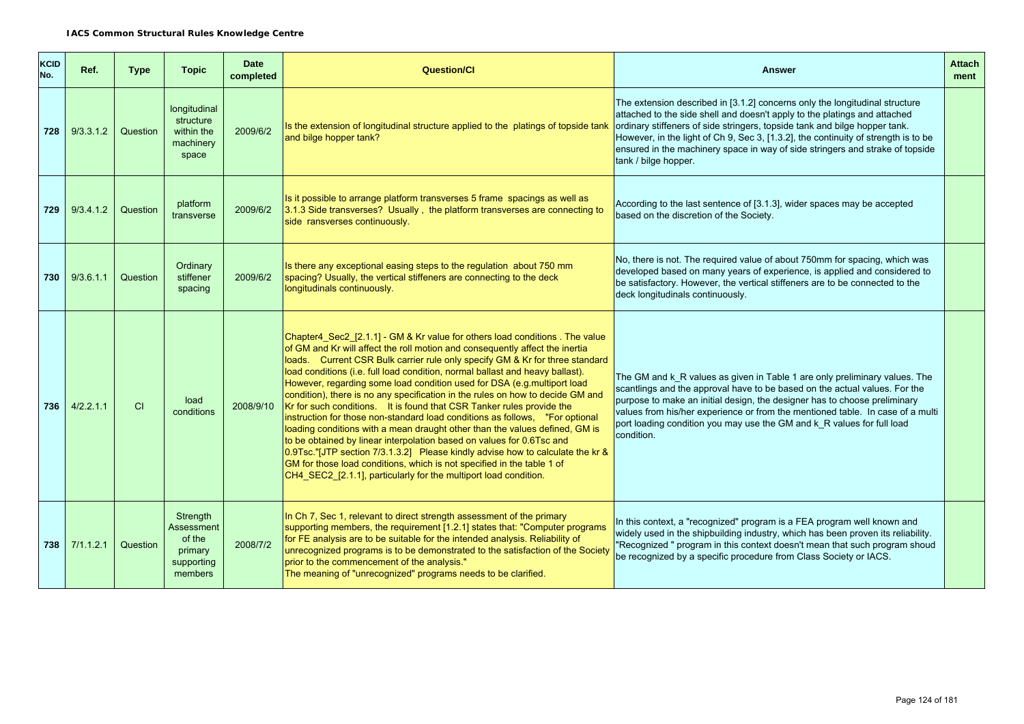| KCID<br>No. | Ref.      | <b>Type</b> | <b>Topic</b>                                                         | <b>Date</b><br>completed | Question/Cl                                                                                                                                                                                                                                                                                                                                                                                                                                                                                                                                                                                                                                                                                                                                                                                                                                                                                                                                                                                                                                | <b>Answer</b>                                                                                                                                                                                                                                                                                                                                                                                                                         | <b>Attach</b><br>ment |
|-------------|-----------|-------------|----------------------------------------------------------------------|--------------------------|--------------------------------------------------------------------------------------------------------------------------------------------------------------------------------------------------------------------------------------------------------------------------------------------------------------------------------------------------------------------------------------------------------------------------------------------------------------------------------------------------------------------------------------------------------------------------------------------------------------------------------------------------------------------------------------------------------------------------------------------------------------------------------------------------------------------------------------------------------------------------------------------------------------------------------------------------------------------------------------------------------------------------------------------|---------------------------------------------------------------------------------------------------------------------------------------------------------------------------------------------------------------------------------------------------------------------------------------------------------------------------------------------------------------------------------------------------------------------------------------|-----------------------|
| 728         | 9/3.3.1.2 | Question    | longitudinal<br>structure<br>within the<br>machinery<br>space        | 2009/6/2                 | Is the extension of longitudinal structure applied to the platings of topside tank<br>and bilge hopper tank?                                                                                                                                                                                                                                                                                                                                                                                                                                                                                                                                                                                                                                                                                                                                                                                                                                                                                                                               | The extension described in [3.1.2] concerns only the longitudinal structure<br>attached to the side shell and doesn't apply to the platings and attached<br>ordinary stiffeners of side stringers, topside tank and bilge hopper tank.<br>However, in the light of Ch 9, Sec 3, [1.3.2], the continuity of strength is to be<br>ensured in the machinery space in way of side stringers and strake of topside<br>tank / bilge hopper. |                       |
| 729         | 9/3.4.1.2 | Question    | platform<br>transverse                                               | 2009/6/2                 | Is it possible to arrange platform transverses 5 frame spacings as well as<br>3.1.3 Side transverses? Usually, the platform transverses are connecting to<br>side ransverses continuously.                                                                                                                                                                                                                                                                                                                                                                                                                                                                                                                                                                                                                                                                                                                                                                                                                                                 | According to the last sentence of [3.1.3], wider spaces may be accepted<br>based on the discretion of the Society.                                                                                                                                                                                                                                                                                                                    |                       |
| 730         | 9/3.6.1.1 | Question    | Ordinary<br>stiffener<br>spacing                                     | 2009/6/2                 | Is there any exceptional easing steps to the regulation about 750 mm<br>spacing? Usually, the vertical stiffeners are connecting to the deck<br>longitudinals continuously.                                                                                                                                                                                                                                                                                                                                                                                                                                                                                                                                                                                                                                                                                                                                                                                                                                                                | No, there is not. The required value of about 750mm for spacing, which was<br>developed based on many years of experience, is applied and considered to<br>be satisfactory. However, the vertical stiffeners are to be connected to the<br>deck longitudinals continuously.                                                                                                                                                           |                       |
| 736         | 4/2.2.1.1 | <b>CI</b>   | load<br>conditions                                                   | 2008/9/10                | Chapter4 Sec2 [2.1.1] - GM & Kr value for others load conditions. The value<br>of GM and Kr will affect the roll motion and consequently affect the inertia<br>loads. Current CSR Bulk carrier rule only specify GM & Kr for three standard<br>load conditions (i.e. full load condition, normal ballast and heavy ballast).<br>However, regarding some load condition used for DSA (e.g.multiport load<br>condition), there is no any specification in the rules on how to decide GM and<br>Kr for such conditions. It is found that CSR Tanker rules provide the<br>instruction for those non-standard load conditions as follows, "For optional<br>loading conditions with a mean draught other than the values defined, GM is<br>to be obtained by linear interpolation based on values for 0.6Tsc and<br>0.9Tsc."[JTP section 7/3.1.3.2] Please kindly advise how to calculate the kr &<br>GM for those load conditions, which is not specified in the table 1 of<br>CH4_SEC2_[2.1.1], particularly for the multiport load condition. | The GM and k_R values as given in Table 1 are only preliminary values. The<br>scantlings and the approval have to be based on the actual values. For the<br>purpose to make an initial design, the designer has to choose preliminary<br>values from his/her experience or from the mentioned table. In case of a multi<br>port loading condition you may use the GM and k_R values for full load<br>condition.                       |                       |
| 738         | 7/1.1.2.1 | Question    | Strength<br>Assessment<br>of the<br>primary<br>supporting<br>members | 2008/7/2                 | In Ch <sub>7</sub> , Sec 1, relevant to direct strength assessment of the primary<br>supporting members, the requirement [1.2.1] states that: "Computer programs<br>for FE analysis are to be suitable for the intended analysis. Reliability of<br>unrecognized programs is to be demonstrated to the satisfaction of the Society<br>prior to the commencement of the analysis."<br>The meaning of "unrecognized" programs needs to be clarified.                                                                                                                                                                                                                                                                                                                                                                                                                                                                                                                                                                                         | In this context, a "recognized" program is a FEA program well known and<br>widely used in the shipbuilding industry, which has been proven its reliability.<br>"Recognized " program in this context doesn't mean that such program shoud<br>be recognized by a specific procedure from Class Society or IACS.                                                                                                                        |                       |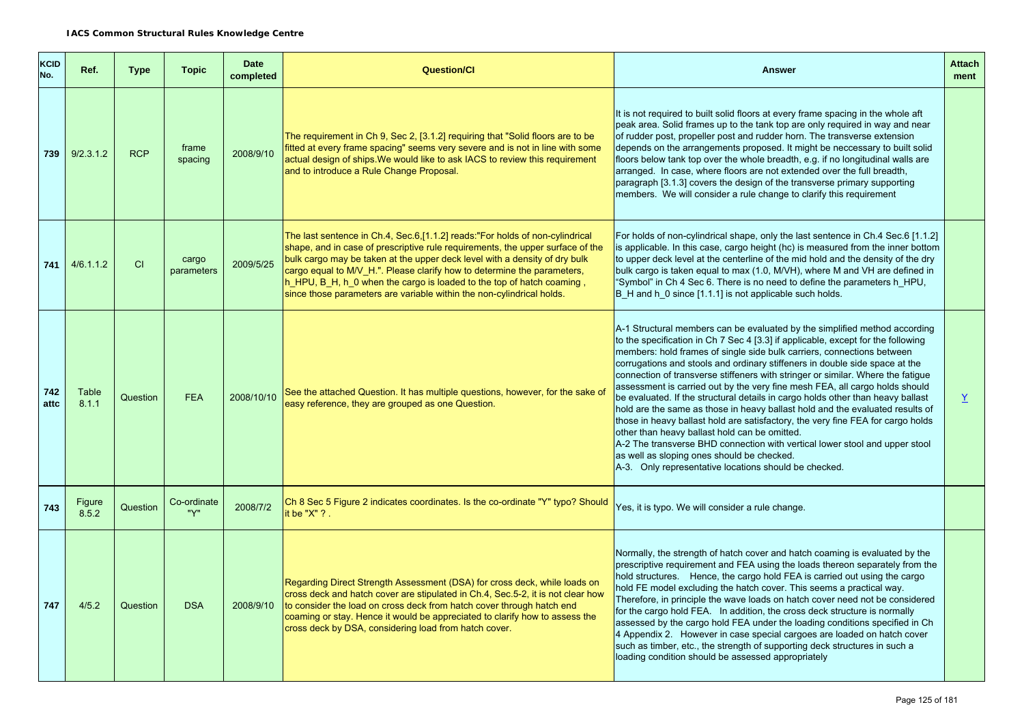| KCID<br>No. | Ref.            | <b>Type</b> | <b>Topic</b>        | <b>Date</b><br>completed | <b>Question/Cl</b>                                                                                                                                                                                                                                                                                                                                                                                                                                                          | <b>Answer</b>                                                                                                                                                                                                                                                                                                                                                                                                                                                                                                                                                                                                                                                                                                                                                                                                                                                                                                                                                                           | <b>Attach</b><br>ment |
|-------------|-----------------|-------------|---------------------|--------------------------|-----------------------------------------------------------------------------------------------------------------------------------------------------------------------------------------------------------------------------------------------------------------------------------------------------------------------------------------------------------------------------------------------------------------------------------------------------------------------------|-----------------------------------------------------------------------------------------------------------------------------------------------------------------------------------------------------------------------------------------------------------------------------------------------------------------------------------------------------------------------------------------------------------------------------------------------------------------------------------------------------------------------------------------------------------------------------------------------------------------------------------------------------------------------------------------------------------------------------------------------------------------------------------------------------------------------------------------------------------------------------------------------------------------------------------------------------------------------------------------|-----------------------|
| 739         | 9/2.3.1.2       | <b>RCP</b>  | frame<br>spacing    | 2008/9/10                | The requirement in Ch 9, Sec 2, [3.1.2] requiring that "Solid floors are to be<br>fitted at every frame spacing" seems very severe and is not in line with some<br>actual design of ships. We would like to ask IACS to review this requirement<br>and to introduce a Rule Change Proposal.                                                                                                                                                                                 | It is not required to built solid floors at every frame spacing in the whole aft<br>peak area. Solid frames up to the tank top are only required in way and near<br>of rudder post, propeller post and rudder horn. The transverse extension<br>depends on the arrangements proposed. It might be neccessary to built solid<br>floors below tank top over the whole breadth, e.g. if no longitudinal walls are<br>arranged. In case, where floors are not extended over the full breadth,<br>paragraph [3.1.3] covers the design of the transverse primary supporting<br>members. We will consider a rule change to clarify this requirement                                                                                                                                                                                                                                                                                                                                            |                       |
| 741         | 4/6.1.1.2       | CI          | cargo<br>parameters | 2009/5/25                | The last sentence in Ch.4, Sec.6, [1.1.2] reads: "For holds of non-cylindrical<br>shape, and in case of prescriptive rule requirements, the upper surface of the<br>bulk cargo may be taken at the upper deck level with a density of dry bulk<br>cargo equal to M/V H.". Please clarify how to determine the parameters,<br>h HPU, B H, h 0 when the cargo is loaded to the top of hatch coaming,<br>since those parameters are variable within the non-cylindrical holds. | For holds of non-cylindrical shape, only the last sentence in Ch.4 Sec.6 [1.1.2]<br>is applicable. In this case, cargo height (hc) is measured from the inner bottom<br>to upper deck level at the centerline of the mid hold and the density of the dry<br>bulk cargo is taken equal to max (1.0, M/VH), where M and VH are defined in<br>"Symbol" in Ch 4 Sec 6. There is no need to define the parameters h HPU,<br>B H and h 0 since [1.1.1] is not applicable such holds.                                                                                                                                                                                                                                                                                                                                                                                                                                                                                                          |                       |
| 742<br>attc | Table<br>8.1.1  | Question    | <b>FEA</b>          | 2008/10/10               | See the attached Question. It has multiple questions, however, for the sake of<br>easy reference, they are grouped as one Question.                                                                                                                                                                                                                                                                                                                                         | A-1 Structural members can be evaluated by the simplified method according<br>to the specification in Ch 7 Sec 4 [3.3] if applicable, except for the following<br>members: hold frames of single side bulk carriers, connections between<br>corrugations and stools and ordinary stiffeners in double side space at the<br>connection of transverse stiffeners with stringer or similar. Where the fatigue<br>assessment is carried out by the very fine mesh FEA, all cargo holds should<br>be evaluated. If the structural details in cargo holds other than heavy ballast<br>hold are the same as those in heavy ballast hold and the evaluated results of<br>those in heavy ballast hold are satisfactory, the very fine FEA for cargo holds<br>other than heavy ballast hold can be omitted.<br>A-2 The transverse BHD connection with vertical lower stool and upper stool<br>as well as sloping ones should be checked.<br>A-3. Only representative locations should be checked. | $\underline{Y}$       |
| 743         | Figure<br>8.5.2 | Question    | Co-ordinate<br>"Y"  | 2008/7/2                 | Ch 8 Sec 5 Figure 2 indicates coordinates. Is the co-ordinate "Y" typo? Should<br>it be " $X$ " ? .                                                                                                                                                                                                                                                                                                                                                                         | Yes, it is typo. We will consider a rule change.                                                                                                                                                                                                                                                                                                                                                                                                                                                                                                                                                                                                                                                                                                                                                                                                                                                                                                                                        |                       |
| 747         | 4/5.2           | Question    | <b>DSA</b>          | 2008/9/10                | Regarding Direct Strength Assessment (DSA) for cross deck, while loads on<br>cross deck and hatch cover are stipulated in Ch.4, Sec.5-2, it is not clear how<br>to consider the load on cross deck from hatch cover through hatch end<br>coaming or stay. Hence it would be appreciated to clarify how to assess the<br>cross deck by DSA, considering load from hatch cover.                                                                                               | Normally, the strength of hatch cover and hatch coaming is evaluated by the<br>prescriptive requirement and FEA using the loads thereon separately from the<br>hold structures. Hence, the cargo hold FEA is carried out using the cargo<br>hold FE model excluding the hatch cover. This seems a practical way.<br>Therefore, in principle the wave loads on hatch cover need not be considered<br>for the cargo hold FEA. In addition, the cross deck structure is normally<br>assessed by the cargo hold FEA under the loading conditions specified in Ch<br>4 Appendix 2. However in case special cargoes are loaded on hatch cover<br>such as timber, etc., the strength of supporting deck structures in such a<br>loading condition should be assessed appropriately                                                                                                                                                                                                             |                       |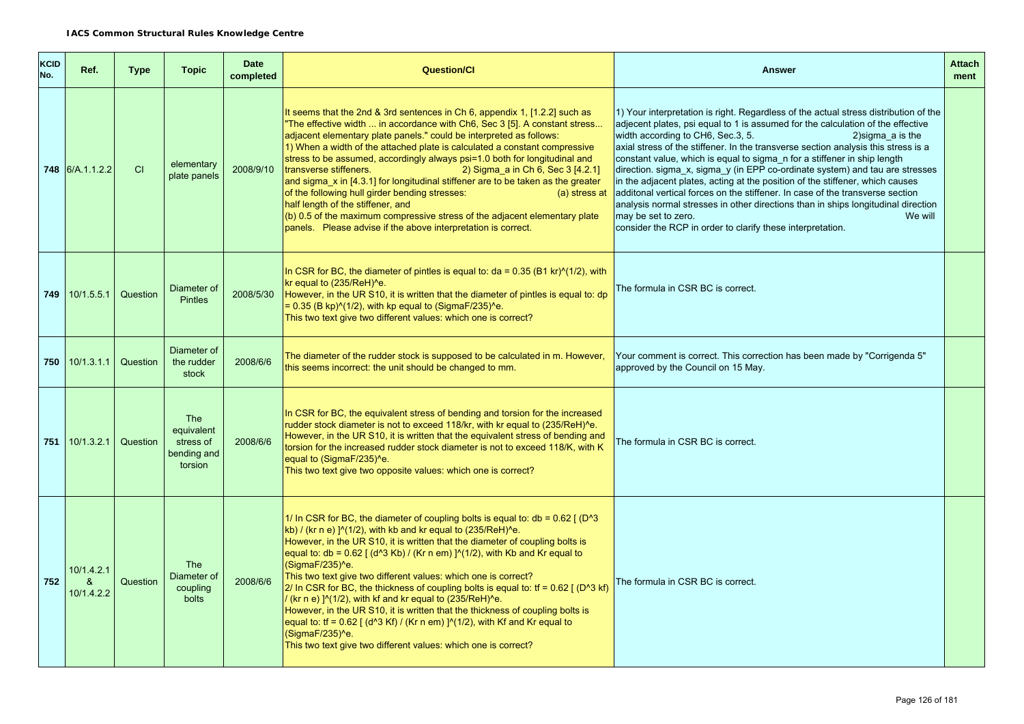| <b>KCID</b><br>No. | Ref.                          | <b>Type</b> | <b>Topic</b>                                                    | <b>Date</b><br>completed | <b>Question/Cl</b>                                                                                                                                                                                                                                                                                                                                                                                                                                                                                                                                                                                                                                                                                                                                                                                                                                          | <b>Answer</b>                                                                                                                                                                                                                                                                                                                                                                                                                                                                                                                                                                                                                                                                                                                                                                                                                                | <b>Attach</b><br>ment |
|--------------------|-------------------------------|-------------|-----------------------------------------------------------------|--------------------------|-------------------------------------------------------------------------------------------------------------------------------------------------------------------------------------------------------------------------------------------------------------------------------------------------------------------------------------------------------------------------------------------------------------------------------------------------------------------------------------------------------------------------------------------------------------------------------------------------------------------------------------------------------------------------------------------------------------------------------------------------------------------------------------------------------------------------------------------------------------|----------------------------------------------------------------------------------------------------------------------------------------------------------------------------------------------------------------------------------------------------------------------------------------------------------------------------------------------------------------------------------------------------------------------------------------------------------------------------------------------------------------------------------------------------------------------------------------------------------------------------------------------------------------------------------------------------------------------------------------------------------------------------------------------------------------------------------------------|-----------------------|
|                    | <b>748</b> 6/A.1.1.2.2        | CI          | elementary<br>plate panels                                      | 2008/9/10                | It seems that the 2nd & 3rd sentences in Ch 6, appendix 1, [1.2.2] such as<br>"The effective width  in accordance with Ch6, Sec 3 [5]. A constant stress<br>adjacent elementary plate panels." could be interpreted as follows:<br>1) When a width of the attached plate is calculated a constant compressive<br>stress to be assumed, accordingly always psi=1.0 both for longitudinal and<br>transverse stiffeners.<br>2) Sigma a in Ch 6, Sec 3 [4.2.1]<br>and sigma x in [4.3.1] for longitudinal stiffener are to be taken as the greater<br>of the following hull girder bending stresses:<br>(a) stress at<br>half length of the stiffener, and<br>(b) 0.5 of the maximum compressive stress of the adjacent elementary plate<br>panels. Please advise if the above interpretation is correct.                                                       | 1) Your interpretation is right. Regardless of the actual stress distribution of the<br>adjecent plates, psi equal to 1 is assumed for the calculation of the effective<br>width according to CH6, Sec.3, 5.<br>2) sigma $a$ is the<br>axial stress of the stiffener. In the transverse section analysis this stress is a<br>constant value, which is equal to sigma_n for a stiffener in ship length<br>direction. sigma_x, sigma_y (in EPP co-ordinate system) and tau are stresses<br>in the adjacent plates, acting at the position of the stiffener, which causes<br>additonal vertical forces on the stiffener. In case of the transverse section<br>analysis normal stresses in other directions than in ships longitudinal direction<br>We will<br>may be set to zero.<br>consider the RCP in order to clarify these interpretation. |                       |
| 749                | 10/1.5.5.1                    | Question    | Diameter of<br><b>Pintles</b>                                   | 2008/5/30                | In CSR for BC, the diameter of pintles is equal to: $da = 0.35$ (B1 kr) $(1/2)$ , with<br>kr equal to (235/ReH)^e.<br>However, in the UR S10, it is written that the diameter of pintles is equal to: dp<br>$= 0.35$ (B kp) $\frac{\text{N}}{12}$ , with kp equal to (SigmaF/235) <sup><math>\text{A}</math></sup> e.<br>This two text give two different values: which one is correct?                                                                                                                                                                                                                                                                                                                                                                                                                                                                     | The formula in CSR BC is correct.                                                                                                                                                                                                                                                                                                                                                                                                                                                                                                                                                                                                                                                                                                                                                                                                            |                       |
|                    | 750 10/1.3.1.1                | Question    | Diameter of<br>the rudder<br>stock                              | 2008/6/6                 | The diameter of the rudder stock is supposed to be calculated in m. However,<br>this seems incorrect: the unit should be changed to mm.                                                                                                                                                                                                                                                                                                                                                                                                                                                                                                                                                                                                                                                                                                                     | Your comment is correct. This correction has been made by "Corrigenda 5"<br>approved by the Council on 15 May.                                                                                                                                                                                                                                                                                                                                                                                                                                                                                                                                                                                                                                                                                                                               |                       |
| 751                | 10/1.3.2.1                    | Question    | <b>The</b><br>equivalent<br>stress of<br>bending and<br>torsion | 2008/6/6                 | In CSR for BC, the equivalent stress of bending and torsion for the increased<br>rudder stock diameter is not to exceed 118/kr, with kr equal to (235/ReH)^e.<br>However, in the UR S10, it is written that the equivalent stress of bending and<br>torsion for the increased rudder stock diameter is not to exceed 118/K, with K<br>equal to (SigmaF/235)^e.<br>This two text give two opposite values: which one is correct?                                                                                                                                                                                                                                                                                                                                                                                                                             | The formula in CSR BC is correct.                                                                                                                                                                                                                                                                                                                                                                                                                                                                                                                                                                                                                                                                                                                                                                                                            |                       |
| 752                | 10/1.4.2.1<br>&<br>10/1.4.2.2 | Question    | <b>The</b><br>Diameter of<br>coupling<br>bolts                  | 2008/6/6                 | 1/ In CSR for BC, the diameter of coupling bolts is equal to: $db = 0.62$ ( $D^23$ )<br>kb) / (kr n e) $\frac{1}{2}$ (1/2), with kb and kr equal to (235/ReH) <sup>^</sup> e.<br>However, in the UR S10, it is written that the diameter of coupling bolts is<br>equal to: db = $0.62$ [ (d^3 Kb) / (Kr n em) ]^(1/2), with Kb and Kr equal to<br>(SigmaF/235)^e.<br>This two text give two different values: which one is correct?<br>2/ In CSR for BC, the thickness of coupling bolts is equal to: $tf = 0.62$ [(D <sup>A</sup> 3 kf)<br>/ (kr n e) ]^(1/2), with kf and kr equal to (235/ReH)^e.<br>However, in the UR S10, it is written that the thickness of coupling bolts is<br>equal to: tf = $0.62$ [ (d^3 Kf) / (Kr n em) ]^(1/2), with Kf and Kr equal to<br>(SigmaF/235)^e.<br>This two text give two different values: which one is correct? | The formula in CSR BC is correct.                                                                                                                                                                                                                                                                                                                                                                                                                                                                                                                                                                                                                                                                                                                                                                                                            |                       |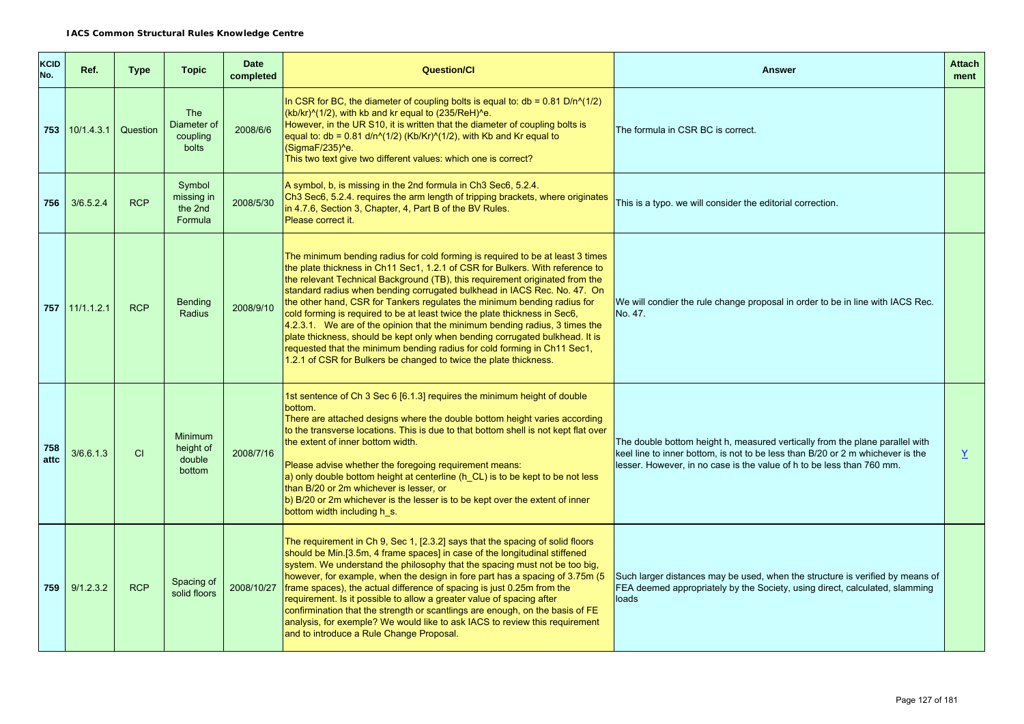| <b>KCID</b><br>No. | Ref.           | <b>Type</b> | <b>Topic</b>                                   | <b>Date</b><br>completed | <b>Question/Cl</b>                                                                                                                                                                                                                                                                                                                                                                                                                                                                                                                                                                                                                                                                                                                                                                                       | <b>Answer</b>                                                                                                                                                                                                                           | <b>Attach</b><br>ment |
|--------------------|----------------|-------------|------------------------------------------------|--------------------------|----------------------------------------------------------------------------------------------------------------------------------------------------------------------------------------------------------------------------------------------------------------------------------------------------------------------------------------------------------------------------------------------------------------------------------------------------------------------------------------------------------------------------------------------------------------------------------------------------------------------------------------------------------------------------------------------------------------------------------------------------------------------------------------------------------|-----------------------------------------------------------------------------------------------------------------------------------------------------------------------------------------------------------------------------------------|-----------------------|
| 753                | 10/1.4.3.1     | Question    | <b>The</b><br>Diameter of<br>coupling<br>bolts | 2008/6/6                 | In CSR for BC, the diameter of coupling bolts is equal to: $db = 0.81 D/n^{(1/2)}$<br>$(kb/kr)^(1/2)$ , with kb and kr equal to $(235/ReH)^{6}$ .<br>However, in the UR S10, it is written that the diameter of coupling bolts is<br>equal to: db = 0.81 d/n^(1/2) (Kb/Kr)^(1/2), with Kb and Kr equal to<br>(SigmaF/235)^e.<br>This two text give two different values: which one is correct?                                                                                                                                                                                                                                                                                                                                                                                                           | The formula in CSR BC is correct.                                                                                                                                                                                                       |                       |
| 756                | 3/6.5.2.4      | <b>RCP</b>  | Symbol<br>missing in<br>the 2nd<br>Formula     | 2008/5/30                | A symbol, b, is missing in the 2nd formula in Ch3 Sec6, 5.2.4.<br>Ch3 Sec6, 5.2.4. requires the arm length of tripping brackets, where originates<br>in 4.7.6, Section 3, Chapter, 4, Part B of the BV Rules.<br>Please correct it.                                                                                                                                                                                                                                                                                                                                                                                                                                                                                                                                                                      | This is a typo, we will consider the editorial correction.                                                                                                                                                                              |                       |
|                    | 757 11/1.1.2.1 | <b>RCP</b>  | <b>Bending</b><br><b>Radius</b>                | 2008/9/10                | The minimum bending radius for cold forming is required to be at least 3 times<br>the plate thickness in Ch11 Sec1, 1.2.1 of CSR for Bulkers. With reference to<br>the relevant Technical Background (TB), this requirement originated from the<br>standard radius when bending corrugated bulkhead in IACS Rec. No. 47. On<br>the other hand, CSR for Tankers regulates the minimum bending radius for<br>cold forming is required to be at least twice the plate thickness in Sec6,<br>$4.2.3.1$ . We are of the opinion that the minimum bending radius, 3 times the<br>plate thickness, should be kept only when bending corrugated bulkhead. It is<br>requested that the minimum bending radius for cold forming in Ch11 Sec1,<br>1.2.1 of CSR for Bulkers be changed to twice the plate thickness. | We will condier the rule change proposal in order to be in line with IACS Rec.<br>No. 47.                                                                                                                                               |                       |
| 758<br>attc        | 3/6.6.1.3      | CI          | Minimum<br>height of<br>double<br>bottom       | 2008/7/16                | 1st sentence of Ch 3 Sec 6 [6.1.3] requires the minimum height of double<br>bottom.<br>There are attached designs where the double bottom height varies according<br>to the transverse locations. This is due to that bottom shell is not kept flat over<br>the extent of inner bottom width.<br>Please advise whether the foregoing requirement means:<br>a) only double bottom height at centerline (h_CL) is to be kept to be not less<br>than B/20 or 2m whichever is lesser, or<br>b) B/20 or 2m whichever is the lesser is to be kept over the extent of inner<br>bottom width including h s.                                                                                                                                                                                                      | The double bottom height h, measured vertically from the plane parallel with<br>keel line to inner bottom, is not to be less than B/20 or 2 m whichever is the<br>lesser. However, in no case is the value of h to be less than 760 mm. | $\underline{Y}$       |
| 759                | 9/1.2.3.2      | <b>RCP</b>  | Spacing of<br>solid floors                     | 2008/10/27               | The requirement in Ch 9, Sec 1, [2.3.2] says that the spacing of solid floors<br>should be Min.[3.5m, 4 frame spaces] in case of the longitudinal stiffened<br>system. We understand the philosophy that the spacing must not be too big,<br>however, for example, when the design in fore part has a spacing of 3.75m (5<br>frame spaces), the actual difference of spacing is just 0.25m from the<br>requirement. Is it possible to allow a greater value of spacing after<br>confirmination that the strength or scantlings are enough, on the basis of FE<br>analysis, for exemple? We would like to ask IACS to review this requirement<br>and to introduce a Rule Change Proposal.                                                                                                                 | Such larger distances may be used, when the structure is verified by means of<br>FEA deemed appropriately by the Society, using direct, calculated, slamming<br>loads                                                                   |                       |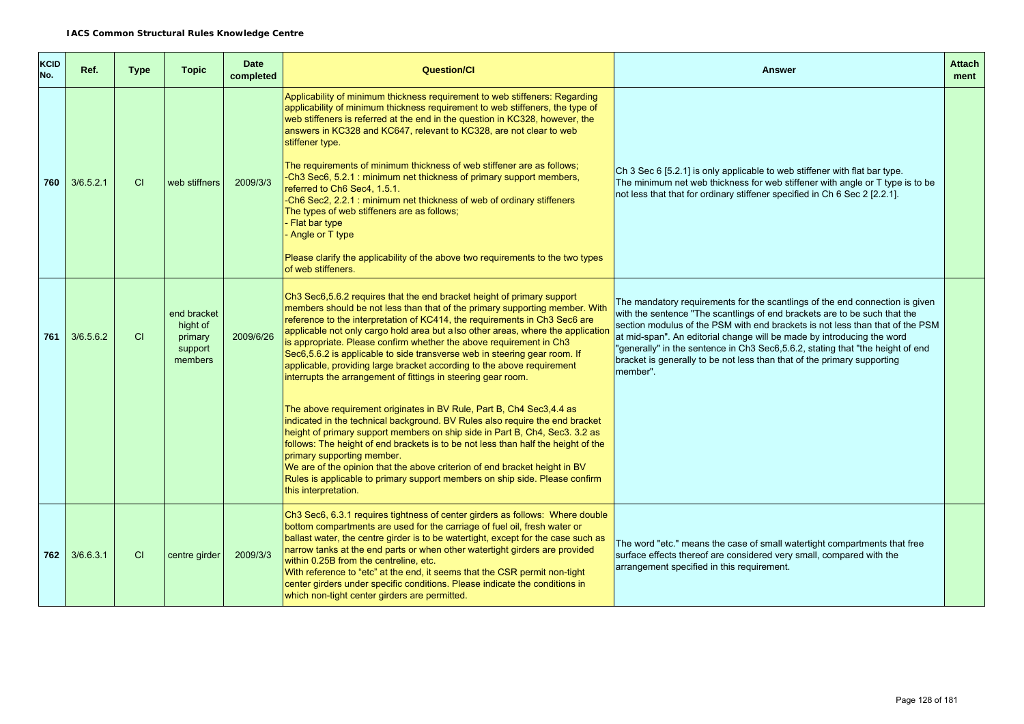| <b>KCID</b><br>No. | Ref.      | <b>Type</b> | <b>Topic</b>                                             | <b>Date</b><br>completed | <b>Question/CI</b>                                                                                                                                                                                                                                                                                                                                                                                                                                                                                                                                                                                                                                                                                                                                                                                                                                                                                                                                                               | <b>Answer</b>                                                                                                                                                                                                                                                                                                                                                                                                                                                                                 | <b>Attach</b><br>ment |
|--------------------|-----------|-------------|----------------------------------------------------------|--------------------------|----------------------------------------------------------------------------------------------------------------------------------------------------------------------------------------------------------------------------------------------------------------------------------------------------------------------------------------------------------------------------------------------------------------------------------------------------------------------------------------------------------------------------------------------------------------------------------------------------------------------------------------------------------------------------------------------------------------------------------------------------------------------------------------------------------------------------------------------------------------------------------------------------------------------------------------------------------------------------------|-----------------------------------------------------------------------------------------------------------------------------------------------------------------------------------------------------------------------------------------------------------------------------------------------------------------------------------------------------------------------------------------------------------------------------------------------------------------------------------------------|-----------------------|
| 760                | 3/6.5.2.1 | <b>CI</b>   | web stiffners                                            | 2009/3/3                 | Applicability of minimum thickness requirement to web stiffeners: Regarding<br>applicability of minimum thickness requirement to web stiffeners, the type of<br>web stiffeners is referred at the end in the question in KC328, however, the<br>answers in KC328 and KC647, relevant to KC328, are not clear to web<br>stiffener type.<br>The requirements of minimum thickness of web stiffener are as follows;<br>-Ch3 Sec6, 5.2.1 : minimum net thickness of primary support members,<br>referred to Ch6 Sec4, 1.5.1.<br>-Ch6 Sec2, 2.2.1: minimum net thickness of web of ordinary stiffeners<br>The types of web stiffeners are as follows;<br>Flat bar type<br>Angle or T type<br>Please clarify the applicability of the above two requirements to the two types<br>of web stiffeners.                                                                                                                                                                                    | Ch 3 Sec 6 [5.2.1] is only applicable to web stiffener with flat bar type.<br>The minimum net web thickness for web stiffener with angle or T type is to be<br>not less that that for ordinary stiffener specified in Ch 6 Sec 2 [2.2.1].                                                                                                                                                                                                                                                     |                       |
| 761                | 3/6.5.6.2 | CI          | end bracket<br>hight of<br>primary<br>support<br>members | 2009/6/26                | Ch3 Sec6,5.6.2 requires that the end bracket height of primary support<br>members should be not less than that of the primary supporting member. With<br>reference to the interpretation of KC414, the requirements in Ch3 Sec6 are<br>applicable not only cargo hold area but a lso other areas, where the application<br>is appropriate. Please confirm whether the above requirement in Ch3<br>Sec6,5.6.2 is applicable to side transverse web in steering gear room. If<br>applicable, providing large bracket according to the above requirement<br>interrupts the arrangement of fittings in steering gear room.<br>The above requirement originates in BV Rule, Part B, Ch4 Sec3,4.4 as<br>indicated in the technical background. BV Rules also require the end bracket<br>height of primary support members on ship side in Part B, Ch4, Sec3. 3.2 as<br>follows: The height of end brackets is to be not less than half the height of the<br>primary supporting member. | The mandatory requirements for the scantlings of the end connection is given<br>with the sentence "The scantlings of end brackets are to be such that the<br>section modulus of the PSM with end brackets is not less than that of the PSM<br>at mid-span". An editorial change will be made by introducing the word<br>"generally" in the sentence in Ch3 Sec6,5.6.2, stating that "the height of end<br>bracket is generally to be not less than that of the primary supporting<br>member". |                       |
|                    |           |             |                                                          |                          | We are of the opinion that the above criterion of end bracket height in BV<br>Rules is applicable to primary support members on ship side. Please confirm<br>this interpretation.                                                                                                                                                                                                                                                                                                                                                                                                                                                                                                                                                                                                                                                                                                                                                                                                |                                                                                                                                                                                                                                                                                                                                                                                                                                                                                               |                       |
| 762                | 3/6.6.3.1 | CI          | centre girder                                            | 2009/3/3                 | Ch3 Sec6, 6.3.1 requires tightness of center girders as follows: Where double<br>bottom compartments are used for the carriage of fuel oil, fresh water or<br>ballast water, the centre girder is to be watertight, except for the case such as<br>narrow tanks at the end parts or when other watertight girders are provided<br>within 0.25B from the centreline, etc.<br>With reference to "etc" at the end, it seems that the CSR permit non-tight<br>center girders under specific conditions. Please indicate the conditions in<br>which non-tight center girders are permitted.                                                                                                                                                                                                                                                                                                                                                                                           | The word "etc." means the case of small watertight compartments that free<br>surface effects thereof are considered very small, compared with the<br>arrangement specified in this requirement.                                                                                                                                                                                                                                                                                               |                       |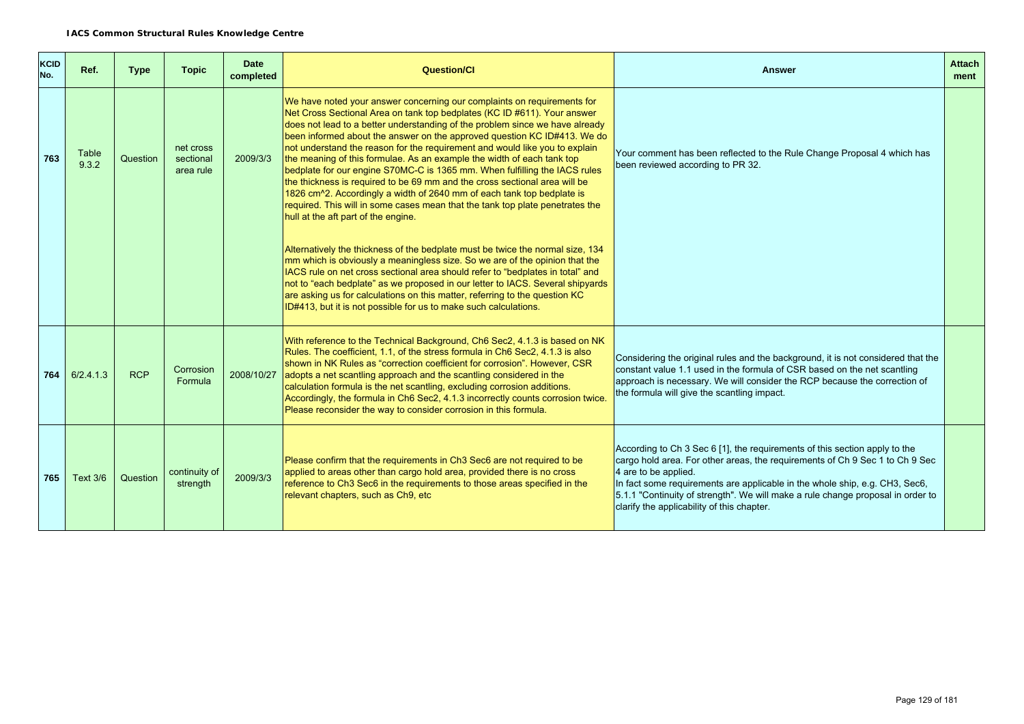| <b>KCID</b><br>No. | Ref.            | <b>Type</b> | <b>Topic</b>                        | <b>Date</b><br>completed | Question/Cl                                                                                                                                                                                                                                                                                                                                                                                                                                                                                                                                                                                                                                                                                                                                                                                                                                        | Answer                                                                                                                                                                                                                                                                                                                                                                                             | <b>Attach</b><br>ment |
|--------------------|-----------------|-------------|-------------------------------------|--------------------------|----------------------------------------------------------------------------------------------------------------------------------------------------------------------------------------------------------------------------------------------------------------------------------------------------------------------------------------------------------------------------------------------------------------------------------------------------------------------------------------------------------------------------------------------------------------------------------------------------------------------------------------------------------------------------------------------------------------------------------------------------------------------------------------------------------------------------------------------------|----------------------------------------------------------------------------------------------------------------------------------------------------------------------------------------------------------------------------------------------------------------------------------------------------------------------------------------------------------------------------------------------------|-----------------------|
| 763                | Table<br>9.3.2  | Question    | net cross<br>sectional<br>area rule | 2009/3/3                 | We have noted your answer concerning our complaints on requirements for<br>Net Cross Sectional Area on tank top bedplates (KC ID #611). Your answer<br>does not lead to a better understanding of the problem since we have already<br>been informed about the answer on the approved question KC ID#413. We do<br>not understand the reason for the requirement and would like you to explain<br>the meaning of this formulae. As an example the width of each tank top<br>bedplate for our engine S70MC-C is 1365 mm. When fulfilling the IACS rules<br>the thickness is required to be 69 mm and the cross sectional area will be<br>1826 cm <sup>2</sup> . Accordingly a width of 2640 mm of each tank top bedplate is<br>required. This will in some cases mean that the tank top plate penetrates the<br>hull at the aft part of the engine. | Your comment has been reflected to the Rule Change Proposal 4 which has<br>been reviewed according to PR 32.                                                                                                                                                                                                                                                                                       |                       |
|                    |                 |             |                                     |                          | Alternatively the thickness of the bedplate must be twice the normal size, 134<br>mm which is obviously a meaningless size. So we are of the opinion that the<br>IACS rule on net cross sectional area should refer to "bedplates in total" and<br>not to "each bedplate" as we proposed in our letter to IACS. Several shipyards<br>are asking us for calculations on this matter, referring to the question KC<br>ID#413, but it is not possible for us to make such calculations.                                                                                                                                                                                                                                                                                                                                                               |                                                                                                                                                                                                                                                                                                                                                                                                    |                       |
| 764 l              | 6/2.4.1.3       | <b>RCP</b>  | Corrosion<br>Formula                | 2008/10/27               | With reference to the Technical Background, Ch6 Sec2, 4.1.3 is based on NK<br>Rules. The coefficient, 1.1, of the stress formula in Ch6 Sec2, 4.1.3 is also<br>shown in NK Rules as "correction coefficient for corrosion". However, CSR<br>adopts a net scantling approach and the scantling considered in the<br>calculation formula is the net scantling, excluding corrosion additions.<br>Accordingly, the formula in Ch6 Sec2, 4.1.3 incorrectly counts corrosion twice.<br>Please reconsider the way to consider corrosion in this formula.                                                                                                                                                                                                                                                                                                 | Considering the original rules and the background, it is not considered that the<br>constant value 1.1 used in the formula of CSR based on the net scantling<br>approach is necessary. We will consider the RCP because the correction of<br>the formula will give the scantling impact.                                                                                                           |                       |
| 765                | <b>Text 3/6</b> | Question    | continuity of<br>strength           | 2009/3/3                 | Please confirm that the requirements in Ch3 Sec6 are not required to be<br>applied to areas other than cargo hold area, provided there is no cross<br>reference to Ch3 Sec6 in the requirements to those areas specified in the<br>relevant chapters, such as Ch9, etc                                                                                                                                                                                                                                                                                                                                                                                                                                                                                                                                                                             | According to Ch 3 Sec 6 [1], the requirements of this section apply to the<br>cargo hold area. For other areas, the requirements of Ch 9 Sec 1 to Ch 9 Sec<br>4 are to be applied.<br>In fact some requirements are applicable in the whole ship, e.g. CH3, Sec6,<br>5.1.1 "Continuity of strength". We will make a rule change proposal in order to<br>clarify the applicability of this chapter. |                       |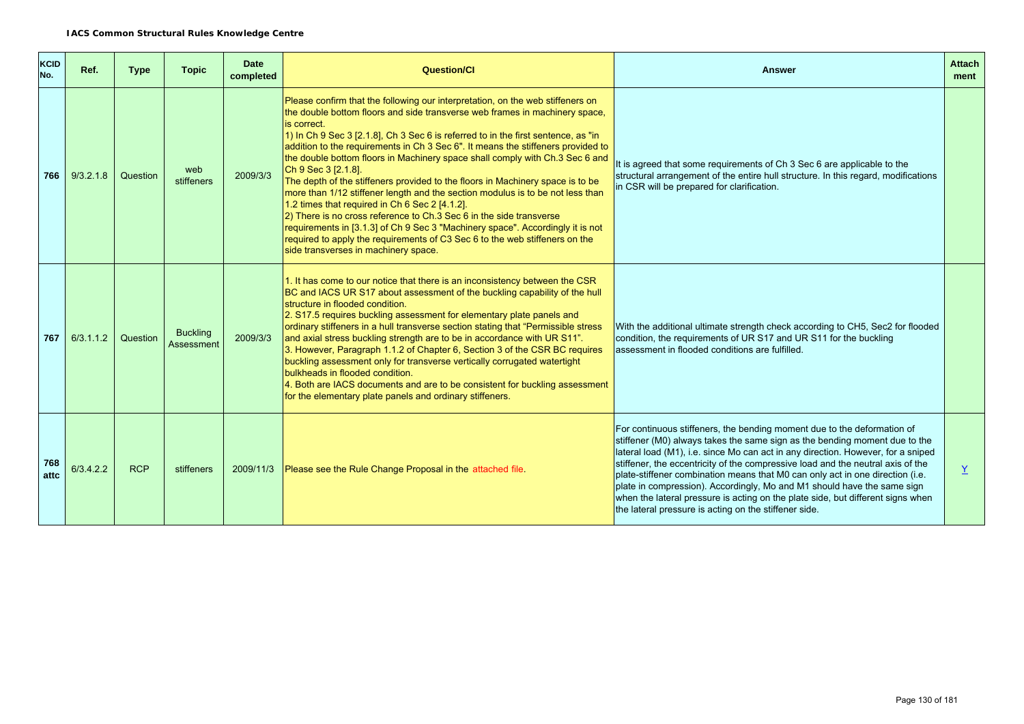| <b>KCID</b><br>No. | Ref.      | <b>Type</b> | <b>Topic</b>                         | <b>Date</b><br>completed | <b>Question/Cl</b>                                                                                                                                                                                                                                                                                                                                                                                                                                                                                                                                                                                                                                                                                                                                                                                                                                                                                                                                                         | <b>Answer</b>                                                                                                                                                                                                                                                                                                                                                                                                                                                                                                                                                                                                                        | <b>Attach</b><br>ment |
|--------------------|-----------|-------------|--------------------------------------|--------------------------|----------------------------------------------------------------------------------------------------------------------------------------------------------------------------------------------------------------------------------------------------------------------------------------------------------------------------------------------------------------------------------------------------------------------------------------------------------------------------------------------------------------------------------------------------------------------------------------------------------------------------------------------------------------------------------------------------------------------------------------------------------------------------------------------------------------------------------------------------------------------------------------------------------------------------------------------------------------------------|--------------------------------------------------------------------------------------------------------------------------------------------------------------------------------------------------------------------------------------------------------------------------------------------------------------------------------------------------------------------------------------------------------------------------------------------------------------------------------------------------------------------------------------------------------------------------------------------------------------------------------------|-----------------------|
| 766                | 9/3.2.1.8 | Question    | web<br>stiffeners                    | 2009/3/3                 | Please confirm that the following our interpretation, on the web stiffeners on<br>the double bottom floors and side transverse web frames in machinery space,<br>is correct.<br>$\vert$ 1) In Ch 9 Sec 3 [2.1.8], Ch 3 Sec 6 is referred to in the first sentence, as "in<br>addition to the requirements in Ch 3 Sec 6". It means the stiffeners provided to<br>the double bottom floors in Machinery space shall comply with Ch.3 Sec 6 and<br>Ch 9 Sec 3 [2.1.8].<br>The depth of the stiffeners provided to the floors in Machinery space is to be<br>more than 1/12 stiffener length and the section modulus is to be not less than<br>1.2 times that required in Ch 6 Sec 2 [4.1.2].<br>2) There is no cross reference to Ch.3 Sec 6 in the side transverse<br>requirements in [3.1.3] of Ch 9 Sec 3 "Machinery space". Accordingly it is not<br>required to apply the requirements of C3 Sec 6 to the web stiffeners on the<br>side transverses in machinery space. | It is agreed that some requirements of Ch 3 Sec 6 are applicable to the<br>structural arrangement of the entire hull structure. In this regard, modifications<br>in CSR will be prepared for clarification.                                                                                                                                                                                                                                                                                                                                                                                                                          |                       |
| 767                | 6/3.1.1.2 | Question    | <b>Buckling</b><br><b>Assessment</b> | 2009/3/3                 | 1. It has come to our notice that there is an inconsistency between the CSR<br>BC and IACS UR S17 about assessment of the buckling capability of the hull<br>structure in flooded condition.<br>2. S17.5 requires buckling assessment for elementary plate panels and<br>ordinary stiffeners in a hull transverse section stating that "Permissible stress<br>and axial stress buckling strength are to be in accordance with UR S11".<br>3. However, Paragraph 1.1.2 of Chapter 6, Section 3 of the CSR BC requires<br>buckling assessment only for transverse vertically corrugated watertight<br>bulkheads in flooded condition.<br>4. Both are IACS documents and are to be consistent for buckling assessment<br>for the elementary plate panels and ordinary stiffeners.                                                                                                                                                                                             | With the additional ultimate strength check according to CH5, Sec2 for flooded<br>condition, the requirements of UR S17 and UR S11 for the buckling<br>assessment in flooded conditions are fulfilled.                                                                                                                                                                                                                                                                                                                                                                                                                               |                       |
| 768<br>attc        | 6/3.4.2.2 | <b>RCP</b>  | stiffeners                           | 2009/11/3                | Please see the Rule Change Proposal in the attached file.                                                                                                                                                                                                                                                                                                                                                                                                                                                                                                                                                                                                                                                                                                                                                                                                                                                                                                                  | For continuous stiffeners, the bending moment due to the deformation of<br>stiffener (M0) always takes the same sign as the bending moment due to the<br>lateral load (M1), i.e. since Mo can act in any direction. However, for a sniped<br>stiffener, the eccentricity of the compressive load and the neutral axis of the<br>plate-stiffener combination means that M0 can only act in one direction (i.e.<br>plate in compression). Accordingly, Mo and M1 should have the same sign<br>when the lateral pressure is acting on the plate side, but different signs when<br>the lateral pressure is acting on the stiffener side. | $\underline{Y}$       |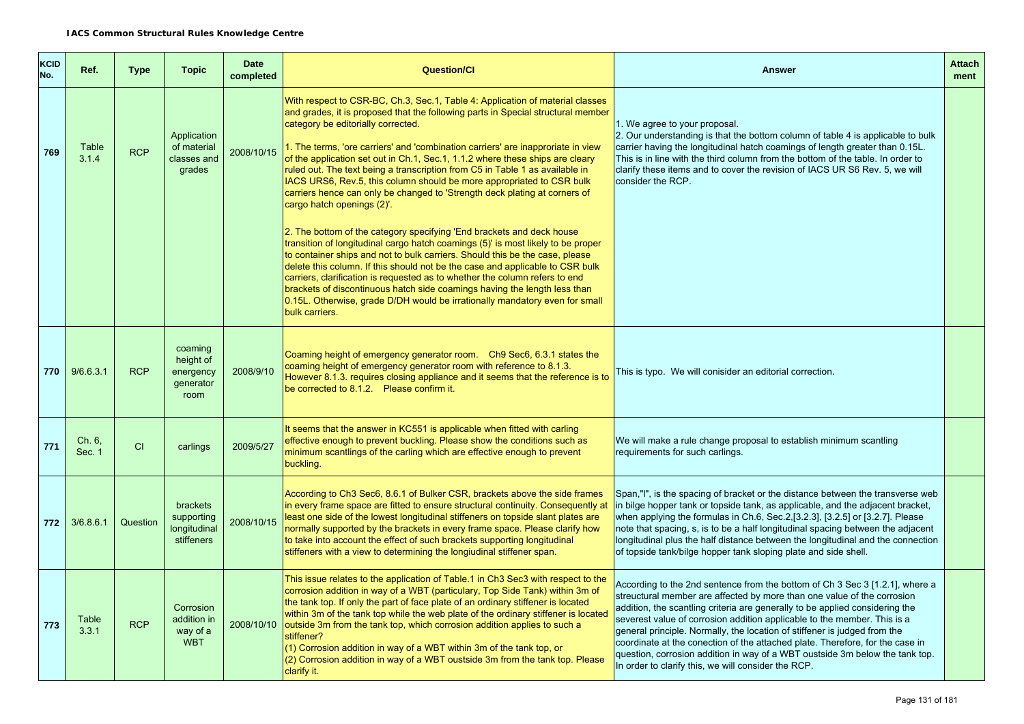| <b>KCID</b><br>No. | Ref.             | <b>Type</b> | <b>Topic</b>                                           | <b>Date</b><br>completed | <b>Question/Cl</b>                                                                                                                                                                                                                                                                                                                                                                                                                                                                                                                                                                                                                                                                                                                                                                                                                                                                                                                                                                                                                                                                                                                                                                                                                         | <b>Answer</b>                                                                                                                                                                                                                                                                                                                                                                                                                                                                                                                                                                                                            | <b>Attach</b><br>ment |
|--------------------|------------------|-------------|--------------------------------------------------------|--------------------------|--------------------------------------------------------------------------------------------------------------------------------------------------------------------------------------------------------------------------------------------------------------------------------------------------------------------------------------------------------------------------------------------------------------------------------------------------------------------------------------------------------------------------------------------------------------------------------------------------------------------------------------------------------------------------------------------------------------------------------------------------------------------------------------------------------------------------------------------------------------------------------------------------------------------------------------------------------------------------------------------------------------------------------------------------------------------------------------------------------------------------------------------------------------------------------------------------------------------------------------------|--------------------------------------------------------------------------------------------------------------------------------------------------------------------------------------------------------------------------------------------------------------------------------------------------------------------------------------------------------------------------------------------------------------------------------------------------------------------------------------------------------------------------------------------------------------------------------------------------------------------------|-----------------------|
| 769                | Table<br>3.1.4   | <b>RCP</b>  | Application<br>of material<br>classes and<br>grades    | 2008/10/15               | With respect to CSR-BC, Ch.3, Sec.1, Table 4: Application of material classes<br>and grades, it is proposed that the following parts in Special structural member<br>category be editorially corrected.<br>1. The terms, 'ore carriers' and 'combination carriers' are inapproriate in view<br>of the application set out in Ch.1, Sec.1, 1.1.2 where these ships are cleary<br>ruled out. The text being a transcription from C5 in Table 1 as available in<br>IACS URS6, Rev.5, this column should be more appropriated to CSR bulk<br>carriers hence can only be changed to 'Strength deck plating at corners of<br>cargo hatch openings (2)'<br>2. The bottom of the category specifying 'End brackets and deck house<br>transition of longitudinal cargo hatch coamings (5) is most likely to be proper<br>to container ships and not to bulk carriers. Should this be the case, please<br>delete this column. If this should not be the case and applicable to CSR bulk<br>carriers, clarification is requested as to whether the column refers to end<br>brackets of discontinuous hatch side coamings having the length less than<br>0.15L. Otherwise, grade D/DH would be irrationally mandatory even for small<br>bulk carriers. | 1. We agree to your proposal.<br>2. Our understanding is that the bottom column of table 4 is applicable to bulk<br>carrier having the longitudinal hatch coamings of length greater than 0.15L.<br>This is in line with the third column from the bottom of the table. In order to<br>clarify these items and to cover the revision of IACS UR S6 Rev. 5, we will<br>consider the RCP.                                                                                                                                                                                                                                  |                       |
| 770                | 9/6.6.3.1        | <b>RCP</b>  | coaming<br>height of<br>energency<br>generator<br>room | 2008/9/10                | Coaming height of emergency generator room. Ch9 Sec6, 6.3.1 states the<br>coaming height of emergency generator room with reference to 8.1.3.<br>However 8.1.3. requires closing appliance and it seems that the reference is to<br>be corrected to 8.1.2. Please confirm it.                                                                                                                                                                                                                                                                                                                                                                                                                                                                                                                                                                                                                                                                                                                                                                                                                                                                                                                                                              | This is typo. We will conisider an editorial correction.                                                                                                                                                                                                                                                                                                                                                                                                                                                                                                                                                                 |                       |
| 771                | Ch. 6.<br>Sec. 1 | CI          | carlings                                               | 2009/5/27                | It seems that the answer in KC551 is applicable when fitted with carling<br>effective enough to prevent buckling. Please show the conditions such as<br>minimum scantlings of the carling which are effective enough to prevent<br>buckling.                                                                                                                                                                                                                                                                                                                                                                                                                                                                                                                                                                                                                                                                                                                                                                                                                                                                                                                                                                                               | We will make a rule change proposal to establish minimum scantling<br>requirements for such carlings.                                                                                                                                                                                                                                                                                                                                                                                                                                                                                                                    |                       |
| 772                | 3/6.8.6.1        | Question    | brackets<br>supporting<br>longitudinal<br>stiffeners   | 2008/10/15               | According to Ch3 Sec6, 8.6.1 of Bulker CSR, brackets above the side frames<br>in every frame space are fitted to ensure structural continuity. Consequently at<br>least one side of the lowest longitudinal stiffeners on topside slant plates are<br>normally supported by the brackets in every frame space. Please clarify how<br>to take into account the effect of such brackets supporting longitudinal<br>stiffeners with a view to determining the longiudinal stiffener span.                                                                                                                                                                                                                                                                                                                                                                                                                                                                                                                                                                                                                                                                                                                                                     | Span,"I", is the spacing of bracket or the distance between the transverse web<br>in bilge hopper tank or topside tank, as applicable, and the adjacent bracket,<br>when applying the formulas in Ch.6, Sec.2, [3.2.3], [3.2.5] or [3.2.7]. Please<br>note that spacing, s, is to be a half longitudinal spacing between the adjacent<br>longitudinal plus the half distance between the longitudinal and the connection<br>of topside tank/bilge hopper tank sloping plate and side shell.                                                                                                                              |                       |
| 773                | Table<br>3.3.1   | <b>RCP</b>  | Corrosion<br>addition in<br>way of a<br><b>WBT</b>     | 2008/10/10               | This issue relates to the application of Table.1 in Ch3 Sec3 with respect to the<br>corrosion addition in way of a WBT (particulary, Top Side Tank) within 3m of<br>the tank top. If only the part of face plate of an ordinary stiffener is located<br>within 3m of the tank top while the web plate of the ordinary stiffener is located<br>outside 3m from the tank top, which corrosion addition applies to such a<br>stiffener?<br>(1) Corrosion addition in way of a WBT within 3m of the tank top, or<br>(2) Corrosion addition in way of a WBT oustside 3m from the tank top. Please<br>clarify it.                                                                                                                                                                                                                                                                                                                                                                                                                                                                                                                                                                                                                                | According to the 2nd sentence from the bottom of Ch 3 Sec 3 [1.2.1], where a<br>streuctural member are affected by more than one value of the corrosion<br>addition, the scantling criteria are generally to be applied considering the<br>severest value of corrosion addition applicable to the member. This is a<br>general principle. Normally, the location of stiffener is judged from the<br>coordinate at the conection of the attached plate. Therefore, for the case in<br>question, corrosion addition in way of a WBT oustside 3m below the tank top.<br>In order to clarify this, we will consider the RCP. |                       |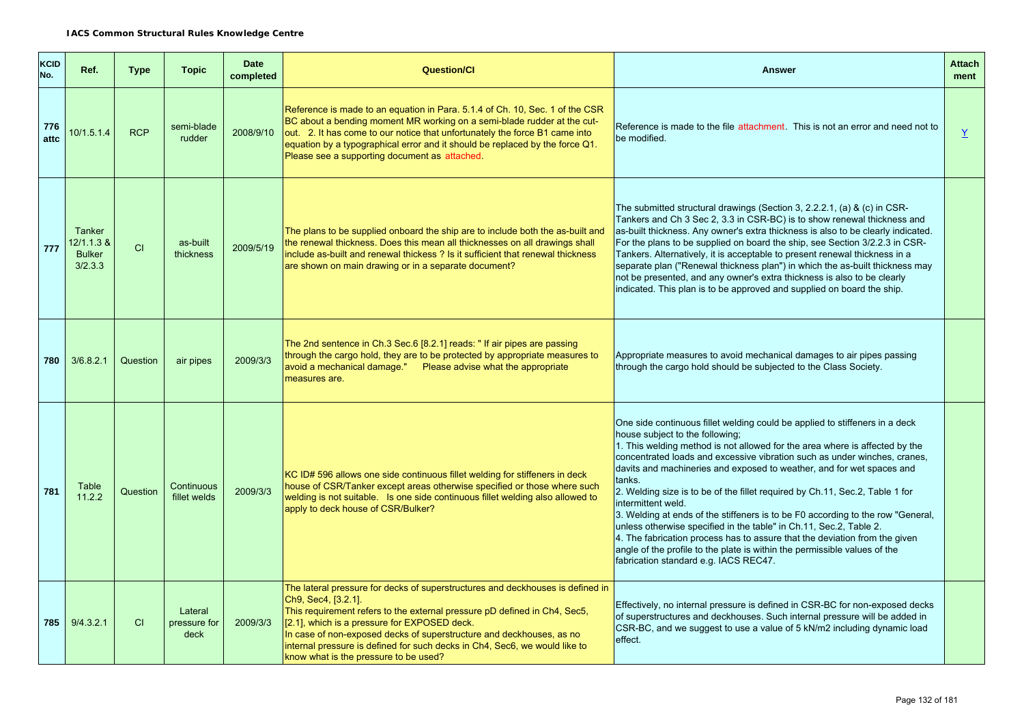| <b>KCID</b><br>No. | Ref.                                                    | <b>Type</b> | <b>Topic</b>                    | <b>Date</b><br>completed | <b>Question/CI</b>                                                                                                                                                                                                                                                                                                                                                                                                                | <b>Answer</b>                                                                                                                                                                                                                                                                                                                                                                                                                                                                                                                                                                                                                                                                                                                                                                                                                    | <b>Attach</b><br>ment    |
|--------------------|---------------------------------------------------------|-------------|---------------------------------|--------------------------|-----------------------------------------------------------------------------------------------------------------------------------------------------------------------------------------------------------------------------------------------------------------------------------------------------------------------------------------------------------------------------------------------------------------------------------|----------------------------------------------------------------------------------------------------------------------------------------------------------------------------------------------------------------------------------------------------------------------------------------------------------------------------------------------------------------------------------------------------------------------------------------------------------------------------------------------------------------------------------------------------------------------------------------------------------------------------------------------------------------------------------------------------------------------------------------------------------------------------------------------------------------------------------|--------------------------|
| 776<br>attc        | 10/1.5.1.4                                              | <b>RCP</b>  | semi-blade<br>rudder            | 2008/9/10                | Reference is made to an equation in Para, 5.1.4 of Ch. 10, Sec. 1 of the CSR<br>BC about a bending moment MR working on a semi-blade rudder at the cut-<br>out. 2. It has come to our notice that unfortunately the force B1 came into<br>equation by a typographical error and it should be replaced by the force Q1.<br>Please see a supporting document as attached.                                                           | Reference is made to the file attachment. This is not an error and need not to<br>be modified.                                                                                                                                                                                                                                                                                                                                                                                                                                                                                                                                                                                                                                                                                                                                   | $\underline{\mathsf{Y}}$ |
| 777                | <b>Tanker</b><br>12/1.1.3 &<br><b>Bulker</b><br>3/2.3.3 | CI          | as-built<br>thickness           | 2009/5/19                | The plans to be supplied onboard the ship are to include both the as-built and<br>the renewal thickness. Does this mean all thicknesses on all drawings shall<br>include as-built and renewal thickess ? Is it sufficient that renewal thickness<br>are shown on main drawing or in a separate document?                                                                                                                          | The submitted structural drawings (Section 3, 2.2.2.1, (a) & (c) in CSR-<br>Tankers and Ch 3 Sec 2, 3.3 in CSR-BC) is to show renewal thickness and<br>as-built thickness. Any owner's extra thickness is also to be clearly indicated.<br>For the plans to be supplied on board the ship, see Section 3/2.2.3 in CSR-<br>Tankers. Alternatively, it is acceptable to present renewal thickness in a<br>separate plan ("Renewal thickness plan") in which the as-built thickness may<br>not be presented, and any owner's extra thickness is also to be clearly<br>indicated. This plan is to be approved and supplied on board the ship.                                                                                                                                                                                        |                          |
| 780                | 3/6.8.2.1                                               | Question    | air pipes                       | 2009/3/3                 | The 2nd sentence in Ch.3 Sec.6 [8.2.1] reads: "If air pipes are passing<br>through the cargo hold, they are to be protected by appropriate measures to<br>avoid a mechanical damage." Please advise what the appropriate<br>measures are.                                                                                                                                                                                         | Appropriate measures to avoid mechanical damages to air pipes passing<br>through the cargo hold should be subjected to the Class Society.                                                                                                                                                                                                                                                                                                                                                                                                                                                                                                                                                                                                                                                                                        |                          |
| 781                | Table<br>11.2.2                                         | Question    | Continuous<br>fillet welds      | 2009/3/3                 | KC ID# 596 allows one side continuous fillet welding for stiffeners in deck<br>house of CSR/Tanker except areas otherwise specified or those where such<br>welding is not suitable. Is one side continuous fillet welding also allowed to<br>apply to deck house of CSR/Bulker?                                                                                                                                                   | One side continuous fillet welding could be applied to stiffeners in a deck<br>house subject to the following;<br>1. This welding method is not allowed for the area where is affected by the<br>concentrated loads and excessive vibration such as under winches, cranes,<br>davits and machineries and exposed to weather, and for wet spaces and<br>tanks.<br>2. Welding size is to be of the fillet required by Ch.11, Sec.2, Table 1 for<br>intermittent weld.<br>3. Welding at ends of the stiffeners is to be F0 according to the row "General,<br>unless otherwise specified in the table" in Ch.11, Sec.2, Table 2.<br>4. The fabrication process has to assure that the deviation from the given<br>angle of the profile to the plate is within the permissible values of the<br>fabrication standard e.g. IACS REC47. |                          |
| 785                | 9/4.3.2.1                                               | <b>CI</b>   | Lateral<br>pressure for<br>deck | 2009/3/3                 | The lateral pressure for decks of superstructures and deckhouses is defined in<br>Ch9, Sec4, [3.2.1].<br>This requirement refers to the external pressure pD defined in Ch4, Sec5,<br>[2.1], which is a pressure for EXPOSED deck.<br>In case of non-exposed decks of superstructure and deckhouses, as no<br>internal pressure is defined for such decks in Ch4, Sec6, we would like to<br>know what is the pressure to be used? | Effectively, no internal pressure is defined in CSR-BC for non-exposed decks<br>of superstructures and deckhouses. Such internal pressure will be added in<br>CSR-BC, and we suggest to use a value of 5 kN/m2 including dynamic load<br>effect.                                                                                                                                                                                                                                                                                                                                                                                                                                                                                                                                                                                 |                          |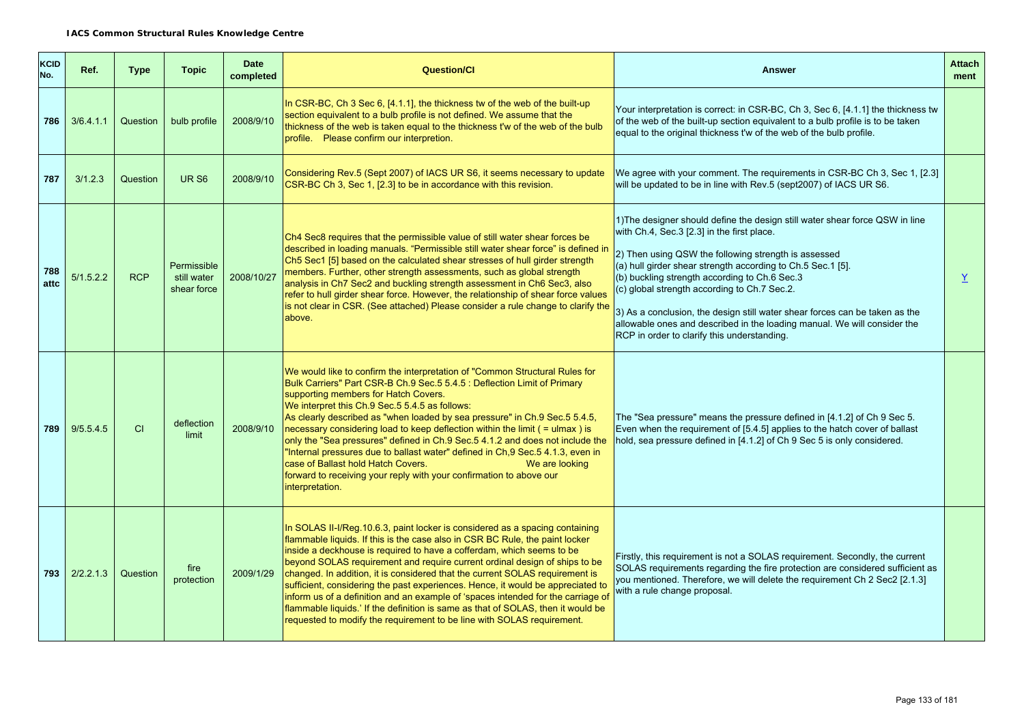| KCID<br>No. | Ref.      | <b>Type</b> | <b>Topic</b>                              | <b>Date</b><br>completed | <b>Question/CI</b>                                                                                                                                                                                                                                                                                                                                                                                                                                                                                                                                                                                                                                                                                                                          | <b>Answer</b>                                                                                                                                                                                                                                                                                                                                                                                                                                                                                                                                                | <b>Attach</b><br>ment |
|-------------|-----------|-------------|-------------------------------------------|--------------------------|---------------------------------------------------------------------------------------------------------------------------------------------------------------------------------------------------------------------------------------------------------------------------------------------------------------------------------------------------------------------------------------------------------------------------------------------------------------------------------------------------------------------------------------------------------------------------------------------------------------------------------------------------------------------------------------------------------------------------------------------|--------------------------------------------------------------------------------------------------------------------------------------------------------------------------------------------------------------------------------------------------------------------------------------------------------------------------------------------------------------------------------------------------------------------------------------------------------------------------------------------------------------------------------------------------------------|-----------------------|
| 786         | 3/6.4.1.1 | Question    | bulb profile                              | 2008/9/10                | In CSR-BC, Ch 3 Sec 6, [4.1.1], the thickness tw of the web of the built-up<br>section equivalent to a bulb profile is not defined. We assume that the<br>thickness of the web is taken equal to the thickness t'w of the web of the bulb<br>profile. Please confirm our interpretion.                                                                                                                                                                                                                                                                                                                                                                                                                                                      | Your interpretation is correct: in CSR-BC, Ch 3, Sec 6, [4.1.1] the thickness tw<br>of the web of the built-up section equivalent to a bulb profile is to be taken<br>equal to the original thickness t'w of the web of the bulb profile.                                                                                                                                                                                                                                                                                                                    |                       |
| 787         | 3/1.2.3   | Question    | UR <sub>S6</sub>                          | 2008/9/10                | Considering Rev.5 (Sept 2007) of IACS UR S6, it seems necessary to update<br>CSR-BC Ch 3, Sec 1, [2.3] to be in accordance with this revision.                                                                                                                                                                                                                                                                                                                                                                                                                                                                                                                                                                                              | We agree with your comment. The requirements in CSR-BC Ch 3, Sec 1, [2.3]<br>will be updated to be in line with Rev.5 (sept2007) of IACS UR S6.                                                                                                                                                                                                                                                                                                                                                                                                              |                       |
| 788<br>attc | 5/1.5.2.2 | <b>RCP</b>  | Permissible<br>still water<br>shear force | 2008/10/27               | Ch4 Sec8 requires that the permissible value of still water shear forces be<br>described in loading manuals. "Permissible still water shear force" is defined in<br>Ch5 Sec1 [5] based on the calculated shear stresses of hull girder strength<br>members. Further, other strength assessments, such as global strength<br>analysis in Ch7 Sec2 and buckling strength assessment in Ch6 Sec3, also<br>refer to hull girder shear force. However, the relationship of shear force values<br>is not clear in CSR. (See attached) Please consider a rule change to clarify the<br>above.                                                                                                                                                      | 1) The designer should define the design still water shear force QSW in line<br>with Ch.4, Sec.3 [2.3] in the first place.<br>2) Then using QSW the following strength is assessed<br>(a) hull girder shear strength according to Ch.5 Sec.1 [5].<br>(b) buckling strength according to Ch.6 Sec.3<br>(c) global strength according to Ch.7 Sec.2.<br>3) As a conclusion, the design still water shear forces can be taken as the<br>allowable ones and described in the loading manual. We will consider the<br>RCP in order to clarify this understanding. | $\overline{X}$        |
| 789         | 9/5.5.4.5 | <b>CI</b>   | deflection<br>limit                       | 2008/9/10                | We would like to confirm the interpretation of "Common Structural Rules for<br>Bulk Carriers" Part CSR-B Ch.9 Sec.5 5.4.5 : Deflection Limit of Primary<br>supporting members for Hatch Covers.<br>We interpret this Ch.9 Sec.5 5.4.5 as follows:<br>As clearly described as "when loaded by sea pressure" in Ch.9 Sec.5 5.4.5,<br>necessary considering load to keep deflection within the limit $($ = ulmax $)$ is<br>only the "Sea pressures" defined in Ch.9 Sec.5 4.1.2 and does not include the<br>"Internal pressures due to ballast water" defined in Ch, 9 Sec. 5 4.1.3, even in<br>case of Ballast hold Hatch Covers.<br>We are looking<br>forward to receiving your reply with your confirmation to above our<br>interpretation. | The "Sea pressure" means the pressure defined in [4.1.2] of Ch 9 Sec 5.<br>Even when the requirement of [5.4.5] applies to the hatch cover of ballast<br>hold, sea pressure defined in [4.1.2] of Ch 9 Sec 5 is only considered.                                                                                                                                                                                                                                                                                                                             |                       |
| 793         | 2/2.2.1.3 | Question    | fire<br>protection                        | 2009/1/29                | In SOLAS II-I/Reg. 10.6.3, paint locker is considered as a spacing containing<br>flammable liquids. If this is the case also in CSR BC Rule, the paint locker<br>inside a deckhouse is required to have a cofferdam, which seems to be<br>beyond SOLAS requirement and require current ordinal design of ships to be<br>changed. In addition, it is considered that the current SOLAS requirement is<br>sufficient, considering the past experiences. Hence, it would be appreciated to<br>inform us of a definition and an example of 'spaces intended for the carriage of<br>flammable liquids.' If the definition is same as that of SOLAS, then it would be<br>requested to modify the requirement to be line with SOLAS requirement.   | Firstly, this requirement is not a SOLAS requirement. Secondly, the current<br>SOLAS requirements regarding the fire protection are considered sufficient as<br>you mentioned. Therefore, we will delete the requirement Ch 2 Sec2 [2.1.3]<br>with a rule change proposal.                                                                                                                                                                                                                                                                                   |                       |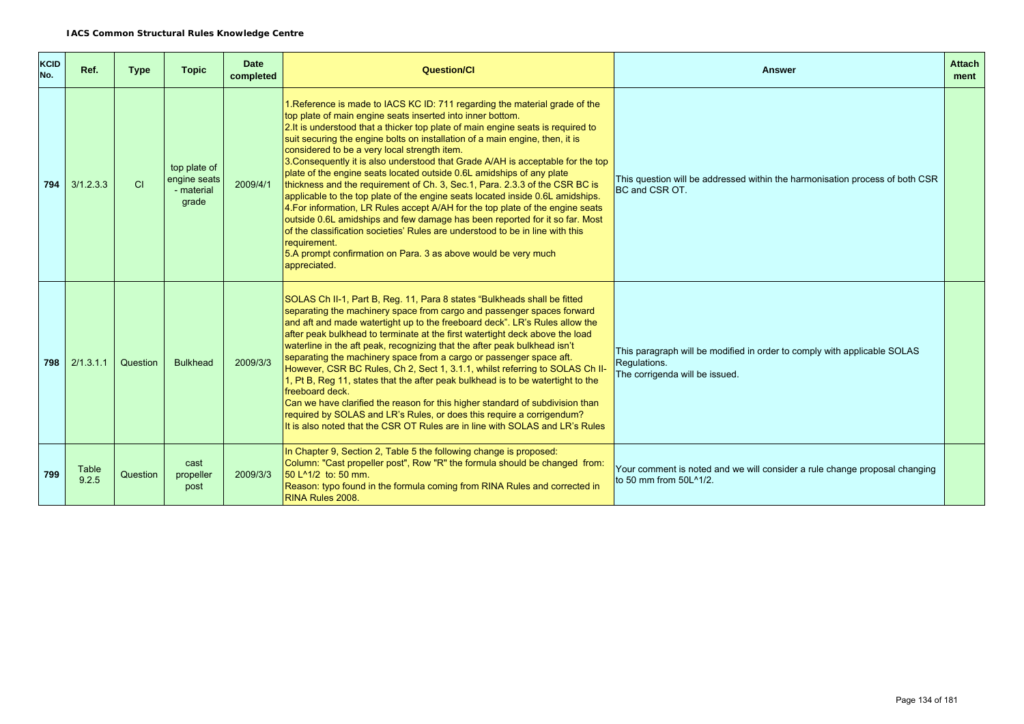| <b>KCID</b><br>No. | Ref.           | <b>Type</b> | <b>Topic</b>                                        | <b>Date</b><br>completed | <b>Question/Cl</b>                                                                                                                                                                                                                                                                                                                                                                                                                                                                                                                                                                                                                                                                                                                                                                                                                                                                                                                                                                                                                              | <b>Answer</b>                                                                                                              | <b>Attach</b><br>ment |
|--------------------|----------------|-------------|-----------------------------------------------------|--------------------------|-------------------------------------------------------------------------------------------------------------------------------------------------------------------------------------------------------------------------------------------------------------------------------------------------------------------------------------------------------------------------------------------------------------------------------------------------------------------------------------------------------------------------------------------------------------------------------------------------------------------------------------------------------------------------------------------------------------------------------------------------------------------------------------------------------------------------------------------------------------------------------------------------------------------------------------------------------------------------------------------------------------------------------------------------|----------------------------------------------------------------------------------------------------------------------------|-----------------------|
| 794                | 3/1.2.3.3      | <b>CI</b>   | top plate of<br>engine seats<br>- material<br>grade | 2009/4/1                 | 1. Reference is made to IACS KC ID: 711 regarding the material grade of the<br>top plate of main engine seats inserted into inner bottom.<br>2. It is understood that a thicker top plate of main engine seats is required to<br>suit securing the engine bolts on installation of a main engine, then, it is<br>considered to be a very local strength item.<br>3. Consequently it is also understood that Grade A/AH is acceptable for the top<br>plate of the engine seats located outside 0.6L amidships of any plate<br>thickness and the requirement of Ch. 3, Sec. 1, Para. 2.3.3 of the CSR BC is<br>applicable to the top plate of the engine seats located inside 0.6L amidships.<br>4. For information, LR Rules accept A/AH for the top plate of the engine seats<br>outside 0.6L amidships and few damage has been reported for it so far. Most<br>of the classification societies' Rules are understood to be in line with this<br>requirement.<br>5.A prompt confirmation on Para. 3 as above would be very much<br>appreciated. | This question will be addressed within the harmonisation process of both CSR<br>BC and CSR OT.                             |                       |
| 798                | 2/1.3.1.1      | Question    | <b>Bulkhead</b>                                     | 2009/3/3                 | SOLAS Ch II-1, Part B, Reg. 11, Para 8 states "Bulkheads shall be fitted<br>separating the machinery space from cargo and passenger spaces forward<br>and aft and made watertight up to the freeboard deck". LR's Rules allow the<br>after peak bulkhead to terminate at the first watertight deck above the load<br>waterline in the aft peak, recognizing that the after peak bulkhead isn't<br>separating the machinery space from a cargo or passenger space aft.<br>However, CSR BC Rules, Ch 2, Sect 1, 3.1.1, whilst referring to SOLAS Ch II-<br>1, Pt B, Reg 11, states that the after peak bulkhead is to be watertight to the<br>freeboard deck.<br>Can we have clarified the reason for this higher standard of subdivision than<br>required by SOLAS and LR's Rules, or does this require a corrigendum?<br>It is also noted that the CSR OT Rules are in line with SOLAS and LR's Rules                                                                                                                                           | This paragraph will be modified in order to comply with applicable SOLAS<br>Requlations.<br>The corrigenda will be issued. |                       |
| 799                | Table<br>9.2.5 | Question    | cast<br>propeller<br>post                           | 2009/3/3                 | In Chapter 9, Section 2, Table 5 the following change is proposed:<br>Column: "Cast propeller post", Row "R" the formula should be changed from:<br>50 L <sup>^1</sup> /2 to: 50 mm.<br>Reason: typo found in the formula coming from RINA Rules and corrected in<br>RINA Rules 2008.                                                                                                                                                                                                                                                                                                                                                                                                                                                                                                                                                                                                                                                                                                                                                           | Your comment is noted and we will consider a rule change proposal changing<br>to 50 mm from 50L^1/2.                       |                       |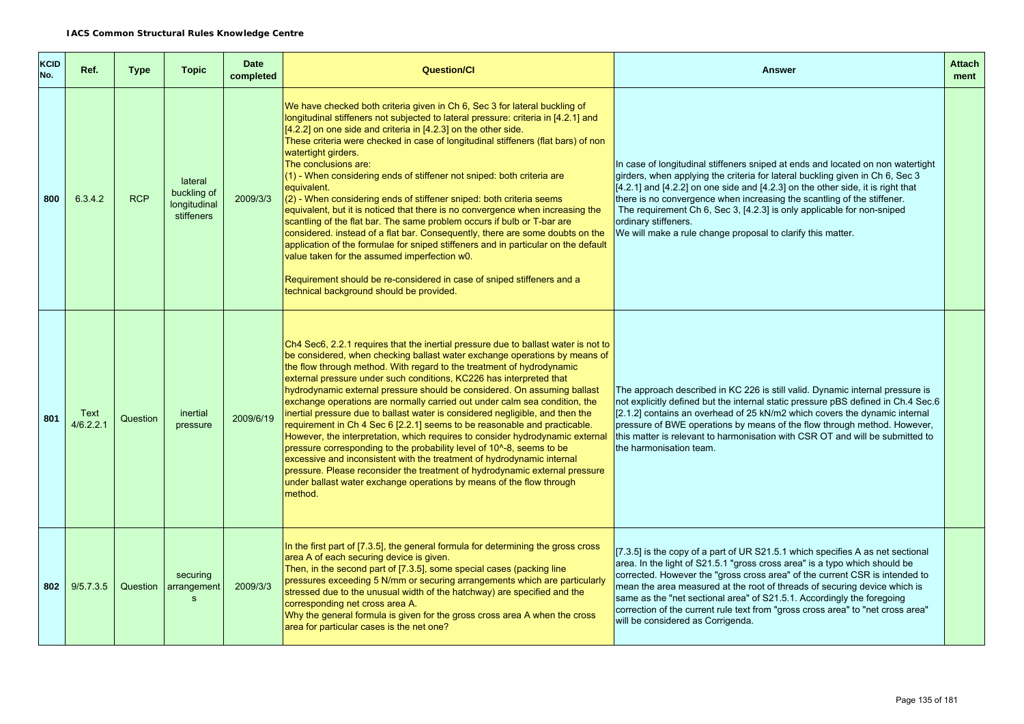| <b>KCID</b><br>No. | Ref.              | <b>Type</b> | <b>Topic</b>                                         | <b>Date</b><br>completed | <b>Question/Cl</b>                                                                                                                                                                                                                                                                                                                                                                                                                                                                                                                                                                                                                                                                                                                                                                                                                                                                                                                                                                                                                                          | <b>Answer</b>                                                                                                                                                                                                                                                                                                                                                                                                                                                                                                              | <b>Attach</b><br>ment |
|--------------------|-------------------|-------------|------------------------------------------------------|--------------------------|-------------------------------------------------------------------------------------------------------------------------------------------------------------------------------------------------------------------------------------------------------------------------------------------------------------------------------------------------------------------------------------------------------------------------------------------------------------------------------------------------------------------------------------------------------------------------------------------------------------------------------------------------------------------------------------------------------------------------------------------------------------------------------------------------------------------------------------------------------------------------------------------------------------------------------------------------------------------------------------------------------------------------------------------------------------|----------------------------------------------------------------------------------------------------------------------------------------------------------------------------------------------------------------------------------------------------------------------------------------------------------------------------------------------------------------------------------------------------------------------------------------------------------------------------------------------------------------------------|-----------------------|
| 800                | 6.3.4.2           | <b>RCP</b>  | lateral<br>buckling of<br>longitudinal<br>stiffeners | 2009/3/3                 | We have checked both criteria given in Ch 6, Sec 3 for lateral buckling of<br>longitudinal stiffeners not subjected to lateral pressure: criteria in [4.2.1] and<br>[4.2.2] on one side and criteria in [4.2.3] on the other side.<br>These criteria were checked in case of longitudinal stiffeners (flat bars) of non<br>watertight girders.<br>The conclusions are:<br>(1) - When considering ends of stiffener not sniped: both criteria are<br>equivalent.<br>(2) - When considering ends of stiffener sniped: both criteria seems<br>equivalent, but it is noticed that there is no convergence when increasing the<br>scantling of the flat bar. The same problem occurs if bulb or T-bar are<br>considered. instead of a flat bar. Consequently, there are some doubts on the<br>application of the formulae for sniped stiffeners and in particular on the default<br>value taken for the assumed imperfection w0.<br>Requirement should be re-considered in case of sniped stiffeners and a<br>technical background should be provided.           | In case of longitudinal stiffeners sniped at ends and located on non watertight<br>girders, when applying the criteria for lateral buckling given in Ch 6, Sec 3<br>$[4.2.1]$ and $[4.2.2]$ on one side and $[4.2.3]$ on the other side, it is right that<br>there is no convergence when increasing the scantling of the stiffener.<br>The requirement Ch 6, Sec 3, [4.2.3] is only applicable for non-sniped<br>ordinary stiffeners.<br>We will make a rule change proposal to clarify this matter.                      |                       |
| 801                | Text<br>4/6.2.2.1 | Question    | inertial<br>pressure                                 | 2009/6/19                | Ch4 Sec6, 2.2.1 requires that the inertial pressure due to ballast water is not to<br>be considered, when checking ballast water exchange operations by means of<br>the flow through method. With regard to the treatment of hydrodynamic<br>external pressure under such conditions, KC226 has interpreted that<br>hydrodynamic external pressure should be considered. On assuming ballast<br>exchange operations are normally carried out under calm sea condition, the<br>inertial pressure due to ballast water is considered negligible, and then the<br>requirement in Ch 4 Sec 6 [2.2.1] seems to be reasonable and practicable.<br>However, the interpretation, which requires to consider hydrodynamic external<br>pressure corresponding to the probability level of 10 <sup>1</sup> -8, seems to be<br>excessive and inconsistent with the treatment of hydrodynamic internal<br>pressure. Please reconsider the treatment of hydrodynamic external pressure<br>under ballast water exchange operations by means of the flow through<br>method. | The approach described in KC 226 is still valid. Dynamic internal pressure is<br>not explicitly defined but the internal static pressure pBS defined in Ch.4 Sec.6<br>[2.1.2] contains an overhead of 25 kN/m2 which covers the dynamic internal<br>pressure of BWE operations by means of the flow through method. However,<br>this matter is relevant to harmonisation with CSR OT and will be submitted to<br>the harmonisation team.                                                                                   |                       |
| 802                | 9/5.7.3.5         | Question    | securing<br>arrangement<br>s                         | 2009/3/3                 | In the first part of [7.3.5], the general formula for determining the gross cross<br>area A of each securing device is given.<br>Then, in the second part of [7.3.5], some special cases (packing line<br>pressures exceeding 5 N/mm or securing arrangements which are particularly<br>stressed due to the unusual width of the hatchway) are specified and the<br>corresponding net cross area A.<br>Why the general formula is given for the gross cross area A when the cross<br>area for particular cases is the net one?                                                                                                                                                                                                                                                                                                                                                                                                                                                                                                                              | [7.3.5] is the copy of a part of UR S21.5.1 which specifies A as net sectional<br>area. In the light of S21.5.1 "gross cross area" is a typo which should be<br>corrected. However the "gross cross area" of the current CSR is intended to<br>mean the area measured at the root of threads of securing device which is<br>same as the "net sectional area" of S21.5.1. Accordingly the foregoing<br>correction of the current rule text from "gross cross area" to "net cross area"<br>will be considered as Corrigenda. |                       |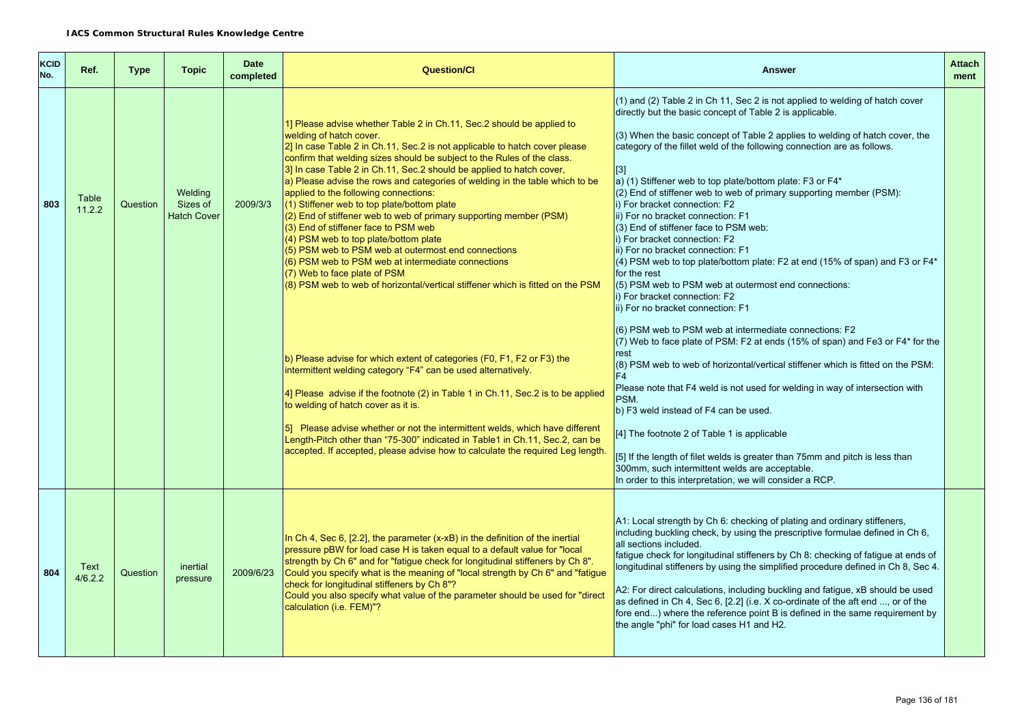| <b>KCID</b><br>No. | Ref.            | <b>Type</b> | <b>Topic</b>                              | <b>Date</b><br>completed | <b>Question/Cl</b>                                                                                                                                                                                                                                                                                                                                                                                                                                                                                                                                                                                                                                                                                                                                                                                                                                                                              | <b>Answer</b>                                                                                                                                                                                                                                                                                                                                                                                                                                                                                                                                                                                                                                                                                                                                                                                                                                                                                                                                                                                                        | <b>Attach</b><br>ment |
|--------------------|-----------------|-------------|-------------------------------------------|--------------------------|-------------------------------------------------------------------------------------------------------------------------------------------------------------------------------------------------------------------------------------------------------------------------------------------------------------------------------------------------------------------------------------------------------------------------------------------------------------------------------------------------------------------------------------------------------------------------------------------------------------------------------------------------------------------------------------------------------------------------------------------------------------------------------------------------------------------------------------------------------------------------------------------------|----------------------------------------------------------------------------------------------------------------------------------------------------------------------------------------------------------------------------------------------------------------------------------------------------------------------------------------------------------------------------------------------------------------------------------------------------------------------------------------------------------------------------------------------------------------------------------------------------------------------------------------------------------------------------------------------------------------------------------------------------------------------------------------------------------------------------------------------------------------------------------------------------------------------------------------------------------------------------------------------------------------------|-----------------------|
| 803                | Table<br>11.2.2 | Question    | Welding<br>Sizes of<br><b>Hatch Cover</b> | 2009/3/3                 | 1] Please advise whether Table 2 in Ch.11, Sec.2 should be applied to<br>welding of hatch cover.<br>2] In case Table 2 in Ch.11, Sec.2 is not applicable to hatch cover please<br>confirm that welding sizes should be subject to the Rules of the class.<br>3] In case Table 2 in Ch.11, Sec.2 should be applied to hatch cover,<br>a) Please advise the rows and categories of welding in the table which to be<br>applied to the following connections:<br>(1) Stiffener web to top plate/bottom plate<br>(2) End of stiffener web to web of primary supporting member (PSM)<br>(3) End of stiffener face to PSM web<br>(4) PSM web to top plate/bottom plate<br>(5) PSM web to PSM web at outermost end connections<br>(6) PSM web to PSM web at intermediate connections<br>(7) Web to face plate of PSM<br>(8) PSM web to web of horizontal/vertical stiffener which is fitted on the PSM | (1) and (2) Table 2 in Ch 11, Sec 2 is not applied to welding of hatch cover<br>directly but the basic concept of Table 2 is applicable.<br>(3) When the basic concept of Table 2 applies to welding of hatch cover, the<br>category of the fillet weld of the following connection are as follows.<br>$\vert$ [3]<br>a) (1) Stiffener web to top plate/bottom plate: F3 or F4*<br>(2) End of stiffener web to web of primary supporting member (PSM):<br>i) For bracket connection: F2<br>ii) For no bracket connection: F1<br>(3) End of stiffener face to PSM web:<br>i) For bracket connection: F2<br>ii) For no bracket connection: F1<br>(4) PSM web to top plate/bottom plate: F2 at end (15% of span) and F3 or F4*<br>for the rest<br>(5) PSM web to PSM web at outermost end connections:<br>i) For bracket connection: F2<br>ii) For no bracket connection: F1<br>(6) PSM web to PSM web at intermediate connections: F2<br>(7) Web to face plate of PSM: F2 at ends (15% of span) and Fe3 or F4* for the |                       |
|                    |                 |             |                                           |                          | b) Please advise for which extent of categories (F0, F1, F2 or F3) the<br>intermittent welding category "F4" can be used alternatively.<br>4] Please advise if the footnote (2) in Table 1 in Ch.11, Sec.2 is to be applied<br>to welding of hatch cover as it is.<br>5] Please advise whether or not the intermittent welds, which have different<br>Length-Pitch other than "75-300" indicated in Table1 in Ch.11, Sec.2, can be<br>accepted. If accepted, please advise how to calculate the required Leg length.                                                                                                                                                                                                                                                                                                                                                                            | rest<br>(8) PSM web to web of horizontal/vertical stiffener which is fitted on the PSM:<br>F <sub>4</sub><br>Please note that F4 weld is not used for welding in way of intersection with<br>PSM.<br>b) F3 weld instead of F4 can be used.<br>[4] The footnote 2 of Table 1 is applicable<br>[5] If the length of filet welds is greater than 75mm and pitch is less than<br>300mm, such intermittent welds are acceptable.<br>In order to this interpretation, we will consider a RCP.                                                                                                                                                                                                                                                                                                                                                                                                                                                                                                                              |                       |
| 804                | Text<br>4/6.2.2 | Question    | inertial<br>pressure                      | 2009/6/23                | In Ch 4, Sec 6, $[2.2]$ , the parameter $(x-xB)$ in the definition of the inertial<br>pressure pBW for load case H is taken equal to a default value for "local<br>strength by Ch 6" and for "fatigue check for longitudinal stiffeners by Ch 8".<br>Could you specify what is the meaning of "local strength by Ch 6" and "fatique"<br>check for longitudinal stiffeners by Ch 8"?<br>Could you also specify what value of the parameter should be used for "direct<br>calculation (i.e. FEM)"?                                                                                                                                                                                                                                                                                                                                                                                                | A1: Local strength by Ch 6: checking of plating and ordinary stiffeners,<br>including buckling check, by using the prescriptive formulae defined in Ch 6,<br>all sections included.<br>fatigue check for longitudinal stiffeners by Ch 8: checking of fatigue at ends of<br>longitudinal stiffeners by using the simplified procedure defined in Ch 8, Sec 4.<br>A2: For direct calculations, including buckling and fatigue, xB should be used<br>as defined in Ch 4, Sec 6, [2.2] (i.e. X co-ordinate of the aft end , or of the<br>fore end) where the reference point B is defined in the same requirement by<br>the angle "phi" for load cases H1 and H2.                                                                                                                                                                                                                                                                                                                                                       |                       |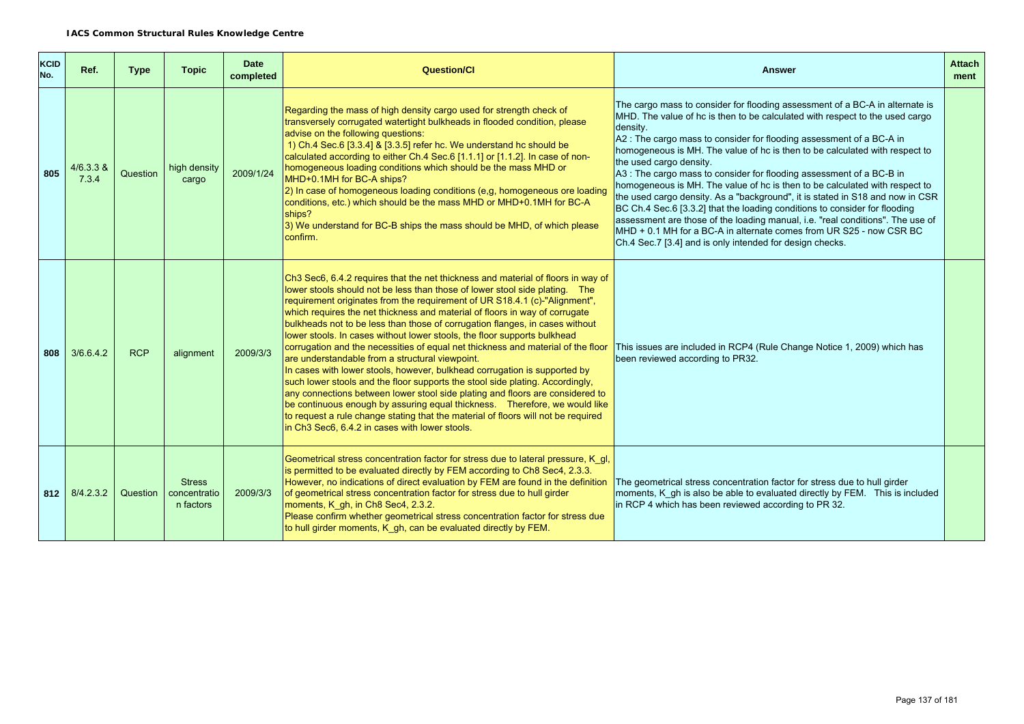| <b>KCID</b><br>No. | Ref.               | <b>Type</b> | <b>Topic</b>                               | <b>Date</b><br>completed | <b>Question/Cl</b>                                                                                                                                                                                                                                                                                                                                                                                                                                                                                                                                                                                                                                                                                                                                                                                                                                                                                                                                                                                                                                                                                                           | <b>Answer</b>                                                                                                                                                                                                                                                                                                                                                                                                                                                                                                                                                                                                                                                                                                                                                                                                                                                                                         | <b>Attach</b><br>ment |
|--------------------|--------------------|-------------|--------------------------------------------|--------------------------|------------------------------------------------------------------------------------------------------------------------------------------------------------------------------------------------------------------------------------------------------------------------------------------------------------------------------------------------------------------------------------------------------------------------------------------------------------------------------------------------------------------------------------------------------------------------------------------------------------------------------------------------------------------------------------------------------------------------------------------------------------------------------------------------------------------------------------------------------------------------------------------------------------------------------------------------------------------------------------------------------------------------------------------------------------------------------------------------------------------------------|-------------------------------------------------------------------------------------------------------------------------------------------------------------------------------------------------------------------------------------------------------------------------------------------------------------------------------------------------------------------------------------------------------------------------------------------------------------------------------------------------------------------------------------------------------------------------------------------------------------------------------------------------------------------------------------------------------------------------------------------------------------------------------------------------------------------------------------------------------------------------------------------------------|-----------------------|
| 805                | 4/6.3.3 &<br>7.3.4 | Question    | high density<br>cargo                      | 2009/1/24                | Regarding the mass of high density cargo used for strength check of<br>transversely corrugated watertight bulkheads in flooded condition, please<br>advise on the following questions:<br>1) Ch.4 Sec.6 [3.3.4] & [3.3.5] refer hc. We understand hc should be<br>calculated according to either Ch.4 Sec.6 [1.1.1] or [1.1.2]. In case of non-<br>homogeneous loading conditions which should be the mass MHD or<br>MHD+0.1MH for BC-A ships?<br>2) In case of homogeneous loading conditions (e,g, homogeneous ore loading<br>conditions, etc.) which should be the mass MHD or MHD+0.1MH for BC-A<br>ships?<br>3) We understand for BC-B ships the mass should be MHD, of which please<br>confirm.                                                                                                                                                                                                                                                                                                                                                                                                                        | The cargo mass to consider for flooding assessment of a BC-A in alternate is<br>MHD. The value of hc is then to be calculated with respect to the used cargo<br>density.<br>A2 : The cargo mass to consider for flooding assessment of a BC-A in<br>homogeneous is MH. The value of hc is then to be calculated with respect to<br>the used cargo density.<br>A3 : The cargo mass to consider for flooding assessment of a BC-B in<br>homogeneous is MH. The value of hc is then to be calculated with respect to<br>the used cargo density. As a "background", it is stated in S18 and now in CSR<br>BC Ch.4 Sec.6 [3.3.2] that the loading conditions to consider for flooding<br>assessment are those of the loading manual, i.e. "real conditions". The use of<br>MHD + 0.1 MH for a BC-A in alternate comes from UR S25 - now CSR BC<br>Ch.4 Sec.7 [3.4] and is only intended for design checks. |                       |
| 808                | 3/6.6.4.2          | <b>RCP</b>  | alignment                                  | 2009/3/3                 | Ch3 Sec6, 6.4.2 requires that the net thickness and material of floors in way of<br>lower stools should not be less than those of lower stool side plating. The<br>requirement originates from the requirement of UR S18.4.1 (c)-"Alignment",<br>which requires the net thickness and material of floors in way of corrugate<br>bulkheads not to be less than those of corrugation flanges, in cases without<br>lower stools. In cases without lower stools, the floor supports bulkhead<br>corrugation and the necessities of equal net thickness and material of the floor<br>are understandable from a structural viewpoint.<br>In cases with lower stools, however, bulkhead corrugation is supported by<br>such lower stools and the floor supports the stool side plating. Accordingly,<br>any connections between lower stool side plating and floors are considered to<br>be continuous enough by assuring equal thickness. Therefore, we would like<br>to request a rule change stating that the material of floors will not be required<br>in Ch <sub>3</sub> Sec <sub>6</sub> , 6.4.2 in cases with lower stools. | This issues are included in RCP4 (Rule Change Notice 1, 2009) which has<br>been reviewed according to PR32.                                                                                                                                                                                                                                                                                                                                                                                                                                                                                                                                                                                                                                                                                                                                                                                           |                       |
| 812                | 8/4.2.3.2          | Question    | <b>Stress</b><br>concentratio<br>n factors | 2009/3/3                 | Geometrical stress concentration factor for stress due to lateral pressure, K gl,<br>is permitted to be evaluated directly by FEM according to Ch8 Sec4, 2.3.3.<br>However, no indications of direct evaluation by FEM are found in the definition<br>of geometrical stress concentration factor for stress due to hull girder<br>moments, K gh, in Ch8 Sec4, 2.3.2.<br>Please confirm whether geometrical stress concentration factor for stress due<br>to hull girder moments, K gh, can be evaluated directly by FEM.                                                                                                                                                                                                                                                                                                                                                                                                                                                                                                                                                                                                     | The geometrical stress concentration factor for stress due to hull girder<br>moments, K gh is also be able to evaluated directly by FEM. This is included<br>in RCP 4 which has been reviewed according to PR 32.                                                                                                                                                                                                                                                                                                                                                                                                                                                                                                                                                                                                                                                                                     |                       |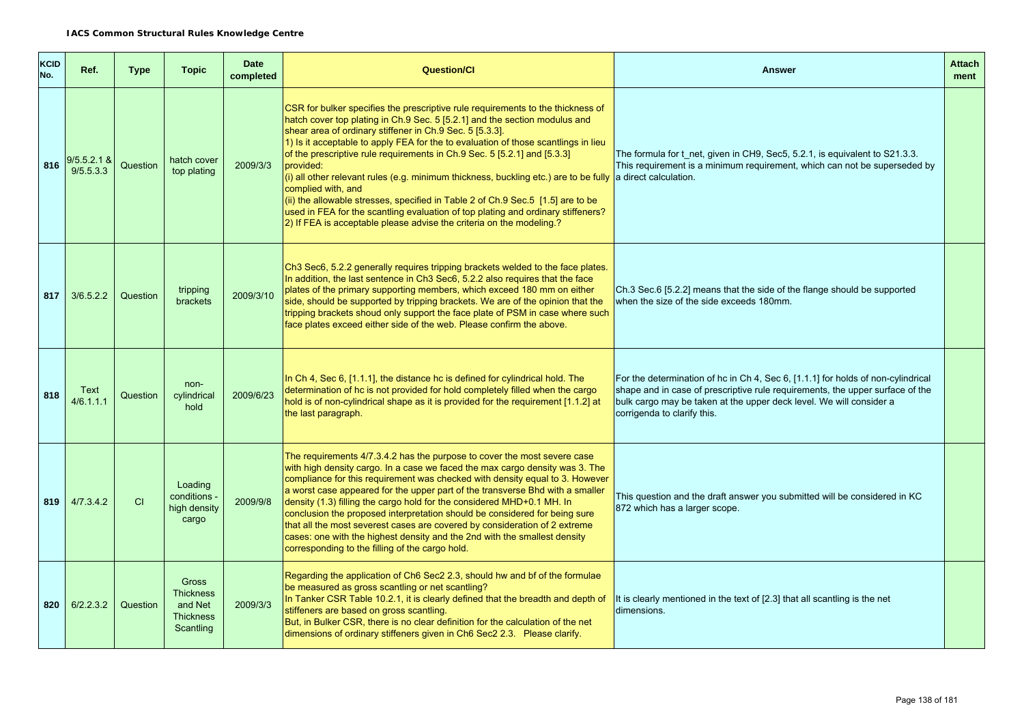| <b>KCID</b><br>No. | Ref.                       | <b>Type</b> | <b>Topic</b>                                                                 | <b>Date</b><br>completed | <b>Question/Cl</b>                                                                                                                                                                                                                                                                                                                                                                                                                                                                                                                                                                                                                                                                                                                                                                          | <b>Answer</b>                                                                                                                                                                                                                                                           | <b>Attach</b><br>ment |
|--------------------|----------------------------|-------------|------------------------------------------------------------------------------|--------------------------|---------------------------------------------------------------------------------------------------------------------------------------------------------------------------------------------------------------------------------------------------------------------------------------------------------------------------------------------------------------------------------------------------------------------------------------------------------------------------------------------------------------------------------------------------------------------------------------------------------------------------------------------------------------------------------------------------------------------------------------------------------------------------------------------|-------------------------------------------------------------------------------------------------------------------------------------------------------------------------------------------------------------------------------------------------------------------------|-----------------------|
| 816                | $9/5.5.2.1$ &<br>9/5.5.3.3 | Question    | hatch cover<br>top plating                                                   | 2009/3/3                 | CSR for bulker specifies the prescriptive rule requirements to the thickness of<br>hatch cover top plating in Ch.9 Sec. 5 [5.2.1] and the section modulus and<br>shear area of ordinary stiffener in Ch.9 Sec. 5 [5.3.3].<br>1) Is it acceptable to apply FEA for the to evaluation of those scantlings in lieu<br>of the prescriptive rule requirements in Ch.9 Sec. 5 [5.2.1] and [5.3.3]<br>provided:<br>(i) all other relevant rules (e.g. minimum thickness, buckling etc.) are to be fully a direct calculation.<br>complied with, and<br>(ii) the allowable stresses, specified in Table 2 of Ch.9 Sec.5 [1.5] are to be<br>used in FEA for the scantling evaluation of top plating and ordinary stiffeners?<br>2) If FEA is acceptable please advise the criteria on the modeling.? | The formula for t net, given in CH9, Sec5, 5.2.1, is equivalent to S21.3.3.<br>This requirement is a minimum requirement, which can not be superseded by                                                                                                                |                       |
| 817                | 3/6.5.2.2                  | Question    | tripping<br>brackets                                                         | 2009/3/10                | Ch3 Sec6, 5.2.2 generally requires tripping brackets welded to the face plates.<br>In addition, the last sentence in Ch3 Sec6, 5.2.2 also requires that the face<br>plates of the primary supporting members, which exceed 180 mm on either<br>side, should be supported by tripping brackets. We are of the opinion that the<br>tripping brackets shoud only support the face plate of PSM in case where such<br>face plates exceed either side of the web. Please confirm the above.                                                                                                                                                                                                                                                                                                      | Ch.3 Sec.6 [5.2.2] means that the side of the flange should be supported<br>when the size of the side exceeds 180mm.                                                                                                                                                    |                       |
| 818                | Text<br>4/6.1.1.1          | Question    | non-<br>cylindrical<br>hold                                                  | 2009/6/23                | In Ch 4, Sec 6, [1.1.1], the distance hc is defined for cylindrical hold. The<br>determination of hc is not provided for hold completely filled when the cargo<br>hold is of non-cylindrical shape as it is provided for the requirement [1.1.2] at<br>the last paragraph.                                                                                                                                                                                                                                                                                                                                                                                                                                                                                                                  | For the determination of hc in Ch 4, Sec 6, [1.1.1] for holds of non-cylindrical<br>shape and in case of prescriptive rule requirements, the upper surface of the<br>bulk cargo may be taken at the upper deck level. We will consider a<br>corrigenda to clarify this. |                       |
| 819                | 4/7.3.4.2                  | CI          | Loading<br>conditions -<br>high density<br>cargo                             | 2009/9/8                 | The requirements 4/7.3.4.2 has the purpose to cover the most severe case<br>with high density cargo. In a case we faced the max cargo density was 3. The<br>compliance for this requirement was checked with density equal to 3. However<br>a worst case appeared for the upper part of the transverse Bhd with a smaller<br>density (1.3) filling the cargo hold for the considered MHD+0.1 MH. In<br>conclusion the proposed interpretation should be considered for being sure<br>that all the most severest cases are covered by consideration of 2 extreme<br>cases: one with the highest density and the 2nd with the smallest density<br>corresponding to the filling of the cargo hold.                                                                                             | This question and the draft answer you submitted will be considered in KC<br>872 which has a larger scope.                                                                                                                                                              |                       |
| 820                | 6/2.2.3.2                  | Question    | <b>Gross</b><br><b>Thickness</b><br>and Net<br><b>Thickness</b><br>Scantling | 2009/3/3                 | Regarding the application of Ch6 Sec2 2.3, should hw and bf of the formulae<br>be measured as gross scantling or net scantling?<br>In Tanker CSR Table 10.2.1, it is clearly defined that the breadth and depth of<br>stiffeners are based on gross scantling.<br>But, in Bulker CSR, there is no clear definition for the calculation of the net<br>dimensions of ordinary stiffeners given in Ch6 Sec2 2.3. Please clarify.                                                                                                                                                                                                                                                                                                                                                               | It is clearly mentioned in the text of [2.3] that all scantling is the net<br>dimensions.                                                                                                                                                                               |                       |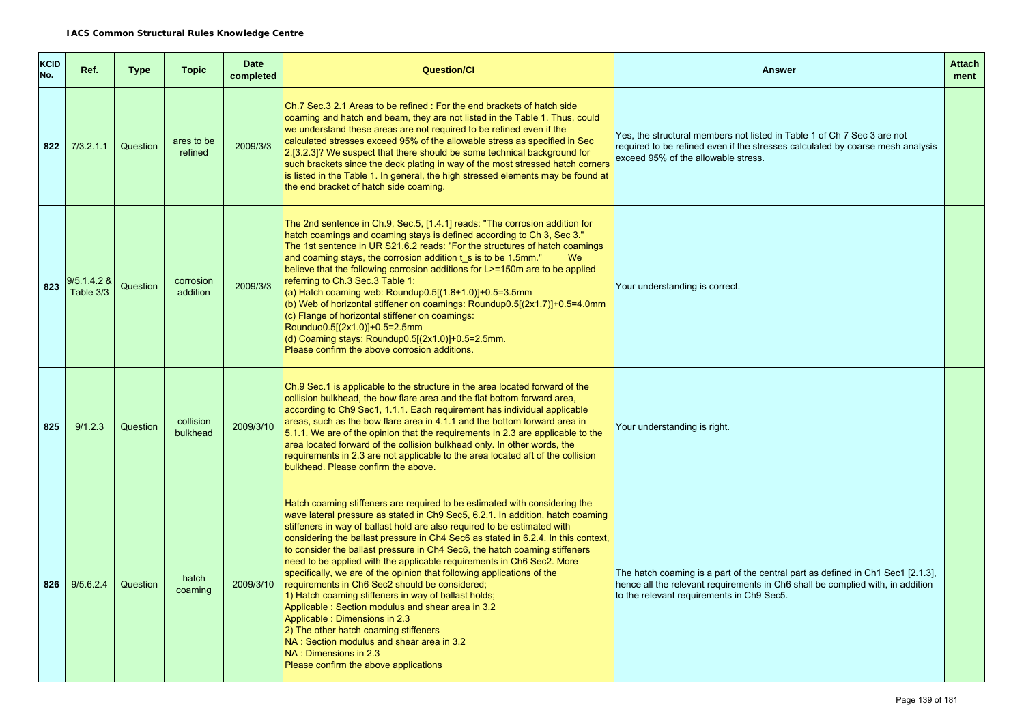| KCID<br>No. | Ref.                     | <b>Type</b> | <b>Topic</b>          | <b>Date</b><br>completed | <b>Question/Cl</b>                                                                                                                                                                                                                                                                                                                                                                                                                                                                                                                                                                                                                                                                                                                                                                                                                                                                                                     | <b>Answer</b>                                                                                                                                                                                                  | <b>Attach</b><br>ment |
|-------------|--------------------------|-------------|-----------------------|--------------------------|------------------------------------------------------------------------------------------------------------------------------------------------------------------------------------------------------------------------------------------------------------------------------------------------------------------------------------------------------------------------------------------------------------------------------------------------------------------------------------------------------------------------------------------------------------------------------------------------------------------------------------------------------------------------------------------------------------------------------------------------------------------------------------------------------------------------------------------------------------------------------------------------------------------------|----------------------------------------------------------------------------------------------------------------------------------------------------------------------------------------------------------------|-----------------------|
| 822         | 7/3.2.1.1                | Question    | ares to be<br>refined | 2009/3/3                 | Ch. 7 Sec. 3 2.1 Areas to be refined: For the end brackets of hatch side<br>coaming and hatch end beam, they are not listed in the Table 1. Thus, could<br>we understand these areas are not required to be refined even if the<br>calculated stresses exceed 95% of the allowable stress as specified in Sec<br>2,[3.2.3]? We suspect that there should be some technical background for<br>such brackets since the deck plating in way of the most stressed hatch corners<br>is listed in the Table 1. In general, the high stressed elements may be found at<br>the end bracket of hatch side coaming.                                                                                                                                                                                                                                                                                                              | Yes, the structural members not listed in Table 1 of Ch 7 Sec 3 are not<br>required to be refined even if the stresses calculated by coarse mesh analysis<br>exceed 95% of the allowable stress.               |                       |
| 823         | 9/5.1.4.2 &<br>Table 3/3 | Question    | corrosion<br>addition | 2009/3/3                 | The 2nd sentence in Ch.9, Sec.5, [1.4.1] reads: "The corrosion addition for<br>hatch coamings and coaming stays is defined according to Ch 3, Sec 3."<br>The 1st sentence in UR S21.6.2 reads: "For the structures of hatch coamings<br>and coaming stays, the corrosion addition t s is to be 1.5mm."<br>We<br>believe that the following corrosion additions for L>=150m are to be applied<br>referring to Ch.3 Sec.3 Table 1;<br>(a) Hatch coaming web: Roundup0.5 $[(1.8+1.0)]+0.5=3.5$ mm<br>(b) Web of horizontal stiffener on coamings: Roundup0.5[(2x1.7)]+0.5=4.0mm<br>(c) Flange of horizontal stiffener on coamings:<br>Rounduo0.5[(2x1.0)]+0.5=2.5mm<br>(d) Coaming stays: Roundup0.5[(2x1.0)]+0.5=2.5mm.<br>Please confirm the above corrosion additions.                                                                                                                                                 | Your understanding is correct.                                                                                                                                                                                 |                       |
| 825         | 9/1.2.3                  | Question    | collision<br>bulkhead | 2009/3/10                | Ch.9 Sec.1 is applicable to the structure in the area located forward of the<br>collision bulkhead, the bow flare area and the flat bottom forward area,<br>according to Ch9 Sec1, 1.1.1. Each requirement has individual applicable<br>areas, such as the bow flare area in 4.1.1 and the bottom forward area in<br>5.1.1. We are of the opinion that the requirements in 2.3 are applicable to the<br>area located forward of the collision bulkhead only. In other words, the<br>requirements in 2.3 are not applicable to the area located aft of the collision<br>bulkhead. Please confirm the above.                                                                                                                                                                                                                                                                                                             | Your understanding is right.                                                                                                                                                                                   |                       |
| 826         | 9/5.6.2.4                | Question    | hatch<br>coaming      | 2009/3/10                | Hatch coaming stiffeners are required to be estimated with considering the<br>wave lateral pressure as stated in Ch9 Sec5, 6.2.1. In addition, hatch coaming<br>stiffeners in way of ballast hold are also required to be estimated with<br>considering the ballast pressure in Ch4 Sec6 as stated in 6.2.4. In this context,<br>to consider the ballast pressure in Ch4 Sec6, the hatch coaming stiffeners<br>need to be applied with the applicable requirements in Ch6 Sec2. More<br>specifically, we are of the opinion that following applications of the<br>requirements in Ch6 Sec2 should be considered;<br>1) Hatch coaming stiffeners in way of ballast holds;<br>Applicable: Section modulus and shear area in 3.2<br>Applicable: Dimensions in 2.3<br>2) The other hatch coaming stiffeners<br>NA: Section modulus and shear area in 3.2<br>NA: Dimensions in 2.3<br>Please confirm the above applications | The hatch coaming is a part of the central part as defined in Ch1 Sec1 [2.1.3],<br>hence all the relevant requirements in Ch6 shall be complied with, in addition<br>to the relevant requirements in Ch9 Sec5. |                       |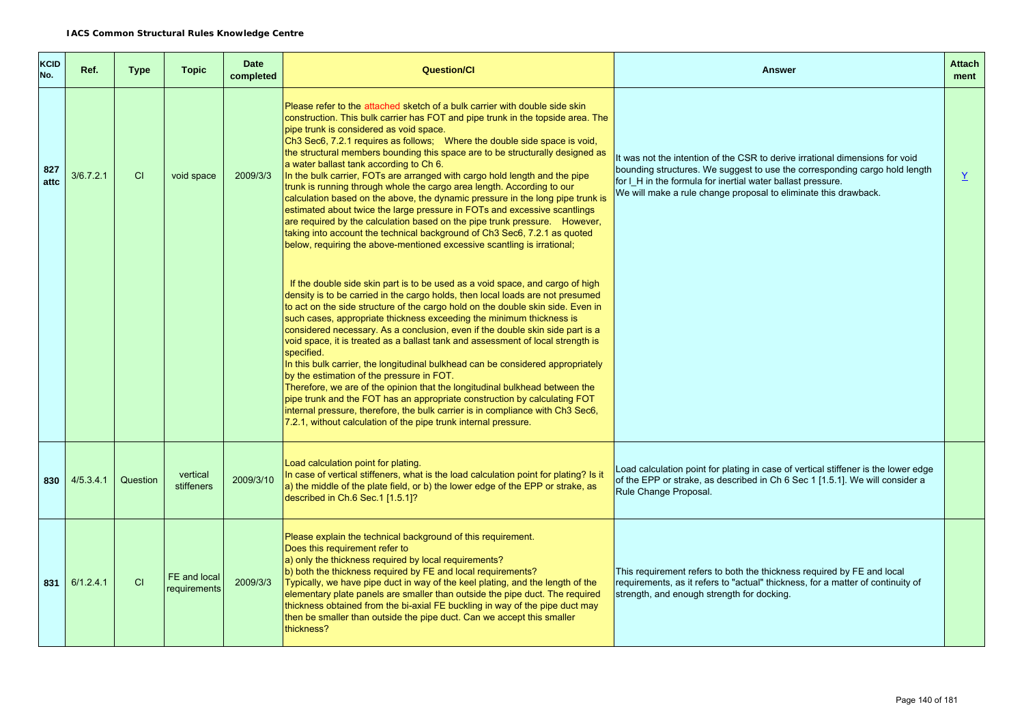| <b>KCID</b><br>No. | Ref.      | <b>Type</b> | <b>Topic</b>                 | <b>Date</b><br>completed | <b>Question/Cl</b>                                                                                                                                                                                                                                                                                                                                                                                                                                                                                                                                                                                                                                                                                                                                                                                                                                                                                                                                                              | <b>Answer</b>                                                                                                                                                                                                                                                                                | <b>Attach</b><br>ment |
|--------------------|-----------|-------------|------------------------------|--------------------------|---------------------------------------------------------------------------------------------------------------------------------------------------------------------------------------------------------------------------------------------------------------------------------------------------------------------------------------------------------------------------------------------------------------------------------------------------------------------------------------------------------------------------------------------------------------------------------------------------------------------------------------------------------------------------------------------------------------------------------------------------------------------------------------------------------------------------------------------------------------------------------------------------------------------------------------------------------------------------------|----------------------------------------------------------------------------------------------------------------------------------------------------------------------------------------------------------------------------------------------------------------------------------------------|-----------------------|
| 827<br>attc        | 3/6.7.2.1 | CI          | void space                   | 2009/3/3                 | Please refer to the attached sketch of a bulk carrier with double side skin<br>construction. This bulk carrier has FOT and pipe trunk in the topside area. The<br>pipe trunk is considered as void space.<br>Ch3 Sec6, 7.2.1 requires as follows; Where the double side space is void,<br>the structural members bounding this space are to be structurally designed as<br>a water ballast tank according to Ch 6.<br>In the bulk carrier, FOTs are arranged with cargo hold length and the pipe<br>trunk is running through whole the cargo area length. According to our<br>calculation based on the above, the dynamic pressure in the long pipe trunk is<br>estimated about twice the large pressure in FOTs and excessive scantlings<br>are required by the calculation based on the pipe trunk pressure. However,<br>taking into account the technical background of Ch3 Sec6, 7.2.1 as quoted<br>below, requiring the above-mentioned excessive scantling is irrational; | It was not the intention of the CSR to derive irrational dimensions for void<br>bounding structures. We suggest to use the corresponding cargo hold length<br>for I H in the formula for inertial water ballast pressure.<br>We will make a rule change proposal to eliminate this drawback. | $\underline{Y}$       |
|                    |           |             |                              |                          | If the double side skin part is to be used as a void space, and cargo of high<br>density is to be carried in the cargo holds, then local loads are not presumed<br>to act on the side structure of the cargo hold on the double skin side. Even in<br>such cases, appropriate thickness exceeding the minimum thickness is<br>considered necessary. As a conclusion, even if the double skin side part is a<br>void space, it is treated as a ballast tank and assessment of local strength is<br>specified.<br>In this bulk carrier, the longitudinal bulkhead can be considered appropriately<br>by the estimation of the pressure in FOT.<br>Therefore, we are of the opinion that the longitudinal bulkhead between the<br>pipe trunk and the FOT has an appropriate construction by calculating FOT<br>internal pressure, therefore, the bulk carrier is in compliance with Ch3 Sec6,<br>7.2.1, without calculation of the pipe trunk internal pressure.                   |                                                                                                                                                                                                                                                                                              |                       |
| 830                | 4/5.3.4.1 | Question    | vertical<br>stiffeners       | 2009/3/10                | Load calculation point for plating.<br>In case of vertical stiffeners, what is the load calculation point for plating? Is it<br>a) the middle of the plate field, or b) the lower edge of the EPP or strake, as<br>described in Ch.6 Sec.1 [1.5.1]?                                                                                                                                                                                                                                                                                                                                                                                                                                                                                                                                                                                                                                                                                                                             | Load calculation point for plating in case of vertical stiffener is the lower edge<br>of the EPP or strake, as described in Ch 6 Sec 1 [1.5.1]. We will consider a<br>Rule Change Proposal.                                                                                                  |                       |
| 831                | 6/1.2.4.1 | CI          | FE and local<br>requirements | 2009/3/3                 | Please explain the technical background of this requirement.<br>Does this requirement refer to<br>a) only the thickness required by local requirements?<br>b) both the thickness required by FE and local requirements?<br>Typically, we have pipe duct in way of the keel plating, and the length of the<br>elementary plate panels are smaller than outside the pipe duct. The required<br>thickness obtained from the bi-axial FE buckling in way of the pipe duct may<br>then be smaller than outside the pipe duct. Can we accept this smaller<br>thickness?                                                                                                                                                                                                                                                                                                                                                                                                               | This requirement refers to both the thickness required by FE and local<br>requirements, as it refers to "actual" thickness, for a matter of continuity of<br>strength, and enough strength for docking.                                                                                      |                       |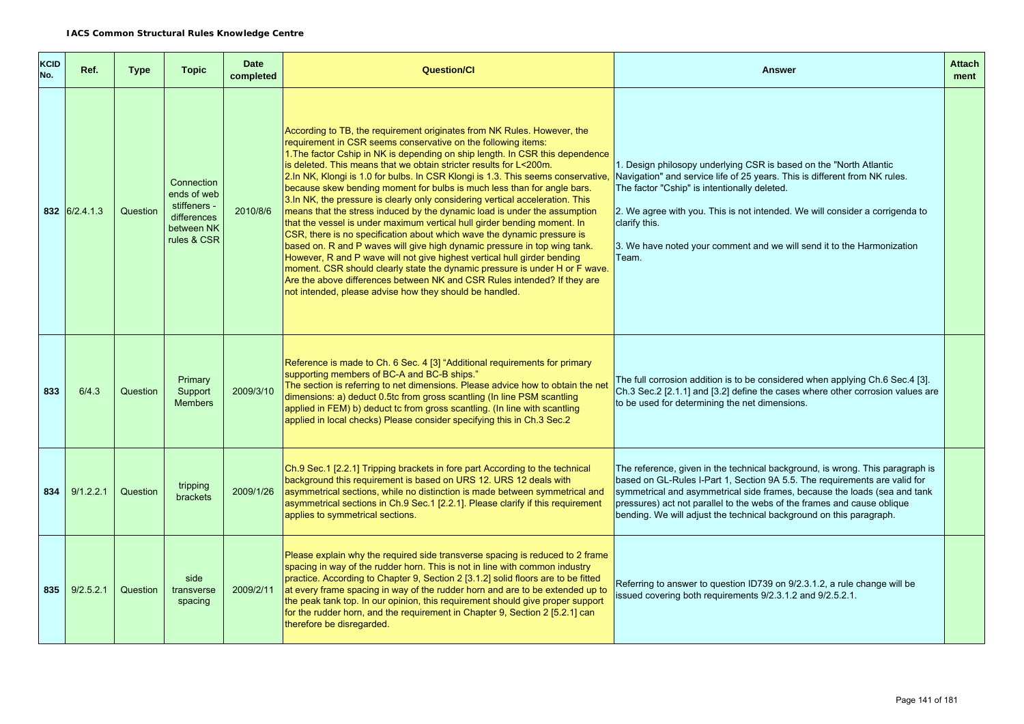| KCID<br>No. | Ref.          | <b>Type</b> | <b>Topic</b>                                                                          | <b>Date</b><br>completed | <b>Question/Cl</b>                                                                                                                                                                                                                                                                                                                                                                                                                                                                                                                                                                                                                                                                                                                                                                                                                                                                                                                                                                                                                                                                                                                                                 | <b>Answer</b>                                                                                                                                                                                                                                                                                                                                                                              | <b>Attach</b><br>ment |
|-------------|---------------|-------------|---------------------------------------------------------------------------------------|--------------------------|--------------------------------------------------------------------------------------------------------------------------------------------------------------------------------------------------------------------------------------------------------------------------------------------------------------------------------------------------------------------------------------------------------------------------------------------------------------------------------------------------------------------------------------------------------------------------------------------------------------------------------------------------------------------------------------------------------------------------------------------------------------------------------------------------------------------------------------------------------------------------------------------------------------------------------------------------------------------------------------------------------------------------------------------------------------------------------------------------------------------------------------------------------------------|--------------------------------------------------------------------------------------------------------------------------------------------------------------------------------------------------------------------------------------------------------------------------------------------------------------------------------------------------------------------------------------------|-----------------------|
|             | 832 6/2.4.1.3 | Question    | Connection<br>ends of web<br>stiffeners -<br>differences<br>between NK<br>rules & CSR | 2010/8/6                 | According to TB, the requirement originates from NK Rules. However, the<br>requirement in CSR seems conservative on the following items:<br>1. The factor Cship in NK is depending on ship length. In CSR this dependence<br>is deleted. This means that we obtain stricter results for L<200m.<br>2.In NK, Klongi is 1.0 for bulbs. In CSR Klongi is 1.3. This seems conservative,<br>because skew bending moment for bulbs is much less than for angle bars.<br>3.In NK, the pressure is clearly only considering vertical acceleration. This<br>means that the stress induced by the dynamic load is under the assumption<br>that the vessel is under maximum vertical hull girder bending moment. In<br>CSR, there is no specification about which wave the dynamic pressure is<br>based on. R and P waves will give high dynamic pressure in top wing tank.<br>However, R and P wave will not give highest vertical hull girder bending<br>moment. CSR should clearly state the dynamic pressure is under H or F wave.<br>Are the above differences between NK and CSR Rules intended? If they are<br>not intended, please advise how they should be handled. | 1. Design philosopy underlying CSR is based on the "North Atlantic<br>Navigation" and service life of 25 years. This is different from NK rules.<br>The factor "Cship" is intentionally deleted.<br>2. We agree with you. This is not intended. We will consider a corrigenda to<br>clarify this.<br>3. We have noted your comment and we will send it to the Harmonization<br>Team.       |                       |
| 833         | 6/4.3         | Question    | Primary<br>Support<br><b>Members</b>                                                  | 2009/3/10                | Reference is made to Ch. 6 Sec. 4 [3] "Additional requirements for primary<br>supporting members of BC-A and BC-B ships."<br>The section is referring to net dimensions. Please advice how to obtain the net<br>dimensions: a) deduct 0.5tc from gross scantling (In line PSM scantling<br>applied in FEM) b) deduct tc from gross scantling. (In line with scantling<br>applied in local checks) Please consider specifying this in Ch.3 Sec.2                                                                                                                                                                                                                                                                                                                                                                                                                                                                                                                                                                                                                                                                                                                    | The full corrosion addition is to be considered when applying Ch.6 Sec.4 [3].<br>Ch.3 Sec.2 [2.1.1] and [3.2] define the cases where other corrosion values are<br>to be used for determining the net dimensions.                                                                                                                                                                          |                       |
| 834         | 9/1.2.2.1     | Question    | tripping<br><b>brackets</b>                                                           | 2009/1/26                | Ch.9 Sec.1 [2.2.1] Tripping brackets in fore part According to the technical<br>background this requirement is based on URS 12. URS 12 deals with<br>asymmetrical sections, while no distinction is made between symmetrical and<br>asymmetrical sections in Ch.9 Sec.1 [2.2.1]. Please clarify if this requirement<br>applies to symmetrical sections.                                                                                                                                                                                                                                                                                                                                                                                                                                                                                                                                                                                                                                                                                                                                                                                                            | The reference, given in the technical background, is wrong. This paragraph is<br>based on GL-Rules I-Part 1, Section 9A 5.5. The requirements are valid for<br>symmetrical and asymmetrical side frames, because the loads (sea and tank<br>pressures) act not parallel to the webs of the frames and cause oblique<br>bending. We will adjust the technical background on this paragraph. |                       |
|             | 835 9/2.5.2.1 | Question    | side<br>transverse<br>spacing                                                         | 2009/2/11                | Please explain why the required side transverse spacing is reduced to 2 frame<br>spacing in way of the rudder horn. This is not in line with common industry<br>practice. According to Chapter 9, Section 2 [3.1.2] solid floors are to be fitted<br>at every frame spacing in way of the rudder horn and are to be extended up to<br>the peak tank top. In our opinion, this requirement should give proper support<br>for the rudder horn, and the requirement in Chapter 9, Section 2 [5.2.1] can<br>therefore be disregarded.                                                                                                                                                                                                                                                                                                                                                                                                                                                                                                                                                                                                                                  | Referring to answer to question ID739 on 9/2.3.1.2, a rule change will be<br>issued covering both requirements 9/2.3.1.2 and 9/2.5.2.1.                                                                                                                                                                                                                                                    |                       |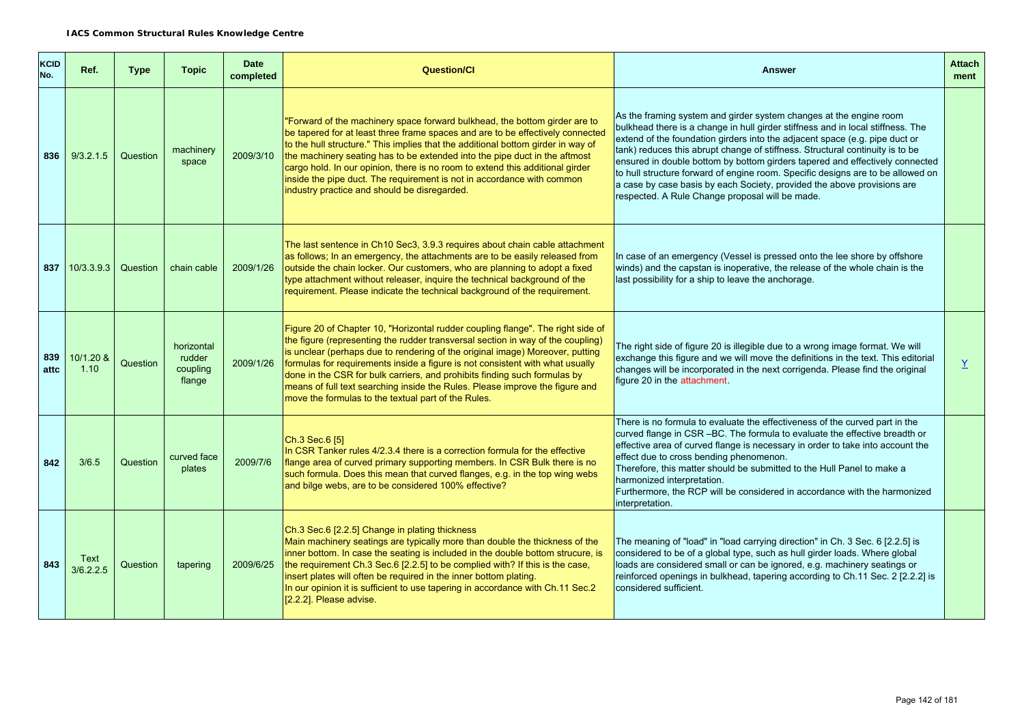| <b>KCID</b><br>No. | Ref.              | <b>Type</b> | <b>Topic</b>                               | <b>Date</b><br>completed | <b>Question/Cl</b>                                                                                                                                                                                                                                                                                                                                                                                                                                                                                                                                       | <b>Answer</b>                                                                                                                                                                                                                                                                                                                                                                                                                                                                                                                                                                                                          | <b>Attach</b><br>ment |
|--------------------|-------------------|-------------|--------------------------------------------|--------------------------|----------------------------------------------------------------------------------------------------------------------------------------------------------------------------------------------------------------------------------------------------------------------------------------------------------------------------------------------------------------------------------------------------------------------------------------------------------------------------------------------------------------------------------------------------------|------------------------------------------------------------------------------------------------------------------------------------------------------------------------------------------------------------------------------------------------------------------------------------------------------------------------------------------------------------------------------------------------------------------------------------------------------------------------------------------------------------------------------------------------------------------------------------------------------------------------|-----------------------|
| 836                | 9/3.2.1.5         | Question    | machinery<br>space                         | 2009/3/10                | "Forward of the machinery space forward bulkhead, the bottom girder are to<br>be tapered for at least three frame spaces and are to be effectively connected<br>to the hull structure." This implies that the additional bottom girder in way of<br>the machinery seating has to be extended into the pipe duct in the aftmost<br>cargo hold. In our opinion, there is no room to extend this additional girder<br>inside the pipe duct. The requirement is not in accordance with common<br>industry practice and should be disregarded.                | As the framing system and girder system changes at the engine room<br>bulkhead there is a change in hull girder stiffness and in local stiffness. The<br>extend of the foundation girders into the adjacent space (e.g. pipe duct or<br>tank) reduces this abrupt change of stiffness. Structural continuity is to be<br>ensured in double bottom by bottom girders tapered and effectively connected<br>to hull structure forward of engine room. Specific designs are to be allowed on<br>a case by case basis by each Society, provided the above provisions are<br>respected. A Rule Change proposal will be made. |                       |
| 837                | 10/3.3.9.3        | Question    | chain cable                                | 2009/1/26                | The last sentence in Ch10 Sec3, 3.9.3 requires about chain cable attachment<br>as follows; In an emergency, the attachments are to be easily released from<br>outside the chain locker. Our customers, who are planning to adopt a fixed<br>type attachment without releaser, inquire the technical background of the<br>requirement. Please indicate the technical background of the requirement.                                                                                                                                                       | In case of an emergency (Vessel is pressed onto the lee shore by offshore<br>winds) and the capstan is inoperative, the release of the whole chain is the<br>last possibility for a ship to leave the anchorage.                                                                                                                                                                                                                                                                                                                                                                                                       |                       |
| 839<br>attc        | 10/1.20 &<br>1.10 | Question    | horizontal<br>rudder<br>coupling<br>flange | 2009/1/26                | Figure 20 of Chapter 10, "Horizontal rudder coupling flange". The right side of<br>the figure (representing the rudder transversal section in way of the coupling)<br>is unclear (perhaps due to rendering of the original image) Moreover, putting<br>formulas for requirements inside a figure is not consistent with what usually<br>done in the CSR for bulk carriers, and prohibits finding such formulas by<br>means of full text searching inside the Rules. Please improve the figure and<br>move the formulas to the textual part of the Rules. | The right side of figure 20 is illegible due to a wrong image format. We will<br>exchange this figure and we will move the definitions in the text. This editorial<br>changes will be incorporated in the next corrigenda. Please find the original<br>figure 20 in the attachment.                                                                                                                                                                                                                                                                                                                                    | $\underline{Y}$       |
| 842                | 3/6.5             | Question    | curved face<br>plates                      | 2009/7/6                 | Ch.3 Sec.6 [5]<br>In CSR Tanker rules 4/2.3.4 there is a correction formula for the effective<br>flange area of curved primary supporting members. In CSR Bulk there is no<br>such formula. Does this mean that curved flanges, e.g. in the top wing webs<br>and bilge webs, are to be considered 100% effective?                                                                                                                                                                                                                                        | There is no formula to evaluate the effectiveness of the curved part in the<br>curved flange in CSR -BC. The formula to evaluate the effective breadth or<br>effective area of curved flange is necessary in order to take into account the<br>effect due to cross bending phenomenon.<br>Therefore, this matter should be submitted to the Hull Panel to make a<br>harmonized interpretation.<br>Furthermore, the RCP will be considered in accordance with the harmonized<br>interpretation.                                                                                                                         |                       |
| 843                | Text<br>3/6.2.2.5 | Question    | tapering                                   | 2009/6/25                | Ch.3 Sec.6 [2.2.5] Change in plating thickness<br>Main machinery seatings are typically more than double the thickness of the<br>inner bottom. In case the seating is included in the double bottom strucure, is<br>the requirement Ch.3 Sec.6 [2.2.5] to be complied with? If this is the case,<br>insert plates will often be required in the inner bottom plating.<br>In our opinion it is sufficient to use tapering in accordance with Ch.11 Sec.2<br>[2.2.2]. Please advise.                                                                       | The meaning of "load" in "load carrying direction" in Ch. 3 Sec. 6 [2.2.5] is<br>considered to be of a global type, such as hull girder loads. Where global<br>loads are considered small or can be ignored, e.g. machinery seatings or<br>reinforced openings in bulkhead, tapering according to Ch.11 Sec. 2 [2.2.2] is<br>considered sufficient.                                                                                                                                                                                                                                                                    |                       |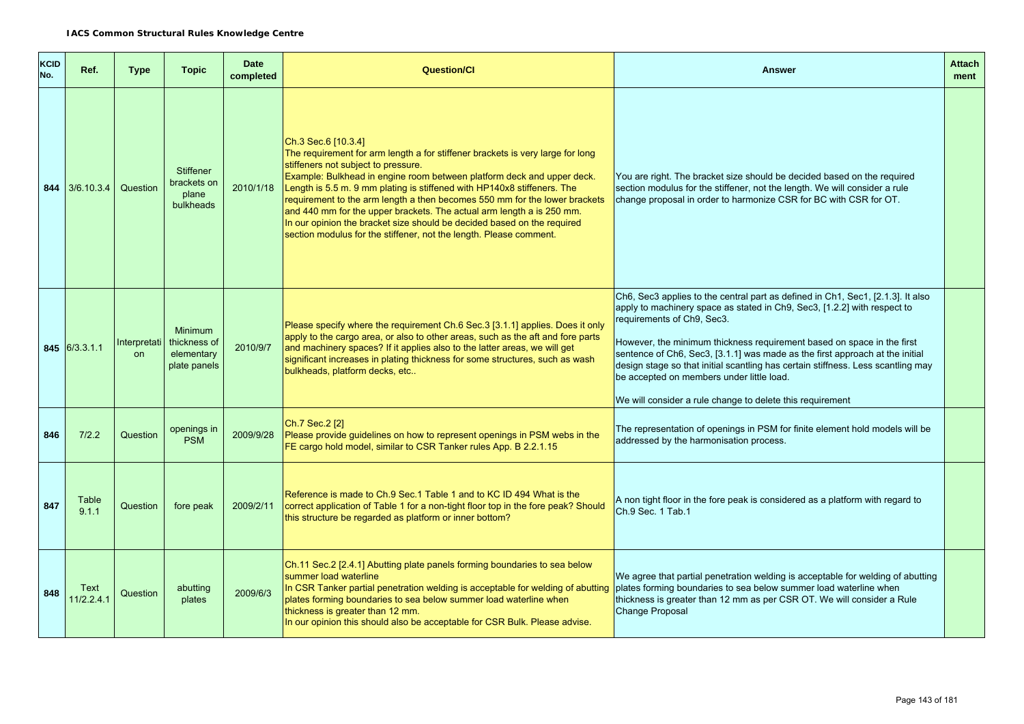| <b>KCID</b><br>No. | Ref.               | <b>Type</b> | <b>Topic</b>                                                                | <b>Date</b><br>completed | <b>Question/Cl</b>                                                                                                                                                                                                                                                                                                                                                                                                                                                                                                                                                                                        | <b>Answer</b>                                                                                                                                                                                                                                                                                                                                                                                                                                                                                                                                     | <b>Attach</b><br>ment |
|--------------------|--------------------|-------------|-----------------------------------------------------------------------------|--------------------------|-----------------------------------------------------------------------------------------------------------------------------------------------------------------------------------------------------------------------------------------------------------------------------------------------------------------------------------------------------------------------------------------------------------------------------------------------------------------------------------------------------------------------------------------------------------------------------------------------------------|---------------------------------------------------------------------------------------------------------------------------------------------------------------------------------------------------------------------------------------------------------------------------------------------------------------------------------------------------------------------------------------------------------------------------------------------------------------------------------------------------------------------------------------------------|-----------------------|
|                    | 844 3/6.10.3.4     | Question    | <b>Stiffener</b><br>brackets on<br>plane<br>bulkheads                       | 2010/1/18                | Ch.3 Sec.6 [10.3.4]<br>The requirement for arm length a for stiffener brackets is very large for long<br>stiffeners not subject to pressure.<br>Example: Bulkhead in engine room between platform deck and upper deck.<br>Length is 5.5 m. 9 mm plating is stiffened with HP140x8 stiffeners. The<br>requirement to the arm length a then becomes 550 mm for the lower brackets<br>and 440 mm for the upper brackets. The actual arm length a is 250 mm.<br>In our opinion the bracket size should be decided based on the required<br>section modulus for the stiffener, not the length. Please comment. | You are right. The bracket size should be decided based on the required<br>section modulus for the stiffener, not the length. We will consider a rule<br>change proposal in order to harmonize CSR for BC with CSR for OT.                                                                                                                                                                                                                                                                                                                        |                       |
|                    | 845 6/3.3.1.1      | <b>on</b>   | <b>Minimum</b><br>Interpretati   thickness of<br>elementary<br>plate panels | 2010/9/7                 | Please specify where the requirement Ch.6 Sec.3 [3.1.1] applies. Does it only<br>apply to the cargo area, or also to other areas, such as the aft and fore parts<br>and machinery spaces? If it applies also to the latter areas, we will get<br>significant increases in plating thickness for some structures, such as wash<br>bulkheads, platform decks, etc                                                                                                                                                                                                                                           | Ch6, Sec3 applies to the central part as defined in Ch1, Sec1, [2.1.3]. It also<br>apply to machinery space as stated in Ch9, Sec3, [1.2.2] with respect to<br>requirements of Ch9, Sec3.<br>However, the minimum thickness requirement based on space in the first<br>sentence of Ch6, Sec3, [3.1.1] was made as the first approach at the initial<br>design stage so that initial scantling has certain stiffness. Less scantling may<br>be accepted on members under little load.<br>We will consider a rule change to delete this requirement |                       |
| 846                | 7/2.2              | Question    | openings in<br><b>PSM</b>                                                   | 2009/9/28                | Ch.7 Sec.2 [2]<br>Please provide guidelines on how to represent openings in PSM webs in the<br>FE cargo hold model, similar to CSR Tanker rules App. B 2.2.1.15                                                                                                                                                                                                                                                                                                                                                                                                                                           | The representation of openings in PSM for finite element hold models will be<br>addressed by the harmonisation process.                                                                                                                                                                                                                                                                                                                                                                                                                           |                       |
| 847                | Table<br>9.1.1     | Question    | fore peak                                                                   | 2009/2/11                | Reference is made to Ch.9 Sec.1 Table 1 and to KC ID 494 What is the<br>correct application of Table 1 for a non-tight floor top in the fore peak? Should<br>this structure be regarded as platform or inner bottom?                                                                                                                                                                                                                                                                                                                                                                                      | A non tight floor in the fore peak is considered as a platform with regard to<br>Ch.9 Sec. 1 Tab.1                                                                                                                                                                                                                                                                                                                                                                                                                                                |                       |
| 848                | Text<br>11/2.2.4.1 | Question    | abutting<br>plates                                                          | 2009/6/3                 | Ch.11 Sec.2 [2.4.1] Abutting plate panels forming boundaries to sea below<br>summer load waterline<br>In CSR Tanker partial penetration welding is acceptable for welding of abutting<br>plates forming boundaries to sea below summer load waterline when<br>thickness is greater than 12 mm.<br>In our opinion this should also be acceptable for CSR Bulk. Please advise.                                                                                                                                                                                                                              | We agree that partial penetration welding is acceptable for welding of abutting<br>plates forming boundaries to sea below summer load waterline when<br>thickness is greater than 12 mm as per CSR OT. We will consider a Rule<br><b>Change Proposal</b>                                                                                                                                                                                                                                                                                          |                       |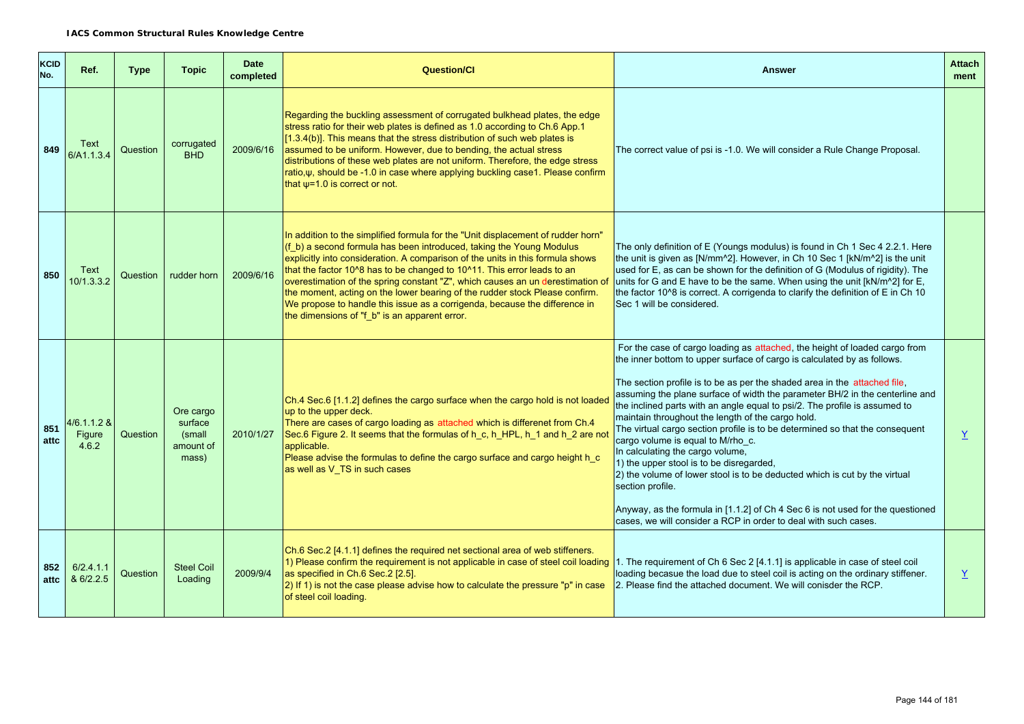| <b>KCID</b><br>No. | Ref.                             | <b>Type</b> | <b>Topic</b>                                         | <b>Date</b><br>completed | <b>Question/CI</b>                                                                                                                                                                                                                                                                                                                                                                                                                                                                                                                                                                                                    | <b>Answer</b>                                                                                                                                                                                                                                                                                                                                                                                                                                                                                                                                                                                                                                                                                                                                                                                                                                                                                                     | <b>Attach</b><br>ment |
|--------------------|----------------------------------|-------------|------------------------------------------------------|--------------------------|-----------------------------------------------------------------------------------------------------------------------------------------------------------------------------------------------------------------------------------------------------------------------------------------------------------------------------------------------------------------------------------------------------------------------------------------------------------------------------------------------------------------------------------------------------------------------------------------------------------------------|-------------------------------------------------------------------------------------------------------------------------------------------------------------------------------------------------------------------------------------------------------------------------------------------------------------------------------------------------------------------------------------------------------------------------------------------------------------------------------------------------------------------------------------------------------------------------------------------------------------------------------------------------------------------------------------------------------------------------------------------------------------------------------------------------------------------------------------------------------------------------------------------------------------------|-----------------------|
| 849                | Text<br>6/A1.1.3.4               | Question    | corrugated<br><b>BHD</b>                             | 2009/6/16                | Regarding the buckling assessment of corrugated bulkhead plates, the edge<br>stress ratio for their web plates is defined as 1.0 according to Ch.6 App.1<br>$[1.3.4(b)]$ . This means that the stress distribution of such web plates is<br>assumed to be uniform. However, due to bending, the actual stress<br>distributions of these web plates are not uniform. Therefore, the edge stress<br>ratio,ψ, should be -1.0 in case where applying buckling case1. Please confirm<br>that $\psi$ =1.0 is correct or not.                                                                                                | The correct value of psi is -1.0. We will consider a Rule Change Proposal.                                                                                                                                                                                                                                                                                                                                                                                                                                                                                                                                                                                                                                                                                                                                                                                                                                        |                       |
| 850                | Text<br>10/1.3.3.2               | Question    | rudder horn                                          | 2009/6/16                | In addition to the simplified formula for the "Unit displacement of rudder horn"<br>(f b) a second formula has been introduced, taking the Young Modulus<br>explicitly into consideration. A comparison of the units in this formula shows<br>that the factor 10^8 has to be changed to 10^11. This error leads to an<br>overestimation of the spring constant "Z", which causes an un derestimation of<br>the moment, acting on the lower bearing of the rudder stock Please confirm.<br>We propose to handle this issue as a corrigenda, because the difference in<br>the dimensions of "f_b" is an apparent error. | The only definition of E (Youngs modulus) is found in Ch 1 Sec 4 2.2.1. Here<br>the unit is given as [N/mm^2]. However, in Ch 10 Sec 1 [kN/m^2] is the unit<br>used for E, as can be shown for the definition of G (Modulus of rigidity). The<br>units for G and E have to be the same. When using the unit [kN/m^2] for E,<br>the factor 10^8 is correct. A corrigenda to clarify the definition of E in Ch 10<br>Sec 1 will be considered.                                                                                                                                                                                                                                                                                                                                                                                                                                                                      |                       |
| 851<br>attc        | $4/6.1.1.2$ &<br>Figure<br>4.6.2 | Question    | Ore cargo<br>surface<br>(small<br>amount of<br>mass) | 2010/1/27                | Ch.4 Sec.6 [1.1.2] defines the cargo surface when the cargo hold is not loaded<br>up to the upper deck.<br>There are cases of cargo loading as attached which is differenet from Ch.4<br>Sec.6 Figure 2. It seems that the formulas of h_c, h_HPL, h_1 and h_2 are not<br>applicable.<br>Please advise the formulas to define the cargo surface and cargo height h_c<br>as well as V_TS in such cases                                                                                                                                                                                                                 | For the case of cargo loading as attached, the height of loaded cargo from<br>the inner bottom to upper surface of cargo is calculated by as follows.<br>The section profile is to be as per the shaded area in the attached file,<br>assuming the plane surface of width the parameter BH/2 in the centerline and<br>the inclined parts with an angle equal to psi/2. The profile is assumed to<br>maintain throughout the length of the cargo hold.<br>The virtual cargo section profile is to be determined so that the consequent<br>cargo volume is equal to M/rho_c.<br>In calculating the cargo volume,<br>1) the upper stool is to be disregarded,<br>2) the volume of lower stool is to be deducted which is cut by the virtual<br>section profile.<br>Anyway, as the formula in [1.1.2] of Ch 4 Sec 6 is not used for the questioned<br>cases, we will consider a RCP in order to deal with such cases. | Y                     |
| 852<br>attc        | 6/2.4.1.1<br>& 6/2.2.5           | Question    | <b>Steel Coil</b><br>Loading                         | 2009/9/4                 | Ch.6 Sec.2 [4.1.1] defines the required net sectional area of web stiffeners.<br>1) Please confirm the requirement is not applicable in case of steel coil loading<br>as specified in Ch.6 Sec.2 [2.5].<br>2) If 1) is not the case please advise how to calculate the pressure "p" in case<br>of steel coil loading.                                                                                                                                                                                                                                                                                                 | 1. The requirement of Ch 6 Sec 2 [4.1.1] is applicable in case of steel coil<br>loading becasue the load due to steel coil is acting on the ordinary stiffener.<br>2. Please find the attached document. We will conisder the RCP.                                                                                                                                                                                                                                                                                                                                                                                                                                                                                                                                                                                                                                                                                | Y                     |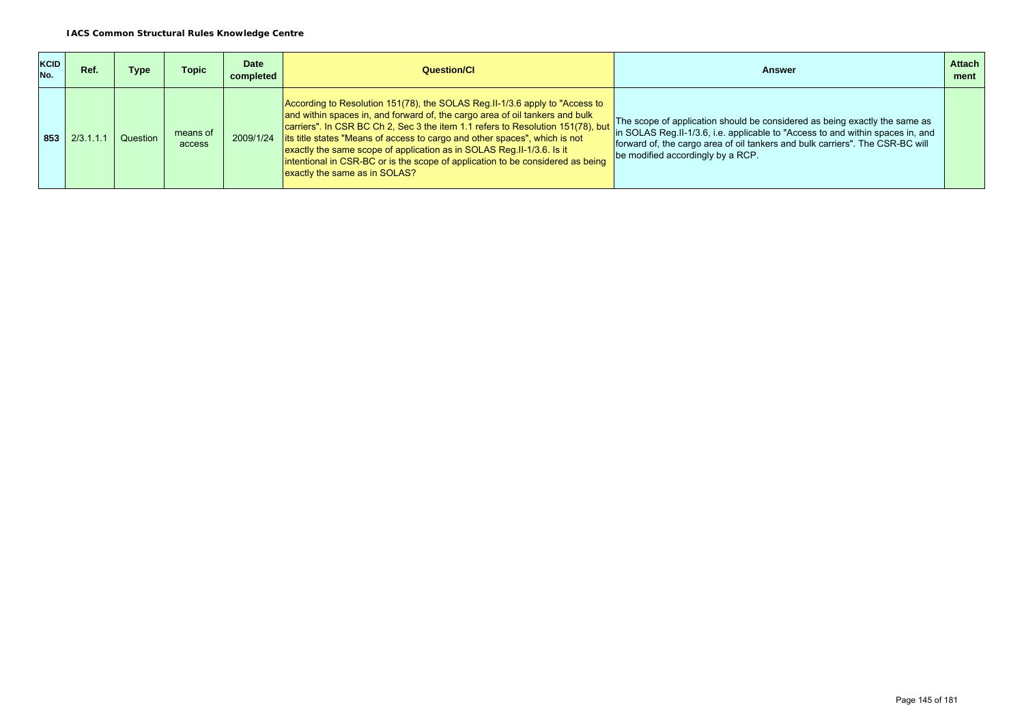| KCID<br>No. | Ref.  | Type     | Topic              | <b>Date</b><br>completed | Question/Cl                                                                                                                                                                                                                                                                                                                                                                                                                                                                                                                          | Answer                                                                                                                                                                                                                                                                              | <b>Attach</b><br>ment |
|-------------|-------|----------|--------------------|--------------------------|--------------------------------------------------------------------------------------------------------------------------------------------------------------------------------------------------------------------------------------------------------------------------------------------------------------------------------------------------------------------------------------------------------------------------------------------------------------------------------------------------------------------------------------|-------------------------------------------------------------------------------------------------------------------------------------------------------------------------------------------------------------------------------------------------------------------------------------|-----------------------|
| 853         | 2/3.1 | Question | means of<br>access |                          | According to Resolution 151(78), the SOLAS Reg. II-1/3.6 apply to "Access to<br>and within spaces in, and forward of, the cargo area of oil tankers and bulk<br>carriers". In CSR BC Ch 2, Sec 3 the item 1.1 refers to Resolution 151(78), but<br>2009/1/24 lits title states "Means of access to cargo and other spaces", which is not<br>exactly the same scope of application as in SOLAS Reg.II-1/3.6. Is it<br>intentional in CSR-BC or is the scope of application to be considered as being<br>exactly the same as in SOLAS? | The scope of application should be considered as being exactly the same as<br>in SOLAS Reg. II-1/3.6, i.e. applicable to "Access to and within spaces in, and<br>forward of, the cargo area of oil tankers and bulk carriers". The CSR-BC will<br>be modified accordingly by a RCP. |                       |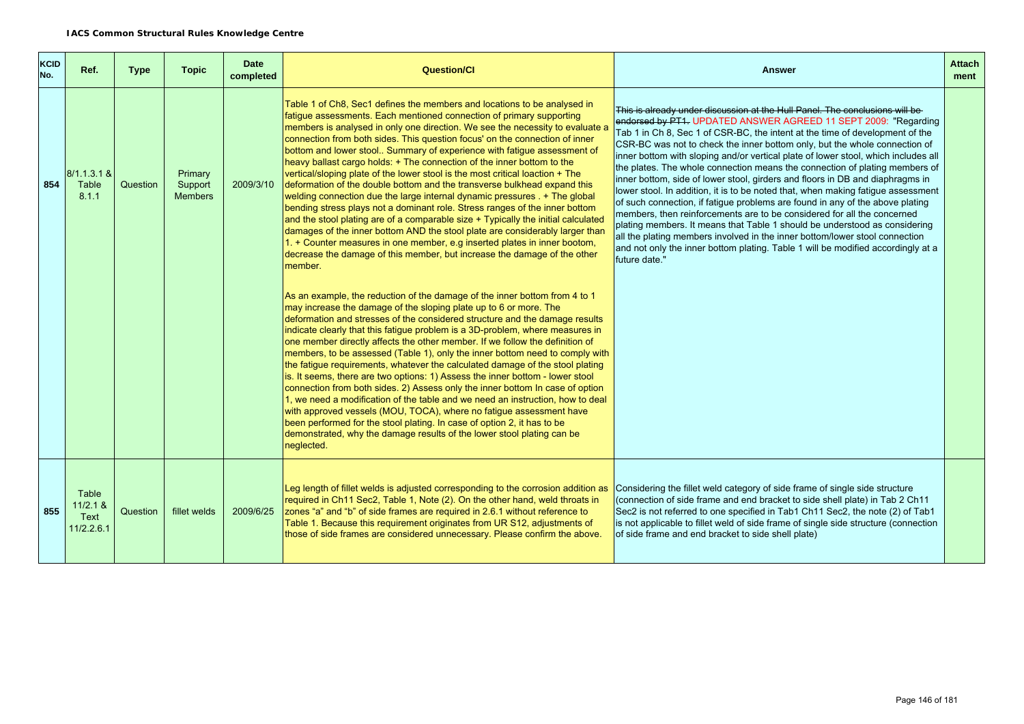| KCID<br>No. | Ref.                                      | <b>Type</b> | <b>Topic</b>                         | <b>Date</b><br>completed | <b>Question/CI</b>                                                                                                                                                                                                                                                                                                                                                                                                                                                                                                                                                                                                                                                                                                                                                                                                                                                                                                                                                                                                                                                                                                                       | <b>Answer</b>                                                                                                                                                                                                                                                                                                                                                                                                                                                                                                                                                                                                                                                                                                                                                                                                                                                                                                                                                                                                                                                                        | <b>Attach</b><br>ment |  |
|-------------|-------------------------------------------|-------------|--------------------------------------|--------------------------|------------------------------------------------------------------------------------------------------------------------------------------------------------------------------------------------------------------------------------------------------------------------------------------------------------------------------------------------------------------------------------------------------------------------------------------------------------------------------------------------------------------------------------------------------------------------------------------------------------------------------------------------------------------------------------------------------------------------------------------------------------------------------------------------------------------------------------------------------------------------------------------------------------------------------------------------------------------------------------------------------------------------------------------------------------------------------------------------------------------------------------------|--------------------------------------------------------------------------------------------------------------------------------------------------------------------------------------------------------------------------------------------------------------------------------------------------------------------------------------------------------------------------------------------------------------------------------------------------------------------------------------------------------------------------------------------------------------------------------------------------------------------------------------------------------------------------------------------------------------------------------------------------------------------------------------------------------------------------------------------------------------------------------------------------------------------------------------------------------------------------------------------------------------------------------------------------------------------------------------|-----------------------|--|
| 854         | $8/1.1.3.1$ &<br>Table<br>8.1.1           | Question    | Primary<br>Support<br><b>Members</b> | 2009/3/10                | Table 1 of Ch8, Sec1 defines the members and locations to be analysed in<br>fatigue assessments. Each mentioned connection of primary supporting<br>members is analysed in only one direction. We see the necessity to evaluate a<br>connection from both sides. This question focus' on the connection of inner<br>bottom and lower stool Summary of experience with fatigue assessment of<br>heavy ballast cargo holds: + The connection of the inner bottom to the<br>vertical/sloping plate of the lower stool is the most critical loaction + The<br>deformation of the double bottom and the transverse bulkhead expand this<br>welding connection due the large internal dynamic pressures . + The global<br>bending stress plays not a dominant role. Stress ranges of the inner bottom<br>and the stool plating are of a comparable size + Typically the initial calculated<br>damages of the inner bottom AND the stool plate are considerably larger than<br>1. + Counter measures in one member, e.g inserted plates in inner bootom,<br>decrease the damage of this member, but increase the damage of the other<br>member. | This is already under discussion at the Hull Panel. The conclusions will be<br>endorsed by PT1. UPDATED ANSWER AGREED 11 SEPT 2009: "Regarding<br>Tab 1 in Ch 8, Sec 1 of CSR-BC, the intent at the time of development of the<br>CSR-BC was not to check the inner bottom only, but the whole connection of<br>inner bottom with sloping and/or vertical plate of lower stool, which includes all<br>the plates. The whole connection means the connection of plating members of<br>inner bottom, side of lower stool, girders and floors in DB and diaphragms in<br>lower stool. In addition, it is to be noted that, when making fatigue assessment<br>of such connection, if fatigue problems are found in any of the above plating<br>members, then reinforcements are to be considered for all the concerned<br>plating members. It means that Table 1 should be understood as considering<br>all the plating members involved in the inner bottom/lower stool connection<br>and not only the inner bottom plating. Table 1 will be modified accordingly at a<br>future date." |                       |  |
|             |                                           |             |                                      |                          | As an example, the reduction of the damage of the inner bottom from 4 to 1<br>may increase the damage of the sloping plate up to 6 or more. The<br>deformation and stresses of the considered structure and the damage results<br>indicate clearly that this fatigue problem is a 3D-problem, where measures in<br>one member directly affects the other member. If we follow the definition of<br>members, to be assessed (Table 1), only the inner bottom need to comply with<br>the fatigue requirements, whatever the calculated damage of the stool plating<br>is. It seems, there are two options: 1) Assess the inner bottom - lower stool<br>connection from both sides. 2) Assess only the inner bottom In case of option<br>1, we need a modification of the table and we need an instruction, how to deal<br>with approved vessels (MOU, TOCA), where no fatigue assessment have<br>been performed for the stool plating. In case of option 2, it has to be<br>demonstrated, why the damage results of the lower stool plating can be<br>neglected.                                                                           |                                                                                                                                                                                                                                                                                                                                                                                                                                                                                                                                                                                                                                                                                                                                                                                                                                                                                                                                                                                                                                                                                      |                       |  |
| 855         | Table<br>$11/2.1$ &<br>Text<br>11/2.2.6.1 | Question    | fillet welds                         | 2009/6/25                | Leg length of fillet welds is adjusted corresponding to the corrosion addition as<br>required in Ch11 Sec2, Table 1, Note (2). On the other hand, weld throats in<br>zones "a" and "b" of side frames are required in 2.6.1 without reference to<br>Table 1. Because this requirement originates from UR S12, adjustments of<br>those of side frames are considered unnecessary. Please confirm the above.                                                                                                                                                                                                                                                                                                                                                                                                                                                                                                                                                                                                                                                                                                                               | Considering the fillet weld category of side frame of single side structure<br>(connection of side frame and end bracket to side shell plate) in Tab 2 Ch11<br>Sec2 is not referred to one specified in Tab1 Ch11 Sec2, the note (2) of Tab1<br>is not applicable to fillet weld of side frame of single side structure (connection<br>of side frame and end bracket to side shell plate)                                                                                                                                                                                                                                                                                                                                                                                                                                                                                                                                                                                                                                                                                            |                       |  |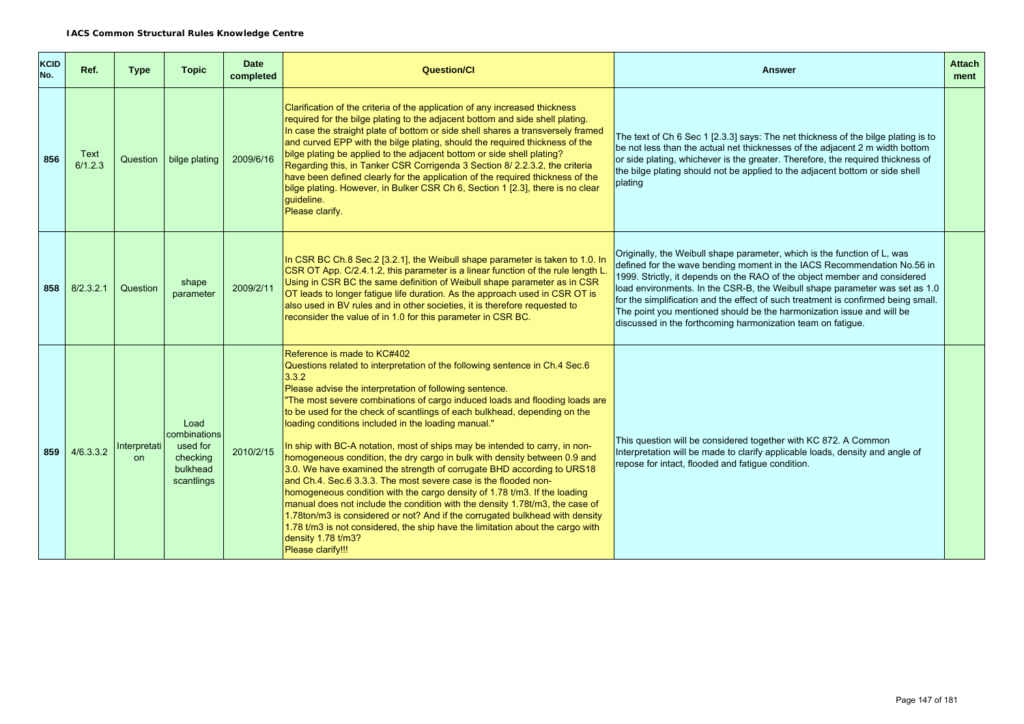| <b>KCID</b><br>No. | Ref.            | Type                      | <b>Topic</b>                                                           | <b>Date</b><br>completed | <b>Question/CI</b>                                                                                                                                                                                                                                                                                                                                                                                                                                                                                                                                                                                                                                                                                                                                                                                                                                                                                                                                                                                                                                                                   | <b>Answer</b>                                                                                                                                                                                                                                                                                                                                                                                                                                                                                                                                | <b>Attach</b><br>ment |
|--------------------|-----------------|---------------------------|------------------------------------------------------------------------|--------------------------|--------------------------------------------------------------------------------------------------------------------------------------------------------------------------------------------------------------------------------------------------------------------------------------------------------------------------------------------------------------------------------------------------------------------------------------------------------------------------------------------------------------------------------------------------------------------------------------------------------------------------------------------------------------------------------------------------------------------------------------------------------------------------------------------------------------------------------------------------------------------------------------------------------------------------------------------------------------------------------------------------------------------------------------------------------------------------------------|----------------------------------------------------------------------------------------------------------------------------------------------------------------------------------------------------------------------------------------------------------------------------------------------------------------------------------------------------------------------------------------------------------------------------------------------------------------------------------------------------------------------------------------------|-----------------------|
| 856                | Text<br>6/1.2.3 |                           | Question   bilge plating                                               | 2009/6/16                | Clarification of the criteria of the application of any increased thickness<br>required for the bilge plating to the adjacent bottom and side shell plating.<br>In case the straight plate of bottom or side shell shares a transversely framed<br>and curved EPP with the bilge plating, should the required thickness of the<br>bilge plating be applied to the adjacent bottom or side shell plating?<br>Regarding this, in Tanker CSR Corrigenda 3 Section 8/ 2.2.3.2, the criteria<br>have been defined clearly for the application of the required thickness of the<br>bilge plating. However, in Bulker CSR Ch 6, Section 1 [2.3], there is no clear<br>guideline.<br>Please clarify.                                                                                                                                                                                                                                                                                                                                                                                         | The text of Ch 6 Sec 1 [2.3.3] says: The net thickness of the bilge plating is to<br>be not less than the actual net thicknesses of the adjacent 2 m width bottom<br>or side plating, whichever is the greater. Therefore, the required thickness of<br>the bilge plating should not be applied to the adjacent bottom or side shell<br>plating                                                                                                                                                                                              |                       |
| 858                | 8/2.3.2.1       | Question                  | shape<br>parameter                                                     | 2009/2/11                | In CSR BC Ch.8 Sec.2 [3.2.1], the Weibull shape parameter is taken to 1.0. In<br>CSR OT App. C/2.4.1.2, this parameter is a linear function of the rule length L.<br>Using in CSR BC the same definition of Weibull shape parameter as in CSR<br>OT leads to longer fatigue life duration. As the approach used in CSR OT is<br>also used in BV rules and in other societies, it is therefore requested to<br>reconsider the value of in 1.0 for this parameter in CSR BC.                                                                                                                                                                                                                                                                                                                                                                                                                                                                                                                                                                                                           | Originally, the Weibull shape parameter, which is the function of L, was<br>defined for the wave bending moment in the IACS Recommendation No.56 in<br>1999. Strictly, it depends on the RAO of the object member and considered<br>load environments. In the CSR-B, the Weibull shape parameter was set as 1.0<br>for the simplification and the effect of such treatment is confirmed being small.<br>The point you mentioned should be the harmonization issue and will be<br>discussed in the forthcoming harmonization team on fatigue. |                       |
| 859                | 4/6.3.3.2       | Interpretati<br><b>on</b> | Load<br>combinations<br>used for<br>checking<br>bulkhead<br>scantlings | 2010/2/15                | Reference is made to KC#402<br>Questions related to interpretation of the following sentence in Ch.4 Sec.6<br>3.3.2<br>Please advise the interpretation of following sentence.<br>"The most severe combinations of cargo induced loads and flooding loads are<br>to be used for the check of scantlings of each bulkhead, depending on the<br>loading conditions included in the loading manual."<br>In ship with BC-A notation, most of ships may be intended to carry, in non-<br>homogeneous condition, the dry cargo in bulk with density between 0.9 and<br>3.0. We have examined the strength of corrugate BHD according to URS18<br>and Ch.4. Sec.6 3.3.3. The most severe case is the flooded non-<br>homogeneous condition with the cargo density of 1.78 t/m3. If the loading<br>manual does not include the condition with the density 1.78t/m3, the case of<br>1.78ton/m3 is considered or not? And if the corrugated bulkhead with density<br>1.78 t/m3 is not considered, the ship have the limitation about the cargo with<br>density 1.78 t/m3?<br>Please clarify!!! | This question will be considered together with KC 872. A Common<br>Interpretation will be made to clarify applicable loads, density and angle of<br>repose for intact, flooded and fatigue condition.                                                                                                                                                                                                                                                                                                                                        |                       |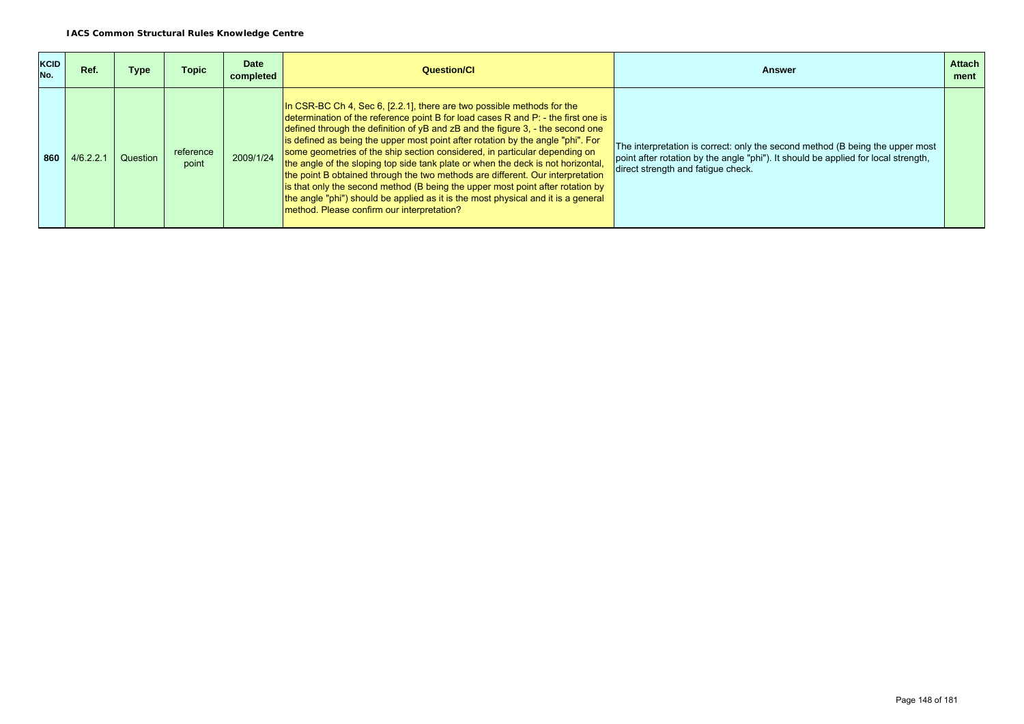| <b>KCID</b><br>No. | Ref.      | Type     | <b>Topic</b>       | <b>Date</b><br>completed | Question/Cl                                                                                                                                                                                                                                                                                                                                                                                                                                                                                                                                                                                                                                                                                                                                                                                                     | <b>Answer</b>                                                                                                                                                                                             | <b>Attach</b><br>ment |
|--------------------|-----------|----------|--------------------|--------------------------|-----------------------------------------------------------------------------------------------------------------------------------------------------------------------------------------------------------------------------------------------------------------------------------------------------------------------------------------------------------------------------------------------------------------------------------------------------------------------------------------------------------------------------------------------------------------------------------------------------------------------------------------------------------------------------------------------------------------------------------------------------------------------------------------------------------------|-----------------------------------------------------------------------------------------------------------------------------------------------------------------------------------------------------------|-----------------------|
| 860                | 4/6.2.2.1 | Question | reference<br>point | 2009/1/24                | In CSR-BC Ch 4, Sec 6, [2.2.1], there are two possible methods for the<br>determination of the reference point B for load cases R and P: - the first one is<br>defined through the definition of $yB$ and $zB$ and the figure 3, $-$ the second one<br>is defined as being the upper most point after rotation by the angle "phi". For<br>some geometries of the ship section considered, in particular depending on<br>the angle of the sloping top side tank plate or when the deck is not horizontal,<br>the point B obtained through the two methods are different. Our interpretation<br>is that only the second method (B being the upper most point after rotation by<br>the angle "phi") should be applied as it is the most physical and it is a general<br>method. Please confirm our interpretation? | The interpretation is correct: only the second method (B being the upper most<br>point after rotation by the angle "phi"). It should be applied for local strength,<br>direct strength and fatique check. |                       |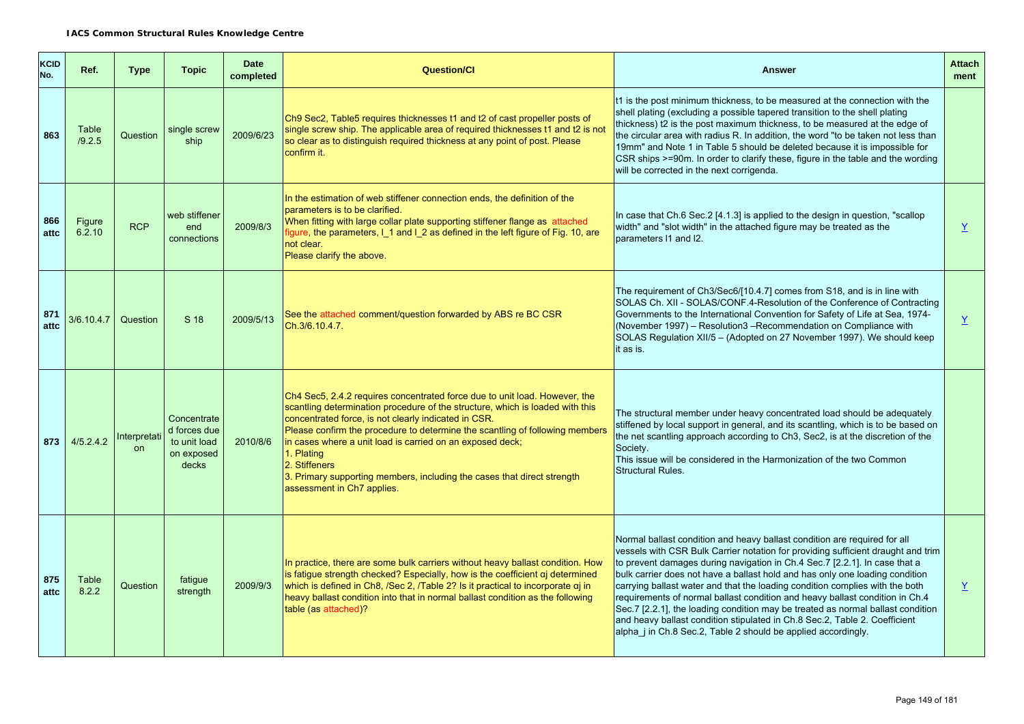| KCID<br>No. | Ref.             | <b>Type</b>        | <b>Topic</b>                                                       | <b>Date</b><br>completed | <b>Question/Cl</b>                                                                                                                                                                                                                                                                                                                                                                                                                                                                                       | <b>Answer</b>                                                                                                                                                                                                                                                                                                                                                                                                                                                                                                                                                                                                                                                                                                                 | <b>Attach</b><br>ment    |
|-------------|------------------|--------------------|--------------------------------------------------------------------|--------------------------|----------------------------------------------------------------------------------------------------------------------------------------------------------------------------------------------------------------------------------------------------------------------------------------------------------------------------------------------------------------------------------------------------------------------------------------------------------------------------------------------------------|-------------------------------------------------------------------------------------------------------------------------------------------------------------------------------------------------------------------------------------------------------------------------------------------------------------------------------------------------------------------------------------------------------------------------------------------------------------------------------------------------------------------------------------------------------------------------------------------------------------------------------------------------------------------------------------------------------------------------------|--------------------------|
| 863         | Table<br>/9.2.5  | Question           | single screw<br>ship                                               | 2009/6/23                | Ch9 Sec2, Table5 requires thicknesses t1 and t2 of cast propeller posts of<br>single screw ship. The applicable area of required thicknesses t1 and t2 is not<br>so clear as to distinguish required thickness at any point of post. Please<br>confirm it.                                                                                                                                                                                                                                               | t1 is the post minimum thickness, to be measured at the connection with the<br>shell plating (excluding a possible tapered transition to the shell plating<br>thickness) t2 is the post maximum thickness, to be measured at the edge of<br>the circular area with radius R. In addition, the word "to be taken not less than<br>19mm" and Note 1 in Table 5 should be deleted because it is impossible for<br>CSR ships >=90m. In order to clarify these, figure in the table and the wording<br>will be corrected in the next corrigenda.                                                                                                                                                                                   |                          |
| 866<br>attc | Figure<br>6.2.10 | <b>RCP</b>         | web stiffener<br>end<br>connections                                | 2009/8/3                 | In the estimation of web stiffener connection ends, the definition of the<br>parameters is to be clarified.<br>When fitting with large collar plate supporting stiffener flange as attached<br>figure, the parameters, I_1 and I_2 as defined in the left figure of Fig. 10, are<br>not clear.<br>Please clarify the above.                                                                                                                                                                              | In case that Ch.6 Sec.2 [4.1.3] is applied to the design in question, "scallop<br>width" and "slot width" in the attached figure may be treated as the<br>parameters 11 and I2.                                                                                                                                                                                                                                                                                                                                                                                                                                                                                                                                               | $\underline{\mathsf{Y}}$ |
| 871<br>attc | 3/6.10.4.7       | Question           | S 18                                                               | 2009/5/13                | See the attached comment/question forwarded by ABS re BC CSR<br>Ch.3/6.10.4.7.                                                                                                                                                                                                                                                                                                                                                                                                                           | The requirement of Ch3/Sec6/[10.4.7] comes from S18, and is in line with<br>SOLAS Ch. XII - SOLAS/CONF.4-Resolution of the Conference of Contracting<br>Governments to the International Convention for Safety of Life at Sea, 1974-<br>(November 1997) - Resolution3 - Recommendation on Compliance with<br>SOLAS Regulation XII/5 - (Adopted on 27 November 1997). We should keep<br>it as is.                                                                                                                                                                                                                                                                                                                              | $\underline{Y}$          |
| 873         | 4/5.2.4.2        | Interpretati<br>on | Concentrate<br>d forces due<br>to unit load<br>on exposed<br>decks | 2010/8/6                 | Ch4 Sec5, 2.4.2 requires concentrated force due to unit load. However, the<br>scantling determination procedure of the structure, which is loaded with this<br>concentrated force, is not clearly indicated in CSR.<br>Please confirm the procedure to determine the scantling of following members<br>in cases where a unit load is carried on an exposed deck;<br>1. Plating<br>2. Stiffeners<br>3. Primary supporting members, including the cases that direct strength<br>assessment in Ch7 applies. | The structural member under heavy concentrated load should be adequately<br>stiffened by local support in general, and its scantling, which is to be based on<br>the net scantling approach according to Ch3, Sec2, is at the discretion of the<br>Societv.<br>This issue will be considered in the Harmonization of the two Common<br>Structural Rules.                                                                                                                                                                                                                                                                                                                                                                      |                          |
| 875<br>attc | Table<br>8.2.2   | Question           | fatigue<br>strength                                                | 2009/9/3                 | In practice, there are some bulk carriers without heavy ballast condition. How<br>is fatigue strength checked? Especially, how is the coefficient aj determined<br>which is defined in Ch8, /Sec 2, /Table 2? Is it practical to incorporate αj in<br>heavy ballast condition into that in normal ballast condition as the following<br>table (as attached)?                                                                                                                                             | Normal ballast condition and heavy ballast condition are required for all<br>vessels with CSR Bulk Carrier notation for providing sufficient draught and trim<br>to prevent damages during navigation in Ch.4 Sec.7 [2.2.1]. In case that a<br>bulk carrier does not have a ballast hold and has only one loading condition<br>carrying ballast water and that the loading condition complies with the both<br>requirements of normal ballast condition and heavy ballast condition in Ch.4<br>Sec.7 [2.2.1], the loading condition may be treated as normal ballast condition<br>and heavy ballast condition stipulated in Ch.8 Sec.2, Table 2. Coefficient<br>alpha j in Ch.8 Sec.2, Table 2 should be applied accordingly. | $\underline{Y}$          |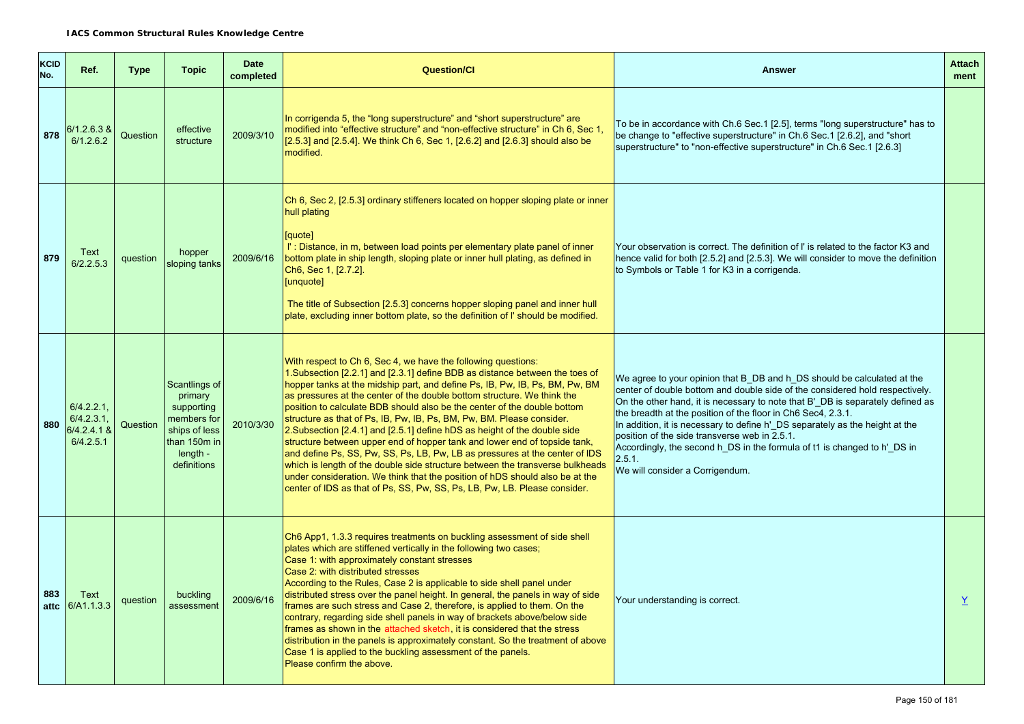| <b>KCID</b><br>No. | Ref.                                                       | <b>Type</b> | <b>Topic</b>                                                                                                      | <b>Date</b><br>completed | <b>Question/Cl</b>                                                                                                                                                                                                                                                                                                                                                                                                                                                                                                                                                                                                                                                                                                                                                                                                                                                                                                                                  | <b>Answer</b>                                                                                                                                                                                                                                                                                                                                                                                                                                                                                                                                                       | <b>Attach</b><br>ment |
|--------------------|------------------------------------------------------------|-------------|-------------------------------------------------------------------------------------------------------------------|--------------------------|-----------------------------------------------------------------------------------------------------------------------------------------------------------------------------------------------------------------------------------------------------------------------------------------------------------------------------------------------------------------------------------------------------------------------------------------------------------------------------------------------------------------------------------------------------------------------------------------------------------------------------------------------------------------------------------------------------------------------------------------------------------------------------------------------------------------------------------------------------------------------------------------------------------------------------------------------------|---------------------------------------------------------------------------------------------------------------------------------------------------------------------------------------------------------------------------------------------------------------------------------------------------------------------------------------------------------------------------------------------------------------------------------------------------------------------------------------------------------------------------------------------------------------------|-----------------------|
| 878                | 6/1.2.6.3 &<br>6/1.2.6.2                                   | Question    | effective<br>structure                                                                                            | 2009/3/10                | In corrigenda 5, the "long superstructure" and "short superstructure" are<br>modified into "effective structure" and "non-effective structure" in Ch 6, Sec 1,<br>[2.5.3] and [2.5.4]. We think Ch 6, Sec 1, [2.6.2] and [2.6.3] should also be<br>modified.                                                                                                                                                                                                                                                                                                                                                                                                                                                                                                                                                                                                                                                                                        | To be in accordance with Ch.6 Sec.1 [2.5], terms "long superstructure" has to<br>be change to "effective superstructure" in Ch.6 Sec.1 [2.6.2], and "short<br>superstructure" to "non-effective superstructure" in Ch.6 Sec.1 [2.6.3]                                                                                                                                                                                                                                                                                                                               |                       |
| 879                | Text<br>6/2.2.5.3                                          | question    | hopper<br>sloping tanks                                                                                           | 2009/6/16                | Ch 6, Sec 2, [2.5.3] ordinary stiffeners located on hopper sloping plate or inner<br>hull plating<br>[quote]<br>I': Distance, in m, between load points per elementary plate panel of inner<br>bottom plate in ship length, sloping plate or inner hull plating, as defined in<br>Ch6, Sec 1, [2.7.2].<br>[unquote]<br>The title of Subsection [2.5.3] concerns hopper sloping panel and inner hull<br>plate, excluding inner bottom plate, so the definition of I' should be modified.                                                                                                                                                                                                                                                                                                                                                                                                                                                             | Your observation is correct. The definition of I' is related to the factor K3 and<br>hence valid for both [2.5.2] and [2.5.3]. We will consider to move the definition<br>to Symbols or Table 1 for K3 in a corrigenda.                                                                                                                                                                                                                                                                                                                                             |                       |
| 880                | $6/4.2.2.1$ ,<br>$6/4.2.3.1$ ,<br>6/4.2.4.1 &<br>6/4.2.5.1 | Question    | Scantlings of<br>primary<br>supporting<br>members for<br>ships of less<br>than 150m in<br>length -<br>definitions | 2010/3/30                | With respect to Ch 6, Sec 4, we have the following questions:<br>1. Subsection [2.2.1] and [2.3.1] define BDB as distance between the toes of<br>hopper tanks at the midship part, and define Ps, IB, Pw, IB, Ps, BM, Pw, BM<br>as pressures at the center of the double bottom structure. We think the<br>position to calculate BDB should also be the center of the double bottom<br>structure as that of Ps, IB, Pw, IB, Ps, BM, Pw, BM. Please consider.<br>2. Subsection [2.4.1] and [2.5.1] define hDS as height of the double side<br>structure between upper end of hopper tank and lower end of topside tank,<br>and define Ps, SS, Pw, SS, Ps, LB, Pw, LB as pressures at the center of IDS<br>which is length of the double side structure between the transverse bulkheads<br>under consideration. We think that the position of hDS should also be at the<br>center of IDS as that of Ps, SS, Pw, SS, Ps, LB, Pw, LB. Please consider. | We agree to your opinion that B DB and h DS should be calculated at the<br>center of double bottom and double side of the considered hold respectively.<br>On the other hand, it is necessary to note that B'_DB is separately defined as<br>the breadth at the position of the floor in Ch6 Sec4, 2.3.1.<br>In addition, it is necessary to define h'_DS separately as the height at the<br>position of the side transverse web in 2.5.1.<br>Accordingly, the second h_DS in the formula of t1 is changed to h'_DS in<br>2.5.1.<br>We will consider a Corrigendum. |                       |
| 883<br>attc        | Text<br>6/A1.1.3.3                                         | question    | buckling<br>assessment                                                                                            | 2009/6/16                | Ch6 App1, 1.3.3 requires treatments on buckling assessment of side shell<br>plates which are stiffened vertically in the following two cases;<br>Case 1: with approximately constant stresses<br>Case 2: with distributed stresses<br>According to the Rules, Case 2 is applicable to side shell panel under<br>distributed stress over the panel height. In general, the panels in way of side<br>frames are such stress and Case 2, therefore, is applied to them. On the<br>contrary, regarding side shell panels in way of brackets above/below side<br>frames as shown in the attached sketch, it is considered that the stress<br>distribution in the panels is approximately constant. So the treatment of above<br>Case 1 is applied to the buckling assessment of the panels.<br>Please confirm the above.                                                                                                                                 | Your understanding is correct.                                                                                                                                                                                                                                                                                                                                                                                                                                                                                                                                      | Y                     |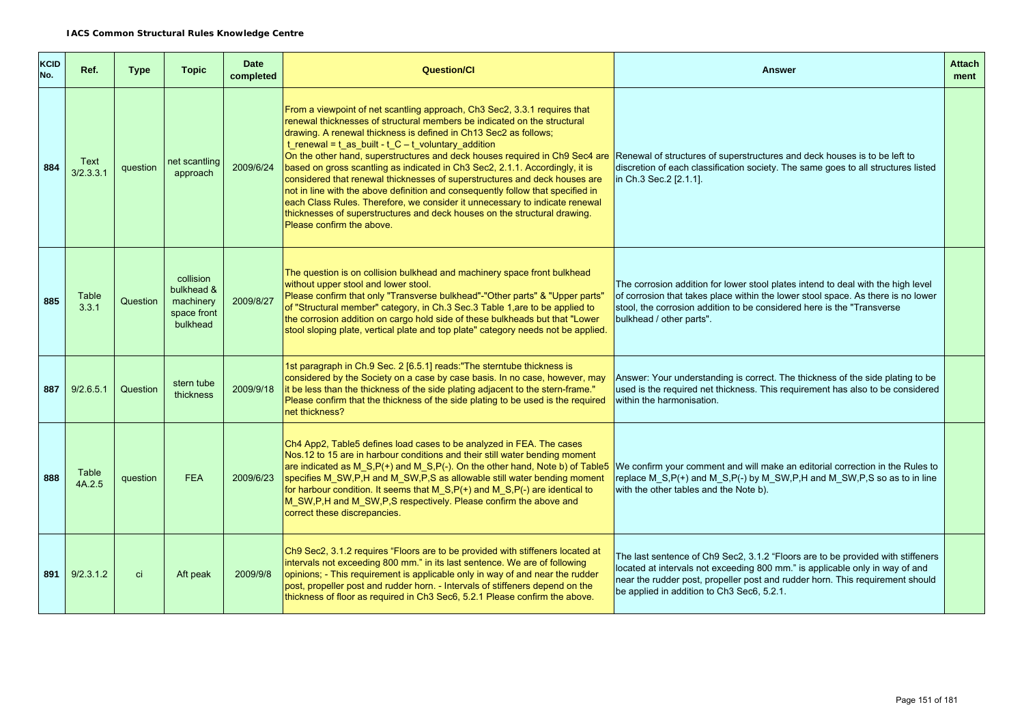| <b>KCID</b><br>No. | Ref.              | Type     | <b>Topic</b>                                                    | <b>Date</b><br>completed | <b>Question/Cl</b>                                                                                                                                                                                                                                                                                                                                                                                                                                                                                                                                                                                                                                                                                                                                                                                                    | <b>Answer</b>                                                                                                                                                                                                                                                                                  | <b>Attach</b><br>ment |
|--------------------|-------------------|----------|-----------------------------------------------------------------|--------------------------|-----------------------------------------------------------------------------------------------------------------------------------------------------------------------------------------------------------------------------------------------------------------------------------------------------------------------------------------------------------------------------------------------------------------------------------------------------------------------------------------------------------------------------------------------------------------------------------------------------------------------------------------------------------------------------------------------------------------------------------------------------------------------------------------------------------------------|------------------------------------------------------------------------------------------------------------------------------------------------------------------------------------------------------------------------------------------------------------------------------------------------|-----------------------|
| 884                | Text<br>3/2.3.3.1 | question | net scantling<br>approach                                       | 2009/6/24                | From a viewpoint of net scantling approach, Ch3 Sec2, 3.3.1 requires that<br>renewal thicknesses of structural members be indicated on the structural<br>drawing. A renewal thickness is defined in Ch13 Sec2 as follows;<br>$t$ _renewal = $t$ _as_built - $t$ _C - $t$ _voluntary_addition<br>On the other hand, superstructures and deck houses required in Ch9 Sec4 are<br>based on gross scantling as indicated in Ch3 Sec2, 2.1.1. Accordingly, it is<br>considered that renewal thicknesses of superstructures and deck houses are<br>not in line with the above definition and consequently follow that specified in<br>each Class Rules. Therefore, we consider it unnecessary to indicate renewal<br>thicknesses of superstructures and deck houses on the structural drawing.<br>Please confirm the above. | Renewal of structures of superstructures and deck houses is to be left to<br>discretion of each classification society. The same goes to all structures listed<br>in Ch.3 Sec.2 [2.1.1].                                                                                                       |                       |
| 885                | Table<br>3.3.1    | Question | collision<br>bulkhead &<br>machinery<br>space front<br>bulkhead | 2009/8/27                | The question is on collision bulkhead and machinery space front bulkhead<br>without upper stool and lower stool.<br>Please confirm that only "Transverse bulkhead"-"Other parts" & "Upper parts"<br>of "Structural member" category, in Ch.3 Sec.3 Table 1, are to be applied to<br>the corrosion addition on cargo hold side of these bulkheads but that "Lower<br>stool sloping plate, vertical plate and top plate" category needs not be applied.                                                                                                                                                                                                                                                                                                                                                                 | The corrosion addition for lower stool plates intend to deal with the high level<br>of corrosion that takes place within the lower stool space. As there is no lower<br>stool, the corrosion addition to be considered here is the "Transverse"<br>bulkhead / other parts".                    |                       |
| 887                | 9/2.6.5.1         | Question | stern tube<br>thickness                                         | 2009/9/18                | 1st paragraph in Ch.9 Sec. 2 [6.5.1] reads: "The sterntube thickness is<br>considered by the Society on a case by case basis. In no case, however, may<br>it be less than the thickness of the side plating adjacent to the stern-frame."<br>Please confirm that the thickness of the side plating to be used is the required<br>net thickness?                                                                                                                                                                                                                                                                                                                                                                                                                                                                       | Answer: Your understanding is correct. The thickness of the side plating to be<br>used is the required net thickness. This requirement has also to be considered<br>within the harmonisation.                                                                                                  |                       |
| 888                | Table<br>4A.2.5   | question | <b>FEA</b>                                                      | 2009/6/23                | Ch4 App2, Table5 defines load cases to be analyzed in FEA. The cases<br>Nos.12 to 15 are in harbour conditions and their still water bending moment<br>are indicated as M_S,P(+) and M_S,P(-). On the other hand, Note b) of Table5<br>specifies M_SW,P,H and M_SW,P,S as allowable still water bending moment<br>for harbour condition. It seems that M_S,P(+) and M_S,P(-) are identical to<br>M_SW,P,H and M_SW,P,S respectively. Please confirm the above and<br>correct these discrepancies.                                                                                                                                                                                                                                                                                                                     | We confirm your comment and will make an editorial correction in the Rules to<br>replace M_S,P(+) and M_S,P(-) by M_SW,P,H and M_SW,P,S so as to in line<br>with the other tables and the Note b).                                                                                             |                       |
| 891                | 9/2.3.1.2         | ci       | Aft peak                                                        | 2009/9/8                 | Ch9 Sec2, 3.1.2 requires "Floors are to be provided with stiffeners located at<br>intervals not exceeding 800 mm." in its last sentence. We are of following<br>opinions; - This requirement is applicable only in way of and near the rudder<br>post, propeller post and rudder horn. - Intervals of stiffeners depend on the<br>thickness of floor as required in Ch3 Sec6, 5.2.1 Please confirm the above.                                                                                                                                                                                                                                                                                                                                                                                                         | The last sentence of Ch9 Sec2, 3.1.2 "Floors are to be provided with stiffeners<br>located at intervals not exceeding 800 mm." is applicable only in way of and<br>near the rudder post, propeller post and rudder horn. This requirement should<br>be applied in addition to Ch3 Sec6, 5.2.1. |                       |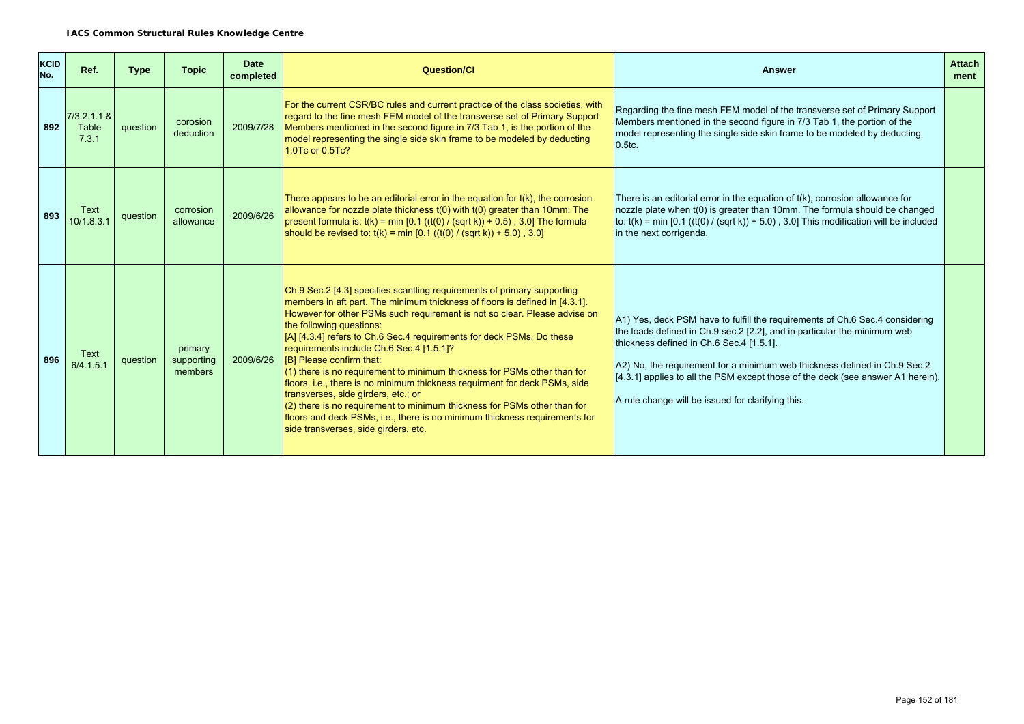| <b>KCID</b><br>No. | Ref.                            | <b>Type</b> | <b>Topic</b>                     | <b>Date</b><br>completed | <b>Question/CI</b>                                                                                                                                                                                                                                                                                                                                                                                                                                                                                                                                                                                                                                                                                                                                                                                                    | <b>Answer</b>                                                                                                                                                                                                                                                                                                                                                                                                             | <b>Attach</b><br>ment |
|--------------------|---------------------------------|-------------|----------------------------------|--------------------------|-----------------------------------------------------------------------------------------------------------------------------------------------------------------------------------------------------------------------------------------------------------------------------------------------------------------------------------------------------------------------------------------------------------------------------------------------------------------------------------------------------------------------------------------------------------------------------------------------------------------------------------------------------------------------------------------------------------------------------------------------------------------------------------------------------------------------|---------------------------------------------------------------------------------------------------------------------------------------------------------------------------------------------------------------------------------------------------------------------------------------------------------------------------------------------------------------------------------------------------------------------------|-----------------------|
| 892                | $7/3.2.1.1$ &<br>Table<br>7.3.1 | question    | corosion<br>deduction            | 2009/7/28                | For the current CSR/BC rules and current practice of the class societies, with<br>regard to the fine mesh FEM model of the transverse set of Primary Support<br>Members mentioned in the second figure in 7/3 Tab 1, is the portion of the<br>model representing the single side skin frame to be modeled by deducting<br>1.0Tc or 0.5Tc?                                                                                                                                                                                                                                                                                                                                                                                                                                                                             | Regarding the fine mesh FEM model of the transverse set of Primary Support<br>Members mentioned in the second figure in 7/3 Tab 1, the portion of the<br>model representing the single side skin frame to be modeled by deducting<br>0.5tc.                                                                                                                                                                               |                       |
| 893                | Text<br>10/1.8.3.1              | question    | corrosion<br>allowance           | 2009/6/26                | There appears to be an editorial error in the equation for t(k), the corrosion<br>allowance for nozzle plate thickness t(0) with t(0) greater than 10mm: The<br>present formula is: $t(k)$ = min [0.1 ((t(0) / (sqrt k)) + 0.5), 3.0] The formula<br>should be revised to: $t(k) = min [0.1 ((t(0) / (sqrt k)) + 5.0)$ , 3.0]                                                                                                                                                                                                                                                                                                                                                                                                                                                                                         | There is an editorial error in the equation of $t(k)$ , corrosion allowance for<br>nozzle plate when t(0) is greater than 10mm. The formula should be changed<br>to: $t(k)$ = min [0.1 ( $(t(0) / (sqrt k)) + 5.0$ ), 3.0] This modification will be included<br>in the next corrigenda.                                                                                                                                  |                       |
| 896                | <b>Text</b><br>6/4.1.5.1        | question    | primary<br>supporting<br>members | 2009/6/26                | Ch.9 Sec.2 [4.3] specifies scantling requirements of primary supporting<br>members in aft part. The minimum thickness of floors is defined in [4.3.1].<br>However for other PSMs such requirement is not so clear. Please advise on<br>the following questions:<br>[A] [4.3.4] refers to Ch.6 Sec.4 requirements for deck PSMs. Do these<br>requirements include Ch.6 Sec.4 [1.5.1]?<br>[B] Please confirm that:<br>(1) there is no requirement to minimum thickness for PSMs other than for<br>floors, i.e., there is no minimum thickness requirment for deck PSMs, side<br>transverses, side girders, etc.; or<br>$(2)$ there is no requirement to minimum thickness for PSMs other than for<br>floors and deck PSMs, i.e., there is no minimum thickness requirements for<br>side transverses, side girders, etc. | A1) Yes, deck PSM have to fulfill the requirements of Ch.6 Sec.4 considering<br>the loads defined in Ch.9 sec.2 [2.2], and in particular the minimum web<br>thickness defined in Ch.6 Sec.4 [1.5.1].<br>A2) No, the requirement for a minimum web thickness defined in Ch.9 Sec.2<br>[4.3.1] applies to all the PSM except those of the deck (see answer A1 herein).<br>A rule change will be issued for clarifying this. |                       |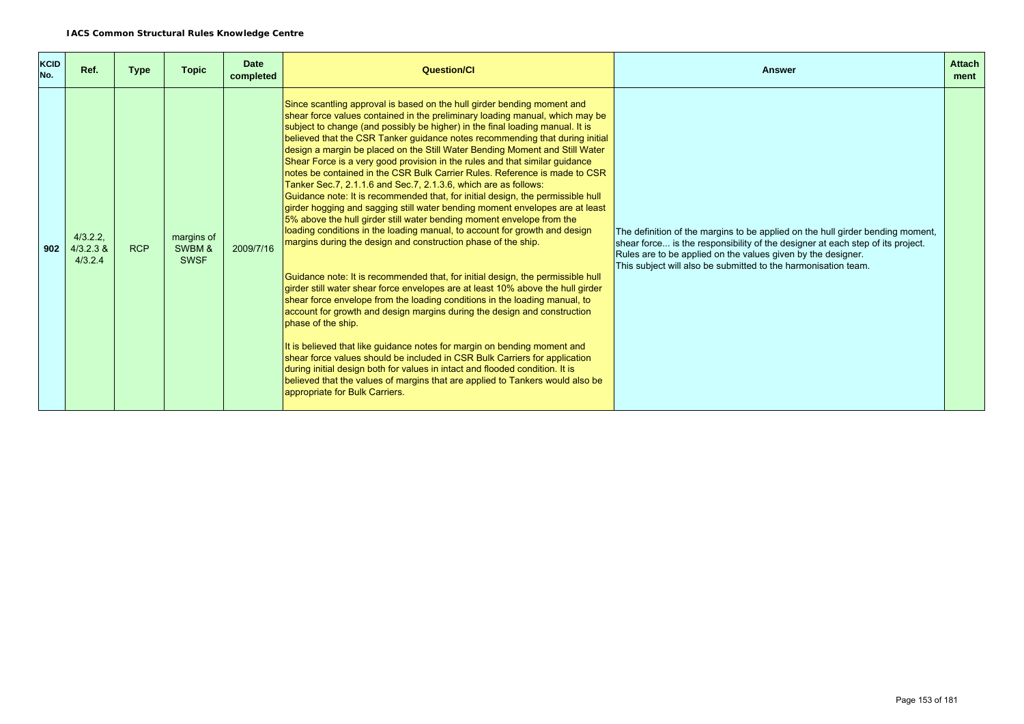| <b>KCID</b><br>No. | Ref.                               | <b>Type</b> | <b>Topic</b>                        | <b>Date</b><br>completed | Question/Cl                                                                                                                                                                                                                                                                                                                                                                                                                                                                                                                                                                                                                                                                                                                                                                                                                                                                                                                                                                                                                                                                                                                                                                                                                                                                                                                                                                                                                                                                                                                                                                                                                                                                                                                                           | <b>Answer</b>                                                                                                                                                                                                                                                                                      | <b>Attach</b><br>ment |
|--------------------|------------------------------------|-------------|-------------------------------------|--------------------------|-------------------------------------------------------------------------------------------------------------------------------------------------------------------------------------------------------------------------------------------------------------------------------------------------------------------------------------------------------------------------------------------------------------------------------------------------------------------------------------------------------------------------------------------------------------------------------------------------------------------------------------------------------------------------------------------------------------------------------------------------------------------------------------------------------------------------------------------------------------------------------------------------------------------------------------------------------------------------------------------------------------------------------------------------------------------------------------------------------------------------------------------------------------------------------------------------------------------------------------------------------------------------------------------------------------------------------------------------------------------------------------------------------------------------------------------------------------------------------------------------------------------------------------------------------------------------------------------------------------------------------------------------------------------------------------------------------------------------------------------------------|----------------------------------------------------------------------------------------------------------------------------------------------------------------------------------------------------------------------------------------------------------------------------------------------------|-----------------------|
| 902                | 4/3.2.2.<br>$4/3.2.3$ &<br>4/3.2.4 | <b>RCP</b>  | margins of<br>SWBM &<br><b>SWSF</b> | 2009/7/16                | Since scantling approval is based on the hull girder bending moment and<br>shear force values contained in the preliminary loading manual, which may be<br>subject to change (and possibly be higher) in the final loading manual. It is<br>believed that the CSR Tanker guidance notes recommending that during initial<br>design a margin be placed on the Still Water Bending Moment and Still Water<br>Shear Force is a very good provision in the rules and that similar guidance<br>notes be contained in the CSR Bulk Carrier Rules. Reference is made to CSR<br>Tanker Sec.7, 2.1.1.6 and Sec.7, 2.1.3.6, which are as follows:<br>Guidance note: It is recommended that, for initial design, the permissible hull<br>girder hogging and sagging still water bending moment envelopes are at least<br>5% above the hull girder still water bending moment envelope from the<br>loading conditions in the loading manual, to account for growth and design<br>margins during the design and construction phase of the ship.<br>Guidance note: It is recommended that, for initial design, the permissible hull<br>girder still water shear force envelopes are at least 10% above the hull girder<br>shear force envelope from the loading conditions in the loading manual, to<br>account for growth and design margins during the design and construction<br>phase of the ship.<br>It is believed that like guidance notes for margin on bending moment and<br>shear force values should be included in CSR Bulk Carriers for application<br>during initial design both for values in intact and flooded condition. It is<br>believed that the values of margins that are applied to Tankers would also be<br>appropriate for Bulk Carriers. | The definition of the margins to be applied on the hull girder bending moment,<br>shear force is the responsibility of the designer at each step of its project.<br>Rules are to be applied on the values given by the designer.<br>This subject will also be submitted to the harmonisation team. |                       |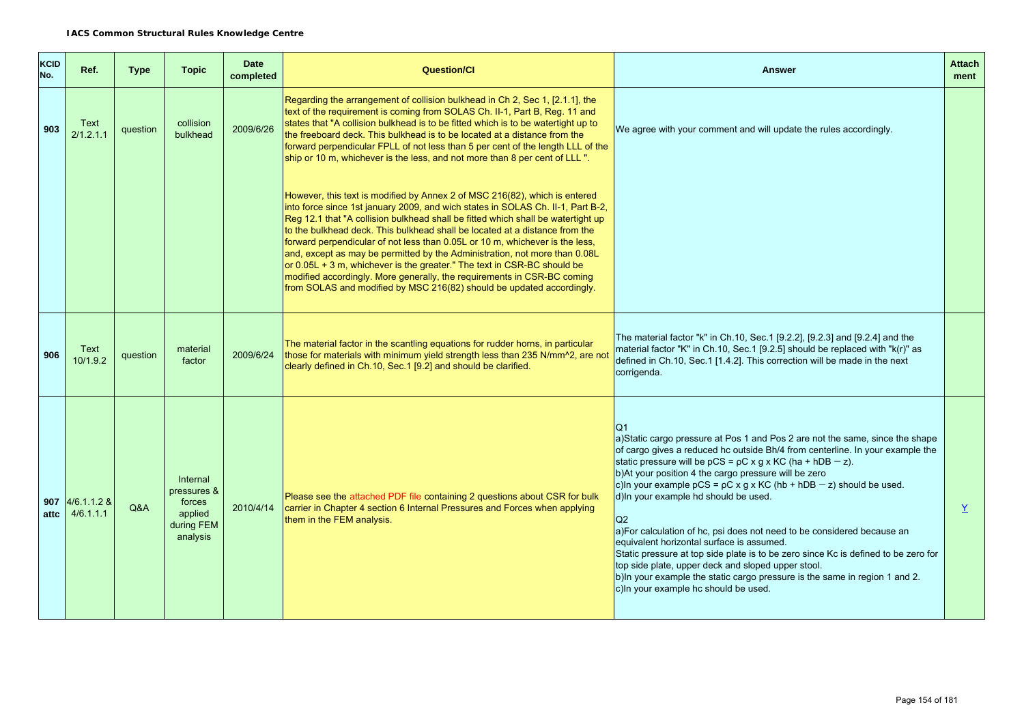| <b>KCID</b><br>No. | Ref.                           | <b>Type</b> | <b>Topic</b>                                                           | <b>Date</b><br>completed | <b>Question/CI</b>                                                                                                                                                                                                                                                                                                                                                                                                                                                                                                                                                                                                                                                                                                              | <b>Answer</b>                                                                                                                                                                                                                                                                                                                                                                                                                                                                                                                                                                                                                                                                                                                                                                                                                     | <b>Attach</b><br>ment |
|--------------------|--------------------------------|-------------|------------------------------------------------------------------------|--------------------------|---------------------------------------------------------------------------------------------------------------------------------------------------------------------------------------------------------------------------------------------------------------------------------------------------------------------------------------------------------------------------------------------------------------------------------------------------------------------------------------------------------------------------------------------------------------------------------------------------------------------------------------------------------------------------------------------------------------------------------|-----------------------------------------------------------------------------------------------------------------------------------------------------------------------------------------------------------------------------------------------------------------------------------------------------------------------------------------------------------------------------------------------------------------------------------------------------------------------------------------------------------------------------------------------------------------------------------------------------------------------------------------------------------------------------------------------------------------------------------------------------------------------------------------------------------------------------------|-----------------------|
| 903                | Text<br>2/1.2.1.1              | question    | collision<br>bulkhead                                                  | 2009/6/26                | Regarding the arrangement of collision bulkhead in Ch 2, Sec 1, [2.1.1], the<br>text of the requirement is coming from SOLAS Ch. II-1, Part B, Reg. 11 and<br>states that "A collision bulkhead is to be fitted which is to be watertight up to<br>the freeboard deck. This bulkhead is to be located at a distance from the<br>forward perpendicular FPLL of not less than 5 per cent of the length LLL of the<br>ship or 10 m, whichever is the less, and not more than 8 per cent of LLL ".                                                                                                                                                                                                                                  | We agree with your comment and will update the rules accordingly.                                                                                                                                                                                                                                                                                                                                                                                                                                                                                                                                                                                                                                                                                                                                                                 |                       |
|                    |                                |             |                                                                        |                          | However, this text is modified by Annex 2 of MSC 216(82), which is entered<br>into force since 1st january 2009, and wich states in SOLAS Ch. II-1, Part B-2,<br>Reg 12.1 that "A collision bulkhead shall be fitted which shall be watertight up<br>to the bulkhead deck. This bulkhead shall be located at a distance from the<br>forward perpendicular of not less than 0.05L or 10 m, whichever is the less,<br>and, except as may be permitted by the Administration, not more than 0.08L<br>or $0.05L + 3$ m, whichever is the greater." The text in CSR-BC should be<br>modified accordingly. More generally, the requirements in CSR-BC coming<br>from SOLAS and modified by MSC 216(82) should be updated accordingly. |                                                                                                                                                                                                                                                                                                                                                                                                                                                                                                                                                                                                                                                                                                                                                                                                                                   |                       |
| 906                | Text<br>10/1.9.2               | question    | material<br>factor                                                     | 2009/6/24                | The material factor in the scantling equations for rudder horns, in particular<br>those for materials with minimum yield strength less than 235 N/mm <sup>2</sup> , are not<br>clearly defined in Ch.10, Sec.1 [9.2] and should be clarified.                                                                                                                                                                                                                                                                                                                                                                                                                                                                                   | The material factor "k" in Ch.10, Sec.1 [9.2.2], [9.2.3] and [9.2.4] and the<br>material factor "K" in Ch.10, Sec.1 [9.2.5] should be replaced with "k(r)" as<br>defined in Ch.10, Sec.1 [1.4.2]. This correction will be made in the next<br>corrigenda.                                                                                                                                                                                                                                                                                                                                                                                                                                                                                                                                                                         |                       |
| attc               | 907 $4/6.1.1.2$ &<br>4/6.1.1.1 | O&A         | Internal<br>pressures &<br>forces<br>applied<br>during FEM<br>analysis | 2010/4/14                | Please see the attached PDF file containing 2 questions about CSR for bulk<br>carrier in Chapter 4 section 6 Internal Pressures and Forces when applying<br>them in the FEM analysis.                                                                                                                                                                                                                                                                                                                                                                                                                                                                                                                                           | O1<br>a)Static cargo pressure at Pos 1 and Pos 2 are not the same, since the shape<br>of cargo gives a reduced hc outside Bh/4 from centerline. In your example the<br>static pressure will be $pCS = pC \times g \times KC$ (ha + hDB - z).<br>b) At your position 4 the cargo pressure will be zero<br>c)ln your example pCS = $pC \times g \times KC$ (hb + hDB - z) should be used.<br>d) In your example hd should be used.<br>Q2<br>a)For calculation of hc, psi does not need to be considered because an<br>equivalent horizontal surface is assumed.<br>Static pressure at top side plate is to be zero since Kc is defined to be zero for<br>top side plate, upper deck and sloped upper stool.<br>b) In your example the static cargo pressure is the same in region 1 and 2.<br>c) In your example hc should be used. | $\underline{Y}$       |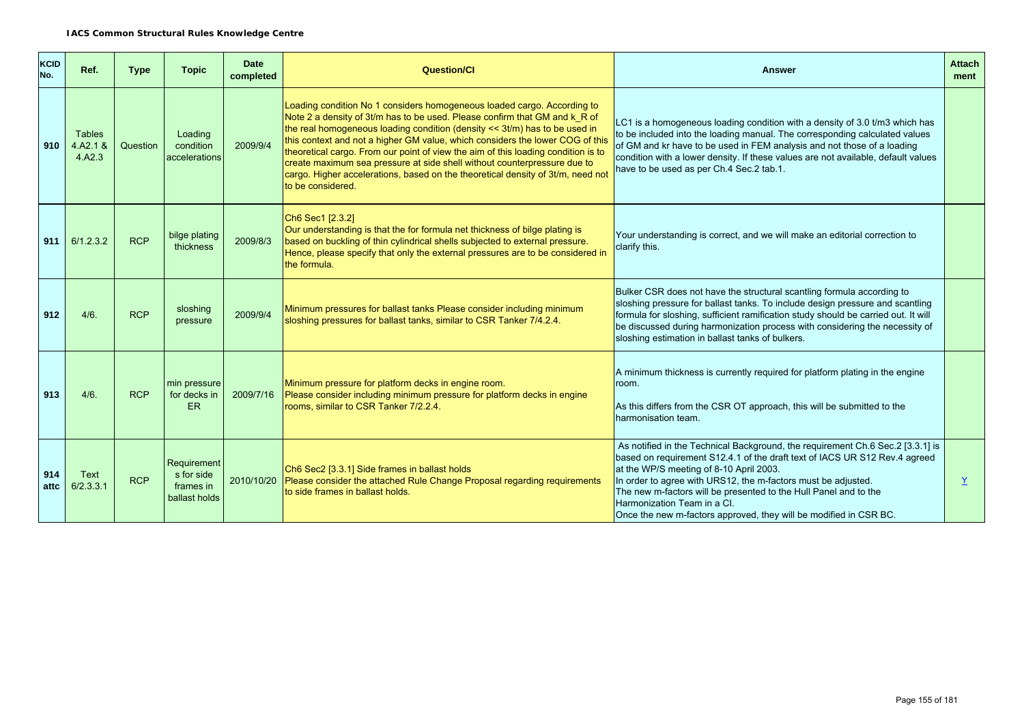| <b>KCID</b><br>No. | Ref.                                | <b>Type</b> | <b>Topic</b>                                            | <b>Date</b><br>completed | <b>Question/Cl</b>                                                                                                                                                                                                                                                                                                                                                                                                                                                                                                                                                                               | <b>Answer</b>                                                                                                                                                                                                                                                                                                                                                                                                                                    | <b>Attach</b><br>ment |
|--------------------|-------------------------------------|-------------|---------------------------------------------------------|--------------------------|--------------------------------------------------------------------------------------------------------------------------------------------------------------------------------------------------------------------------------------------------------------------------------------------------------------------------------------------------------------------------------------------------------------------------------------------------------------------------------------------------------------------------------------------------------------------------------------------------|--------------------------------------------------------------------------------------------------------------------------------------------------------------------------------------------------------------------------------------------------------------------------------------------------------------------------------------------------------------------------------------------------------------------------------------------------|-----------------------|
| 910                | <b>Tables</b><br>4.A2.1 &<br>4.A2.3 | Question    | Loading<br>condition<br><b>accelerations</b>            | 2009/9/4                 | Loading condition No 1 considers homogeneous loaded cargo. According to<br>Note 2 a density of 3t/m has to be used. Please confirm that GM and k R of<br>the real homogeneous loading condition (density $<< 3t/m$ ) has to be used in<br>this context and not a higher GM value, which considers the lower COG of this<br>theoretical cargo. From our point of view the aim of this loading condition is to<br>create maximum sea pressure at side shell without counterpressure due to<br>cargo. Higher accelerations, based on the theoretical density of 3t/m, need not<br>to be considered. | LC1 is a homogeneous loading condition with a density of 3.0 t/m3 which has<br>to be included into the loading manual. The corresponding calculated values<br>of GM and kr have to be used in FEM analysis and not those of a loading<br>condition with a lower density. If these values are not available, default values<br>have to be used as per Ch.4 Sec.2 tab.1.                                                                           |                       |
| 911                | 6/1.2.3.2                           | <b>RCP</b>  | bilge plating<br>thickness                              | 2009/8/3                 | Ch6 Sec1 [2.3.2]<br>Our understanding is that the for formula net thickness of bilge plating is<br>based on buckling of thin cylindrical shells subjected to external pressure.<br>Hence, please specify that only the external pressures are to be considered in<br>the formula.                                                                                                                                                                                                                                                                                                                | Your understanding is correct, and we will make an editorial correction to<br>clarify this.                                                                                                                                                                                                                                                                                                                                                      |                       |
| 912                | 4/6.                                | <b>RCP</b>  | sloshing<br>pressure                                    | 2009/9/4                 | Minimum pressures for ballast tanks Please consider including minimum<br>sloshing pressures for ballast tanks, similar to CSR Tanker 7/4.2.4.                                                                                                                                                                                                                                                                                                                                                                                                                                                    | Bulker CSR does not have the structural scantling formula according to<br>sloshing pressure for ballast tanks. To include design pressure and scantling<br>formula for sloshing, sufficient ramification study should be carried out. It will<br>be discussed during harmonization process with considering the necessity of<br>sloshing estimation in ballast tanks of bulkers.                                                                 |                       |
| 913                | 4/6.                                | <b>RCP</b>  | min pressure<br>for decks in<br>ER.                     | 2009/7/16                | Minimum pressure for platform decks in engine room.<br>Please consider including minimum pressure for platform decks in engine<br>rooms, similar to CSR Tanker 7/2.2.4.                                                                                                                                                                                                                                                                                                                                                                                                                          | A minimum thickness is currently required for platform plating in the engine<br>room.<br>As this differs from the CSR OT approach, this will be submitted to the<br>harmonisation team.                                                                                                                                                                                                                                                          |                       |
| 914<br>attc        | Text<br>6/2.3.3.1                   | <b>RCP</b>  | Requirement<br>s for side<br>frames in<br>ballast holds | 2010/10/20               | Ch6 Sec2 [3.3.1] Side frames in ballast holds<br>Please consider the attached Rule Change Proposal regarding requirements<br>to side frames in ballast holds.                                                                                                                                                                                                                                                                                                                                                                                                                                    | As notified in the Technical Background, the requirement Ch.6 Sec.2 [3.3.1] is<br>based on requirement S12.4.1 of the draft text of IACS UR S12 Rev.4 agreed<br>at the WP/S meeting of 8-10 April 2003.<br>In order to agree with URS12, the m-factors must be adjusted.<br>The new m-factors will be presented to the Hull Panel and to the<br>Harmonization Team in a CI.<br>Once the new m-factors approved, they will be modified in CSR BC. |                       |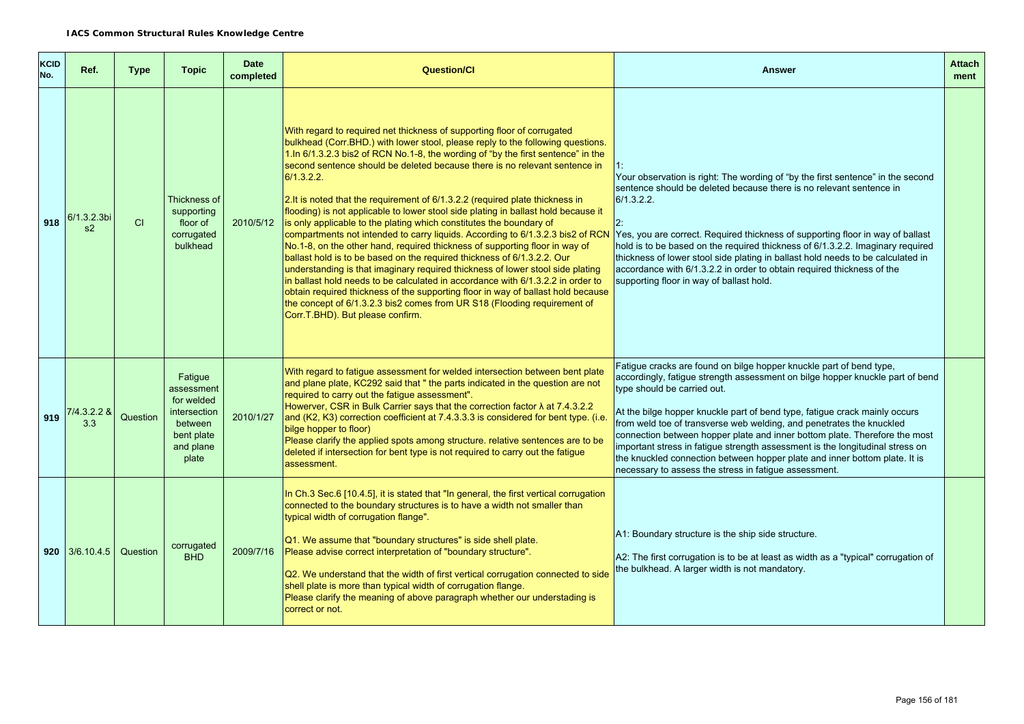| <b>KCID</b><br>No. | Ref.               | <b>Type</b> | <b>Topic</b>                                                                                       | <b>Date</b><br>completed | Question/Cl                                                                                                                                                                                                                                                                                                                                                                                                                                                                                                                                                                                                                                                                                                                                                                                                                                                                                                                                                                                                                                                                                                                                                                                                   | <b>Answer</b>                                                                                                                                                                                                                                                                                                                                                                                                                                                                                                                                                                                                                                   | <b>Attach</b><br>ment |
|--------------------|--------------------|-------------|----------------------------------------------------------------------------------------------------|--------------------------|---------------------------------------------------------------------------------------------------------------------------------------------------------------------------------------------------------------------------------------------------------------------------------------------------------------------------------------------------------------------------------------------------------------------------------------------------------------------------------------------------------------------------------------------------------------------------------------------------------------------------------------------------------------------------------------------------------------------------------------------------------------------------------------------------------------------------------------------------------------------------------------------------------------------------------------------------------------------------------------------------------------------------------------------------------------------------------------------------------------------------------------------------------------------------------------------------------------|-------------------------------------------------------------------------------------------------------------------------------------------------------------------------------------------------------------------------------------------------------------------------------------------------------------------------------------------------------------------------------------------------------------------------------------------------------------------------------------------------------------------------------------------------------------------------------------------------------------------------------------------------|-----------------------|
| 918                | 6/1.3.2.3bi<br>s2  | <b>CI</b>   | Thickness of<br>supporting<br>floor of<br>corrugated<br>bulkhead                                   | 2010/5/12                | With regard to required net thickness of supporting floor of corrugated<br>bulkhead (Corr.BHD.) with lower stool, please reply to the following questions.<br>1.In 6/1.3.2.3 bis2 of RCN No.1-8, the wording of "by the first sentence" in the<br>second sentence should be deleted because there is no relevant sentence in<br>6/1.3.2.2.<br>2. It is noted that the requirement of 6/1.3.2.2 (required plate thickness in<br>flooding) is not applicable to lower stool side plating in ballast hold because it<br>is only applicable to the plating which constitutes the boundary of<br>compartments not intended to carry liquids. According to 6/1.3.2.3 bis2 of RCN<br>No.1-8, on the other hand, required thickness of supporting floor in way of<br>ballast hold is to be based on the required thickness of 6/1.3.2.2. Our<br>understanding is that imaginary required thickness of lower stool side plating<br>in ballast hold needs to be calculated in accordance with 6/1.3.2.2 in order to<br>obtain required thickness of the supporting floor in way of ballast hold because<br>the concept of 6/1.3.2.3 bis2 comes from UR S18 (Flooding requirement of<br>Corr.T.BHD). But please confirm. | Your observation is right: The wording of "by the first sentence" in the second<br>sentence should be deleted because there is no relevant sentence in<br>6/1.3.2.2.<br>Yes, you are correct. Required thickness of supporting floor in way of ballast<br>hold is to be based on the required thickness of 6/1.3.2.2. Imaginary required<br>thickness of lower stool side plating in ballast hold needs to be calculated in<br>accordance with 6/1.3.2.2 in order to obtain required thickness of the<br>supporting floor in way of ballast hold.                                                                                               |                       |
| 919                | 7/4.3.2.2 &<br>3.3 | Question    | Fatigue<br>assessment<br>for welded<br>intersection<br>between<br>bent plate<br>and plane<br>plate | 2010/1/27                | With regard to fatigue assessment for welded intersection between bent plate<br>and plane plate, KC292 said that " the parts indicated in the question are not<br>required to carry out the fatique assessment".<br>Howerver, CSR in Bulk Carrier says that the correction factor $\lambda$ at 7.4.3.2.2<br>and (K2, K3) correction coefficient at 7.4.3.3.3 is considered for bent type. (i.e<br>bilge hopper to floor)<br>Please clarify the applied spots among structure. relative sentences are to be<br>deleted if intersection for bent type is not required to carry out the fatigue<br>assessment.                                                                                                                                                                                                                                                                                                                                                                                                                                                                                                                                                                                                   | Fatigue cracks are found on bilge hopper knuckle part of bend type,<br>accordingly, fatigue strength assessment on bilge hopper knuckle part of bend<br>type should be carried out.<br>At the bilge hopper knuckle part of bend type, fatigue crack mainly occurs<br>from weld toe of transverse web welding, and penetrates the knuckled<br>connection between hopper plate and inner bottom plate. Therefore the most<br>important stress in fatigue strength assessment is the longitudinal stress on<br>the knuckled connection between hopper plate and inner bottom plate. It is<br>necessary to assess the stress in fatigue assessment. |                       |
|                    | $920$ 3/6.10.4.5   | Question    | corrugated<br><b>BHD</b>                                                                           | 2009/7/16                | In Ch.3 Sec.6 [10.4.5], it is stated that "In general, the first vertical corrugation<br>connected to the boundary structures is to have a width not smaller than<br>typical width of corrugation flange".<br>Q1. We assume that "boundary structures" is side shell plate.<br>Please advise correct interpretation of "boundary structure".<br>Q2. We understand that the width of first vertical corrugation connected to side<br>shell plate is more than typical width of corrugation flange.<br>Please clarify the meaning of above paragraph whether our understading is<br>correct or not.                                                                                                                                                                                                                                                                                                                                                                                                                                                                                                                                                                                                             | A1: Boundary structure is the ship side structure.<br>A2: The first corrugation is to be at least as width as a "typical" corrugation of<br>the bulkhead. A larger width is not mandatory.                                                                                                                                                                                                                                                                                                                                                                                                                                                      |                       |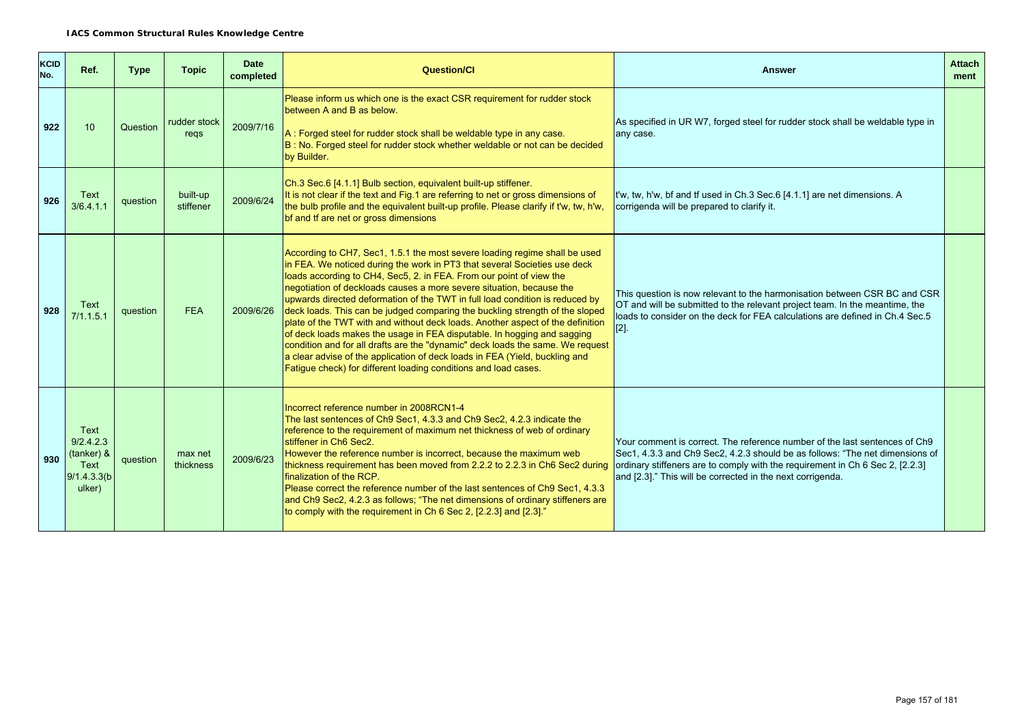| <b>KCID</b><br>No. | Ref.                                                              | <b>Type</b> | <b>Topic</b>          | <b>Date</b><br>completed | <b>Question/Cl</b>                                                                                                                                                                                                                                                                                                                                                                                                                                                                                                                                                                                                                                                                                                                                                                                                                                                      | <b>Answer</b>                                                                                                                                                                                                                                                                                             | <b>Attach</b><br>ment |
|--------------------|-------------------------------------------------------------------|-------------|-----------------------|--------------------------|-------------------------------------------------------------------------------------------------------------------------------------------------------------------------------------------------------------------------------------------------------------------------------------------------------------------------------------------------------------------------------------------------------------------------------------------------------------------------------------------------------------------------------------------------------------------------------------------------------------------------------------------------------------------------------------------------------------------------------------------------------------------------------------------------------------------------------------------------------------------------|-----------------------------------------------------------------------------------------------------------------------------------------------------------------------------------------------------------------------------------------------------------------------------------------------------------|-----------------------|
| 922                | 10                                                                | Question    | rudder stock<br>regs  | 2009/7/16                | Please inform us which one is the exact CSR requirement for rudder stock<br>between A and B as below.<br>A: Forged steel for rudder stock shall be weldable type in any case.<br>B: No. Forged steel for rudder stock whether weldable or not can be decided<br>by Builder.                                                                                                                                                                                                                                                                                                                                                                                                                                                                                                                                                                                             | As specified in UR W7, forged steel for rudder stock shall be weldable type in<br>any case.                                                                                                                                                                                                               |                       |
| 926                | Text<br>3/6.4.1.1                                                 | question    | built-up<br>stiffener | 2009/6/24                | Ch.3 Sec.6 [4.1.1] Bulb section, equivalent built-up stiffener.<br>It is not clear if the text and Fig.1 are referring to net or gross dimensions of<br>the bulb profile and the equivalent built-up profile. Please clarify if t'w, tw, h'w,<br>bf and tf are net or gross dimensions                                                                                                                                                                                                                                                                                                                                                                                                                                                                                                                                                                                  | t'w, tw, h'w, bf and tf used in Ch.3 Sec.6 [4.1.1] are net dimensions. A<br>corrigenda will be prepared to clarify it.                                                                                                                                                                                    |                       |
| 928                | Text<br>7/1.1.5.1                                                 | question    | <b>FEA</b>            | 2009/6/26                | According to CH7, Sec1, 1.5.1 the most severe loading regime shall be used<br>in FEA. We noticed during the work in PT3 that several Societies use deck<br>loads according to CH4, Sec5, 2. in FEA. From our point of view the<br>negotiation of deckloads causes a more severe situation, because the<br>upwards directed deformation of the TWT in full load condition is reduced by<br>deck loads. This can be judged comparing the buckling strength of the sloped<br>plate of the TWT with and without deck loads. Another aspect of the definition<br>of deck loads makes the usage in FEA disputable. In hogging and sagging<br>condition and for all drafts are the "dynamic" deck loads the same. We request<br>a clear advise of the application of deck loads in FEA (Yield, buckling and<br>Fatigue check) for different loading conditions and load cases. | This question is now relevant to the harmonisation between CSR BC and CSR<br>OT and will be submitted to the relevant project team. In the meantime, the<br>loads to consider on the deck for FEA calculations are defined in Ch.4 Sec.5<br>$[2].$                                                        |                       |
| 930                | Text<br>9/2.4.2.3<br>(tanker) &<br>Text<br>9/1.4.3.3(b)<br>ulker) | question    | max net<br>thickness  | 2009/6/23                | Incorrect reference number in 2008RCN1-4<br>The last sentences of Ch9 Sec1, 4.3.3 and Ch9 Sec2, 4.2.3 indicate the<br>reference to the requirement of maximum net thickness of web of ordinary<br>stiffener in Ch6 Sec2.<br>However the reference number is incorrect, because the maximum web<br>thickness requirement has been moved from 2.2.2 to 2.2.3 in Ch6 Sec2 during<br>finalization of the RCP.<br>Please correct the reference number of the last sentences of Ch9 Sec1, 4.3.3<br>and Ch9 Sec2, 4.2.3 as follows; "The net dimensions of ordinary stiffeners are<br>to comply with the requirement in Ch 6 Sec 2, [2.2.3] and [2.3]."                                                                                                                                                                                                                        | Your comment is correct. The reference number of the last sentences of Ch9<br>Sec1, 4.3.3 and Ch9 Sec2, 4.2.3 should be as follows: "The net dimensions of<br>ordinary stiffeners are to comply with the requirement in Ch 6 Sec 2, [2.2.3]<br>and [2.3]." This will be corrected in the next corrigenda. |                       |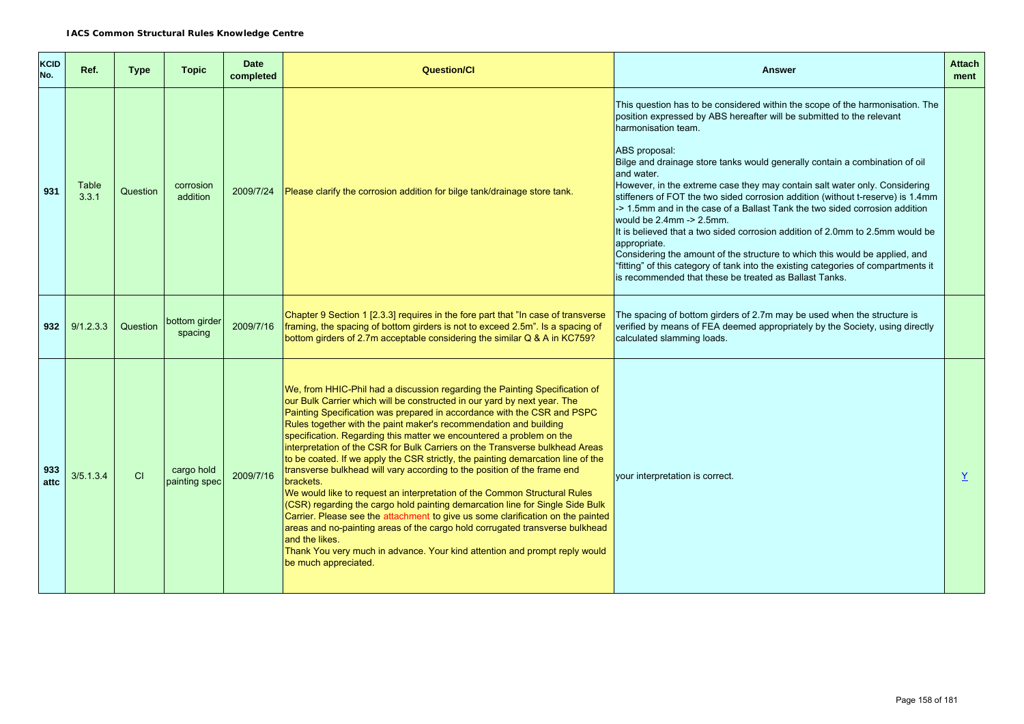| <b>KCID</b><br>No. | Ref.           | <b>Type</b> | <b>Topic</b>                | <b>Date</b><br>completed | <b>Question/CI</b>                                                                                                                                                                                                                                                                                                                                                                                                                                                                                                                                                                                                                                                                                                                                                                                                                                                                                                                                                                                                                                                                                    | <b>Answer</b>                                                                                                                                                                                                                                                                                                                                                                                                                                                                                                                                                                                                                                                                                                                                                                                                                                                                                           | <b>Attach</b><br>ment |
|--------------------|----------------|-------------|-----------------------------|--------------------------|-------------------------------------------------------------------------------------------------------------------------------------------------------------------------------------------------------------------------------------------------------------------------------------------------------------------------------------------------------------------------------------------------------------------------------------------------------------------------------------------------------------------------------------------------------------------------------------------------------------------------------------------------------------------------------------------------------------------------------------------------------------------------------------------------------------------------------------------------------------------------------------------------------------------------------------------------------------------------------------------------------------------------------------------------------------------------------------------------------|---------------------------------------------------------------------------------------------------------------------------------------------------------------------------------------------------------------------------------------------------------------------------------------------------------------------------------------------------------------------------------------------------------------------------------------------------------------------------------------------------------------------------------------------------------------------------------------------------------------------------------------------------------------------------------------------------------------------------------------------------------------------------------------------------------------------------------------------------------------------------------------------------------|-----------------------|
| 931                | Table<br>3.3.1 | Question    | corrosion<br>addition       | 2009/7/24                | Please clarify the corrosion addition for bilge tank/drainage store tank.                                                                                                                                                                                                                                                                                                                                                                                                                                                                                                                                                                                                                                                                                                                                                                                                                                                                                                                                                                                                                             | This question has to be considered within the scope of the harmonisation. The<br>position expressed by ABS hereafter will be submitted to the relevant<br>harmonisation team.<br>ABS proposal:<br>Bilge and drainage store tanks would generally contain a combination of oil<br>and water.<br>However, in the extreme case they may contain salt water only. Considering<br>stiffeners of FOT the two sided corrosion addition (without t-reserve) is 1.4mm<br>-> 1.5mm and in the case of a Ballast Tank the two sided corrosion addition<br>would be 2.4mm -> 2.5mm.<br>It is believed that a two sided corrosion addition of 2.0mm to 2.5mm would be<br>appropriate.<br>Considering the amount of the structure to which this would be applied, and<br>"fitting" of this category of tank into the existing categories of compartments it<br>is recommended that these be treated as Ballast Tanks. |                       |
| 932                | 9/1.2.3.3      | Question    | bottom girder<br>spacing    | 2009/7/16                | Chapter 9 Section 1 [2.3.3] requires in the fore part that "In case of transverse<br>framing, the spacing of bottom girders is not to exceed 2.5m". Is a spacing of<br>bottom girders of 2.7m acceptable considering the similar Q & A in KC759?                                                                                                                                                                                                                                                                                                                                                                                                                                                                                                                                                                                                                                                                                                                                                                                                                                                      | The spacing of bottom girders of 2.7m may be used when the structure is<br>verified by means of FEA deemed appropriately by the Society, using directly<br>calculated slamming loads.                                                                                                                                                                                                                                                                                                                                                                                                                                                                                                                                                                                                                                                                                                                   |                       |
| 933<br>attc        | 3/5.1.3.4      | CI          | cargo hold<br>painting spec | 2009/7/16                | We, from HHIC-Phil had a discussion regarding the Painting Specification of<br>our Bulk Carrier which will be constructed in our yard by next year. The<br>Painting Specification was prepared in accordance with the CSR and PSPC<br>Rules together with the paint maker's recommendation and building<br>specification. Regarding this matter we encountered a problem on the<br>interpretation of the CSR for Bulk Carriers on the Transverse bulkhead Areas<br>to be coated. If we apply the CSR strictly, the painting demarcation line of the<br>transverse bulkhead will vary according to the position of the frame end<br>brackets.<br>We would like to request an interpretation of the Common Structural Rules<br>(CSR) regarding the cargo hold painting demarcation line for Single Side Bulk<br>Carrier. Please see the attachment to give us some clarification on the painted<br>areas and no-painting areas of the cargo hold corrugated transverse bulkhead<br>and the likes.<br>Thank You very much in advance. Your kind attention and prompt reply would<br>be much appreciated. | your interpretation is correct.                                                                                                                                                                                                                                                                                                                                                                                                                                                                                                                                                                                                                                                                                                                                                                                                                                                                         | Y                     |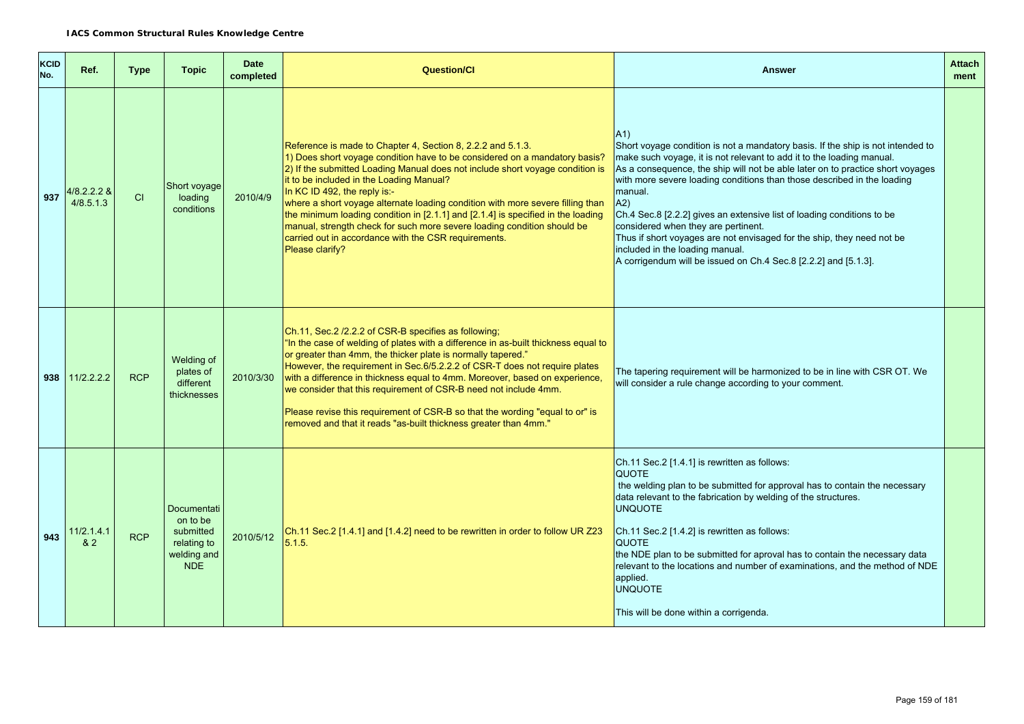| <b>KCID</b><br>No. | Ref.                     | <b>Type</b> | <b>Topic</b>                                                                            | <b>Date</b><br>completed | <b>Question/Cl</b>                                                                                                                                                                                                                                                                                                                                                                                                                                                                                                                                                                                                                 | <b>Answer</b>                                                                                                                                                                                                                                                                                                                                                                                                                                                                                                                                                                                                                                  | <b>Attach</b><br>ment |
|--------------------|--------------------------|-------------|-----------------------------------------------------------------------------------------|--------------------------|------------------------------------------------------------------------------------------------------------------------------------------------------------------------------------------------------------------------------------------------------------------------------------------------------------------------------------------------------------------------------------------------------------------------------------------------------------------------------------------------------------------------------------------------------------------------------------------------------------------------------------|------------------------------------------------------------------------------------------------------------------------------------------------------------------------------------------------------------------------------------------------------------------------------------------------------------------------------------------------------------------------------------------------------------------------------------------------------------------------------------------------------------------------------------------------------------------------------------------------------------------------------------------------|-----------------------|
| 937                | 4/8.2.2.2 &<br>4/8.5.1.3 | CI          | Short voyage<br>loading<br>conditions                                                   | 2010/4/9                 | Reference is made to Chapter 4, Section 8, 2.2.2 and 5.1.3.<br>1) Does short voyage condition have to be considered on a mandatory basis?<br>2) If the submitted Loading Manual does not include short voyage condition is<br>it to be included in the Loading Manual?<br>In KC ID 492, the reply is:-<br>where a short voyage alternate loading condition with more severe filling than<br>the minimum loading condition in [2.1.1] and [2.1.4] is specified in the loading<br>manual, strength check for such more severe loading condition should be<br>carried out in accordance with the CSR requirements.<br>Please clarify? | A1<br>Short voyage condition is not a mandatory basis. If the ship is not intended to<br>make such voyage, it is not relevant to add it to the loading manual.<br>As a consequence, the ship will not be able later on to practice short voyages<br>with more severe loading conditions than those described in the loading<br>manual.<br>A2)<br>Ch.4 Sec.8 [2.2.2] gives an extensive list of loading conditions to be<br>considered when they are pertinent.<br>Thus if short voyages are not envisaged for the ship, they need not be<br>included in the loading manual.<br>A corrigendum will be issued on Ch.4 Sec.8 [2.2.2] and [5.1.3]. |                       |
|                    | $938$   11/2.2.2.2       | <b>RCP</b>  | Welding of<br>plates of<br>different<br>thicknesses                                     | 2010/3/30                | Ch.11, Sec.2 /2.2.2 of CSR-B specifies as following;<br>"In the case of welding of plates with a difference in as-built thickness equal to<br>or greater than 4mm, the thicker plate is normally tapered."<br>However, the requirement in Sec.6/5.2.2.2 of CSR-T does not require plates<br>with a difference in thickness equal to 4mm. Moreover, based on experience,<br>we consider that this requirement of CSR-B need not include 4mm.<br>Please revise this requirement of CSR-B so that the wording "equal to or" is<br>removed and that it reads "as-built thickness greater than 4mm."                                    | The tapering requirement will be harmonized to be in line with CSR OT. We<br>will consider a rule change according to your comment.                                                                                                                                                                                                                                                                                                                                                                                                                                                                                                            |                       |
| 943                | 11/2.1.4.1<br>82         | <b>RCP</b>  | <b>Documentati</b><br>on to be<br>submitted<br>relating to<br>welding and<br><b>NDE</b> | 2010/5/12                | Ch.11 Sec.2 [1.4.1] and [1.4.2] need to be rewritten in order to follow UR Z23<br>5.1.5.                                                                                                                                                                                                                                                                                                                                                                                                                                                                                                                                           | Ch.11 Sec.2 [1.4.1] is rewritten as follows:<br><b>QUOTE</b><br>the welding plan to be submitted for approval has to contain the necessary<br>data relevant to the fabrication by welding of the structures.<br><b>UNQUOTE</b><br>Ch.11 Sec.2 [1.4.2] is rewritten as follows:<br><b>QUOTE</b><br>the NDE plan to be submitted for aproval has to contain the necessary data<br>relevant to the locations and number of examinations, and the method of NDE<br>applied.<br><b>UNQUOTE</b><br>This will be done within a corrigenda.                                                                                                            |                       |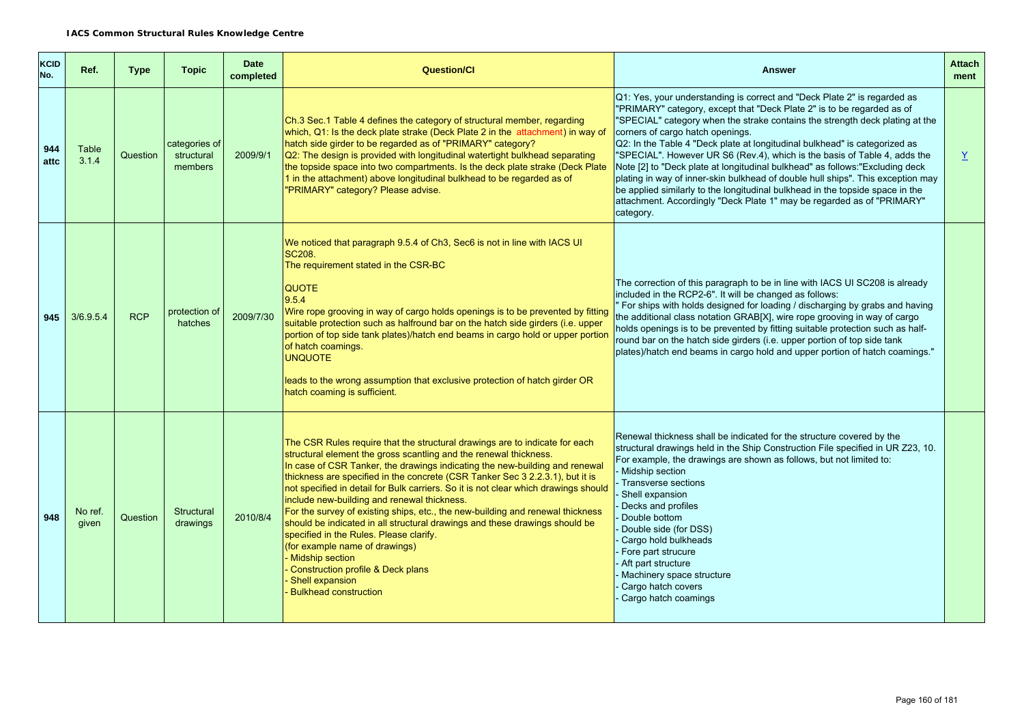| <b>KCID</b><br>No. | Ref.             | <b>Type</b> | <b>Topic</b>                           | <b>Date</b><br>completed | <b>Question/Cl</b>                                                                                                                                                                                                                                                                                                                                                                                                                                                                                                                                                                                                                                                                                                                                                                                                     | <b>Answer</b>                                                                                                                                                                                                                                                                                                                                                                                                                                                                                                                                                                                                                                                                                                                                                                 | <b>Attach</b><br>ment |
|--------------------|------------------|-------------|----------------------------------------|--------------------------|------------------------------------------------------------------------------------------------------------------------------------------------------------------------------------------------------------------------------------------------------------------------------------------------------------------------------------------------------------------------------------------------------------------------------------------------------------------------------------------------------------------------------------------------------------------------------------------------------------------------------------------------------------------------------------------------------------------------------------------------------------------------------------------------------------------------|-------------------------------------------------------------------------------------------------------------------------------------------------------------------------------------------------------------------------------------------------------------------------------------------------------------------------------------------------------------------------------------------------------------------------------------------------------------------------------------------------------------------------------------------------------------------------------------------------------------------------------------------------------------------------------------------------------------------------------------------------------------------------------|-----------------------|
| 944<br>attc        | Table<br>3.1.4   | Question    | categories of<br>structural<br>members | 2009/9/1                 | Ch.3 Sec.1 Table 4 defines the category of structural member, regarding<br>which, Q1: Is the deck plate strake (Deck Plate 2 in the attachment) in way of<br>hatch side girder to be regarded as of "PRIMARY" category?<br>Q2: The design is provided with longitudinal watertight bulkhead separating<br>the topside space into two compartments. Is the deck plate strake (Deck Plate<br>1 in the attachment) above longitudinal bulkhead to be regarded as of<br>"PRIMARY" category? Please advise.                                                                                                                                                                                                                                                                                                                 | Q1: Yes, your understanding is correct and "Deck Plate 2" is regarded as<br>"PRIMARY" category, except that "Deck Plate 2" is to be regarded as of<br>"SPECIAL" category when the strake contains the strength deck plating at the<br>corners of cargo hatch openings.<br>Q2: In the Table 4 "Deck plate at longitudinal bulkhead" is categorized as<br>"SPECIAL". However UR S6 (Rev.4), which is the basis of Table 4, adds the<br>Note [2] to "Deck plate at longitudinal bulkhead" as follows: "Excluding deck<br>plating in way of inner-skin bulkhead of double hull ships". This exception may<br>be applied similarly to the longitudinal bulkhead in the topside space in the<br>attachment. Accordingly "Deck Plate 1" may be regarded as of "PRIMARY"<br>category. | Y                     |
| 945                | 3/6.9.5.4        | <b>RCP</b>  | protection of<br>hatches               | 2009/7/30                | We noticed that paragraph 9.5.4 of Ch3, Sec6 is not in line with IACS UI<br><b>SC208.</b><br>The requirement stated in the CSR-BC<br><b>QUOTE</b><br>9.5.4<br>Wire rope grooving in way of cargo holds openings is to be prevented by fitting<br>suitable protection such as halfround bar on the hatch side girders (i.e. upper<br>portion of top side tank plates)/hatch end beams in cargo hold or upper portion<br>of hatch coamings.<br><b>UNQUOTE</b><br>leads to the wrong assumption that exclusive protection of hatch girder OR<br>hatch coaming is sufficient.                                                                                                                                                                                                                                              | The correction of this paragraph to be in line with IACS UI SC208 is already<br>included in the RCP2-6". It will be changed as follows:<br>For ships with holds designed for loading / discharging by grabs and having<br>the additional class notation GRAB[X], wire rope grooving in way of cargo<br>holds openings is to be prevented by fitting suitable protection such as half-<br>round bar on the hatch side girders (i.e. upper portion of top side tank<br>plates)/hatch end beams in cargo hold and upper portion of hatch coamings."                                                                                                                                                                                                                              |                       |
| 948                | No ref.<br>given | Question    | Structural<br>drawings                 | 2010/8/4                 | The CSR Rules require that the structural drawings are to indicate for each<br>structural element the gross scantling and the renewal thickness.<br>In case of CSR Tanker, the drawings indicating the new-building and renewal<br>thickness are specified in the concrete (CSR Tanker Sec 3 2.2.3.1), but it is<br>not specified in detail for Bulk carriers. So it is not clear which drawings should<br>include new-building and renewal thickness.<br>For the survey of existing ships, etc., the new-building and renewal thickness<br>should be indicated in all structural drawings and these drawings should be<br>specified in the Rules. Please clarify.<br>(for example name of drawings)<br><b>Midship section</b><br>Construction profile & Deck plans<br>Shell expansion<br><b>Bulkhead construction</b> | Renewal thickness shall be indicated for the structure covered by the<br>structural drawings held in the Ship Construction File specified in UR Z23, 10.<br>For example, the drawings are shown as follows, but not limited to:<br>Midship section<br>Transverse sections<br>Shell expansion<br>Decks and profiles<br>Double bottom<br>Double side (for DSS)<br>Cargo hold bulkheads<br>Fore part strucure<br>Aft part structure<br>Machinery space structure<br>Cargo hatch covers<br>Cargo hatch coamings                                                                                                                                                                                                                                                                   |                       |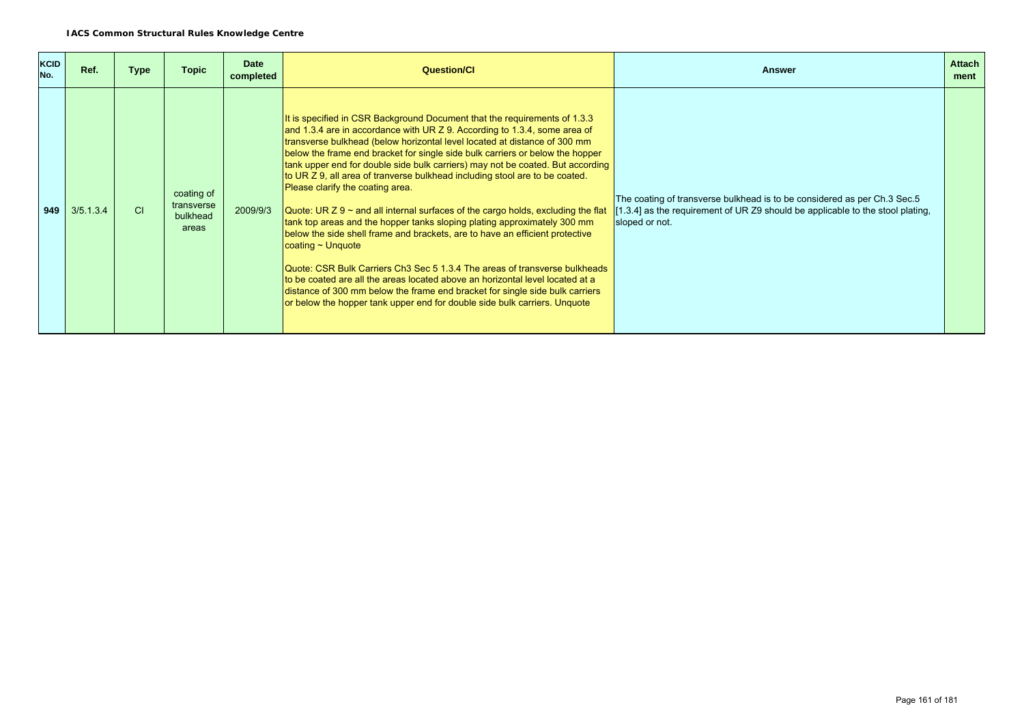| <b>KCID</b><br>No. | Ref.      | <b>Type</b> | <b>Topic</b>                                  | <b>Date</b><br>completed | <b>Question/CI</b>                                                                                                                                                                                                                                                                                                                                                                                                                                                                                                                                                                                                                                                                                                                                                                                                                                                                                                                                                                                                                                                                                                                    | <b>Answer</b>                                                                                                                                                                | <b>Attach</b><br>ment |
|--------------------|-----------|-------------|-----------------------------------------------|--------------------------|---------------------------------------------------------------------------------------------------------------------------------------------------------------------------------------------------------------------------------------------------------------------------------------------------------------------------------------------------------------------------------------------------------------------------------------------------------------------------------------------------------------------------------------------------------------------------------------------------------------------------------------------------------------------------------------------------------------------------------------------------------------------------------------------------------------------------------------------------------------------------------------------------------------------------------------------------------------------------------------------------------------------------------------------------------------------------------------------------------------------------------------|------------------------------------------------------------------------------------------------------------------------------------------------------------------------------|-----------------------|
| 949                | 3/5.1.3.4 | <b>CI</b>   | coating of<br>transverse<br>bulkhead<br>areas | 2009/9/3                 | It is specified in CSR Background Document that the requirements of 1.3.3<br>and 1.3.4 are in accordance with UR Z 9. According to 1.3.4, some area of<br>transverse bulkhead (below horizontal level located at distance of 300 mm<br>below the frame end bracket for single side bulk carriers or below the hopper<br>tank upper end for double side bulk carriers) may not be coated. But according<br>to UR Z 9, all area of tranverse bulkhead including stool are to be coated.<br>Please clarify the coating area.<br>Quote: UR $Z$ 9 ~ and all internal surfaces of the cargo holds, excluding the flat<br>tank top areas and the hopper tanks sloping plating approximately 300 mm<br>below the side shell frame and brackets, are to have an efficient protective<br>$\alpha$ coating ~ Unquote<br>Quote: CSR Bulk Carriers Ch3 Sec 5 1.3.4 The areas of transverse bulkheads<br>to be coated are all the areas located above an horizontal level located at a<br>distance of 300 mm below the frame end bracket for single side bulk carriers<br>or below the hopper tank upper end for double side bulk carriers. Unquote | The coating of transverse bulkhead is to be considered as per Ch.3 Sec.5<br>[1.3.4] as the requirement of UR Z9 should be applicable to the stool plating,<br>sloped or not. |                       |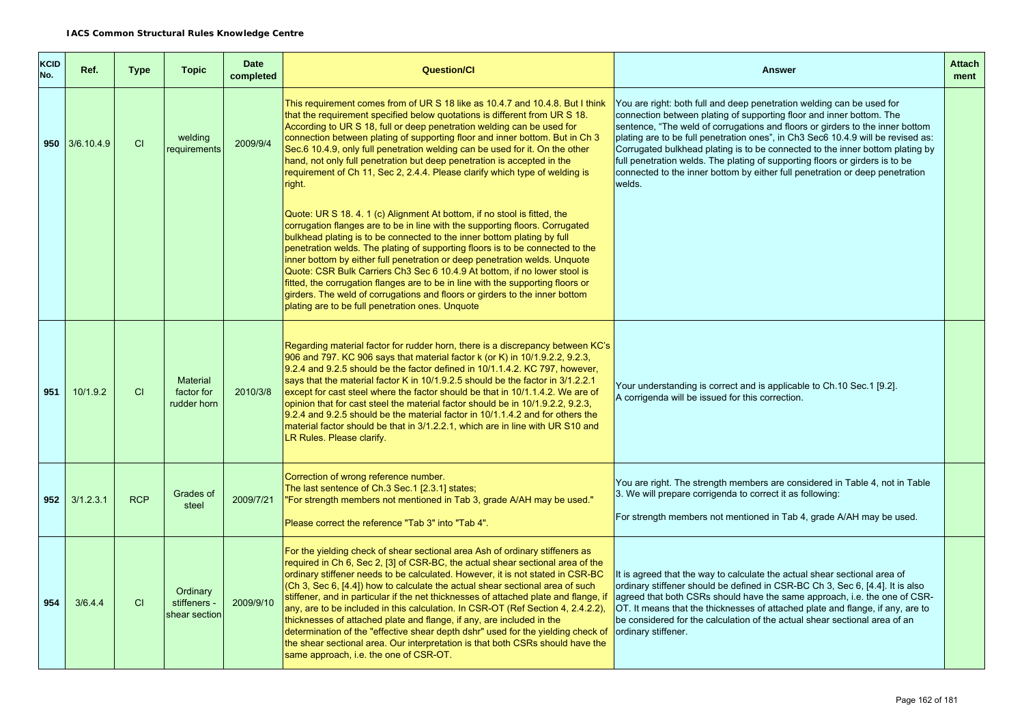| <b>KCID</b><br>No. | Ref.           | <b>Type</b> | <b>Topic</b>                                 | <b>Date</b><br>completed | <b>Question/Cl</b>                                                                                                                                                                                                                                                                                                                                                                                                                                                                                                                                                                                                                                                                                                                                                                                     | <b>Answer</b>                                                                                                                                                                                                                                                                                                                                                                                                                                                                                                                                                                 | <b>Attach</b><br>ment |
|--------------------|----------------|-------------|----------------------------------------------|--------------------------|--------------------------------------------------------------------------------------------------------------------------------------------------------------------------------------------------------------------------------------------------------------------------------------------------------------------------------------------------------------------------------------------------------------------------------------------------------------------------------------------------------------------------------------------------------------------------------------------------------------------------------------------------------------------------------------------------------------------------------------------------------------------------------------------------------|-------------------------------------------------------------------------------------------------------------------------------------------------------------------------------------------------------------------------------------------------------------------------------------------------------------------------------------------------------------------------------------------------------------------------------------------------------------------------------------------------------------------------------------------------------------------------------|-----------------------|
|                    | 950 3/6.10.4.9 | CI          | welding<br>requirements                      | 2009/9/4                 | This requirement comes from of UR S 18 like as 10.4.7 and 10.4.8. But I think<br>that the requirement specified below quotations is different from UR S 18.<br>According to UR S 18, full or deep penetration welding can be used for<br>connection between plating of supporting floor and inner bottom. But in Ch 3<br>Sec.6 10.4.9, only full penetration welding can be used for it. On the other<br>hand, not only full penetration but deep penetration is accepted in the<br>requirement of Ch 11, Sec 2, 2.4.4. Please clarify which type of welding is<br>right.                                                                                                                                                                                                                              | You are right: both full and deep penetration welding can be used for<br>connection between plating of supporting floor and inner bottom. The<br>sentence, "The weld of corrugations and floors or girders to the inner bottom<br>plating are to be full penetration ones", in Ch3 Sec6 10.4.9 will be revised as:<br>Corrugated bulkhead plating is to be connected to the inner bottom plating by<br>full penetration welds. The plating of supporting floors or girders is to be<br>connected to the inner bottom by either full penetration or deep penetration<br>welds. |                       |
|                    |                |             |                                              |                          | Quote: UR S 18, 4, 1 (c) Alignment At bottom, if no stool is fitted, the<br>corrugation flanges are to be in line with the supporting floors. Corrugated<br>bulkhead plating is to be connected to the inner bottom plating by full<br>penetration welds. The plating of supporting floors is to be connected to the<br>inner bottom by either full penetration or deep penetration welds. Unquote<br>Quote: CSR Bulk Carriers Ch3 Sec 6 10.4.9 At bottom, if no lower stool is<br>fitted, the corrugation flanges are to be in line with the supporting floors or<br>girders. The weld of corrugations and floors or girders to the inner bottom<br>plating are to be full penetration ones. Unquote                                                                                                  |                                                                                                                                                                                                                                                                                                                                                                                                                                                                                                                                                                               |                       |
| 951                | 10/1.9.2       | CI          | <b>Material</b><br>factor for<br>rudder horn | 2010/3/8                 | Regarding material factor for rudder horn, there is a discrepancy between KC's<br>906 and 797. KC 906 says that material factor k (or K) in 10/1.9.2.2, 9.2.3,<br>9.2.4 and 9.2.5 should be the factor defined in 10/1.1.4.2. KC 797, however,<br>says that the material factor K in 10/1.9.2.5 should be the factor in 3/1.2.2.1<br>except for cast steel where the factor should be that in 10/1.1.4.2. We are of<br>opinion that for cast steel the material factor should be in 10/1.9.2.2, 9.2.3,<br>9.2.4 and 9.2.5 should be the material factor in 10/1.1.4.2 and for others the<br>material factor should be that in 3/1.2.2.1, which are in line with UR S10 and<br>LR Rules. Please clarify.                                                                                                | Your understanding is correct and is applicable to Ch.10 Sec.1 [9.2].<br>A corrigenda will be issued for this correction.                                                                                                                                                                                                                                                                                                                                                                                                                                                     |                       |
| 952                | 3/1.2.3.1      | <b>RCP</b>  | Grades of<br>steel                           | 2009/7/21                | Correction of wrong reference number.<br>The last sentence of Ch.3 Sec.1 [2.3.1] states;<br>"For strength members not mentioned in Tab 3, grade A/AH may be used."<br>Please correct the reference "Tab 3" into "Tab 4".                                                                                                                                                                                                                                                                                                                                                                                                                                                                                                                                                                               | You are right. The strength members are considered in Table 4, not in Table<br>3. We will prepare corrigenda to correct it as following:<br>For strength members not mentioned in Tab 4, grade A/AH may be used.                                                                                                                                                                                                                                                                                                                                                              |                       |
| 954                | 3/6.4.4        | <b>CI</b>   | Ordinary<br>stiffeners -<br>shear section    | 2009/9/10                | For the yielding check of shear sectional area Ash of ordinary stiffeners as<br>required in Ch 6, Sec 2, [3] of CSR-BC, the actual shear sectional area of the<br>ordinary stiffener needs to be calculated. However, it is not stated in CSR-BC<br>(Ch 3, Sec 6, [4.4]) how to calculate the actual shear sectional area of such<br>stiffener, and in particular if the net thicknesses of attached plate and flange, if<br>any, are to be included in this calculation. In CSR-OT (Ref Section 4, 2.4.2.2),<br>thicknesses of attached plate and flange, if any, are included in the<br>determination of the "effective shear depth dshr" used for the yielding check of<br>the shear sectional area. Our interpretation is that both CSRs should have the<br>same approach, i.e. the one of CSR-OT. | It is agreed that the way to calculate the actual shear sectional area of<br>ordinary stiffener should be defined in CSR-BC Ch 3, Sec 6, [4.4]. It is also<br>agreed that both CSRs should have the same approach, i.e. the one of CSR-<br>OT. It means that the thicknesses of attached plate and flange, if any, are to<br>be considered for the calculation of the actual shear sectional area of an<br>ordinary stiffener.                                                                                                                                                |                       |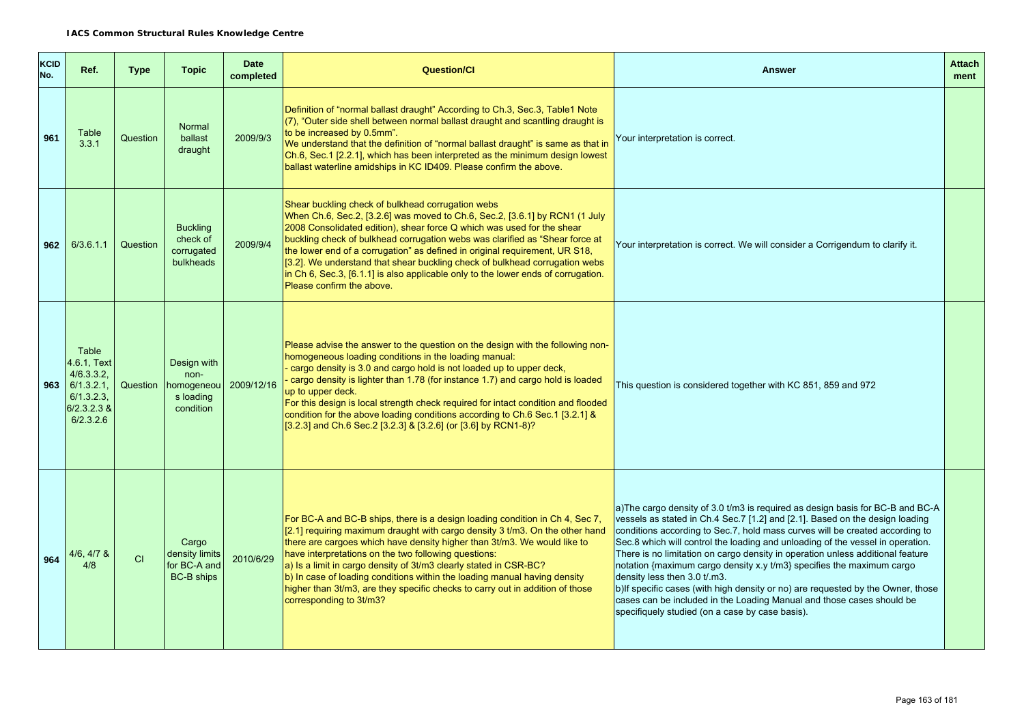| <b>KCID</b><br>No. | Ref.                                                                                      | <b>Type</b> | <b>Topic</b>                                                           | <b>Date</b><br>completed | <b>Question/Cl</b>                                                                                                                                                                                                                                                                                                                                                                                                                                                                                                                                                         | <b>Answer</b>                                                                                                                                                                                                                                                                                                                                                                                                                                                                                                                                                                                                                                                                                                                             | <b>Attach</b><br>ment |
|--------------------|-------------------------------------------------------------------------------------------|-------------|------------------------------------------------------------------------|--------------------------|----------------------------------------------------------------------------------------------------------------------------------------------------------------------------------------------------------------------------------------------------------------------------------------------------------------------------------------------------------------------------------------------------------------------------------------------------------------------------------------------------------------------------------------------------------------------------|-------------------------------------------------------------------------------------------------------------------------------------------------------------------------------------------------------------------------------------------------------------------------------------------------------------------------------------------------------------------------------------------------------------------------------------------------------------------------------------------------------------------------------------------------------------------------------------------------------------------------------------------------------------------------------------------------------------------------------------------|-----------------------|
| 961                | Table<br>3.3.1                                                                            | Question    | Normal<br>ballast<br>draught                                           | 2009/9/3                 | Definition of "normal ballast draught" According to Ch.3, Sec.3, Table1 Note<br>(7), "Outer side shell between normal ballast draught and scantling draught is<br>to be increased by 0.5mm".<br>We understand that the definition of "normal ballast draught" is same as that in<br>Ch.6, Sec.1 [2.2.1], which has been interpreted as the minimum design lowest<br>ballast waterline amidships in KC ID409. Please confirm the above.                                                                                                                                     | Your interpretation is correct.                                                                                                                                                                                                                                                                                                                                                                                                                                                                                                                                                                                                                                                                                                           |                       |
| 962                | 6/3.6.1.1                                                                                 | Question    | <b>Buckling</b><br>check of<br>corrugated<br><b>bulkheads</b>          | 2009/9/4                 | Shear buckling check of bulkhead corrugation webs<br>When Ch.6, Sec.2, [3.2.6] was moved to Ch.6, Sec.2, [3.6.1] by RCN1 (1 July<br>2008 Consolidated edition), shear force Q which was used for the shear<br>buckling check of bulkhead corrugation webs was clarified as "Shear force at<br>the lower end of a corrugation" as defined in original requirement, UR S18,<br>[3.2]. We understand that shear buckling check of bulkhead corrugation webs<br>in Ch 6, Sec.3, [6.1.1] is also applicable only to the lower ends of corrugation.<br>Please confirm the above. | Your interpretation is correct. We will consider a Corrigendum to clarify it.                                                                                                                                                                                                                                                                                                                                                                                                                                                                                                                                                                                                                                                             |                       |
| 963                | Table<br>4.6.1, Text<br>4/6.3.3.2<br>6/1.3.2.1<br>6/1.3.2.3<br>$6/2.3.2.3$ &<br>6/2.3.2.6 |             | Design with<br>non-<br>Question   homogeneou<br>s loading<br>condition | 2009/12/16               | Please advise the answer to the question on the design with the following non-<br>homogeneous loading conditions in the loading manual:<br>- cargo density is 3.0 and cargo hold is not loaded up to upper deck,<br>cargo density is lighter than 1.78 (for instance 1.7) and cargo hold is loaded<br>up to upper deck.<br>For this design is local strength check required for intact condition and flooded<br>condition for the above loading conditions according to Ch.6 Sec.1 [3.2.1] &<br>[3.2.3] and Ch.6 Sec.2 [3.2.3] & [3.2.6] (or [3.6] by RCN1-8)?             | This question is considered together with KC 851, 859 and 972                                                                                                                                                                                                                                                                                                                                                                                                                                                                                                                                                                                                                                                                             |                       |
| 964                | $4/6, 4/7$ &<br>4/8                                                                       | CI          | Cargo<br>density limits<br>for BC-A and<br><b>BC-B ships</b>           | 2010/6/29                | For BC-A and BC-B ships, there is a design loading condition in Ch 4, Sec 7,<br>[2.1] requiring maximum draught with cargo density 3 t/m3. On the other hand<br>there are cargoes which have density higher than 3t/m3. We would like to<br>have interpretations on the two following questions:<br>a) Is a limit in cargo density of 3t/m3 clearly stated in CSR-BC?<br>b) In case of loading conditions within the loading manual having density<br>higher than 3t/m3, are they specific checks to carry out in addition of those<br>corresponding to 3t/m3?             | a)The cargo density of 3.0 t/m3 is required as design basis for BC-B and BC-A<br>vessels as stated in Ch.4 Sec.7 [1.2] and [2.1]. Based on the design loading<br>conditions according to Sec.7, hold mass curves will be created according to<br>Sec.8 which will control the loading and unloading of the vessel in operation.<br>There is no limitation on cargo density in operation unless additional feature<br>notation {maximum cargo density x.y t/m3} specifies the maximum cargo<br>density less then 3.0 t/.m3.<br>b)If specific cases (with high density or no) are requested by the Owner, those<br>cases can be included in the Loading Manual and those cases should be<br>specifiquely studied (on a case by case basis). |                       |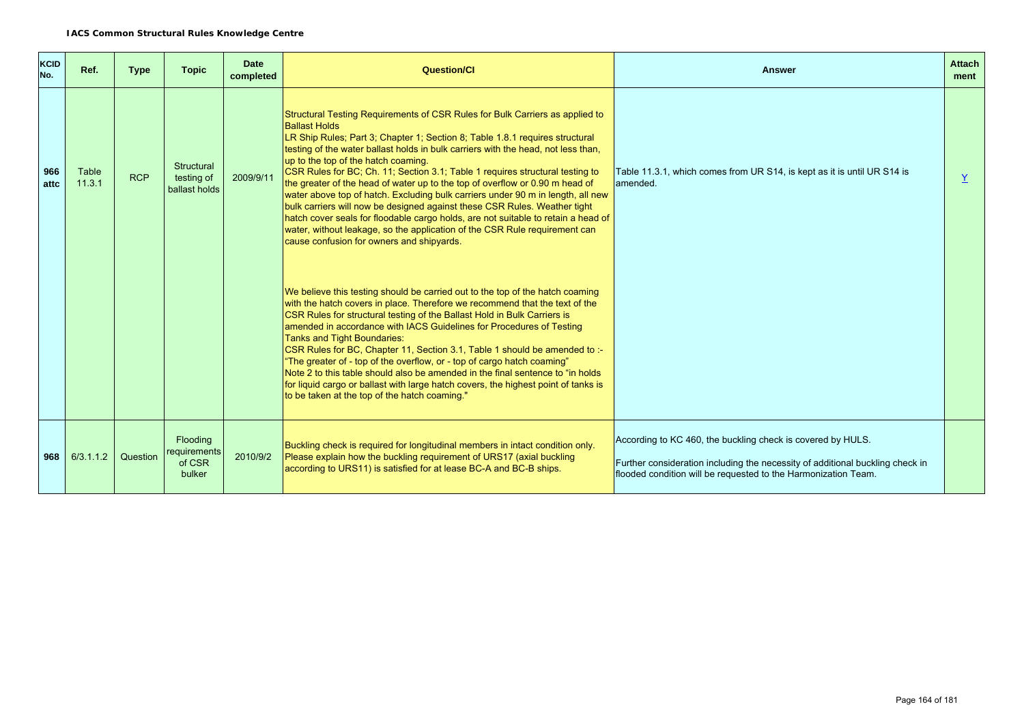| <b>KCID</b><br>No. | Ref.            | <b>Type</b> | <b>Topic</b>                                 | <b>Date</b><br>completed | <b>Question/Cl</b>                                                                                                                                                                                                                                                                                                                                                                                                                                                                                                                                                                                                                                                                                                                                                                                                                                                | <b>Answer</b>                                                                                                                                                                                                  | <b>Attach</b><br>ment |
|--------------------|-----------------|-------------|----------------------------------------------|--------------------------|-------------------------------------------------------------------------------------------------------------------------------------------------------------------------------------------------------------------------------------------------------------------------------------------------------------------------------------------------------------------------------------------------------------------------------------------------------------------------------------------------------------------------------------------------------------------------------------------------------------------------------------------------------------------------------------------------------------------------------------------------------------------------------------------------------------------------------------------------------------------|----------------------------------------------------------------------------------------------------------------------------------------------------------------------------------------------------------------|-----------------------|
| 966<br>attc        | Table<br>11.3.1 | <b>RCP</b>  | Structural<br>testing of<br>ballast holds    | 2009/9/11                | Structural Testing Requirements of CSR Rules for Bulk Carriers as applied to<br><b>Ballast Holds</b><br>LR Ship Rules; Part 3; Chapter 1; Section 8; Table 1.8.1 requires structural<br>testing of the water ballast holds in bulk carriers with the head, not less than,<br>up to the top of the hatch coaming.<br>CSR Rules for BC; Ch. 11; Section 3.1; Table 1 requires structural testing to<br>the greater of the head of water up to the top of overflow or 0.90 m head of<br>water above top of hatch. Excluding bulk carriers under 90 m in length, all new<br>bulk carriers will now be designed against these CSR Rules. Weather tight<br>hatch cover seals for floodable cargo holds, are not suitable to retain a head of<br>water, without leakage, so the application of the CSR Rule requirement can<br>cause confusion for owners and shipyards. | Table 11.3.1, which comes from UR S14, is kept as it is until UR S14 is<br>lamended.                                                                                                                           | Y                     |
|                    |                 |             |                                              |                          | We believe this testing should be carried out to the top of the hatch coaming<br>with the hatch covers in place. Therefore we recommend that the text of the<br>CSR Rules for structural testing of the Ballast Hold in Bulk Carriers is<br>amended in accordance with IACS Guidelines for Procedures of Testing<br>Tanks and Tight Boundaries:<br>CSR Rules for BC, Chapter 11, Section 3.1, Table 1 should be amended to :-<br>"The greater of - top of the overflow, or - top of cargo hatch coaming"<br>Note 2 to this table should also be amended in the final sentence to "in holds"<br>for liquid cargo or ballast with large hatch covers, the highest point of tanks is<br>to be taken at the top of the hatch coaming."                                                                                                                                |                                                                                                                                                                                                                |                       |
| 968                | 6/3.1.1.2       | Question    | Flooding<br>requirements<br>of CSR<br>bulker | 2010/9/2                 | Buckling check is required for longitudinal members in intact condition only.<br>Please explain how the buckling requirement of URS17 (axial buckling<br>according to URS11) is satisfied for at lease BC-A and BC-B ships.                                                                                                                                                                                                                                                                                                                                                                                                                                                                                                                                                                                                                                       | According to KC 460, the buckling check is covered by HULS.<br>Further consideration including the necessity of additional buckling check in<br>flooded condition will be requested to the Harmonization Team. |                       |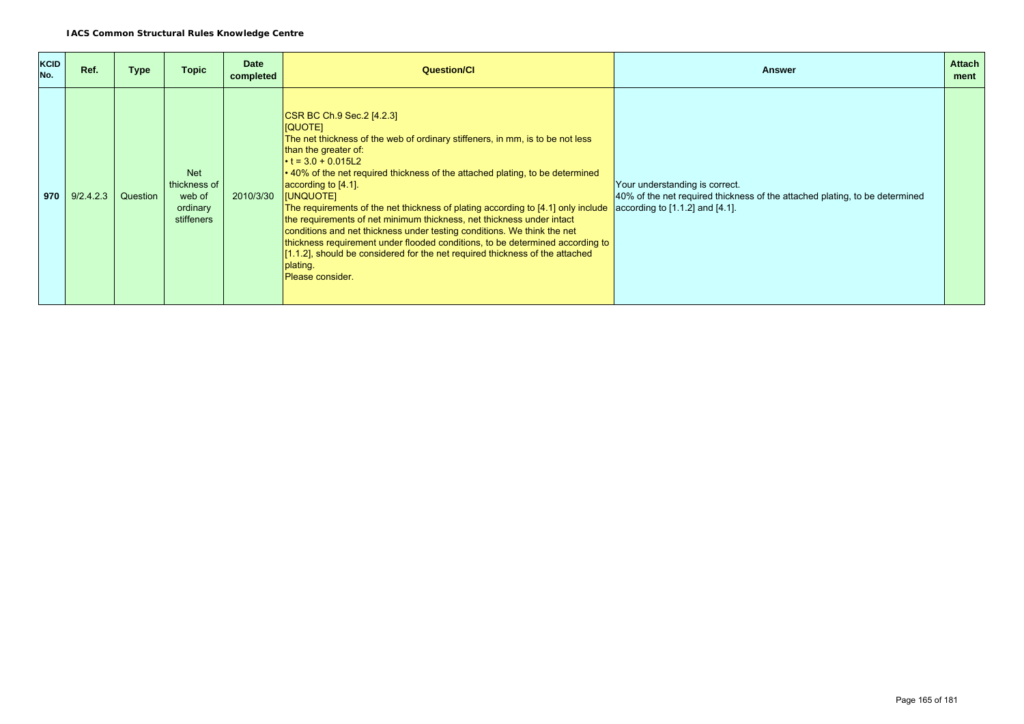| <b>KCID</b><br>No. | Ref.      | <b>Type</b> | <b>Topic</b>                                                   | <b>Date</b><br>completed | <b>Question/CI</b>                                                                                                                                                                                                                                                                                                                                                                                                                                                                                                                                                                                                                                                                                                                                     | <b>Answer</b>                                                                                                                                               | <b>Attach</b><br>ment |
|--------------------|-----------|-------------|----------------------------------------------------------------|--------------------------|--------------------------------------------------------------------------------------------------------------------------------------------------------------------------------------------------------------------------------------------------------------------------------------------------------------------------------------------------------------------------------------------------------------------------------------------------------------------------------------------------------------------------------------------------------------------------------------------------------------------------------------------------------------------------------------------------------------------------------------------------------|-------------------------------------------------------------------------------------------------------------------------------------------------------------|-----------------------|
| 970                | 9/2.4.2.3 | Question    | <b>Net</b><br>thickness of<br>web of<br>ordinary<br>stiffeners | 2010/3/30                | CSR BC Ch.9 Sec.2 [4.2.3]<br><b>IQUOTE1</b><br>The net thickness of the web of ordinary stiffeners, in mm, is to be not less<br>than the greater of:<br>$\cdot$ t = 3.0 + 0.015L2<br>• 40% of the net required thickness of the attached plating, to be determined<br>according to [4.1].<br><b>IUNQUOTE1</b><br>The requirements of the net thickness of plating according to [4.1] only include<br>the requirements of net minimum thickness, net thickness under intact<br>conditions and net thickness under testing conditions. We think the net<br>thickness requirement under flooded conditions, to be determined according to<br>[1.1.2], should be considered for the net required thickness of the attached<br>plating.<br>Please consider. | Your understanding is correct.<br>40% of the net required thickness of the attached plating, to be determined<br>$\sqrt{a}$ according to [1.1.2] and [4.1]. |                       |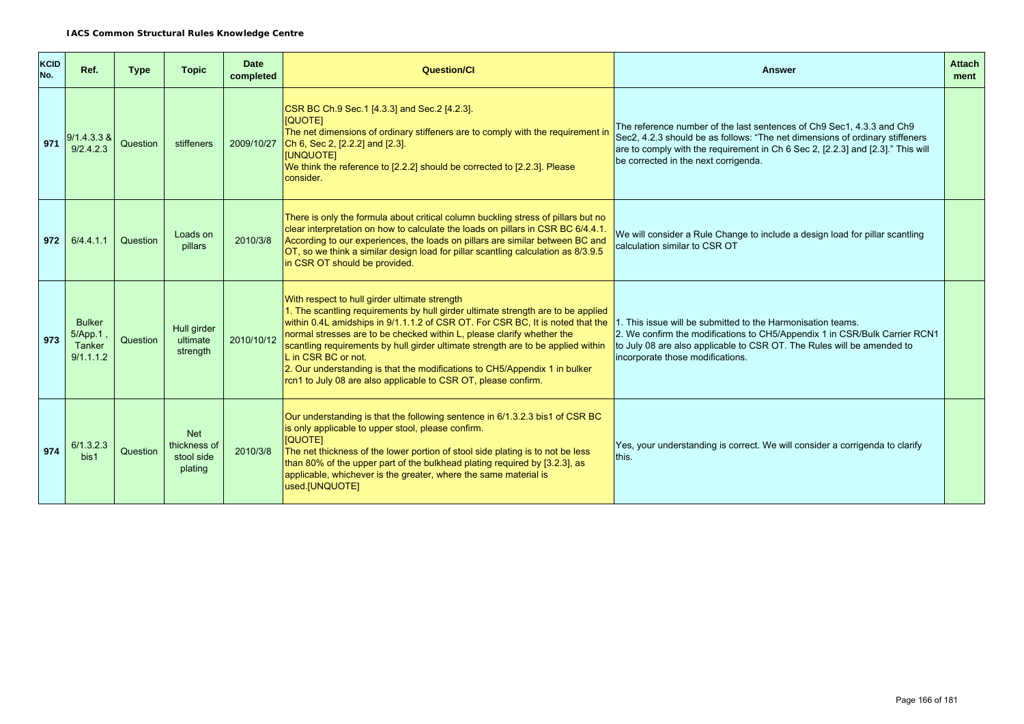| <b>KCID</b><br>No. | Ref.                                            | <b>Type</b> | <b>Topic</b>                                        | <b>Date</b><br>completed | <b>Question/Cl</b>                                                                                                                                                                                                                                                                                                                                                                                                                                                                                                                                       | <b>Answer</b>                                                                                                                                                                                                                                                                    | <b>Attach</b><br>ment |
|--------------------|-------------------------------------------------|-------------|-----------------------------------------------------|--------------------------|----------------------------------------------------------------------------------------------------------------------------------------------------------------------------------------------------------------------------------------------------------------------------------------------------------------------------------------------------------------------------------------------------------------------------------------------------------------------------------------------------------------------------------------------------------|----------------------------------------------------------------------------------------------------------------------------------------------------------------------------------------------------------------------------------------------------------------------------------|-----------------------|
| 971                | $9/1.4.3.3 \&$<br>9/2.4.2.3                     | Question    | stiffeners                                          | 2009/10/27               | CSR BC Ch.9 Sec.1 [4.3.3] and Sec.2 [4.2.3].<br><b>IQUOTE1</b><br>The net dimensions of ordinary stiffeners are to comply with the requirement in<br>Ch 6, Sec 2, [2.2.2] and [2.3].<br>[UNQUOTE]<br>We think the reference to [2.2.2] should be corrected to [2.2.3]. Please<br>consider.                                                                                                                                                                                                                                                               | The reference number of the last sentences of Ch9 Sec1, 4.3.3 and Ch9<br>Sec2, 4.2.3 should be as follows: "The net dimensions of ordinary stiffeners<br>are to comply with the requirement in Ch 6 Sec 2, [2.2.3] and [2.3]." This will<br>be corrected in the next corrigenda. |                       |
| 972                | 6/4.4.1.1                                       | Question    | Loads on<br>pillars                                 | 2010/3/8                 | There is only the formula about critical column buckling stress of pillars but no<br>clear interpretation on how to calculate the loads on pillars in CSR BC 6/4.4.1.<br>According to our experiences, the loads on pillars are similar between BC and<br>OT, so we think a similar design load for pillar scantling calculation as 8/3.9.5<br>in CSR OT should be provided.                                                                                                                                                                             | We will consider a Rule Change to include a design load for pillar scantling<br>calculation similar to CSR OT                                                                                                                                                                    |                       |
| 973                | <b>Bulker</b><br>5/App.1<br>Tanker<br>9/1.1.1.2 | Question    | Hull girder<br>ultimate<br>strength                 | 2010/10/12               | With respect to hull girder ultimate strength<br>1. The scantling requirements by hull girder ultimate strength are to be applied<br>within 0.4L amidships in 9/1.1.1.2 of CSR OT. For CSR BC, It is noted that the<br>normal stresses are to be checked within L, please clarify whether the<br>scantling requirements by hull girder ultimate strength are to be applied within<br>L in CSR BC or not.<br>2. Our understanding is that the modifications to CH5/Appendix 1 in bulker<br>rcn1 to July 08 are also applicable to CSR OT, please confirm. | 1. This issue will be submitted to the Harmonisation teams.<br>2. We confirm the modifications to CH5/Appendix 1 in CSR/Bulk Carrier RCN1<br>to July 08 are also applicable to CSR OT. The Rules will be amended to<br>incorporate those modifications.                          |                       |
| 974                | 6/1.3.2.3<br>bis1                               | Question    | <b>Net</b><br>thickness of<br>stool side<br>plating | 2010/3/8                 | Our understanding is that the following sentence in 6/1.3.2.3 bis1 of CSR BC<br>is only applicable to upper stool, please confirm.<br>[QUOTE]<br>The net thickness of the lower portion of stool side plating is to not be less<br>than 80% of the upper part of the bulkhead plating required by [3.2.3], as<br>applicable, whichever is the greater, where the same material is<br>used.[UNQUOTE]                                                                                                                                                      | Yes, your understanding is correct. We will consider a corrigenda to clarify<br>this.                                                                                                                                                                                            |                       |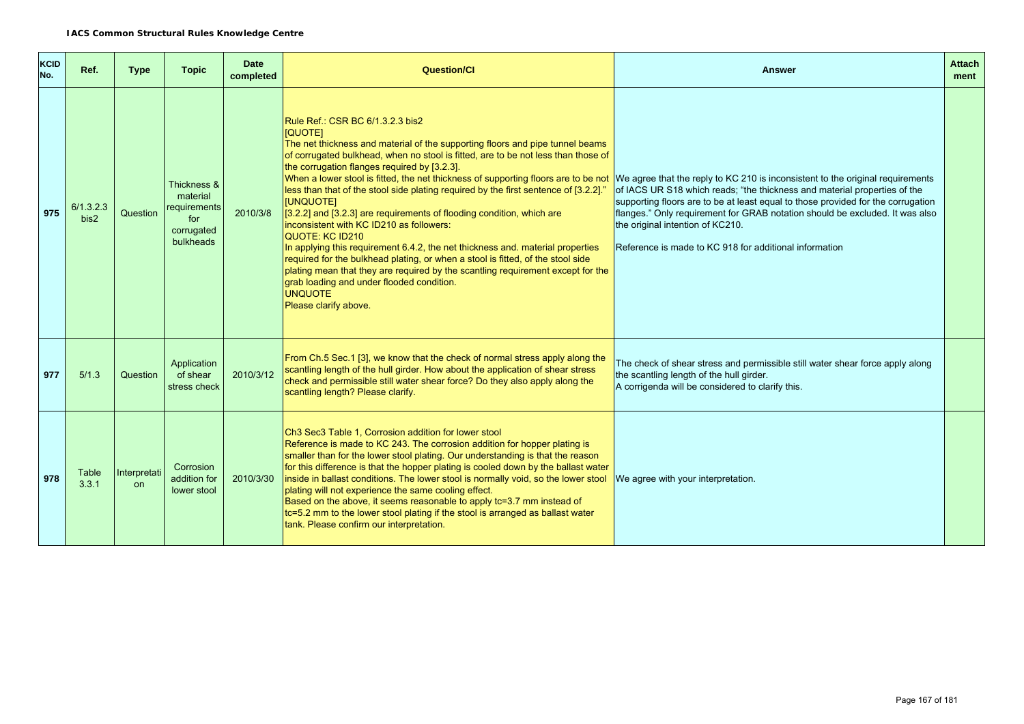| <b>KCID</b><br>No. | Ref.              | <b>Type</b>               | <b>Topic</b>                                                              | <b>Date</b><br>completed | <b>Question/Cl</b>                                                                                                                                                                                                                                                                                                                                                                                                                                                                                                                                                                                                                                                                                                                                                                                                                                                                                                                                                | <b>Answer</b>                                                                                                                                                                                                                                                                                                                                                                                                                 | <b>Attach</b><br>ment |
|--------------------|-------------------|---------------------------|---------------------------------------------------------------------------|--------------------------|-------------------------------------------------------------------------------------------------------------------------------------------------------------------------------------------------------------------------------------------------------------------------------------------------------------------------------------------------------------------------------------------------------------------------------------------------------------------------------------------------------------------------------------------------------------------------------------------------------------------------------------------------------------------------------------------------------------------------------------------------------------------------------------------------------------------------------------------------------------------------------------------------------------------------------------------------------------------|-------------------------------------------------------------------------------------------------------------------------------------------------------------------------------------------------------------------------------------------------------------------------------------------------------------------------------------------------------------------------------------------------------------------------------|-----------------------|
| 975                | 6/1.3.2.3<br>bis2 | Question                  | Thickness &<br>material<br>requirements<br>for<br>corrugated<br>bulkheads | 2010/3/8                 | Rule Ref.: CSR BC 6/1.3.2.3 bis2<br>[QUOTE]<br>The net thickness and material of the supporting floors and pipe tunnel beams<br>of corrugated bulkhead, when no stool is fitted, are to be not less than those of<br>the corrugation flanges required by [3.2.3].<br>When a lower stool is fitted, the net thickness of supporting floors are to be not<br>less than that of the stool side plating required by the first sentence of [3.2.2].<br><b>[UNQUOTE]</b><br>[3.2.2] and [3.2.3] are requirements of flooding condition, which are<br>inconsistent with KC ID210 as followers:<br><b>QUOTE: KC ID210</b><br>In applying this requirement 6.4.2, the net thickness and, material properties<br>required for the bulkhead plating, or when a stool is fitted, of the stool side<br>plating mean that they are required by the scantling requirement except for the<br>grab loading and under flooded condition.<br><b>UNQUOTE</b><br>Please clarify above. | We agree that the reply to KC 210 is inconsistent to the original requirements<br>of IACS UR S18 which reads; "the thickness and material properties of the<br>supporting floors are to be at least equal to those provided for the corrugation<br>flanges." Only requirement for GRAB notation should be excluded. It was also<br>the original intention of KC210.<br>Reference is made to KC 918 for additional information |                       |
| 977                | 5/1.3             | Question                  | Application<br>of shear<br>stress check                                   | 2010/3/12                | From Ch.5 Sec.1 [3], we know that the check of normal stress apply along the<br>scantling length of the hull girder. How about the application of shear stress<br>check and permissible still water shear force? Do they also apply along the<br>scantling length? Please clarify.                                                                                                                                                                                                                                                                                                                                                                                                                                                                                                                                                                                                                                                                                | The check of shear stress and permissible still water shear force apply along<br>the scantling length of the hull girder.<br>A corrigenda will be considered to clarify this.                                                                                                                                                                                                                                                 |                       |
| 978                | Table<br>3.3.1    | Interpretati<br><b>on</b> | Corrosion<br>addition for<br>lower stool                                  | 2010/3/30                | Ch3 Sec3 Table 1, Corrosion addition for lower stool<br>Reference is made to KC 243. The corrosion addition for hopper plating is<br>smaller than for the lower stool plating. Our understanding is that the reason<br>for this difference is that the hopper plating is cooled down by the ballast water<br>inside in ballast conditions. The lower stool is normally void, so the lower stool<br>plating will not experience the same cooling effect.<br>Based on the above, it seems reasonable to apply tc=3.7 mm instead of<br>tc=5.2 mm to the lower stool plating if the stool is arranged as ballast water<br>tank. Please confirm our interpretation.                                                                                                                                                                                                                                                                                                    | We agree with your interpretation.                                                                                                                                                                                                                                                                                                                                                                                            |                       |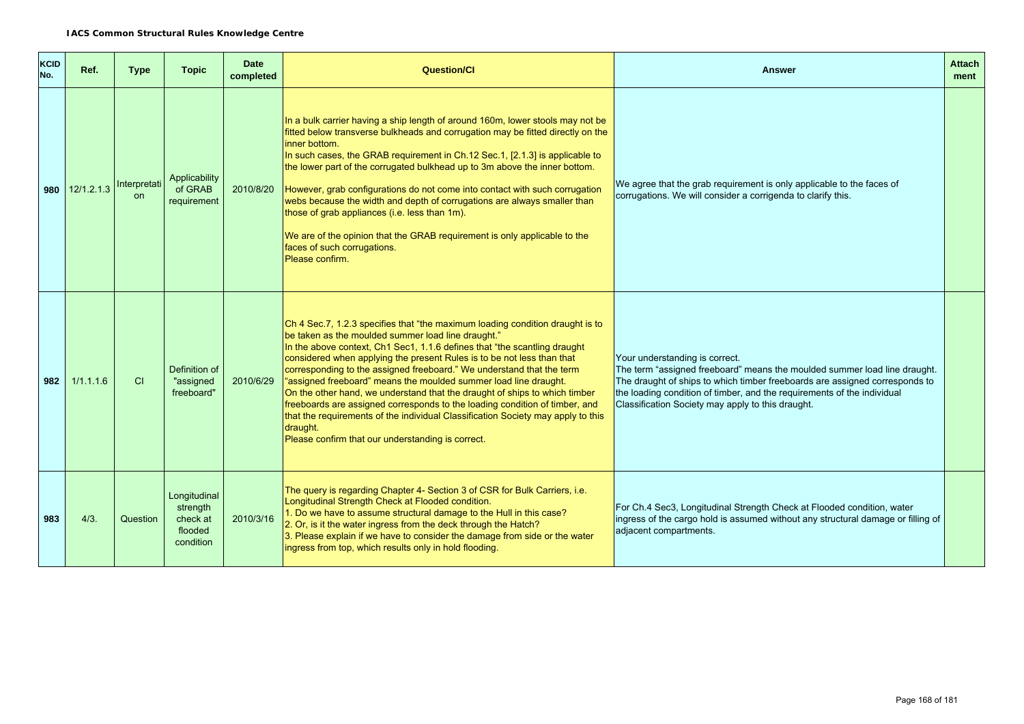| <b>KCID</b><br>No. | Ref.             | <b>Type</b>               | <b>Topic</b>                                                 | <b>Date</b><br>completed | <b>Question/Cl</b>                                                                                                                                                                                                                                                                                                                                                                                                                                                                                                                                                                                                                                                                                                                                         | Answer                                                                                                                                                                                                                                                                                                                     | <b>Attach</b><br>ment |
|--------------------|------------------|---------------------------|--------------------------------------------------------------|--------------------------|------------------------------------------------------------------------------------------------------------------------------------------------------------------------------------------------------------------------------------------------------------------------------------------------------------------------------------------------------------------------------------------------------------------------------------------------------------------------------------------------------------------------------------------------------------------------------------------------------------------------------------------------------------------------------------------------------------------------------------------------------------|----------------------------------------------------------------------------------------------------------------------------------------------------------------------------------------------------------------------------------------------------------------------------------------------------------------------------|-----------------------|
|                    | 980 $12/1.2.1.3$ | Interpretati<br><b>on</b> | Applicability<br>of GRAB<br>requirement                      |                          | In a bulk carrier having a ship length of around 160m, lower stools may not be<br>fitted below transverse bulkheads and corrugation may be fitted directly on the<br>linner bottom.<br>In such cases, the GRAB requirement in Ch.12 Sec.1, [2.1.3] is applicable to<br>the lower part of the corrugated bulkhead up to 3m above the inner bottom.<br>2010/8/20 However, grab configurations do not come into contact with such corrugation<br>webs because the width and depth of corrugations are always smaller than<br>those of grab appliances (i.e. less than 1m).<br>We are of the opinion that the GRAB requirement is only applicable to the<br>faces of such corrugations.<br>Please confirm.                                                     | We agree that the grab requirement is only applicable to the faces of<br>corrugations. We will consider a corrigenda to clarify this.                                                                                                                                                                                      |                       |
| 982                | 1/1.1.1.6        | <b>CI</b>                 | Definition of<br>"assigned<br>freeboard"                     | 2010/6/29                | Ch 4 Sec. 7, 1.2.3 specifies that "the maximum loading condition draught is to<br>be taken as the moulded summer load line draught."<br>In the above context, Ch1 Sec1, 1.1.6 defines that "the scantling draught<br>considered when applying the present Rules is to be not less than that<br>corresponding to the assigned freeboard." We understand that the term<br>"assigned freeboard" means the moulded summer load line draught.<br>On the other hand, we understand that the draught of ships to which timber<br>freeboards are assigned corresponds to the loading condition of timber, and<br>that the requirements of the individual Classification Society may apply to this<br>draught.<br>Please confirm that our understanding is correct. | Your understanding is correct.<br>The term "assigned freeboard" means the moulded summer load line draught.<br>The draught of ships to which timber freeboards are assigned corresponds to<br>the loading condition of timber, and the requirements of the individual<br>Classification Society may apply to this draught. |                       |
| 983                | 4/3.             | Question                  | Longitudinal<br>strength<br>check at<br>flooded<br>condition | 2010/3/16                | The query is regarding Chapter 4- Section 3 of CSR for Bulk Carriers, i.e.<br>Longitudinal Strength Check at Flooded condition.<br>1. Do we have to assume structural damage to the Hull in this case?<br>2. Or, is it the water ingress from the deck through the Hatch?<br>3. Please explain if we have to consider the damage from side or the water<br>ingress from top, which results only in hold flooding.                                                                                                                                                                                                                                                                                                                                          | For Ch.4 Sec3, Longitudinal Strength Check at Flooded condition, water<br>ingress of the cargo hold is assumed without any structural damage or filling of<br>adjacent compartments.                                                                                                                                       |                       |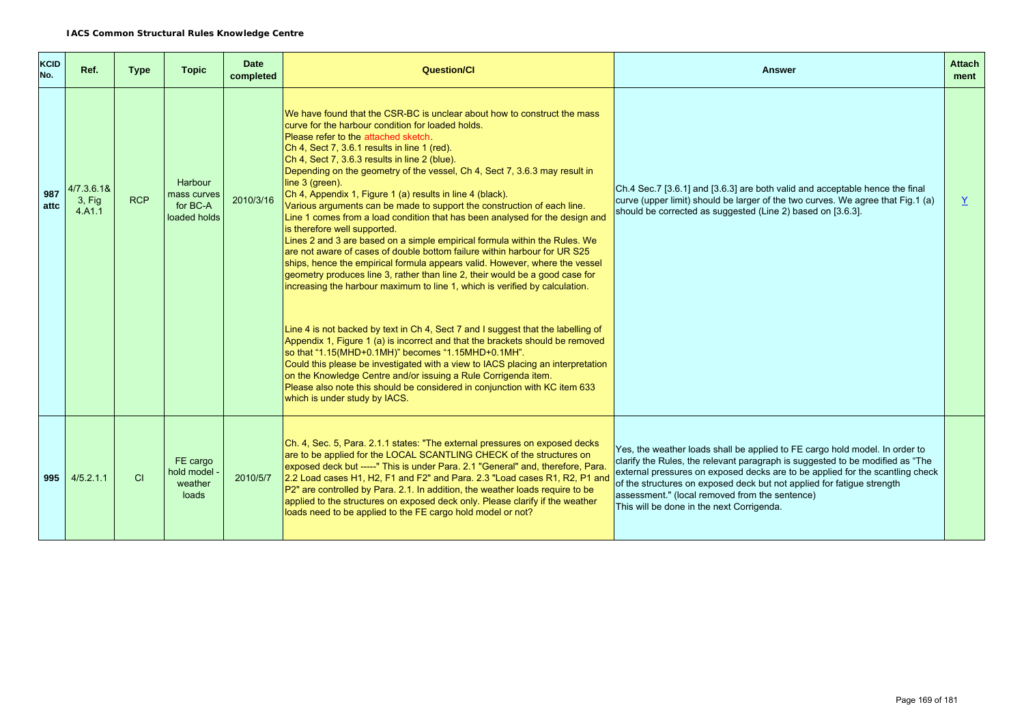| <b>KCID</b><br>No. | Ref.                              | <b>Type</b> | <b>Topic</b>                                       | <b>Date</b><br>completed | <b>Question/Cl</b>                                                                                                                                                                                                                                                                                                                                                                                                                                                                                                                                                                                                                                                                                                                                                                                                                                                                                                                                                                                                                      | <b>Answer</b>                                                                                                                                                                                                                                                                                                                                                                                                          | <b>Attach</b><br>ment |
|--------------------|-----------------------------------|-------------|----------------------------------------------------|--------------------------|-----------------------------------------------------------------------------------------------------------------------------------------------------------------------------------------------------------------------------------------------------------------------------------------------------------------------------------------------------------------------------------------------------------------------------------------------------------------------------------------------------------------------------------------------------------------------------------------------------------------------------------------------------------------------------------------------------------------------------------------------------------------------------------------------------------------------------------------------------------------------------------------------------------------------------------------------------------------------------------------------------------------------------------------|------------------------------------------------------------------------------------------------------------------------------------------------------------------------------------------------------------------------------------------------------------------------------------------------------------------------------------------------------------------------------------------------------------------------|-----------------------|
| 987<br>attc        | 4/7.3.6.1&<br>$3.$ Fig.<br>4.A1.1 | <b>RCP</b>  | Harbour<br>mass curves<br>for BC-A<br>loaded holds | 2010/3/16                | We have found that the CSR-BC is unclear about how to construct the mass<br>curve for the harbour condition for loaded holds.<br>Please refer to the attached sketch<br>Ch 4, Sect 7, 3.6.1 results in line 1 (red).<br>Ch 4, Sect 7, 3.6.3 results in line 2 (blue).<br>Depending on the geometry of the vessel, Ch 4, Sect 7, 3.6.3 may result in<br>line 3 (green).<br>Ch 4, Appendix 1, Figure 1 (a) results in line 4 (black).<br>Various arguments can be made to support the construction of each line.<br>Line 1 comes from a load condition that has been analysed for the design and<br>is therefore well supported.<br>Lines 2 and 3 are based on a simple empirical formula within the Rules. We<br>are not aware of cases of double bottom failure within harbour for UR S25<br>ships, hence the empirical formula appears valid. However, where the vessel<br>geometry produces line 3, rather than line 2, their would be a good case for<br>increasing the harbour maximum to line 1, which is verified by calculation. | Ch.4 Sec.7 [3.6.1] and [3.6.3] are both valid and acceptable hence the final<br>curve (upper limit) should be larger of the two curves. We agree that Fig.1 (a)<br>should be corrected as suggested (Line 2) based on [3.6.3].                                                                                                                                                                                         | $\overline{X}$        |
|                    |                                   |             |                                                    |                          | Line 4 is not backed by text in Ch 4, Sect 7 and I suggest that the labelling of<br>Appendix 1, Figure 1 (a) is incorrect and that the brackets should be removed<br>so that "1.15(MHD+0.1MH)" becomes "1.15MHD+0.1MH".<br>Could this please be investigated with a view to IACS placing an interpretation<br>on the Knowledge Centre and/or issuing a Rule Corrigenda item.<br>Please also note this should be considered in conjunction with KC item 633<br>which is under study by IACS.                                                                                                                                                                                                                                                                                                                                                                                                                                                                                                                                             |                                                                                                                                                                                                                                                                                                                                                                                                                        |                       |
| 995                | 4/5.2.1.1                         | CI          | FE cargo<br>hold model -<br>weather<br>loads       | 2010/5/7                 | Ch. 4, Sec. 5, Para. 2.1.1 states: "The external pressures on exposed decks<br>are to be applied for the LOCAL SCANTLING CHECK of the structures on<br>exposed deck but -----" This is under Para. 2.1 "General" and, therefore, Para.<br>2.2 Load cases H1, H2, F1 and F2" and Para. 2.3 "Load cases R1, R2, P1 and<br>P2" are controlled by Para. 2.1. In addition, the weather loads require to be<br>applied to the structures on exposed deck only. Please clarify if the weather<br>loads need to be applied to the FE cargo hold model or not?                                                                                                                                                                                                                                                                                                                                                                                                                                                                                   | Yes, the weather loads shall be applied to FE cargo hold model. In order to<br>clarify the Rules, the relevant paragraph is suggested to be modified as "The<br>external pressures on exposed decks are to be applied for the scantling check<br>of the structures on exposed deck but not applied for fatigue strength<br>assessment." (local removed from the sentence)<br>This will be done in the next Corrigenda. |                       |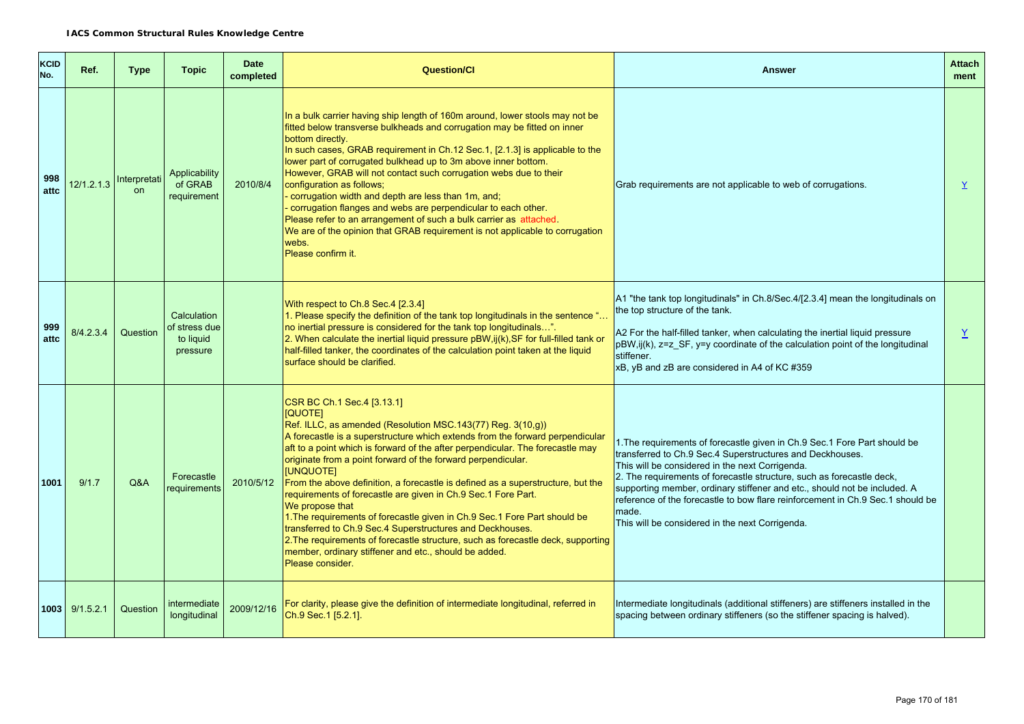| <b>KCID</b><br>No. | Ref.           | <b>Type</b>               | <b>Topic</b>                                          | <b>Date</b><br>completed | <b>Question/Cl</b>                                                                                                                                                                                                                                                                                                                                                                                                                                                                                                                                                                                                                                                                                                                                                                                                                      | <b>Answer</b>                                                                                                                                                                                                                                                                                                                                                                                                                                                                                  | <b>Attach</b><br>ment |
|--------------------|----------------|---------------------------|-------------------------------------------------------|--------------------------|-----------------------------------------------------------------------------------------------------------------------------------------------------------------------------------------------------------------------------------------------------------------------------------------------------------------------------------------------------------------------------------------------------------------------------------------------------------------------------------------------------------------------------------------------------------------------------------------------------------------------------------------------------------------------------------------------------------------------------------------------------------------------------------------------------------------------------------------|------------------------------------------------------------------------------------------------------------------------------------------------------------------------------------------------------------------------------------------------------------------------------------------------------------------------------------------------------------------------------------------------------------------------------------------------------------------------------------------------|-----------------------|
| 998<br>attc        | 12/1.2.1.3     | Interpretati<br><b>on</b> | Applicability<br>of GRAB<br>requirement               | 2010/8/4                 | In a bulk carrier having ship length of 160m around, lower stools may not be<br>fitted below transverse bulkheads and corrugation may be fitted on inner<br>bottom directly.<br>In such cases, GRAB requirement in Ch.12 Sec.1, [2.1.3] is applicable to the<br>lower part of corrugated bulkhead up to 3m above inner bottom.<br>However, GRAB will not contact such corrugation webs due to their<br>configuration as follows;<br>- corrugation width and depth are less than 1m, and;<br>- corrugation flanges and webs are perpendicular to each other.<br>Please refer to an arrangement of such a bulk carrier as attached.<br>We are of the opinion that GRAB requirement is not applicable to corrugation<br>webs.<br>Please confirm it.                                                                                        | Grab requirements are not applicable to web of corrugations.                                                                                                                                                                                                                                                                                                                                                                                                                                   | $\overline{X}$        |
| 999<br>attc        | 8/4.2.3.4      | Question                  | Calculation<br>of stress due<br>to liquid<br>pressure |                          | With respect to Ch.8 Sec.4 [2.3.4]<br>1. Please specify the definition of the tank top longitudinals in the sentence "<br>no inertial pressure is considered for the tank top longitudinals".<br>$2.$ When calculate the inertial liquid pressure pBW, ij(k), SF for full-filled tank or<br>half-filled tanker, the coordinates of the calculation point taken at the liquid<br>surface should be clarified.                                                                                                                                                                                                                                                                                                                                                                                                                            | A1 "the tank top longitudinals" in Ch.8/Sec.4/[2.3.4] mean the longitudinals on<br>the top structure of the tank.<br>A2 For the half-filled tanker, when calculating the inertial liquid pressure<br>pBW,ij(k), z=z_SF, y=y coordinate of the calculation point of the longitudinal<br>stiffener.<br>xB, yB and zB are considered in A4 of KC #359                                                                                                                                             | Y                     |
| 1001               | 9/1.7          | Q&A                       | Forecastle<br>requirements                            | 2010/5/12                | CSR BC Ch.1 Sec.4 [3.13.1]<br>[QUOTE]<br>Ref. ILLC, as amended (Resolution MSC.143(77) Reg. 3(10,g))<br>A forecastle is a superstructure which extends from the forward perpendicular<br>aft to a point which is forward of the after perpendicular. The forecastle may<br>originate from a point forward of the forward perpendicular.<br>[UNQUOTE]<br>From the above definition, a forecastle is defined as a superstructure, but the<br>requirements of forecastle are given in Ch.9 Sec.1 Fore Part.<br>We propose that<br>1. The requirements of forecastle given in Ch.9 Sec. 1 Fore Part should be<br>transferred to Ch.9 Sec.4 Superstructures and Deckhouses.<br>2. The requirements of forecastle structure, such as forecastle deck, supporting<br>member, ordinary stiffener and etc., should be added.<br>Please consider. | 1. The requirements of forecastle given in Ch.9 Sec. 1 Fore Part should be<br>transferred to Ch.9 Sec.4 Superstructures and Deckhouses.<br>This will be considered in the next Corrigenda.<br>2. The requirements of forecastle structure, such as forecastle deck,<br>supporting member, ordinary stiffener and etc., should not be included. A<br>reference of the forecastle to bow flare reinforcement in Ch.9 Sec.1 should be<br>made.<br>This will be considered in the next Corrigenda. |                       |
|                    | 1003 9/1.5.2.1 | Question                  | intermediate<br>longitudinal                          | 2009/12/16               | For clarity, please give the definition of intermediate longitudinal, referred in<br>Ch.9 Sec.1 [5.2.1].                                                                                                                                                                                                                                                                                                                                                                                                                                                                                                                                                                                                                                                                                                                                | Intermediate longitudinals (additional stiffeners) are stiffeners installed in the<br>spacing between ordinary stiffeners (so the stiffener spacing is halved).                                                                                                                                                                                                                                                                                                                                |                       |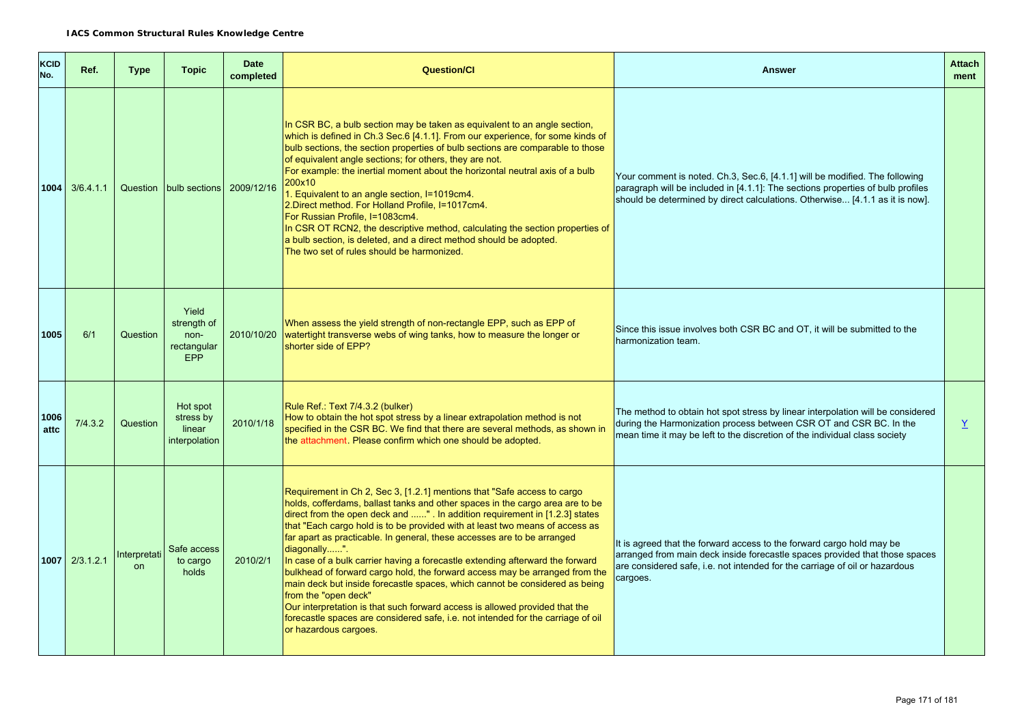| <b>KCID</b><br>No. | Ref.             | <b>Type</b>               | <b>Topic</b>                                              | <b>Date</b><br>completed | <b>Question/CI</b>                                                                                                                                                                                                                                                                                                                                                                                                                                                                                                                                                                                                                                                                                                                                                                                                                                                                    | <b>Answer</b>                                                                                                                                                                                                                                   | <b>Attach</b><br>ment    |
|--------------------|------------------|---------------------------|-----------------------------------------------------------|--------------------------|---------------------------------------------------------------------------------------------------------------------------------------------------------------------------------------------------------------------------------------------------------------------------------------------------------------------------------------------------------------------------------------------------------------------------------------------------------------------------------------------------------------------------------------------------------------------------------------------------------------------------------------------------------------------------------------------------------------------------------------------------------------------------------------------------------------------------------------------------------------------------------------|-------------------------------------------------------------------------------------------------------------------------------------------------------------------------------------------------------------------------------------------------|--------------------------|
|                    | $1004$ 3/6.4.1.1 |                           | Question   bulb sections                                  | 2009/12/16               | In CSR BC, a bulb section may be taken as equivalent to an angle section,<br>which is defined in Ch.3 Sec.6 [4.1.1]. From our experience, for some kinds of<br>bulb sections, the section properties of bulb sections are comparable to those<br>of equivalent angle sections; for others, they are not.<br>For example: the inertial moment about the horizontal neutral axis of a bulb<br>200x10<br>1. Equivalent to an angle section, I=1019cm4.<br>2. Direct method. For Holland Profile, I=1017cm4.<br>For Russian Profile, I=1083cm4.<br>In CSR OT RCN2, the descriptive method, calculating the section properties of<br>a bulb section, is deleted, and a direct method should be adopted.<br>The two set of rules should be harmonized.                                                                                                                                      | Your comment is noted. Ch.3, Sec.6, [4.1.1] will be modified. The following<br>paragraph will be included in [4.1.1]: The sections properties of bulb profiles<br>should be determined by direct calculations. Otherwise [4.1.1 as it is now].  |                          |
| 1005               | 6/1              | Question                  | Yield<br>strength of<br>non-<br>rectangular<br><b>EPP</b> | 2010/10/20               | When assess the yield strength of non-rectangle EPP, such as EPP of<br>watertight transverse webs of wing tanks, how to measure the longer or<br>shorter side of EPP?                                                                                                                                                                                                                                                                                                                                                                                                                                                                                                                                                                                                                                                                                                                 | Since this issue involves both CSR BC and OT, it will be submitted to the<br>harmonization team.                                                                                                                                                |                          |
| 1006<br>attc       | 7/4.3.2          | Question                  | Hot spot<br>stress by<br>linear<br>interpolation          | 2010/1/18                | Rule Ref.: Text 7/4.3.2 (bulker)<br>How to obtain the hot spot stress by a linear extrapolation method is not<br>specified in the CSR BC. We find that there are several methods, as shown in<br>the attachment. Please confirm which one should be adopted.                                                                                                                                                                                                                                                                                                                                                                                                                                                                                                                                                                                                                          | The method to obtain hot spot stress by linear interpolation will be considered<br>during the Harmonization process between CSR OT and CSR BC. In the<br>mean time it may be left to the discretion of the individual class society             | $\mathbf{\underline{Y}}$ |
|                    | 1007 2/3.1.2.1   | Interpretati<br><b>on</b> | Safe access<br>to cargo<br>holds                          | 2010/2/1                 | Requirement in Ch 2, Sec 3, [1.2.1] mentions that "Safe access to cargo<br>holds, cofferdams, ballast tanks and other spaces in the cargo area are to be<br>direct from the open deck and " . In addition requirement in [1.2.3] states<br>that "Each cargo hold is to be provided with at least two means of access as<br>far apart as practicable. In general, these accesses are to be arranged<br>diagonally".<br>In case of a bulk carrier having a forecastle extending afterward the forward<br>bulkhead of forward cargo hold, the forward access may be arranged from the<br>main deck but inside forecastle spaces, which cannot be considered as being<br>from the "open deck"<br>Our interpretation is that such forward access is allowed provided that the<br>forecastle spaces are considered safe, i.e. not intended for the carriage of oil<br>or hazardous cargoes. | It is agreed that the forward access to the forward cargo hold may be<br>arranged from main deck inside forecastle spaces provided that those spaces<br>are considered safe, i.e. not intended for the carriage of oil or hazardous<br>cargoes. |                          |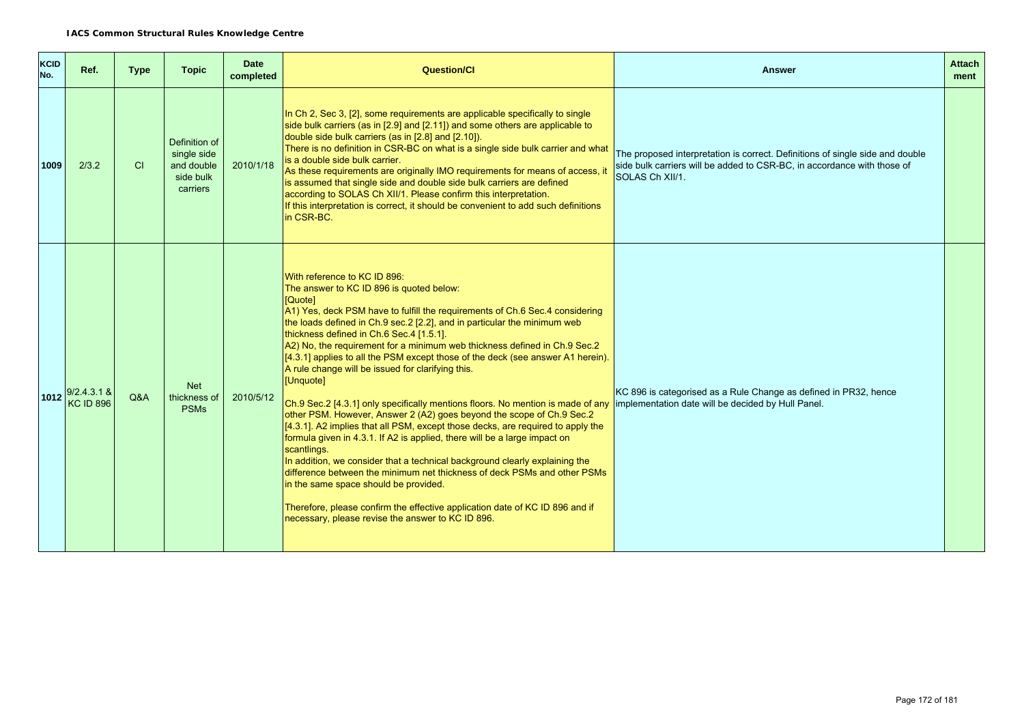| KCID<br>No. | Ref.                              | <b>Type</b> | <b>Topic</b>                                                        | <b>Date</b><br>completed | <b>Question/Cl</b>                                                                                                                                                                                                                                                                                                                                                                                                                                                                                                                                                                                                                                                                                                                                                                                                                                                                                                                                                                                                                                                                                                                                                                                                                                                    | <b>Answer</b>                                                                                                                                                               | <b>Attach</b><br>ment |
|-------------|-----------------------------------|-------------|---------------------------------------------------------------------|--------------------------|-----------------------------------------------------------------------------------------------------------------------------------------------------------------------------------------------------------------------------------------------------------------------------------------------------------------------------------------------------------------------------------------------------------------------------------------------------------------------------------------------------------------------------------------------------------------------------------------------------------------------------------------------------------------------------------------------------------------------------------------------------------------------------------------------------------------------------------------------------------------------------------------------------------------------------------------------------------------------------------------------------------------------------------------------------------------------------------------------------------------------------------------------------------------------------------------------------------------------------------------------------------------------|-----------------------------------------------------------------------------------------------------------------------------------------------------------------------------|-----------------------|
| 1009        | 2/3.2                             | <b>CI</b>   | Definition of<br>single side<br>and double<br>side bulk<br>carriers | 2010/1/18                | In Ch 2, Sec 3, [2], some requirements are applicable specifically to single<br>side bulk carriers (as in [2.9] and [2.11]) and some others are applicable to<br>double side bulk carriers (as in [2.8] and [2.10]).<br>There is no definition in CSR-BC on what is a single side bulk carrier and what<br>is a double side bulk carrier.<br>As these requirements are originally IMO requirements for means of access, it<br>is assumed that single side and double side bulk carriers are defined<br>according to SOLAS Ch XII/1. Please confirm this interpretation.<br>If this interpretation is correct, it should be convenient to add such definitions<br>In CSR-BC.                                                                                                                                                                                                                                                                                                                                                                                                                                                                                                                                                                                           | The proposed interpretation is correct. Definitions of single side and double<br>side bulk carriers will be added to CSR-BC, in accordance with those of<br>SOLAS Ch XII/1. |                       |
| 1012        | $9/2.4.3.1$ &<br><b>KC ID 896</b> | Q&A         | <b>Net</b><br>thickness of<br><b>PSMs</b>                           | 2010/5/12                | With reference to KC ID 896:<br>The answer to KC ID 896 is quoted below:<br>[Quote]<br>A1) Yes, deck PSM have to fulfill the requirements of Ch.6 Sec.4 considering<br>the loads defined in Ch.9 sec.2 [2.2], and in particular the minimum web<br>thickness defined in Ch.6 Sec.4 [1.5.1].<br>A2) No, the requirement for a minimum web thickness defined in Ch.9 Sec.2<br>[4.3.1] applies to all the PSM except those of the deck (see answer A1 herein).<br>A rule change will be issued for clarifying this.<br>[Unquote]<br>Ch.9 Sec.2 [4.3.1] only specifically mentions floors. No mention is made of any  implementation date will be decided by Hull Panel.<br>other PSM. However, Answer 2 (A2) goes beyond the scope of Ch.9 Sec.2<br>[4.3.1]. A2 implies that all PSM, except those decks, are required to apply the<br>formula given in 4.3.1. If A2 is applied, there will be a large impact on<br>scantlings.<br>In addition, we consider that a technical background clearly explaining the<br>difference between the minimum net thickness of deck PSMs and other PSMs<br>in the same space should be provided.<br>Therefore, please confirm the effective application date of KC ID 896 and if<br>necessary, please revise the answer to KC ID 896. | KC 896 is categorised as a Rule Change as defined in PR32, hence                                                                                                            |                       |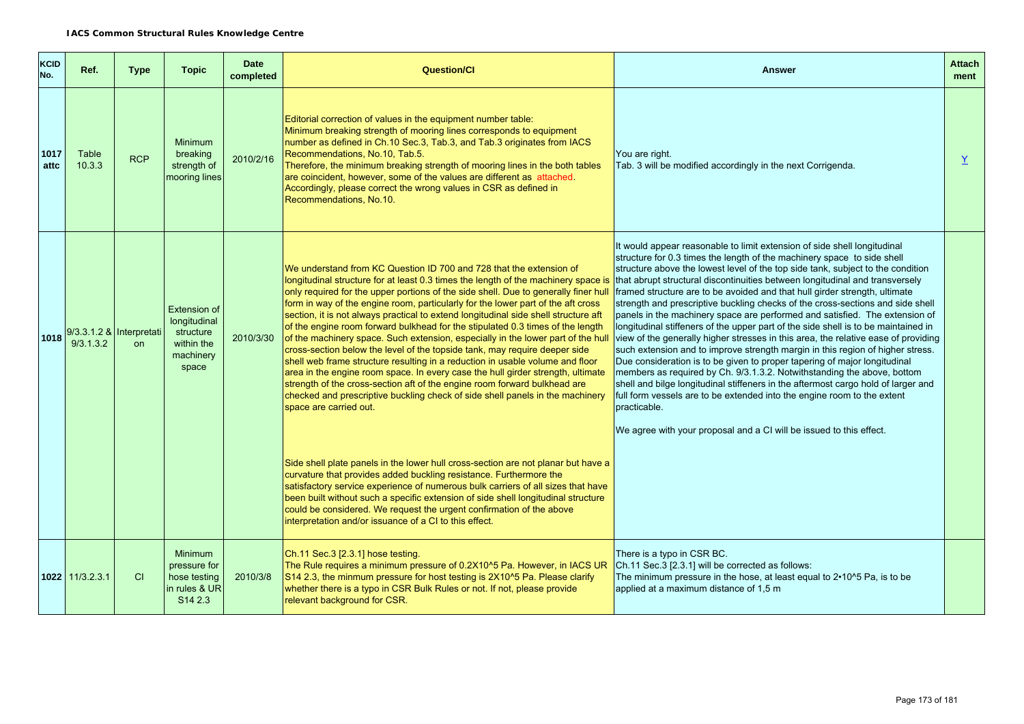| <b>KCID</b><br>No. | Ref.                                       | <b>Type</b> | <b>Topic</b>                                                                           | <b>Date</b><br>completed | <b>Question/CI</b>                                                                                                                                                                                                                                                                                                                                                                                                                                                                                                                                                                                                                                                                                                                                                                                                                                                                                                                                                                                                                          | <b>Answer</b>                                                                                                                                                                                                                                                                                                                                                                                                                                                                                                                                                                                                                                                                                                                                                                                                                                                                                                                                                                                                                                                                                                                                                                                                                                      | <b>Attach</b><br>ment |
|--------------------|--------------------------------------------|-------------|----------------------------------------------------------------------------------------|--------------------------|---------------------------------------------------------------------------------------------------------------------------------------------------------------------------------------------------------------------------------------------------------------------------------------------------------------------------------------------------------------------------------------------------------------------------------------------------------------------------------------------------------------------------------------------------------------------------------------------------------------------------------------------------------------------------------------------------------------------------------------------------------------------------------------------------------------------------------------------------------------------------------------------------------------------------------------------------------------------------------------------------------------------------------------------|----------------------------------------------------------------------------------------------------------------------------------------------------------------------------------------------------------------------------------------------------------------------------------------------------------------------------------------------------------------------------------------------------------------------------------------------------------------------------------------------------------------------------------------------------------------------------------------------------------------------------------------------------------------------------------------------------------------------------------------------------------------------------------------------------------------------------------------------------------------------------------------------------------------------------------------------------------------------------------------------------------------------------------------------------------------------------------------------------------------------------------------------------------------------------------------------------------------------------------------------------|-----------------------|
| 1017<br>attc       | Table<br>10.3.3                            | <b>RCP</b>  | <b>Minimum</b><br>breaking<br>strength of<br>nooring lines                             | 2010/2/16                | Editorial correction of values in the equipment number table:<br>Minimum breaking strength of mooring lines corresponds to equipment<br>number as defined in Ch.10 Sec.3, Tab.3, and Tab.3 originates from IACS<br>Recommendations, No.10, Tab.5.<br>Therefore, the minimum breaking strength of mooring lines in the both tables<br>are coincident, however, some of the values are different as attached.<br>Accordingly, please correct the wrong values in CSR as defined in<br>Recommendations, No.10.                                                                                                                                                                                                                                                                                                                                                                                                                                                                                                                                 | You are right.<br>Tab. 3 will be modified accordingly in the next Corrigenda.                                                                                                                                                                                                                                                                                                                                                                                                                                                                                                                                                                                                                                                                                                                                                                                                                                                                                                                                                                                                                                                                                                                                                                      | Y                     |
|                    | 1018 9/3.3.1.2 & Interpretati<br>9/3.1.3.2 | on.         | Extension of<br>longitudinal<br>structure<br>within the<br>machinery<br>space          | 2010/3/30                | We understand from KC Question ID 700 and 728 that the extension of<br>longitudinal structure for at least 0.3 times the length of the machinery space is<br>only required for the upper portions of the side shell. Due to generally finer hull<br>form in way of the engine room, particularly for the lower part of the aft cross<br>section, it is not always practical to extend longitudinal side shell structure aft<br>of the engine room forward bulkhead for the stipulated 0.3 times of the length<br>of the machinery space. Such extension, especially in the lower part of the hull<br>cross-section below the level of the topside tank, may require deeper side<br>shell web frame structure resulting in a reduction in usable volume and floor<br>area in the engine room space. In every case the hull girder strength, ultimate<br>strength of the cross-section aft of the engine room forward bulkhead are<br>checked and prescriptive buckling check of side shell panels in the machinery<br>space are carried out. | It would appear reasonable to limit extension of side shell longitudinal<br>structure for 0.3 times the length of the machinery space to side shell<br>structure above the lowest level of the top side tank, subject to the condition<br>that abrupt structural discontinuities between longitudinal and transversely<br>framed structure are to be avoided and that hull girder strength, ultimate<br>strength and prescriptive buckling checks of the cross-sections and side shell<br>panels in the machinery space are performed and satisfied. The extension of<br>longitudinal stiffeners of the upper part of the side shell is to be maintained in<br>view of the generally higher stresses in this area, the relative ease of providing<br>such extension and to improve strength margin in this region of higher stress.<br>Due consideration is to be given to proper tapering of major longitudinal<br>members as required by Ch. 9/3.1.3.2. Notwithstanding the above, bottom<br>shell and bilge longitudinal stiffeners in the aftermost cargo hold of larger and<br>full form vessels are to be extended into the engine room to the extent<br>practicable.<br>We agree with your proposal and a CI will be issued to this effect. |                       |
|                    |                                            |             |                                                                                        |                          | Side shell plate panels in the lower hull cross-section are not planar but have a<br>curvature that provides added buckling resistance. Furthermore the<br>satisfactory service experience of numerous bulk carriers of all sizes that have<br>been built without such a specific extension of side shell longitudinal structure<br>could be considered. We request the urgent confirmation of the above<br>interpretation and/or issuance of a CI to this effect.                                                                                                                                                                                                                                                                                                                                                                                                                                                                                                                                                                          |                                                                                                                                                                                                                                                                                                                                                                                                                                                                                                                                                                                                                                                                                                                                                                                                                                                                                                                                                                                                                                                                                                                                                                                                                                                    |                       |
|                    | 1022 11/3.2.3.1                            | CI          | <b>Minimum</b><br>pressure for<br>hose testing<br>in rules & UR<br>S <sub>14</sub> 2.3 | 2010/3/8                 | Ch.11 Sec.3 [2.3.1] hose testing.<br>The Rule requires a minimum pressure of 0.2X10^5 Pa. However, in IACS UR<br>S14 2.3, the minmum pressure for host testing is 2X10^5 Pa. Please clarify<br>whether there is a typo in CSR Bulk Rules or not. If not, please provide<br>relevant background for CSR.                                                                                                                                                                                                                                                                                                                                                                                                                                                                                                                                                                                                                                                                                                                                     | There is a typo in CSR BC.<br>Ch.11 Sec.3 [2.3.1] will be corrected as follows:<br>The minimum pressure in the hose, at least equal to 2.10^5 Pa, is to be<br>applied at a maximum distance of 1,5 m                                                                                                                                                                                                                                                                                                                                                                                                                                                                                                                                                                                                                                                                                                                                                                                                                                                                                                                                                                                                                                               |                       |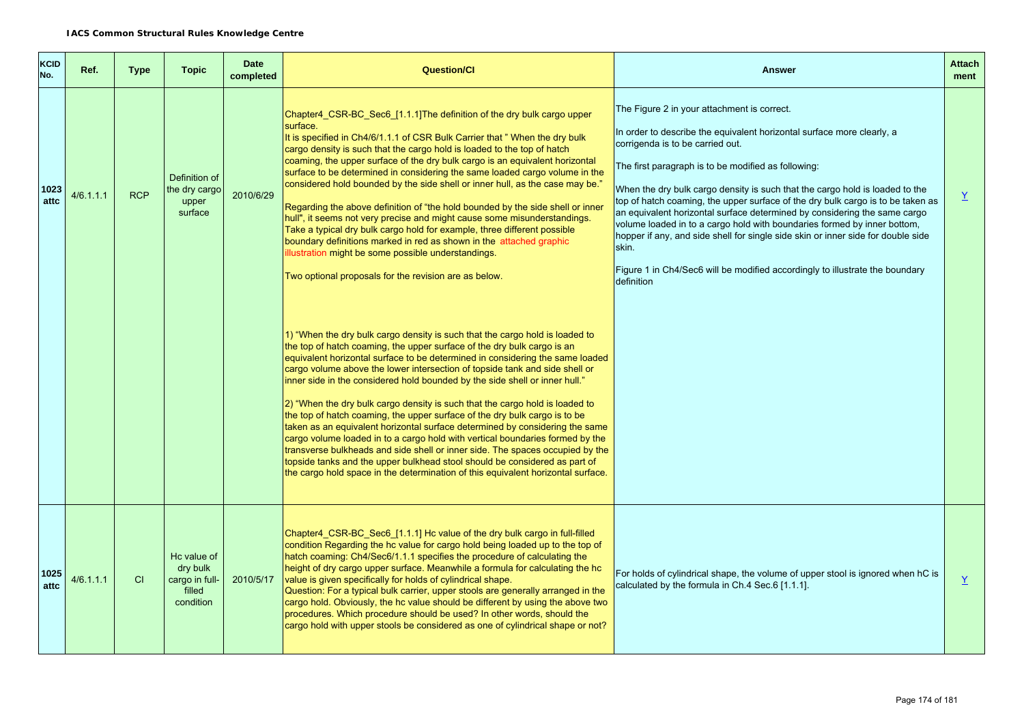| <b>KCID</b><br>No. | Ref.      | <b>Type</b> | <b>Topic</b>                                                     | <b>Date</b><br>completed | <b>Question/CI</b>                                                                                                                                                                                                                                                                                                                                                                                                                                                                                                                                                                                                                                                                                                                                                                                                                                                                                                                                                                                                                                                                                                                                                                                                                                                                                                                                                                                                                                                                                                                                                                                                                                                                                                                                                                                                                                                                                                        | <b>Answer</b>                                                                                                                                                                                                                                                                                                                                                                                                                                                                                                                                                                                                                                                                                                                           | <b>Attach</b><br>ment    |
|--------------------|-----------|-------------|------------------------------------------------------------------|--------------------------|---------------------------------------------------------------------------------------------------------------------------------------------------------------------------------------------------------------------------------------------------------------------------------------------------------------------------------------------------------------------------------------------------------------------------------------------------------------------------------------------------------------------------------------------------------------------------------------------------------------------------------------------------------------------------------------------------------------------------------------------------------------------------------------------------------------------------------------------------------------------------------------------------------------------------------------------------------------------------------------------------------------------------------------------------------------------------------------------------------------------------------------------------------------------------------------------------------------------------------------------------------------------------------------------------------------------------------------------------------------------------------------------------------------------------------------------------------------------------------------------------------------------------------------------------------------------------------------------------------------------------------------------------------------------------------------------------------------------------------------------------------------------------------------------------------------------------------------------------------------------------------------------------------------------------|-----------------------------------------------------------------------------------------------------------------------------------------------------------------------------------------------------------------------------------------------------------------------------------------------------------------------------------------------------------------------------------------------------------------------------------------------------------------------------------------------------------------------------------------------------------------------------------------------------------------------------------------------------------------------------------------------------------------------------------------|--------------------------|
| 1023<br>attc       | 4/6.1.1.1 | <b>RCP</b>  | Definition of<br>the dry cargo<br>upper<br>surface               | 2010/6/29                | Chapter4_CSR-BC_Sec6_[1.1.1] The definition of the dry bulk cargo upper<br>surface.<br>It is specified in Ch4/6/1.1.1 of CSR Bulk Carrier that "When the dry bulk<br>cargo density is such that the cargo hold is loaded to the top of hatch<br>coaming, the upper surface of the dry bulk cargo is an equivalent horizontal<br>surface to be determined in considering the same loaded cargo volume in the<br>considered hold bounded by the side shell or inner hull, as the case may be."<br>Regarding the above definition of "the hold bounded by the side shell or inner<br>hull", it seems not very precise and might cause some misunderstandings.<br>Take a typical dry bulk cargo hold for example, three different possible<br>boundary definitions marked in red as shown in the attached graphic<br>illustration might be some possible understandings.<br>Two optional proposals for the revision are as below.<br>1) "When the dry bulk cargo density is such that the cargo hold is loaded to<br>the top of hatch coaming, the upper surface of the dry bulk cargo is an<br>equivalent horizontal surface to be determined in considering the same loaded<br>cargo volume above the lower intersection of topside tank and side shell or<br>inner side in the considered hold bounded by the side shell or inner hull."<br>2) "When the dry bulk cargo density is such that the cargo hold is loaded to<br>the top of hatch coaming, the upper surface of the dry bulk cargo is to be<br>taken as an equivalent horizontal surface determined by considering the same<br>cargo volume loaded in to a cargo hold with vertical boundaries formed by the<br>transverse bulkheads and side shell or inner side. The spaces occupied by the<br>topside tanks and the upper bulkhead stool should be considered as part of<br>the cargo hold space in the determination of this equivalent horizontal surface. | The Figure 2 in your attachment is correct.<br>In order to describe the equivalent horizontal surface more clearly, a<br>corrigenda is to be carried out.<br>The first paragraph is to be modified as following:<br>When the dry bulk cargo density is such that the cargo hold is loaded to the<br>top of hatch coaming, the upper surface of the dry bulk cargo is to be taken as<br>an equivalent horizontal surface determined by considering the same cargo<br>volume loaded in to a cargo hold with boundaries formed by inner bottom,<br>hopper if any, and side shell for single side skin or inner side for double side<br>skin.<br>Figure 1 in Ch4/Sec6 will be modified accordingly to illustrate the boundary<br>definition | $\underline{Y}$          |
| 1025<br>attc       | 4/6.1.1.1 | CI          | Hc value of<br>dry bulk<br>cargo in full-<br>filled<br>condition | 2010/5/17                | Chapter4 CSR-BC Sec6 [1.1.1] Hc value of the dry bulk cargo in full-filled<br>condition Regarding the hc value for cargo hold being loaded up to the top of<br>hatch coaming: Ch4/Sec6/1.1.1 specifies the procedure of calculating the<br>height of dry cargo upper surface. Meanwhile a formula for calculating the hc<br>value is given specifically for holds of cylindrical shape.<br>Question: For a typical bulk carrier, upper stools are generally arranged in the<br>cargo hold. Obviously, the hc value should be different by using the above two<br>procedures. Which procedure should be used? In other words, should the<br>cargo hold with upper stools be considered as one of cylindrical shape or not?                                                                                                                                                                                                                                                                                                                                                                                                                                                                                                                                                                                                                                                                                                                                                                                                                                                                                                                                                                                                                                                                                                                                                                                                 | For holds of cylindrical shape, the volume of upper stool is ignored when hC is<br>calculated by the formula in Ch.4 Sec.6 [1.1.1].                                                                                                                                                                                                                                                                                                                                                                                                                                                                                                                                                                                                     | $\underline{\mathsf{Y}}$ |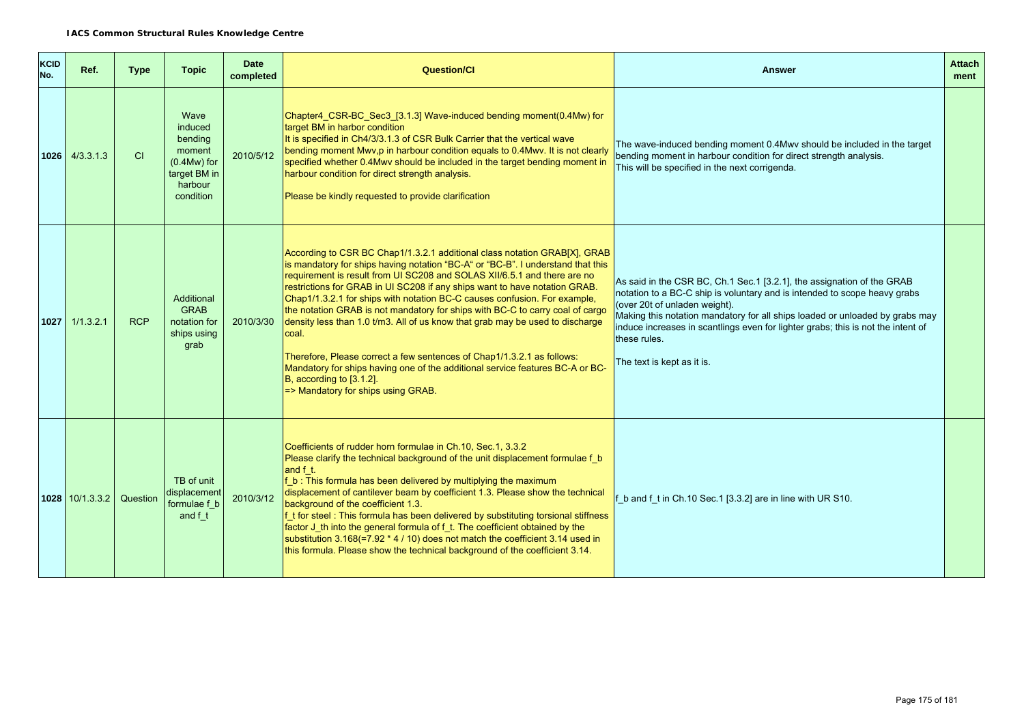| <b>KCID</b><br>No. | Ref.               | <b>Type</b> | <b>Topic</b>                                                                                         | <b>Date</b><br>completed | <b>Question/Cl</b>                                                                                                                                                                                                                                                                                                                                                                                                                                                                                                                                                                                                                                                                                                                                                                                                 | <b>Answer</b>                                                                                                                                                                                                                                                                                                                                                                                          | <b>Attach</b><br>ment |
|--------------------|--------------------|-------------|------------------------------------------------------------------------------------------------------|--------------------------|--------------------------------------------------------------------------------------------------------------------------------------------------------------------------------------------------------------------------------------------------------------------------------------------------------------------------------------------------------------------------------------------------------------------------------------------------------------------------------------------------------------------------------------------------------------------------------------------------------------------------------------------------------------------------------------------------------------------------------------------------------------------------------------------------------------------|--------------------------------------------------------------------------------------------------------------------------------------------------------------------------------------------------------------------------------------------------------------------------------------------------------------------------------------------------------------------------------------------------------|-----------------------|
|                    | $1026$ $4/3.3.1.3$ | CI          | Wave<br><i>induced</i><br>bending<br>moment<br>$(0.4Mw)$ for<br>target BM in<br>harbour<br>condition | 2010/5/12                | Chapter4_CSR-BC_Sec3_[3.1.3] Wave-induced bending moment(0.4Mw) for<br>target BM in harbor condition<br>It is specified in Ch4/3/3.1.3 of CSR Bulk Carrier that the vertical wave<br>bending moment Mwv,p in harbour condition equals to 0.4Mwv. It is not clearly<br>specified whether 0.4Mwv should be included in the target bending moment in<br>harbour condition for direct strength analysis.<br>Please be kindly requested to provide clarification                                                                                                                                                                                                                                                                                                                                                        | The wave-induced bending moment 0.4Mwv should be included in the target<br>bending moment in harbour condition for direct strength analysis.<br>This will be specified in the next corrigenda.                                                                                                                                                                                                         |                       |
|                    | $1027$ 1/1.3.2.1   | <b>RCP</b>  | Additional<br><b>GRAB</b><br>notation for<br>ships using<br>grab                                     | 2010/3/30                | According to CSR BC Chap1/1.3.2.1 additional class notation GRAB[X], GRAB<br>is mandatory for ships having notation "BC-A" or "BC-B". I understand that this<br>requirement is result from UI SC208 and SOLAS XII/6.5.1 and there are no<br>restrictions for GRAB in UI SC208 if any ships want to have notation GRAB.<br>Chap1/1.3.2.1 for ships with notation BC-C causes confusion. For example,<br>the notation GRAB is not mandatory for ships with BC-C to carry coal of cargo<br>density less than 1.0 t/m3. All of us know that grab may be used to discharge<br>coal.<br>Therefore, Please correct a few sentences of Chap1/1.3.2.1 as follows:<br>Mandatory for ships having one of the additional service features BC-A or BC-<br>B, according to [3.1.2].<br>$\approx$ Mandatory for ships using GRAB. | As said in the CSR BC, Ch.1 Sec.1 [3.2.1], the assignation of the GRAB<br>notation to a BC-C ship is voluntary and is intended to scope heavy grabs<br>(over 20t of unladen weight).<br>Making this notation mandatory for all ships loaded or unloaded by grabs may<br>induce increases in scantlings even for lighter grabs; this is not the intent of<br>these rules.<br>The text is kept as it is. |                       |
|                    | 1028 10/1.3.3.2    | Question    | TB of unit<br>displacement<br>formulae f b<br>and f t                                                | 2010/3/12                | Coefficients of rudder horn formulae in Ch.10, Sec.1, 3.3.2<br>Please clarify the technical background of the unit displacement formulae f b<br>and f t.<br>f b: This formula has been delivered by multiplying the maximum<br>displacement of cantilever beam by coefficient 1.3. Please show the technical<br>background of the coefficient 1.3.<br>f_t for steel: This formula has been delivered by substituting torsional stiffness<br>factor J_th into the general formula of f_t. The coefficient obtained by the<br>substitution 3.168(=7.92 * 4 / 10) does not match the coefficient 3.14 used in<br>this formula. Please show the technical background of the coefficient 3.14.                                                                                                                          | f_b and f_t in Ch.10 Sec.1 [3.3.2] are in line with UR S10.                                                                                                                                                                                                                                                                                                                                            |                       |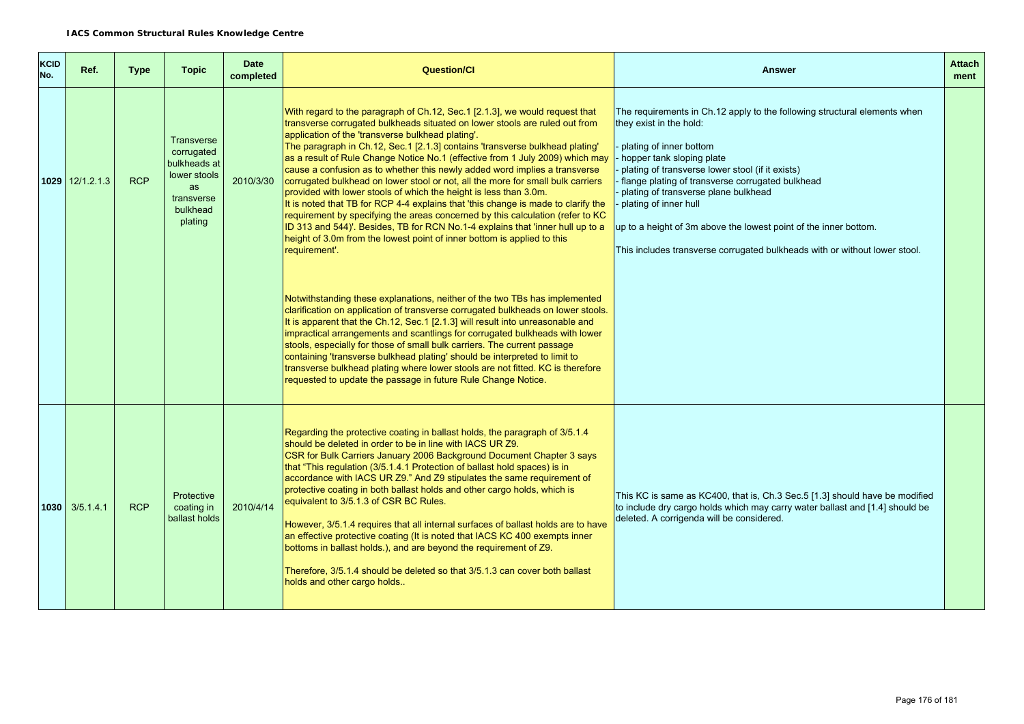| <b>KCID</b><br>No. | Ref.               | <b>Type</b> | <b>Topic</b>                                                                                               | <b>Date</b><br>completed | <b>Question/CI</b>                                                                                                                                                                                                                                                                                                                                                                                                                                                                                                                                                                                                                                                                                                                                                                                                                                                                                                                                                          | <b>Answer</b>                                                                                                                                                                                                                                                                                                                                                                                                                                                                           | <b>Attach</b><br>ment |
|--------------------|--------------------|-------------|------------------------------------------------------------------------------------------------------------|--------------------------|-----------------------------------------------------------------------------------------------------------------------------------------------------------------------------------------------------------------------------------------------------------------------------------------------------------------------------------------------------------------------------------------------------------------------------------------------------------------------------------------------------------------------------------------------------------------------------------------------------------------------------------------------------------------------------------------------------------------------------------------------------------------------------------------------------------------------------------------------------------------------------------------------------------------------------------------------------------------------------|-----------------------------------------------------------------------------------------------------------------------------------------------------------------------------------------------------------------------------------------------------------------------------------------------------------------------------------------------------------------------------------------------------------------------------------------------------------------------------------------|-----------------------|
|                    | $1029$ 12/1.2.1.3  | <b>RCP</b>  | <b>Transverse</b><br>corrugated<br>bulkheads at<br>lower stools<br>as<br>transverse<br>bulkhead<br>plating | 2010/3/30                | With regard to the paragraph of Ch.12, Sec.1 [2.1.3], we would request that<br>transverse corrugated bulkheads situated on lower stools are ruled out from<br>application of the 'transverse bulkhead plating'.<br>The paragraph in Ch.12, Sec.1 [2.1.3] contains 'transverse bulkhead plating'<br>as a result of Rule Change Notice No.1 (effective from 1 July 2009) which may<br>cause a confusion as to whether this newly added word implies a transverse<br>corrugated bulkhead on lower stool or not, all the more for small bulk carriers<br>provided with lower stools of which the height is less than 3.0m.<br>It is noted that TB for RCP 4-4 explains that 'this change is made to clarify the<br>requirement by specifying the areas concerned by this calculation (refer to KC<br>ID 313 and 544)'. Besides, TB for RCN No.1-4 explains that 'inner hull up to a<br>height of 3.0m from the lowest point of inner bottom is applied to this<br>requirement'. | The requirements in Ch.12 apply to the following structural elements when<br>they exist in the hold:<br>plating of inner bottom<br>hopper tank sloping plate<br>plating of transverse lower stool (if it exists)<br>flange plating of transverse corrugated bulkhead<br>plating of transverse plane bulkhead<br>plating of inner hull<br>up to a height of 3m above the lowest point of the inner bottom.<br>This includes transverse corrugated bulkheads with or without lower stool. |                       |
|                    |                    |             |                                                                                                            |                          | Notwithstanding these explanations, neither of the two TBs has implemented<br>clarification on application of transverse corrugated bulkheads on lower stools.<br>It is apparent that the Ch.12, Sec.1 [2.1.3] will result into unreasonable and<br>impractical arrangements and scantlings for corrugated bulkheads with lower<br>stools, especially for those of small bulk carriers. The current passage<br>containing 'transverse bulkhead plating' should be interpreted to limit to<br>transverse bulkhead plating where lower stools are not fitted. KC is therefore<br>requested to update the passage in future Rule Change Notice.                                                                                                                                                                                                                                                                                                                                |                                                                                                                                                                                                                                                                                                                                                                                                                                                                                         |                       |
|                    | $1030$ $3/5.1.4.1$ | <b>RCP</b>  | Protective<br>coating in<br>ballast holds                                                                  | 2010/4/14                | Regarding the protective coating in ballast holds, the paragraph of 3/5.1.4<br>should be deleted in order to be in line with IACS UR Z9.<br>CSR for Bulk Carriers January 2006 Background Document Chapter 3 says<br>that "This regulation (3/5.1.4.1 Protection of ballast hold spaces) is in<br>accordance with IACS UR Z9." And Z9 stipulates the same requirement of<br>protective coating in both ballast holds and other cargo holds, which is<br>equivalent to 3/5.1.3 of CSR BC Rules.<br>However, 3/5.1.4 requires that all internal surfaces of ballast holds are to have<br>an effective protective coating (It is noted that IACS KC 400 exempts inner<br>bottoms in ballast holds.), and are beyond the requirement of Z9.<br>Therefore, 3/5.1.4 should be deleted so that 3/5.1.3 can cover both ballast<br>holds and other cargo holds                                                                                                                       | This KC is same as KC400, that is, Ch.3 Sec.5 [1.3] should have be modified<br>to include dry cargo holds which may carry water ballast and [1.4] should be<br>deleted. A corrigenda will be considered.                                                                                                                                                                                                                                                                                |                       |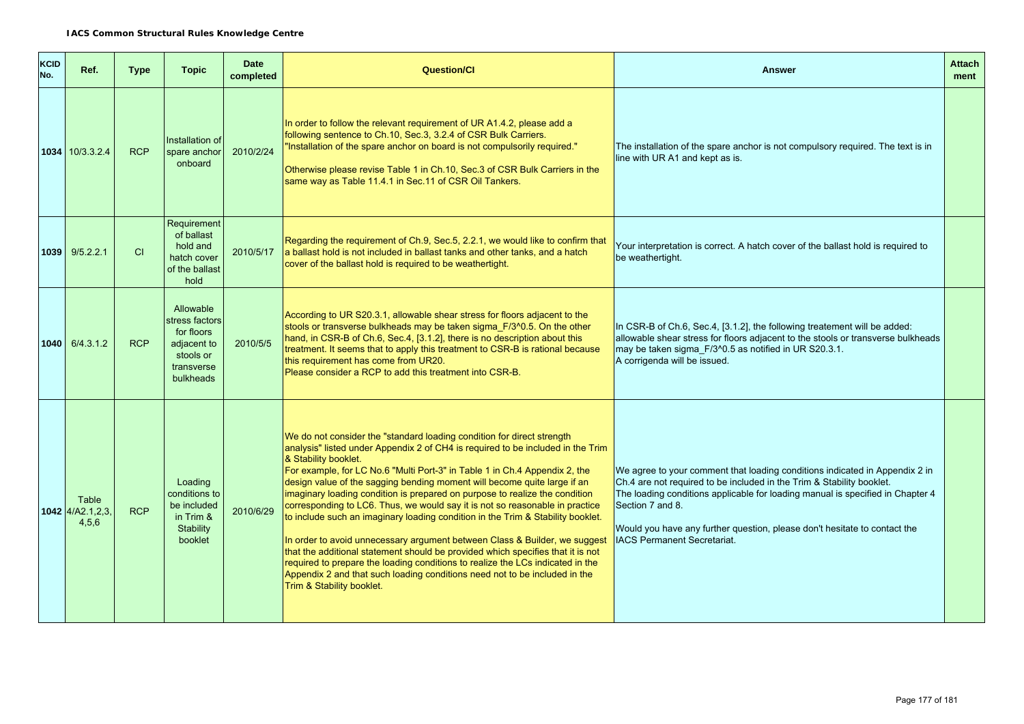| <b>KCID</b><br>No. | Ref.                               | <b>Type</b> | <b>Topic</b>                                                                                     | <b>Date</b><br>completed | <b>Question/Cl</b>                                                                                                                                                                                                                                                                                                                                                                                                                                                                                                                                                                                                                                                                                                                                                                                                                                                                                                                                          | <b>Answer</b>                                                                                                                                                                                                                                                                                                                                                                 | <b>Attach</b><br>ment |
|--------------------|------------------------------------|-------------|--------------------------------------------------------------------------------------------------|--------------------------|-------------------------------------------------------------------------------------------------------------------------------------------------------------------------------------------------------------------------------------------------------------------------------------------------------------------------------------------------------------------------------------------------------------------------------------------------------------------------------------------------------------------------------------------------------------------------------------------------------------------------------------------------------------------------------------------------------------------------------------------------------------------------------------------------------------------------------------------------------------------------------------------------------------------------------------------------------------|-------------------------------------------------------------------------------------------------------------------------------------------------------------------------------------------------------------------------------------------------------------------------------------------------------------------------------------------------------------------------------|-----------------------|
|                    | 1034 10/3.3.2.4                    | <b>RCP</b>  | Installation of<br>spare anchor<br>onboard                                                       | 2010/2/24                | In order to follow the relevant requirement of UR A1.4.2, please add a<br>following sentence to Ch.10, Sec.3, 3.2.4 of CSR Bulk Carriers.<br>"Installation of the spare anchor on board is not compulsorily required."<br>Otherwise please revise Table 1 in Ch.10, Sec.3 of CSR Bulk Carriers in the<br>same way as Table 11.4.1 in Sec.11 of CSR Oil Tankers.                                                                                                                                                                                                                                                                                                                                                                                                                                                                                                                                                                                             | The installation of the spare anchor is not compulsory required. The text is in<br>line with UR A1 and kept as is.                                                                                                                                                                                                                                                            |                       |
|                    | $1039$ $9/5.2.2.1$                 | CI          | Requirement<br>of ballast<br>hold and<br>hatch cover<br>of the ballast<br>hold                   | 2010/5/17                | Regarding the requirement of Ch.9, Sec.5, 2.2.1, we would like to confirm that<br>a ballast hold is not included in ballast tanks and other tanks, and a hatch<br>cover of the ballast hold is required to be weathertight.                                                                                                                                                                                                                                                                                                                                                                                                                                                                                                                                                                                                                                                                                                                                 | Your interpretation is correct. A hatch cover of the ballast hold is required to<br>be weathertight.                                                                                                                                                                                                                                                                          |                       |
|                    | $1040$ 6/4.3.1.2                   | <b>RCP</b>  | Allowable<br>stress factors<br>for floors<br>adjacent to<br>stools or<br>transverse<br>bulkheads | 2010/5/5                 | According to UR S20.3.1, allowable shear stress for floors adjacent to the<br>stools or transverse bulkheads may be taken sigma_F/3^0.5. On the other<br>hand, in CSR-B of Ch.6, Sec.4, [3.1.2], there is no description about this<br>treatment. It seems that to apply this treatment to CSR-B is rational because<br>this requirement has come from UR20.<br>Please consider a RCP to add this treatment into CSR-B.                                                                                                                                                                                                                                                                                                                                                                                                                                                                                                                                     | In CSR-B of Ch.6, Sec.4, [3.1.2], the following treatement will be added:<br>allowable shear stress for floors adjacent to the stools or transverse bulkheads<br>may be taken sigma_F/3^0.5 as notified in UR S20.3.1.<br>A corrigenda will be issued.                                                                                                                        |                       |
|                    | Table<br>1042 4/A2.1,2,3,<br>4,5,6 | <b>RCP</b>  | Loading<br>conditions to<br>be included<br>in Trim &<br>Stability<br>booklet                     | 2010/6/29                | We do not consider the "standard loading condition for direct strength<br>analysis" listed under Appendix 2 of CH4 is required to be included in the Trim<br>& Stability booklet.<br>For example, for LC No.6 "Multi Port-3" in Table 1 in Ch.4 Appendix 2, the<br>design value of the sagging bending moment will become quite large if an<br>imaginary loading condition is prepared on purpose to realize the condition<br>corresponding to LC6. Thus, we would say it is not so reasonable in practice<br>to include such an imaginary loading condition in the Trim & Stability booklet.<br>In order to avoid unnecessary argument between Class & Builder, we suggest<br>that the additional statement should be provided which specifies that it is not<br>required to prepare the loading conditions to realize the LCs indicated in the<br>Appendix 2 and that such loading conditions need not to be included in the<br>Trim & Stability booklet. | We agree to your comment that loading conditions indicated in Appendix 2 in<br>Ch.4 are not required to be included in the Trim & Stability booklet.<br>The loading conditions applicable for loading manual is specified in Chapter 4<br>Section 7 and 8.<br>Would you have any further question, please don't hesitate to contact the<br><b>IACS Permanent Secretariat.</b> |                       |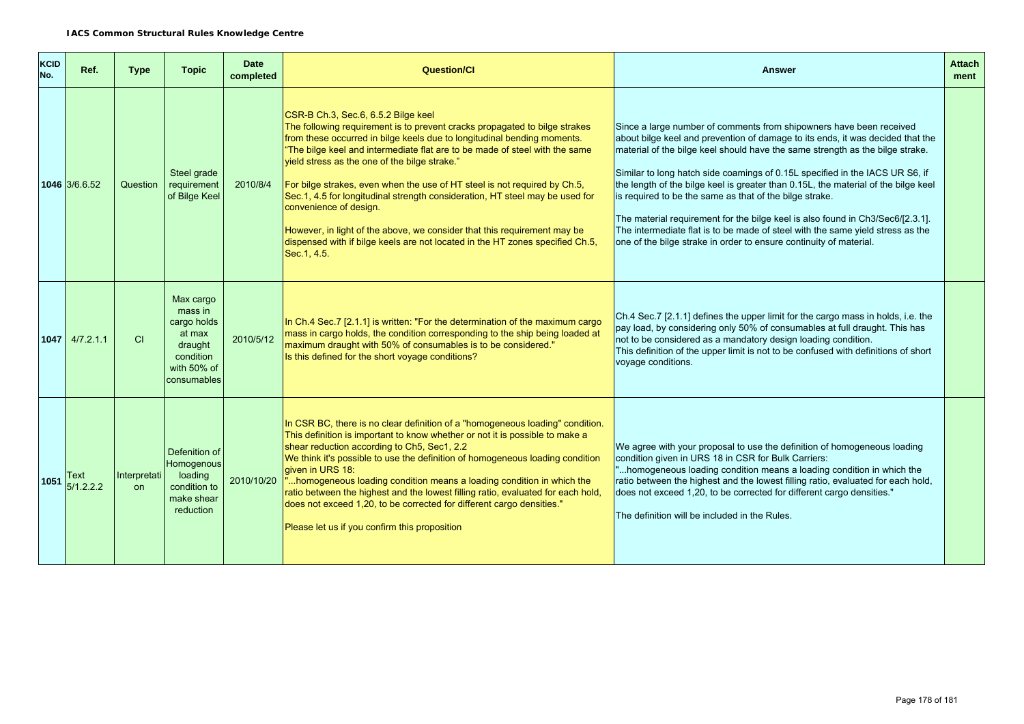| <b>KCID</b><br>No. | Ref.              | <b>Type</b>        | <b>Topic</b>                                                                                        | <b>Date</b><br>completed | <b>Question/Cl</b>                                                                                                                                                                                                                                                                                                                                                                                                                                                                                                                                                                                                                                                                               | <b>Answer</b>                                                                                                                                                                                                                                                                                                                                                                                                                                                                                                                                                                                                                                                                                                     | <b>Attach</b><br>ment |
|--------------------|-------------------|--------------------|-----------------------------------------------------------------------------------------------------|--------------------------|--------------------------------------------------------------------------------------------------------------------------------------------------------------------------------------------------------------------------------------------------------------------------------------------------------------------------------------------------------------------------------------------------------------------------------------------------------------------------------------------------------------------------------------------------------------------------------------------------------------------------------------------------------------------------------------------------|-------------------------------------------------------------------------------------------------------------------------------------------------------------------------------------------------------------------------------------------------------------------------------------------------------------------------------------------------------------------------------------------------------------------------------------------------------------------------------------------------------------------------------------------------------------------------------------------------------------------------------------------------------------------------------------------------------------------|-----------------------|
|                    | 1046 3/6.6.52     | Question           | Steel grade<br>requirement<br>of Bilge Keel                                                         | 2010/8/4                 | CSR-B Ch.3, Sec.6, 6.5.2 Bilge keel<br>The following requirement is to prevent cracks propagated to bilge strakes<br>from these occurred in bilge keels due to longitudinal bending moments.<br>"The bilge keel and intermediate flat are to be made of steel with the same<br>yield stress as the one of the bilge strake."<br>For bilge strakes, even when the use of HT steel is not required by Ch.5,<br>Sec.1, 4.5 for longitudinal strength consideration, HT steel may be used for<br>convenience of design.<br>However, in light of the above, we consider that this requirement may be<br>dispensed with if bilge keels are not located in the HT zones specified Ch.5,<br>Sec. 1, 4.5. | Since a large number of comments from shipowners have been received<br>about bilge keel and prevention of damage to its ends, it was decided that the<br>material of the bilge keel should have the same strength as the bilge strake.<br>Similar to long hatch side coamings of 0.15L specified in the IACS UR S6, if<br>the length of the bilge keel is greater than 0.15L, the material of the bilge keel<br>is required to be the same as that of the bilge strake.<br>The material requirement for the bilge keel is also found in Ch3/Sec6/[2.3.1].<br>The intermediate flat is to be made of steel with the same yield stress as the<br>one of the bilge strake in order to ensure continuity of material. |                       |
|                    | $1047$ 4/7.2.1.1  | <b>CI</b>          | Max cargo<br>mass in<br>cargo holds<br>at max<br>draught<br>condition<br>with 50% of<br>consumables | 2010/5/12                | In Ch.4 Sec.7 [2.1.1] is written: "For the determination of the maximum cargo<br>mass in cargo holds, the condition corresponding to the ship being loaded at<br>maximum draught with 50% of consumables is to be considered."<br>Is this defined for the short voyage conditions?                                                                                                                                                                                                                                                                                                                                                                                                               | Ch.4 Sec.7 [2.1.1] defines the upper limit for the cargo mass in holds, i.e. the<br>pay load, by considering only 50% of consumables at full draught. This has<br>not to be considered as a mandatory design loading condition.<br>This definition of the upper limit is not to be confused with definitions of short<br>voyage conditions.                                                                                                                                                                                                                                                                                                                                                                       |                       |
| 1051               | Text<br>5/1.2.2.2 | Interpretati<br>on | Defenition of<br>Homogenous<br>loading<br>condition to<br>make shear<br>reduction                   | 2010/10/20               | In CSR BC, there is no clear definition of a "homogeneous loading" condition.<br>This definition is important to know whether or not it is possible to make a<br>shear reduction according to Ch5, Sec1, 2.2<br>We think it's possible to use the definition of homogeneous loading condition<br>aiven in URS 18:<br>"homogeneous loading condition means a loading condition in which the<br>ratio between the highest and the lowest filling ratio, evaluated for each hold,<br>does not exceed 1,20, to be corrected for different cargo densities."<br>Please let us if you confirm this proposition                                                                                         | We agree with your proposal to use the definition of homogeneous loading<br>condition given in URS 18 in CSR for Bulk Carriers:<br>"homogeneous loading condition means a loading condition in which the<br>ratio between the highest and the lowest filling ratio, evaluated for each hold,<br>does not exceed 1,20, to be corrected for different cargo densities."<br>The definition will be included in the Rules.                                                                                                                                                                                                                                                                                            |                       |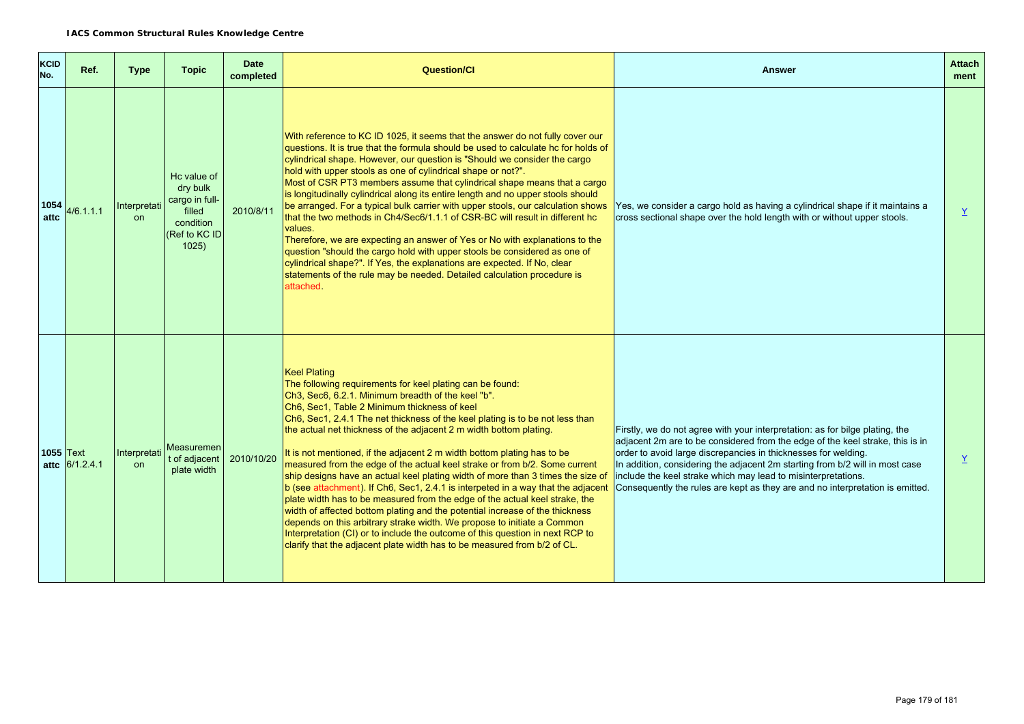| <b>KCID</b><br>No. | Ref.             | <b>Type</b>        | <b>Topic</b>                                                                               | <b>Date</b><br>completed | <b>Question/Cl</b>                                                                                                                                                                                                                                                                                                                                                                                                                                                                                                                                                                                                                                                                                                                                                                                                                                                                                                                                                                                                                                                                   | <b>Answer</b>                                                                                                                                                                                                                                                                                                                                                                                                                                                     | <b>Attach</b><br>ment |
|--------------------|------------------|--------------------|--------------------------------------------------------------------------------------------|--------------------------|--------------------------------------------------------------------------------------------------------------------------------------------------------------------------------------------------------------------------------------------------------------------------------------------------------------------------------------------------------------------------------------------------------------------------------------------------------------------------------------------------------------------------------------------------------------------------------------------------------------------------------------------------------------------------------------------------------------------------------------------------------------------------------------------------------------------------------------------------------------------------------------------------------------------------------------------------------------------------------------------------------------------------------------------------------------------------------------|-------------------------------------------------------------------------------------------------------------------------------------------------------------------------------------------------------------------------------------------------------------------------------------------------------------------------------------------------------------------------------------------------------------------------------------------------------------------|-----------------------|
| 1054<br>attc       | 4/6.1.1.1        | Interpretati<br>on | Hc value of<br>dry bulk<br>cargo in full-<br>filled<br>condition<br>(Ref to KC ID<br>1025) | 2010/8/11                | With reference to KC ID 1025, it seems that the answer do not fully cover our<br>questions. It is true that the formula should be used to calculate hc for holds of<br>cylindrical shape. However, our question is "Should we consider the cargo<br>hold with upper stools as one of cylindrical shape or not?".<br>Most of CSR PT3 members assume that cylindrical shape means that a cargo<br>is longitudinally cylindrical along its entire length and no upper stools should<br>be arranged. For a typical bulk carrier with upper stools, our calculation shows<br>that the two methods in Ch4/Sec6/1.1.1 of CSR-BC will result in different hc<br>values.<br>Therefore, we are expecting an answer of Yes or No with explanations to the<br>question "should the cargo hold with upper stools be considered as one of<br>cylindrical shape?". If Yes, the explanations are expected. If No, clear<br>statements of the rule may be needed. Detailed calculation procedure is<br>attached.                                                                                      | Yes, we consider a cargo hold as having a cylindrical shape if it maintains a<br>cross sectional shape over the hold length with or without upper stools.                                                                                                                                                                                                                                                                                                         | Y                     |
| $1055$ Text        | attc $6/1.2.4.1$ | Interpretati<br>on | Measuremen<br>t of adjacent<br>plate width                                                 | 2010/10/20               | <b>Keel Plating</b><br>The following requirements for keel plating can be found:<br>Ch3, Sec6, 6.2.1. Minimum breadth of the keel "b".<br>Ch6, Sec1, Table 2 Minimum thickness of keel<br>Ch6, Sec1, 2.4.1 The net thickness of the keel plating is to be not less than<br>the actual net thickness of the adjacent 2 m width bottom plating.<br>It is not mentioned, if the adjacent 2 m width bottom plating has to be<br>measured from the edge of the actual keel strake or from b/2. Some current<br>ship designs have an actual keel plating width of more than 3 times the size of<br>b (see attachment). If Ch6, Sec1, 2.4.1 is interpeted in a way that the adjacent<br>plate width has to be measured from the edge of the actual keel strake, the<br>width of affected bottom plating and the potential increase of the thickness<br>depends on this arbitrary strake width. We propose to initiate a Common<br>Interpretation (CI) or to include the outcome of this question in next RCP to<br>clarify that the adjacent plate width has to be measured from b/2 of CL. | Firstly, we do not agree with your interpretation: as for bilge plating, the<br>adjacent 2m are to be considered from the edge of the keel strake, this is in<br>order to avoid large discrepancies in thicknesses for welding.<br>In addition, considering the adjacent 2m starting from b/2 will in most case<br>include the keel strake which may lead to misinterpretations.<br>Consequently the rules are kept as they are and no interpretation is emitted. | $\underline{Y}$       |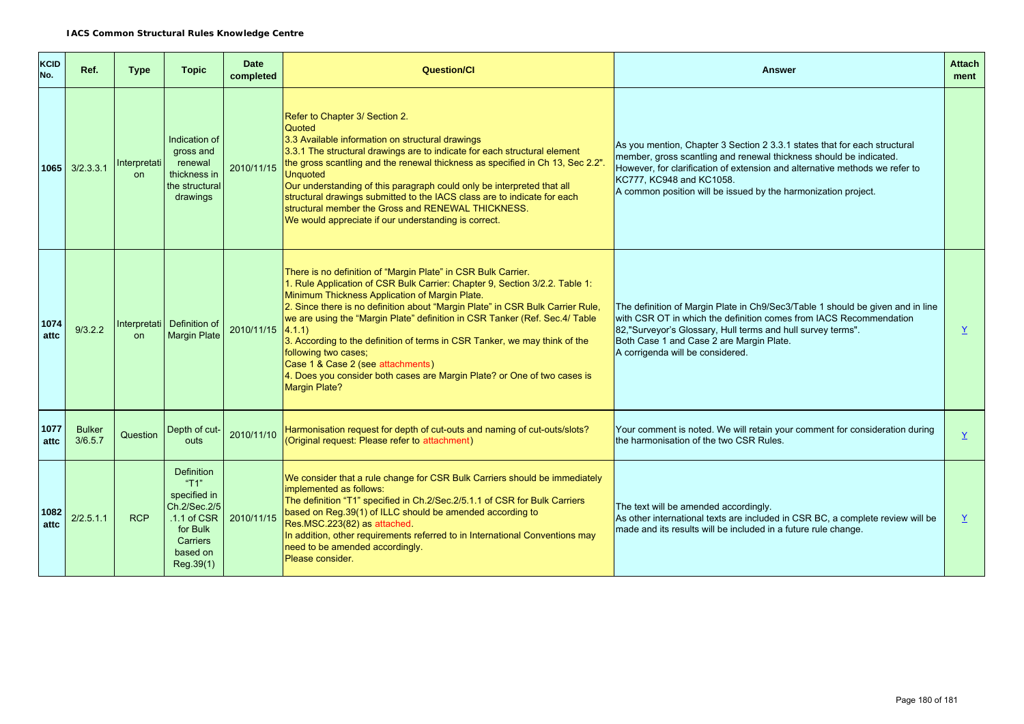| <b>KCID</b><br>No. | Ref.                     | <b>Type</b>               | <b>Topic</b>                                                                                                                 | <b>Date</b><br>completed | <b>Question/Cl</b>                                                                                                                                                                                                                                                                                                                                                                                                                                                                                                                                                                                                      | <b>Answer</b>                                                                                                                                                                                                                                                                                                                | <b>Attach</b><br>ment    |
|--------------------|--------------------------|---------------------------|------------------------------------------------------------------------------------------------------------------------------|--------------------------|-------------------------------------------------------------------------------------------------------------------------------------------------------------------------------------------------------------------------------------------------------------------------------------------------------------------------------------------------------------------------------------------------------------------------------------------------------------------------------------------------------------------------------------------------------------------------------------------------------------------------|------------------------------------------------------------------------------------------------------------------------------------------------------------------------------------------------------------------------------------------------------------------------------------------------------------------------------|--------------------------|
|                    | $1065$ $3/2.3.3.1$       | Interpretati<br><b>on</b> | Indication of<br>gross and<br>renewal<br>thickness in<br>the structural<br>drawings                                          | 2010/11/15               | Refer to Chapter 3/ Section 2.<br>Quoted<br>3.3 Available information on structural drawings<br>3.3.1 The structural drawings are to indicate for each structural element<br>the gross scantling and the renewal thickness as specified in Ch 13, Sec 2.2".<br><b>Unquoted</b><br>Our understanding of this paragraph could only be interpreted that all<br>structural drawings submitted to the IACS class are to indicate for each<br>structural member the Gross and RENEWAL THICKNESS.<br>We would appreciate if our understanding is correct.                                                                      | As you mention, Chapter 3 Section 2 3.3.1 states that for each structural<br>member, gross scantling and renewal thickness should be indicated.<br>However, for clarification of extension and alternative methods we refer to<br>KC777, KC948 and KC1058.<br>A common position will be issued by the harmonization project. |                          |
| 1074<br>attc       | 9/3.2.2                  | on                        | Interpretati Definition of<br><b>Margin Plate</b>                                                                            | 2010/11/15               | There is no definition of "Margin Plate" in CSR Bulk Carrier.<br>1. Rule Application of CSR Bulk Carrier: Chapter 9, Section 3/2.2. Table 1:<br>Minimum Thickness Application of Margin Plate.<br>2. Since there is no definition about "Margin Plate" in CSR Bulk Carrier Rule,<br>we are using the "Margin Plate" definition in CSR Tanker (Ref. Sec.4/ Table<br>4.1.1<br>3. According to the definition of terms in CSR Tanker, we may think of the<br>following two cases;<br>Case 1 & Case 2 (see attachments)<br>4. Does you consider both cases are Margin Plate? or One of two cases is<br><b>Margin Plate?</b> | The definition of Margin Plate in Ch9/Sec3/Table 1 should be given and in line<br>with CSR OT in which the definition comes from IACS Recommendation<br>82,"Surveyor's Glossary, Hull terms and hull survey terms".<br>Both Case 1 and Case 2 are Margin Plate.<br>A corrigenda will be considered.                          | Y                        |
| 1077<br>attc       | <b>Bulker</b><br>3/6.5.7 | Question                  | Depth of cut-<br>outs                                                                                                        | 2010/11/10               | Harmonisation request for depth of cut-outs and naming of cut-outs/slots?<br>(Original request: Please refer to attachment)                                                                                                                                                                                                                                                                                                                                                                                                                                                                                             | Your comment is noted. We will retain your comment for consideration during<br>the harmonisation of the two CSR Rules.                                                                                                                                                                                                       | Y                        |
| 1082<br>attc       | 2/2.5.1.1                | <b>RCP</b>                | <b>Definition</b><br>"T1"<br>specified in<br>Ch.2/Sec.2/5<br>$.1.1$ of CSR<br>for Bulk<br>Carriers<br>based on<br>Reg. 39(1) | 2010/11/15               | We consider that a rule change for CSR Bulk Carriers should be immediately<br>implemented as follows:<br>The definition "T1" specified in Ch.2/Sec.2/5.1.1 of CSR for Bulk Carriers<br>based on Reg.39(1) of ILLC should be amended according to<br>Res.MSC.223(82) as attached.<br>In addition, other requirements referred to in International Conventions may<br>need to be amended accordingly.<br>Please consider.                                                                                                                                                                                                 | The text will be amended accordingly.<br>As other international texts are included in CSR BC, a complete review will be<br>made and its results will be included in a future rule change.                                                                                                                                    | $\mathbf{\underline{Y}}$ |